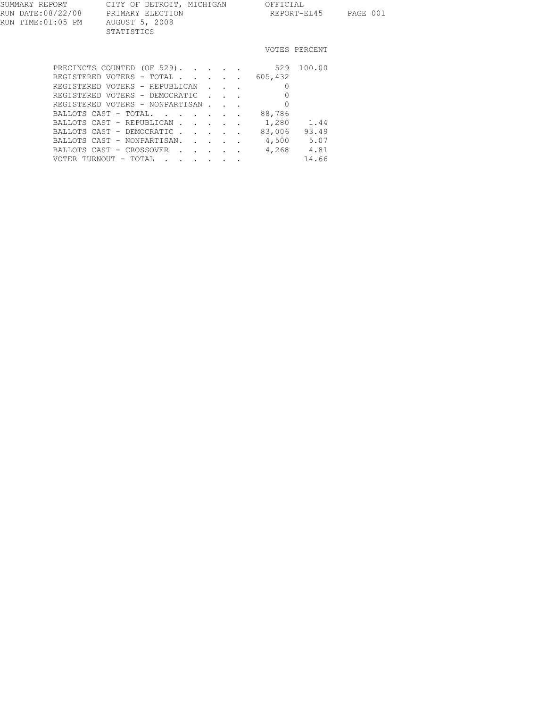| SUMMARY REPORT                          | CITY OF DETROIT, MICHIGAN                        | OFFICIAL |               |          |  |
|-----------------------------------------|--------------------------------------------------|----------|---------------|----------|--|
| RUN DATE:08/22/08<br>RUN TIME: 01:05 PM | PRIMARY ELECTION<br>AUGUST 5, 2008<br>STATISTICS |          | REPORT-EL45   | PAGE 001 |  |
|                                         |                                                  |          | VOTES PERCENT |          |  |
|                                         | DECINCTS COUNTED 10F 5291                        |          | 529 100 00    |          |  |

| PRECINCIS COUNTED (OF 349).            |  |         | JZY IUU.UU |  |
|----------------------------------------|--|---------|------------|--|
| REGISTERED VOTERS - TOTAL              |  | 605,432 |            |  |
| REGISTERED VOTERS - REPUBLICAN         |  |         |            |  |
| REGISTERED VOTERS - DEMOCRATIC         |  |         |            |  |
| REGISTERED VOTERS - NONPARTISAN        |  |         |            |  |
| BALLOTS CAST - TOTAL                   |  | 88,786  |            |  |
| BALLOTS CAST - REPUBLICAN 1,280 1.44   |  |         |            |  |
| BALLOTS CAST - DEMOCRATIC              |  | 83,006  | 93.49      |  |
| BALLOTS CAST - NONPARTISAN. 4,500 5.07 |  |         |            |  |
| BALLOTS CAST - CROSSOVER               |  |         | 4,268 4.81 |  |
| VOTER TURNOUT - TOTAL                  |  |         | 14.66      |  |
|                                        |  |         |            |  |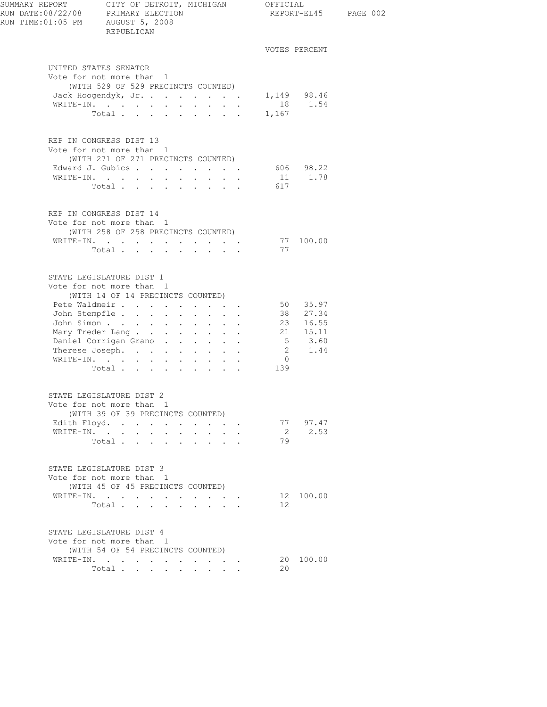| RUN TIME:01:05 PM AUGUST 5, 2008 | REPUBLICAN                                                                                                                                                                                                                                                          |                          |                |                      | REPORT-EL45 PAGE 002 |
|----------------------------------|---------------------------------------------------------------------------------------------------------------------------------------------------------------------------------------------------------------------------------------------------------------------|--------------------------|----------------|----------------------|----------------------|
|                                  |                                                                                                                                                                                                                                                                     |                          |                | VOTES PERCENT        |                      |
|                                  | UNITED STATES SENATOR<br>Vote for not more than 1<br>(WITH 529 OF 529 PRECINCTS COUNTED)                                                                                                                                                                            |                          |                |                      |                      |
|                                  | Jack Hoogendyk, Jr. 1,149 98.46<br>WRTTE-IN 1.54                                                                                                                                                                                                                    |                          |                |                      |                      |
|                                  |                                                                                                                                                                                                                                                                     |                          |                |                      |                      |
|                                  | Total 1,167                                                                                                                                                                                                                                                         |                          |                |                      |                      |
|                                  | REP IN CONGRESS DIST 13<br>Vote for not more than 1<br>(WITH 271 OF 271 PRECINCTS COUNTED)                                                                                                                                                                          |                          |                |                      |                      |
|                                  | Edward J. Gubics 606 98.22                                                                                                                                                                                                                                          |                          |                |                      |                      |
|                                  | WRITE-IN.<br>Total                                                                                                                                                                                                                                                  |                          | 617            | 11 1.78              |                      |
|                                  | REP IN CONGRESS DIST 14<br>Vote for not more than 1<br>(WITH 258 OF 258 PRECINCTS COUNTED)<br>WRITE-IN.<br>Total                                                                                                                                                    |                          | 77             | 77 100.00            |                      |
|                                  | STATE LEGISLATURE DIST 1<br>Vote for not more than 1<br>(WITH 14 OF 14 PRECINCTS COUNTED)<br>Pete Waldmeir<br>John Stempfle<br>John Simon 23 16.55<br>Mary Treder Lang 21 15.11<br>Daniel Corrigan Grano 5 3.60<br>Therese Joseph. 2 1.44<br>WRITE-IN.<br>Total 139 |                          | $\overline{0}$ | 50 35.97<br>38 27.34 |                      |
|                                  | STATE LEGISLATURE DIST 2<br>Vote for not more than 1<br>(WITH 39 OF 39 PRECINCTS COUNTED)<br>Edith Floyd.<br>WRITE-IN.<br>Total $\cdots$                                                                                                                            | $\sim$ $-$<br>$\sim$ $-$ | 2<br>79        | 77 97.47<br>2.53     |                      |
|                                  | STATE LEGISLATURE DIST 3<br>Vote for not more than 1<br>(WITH 45 OF 45 PRECINCTS COUNTED)<br>WRITE-IN.<br>Total                                                                                                                                                     |                          | 12             | 12 100.00            |                      |
|                                  | STATE LEGISLATURE DIST 4<br>Vote for not more than 1<br>(WITH 54 OF 54 PRECINCTS COUNTED)<br>WRITE-IN.<br>Total                                                                                                                                                     |                          | 20             | 20 100.00            |                      |
|                                  |                                                                                                                                                                                                                                                                     |                          |                |                      |                      |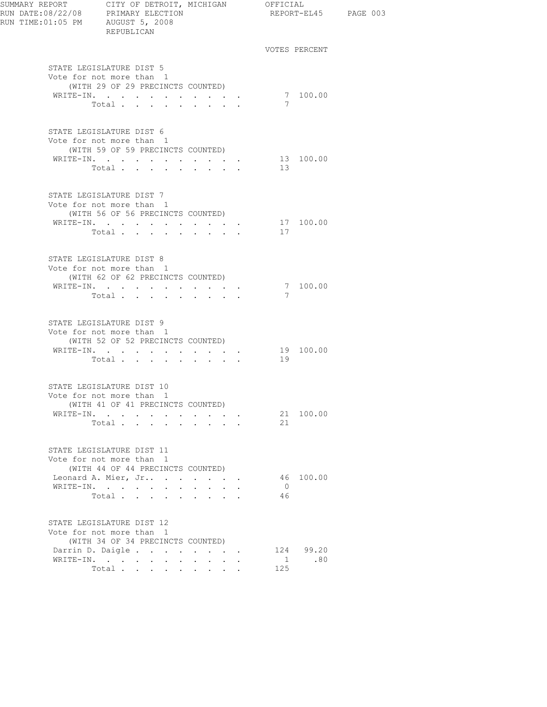| SUMMARY REPORT CITY OF DETROIT, MICHIGAN OFFICIAL<br>RUN DATE:08/22/08 PRIMARY ELECTION<br>RUN TIME: 01:05 PM AUGUST 5, 2008 | REPUBLICAN                                                                                 |                       |                      | REPORT-EL45 PAGE 003        |  |
|------------------------------------------------------------------------------------------------------------------------------|--------------------------------------------------------------------------------------------|-----------------------|----------------------|-----------------------------|--|
|                                                                                                                              |                                                                                            |                       |                      | VOTES PERCENT               |  |
|                                                                                                                              | STATE LEGISLATURE DIST 5<br>Vote for not more than 1<br>(WITH 29 OF 29 PRECINCTS COUNTED)  |                       |                      |                             |  |
|                                                                                                                              | WRITE-IN.<br>Total                                                                         |                       | 7                    | 7 100.00                    |  |
|                                                                                                                              | STATE LEGISLATURE DIST 6<br>Vote for not more than 1<br>(WITH 59 OF 59 PRECINCTS COUNTED)  |                       |                      |                             |  |
|                                                                                                                              | WRITE-IN.<br>Total                                                                         |                       | 13                   | 13 100.00                   |  |
|                                                                                                                              | STATE LEGISLATURE DIST 7<br>Vote for not more than 1<br>(WITH 56 OF 56 PRECINCTS COUNTED)  |                       |                      |                             |  |
|                                                                                                                              | WRITE-IN.<br>Total                                                                         |                       | 17                   | 17 100.00                   |  |
|                                                                                                                              | STATE LEGISLATURE DIST 8<br>Vote for not more than 1<br>(WITH 62 OF 62 PRECINCTS COUNTED)  |                       |                      |                             |  |
|                                                                                                                              | WRITE-IN.<br>Total                                                                         |                       | 7                    | 7 100.00                    |  |
|                                                                                                                              | STATE LEGISLATURE DIST 9<br>Vote for not more than 1<br>(WITH 52 OF 52 PRECINCTS COUNTED)  |                       |                      |                             |  |
|                                                                                                                              | WRITE-IN.<br>Total $\cdots$                                                                |                       | 19                   | 19 100.00                   |  |
|                                                                                                                              | STATE LEGISLATURE DIST 10<br>Vote for not more than 1<br>(WITH 41 OF 41 PRECINCTS COUNTED) |                       |                      |                             |  |
|                                                                                                                              | WRITE-IN.<br>Total                                                                         |                       | 21                   | 21 100.00                   |  |
|                                                                                                                              | STATE LEGISLATURE DIST 11<br>Vote for not more than 1                                      |                       |                      |                             |  |
|                                                                                                                              | (WITH 44 OF 44 PRECINCTS COUNTED)<br>Leonard A. Mier, Jr<br>WRITE-IN.<br>Total             |                       | $\overline{0}$<br>46 | 46 100,00                   |  |
|                                                                                                                              | STATE LEGISLATURE DIST 12<br>Vote for not more than 1                                      |                       |                      |                             |  |
|                                                                                                                              | (WITH 34 OF 34 PRECINCTS COUNTED)<br>Darrin D. Daigle<br>WRITE-IN.<br>Total                | and a strategic state | 125                  | 124 99.20<br>$1 \qquad .80$ |  |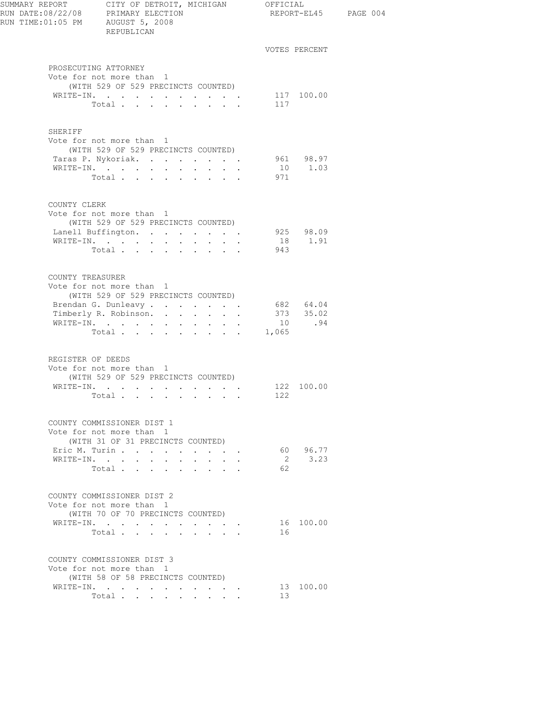| RUN DATE:08/22/08 PRIMARY ELECTION<br>RUN TIME: 01:05 PM AUGUST 5, 2008 | SUMMARY REPORT CITY OF DETROIT, MICHIGAN OFFICIAL<br>REPUBLICAN                                      |        |                 |                        | REPORT-EL45 PAGE 004 |
|-------------------------------------------------------------------------|------------------------------------------------------------------------------------------------------|--------|-----------------|------------------------|----------------------|
|                                                                         |                                                                                                      |        |                 | VOTES PERCENT          |                      |
|                                                                         | PROSECUTING ATTORNEY                                                                                 |        |                 |                        |                      |
|                                                                         | Vote for not more than 1                                                                             |        |                 |                        |                      |
|                                                                         | (WITH 529 OF 529 PRECINCTS COUNTED)                                                                  |        |                 |                        |                      |
|                                                                         | WRITE-IN.                                                                                            |        |                 | 117 100.00             |                      |
|                                                                         | Total                                                                                                |        | 117             |                        |                      |
| <b>SHERIFF</b>                                                          |                                                                                                      |        |                 |                        |                      |
|                                                                         | Vote for not more than 1                                                                             |        |                 |                        |                      |
|                                                                         | (WITH 529 OF 529 PRECINCTS COUNTED)                                                                  |        |                 |                        |                      |
|                                                                         | Taras P. Nykoriak.                                                                                   |        |                 | 961 98.97<br>10 1.03   |                      |
|                                                                         | WRITE-IN.<br>Total                                                                                   |        | 971             |                        |                      |
|                                                                         |                                                                                                      |        |                 |                        |                      |
| COUNTY CLERK                                                            |                                                                                                      |        |                 |                        |                      |
|                                                                         | Vote for not more than 1                                                                             |        |                 |                        |                      |
|                                                                         | (WITH 529 OF 529 PRECINCTS COUNTED)                                                                  |        |                 |                        |                      |
|                                                                         | Lanell Buffington.                                                                                   |        |                 | 925 98.09              |                      |
|                                                                         |                                                                                                      |        | 943             | 18 1.91                |                      |
|                                                                         | Total                                                                                                |        |                 |                        |                      |
| COUNTY TREASURER                                                        |                                                                                                      |        |                 |                        |                      |
|                                                                         | Vote for not more than 1                                                                             |        |                 |                        |                      |
|                                                                         | (WITH 529 OF 529 PRECINCTS COUNTED)                                                                  |        |                 |                        |                      |
|                                                                         | Brendan G. Dunleavy                                                                                  |        |                 | 682 64.04<br>373 35.02 |                      |
|                                                                         | Timberly R. Robinson.                                                                                |        |                 |                        |                      |
|                                                                         | WRITE-IN.<br>Total 1,065                                                                             |        |                 | 10 .94                 |                      |
|                                                                         |                                                                                                      |        |                 |                        |                      |
| REGISTER OF DEEDS                                                       |                                                                                                      |        |                 |                        |                      |
|                                                                         | Vote for not more than 1                                                                             |        |                 |                        |                      |
|                                                                         | (WITH 529 OF 529 PRECINCTS COUNTED)                                                                  |        |                 |                        |                      |
|                                                                         | WRITE-IN. 122 100.00                                                                                 |        |                 |                        |                      |
|                                                                         | Total                                                                                                |        | 122             |                        |                      |
|                                                                         | COUNTY COMMISSIONER DIST 1                                                                           |        |                 |                        |                      |
|                                                                         | Vote for not more than 1                                                                             |        |                 |                        |                      |
|                                                                         | (WITH 31 OF 31 PRECINCTS COUNTED)                                                                    |        |                 |                        |                      |
|                                                                         | Eric M. Turin                                                                                        |        |                 | 60 96.77               |                      |
|                                                                         | WRITE-IN.<br>$\ddot{\phantom{0}}$<br>$\sim 10^{-11}$<br>$\ddot{\phantom{a}}$<br>$\ddot{\phantom{0}}$ | $\sim$ | 2               | 3.23                   |                      |
|                                                                         | Total<br>$\sim$ $\sim$ $\sim$ $\sim$ $\sim$                                                          |        | 62              |                        |                      |
|                                                                         | COUNTY COMMISSIONER DIST 2                                                                           |        |                 |                        |                      |
|                                                                         | Vote for not more than 1                                                                             |        |                 |                        |                      |
|                                                                         | (WITH 70 OF 70 PRECINCTS COUNTED)                                                                    |        |                 |                        |                      |
|                                                                         | WRITE-IN.                                                                                            |        |                 | 16 100.00              |                      |
|                                                                         | Total $\cdots$                                                                                       |        | 16              |                        |                      |
|                                                                         | COUNTY COMMISSIONER DIST 3                                                                           |        |                 |                        |                      |
|                                                                         | Vote for not more than 1                                                                             |        |                 |                        |                      |
|                                                                         | (WITH 58 OF 58 PRECINCTS COUNTED)                                                                    |        |                 |                        |                      |
|                                                                         | WRITE-IN.                                                                                            |        |                 | 13 100.00              |                      |
|                                                                         | Total                                                                                                |        | 13 <sup>°</sup> |                        |                      |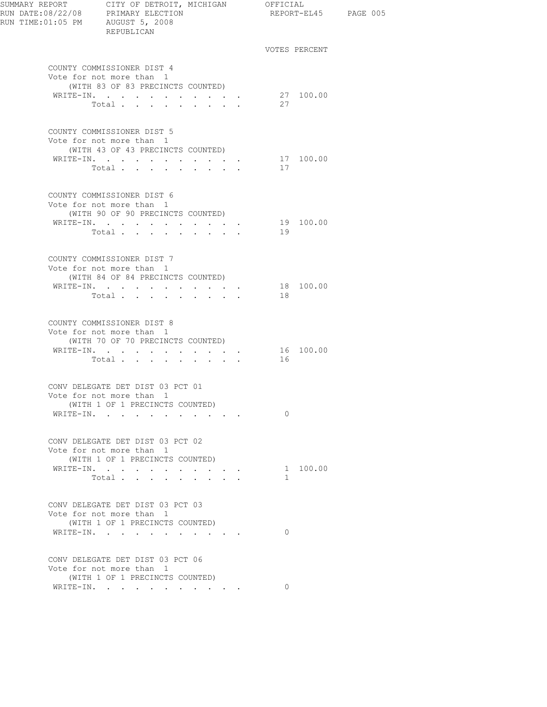| SUMMARY REPORT CITY OF DETROIT, MICHIGAN OFFICIAL<br>RUN DATE:08/22/08 PRIMARY ELECTION<br>RUN TIME:01:05 PM AUGUST 5, 2008 | REPUBLICAN                                                                                  |                                                                    |                |               | REPORT-EL45 PAGE 005 |
|-----------------------------------------------------------------------------------------------------------------------------|---------------------------------------------------------------------------------------------|--------------------------------------------------------------------|----------------|---------------|----------------------|
|                                                                                                                             |                                                                                             |                                                                    |                | VOTES PERCENT |                      |
|                                                                                                                             | COUNTY COMMISSIONER DIST 4<br>Vote for not more than 1<br>(WITH 83 OF 83 PRECINCTS COUNTED) |                                                                    |                |               |                      |
|                                                                                                                             | WRITE-IN.                                                                                   |                                                                    |                | 27 100.00     |                      |
|                                                                                                                             | Total                                                                                       |                                                                    | 27             |               |                      |
|                                                                                                                             | COUNTY COMMISSIONER DIST 5<br>Vote for not more than 1<br>(WITH 43 OF 43 PRECINCTS COUNTED) |                                                                    |                |               |                      |
|                                                                                                                             | WRITE-IN.                                                                                   |                                                                    |                | 17 100.00     |                      |
|                                                                                                                             | Total $\cdot$                                                                               |                                                                    | 17             |               |                      |
|                                                                                                                             | COUNTY COMMISSIONER DIST 6<br>Vote for not more than 1                                      |                                                                    |                |               |                      |
|                                                                                                                             | (WITH 90 OF 90 PRECINCTS COUNTED)                                                           |                                                                    |                |               |                      |
|                                                                                                                             | WRITE-IN.                                                                                   |                                                                    |                | 19 100.00     |                      |
|                                                                                                                             | Total                                                                                       |                                                                    | 19             |               |                      |
|                                                                                                                             | COUNTY COMMISSIONER DIST 7<br>Vote for not more than 1                                      |                                                                    |                |               |                      |
|                                                                                                                             | (WITH 84 OF 84 PRECINCTS COUNTED)                                                           |                                                                    |                |               |                      |
|                                                                                                                             | WRITE-IN.                                                                                   |                                                                    | 18             | 18 100.00     |                      |
|                                                                                                                             | Total $\cdots$                                                                              |                                                                    |                |               |                      |
|                                                                                                                             | COUNTY COMMISSIONER DIST 8<br>Vote for not more than 1<br>(WITH 70 OF 70 PRECINCTS COUNTED) |                                                                    |                |               |                      |
|                                                                                                                             | WRITE-IN.                                                                                   |                                                                    |                | 16 100.00     |                      |
|                                                                                                                             | Total                                                                                       |                                                                    | 16             |               |                      |
|                                                                                                                             | CONV DELEGATE DET DIST 03 PCT 01<br>Vote for not more than 1                                |                                                                    |                |               |                      |
|                                                                                                                             | (WITH 1 OF 1 PRECINCTS COUNTED)                                                             |                                                                    |                |               |                      |
|                                                                                                                             | WRITE-IN.                                                                                   |                                                                    | $\Omega$       |               |                      |
|                                                                                                                             | CONV DELEGATE DET DIST 03 PCT 02                                                            |                                                                    |                |               |                      |
|                                                                                                                             | Vote for not more than 1<br>(WITH 1 OF 1 PRECINCTS COUNTED)                                 |                                                                    |                |               |                      |
|                                                                                                                             | WRITE-IN.                                                                                   | $\mathbf{r} = \mathbf{r} + \mathbf{r} + \mathbf{r} + \mathbf{r}$ . |                | 1 100.00      |                      |
|                                                                                                                             | Total $\cdots$ $\cdots$                                                                     | and a strategic and                                                | $\overline{1}$ |               |                      |
|                                                                                                                             | CONV DELEGATE DET DIST 03 PCT 03                                                            |                                                                    |                |               |                      |
|                                                                                                                             | Vote for not more than 1<br>(WITH 1 OF 1 PRECINCTS COUNTED)                                 |                                                                    |                |               |                      |
|                                                                                                                             | WRITE-IN.                                                                                   |                                                                    | $\Omega$       |               |                      |
|                                                                                                                             | CONV DELEGATE DET DIST 03 PCT 06                                                            |                                                                    |                |               |                      |
|                                                                                                                             | Vote for not more than 1                                                                    |                                                                    |                |               |                      |
|                                                                                                                             | (WITH 1 OF 1 PRECINCTS COUNTED)                                                             |                                                                    |                |               |                      |
|                                                                                                                             | WRITE-IN.                                                                                   |                                                                    | $\Omega$       |               |                      |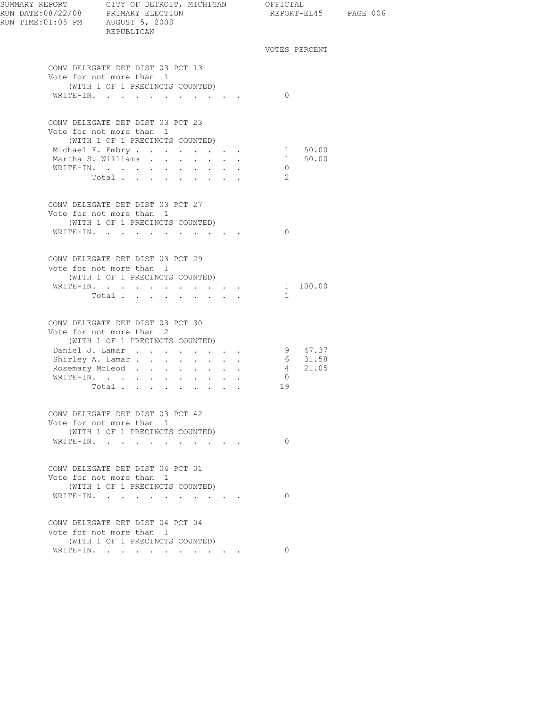| RUN TIME: 01:05 PM AUGUST 5, 2008 | REPUBLICAN                                                                                                                                        |                                   |                      |               | REPORT-EL45 PAGE 006 |
|-----------------------------------|---------------------------------------------------------------------------------------------------------------------------------------------------|-----------------------------------|----------------------|---------------|----------------------|
|                                   |                                                                                                                                                   |                                   |                      | VOTES PERCENT |                      |
|                                   | CONV DELEGATE DET DIST 03 PCT 13<br>Vote for not more than 1<br>(WITH 1 OF 1 PRECINCTS COUNTED)                                                   |                                   | $\bigcirc$           |               |                      |
|                                   | WRITE-IN.                                                                                                                                         |                                   |                      |               |                      |
|                                   | CONV DELEGATE DET DIST 03 PCT 23<br>Vote for not more than 1<br>(WITH 1 OF 1 PRECINCTS COUNTED)<br>Michael F. Embry 1 50.00<br>Martha S. Williams |                                   |                      | 1 50.00       |                      |
|                                   | WRITE-IN.<br>Total                                                                                                                                |                                   | $\overline{0}$<br>2  |               |                      |
|                                   | CONV DELEGATE DET DIST 03 PCT 27<br>Vote for not more than 1                                                                                      |                                   |                      |               |                      |
|                                   | (WITH 1 OF 1 PRECINCTS COUNTED)<br>WRITE-IN.                                                                                                      |                                   | $\bigcirc$           |               |                      |
|                                   | CONV DELEGATE DET DIST 03 PCT 29<br>Vote for not more than 1<br>(WITH 1 OF 1 PRECINCTS COUNTED)                                                   |                                   |                      |               |                      |
|                                   | WRITE-IN.<br>Total                                                                                                                                |                                   | $\overline{1}$       | 1 100.00      |                      |
|                                   | CONV DELEGATE DET DIST 03 PCT 30<br>Vote for not more than 2<br>(WITH 1 OF 1 PRECINCTS COUNTED)                                                   |                                   |                      |               |                      |
|                                   | Daniel J. Lamar                                                                                                                                   |                                   |                      | 9 47.37       |                      |
|                                   | Shirley A. Lamar                                                                                                                                  |                                   |                      | 6 31.58       |                      |
|                                   | Rosemary McLeod                                                                                                                                   |                                   |                      | 4 21.05       |                      |
|                                   | WRITE-IN.<br>Total $\cdots$                                                                                                                       |                                   | $\overline{0}$<br>19 |               |                      |
|                                   | CONV DELEGATE DET DIST 03 PCT 42<br>Vote for not more than 1<br>(WITH 1 OF 1 PRECINCTS COUNTED)                                                   |                                   |                      |               |                      |
|                                   | WRITE-IN.                                                                                                                                         |                                   | $\Omega$             |               |                      |
|                                   | CONV DELEGATE DET DIST 04 PCT 01<br>Vote for not more than 1                                                                                      |                                   |                      |               |                      |
|                                   | (WITH 1 OF 1 PRECINCTS COUNTED)<br>WRITE-IN.<br>$\cdot$                                                                                           | <b>Contract Contract Contract</b> | $\Omega$             |               |                      |
|                                   | CONV DELEGATE DET DIST 04 PCT 04<br>Vote for not more than 1<br>(WITH 1 OF 1 PRECINCTS COUNTED)                                                   |                                   |                      |               |                      |
|                                   | WRITE-IN.                                                                                                                                         |                                   | $\Omega$             |               |                      |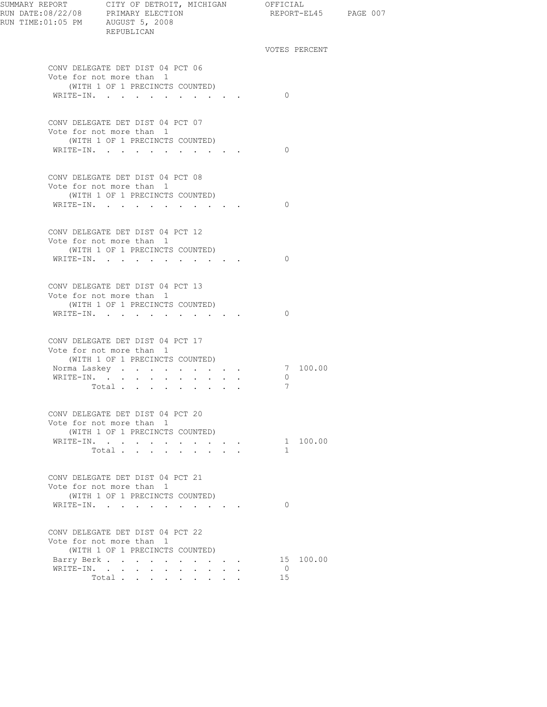| SUMMARY REPORT CITY OF DETROIT, MICHIGAN OFFICIAL | REPUBLICAN                                                   |                                                             |  |               | REPORT-EL45 PAGE 007 |  |
|---------------------------------------------------|--------------------------------------------------------------|-------------------------------------------------------------|--|---------------|----------------------|--|
|                                                   |                                                              |                                                             |  | VOTES PERCENT |                      |  |
|                                                   | CONV DELEGATE DET DIST 04 PCT 06<br>Vote for not more than 1 |                                                             |  |               |                      |  |
|                                                   | (WITH 1 OF 1 PRECINCTS COUNTED)<br>WRITE-IN.                 |                                                             |  | $\Omega$      |                      |  |
|                                                   | CONV DELEGATE DET DIST 04 PCT 07                             |                                                             |  |               |                      |  |
|                                                   | Vote for not more than 1<br>(WITH 1 OF 1 PRECINCTS COUNTED)  |                                                             |  |               |                      |  |
|                                                   | WRITE-IN.                                                    |                                                             |  | $\bigcirc$    |                      |  |
|                                                   | CONV DELEGATE DET DIST 04 PCT 08<br>Vote for not more than 1 |                                                             |  |               |                      |  |
|                                                   | (WITH 1 OF 1 PRECINCTS COUNTED)<br>WRITE-IN.                 |                                                             |  | $\Omega$      |                      |  |
|                                                   |                                                              |                                                             |  |               |                      |  |
|                                                   | CONV DELEGATE DET DIST 04 PCT 12<br>Vote for not more than 1 |                                                             |  |               |                      |  |
|                                                   | (WITH 1 OF 1 PRECINCTS COUNTED)<br>WRITE-IN.                 |                                                             |  | $\bigcirc$    |                      |  |
|                                                   | CONV DELEGATE DET DIST 04 PCT 13                             |                                                             |  |               |                      |  |
|                                                   | Vote for not more than 1<br>(WITH 1 OF 1 PRECINCTS COUNTED)  |                                                             |  | $\Omega$      |                      |  |
|                                                   | WRITE-IN.                                                    |                                                             |  |               |                      |  |
|                                                   | CONV DELEGATE DET DIST 04 PCT 17<br>Vote for not more than 1 |                                                             |  |               |                      |  |
|                                                   | (WITH 1 OF 1 PRECINCTS COUNTED)<br>Norma Laskey              |                                                             |  |               | 7 100.00             |  |
|                                                   | WRITE-IN.                                                    |                                                             |  | $\circ$       |                      |  |
|                                                   | Total                                                        |                                                             |  | 7             |                      |  |
|                                                   | CONV DELEGATE DET DIST 04 PCT 20<br>Vote for not more than 1 |                                                             |  |               |                      |  |
|                                                   | (WITH 1 OF 1 PRECINCTS COUNTED)                              |                                                             |  |               |                      |  |
|                                                   | WRITE-IN.<br>Total                                           | and a strategic control of                                  |  | 1.            | 1 100.00             |  |
|                                                   |                                                              |                                                             |  |               |                      |  |
|                                                   | CONV DELEGATE DET DIST 04 PCT 21<br>Vote for not more than 1 |                                                             |  |               |                      |  |
|                                                   | (WITH 1 OF 1 PRECINCTS COUNTED)<br>WRITE-IN.                 | <b>Contract Contract</b><br>the contract of the contract of |  | $\Omega$      |                      |  |
|                                                   | CONV DELEGATE DET DIST 04 PCT 22                             |                                                             |  |               |                      |  |
|                                                   | Vote for not more than 1<br>(WITH 1 OF 1 PRECINCTS COUNTED)  |                                                             |  |               |                      |  |
|                                                   | Barry Berk                                                   |                                                             |  |               | 15 100.00            |  |
|                                                   | WRITE-IN.                                                    |                                                             |  | $\Omega$      |                      |  |
|                                                   | Total                                                        |                                                             |  | 15            |                      |  |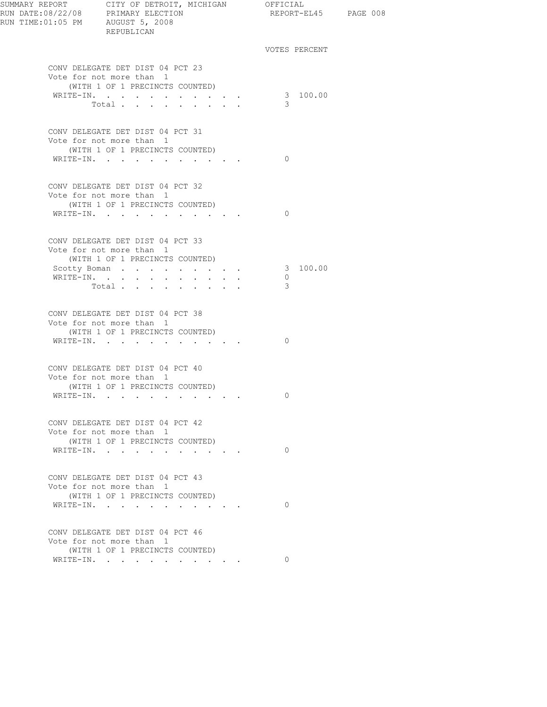| RUN TIME:01:05 PM AUGUST 5, 2008 | REPUBLICAN                                                                                                                   |                                     | REPORT-EL45 PAGE 008     |  |
|----------------------------------|------------------------------------------------------------------------------------------------------------------------------|-------------------------------------|--------------------------|--|
|                                  |                                                                                                                              |                                     | VOTES PERCENT            |  |
|                                  | CONV DELEGATE DET DIST 04 PCT 23<br>Vote for not more than 1<br>(WITH 1 OF 1 PRECINCTS COUNTED)<br>WRITE-IN.                 | the contract of the contract of the | 3 100.00                 |  |
|                                  | Total                                                                                                                        |                                     | 3                        |  |
|                                  | CONV DELEGATE DET DIST 04 PCT 31<br>Vote for not more than 1<br>(WITH 1 OF 1 PRECINCTS COUNTED)                              |                                     |                          |  |
|                                  | WRITE-IN.<br>the contract of the contract of the contract of the contract of the contract of the contract of the contract of |                                     | $\Omega$                 |  |
|                                  | CONV DELEGATE DET DIST 04 PCT 32<br>Vote for not more than 1<br>(WITH 1 OF 1 PRECINCTS COUNTED)                              |                                     |                          |  |
|                                  | WRITE-IN.                                                                                                                    |                                     | $\Omega$                 |  |
|                                  | CONV DELEGATE DET DIST 04 PCT 33<br>Vote for not more than 1<br>(WITH 1 OF 1 PRECINCTS COUNTED)                              |                                     |                          |  |
|                                  | Scotty Boman<br>WRITE-IN.<br>Total                                                                                           | and a strategic control of the      | 3 100.00<br>$\circ$<br>3 |  |
|                                  | CONV DELEGATE DET DIST 04 PCT 38<br>Vote for not more than 1<br>(WITH 1 OF 1 PRECINCTS COUNTED)                              |                                     |                          |  |
| WRITE-IN.                        | the contract of the contract of the                                                                                          |                                     | $\Omega$                 |  |
|                                  | CONV DELEGATE DET DIST 04 PCT 40<br>Vote for not more than 1<br>(WITH 1 OF 1 PRECINCTS COUNTED)                              |                                     |                          |  |
|                                  | WRITE-IN.                                                                                                                    |                                     | $\Omega$                 |  |
|                                  | CONV DELEGATE DET DIST 04 PCT 42<br>Vote for not more than 1<br>(WITH 1 OF 1 PRECINCTS COUNTED)                              |                                     |                          |  |
|                                  | WRITE-IN.                                                                                                                    |                                     | $\Omega$                 |  |
|                                  | CONV DELEGATE DET DIST 04 PCT 43<br>Vote for not more than 1<br>(WITH 1 OF 1 PRECINCTS COUNTED)                              |                                     |                          |  |
|                                  | WRITE-IN.                                                                                                                    |                                     | $\Omega$                 |  |
|                                  | CONV DELEGATE DET DIST 04 PCT 46<br>Vote for not more than 1<br>(WITH 1 OF 1 PRECINCTS COUNTED)                              |                                     |                          |  |
|                                  | WRITE-IN.                                                                                                                    |                                     | $\Omega$                 |  |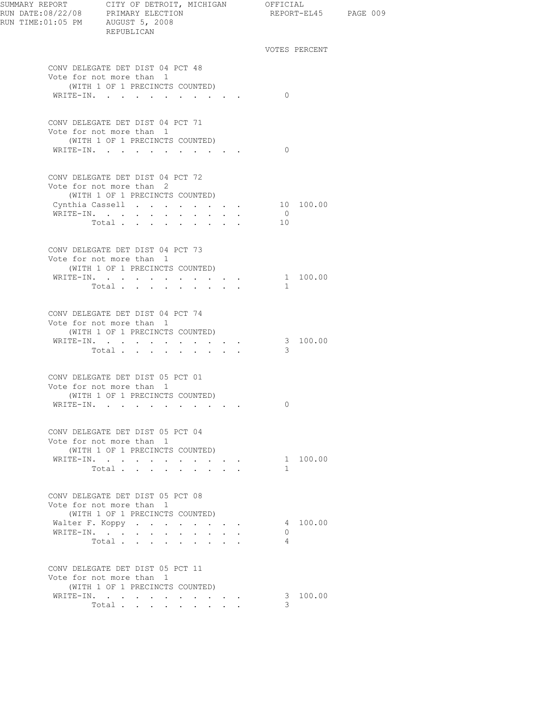| SUMMARY REPORT CITY OF DETROIT, MICHIGAN OFFICIAL<br>RUN DATE:08/22/08 PRIMARY ELECTION<br>RUN TIME: 01:05 PM AUGUST 5, 2008 | REPUBLICAN                                                                                      |                                                                  |                 |                       |                      | REPORT-EL45 PAGE 009 |  |
|------------------------------------------------------------------------------------------------------------------------------|-------------------------------------------------------------------------------------------------|------------------------------------------------------------------|-----------------|-----------------------|----------------------|----------------------|--|
|                                                                                                                              |                                                                                                 |                                                                  |                 |                       |                      | VOTES PERCENT        |  |
|                                                                                                                              | CONV DELEGATE DET DIST 04 PCT 48<br>Vote for not more than 1<br>(WITH 1 OF 1 PRECINCTS COUNTED) |                                                                  |                 |                       |                      |                      |  |
|                                                                                                                              | WRITE-IN.                                                                                       |                                                                  |                 |                       | $\Omega$             |                      |  |
|                                                                                                                              | CONV DELEGATE DET DIST 04 PCT 71<br>Vote for not more than 1<br>(WITH 1 OF 1 PRECINCTS COUNTED) |                                                                  |                 |                       |                      |                      |  |
|                                                                                                                              | WRITE-IN.                                                                                       |                                                                  |                 |                       | $\Omega$             |                      |  |
|                                                                                                                              | CONV DELEGATE DET DIST 04 PCT 72<br>Vote for not more than 2<br>(WITH 1 OF 1 PRECINCTS COUNTED) |                                                                  |                 |                       |                      |                      |  |
|                                                                                                                              | Cynthia Cassell 10 100.00                                                                       |                                                                  |                 |                       |                      |                      |  |
|                                                                                                                              | WRITE-IN.<br>Total                                                                              |                                                                  |                 |                       | $\overline{0}$<br>10 |                      |  |
|                                                                                                                              |                                                                                                 |                                                                  |                 |                       |                      |                      |  |
|                                                                                                                              | CONV DELEGATE DET DIST 04 PCT 73<br>Vote for not more than 1<br>(WITH 1 OF 1 PRECINCTS COUNTED) |                                                                  |                 |                       |                      |                      |  |
|                                                                                                                              | WRITE-IN.                                                                                       |                                                                  |                 |                       |                      | 1 100.00             |  |
|                                                                                                                              | Total.                                                                                          |                                                                  |                 |                       | $\mathbf{1}$         |                      |  |
|                                                                                                                              | CONV DELEGATE DET DIST 04 PCT 74<br>Vote for not more than 1<br>(WITH 1 OF 1 PRECINCTS COUNTED) |                                                                  |                 |                       |                      |                      |  |
|                                                                                                                              | WRITE-IN.<br>Total                                                                              | $\mathbf{r} = \mathbf{r} + \mathbf{r} + \mathbf{r} + \mathbf{r}$ |                 |                       | 3                    | 3 100.00             |  |
|                                                                                                                              | CONV DELEGATE DET DIST 05 PCT 01<br>Vote for not more than 1                                    |                                                                  |                 |                       |                      |                      |  |
|                                                                                                                              | (WITH 1 OF 1 PRECINCTS COUNTED)                                                                 |                                                                  |                 |                       |                      |                      |  |
|                                                                                                                              | WRITE-IN.                                                                                       |                                                                  |                 |                       | $\Omega$             |                      |  |
|                                                                                                                              | CONV DELEGATE DET DIST 05 PCT 04<br>Vote for not more than 1<br>(WITH 1 OF 1 PRECINCTS COUNTED) |                                                                  |                 |                       |                      |                      |  |
|                                                                                                                              | WRITE-IN.                                                                                       |                                                                  |                 |                       |                      | 1 100.00             |  |
|                                                                                                                              | Total                                                                                           | $\mathbf{r} = \mathbf{r} + \mathbf{r}$                           |                 |                       | 1                    |                      |  |
|                                                                                                                              | CONV DELEGATE DET DIST 05 PCT 08<br>Vote for not more than 1                                    |                                                                  |                 |                       |                      |                      |  |
|                                                                                                                              | (WITH 1 OF 1 PRECINCTS COUNTED)<br>Walter F. Koppy                                              |                                                                  |                 | and a strategic state |                      | 4 100.00             |  |
|                                                                                                                              | WRITE-IN.                                                                                       |                                                                  | $\cdot$ $\cdot$ |                       | $\Omega$             |                      |  |
|                                                                                                                              | Total                                                                                           |                                                                  |                 |                       | $\overline{4}$       |                      |  |
|                                                                                                                              | CONV DELEGATE DET DIST 05 PCT 11<br>Vote for not more than 1                                    |                                                                  |                 |                       |                      |                      |  |
|                                                                                                                              | (WITH 1 OF 1 PRECINCTS COUNTED)<br>WRITE-IN.                                                    |                                                                  |                 |                       |                      | 3 100.00             |  |
|                                                                                                                              | Total                                                                                           |                                                                  |                 |                       | 3                    |                      |  |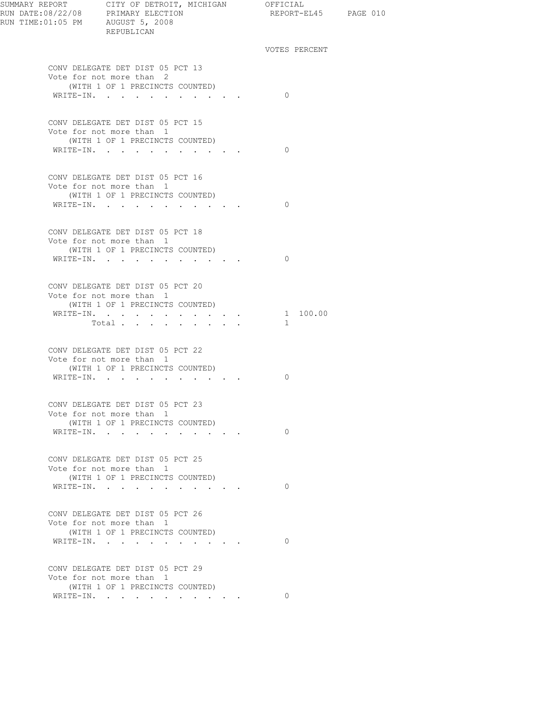| RUN TIME: 01:05 PM AUGUST 5, 2008 | REPUBLICAN                                                                                                   | REPORT-EL45 PAGE 010     |  |
|-----------------------------------|--------------------------------------------------------------------------------------------------------------|--------------------------|--|
|                                   |                                                                                                              | VOTES PERCENT            |  |
|                                   | CONV DELEGATE DET DIST 05 PCT 13<br>Vote for not more than 2<br>(WITH 1 OF 1 PRECINCTS COUNTED)<br>WRITE-IN. | $\Omega$                 |  |
|                                   |                                                                                                              |                          |  |
|                                   | CONV DELEGATE DET DIST 05 PCT 15<br>Vote for not more than 1<br>(WITH 1 OF 1 PRECINCTS COUNTED)<br>WRITE-IN. | $\Omega$                 |  |
|                                   | CONV DELEGATE DET DIST 05 PCT 16<br>Vote for not more than 1                                                 |                          |  |
|                                   | (WITH 1 OF 1 PRECINCTS COUNTED)<br>WRITE-IN.                                                                 | $\bigcirc$               |  |
|                                   | CONV DELEGATE DET DIST 05 PCT 18<br>Vote for not more than 1<br>(WITH 1 OF 1 PRECINCTS COUNTED)              |                          |  |
|                                   | WRITE-IN.                                                                                                    | $\bigcirc$               |  |
|                                   | CONV DELEGATE DET DIST 05 PCT 20<br>Vote for not more than 1<br>(WITH 1 OF 1 PRECINCTS COUNTED)              |                          |  |
|                                   | WRITE-IN.<br>Total                                                                                           | 1 100.00<br>$\mathbf{1}$ |  |
|                                   | CONV DELEGATE DET DIST 05 PCT 22<br>Vote for not more than 1<br>(WITH 1 OF 1 PRECINCTS COUNTED)<br>WRITE-IN. | 0                        |  |
|                                   |                                                                                                              |                          |  |
|                                   | CONV DELEGATE DET DIST 05 PCT 23<br>Vote for not more than 1<br>(WITH 1 OF 1 PRECINCTS COUNTED)<br>WRITE-IN. | $\circ$                  |  |
|                                   | CONV DELEGATE DET DIST 05 PCT 25                                                                             |                          |  |
|                                   | Vote for not more than 1<br>(WITH 1 OF 1 PRECINCTS COUNTED)<br>WRITE-IN.                                     | $\Omega$                 |  |
|                                   | CONV DELEGATE DET DIST 05 PCT 26                                                                             |                          |  |
|                                   | Vote for not more than 1<br>(WITH 1 OF 1 PRECINCTS COUNTED)<br>WRITE-IN.                                     | $\Omega$                 |  |
|                                   | CONV DELEGATE DET DIST 05 PCT 29                                                                             |                          |  |
|                                   | Vote for not more than 1<br>(WITH 1 OF 1 PRECINCTS COUNTED)                                                  | $\Omega$                 |  |
|                                   | WRITE-IN.                                                                                                    |                          |  |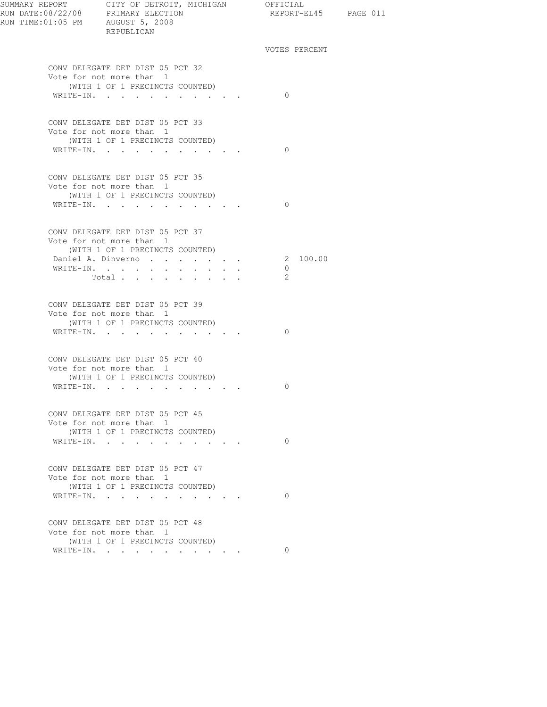| SUMMARY REPORT CITY OF DETROIT, MICHIGAN OFFICIAL<br>RUN DATE:08/22/08 PRIMARY ELECTION REPORT-E<br>RUN TIME:01:05 PM AUGUST 5, 2008<br>REPUBLICAN |                                                                  | REPORT-EL45 PAGE 011     |  |
|----------------------------------------------------------------------------------------------------------------------------------------------------|------------------------------------------------------------------|--------------------------|--|
|                                                                                                                                                    |                                                                  | VOTES PERCENT            |  |
| CONV DELEGATE DET DIST 05 PCT 32<br>Vote for not more than 1<br>(WITH 1 OF 1 PRECINCTS COUNTED)                                                    |                                                                  |                          |  |
| WRITE-IN.                                                                                                                                          |                                                                  | $\bigcirc$               |  |
| CONV DELEGATE DET DIST 05 PCT 33<br>Vote for not more than 1<br>(WITH 1 OF 1 PRECINCTS COUNTED)                                                    |                                                                  |                          |  |
| WRITE-IN.                                                                                                                                          |                                                                  | $\Omega$                 |  |
| CONV DELEGATE DET DIST 05 PCT 35<br>Vote for not more than 1<br>(WITH 1 OF 1 PRECINCTS COUNTED)                                                    |                                                                  |                          |  |
| WRITE-IN.                                                                                                                                          |                                                                  | $\Omega$                 |  |
| CONV DELEGATE DET DIST 05 PCT 37<br>Vote for not more than 1<br>(WITH 1 OF 1 PRECINCTS COUNTED)                                                    |                                                                  |                          |  |
| Daniel A. Dinverno<br>WRITE-IN.<br>Total                                                                                                           |                                                                  | 2 100.00<br>$\circ$<br>2 |  |
| CONV DELEGATE DET DIST 05 PCT 39<br>Vote for not more than 1<br>(WITH 1 OF 1 PRECINCTS COUNTED)<br>WRITE-IN.                                       |                                                                  | $\Omega$                 |  |
|                                                                                                                                                    |                                                                  |                          |  |
| CONV DELEGATE DET DIST 05 PCT 40<br>Vote for not more than 1<br>(WITH 1 OF 1 PRECINCTS COUNTED)                                                    |                                                                  |                          |  |
| WRITE-IN.                                                                                                                                          |                                                                  | $\Omega$                 |  |
| CONV DELEGATE DET DIST 05 PCT 45<br>Vote for not more than 1<br>(WITH 1 OF 1 PRECINCTS COUNTED)                                                    |                                                                  |                          |  |
| WRITE-IN.<br>$\ddot{\phantom{a}}$                                                                                                                  | $\sim$ $\sim$ $\sim$ $\sim$                                      | $\Omega$                 |  |
| CONV DELEGATE DET DIST 05 PCT 47<br>Vote for not more than 1<br>(WITH 1 OF 1 PRECINCTS COUNTED)                                                    |                                                                  |                          |  |
| WRITE-IN.<br>and the state of the state of                                                                                                         | $\mathbf{r} = \mathbf{r} + \mathbf{r} + \mathbf{r} + \mathbf{r}$ | $\Omega$                 |  |
| CONV DELEGATE DET DIST 05 PCT 48<br>Vote for not more than 1<br>(WITH 1 OF 1 PRECINCTS COUNTED)                                                    |                                                                  |                          |  |
| WRITE-IN.                                                                                                                                          |                                                                  | $\Omega$                 |  |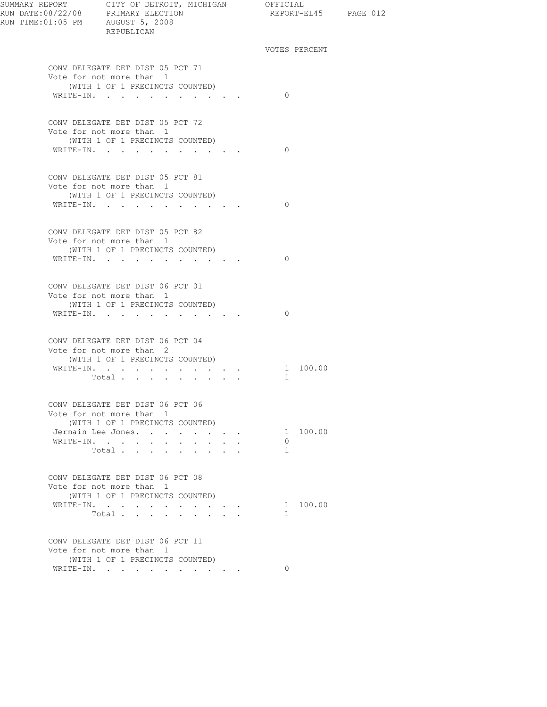| SUMMARY REPORT CITY OF DETROIT, MICHIGAN OFFICIAL | REPUBLICAN                                                                                      |                                                 |        |               |          | REPORT-EL45 PAGE 012 |
|---------------------------------------------------|-------------------------------------------------------------------------------------------------|-------------------------------------------------|--------|---------------|----------|----------------------|
|                                                   |                                                                                                 |                                                 |        | VOTES PERCENT |          |                      |
|                                                   | CONV DELEGATE DET DIST 05 PCT 71<br>Vote for not more than 1                                    |                                                 |        |               |          |                      |
|                                                   | (WITH 1 OF 1 PRECINCTS COUNTED)<br>WRITE-IN.                                                    |                                                 |        | $\Omega$      |          |                      |
|                                                   |                                                                                                 |                                                 |        |               |          |                      |
|                                                   | CONV DELEGATE DET DIST 05 PCT 72<br>Vote for not more than 1<br>(WITH 1 OF 1 PRECINCTS COUNTED) |                                                 |        |               |          |                      |
|                                                   | WRITE-IN.                                                                                       |                                                 |        | $\Omega$      |          |                      |
|                                                   | CONV DELEGATE DET DIST 05 PCT 81                                                                |                                                 |        |               |          |                      |
|                                                   | Vote for not more than 1<br>(WITH 1 OF 1 PRECINCTS COUNTED)                                     |                                                 |        |               |          |                      |
|                                                   | WRITE-IN.                                                                                       |                                                 |        | $\Omega$      |          |                      |
|                                                   | CONV DELEGATE DET DIST 05 PCT 82<br>Vote for not more than 1                                    |                                                 |        |               |          |                      |
|                                                   | (WITH 1 OF 1 PRECINCTS COUNTED)<br>WRITE-IN.                                                    |                                                 |        | $\Omega$      |          |                      |
|                                                   | CONV DELEGATE DET DIST 06 PCT 01                                                                |                                                 |        |               |          |                      |
|                                                   | Vote for not more than 1<br>(WITH 1 OF 1 PRECINCTS COUNTED)                                     |                                                 |        |               |          |                      |
|                                                   | WRITE-IN.                                                                                       |                                                 |        | $\Omega$      |          |                      |
|                                                   | CONV DELEGATE DET DIST 06 PCT 04<br>Vote for not more than 2                                    |                                                 |        |               |          |                      |
|                                                   | (WITH 1 OF 1 PRECINCTS COUNTED)<br>WRITE-IN.                                                    |                                                 |        |               | 1 100.00 |                      |
|                                                   | Total $\cdots$                                                                                  |                                                 |        | -1            |          |                      |
|                                                   | CONV DELEGATE DET DIST 06 PCT 06                                                                |                                                 |        |               |          |                      |
|                                                   | Vote for not more than 1<br>(WITH 1 OF 1 PRECINCTS COUNTED)                                     |                                                 |        |               | 1 100.00 |                      |
|                                                   | Jermain Lee Jones.<br>WRITE-IN.<br><b>All Carl Carl Co.</b>                                     | $\sim$<br>$\sim 10^{-11}$                       | $\sim$ | $\circ$       |          |                      |
|                                                   | Total                                                                                           | $\mathbf{r}$ and $\mathbf{r}$<br>$\mathbf{r}$   |        | 1             |          |                      |
|                                                   | CONV DELEGATE DET DIST 06 PCT 08<br>Vote for not more than 1                                    |                                                 |        |               |          |                      |
|                                                   | (WITH 1 OF 1 PRECINCTS COUNTED)                                                                 |                                                 |        |               |          |                      |
|                                                   | WRITE-IN.<br>Total.                                                                             | $\cdot$ $\cdot$ $\cdot$ $\cdot$ $\cdot$ $\cdot$ |        | $\mathbf{1}$  | 1 100.00 |                      |
|                                                   | CONV DELEGATE DET DIST 06 PCT 11                                                                |                                                 |        |               |          |                      |
|                                                   | Vote for not more than 1<br>(WITH 1 OF 1 PRECINCTS COUNTED)                                     |                                                 |        |               |          |                      |
|                                                   | WRITE-IN.                                                                                       | $\cdot$ $\cdot$ $\cdot$ $\cdot$ $\cdot$         |        | $\Omega$      |          |                      |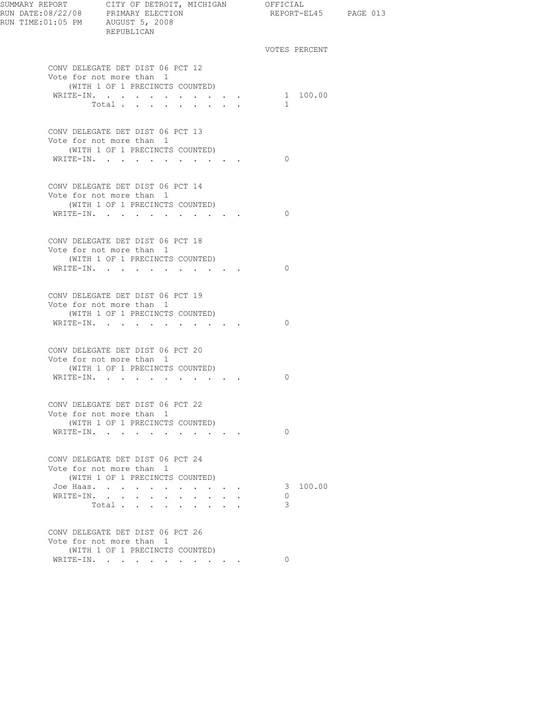| SUMMARY REPORT CITY OF DETROIT, MICHIGAN OFFICIAL<br>RUN DATE:08/22/08 PRIMARY ELECTION<br>RUN TIME:01:05 PM AUGUST 5, 2008<br>REPURLICAN | REPUBLICAN                                                                                      |                                                       |                | REPORT-EL45 PAGE 013 |  |
|-------------------------------------------------------------------------------------------------------------------------------------------|-------------------------------------------------------------------------------------------------|-------------------------------------------------------|----------------|----------------------|--|
|                                                                                                                                           |                                                                                                 |                                                       |                | VOTES PERCENT        |  |
|                                                                                                                                           | CONV DELEGATE DET DIST 06 PCT 12<br>Vote for not more than 1                                    |                                                       |                |                      |  |
|                                                                                                                                           | (WITH 1 OF 1 PRECINCTS COUNTED)<br>WRITE-IN. 1 100.00<br>Total                                  |                                                       | $\overline{1}$ |                      |  |
|                                                                                                                                           |                                                                                                 |                                                       |                |                      |  |
|                                                                                                                                           | CONV DELEGATE DET DIST 06 PCT 13<br>Vote for not more than 1                                    |                                                       |                |                      |  |
|                                                                                                                                           | (WITH 1 OF 1 PRECINCTS COUNTED)<br>WRITE-IN.                                                    |                                                       | $\bigcirc$     |                      |  |
|                                                                                                                                           | CONV DELEGATE DET DIST 06 PCT 14<br>Vote for not more than 1                                    |                                                       |                |                      |  |
|                                                                                                                                           | (WITH 1 OF 1 PRECINCTS COUNTED)                                                                 |                                                       |                |                      |  |
|                                                                                                                                           | WRITE-IN.                                                                                       |                                                       | $\bigcirc$     |                      |  |
|                                                                                                                                           | CONV DELEGATE DET DIST 06 PCT 18<br>Vote for not more than 1<br>(WITH 1 OF 1 PRECINCTS COUNTED) |                                                       |                |                      |  |
|                                                                                                                                           | WRITE-IN.                                                                                       |                                                       | $\bigcirc$     |                      |  |
|                                                                                                                                           | CONV DELEGATE DET DIST 06 PCT 19<br>Vote for not more than 1                                    |                                                       |                |                      |  |
|                                                                                                                                           | (WITH 1 OF 1 PRECINCTS COUNTED)<br>WRITE-IN.                                                    |                                                       | $\bigcirc$     |                      |  |
|                                                                                                                                           | CONV DELEGATE DET DIST 06 PCT 20<br>Vote for not more than 1<br>(WITH 1 OF 1 PRECINCTS COUNTED) |                                                       |                |                      |  |
|                                                                                                                                           | WRITE-IN.                                                                                       |                                                       | $\Omega$       |                      |  |
|                                                                                                                                           |                                                                                                 |                                                       |                |                      |  |
|                                                                                                                                           | CONV DELEGATE DET DIST 06 PCT 22<br>Vote for not more than 1<br>(WITH 1 OF 1 PRECINCTS COUNTED) |                                                       |                |                      |  |
|                                                                                                                                           | WRITE-IN.                                                                                       |                                                       | $\Omega$       |                      |  |
|                                                                                                                                           | CONV DELEGATE DET DIST 06 PCT 24<br>Vote for not more than 1                                    |                                                       |                |                      |  |
|                                                                                                                                           | (WITH 1 OF 1 PRECINCTS COUNTED)<br>Joe Haas.                                                    | $\mathbf{z} = \mathbf{z} + \mathbf{z} + \mathbf{z}$ . |                | 3 100.00             |  |
|                                                                                                                                           | WRITE-IN.<br>$\ddot{\phantom{a}}$                                                               |                                                       | $\Omega$       |                      |  |
|                                                                                                                                           | Total                                                                                           |                                                       | 3              |                      |  |
|                                                                                                                                           | CONV DELEGATE DET DIST 06 PCT 26<br>Vote for not more than 1                                    |                                                       |                |                      |  |
|                                                                                                                                           | (WITH 1 OF 1 PRECINCTS COUNTED)<br>WRITE-IN.                                                    |                                                       | $\Omega$       |                      |  |
|                                                                                                                                           |                                                                                                 |                                                       |                |                      |  |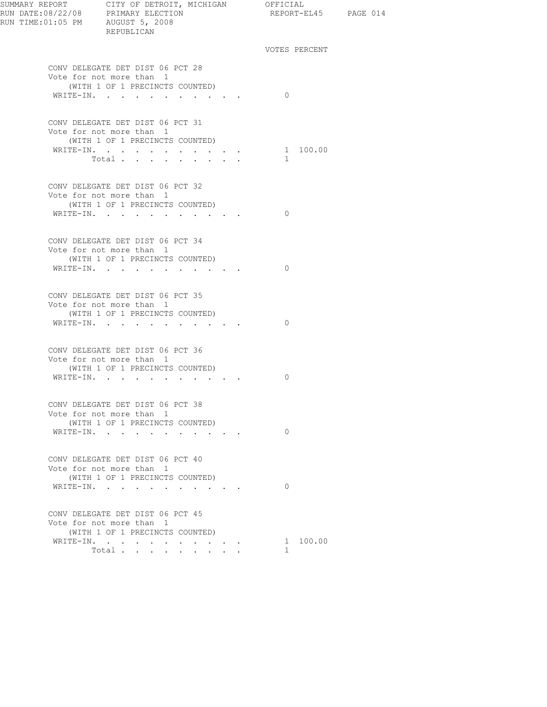| SUMMARY REPORT CITY OF DETROIT, MICHIGAN OFFICIAL<br>RUN DATE:08/22/08 PRIMARY ELECTION REPORT-E<br>RUN TIME:01:05 PM AUGUST 5, 2008<br>REPUBLICAN | REPORT-EL45 PAGE 014     |  |
|----------------------------------------------------------------------------------------------------------------------------------------------------|--------------------------|--|
|                                                                                                                                                    | VOTES PERCENT            |  |
| CONV DELEGATE DET DIST 06 PCT 28<br>Vote for not more than 1<br>(WITH 1 OF 1 PRECINCTS COUNTED)                                                    |                          |  |
| WRITE-IN.                                                                                                                                          | $\bigcirc$               |  |
| CONV DELEGATE DET DIST 06 PCT 31<br>Vote for not more than 1<br>(WITH 1 OF 1 PRECINCTS COUNTED)                                                    |                          |  |
| WRITE-IN. 1 100.00<br>Total                                                                                                                        | $\sim$                   |  |
| CONV DELEGATE DET DIST 06 PCT 32<br>Vote for not more than 1<br>(WITH 1 OF 1 PRECINCTS COUNTED)                                                    |                          |  |
| WRITE-IN.                                                                                                                                          | $\Omega$                 |  |
| CONV DELEGATE DET DIST 06 PCT 34<br>Vote for not more than 1<br>(WITH 1 OF 1 PRECINCTS COUNTED)                                                    |                          |  |
| WRITE-IN.                                                                                                                                          | $\Omega$                 |  |
| CONV DELEGATE DET DIST 06 PCT 35<br>Vote for not more than 1<br>(WITH 1 OF 1 PRECINCTS COUNTED)<br>WRITE-IN.                                       | $\Omega$                 |  |
| CONV DELEGATE DET DIST 06 PCT 36<br>Vote for not more than 1                                                                                       |                          |  |
| (WITH 1 OF 1 PRECINCTS COUNTED)<br>WRITE-IN.                                                                                                       | $\Omega$                 |  |
| CONV DELEGATE DET DIST 06 PCT 38<br>Vote for not more than 1<br>(WITH 1 OF 1 PRECINCTS COUNTED)                                                    |                          |  |
| WRITE-IN.                                                                                                                                          | $\Omega$                 |  |
| CONV DELEGATE DET DIST 06 PCT 40<br>Vote for not more than 1<br>(WITH 1 OF 1 PRECINCTS COUNTED)                                                    |                          |  |
| WRITE-IN.                                                                                                                                          | $\Omega$                 |  |
| CONV DELEGATE DET DIST 06 PCT 45<br>Vote for not more than 1<br>(WITH 1 OF 1 PRECINCTS COUNTED)                                                    |                          |  |
| WRITE-IN.<br>Total $\cdots$                                                                                                                        | 1 100.00<br>$\mathbf{1}$ |  |
|                                                                                                                                                    |                          |  |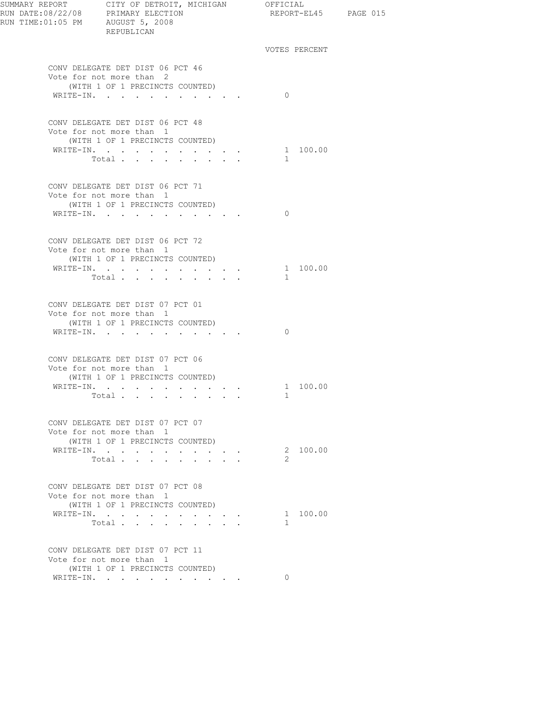| RUN TIME:01:05 PM AUGUST 5, 2008 | REPUBLICAN                                                                                      |  |              |               | REPORT-EL45 PAGE 015 |  |
|----------------------------------|-------------------------------------------------------------------------------------------------|--|--------------|---------------|----------------------|--|
|                                  |                                                                                                 |  |              | VOTES PERCENT |                      |  |
|                                  | CONV DELEGATE DET DIST 06 PCT 46<br>Vote for not more than 2                                    |  |              |               |                      |  |
|                                  | (WITH 1 OF 1 PRECINCTS COUNTED)<br>WRITE-IN.                                                    |  | $\Omega$     |               |                      |  |
|                                  |                                                                                                 |  |              |               |                      |  |
|                                  | CONV DELEGATE DET DIST 06 PCT 48<br>Vote for not more than 1<br>(WITH 1 OF 1 PRECINCTS COUNTED) |  |              |               |                      |  |
|                                  | WRITE-IN.                                                                                       |  |              | 1 100.00      |                      |  |
|                                  | Total                                                                                           |  | $\mathbf{1}$ |               |                      |  |
|                                  |                                                                                                 |  |              |               |                      |  |
|                                  | CONV DELEGATE DET DIST 06 PCT 71<br>Vote for not more than 1                                    |  |              |               |                      |  |
|                                  | (WITH 1 OF 1 PRECINCTS COUNTED)                                                                 |  |              |               |                      |  |
|                                  | WRITE-IN.                                                                                       |  | $\Omega$     |               |                      |  |
|                                  | CONV DELEGATE DET DIST 06 PCT 72<br>Vote for not more than 1                                    |  |              |               |                      |  |
|                                  | (WITH 1 OF 1 PRECINCTS COUNTED)                                                                 |  |              |               |                      |  |
|                                  | WRITE-IN.                                                                                       |  |              | 1 100.00      |                      |  |
|                                  | Total                                                                                           |  | $\mathbf{1}$ |               |                      |  |
|                                  | CONV DELEGATE DET DIST 07 PCT 01                                                                |  |              |               |                      |  |
|                                  | Vote for not more than 1<br>(WITH 1 OF 1 PRECINCTS COUNTED)                                     |  |              |               |                      |  |
|                                  | WRITE-IN.                                                                                       |  | $\Omega$     |               |                      |  |
|                                  |                                                                                                 |  |              |               |                      |  |
|                                  | CONV DELEGATE DET DIST 07 PCT 06<br>Vote for not more than 1                                    |  |              |               |                      |  |
|                                  | (WITH 1 OF 1 PRECINCTS COUNTED)                                                                 |  |              |               |                      |  |
|                                  | WRITE-IN.                                                                                       |  |              | 1 100.00      |                      |  |
|                                  | Total                                                                                           |  | $\mathbf{1}$ |               |                      |  |
|                                  | CONV DELEGATE DET DIST 07 PCT 07<br>Vote for not more than 1                                    |  |              |               |                      |  |
|                                  | (WITH 1 OF 1 PRECINCTS COUNTED)                                                                 |  |              |               |                      |  |
|                                  | WRITE-IN.                                                                                       |  |              | 2 100.00      |                      |  |
|                                  | Total                                                                                           |  | 2            |               |                      |  |
|                                  | CONV DELEGATE DET DIST 07 PCT 08<br>Vote for not more than 1                                    |  |              |               |                      |  |
|                                  | (WITH 1 OF 1 PRECINCTS COUNTED)                                                                 |  |              |               |                      |  |
|                                  | WRITE-IN.                                                                                       |  |              | 1 100.00      |                      |  |
|                                  | Total $\cdots$                                                                                  |  | $\mathbf{1}$ |               |                      |  |
|                                  | CONV DELEGATE DET DIST 07 PCT 11<br>Vote for not more than 1                                    |  |              |               |                      |  |
|                                  | (WITH 1 OF 1 PRECINCTS COUNTED)                                                                 |  |              |               |                      |  |
|                                  | WRITE-IN.                                                                                       |  | $\Omega$     |               |                      |  |
|                                  |                                                                                                 |  |              |               |                      |  |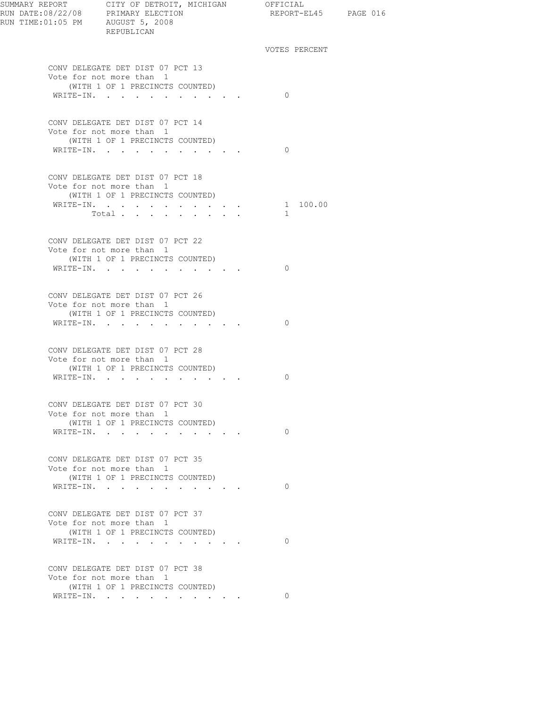| VOTES PERCENT<br>CONV DELEGATE DET DIST 07 PCT 13<br>Vote for not more than 1<br>(WITH 1 OF 1 PRECINCTS COUNTED)<br>WRITE-IN.<br>$\Omega$<br>CONV DELEGATE DET DIST 07 PCT 14<br>Vote for not more than 1<br>(WITH 1 OF 1 PRECINCTS COUNTED)<br>WRITE-IN.<br>$\Omega$<br>CONV DELEGATE DET DIST 07 PCT 18<br>Vote for not more than 1<br>(WITH 1 OF 1 PRECINCTS COUNTED)<br>WRITE-IN. 1 100.00<br>Total<br>$\mathbf{1}$<br>CONV DELEGATE DET DIST 07 PCT 22<br>Vote for not more than 1<br>(WITH 1 OF 1 PRECINCTS COUNTED)<br>WRITE-IN.<br>$\Omega$<br>CONV DELEGATE DET DIST 07 PCT 26<br>Vote for not more than 1<br>(WITH 1 OF 1 PRECINCTS COUNTED)<br>WRITE-IN.<br>$\Omega$<br>CONV DELEGATE DET DIST 07 PCT 28<br>Vote for not more than 1<br>(WITH 1 OF 1 PRECINCTS COUNTED)<br>WRITE-IN.<br>$\Omega$<br>CONV DELEGATE DET DIST 07 PCT 30<br>Vote for not more than 1<br>(WITH 1 OF 1 PRECINCTS COUNTED)<br>$\Omega$<br>WRITE-IN.<br>CONV DELEGATE DET DIST 07 PCT 35<br>Vote for not more than 1<br>(WITH 1 OF 1 PRECINCTS COUNTED)<br>WRITE-IN.<br>$\Omega$<br>the contract of the contract of<br>CONV DELEGATE DET DIST 07 PCT 37<br>Vote for not more than 1<br>(WITH 1 OF 1 PRECINCTS COUNTED)<br>WRITE-IN.<br>$\Omega$<br>CONV DELEGATE DET DIST 07 PCT 38<br>Vote for not more than 1<br>(WITH 1 OF 1 PRECINCTS COUNTED)<br>WRITE-IN. | RUN TIME: 01:05 PM AUGUST 5, 2008 | REPUBLICAN |  |          | REPORT-EL45 PAGE 016 |
|----------------------------------------------------------------------------------------------------------------------------------------------------------------------------------------------------------------------------------------------------------------------------------------------------------------------------------------------------------------------------------------------------------------------------------------------------------------------------------------------------------------------------------------------------------------------------------------------------------------------------------------------------------------------------------------------------------------------------------------------------------------------------------------------------------------------------------------------------------------------------------------------------------------------------------------------------------------------------------------------------------------------------------------------------------------------------------------------------------------------------------------------------------------------------------------------------------------------------------------------------------------------------------------------------------------------------------------------------|-----------------------------------|------------|--|----------|----------------------|
|                                                                                                                                                                                                                                                                                                                                                                                                                                                                                                                                                                                                                                                                                                                                                                                                                                                                                                                                                                                                                                                                                                                                                                                                                                                                                                                                                    |                                   |            |  |          |                      |
|                                                                                                                                                                                                                                                                                                                                                                                                                                                                                                                                                                                                                                                                                                                                                                                                                                                                                                                                                                                                                                                                                                                                                                                                                                                                                                                                                    |                                   |            |  |          |                      |
|                                                                                                                                                                                                                                                                                                                                                                                                                                                                                                                                                                                                                                                                                                                                                                                                                                                                                                                                                                                                                                                                                                                                                                                                                                                                                                                                                    |                                   |            |  |          |                      |
|                                                                                                                                                                                                                                                                                                                                                                                                                                                                                                                                                                                                                                                                                                                                                                                                                                                                                                                                                                                                                                                                                                                                                                                                                                                                                                                                                    |                                   |            |  |          |                      |
|                                                                                                                                                                                                                                                                                                                                                                                                                                                                                                                                                                                                                                                                                                                                                                                                                                                                                                                                                                                                                                                                                                                                                                                                                                                                                                                                                    |                                   |            |  |          |                      |
|                                                                                                                                                                                                                                                                                                                                                                                                                                                                                                                                                                                                                                                                                                                                                                                                                                                                                                                                                                                                                                                                                                                                                                                                                                                                                                                                                    |                                   |            |  |          |                      |
|                                                                                                                                                                                                                                                                                                                                                                                                                                                                                                                                                                                                                                                                                                                                                                                                                                                                                                                                                                                                                                                                                                                                                                                                                                                                                                                                                    |                                   |            |  |          |                      |
|                                                                                                                                                                                                                                                                                                                                                                                                                                                                                                                                                                                                                                                                                                                                                                                                                                                                                                                                                                                                                                                                                                                                                                                                                                                                                                                                                    |                                   |            |  |          |                      |
|                                                                                                                                                                                                                                                                                                                                                                                                                                                                                                                                                                                                                                                                                                                                                                                                                                                                                                                                                                                                                                                                                                                                                                                                                                                                                                                                                    |                                   |            |  |          |                      |
|                                                                                                                                                                                                                                                                                                                                                                                                                                                                                                                                                                                                                                                                                                                                                                                                                                                                                                                                                                                                                                                                                                                                                                                                                                                                                                                                                    |                                   |            |  |          |                      |
|                                                                                                                                                                                                                                                                                                                                                                                                                                                                                                                                                                                                                                                                                                                                                                                                                                                                                                                                                                                                                                                                                                                                                                                                                                                                                                                                                    |                                   |            |  |          |                      |
|                                                                                                                                                                                                                                                                                                                                                                                                                                                                                                                                                                                                                                                                                                                                                                                                                                                                                                                                                                                                                                                                                                                                                                                                                                                                                                                                                    |                                   |            |  |          |                      |
|                                                                                                                                                                                                                                                                                                                                                                                                                                                                                                                                                                                                                                                                                                                                                                                                                                                                                                                                                                                                                                                                                                                                                                                                                                                                                                                                                    |                                   |            |  |          |                      |
|                                                                                                                                                                                                                                                                                                                                                                                                                                                                                                                                                                                                                                                                                                                                                                                                                                                                                                                                                                                                                                                                                                                                                                                                                                                                                                                                                    |                                   |            |  |          |                      |
|                                                                                                                                                                                                                                                                                                                                                                                                                                                                                                                                                                                                                                                                                                                                                                                                                                                                                                                                                                                                                                                                                                                                                                                                                                                                                                                                                    |                                   |            |  |          |                      |
|                                                                                                                                                                                                                                                                                                                                                                                                                                                                                                                                                                                                                                                                                                                                                                                                                                                                                                                                                                                                                                                                                                                                                                                                                                                                                                                                                    |                                   |            |  |          |                      |
|                                                                                                                                                                                                                                                                                                                                                                                                                                                                                                                                                                                                                                                                                                                                                                                                                                                                                                                                                                                                                                                                                                                                                                                                                                                                                                                                                    |                                   |            |  |          |                      |
|                                                                                                                                                                                                                                                                                                                                                                                                                                                                                                                                                                                                                                                                                                                                                                                                                                                                                                                                                                                                                                                                                                                                                                                                                                                                                                                                                    |                                   |            |  |          |                      |
|                                                                                                                                                                                                                                                                                                                                                                                                                                                                                                                                                                                                                                                                                                                                                                                                                                                                                                                                                                                                                                                                                                                                                                                                                                                                                                                                                    |                                   |            |  |          |                      |
|                                                                                                                                                                                                                                                                                                                                                                                                                                                                                                                                                                                                                                                                                                                                                                                                                                                                                                                                                                                                                                                                                                                                                                                                                                                                                                                                                    |                                   |            |  |          |                      |
|                                                                                                                                                                                                                                                                                                                                                                                                                                                                                                                                                                                                                                                                                                                                                                                                                                                                                                                                                                                                                                                                                                                                                                                                                                                                                                                                                    |                                   |            |  |          |                      |
|                                                                                                                                                                                                                                                                                                                                                                                                                                                                                                                                                                                                                                                                                                                                                                                                                                                                                                                                                                                                                                                                                                                                                                                                                                                                                                                                                    |                                   |            |  |          |                      |
|                                                                                                                                                                                                                                                                                                                                                                                                                                                                                                                                                                                                                                                                                                                                                                                                                                                                                                                                                                                                                                                                                                                                                                                                                                                                                                                                                    |                                   |            |  | $\Omega$ |                      |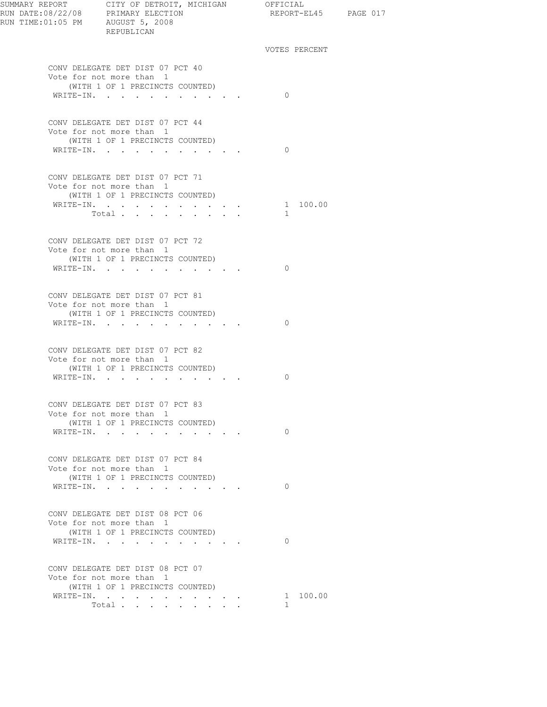| RUN TIME: 01:05 PM AUGUST 5, 2008 | REPUBLICAN                                                                                                   |                                 | REPORT-EL45 PAGE 017 |  |
|-----------------------------------|--------------------------------------------------------------------------------------------------------------|---------------------------------|----------------------|--|
|                                   |                                                                                                              |                                 | VOTES PERCENT        |  |
|                                   | CONV DELEGATE DET DIST 07 PCT 40<br>Vote for not more than 1<br>(WITH 1 OF 1 PRECINCTS COUNTED)<br>WRITE-IN. |                                 | $\Omega$             |  |
|                                   | CONV DELEGATE DET DIST 07 PCT 44                                                                             |                                 |                      |  |
|                                   | Vote for not more than 1<br>(WITH 1 OF 1 PRECINCTS COUNTED)<br>WRITE-IN.                                     |                                 | $\Omega$             |  |
|                                   | CONV DELEGATE DET DIST 07 PCT 71<br>Vote for not more than 1<br>(WITH 1 OF 1 PRECINCTS COUNTED)              |                                 |                      |  |
|                                   | WRITE-IN. 1 100.00                                                                                           |                                 |                      |  |
|                                   | Total                                                                                                        |                                 | $\mathbf{1}$         |  |
|                                   | CONV DELEGATE DET DIST 07 PCT 72<br>Vote for not more than 1<br>(WITH 1 OF 1 PRECINCTS COUNTED)              |                                 |                      |  |
|                                   | WRITE-IN.                                                                                                    |                                 | $\Omega$             |  |
|                                   | CONV DELEGATE DET DIST 07 PCT 81<br>Vote for not more than 1<br>(WITH 1 OF 1 PRECINCTS COUNTED)              |                                 |                      |  |
|                                   | WRITE-IN.<br>CONV DELEGATE DET DIST 07 PCT 82                                                                |                                 | $\Omega$             |  |
|                                   | Vote for not more than 1<br>(WITH 1 OF 1 PRECINCTS COUNTED)<br>WRITE-IN.                                     |                                 | $\Omega$             |  |
|                                   | CONV DELEGATE DET DIST 07 PCT 83                                                                             |                                 |                      |  |
|                                   | Vote for not more than 1<br>(WITH 1 OF 1 PRECINCTS COUNTED)<br>WRITE-IN.                                     |                                 | $\Omega$             |  |
|                                   | CONV DELEGATE DET DIST 07 PCT 84                                                                             |                                 |                      |  |
|                                   | Vote for not more than 1<br>(WITH 1 OF 1 PRECINCTS COUNTED)<br>WRITE-IN.                                     | the contract of the contract of | $\Omega$             |  |
|                                   | CONV DELEGATE DET DIST 08 PCT 06                                                                             |                                 |                      |  |
|                                   | Vote for not more than 1<br>(WITH 1 OF 1 PRECINCTS COUNTED)<br>WRITE-IN.                                     |                                 | $\Omega$             |  |
|                                   | CONV DELEGATE DET DIST 08 PCT 07                                                                             |                                 |                      |  |
|                                   | Vote for not more than 1<br>(WITH 1 OF 1 PRECINCTS COUNTED)                                                  |                                 | 1 100.00             |  |
|                                   | WRITE-IN.<br>Total $\cdots$                                                                                  |                                 | 1.                   |  |
|                                   |                                                                                                              |                                 |                      |  |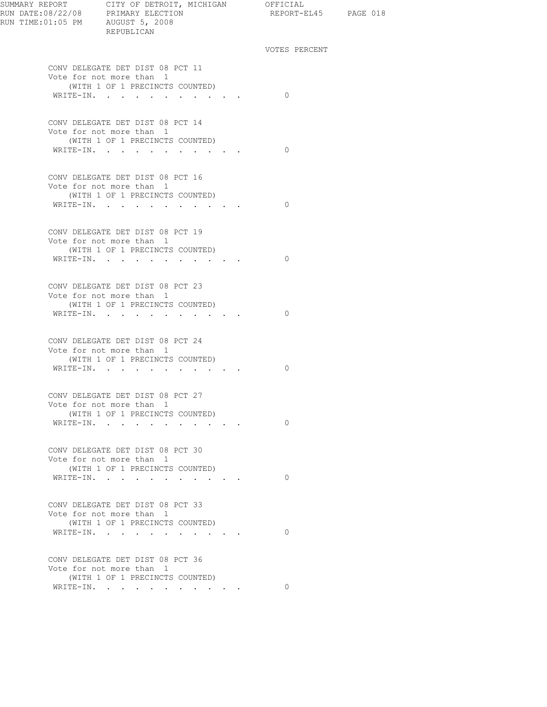| RUN DATE:08/22/08 PRIMARY ELECTION<br>RUN TIME:01:05 PM AUGUST 5, 2008 | SUMMARY REPORT CITY OF DETROIT, MICHIGAN OFFICIAL<br>REPUBLICAN | REPORT-EL45 PAGE 018 |  |
|------------------------------------------------------------------------|-----------------------------------------------------------------|----------------------|--|
|                                                                        |                                                                 | VOTES PERCENT        |  |
|                                                                        | CONV DELEGATE DET DIST 08 PCT 11<br>Vote for not more than 1    |                      |  |
|                                                                        | (WITH 1 OF 1 PRECINCTS COUNTED)                                 |                      |  |
|                                                                        | WRITE-IN.                                                       | $\bigcirc$           |  |
|                                                                        | CONV DELEGATE DET DIST 08 PCT 14                                |                      |  |
|                                                                        | Vote for not more than 1<br>(WITH 1 OF 1 PRECINCTS COUNTED)     |                      |  |
|                                                                        | WRITE-IN.                                                       | $\bigcirc$           |  |
|                                                                        | CONV DELEGATE DET DIST 08 PCT 16                                |                      |  |
|                                                                        | Vote for not more than 1                                        |                      |  |
|                                                                        | (WITH 1 OF 1 PRECINCTS COUNTED)<br>WRITE-IN.                    | $\bigcirc$           |  |
|                                                                        |                                                                 |                      |  |
|                                                                        | CONV DELEGATE DET DIST 08 PCT 19                                |                      |  |
|                                                                        | Vote for not more than 1<br>(WITH 1 OF 1 PRECINCTS COUNTED)     |                      |  |
|                                                                        | WRITE-IN.                                                       | $\bigcirc$           |  |
|                                                                        |                                                                 |                      |  |
|                                                                        | CONV DELEGATE DET DIST 08 PCT 23<br>Vote for not more than 1    |                      |  |
|                                                                        | (WITH 1 OF 1 PRECINCTS COUNTED)                                 |                      |  |
|                                                                        | WRITE-IN.                                                       | $\Omega$             |  |
|                                                                        | CONV DELEGATE DET DIST 08 PCT 24                                |                      |  |
|                                                                        | Vote for not more than 1<br>(WITH 1 OF 1 PRECINCTS COUNTED)     |                      |  |
|                                                                        | WRITE-IN.                                                       | $\Omega$             |  |
|                                                                        |                                                                 |                      |  |
|                                                                        | CONV DELEGATE DET DIST 08 PCT 27                                |                      |  |
|                                                                        | Vote for not more than 1<br>(WITH 1 OF 1 PRECINCTS COUNTED)     |                      |  |
|                                                                        | WRITE-IN.                                                       | $\bigcirc$           |  |
|                                                                        |                                                                 |                      |  |
|                                                                        | CONV DELEGATE DET DIST 08 PCT 30<br>Vote for not more than 1    |                      |  |
|                                                                        | (WITH 1 OF 1 PRECINCTS COUNTED)                                 |                      |  |
|                                                                        | WRITE-IN.                                                       | $\Omega$             |  |
|                                                                        | CONV DELEGATE DET DIST 08 PCT 33                                |                      |  |
|                                                                        | Vote for not more than 1                                        |                      |  |
|                                                                        | (WITH 1 OF 1 PRECINCTS COUNTED)<br>WRITE-IN.                    | $\Omega$             |  |
|                                                                        |                                                                 |                      |  |
|                                                                        | CONV DELEGATE DET DIST 08 PCT 36<br>Vote for not more than 1    |                      |  |
|                                                                        | (WITH 1 OF 1 PRECINCTS COUNTED)                                 |                      |  |
|                                                                        | WRITE-IN.                                                       | $\Omega$             |  |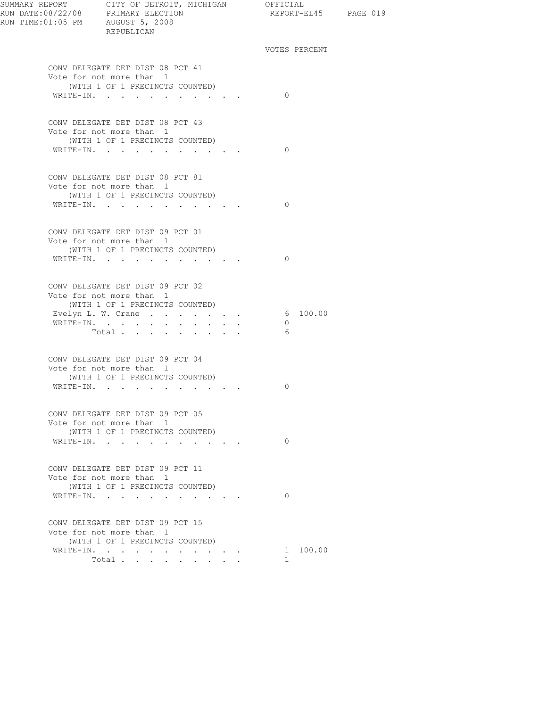| SUMMARY REPORT CITY OF DETROIT, MICHIGAN OFFICIAL<br>REPUBLICAN                                 |                                                    | REPORT-EL45 PAGE 019  |  |
|-------------------------------------------------------------------------------------------------|----------------------------------------------------|-----------------------|--|
|                                                                                                 |                                                    | VOTES PERCENT         |  |
| CONV DELEGATE DET DIST 08 PCT 41<br>Vote for not more than 1<br>(WITH 1 OF 1 PRECINCTS COUNTED) |                                                    |                       |  |
| WRITE-IN.                                                                                       |                                                    | $\bigcirc$            |  |
| CONV DELEGATE DET DIST 08 PCT 43<br>Vote for not more than 1<br>(WITH 1 OF 1 PRECINCTS COUNTED) |                                                    |                       |  |
| WRITE-IN.                                                                                       |                                                    | $\bigcirc$            |  |
| CONV DELEGATE DET DIST 08 PCT 81<br>Vote for not more than 1<br>(WITH 1 OF 1 PRECINCTS COUNTED) |                                                    |                       |  |
| WRITE-IN.                                                                                       |                                                    | $\bigcirc$            |  |
| CONV DELEGATE DET DIST 09 PCT 01<br>Vote for not more than 1<br>(WITH 1 OF 1 PRECINCTS COUNTED) |                                                    |                       |  |
| WRITE-IN.                                                                                       |                                                    | $\bigcirc$            |  |
| CONV DELEGATE DET DIST 09 PCT 02<br>Vote for not more than 1<br>(WITH 1 OF 1 PRECINCTS COUNTED) |                                                    |                       |  |
| Evelyn L. W. Crane 6 100.00<br>WRITE-IN.<br>Total $\cdots$                                      |                                                    | $\overline{0}$<br>- 6 |  |
| CONV DELEGATE DET DIST 09 PCT 04<br>Vote for not more than 1                                    |                                                    |                       |  |
| (WITH 1 OF 1 PRECINCTS COUNTED)<br>WRITE-IN.                                                    |                                                    | 0                     |  |
| CONV DELEGATE DET DIST 09 PCT 05<br>Vote for not more than 1                                    |                                                    |                       |  |
| (WITH 1 OF 1 PRECINCTS COUNTED)<br>WRITE-IN.                                                    | $\mathbf{r}$ , and $\mathbf{r}$ , and $\mathbf{r}$ | $\Omega$              |  |
| CONV DELEGATE DET DIST 09 PCT 11<br>Vote for not more than 1<br>(WITH 1 OF 1 PRECINCTS COUNTED) |                                                    |                       |  |
| WRITE-IN.                                                                                       |                                                    | $\Omega$              |  |
| CONV DELEGATE DET DIST 09 PCT 15<br>Vote for not more than 1<br>(WITH 1 OF 1 PRECINCTS COUNTED) |                                                    |                       |  |
| WRITE-IN.<br>Total<br>$\mathbf{r}$ , $\mathbf{r}$ , $\mathbf{r}$ , $\mathbf{r}$                 |                                                    | 1 100.00<br>1.        |  |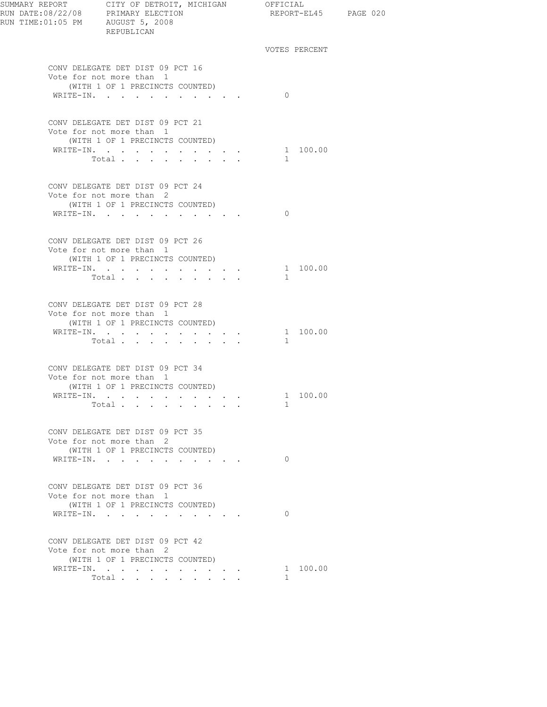| RUN TIME:01:05 PM AUGUST 5, 2008 | SUMMARY REPORT CITY OF DETROIT, MICHIGAN OFFICIAL<br>RUN DATE:08/22/08 PRIMARY ELECTION REPORT-F<br>REPUBLICAN |                                                     | REPORT-EL45 PAGE 020     |  |
|----------------------------------|----------------------------------------------------------------------------------------------------------------|-----------------------------------------------------|--------------------------|--|
|                                  |                                                                                                                |                                                     | VOTES PERCENT            |  |
|                                  | CONV DELEGATE DET DIST 09 PCT 16<br>Vote for not more than 1<br>(WITH 1 OF 1 PRECINCTS COUNTED)                |                                                     |                          |  |
|                                  | WRITE-IN.                                                                                                      |                                                     | $\Omega$                 |  |
|                                  | CONV DELEGATE DET DIST 09 PCT 21<br>Vote for not more than 1<br>(WITH 1 OF 1 PRECINCTS COUNTED)                |                                                     |                          |  |
|                                  | WRITE-IN.<br>Total                                                                                             |                                                     | 1 100.00<br>1            |  |
|                                  | CONV DELEGATE DET DIST 09 PCT 24<br>Vote for not more than 2<br>(WITH 1 OF 1 PRECINCTS COUNTED)                |                                                     |                          |  |
|                                  | WRITE-IN.                                                                                                      |                                                     | $\Omega$                 |  |
|                                  | CONV DELEGATE DET DIST 09 PCT 26<br>Vote for not more than 1<br>(WITH 1 OF 1 PRECINCTS COUNTED)                |                                                     |                          |  |
|                                  | WRITE-IN.<br>Total                                                                                             | $\mathbf{r} = \mathbf{r} + \mathbf{r} + \mathbf{r}$ | 1 100.00<br>$\mathbf{1}$ |  |
|                                  | CONV DELEGATE DET DIST 09 PCT 28<br>Vote for not more than 1<br>(WITH 1 OF 1 PRECINCTS COUNTED)                |                                                     |                          |  |
|                                  | WRITE-IN.<br>Total                                                                                             |                                                     | 1 100.00<br>$\mathbf{1}$ |  |
|                                  | CONV DELEGATE DET DIST 09 PCT 34<br>Vote for not more than 1<br>(WITH 1 OF 1 PRECINCTS COUNTED)                |                                                     |                          |  |
|                                  | WRITE-IN.<br>Total                                                                                             |                                                     | 1 100.00<br>1            |  |
|                                  | CONV DELEGATE DET DIST 09 PCT 35<br>Vote for not more than 2<br>(WITH 1 OF 1 PRECINCTS COUNTED)                |                                                     |                          |  |
|                                  | WRITE-IN.                                                                                                      |                                                     | $\Omega$                 |  |
|                                  | CONV DELEGATE DET DIST 09 PCT 36<br>Vote for not more than 1<br>(WITH 1 OF 1 PRECINCTS COUNTED)                |                                                     | $\Omega$                 |  |
|                                  | WRITE-IN.                                                                                                      |                                                     |                          |  |
|                                  | CONV DELEGATE DET DIST 09 PCT 42<br>Vote for not more than 2<br>(WITH 1 OF 1 PRECINCTS COUNTED)                |                                                     |                          |  |
|                                  | WRITE-IN.<br>Total                                                                                             |                                                     | 1 100.00<br>$\mathbf{1}$ |  |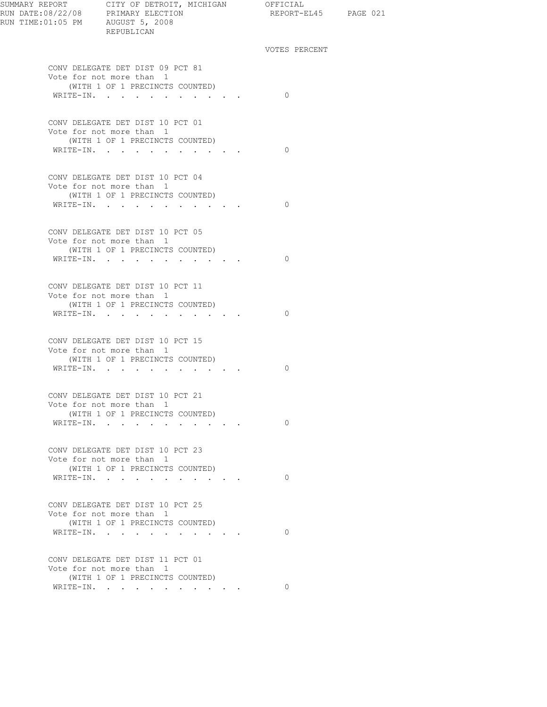| SUMMARY REPORT CITY OF DETROIT, MICHIGAN OFFICIAL<br>REPUBLICAN                                 | REPORT-EL45 PAGE 021 |  |
|-------------------------------------------------------------------------------------------------|----------------------|--|
|                                                                                                 | VOTES PERCENT        |  |
| CONV DELEGATE DET DIST 09 PCT 81<br>Vote for not more than 1                                    |                      |  |
| (WITH 1 OF 1 PRECINCTS COUNTED)<br>WRITE-IN.                                                    | $\bigcirc$           |  |
| CONV DELEGATE DET DIST 10 PCT 01                                                                |                      |  |
| Vote for not more than 1<br>(WITH 1 OF 1 PRECINCTS COUNTED)                                     |                      |  |
| WRITE-IN.                                                                                       | $\bigcirc$           |  |
| CONV DELEGATE DET DIST 10 PCT 04<br>Vote for not more than 1                                    |                      |  |
| (WITH 1 OF 1 PRECINCTS COUNTED)<br>WRITE-IN.                                                    | $\bigcirc$           |  |
|                                                                                                 |                      |  |
| CONV DELEGATE DET DIST 10 PCT 05<br>Vote for not more than 1<br>(WITH 1 OF 1 PRECINCTS COUNTED) |                      |  |
| WRITE-IN.                                                                                       | $\bigcirc$           |  |
| CONV DELEGATE DET DIST 10 PCT 11                                                                |                      |  |
| Vote for not more than 1<br>(WITH 1 OF 1 PRECINCTS COUNTED)<br>WRITE-IN.                        | $\Omega$             |  |
|                                                                                                 |                      |  |
| CONV DELEGATE DET DIST 10 PCT 15<br>Vote for not more than 1                                    |                      |  |
| (WITH 1 OF 1 PRECINCTS COUNTED)<br>WRITE-IN.                                                    | $\bigcirc$           |  |
| CONV DELEGATE DET DIST 10 PCT 21                                                                |                      |  |
| Vote for not more than 1<br>(WITH 1 OF 1 PRECINCTS COUNTED)                                     |                      |  |
| WRITE-IN.                                                                                       | $\Omega$             |  |
| CONV DELEGATE DET DIST 10 PCT 23<br>Vote for not more than 1                                    |                      |  |
| (WITH 1 OF 1 PRECINCTS COUNTED)<br>WRITE-IN.                                                    | $\Omega$             |  |
| CONV DELEGATE DET DIST 10 PCT 25                                                                |                      |  |
| Vote for not more than 1<br>(WITH 1 OF 1 PRECINCTS COUNTED)                                     |                      |  |
| WRITE-IN.                                                                                       | $\Omega$             |  |
| CONV DELEGATE DET DIST 11 PCT 01<br>Vote for not more than 1                                    |                      |  |
| (WITH 1 OF 1 PRECINCTS COUNTED)<br>WRITE-IN.                                                    | 0                    |  |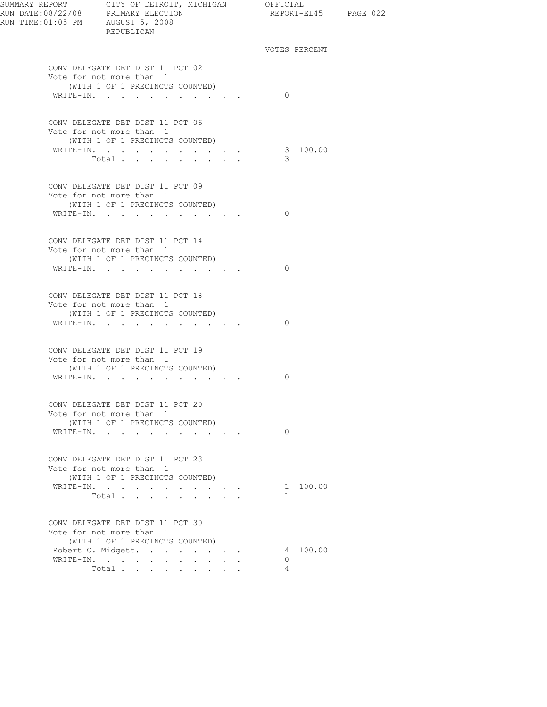| SUMMARY REPORT CITY OF DETROIT, MICHIGAN OFFICIAL<br>RUN DATE:08/22/08 PRIMARY ELECTION REPORT-E<br>RUN TIME:01:05 PM AUGUST 5, 2008<br>REPUBLICAN | REPORT-EL45 PAGE 022     |  |
|----------------------------------------------------------------------------------------------------------------------------------------------------|--------------------------|--|
|                                                                                                                                                    | VOTES PERCENT            |  |
| CONV DELEGATE DET DIST 11 PCT 02<br>Vote for not more than 1<br>(WITH 1 OF 1 PRECINCTS COUNTED)                                                    |                          |  |
| WRITE-IN.                                                                                                                                          | $\bigcirc$               |  |
| CONV DELEGATE DET DIST 11 PCT 06<br>Vote for not more than 1<br>(WITH 1 OF 1 PRECINCTS COUNTED)                                                    |                          |  |
| WRITE-IN. 3 100.00<br>Total $\ldots$                                                                                                               | -3-                      |  |
| CONV DELEGATE DET DIST 11 PCT 09<br>Vote for not more than 1                                                                                       |                          |  |
| (WITH 1 OF 1 PRECINCTS COUNTED)<br>WRITE-IN.                                                                                                       | $\bigcirc$               |  |
| CONV DELEGATE DET DIST 11 PCT 14<br>Vote for not more than 1<br>(WITH 1 OF 1 PRECINCTS COUNTED)<br>WRITE-IN.                                       | $\bigcirc$               |  |
| CONV DELEGATE DET DIST 11 PCT 18<br>Vote for not more than 1                                                                                       |                          |  |
| (WITH 1 OF 1 PRECINCTS COUNTED)<br>WRITE-IN.                                                                                                       | $\Omega$                 |  |
| CONV DELEGATE DET DIST 11 PCT 19<br>Vote for not more than 1<br>(WITH 1 OF 1 PRECINCTS COUNTED)                                                    |                          |  |
| WRITE-IN.                                                                                                                                          | 0                        |  |
| CONV DELEGATE DET DIST 11 PCT 20<br>Vote for not more than 1<br>(WITH 1 OF 1 PRECINCTS COUNTED)                                                    |                          |  |
| WRITE-IN.                                                                                                                                          | $\bigcirc$               |  |
| CONV DELEGATE DET DIST 11 PCT 23<br>Vote for not more than 1<br>(WITH 1 OF 1 PRECINCTS COUNTED)                                                    |                          |  |
| WRITE-IN.<br>Total                                                                                                                                 | 1 100.00<br>$\mathbf{1}$ |  |
| CONV DELEGATE DET DIST 11 PCT 30<br>Vote for not more than 1<br>(WITH 1 OF 1 PRECINCTS COUNTED)                                                    |                          |  |
| Robert O. Midgett.                                                                                                                                 | 4 100.00                 |  |
| WRITE-IN.<br>Total                                                                                                                                 | $\circ$<br>4             |  |
|                                                                                                                                                    |                          |  |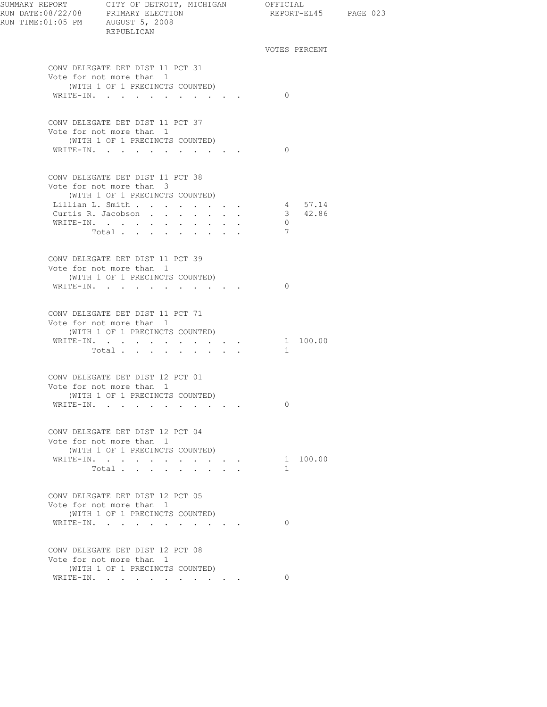| SUMMARY REPORT CITY OF DETROIT, MICHIGAN OFFICIAL<br>RUN DATE:08/22/08 PRIMARY ELECTION REPORT-E<br>RUN TIME:01:05 PM AUGUST 5, 2008 | REPUBLICAN                                                                                      |                                                                                                                                     |  |                |               | REPORT-EL45 PAGE 023 |  |
|--------------------------------------------------------------------------------------------------------------------------------------|-------------------------------------------------------------------------------------------------|-------------------------------------------------------------------------------------------------------------------------------------|--|----------------|---------------|----------------------|--|
|                                                                                                                                      |                                                                                                 |                                                                                                                                     |  |                | VOTES PERCENT |                      |  |
|                                                                                                                                      | CONV DELEGATE DET DIST 11 PCT 31<br>Vote for not more than 1                                    |                                                                                                                                     |  |                |               |                      |  |
|                                                                                                                                      | (WITH 1 OF 1 PRECINCTS COUNTED)<br>WRITE-IN.                                                    |                                                                                                                                     |  | $\Omega$       |               |                      |  |
|                                                                                                                                      | CONV DELEGATE DET DIST 11 PCT 37<br>Vote for not more than 1<br>(WITH 1 OF 1 PRECINCTS COUNTED) |                                                                                                                                     |  |                |               |                      |  |
|                                                                                                                                      | WRITE-IN.                                                                                       |                                                                                                                                     |  | $\Omega$       |               |                      |  |
|                                                                                                                                      | CONV DELEGATE DET DIST 11 PCT 38<br>Vote for not more than 3<br>(WITH 1 OF 1 PRECINCTS COUNTED) |                                                                                                                                     |  |                |               |                      |  |
|                                                                                                                                      | Lillian L. Smith                                                                                |                                                                                                                                     |  |                | 4 57.14       |                      |  |
|                                                                                                                                      | Curtis R. Jacobson                                                                              |                                                                                                                                     |  |                | 3 42.86       |                      |  |
|                                                                                                                                      | WRITE-IN.                                                                                       |                                                                                                                                     |  | $\overline{0}$ |               |                      |  |
|                                                                                                                                      | Total                                                                                           |                                                                                                                                     |  | 7              |               |                      |  |
|                                                                                                                                      | CONV DELEGATE DET DIST 11 PCT 39<br>Vote for not more than 1                                    |                                                                                                                                     |  |                |               |                      |  |
|                                                                                                                                      | (WITH 1 OF 1 PRECINCTS COUNTED)<br>WRITE-IN.                                                    |                                                                                                                                     |  | $\Omega$       |               |                      |  |
|                                                                                                                                      | CONV DELEGATE DET DIST 11 PCT 71<br>Vote for not more than 1<br>(WITH 1 OF 1 PRECINCTS COUNTED) |                                                                                                                                     |  |                |               |                      |  |
|                                                                                                                                      | WRITE-IN.                                                                                       |                                                                                                                                     |  |                | 1 100.00      |                      |  |
|                                                                                                                                      | Total                                                                                           |                                                                                                                                     |  | 1              |               |                      |  |
|                                                                                                                                      | CONV DELEGATE DET DIST 12 PCT 01<br>Vote for not more than 1                                    |                                                                                                                                     |  |                |               |                      |  |
|                                                                                                                                      | (WITH 1 OF 1 PRECINCTS COUNTED)                                                                 |                                                                                                                                     |  | $\Omega$       |               |                      |  |
|                                                                                                                                      | WRITE-IN.                                                                                       |                                                                                                                                     |  |                |               |                      |  |
|                                                                                                                                      | CONV DELEGATE DET DIST 12 PCT 04<br>Vote for not more than 1<br>(WITH 1 OF 1 PRECINCTS COUNTED) |                                                                                                                                     |  |                |               |                      |  |
|                                                                                                                                      | WRITE-IN.                                                                                       |                                                                                                                                     |  |                | 1 100.00      |                      |  |
|                                                                                                                                      | Total<br>$\ddot{\phantom{0}}$                                                                   | $\begin{array}{cccccccccccccc} \bullet & \bullet & \bullet & \bullet & \bullet & \bullet & \bullet & \bullet & \bullet \end{array}$ |  | $\mathbf{1}$   |               |                      |  |
|                                                                                                                                      |                                                                                                 |                                                                                                                                     |  |                |               |                      |  |
|                                                                                                                                      | CONV DELEGATE DET DIST 12 PCT 05<br>Vote for not more than 1<br>(WITH 1 OF 1 PRECINCTS COUNTED) |                                                                                                                                     |  |                |               |                      |  |
|                                                                                                                                      | WRITE-IN.                                                                                       |                                                                                                                                     |  | $\Omega$       |               |                      |  |
|                                                                                                                                      | CONV DELEGATE DET DIST 12 PCT 08<br>Vote for not more than 1                                    |                                                                                                                                     |  |                |               |                      |  |
|                                                                                                                                      | (WITH 1 OF 1 PRECINCTS COUNTED)                                                                 |                                                                                                                                     |  |                |               |                      |  |
|                                                                                                                                      | WRITE-IN.                                                                                       |                                                                                                                                     |  | $\Omega$       |               |                      |  |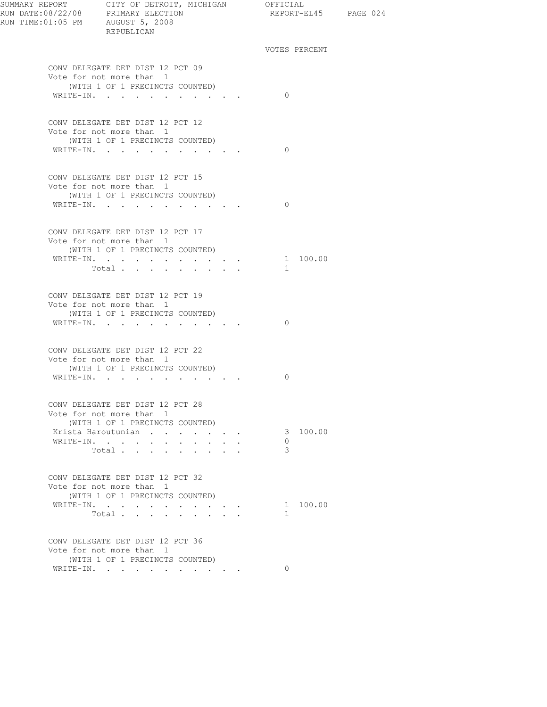| SUMMARY REPORT CITY OF DETROIT, MICHIGAN OFFICIAL<br>REPUBLICAN                                              |                                                               | REPORT-EL45 PAGE 024     |  |
|--------------------------------------------------------------------------------------------------------------|---------------------------------------------------------------|--------------------------|--|
|                                                                                                              |                                                               | VOTES PERCENT            |  |
| CONV DELEGATE DET DIST 12 PCT 09<br>Vote for not more than 1<br>(WITH 1 OF 1 PRECINCTS COUNTED)<br>WRITE-IN. |                                                               | $\bigcirc$               |  |
|                                                                                                              |                                                               |                          |  |
| CONV DELEGATE DET DIST 12 PCT 12<br>Vote for not more than 1<br>(WITH 1 OF 1 PRECINCTS COUNTED)<br>WRITE-IN. |                                                               | $\bigcirc$               |  |
| CONV DELEGATE DET DIST 12 PCT 15<br>Vote for not more than 1                                                 |                                                               |                          |  |
| (WITH 1 OF 1 PRECINCTS COUNTED)<br>WRITE-IN.                                                                 |                                                               | $\Omega$                 |  |
| CONV DELEGATE DET DIST 12 PCT 17<br>Vote for not more than 1<br>(WITH 1 OF 1 PRECINCTS COUNTED)              |                                                               |                          |  |
| WRITE-IN.<br>Total $\cdots$                                                                                  |                                                               | 1 100.00<br>$\mathbf{1}$ |  |
| CONV DELEGATE DET DIST 12 PCT 19<br>Vote for not more than 1<br>(WITH 1 OF 1 PRECINCTS COUNTED)<br>WRITE-IN. |                                                               | $\Omega$                 |  |
| CONV DELEGATE DET DIST 12 PCT 22                                                                             |                                                               |                          |  |
| Vote for not more than 1<br>(WITH 1 OF 1 PRECINCTS COUNTED)<br>WRITE-IN.                                     |                                                               | 0                        |  |
| CONV DELEGATE DET DIST 12 PCT 28<br>Vote for not more than 1<br>(WITH 1 OF 1 PRECINCTS COUNTED)              |                                                               |                          |  |
| Krista Haroutunian<br>WRITE-IN.<br><b>Service</b> State<br>$\ddot{\phantom{0}}$<br>$\sim$<br>Total           | $\mathbf{r} = \mathbf{r} \cdot \mathbf{r}$ . The $\mathbf{r}$ | 3 100.00<br>$\circ$<br>3 |  |
| CONV DELEGATE DET DIST 12 PCT 32<br>Vote for not more than 1<br>(WITH 1 OF 1 PRECINCTS COUNTED)              |                                                               |                          |  |
| WRITE-IN.<br>$\sim$ 100 $\sim$<br>Total $\cdots$                                                             | and a strong state of the state                               | 1 100.00<br>$\mathbf{1}$ |  |
| CONV DELEGATE DET DIST 12 PCT 36<br>Vote for not more than 1<br>(WITH 1 OF 1 PRECINCTS COUNTED)              |                                                               |                          |  |
| WRITE-IN.                                                                                                    |                                                               | $\Omega$                 |  |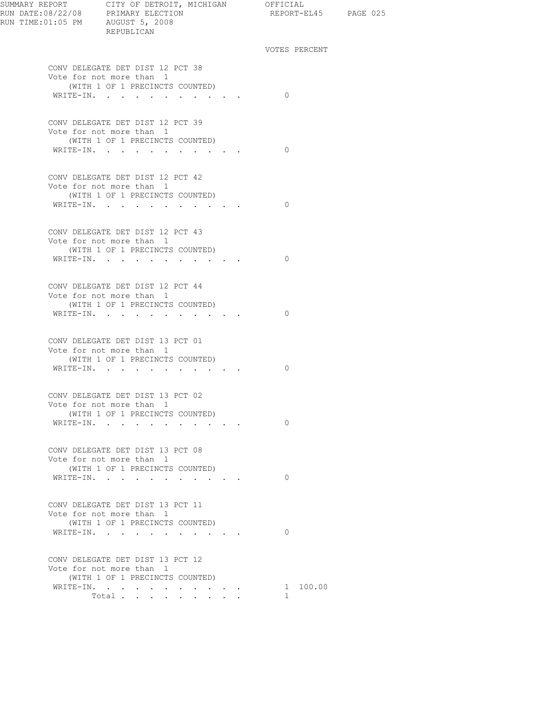| SUMMARY REPORT CITY OF DETROIT, MICHIGAN OFFICIAL<br>REPUBLICAN | REPORT-EL45 PAGE 025     |  |
|-----------------------------------------------------------------|--------------------------|--|
|                                                                 | VOTES PERCENT            |  |
| CONV DELEGATE DET DIST 12 PCT 38<br>Vote for not more than 1    |                          |  |
| (WITH 1 OF 1 PRECINCTS COUNTED)                                 |                          |  |
| WRITE-IN.                                                       | $\bigcirc$               |  |
| CONV DELEGATE DET DIST 12 PCT 39                                |                          |  |
| Vote for not more than 1                                        |                          |  |
| (WITH 1 OF 1 PRECINCTS COUNTED)                                 |                          |  |
| WRITE-IN.                                                       | $\bigcirc$               |  |
| CONV DELEGATE DET DIST 12 PCT 42                                |                          |  |
| Vote for not more than 1                                        |                          |  |
| (WITH 1 OF 1 PRECINCTS COUNTED)                                 |                          |  |
| WRITE-IN.                                                       | $\bigcirc$               |  |
| CONV DELEGATE DET DIST 12 PCT 43                                |                          |  |
| Vote for not more than 1                                        |                          |  |
| (WITH 1 OF 1 PRECINCTS COUNTED)                                 | $\bigcirc$               |  |
| WRITE-IN.                                                       |                          |  |
| CONV DELEGATE DET DIST 12 PCT 44                                |                          |  |
| Vote for not more than 1                                        |                          |  |
| (WITH 1 OF 1 PRECINCTS COUNTED)                                 |                          |  |
| WRITE-IN.                                                       | $\Omega$                 |  |
| CONV DELEGATE DET DIST 13 PCT 01                                |                          |  |
| Vote for not more than 1                                        |                          |  |
| (WITH 1 OF 1 PRECINCTS COUNTED)                                 |                          |  |
| WRITE-IN.                                                       | $\Omega$                 |  |
| CONV DELEGATE DET DIST 13 PCT 02                                |                          |  |
| Vote for not more than 1                                        |                          |  |
| (WITH 1 OF 1 PRECINCTS COUNTED)                                 |                          |  |
| WRITE-IN.                                                       | $\Omega$                 |  |
|                                                                 |                          |  |
| CONV DELEGATE DET DIST 13 PCT 08                                |                          |  |
| Vote for not more than 1<br>(WITH 1 OF 1 PRECINCTS COUNTED)     |                          |  |
| WRITE-IN.                                                       | $\Omega$                 |  |
|                                                                 |                          |  |
| CONV DELEGATE DET DIST 13 PCT 11                                |                          |  |
| Vote for not more than 1                                        |                          |  |
| (WITH 1 OF 1 PRECINCTS COUNTED)                                 | $\Omega$                 |  |
| WRITE-IN.                                                       |                          |  |
| CONV DELEGATE DET DIST 13 PCT 12                                |                          |  |
| Vote for not more than 1                                        |                          |  |
| (WITH 1 OF 1 PRECINCTS COUNTED)                                 |                          |  |
| WRITE-IN.<br>Total                                              | 1 100.00<br>$\mathbf{1}$ |  |
|                                                                 |                          |  |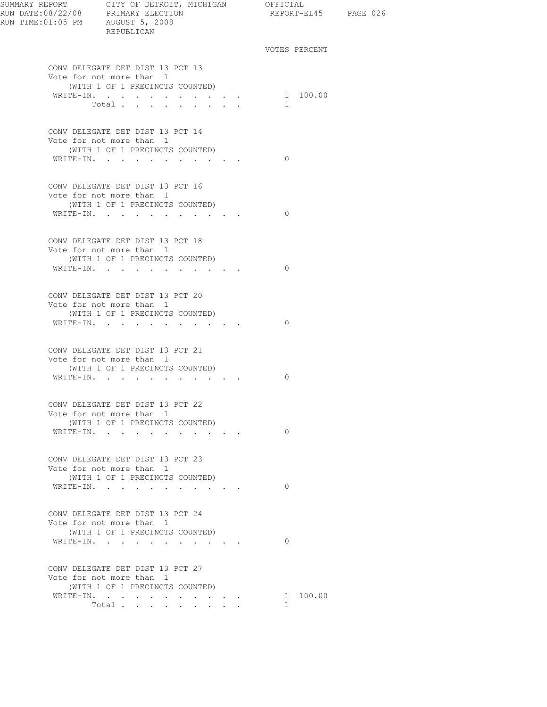| SUMMARY REPORT CITY OF DETROIT, MICHIGAN OFFICIAL                                    |                                                 |              |                      |  |
|--------------------------------------------------------------------------------------|-------------------------------------------------|--------------|----------------------|--|
| RUN DATE:08/22/08 PRIMARY ELECTION<br>RUN TIME:01:05 PM AUGUST 5, 2008<br>REPUBLICAN |                                                 |              | REPORT-EL45 PAGE 026 |  |
|                                                                                      |                                                 |              | VOTES PERCENT        |  |
| CONV DELEGATE DET DIST 13 PCT 13<br>Vote for not more than 1                         |                                                 |              |                      |  |
| (WITH 1 OF 1 PRECINCTS COUNTED)                                                      |                                                 |              | 1 100.00             |  |
| WRITE-IN.<br>Total.                                                                  | $\cdot$ $\cdot$ $\cdot$ $\cdot$ $\cdot$ $\cdot$ | $\mathbf{1}$ |                      |  |
|                                                                                      |                                                 |              |                      |  |
| CONV DELEGATE DET DIST 13 PCT 14                                                     |                                                 |              |                      |  |
| Vote for not more than 1                                                             |                                                 |              |                      |  |
| (WITH 1 OF 1 PRECINCTS COUNTED)<br>WRITE-IN.                                         |                                                 | $\Omega$     |                      |  |
|                                                                                      |                                                 |              |                      |  |
| CONV DELEGATE DET DIST 13 PCT 16                                                     |                                                 |              |                      |  |
| Vote for not more than 1                                                             |                                                 |              |                      |  |
| (WITH 1 OF 1 PRECINCTS COUNTED)<br>WRITE-IN.                                         |                                                 | $\Omega$     |                      |  |
|                                                                                      | the contract of the contract of                 |              |                      |  |
| CONV DELEGATE DET DIST 13 PCT 18                                                     |                                                 |              |                      |  |
| Vote for not more than 1                                                             |                                                 |              |                      |  |
| (WITH 1 OF 1 PRECINCTS COUNTED)                                                      |                                                 |              |                      |  |
| WRITE-IN.                                                                            |                                                 | $\Omega$     |                      |  |
| CONV DELEGATE DET DIST 13 PCT 20                                                     |                                                 |              |                      |  |
| Vote for not more than 1                                                             |                                                 |              |                      |  |
| (WITH 1 OF 1 PRECINCTS COUNTED)                                                      |                                                 |              |                      |  |
| WRITE-IN.                                                                            |                                                 | $\Omega$     |                      |  |
| CONV DELEGATE DET DIST 13 PCT 21                                                     |                                                 |              |                      |  |
| Vote for not more than 1                                                             |                                                 |              |                      |  |
| (WITH 1 OF 1 PRECINCTS COUNTED)                                                      |                                                 |              |                      |  |
| WRITE-IN.                                                                            |                                                 | $\Omega$     |                      |  |
| CONV DELEGATE DET DIST 13 PCT 22                                                     |                                                 |              |                      |  |
| Vote for not more than 1                                                             |                                                 |              |                      |  |
| (WITH 1 OF 1 PRECINCTS COUNTED)                                                      |                                                 |              |                      |  |
| WRITE-IN.                                                                            |                                                 | $\Omega$     |                      |  |
|                                                                                      |                                                 |              |                      |  |
| CONV DELEGATE DET DIST 13 PCT 23<br>Vote for not more than 1                         |                                                 |              |                      |  |
| (WITH 1 OF 1 PRECINCTS COUNTED)                                                      |                                                 |              |                      |  |
| WRITE-IN.                                                                            |                                                 | $\Omega$     |                      |  |
|                                                                                      |                                                 |              |                      |  |
| CONV DELEGATE DET DIST 13 PCT 24                                                     |                                                 |              |                      |  |
| Vote for not more than 1<br>(WITH 1 OF 1 PRECINCTS COUNTED)                          |                                                 |              |                      |  |
| WRITE-IN.                                                                            | and a strategic control of                      | $\Omega$     |                      |  |
|                                                                                      |                                                 |              |                      |  |
| CONV DELEGATE DET DIST 13 PCT 27                                                     |                                                 |              |                      |  |
| Vote for not more than 1                                                             |                                                 |              |                      |  |
| (WITH 1 OF 1 PRECINCTS COUNTED)                                                      |                                                 |              | 1 100.00             |  |
| WRITE-IN.<br>Total                                                                   |                                                 | $\mathbf{1}$ |                      |  |
|                                                                                      |                                                 |              |                      |  |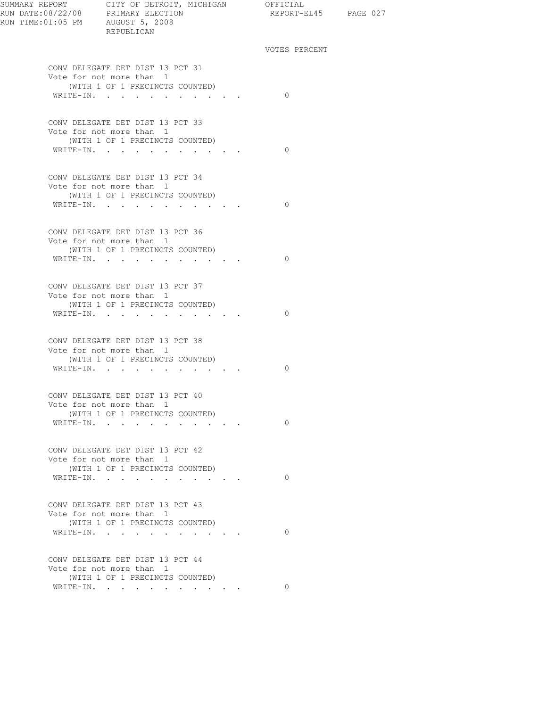| SUMMARY REPORT CITY OF DETROIT, MICHIGAN OFFICIAL | REPUBLICAN                                                  | REPORT-EL45 PAGE 027 |  |
|---------------------------------------------------|-------------------------------------------------------------|----------------------|--|
|                                                   |                                                             | VOTES PERCENT        |  |
|                                                   | CONV DELEGATE DET DIST 13 PCT 31                            |                      |  |
|                                                   | Vote for not more than 1<br>(WITH 1 OF 1 PRECINCTS COUNTED) |                      |  |
|                                                   | WRITE-IN.                                                   | $\bigcirc$           |  |
|                                                   | CONV DELEGATE DET DIST 13 PCT 33                            |                      |  |
|                                                   | Vote for not more than 1                                    |                      |  |
|                                                   | (WITH 1 OF 1 PRECINCTS COUNTED)<br>WRITE-IN.                | $\bigcirc$           |  |
|                                                   |                                                             |                      |  |
|                                                   | CONV DELEGATE DET DIST 13 PCT 34                            |                      |  |
|                                                   | Vote for not more than 1                                    |                      |  |
|                                                   | (WITH 1 OF 1 PRECINCTS COUNTED)<br>WRITE-IN.                | $\bigcirc$           |  |
|                                                   |                                                             |                      |  |
|                                                   | CONV DELEGATE DET DIST 13 PCT 36                            |                      |  |
|                                                   | Vote for not more than 1                                    |                      |  |
|                                                   | (WITH 1 OF 1 PRECINCTS COUNTED)<br>WRITE-IN.                | $\Omega$             |  |
|                                                   |                                                             |                      |  |
|                                                   | CONV DELEGATE DET DIST 13 PCT 37                            |                      |  |
|                                                   | Vote for not more than 1                                    |                      |  |
|                                                   | (WITH 1 OF 1 PRECINCTS COUNTED)<br>WRITE-IN.                | $\Omega$             |  |
|                                                   |                                                             |                      |  |
|                                                   | CONV DELEGATE DET DIST 13 PCT 38                            |                      |  |
|                                                   | Vote for not more than 1                                    |                      |  |
|                                                   | (WITH 1 OF 1 PRECINCTS COUNTED)<br>WRITE-IN.                | $\Omega$             |  |
|                                                   |                                                             |                      |  |
|                                                   | CONV DELEGATE DET DIST 13 PCT 40                            |                      |  |
|                                                   | Vote for not more than 1                                    |                      |  |
|                                                   | (WITH 1 OF 1 PRECINCTS COUNTED)                             | $\Omega$             |  |
|                                                   | WRITE-IN.                                                   |                      |  |
|                                                   | CONV DELEGATE DET DIST 13 PCT 42                            |                      |  |
|                                                   | Vote for not more than 1                                    |                      |  |
|                                                   | (WITH 1 OF 1 PRECINCTS COUNTED)<br>WRITE-IN.                | $\Omega$             |  |
|                                                   |                                                             |                      |  |
|                                                   | CONV DELEGATE DET DIST 13 PCT 43                            |                      |  |
|                                                   | Vote for not more than 1                                    |                      |  |
|                                                   | (WITH 1 OF 1 PRECINCTS COUNTED)<br>WRITE-IN.                | $\Omega$             |  |
|                                                   |                                                             |                      |  |
|                                                   | CONV DELEGATE DET DIST 13 PCT 44                            |                      |  |
|                                                   | Vote for not more than 1<br>(WITH 1 OF 1 PRECINCTS COUNTED) |                      |  |
|                                                   | WRITE-IN. 0                                                 |                      |  |
|                                                   |                                                             |                      |  |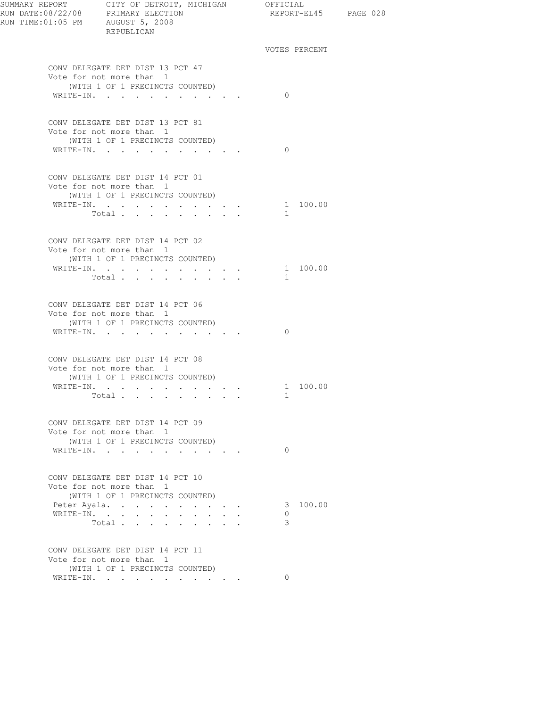| RUN TIME:01:05 PM AUGUST 5, 2008 | REPUBLICAN                                                                                      |  |              | REPORT-EL45 PAGE 028 |  |
|----------------------------------|-------------------------------------------------------------------------------------------------|--|--------------|----------------------|--|
|                                  |                                                                                                 |  |              | VOTES PERCENT        |  |
|                                  | CONV DELEGATE DET DIST 13 PCT 47<br>Vote for not more than 1                                    |  |              |                      |  |
|                                  | (WITH 1 OF 1 PRECINCTS COUNTED)<br>WRITE-IN.                                                    |  | $\Omega$     |                      |  |
|                                  |                                                                                                 |  |              |                      |  |
|                                  | CONV DELEGATE DET DIST 13 PCT 81<br>Vote for not more than 1<br>(WITH 1 OF 1 PRECINCTS COUNTED) |  |              |                      |  |
|                                  | WRITE-IN.                                                                                       |  | $\Omega$     |                      |  |
|                                  | CONV DELEGATE DET DIST 14 PCT 01<br>Vote for not more than 1                                    |  |              |                      |  |
|                                  | (WITH 1 OF 1 PRECINCTS COUNTED)                                                                 |  |              | 1 100.00             |  |
|                                  | WRITE-IN.<br>Total                                                                              |  | $\mathbf{1}$ |                      |  |
|                                  |                                                                                                 |  |              |                      |  |
|                                  | CONV DELEGATE DET DIST 14 PCT 02<br>Vote for not more than 1<br>(WITH 1 OF 1 PRECINCTS COUNTED) |  |              |                      |  |
|                                  | WRITE-IN.                                                                                       |  |              | 1 100.00             |  |
|                                  | Total                                                                                           |  | $\mathbf{1}$ |                      |  |
|                                  | CONV DELEGATE DET DIST 14 PCT 06<br>Vote for not more than 1                                    |  |              |                      |  |
|                                  | (WITH 1 OF 1 PRECINCTS COUNTED)                                                                 |  |              |                      |  |
|                                  | WRITE-IN.                                                                                       |  | $\Omega$     |                      |  |
|                                  | CONV DELEGATE DET DIST 14 PCT 08<br>Vote for not more than 1                                    |  |              |                      |  |
|                                  | (WITH 1 OF 1 PRECINCTS COUNTED)                                                                 |  |              |                      |  |
|                                  | WRITE-IN.                                                                                       |  | $\mathbf{1}$ | 1 100.00             |  |
|                                  | Total $\cdot$                                                                                   |  |              |                      |  |
|                                  | CONV DELEGATE DET DIST 14 PCT 09<br>Vote for not more than 1<br>(WITH 1 OF 1 PRECINCTS COUNTED) |  |              |                      |  |
|                                  | WRITE-IN.                                                                                       |  | $\Omega$     |                      |  |
|                                  | CONV DELEGATE DET DIST 14 PCT 10<br>Vote for not more than 1                                    |  |              |                      |  |
|                                  | (WITH 1 OF 1 PRECINCTS COUNTED)                                                                 |  |              |                      |  |
|                                  | Peter Ayala.                                                                                    |  |              | 3 100.00             |  |
|                                  | WRITE-IN.                                                                                       |  | $\Omega$     |                      |  |
|                                  | Total                                                                                           |  | 3            |                      |  |
|                                  | CONV DELEGATE DET DIST 14 PCT 11<br>Vote for not more than 1                                    |  |              |                      |  |
|                                  | (WITH 1 OF 1 PRECINCTS COUNTED)                                                                 |  |              |                      |  |
|                                  | WRITE-IN.                                                                                       |  | $\Omega$     |                      |  |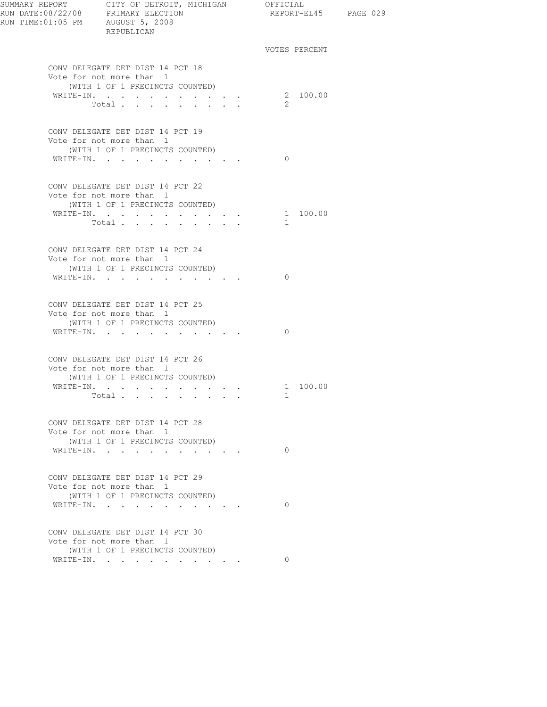| SUMMARY REPORT<br>RUN DATE:08/22/08 PRIMARY ELECTION<br>RUN TIME:01:05 PM AUGUST 5, 2008 | CITY OF DETROIT, MICHIGAN OFFICIAL<br>REPUBLICAN             |         | REPORT-EL45 PAGE 029 |  |
|------------------------------------------------------------------------------------------|--------------------------------------------------------------|---------|----------------------|--|
|                                                                                          |                                                              |         | VOTES PERCENT        |  |
|                                                                                          | CONV DELEGATE DET DIST 14 PCT 18<br>Vote for not more than 1 |         |                      |  |
|                                                                                          | (WITH 1 OF 1 PRECINCTS COUNTED)                              |         |                      |  |
|                                                                                          | WRITE-IN.<br>Total<br>$\sim$                                 |         | 2 100.00<br>2        |  |
|                                                                                          |                                                              |         |                      |  |
|                                                                                          | CONV DELEGATE DET DIST 14 PCT 19                             |         |                      |  |
|                                                                                          | Vote for not more than 1<br>(WITH 1 OF 1 PRECINCTS COUNTED)  |         |                      |  |
|                                                                                          | WRITE-IN.                                                    |         | $\Omega$             |  |
|                                                                                          |                                                              |         |                      |  |
|                                                                                          | CONV DELEGATE DET DIST 14 PCT 22                             |         |                      |  |
|                                                                                          | Vote for not more than 1<br>(WITH 1 OF 1 PRECINCTS COUNTED)  |         |                      |  |
|                                                                                          | WRITE-IN.                                                    |         | 1 100.00             |  |
|                                                                                          | Total                                                        |         | $\mathbf{1}$         |  |
|                                                                                          |                                                              |         |                      |  |
|                                                                                          | CONV DELEGATE DET DIST 14 PCT 24<br>Vote for not more than 1 |         |                      |  |
|                                                                                          | (WITH 1 OF 1 PRECINCTS COUNTED)                              |         |                      |  |
|                                                                                          | WRITE-IN.                                                    |         | $\Omega$             |  |
|                                                                                          |                                                              |         |                      |  |
|                                                                                          | CONV DELEGATE DET DIST 14 PCT 25                             |         |                      |  |
|                                                                                          | Vote for not more than 1<br>(WITH 1 OF 1 PRECINCTS COUNTED)  |         |                      |  |
|                                                                                          | WRITE-IN.                                                    |         | $\Omega$             |  |
|                                                                                          |                                                              |         |                      |  |
|                                                                                          | CONV DELEGATE DET DIST 14 PCT 26                             |         |                      |  |
|                                                                                          | Vote for not more than 1<br>(WITH 1 OF 1 PRECINCTS COUNTED)  |         |                      |  |
|                                                                                          | WRITE-IN.                                                    |         | 1 100.00             |  |
|                                                                                          | Total $\cdots$                                               |         | $\mathbf{1}$         |  |
|                                                                                          |                                                              |         |                      |  |
|                                                                                          | CONV DELEGATE DET DIST 14 PCT 28<br>Vote for not more than 1 |         |                      |  |
|                                                                                          | (WITH 1 OF 1 PRECINCTS COUNTED)                              |         |                      |  |
|                                                                                          | WRITE-IN.                                                    |         | $\Omega$             |  |
|                                                                                          |                                                              |         |                      |  |
|                                                                                          | CONV DELEGATE DET DIST 14 PCT 29<br>Vote for not more than 1 |         |                      |  |
|                                                                                          | (WITH 1 OF 1 PRECINCTS COUNTED)                              |         |                      |  |
|                                                                                          | WRITE-IN.<br>$\sim$                                          | $\cdot$ | $\Omega$             |  |
|                                                                                          |                                                              |         |                      |  |
|                                                                                          | CONV DELEGATE DET DIST 14 PCT 30<br>Vote for not more than 1 |         |                      |  |
|                                                                                          | (WITH 1 OF 1 PRECINCTS COUNTED)                              |         |                      |  |
|                                                                                          | WRITE-IN.                                                    |         | $\Omega$             |  |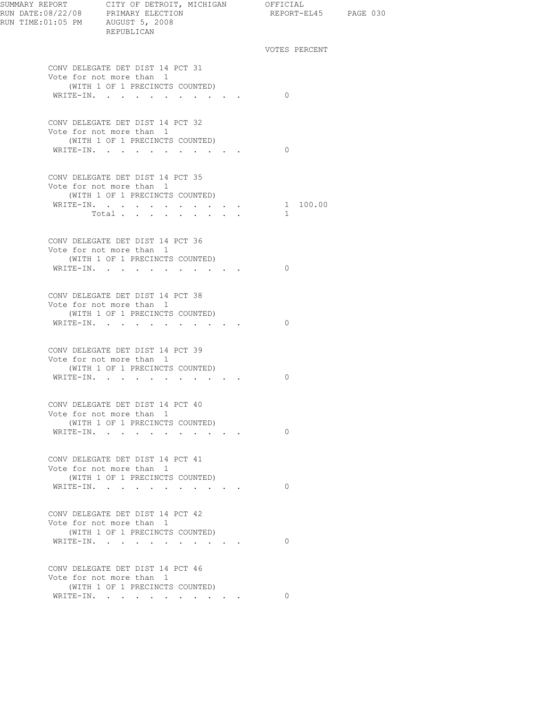| SUMMARY REPORT CITY OF DETROIT, MICHIGAN OFFICIAL<br>RUN DATE:08/22/08 PRIMARY ELECTION<br>RUN TIME: 01:05 PM AUGUST 5, 2008 | REPUBLICAN                                                                                                   |                                 |  | REPORT-EL45 PAGE 030 |  |  |
|------------------------------------------------------------------------------------------------------------------------------|--------------------------------------------------------------------------------------------------------------|---------------------------------|--|----------------------|--|--|
|                                                                                                                              |                                                                                                              |                                 |  | VOTES PERCENT        |  |  |
|                                                                                                                              | CONV DELEGATE DET DIST 14 PCT 31<br>Vote for not more than 1<br>(WITH 1 OF 1 PRECINCTS COUNTED)<br>WRITE-IN. |                                 |  | $\Omega$             |  |  |
|                                                                                                                              | CONV DELEGATE DET DIST 14 PCT 32                                                                             |                                 |  |                      |  |  |
|                                                                                                                              | Vote for not more than 1<br>(WITH 1 OF 1 PRECINCTS COUNTED)<br>WRITE-IN.                                     |                                 |  | $\Omega$             |  |  |
|                                                                                                                              | CONV DELEGATE DET DIST 14 PCT 35<br>Vote for not more than 1                                                 |                                 |  |                      |  |  |
|                                                                                                                              | (WITH 1 OF 1 PRECINCTS COUNTED)<br>WRITE-IN.                                                                 |                                 |  | 1 100.00             |  |  |
|                                                                                                                              | Total<br><b>Contractor</b>                                                                                   |                                 |  | $\mathbf{1}$         |  |  |
|                                                                                                                              | CONV DELEGATE DET DIST 14 PCT 36<br>Vote for not more than 1<br>(WITH 1 OF 1 PRECINCTS COUNTED)              |                                 |  |                      |  |  |
|                                                                                                                              | WRITE-IN.                                                                                                    |                                 |  | $\Omega$             |  |  |
|                                                                                                                              | CONV DELEGATE DET DIST 14 PCT 38<br>Vote for not more than 1<br>(WITH 1 OF 1 PRECINCTS COUNTED)<br>WRITE-IN. |                                 |  | $\Omega$             |  |  |
|                                                                                                                              | CONV DELEGATE DET DIST 14 PCT 39                                                                             |                                 |  |                      |  |  |
|                                                                                                                              | Vote for not more than 1<br>(WITH 1 OF 1 PRECINCTS COUNTED)<br>WRITE-IN.                                     |                                 |  | $\Omega$             |  |  |
|                                                                                                                              | CONV DELEGATE DET DIST 14 PCT 40<br>Vote for not more than 1                                                 |                                 |  |                      |  |  |
|                                                                                                                              | (WITH 1 OF 1 PRECINCTS COUNTED)<br>WRITE-IN.<br>$\sim$                                                       | $\cdot$ $\cdot$ $\cdot$ $\cdot$ |  | $\circ$              |  |  |
|                                                                                                                              | CONV DELEGATE DET DIST 14 PCT 41<br>Vote for not more than 1<br>(WITH 1 OF 1 PRECINCTS COUNTED)              |                                 |  |                      |  |  |
|                                                                                                                              | WRITE-IN.                                                                                                    | the contract of the contract of |  | $\Omega$             |  |  |
|                                                                                                                              | CONV DELEGATE DET DIST 14 PCT 42<br>Vote for not more than 1<br>(WITH 1 OF 1 PRECINCTS COUNTED)              |                                 |  |                      |  |  |
|                                                                                                                              | WRITE-IN.                                                                                                    |                                 |  | $\Omega$             |  |  |
|                                                                                                                              | CONV DELEGATE DET DIST 14 PCT 46<br>Vote for not more than 1<br>(WITH 1 OF 1 PRECINCTS COUNTED)              |                                 |  |                      |  |  |
|                                                                                                                              | WRITE-IN.                                                                                                    |                                 |  | $\Omega$             |  |  |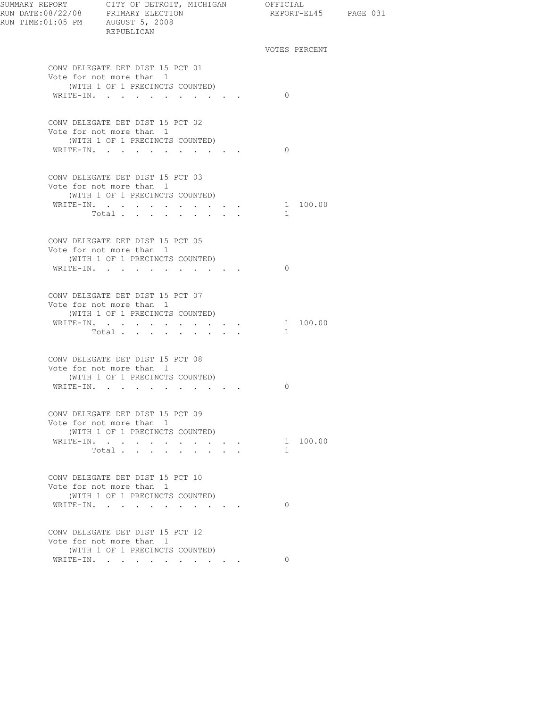| SUMMARY REPORT CITY OF DETROIT, MICHIGAN OFFICIAL | REPUBLICAN                                                                                      |                                                      | REPORT-EL45 PAGE 031     |  |
|---------------------------------------------------|-------------------------------------------------------------------------------------------------|------------------------------------------------------|--------------------------|--|
|                                                   |                                                                                                 |                                                      | VOTES PERCENT            |  |
|                                                   | CONV DELEGATE DET DIST 15 PCT 01<br>Vote for not more than 1                                    |                                                      |                          |  |
|                                                   | (WITH 1 OF 1 PRECINCTS COUNTED)<br>WRITE-IN.                                                    |                                                      | $\Omega$                 |  |
|                                                   | CONV DELEGATE DET DIST 15 PCT 02<br>Vote for not more than 1<br>(WITH 1 OF 1 PRECINCTS COUNTED) |                                                      |                          |  |
|                                                   | WRITE-IN.                                                                                       |                                                      | $\bigcirc$               |  |
|                                                   | CONV DELEGATE DET DIST 15 PCT 03<br>Vote for not more than 1                                    |                                                      |                          |  |
|                                                   | (WITH 1 OF 1 PRECINCTS COUNTED)<br>WRITE-IN.                                                    |                                                      | 1 100.00                 |  |
|                                                   | Total $\cdots$                                                                                  |                                                      | $\mathbf{1}$             |  |
|                                                   | CONV DELEGATE DET DIST 15 PCT 05<br>Vote for not more than 1<br>(WITH 1 OF 1 PRECINCTS COUNTED) |                                                      |                          |  |
|                                                   | WRITE-IN.                                                                                       |                                                      | $\Omega$                 |  |
|                                                   | CONV DELEGATE DET DIST 15 PCT 07<br>Vote for not more than 1<br>(WITH 1 OF 1 PRECINCTS COUNTED) |                                                      |                          |  |
|                                                   | WRITE-IN.<br>Total $\cdots$                                                                     |                                                      | 1 100.00<br>$\mathbf{1}$ |  |
|                                                   | CONV DELEGATE DET DIST 15 PCT 08                                                                |                                                      |                          |  |
|                                                   | Vote for not more than 1<br>(WITH 1 OF 1 PRECINCTS COUNTED)                                     |                                                      |                          |  |
|                                                   | WRITE-IN.                                                                                       |                                                      | $\Omega$                 |  |
|                                                   | CONV DELEGATE DET DIST 15 PCT 09<br>Vote for not more than 1                                    |                                                      |                          |  |
|                                                   | (WITH 1 OF 1 PRECINCTS COUNTED)                                                                 |                                                      |                          |  |
|                                                   | WRITE-IN.<br>Total.                                                                             | and the state of the state of                        | 1 100.00<br>1            |  |
|                                                   |                                                                                                 |                                                      |                          |  |
|                                                   | CONV DELEGATE DET DIST 15 PCT 10<br>Vote for not more than 1<br>(WITH 1 OF 1 PRECINCTS COUNTED) |                                                      |                          |  |
|                                                   | WRITE-IN.<br>$\sim$                                                                             | $\bullet$ . In the case of the case of the $\bullet$ | $\Omega$                 |  |
|                                                   | CONV DELEGATE DET DIST 15 PCT 12<br>Vote for not more than 1                                    |                                                      |                          |  |
|                                                   | (WITH 1 OF 1 PRECINCTS COUNTED)                                                                 |                                                      |                          |  |
|                                                   | WRITE-IN.                                                                                       |                                                      | $\Omega$                 |  |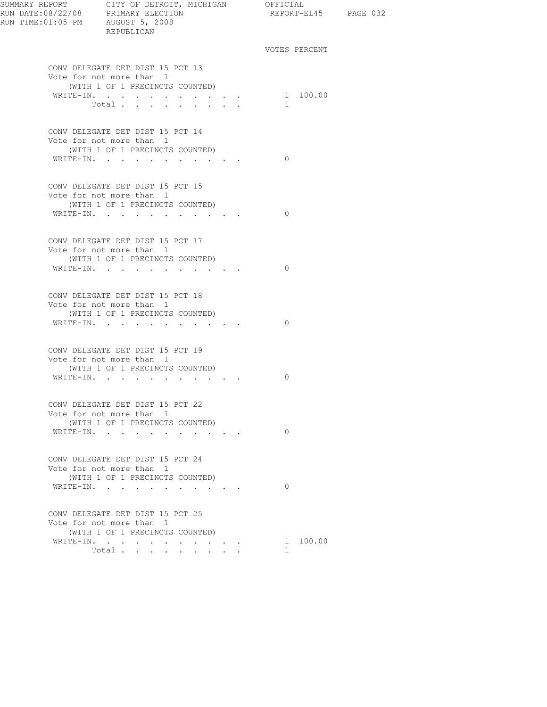| SUMMARY REPORT CITY OF DETROIT, MICHIGAN OFFICIAL<br>REPUBLICAN                                                                |                                                                          | REPORT-EL45 PAGE 032     |  |
|--------------------------------------------------------------------------------------------------------------------------------|--------------------------------------------------------------------------|--------------------------|--|
|                                                                                                                                |                                                                          | VOTES PERCENT            |  |
| CONV DELEGATE DET DIST 15 PCT 13<br>Vote for not more than 1<br>(WITH 1 OF 1 PRECINCTS COUNTED)<br>WRITE-IN. 1 100.00<br>Total |                                                                          | $\mathbf{1}$             |  |
| CONV DELEGATE DET DIST 15 PCT 14<br>Vote for not more than 1<br>(WITH 1 OF 1 PRECINCTS COUNTED)<br>WRITE-IN.                   |                                                                          | $\Omega$                 |  |
| CONV DELEGATE DET DIST 15 PCT 15<br>Vote for not more than 1<br>(WITH 1 OF 1 PRECINCTS COUNTED)<br>WRITE-IN.                   |                                                                          | $\Omega$                 |  |
| CONV DELEGATE DET DIST 15 PCT 17<br>Vote for not more than 1<br>(WITH 1 OF 1 PRECINCTS COUNTED)<br>WRITE-IN.                   |                                                                          | $\Omega$                 |  |
| CONV DELEGATE DET DIST 15 PCT 18<br>Vote for not more than 1<br>(WITH 1 OF 1 PRECINCTS COUNTED)<br>WRITE-IN.                   |                                                                          | $\Omega$                 |  |
| CONV DELEGATE DET DIST 15 PCT 19<br>Vote for not more than 1<br>(WITH 1 OF 1 PRECINCTS COUNTED)<br>WRITE-IN.                   |                                                                          | 0                        |  |
| CONV DELEGATE DET DIST 15 PCT 22<br>Vote for not more than 1<br>(WITH 1 OF 1 PRECINCTS COUNTED)<br>WRITE-IN.                   |                                                                          | $\Omega$                 |  |
| CONV DELEGATE DET DIST 15 PCT 24<br>Vote for not more than 1<br>(WITH 1 OF 1 PRECINCTS COUNTED)<br>WRITE-IN.                   |                                                                          | $\Omega$                 |  |
| CONV DELEGATE DET DIST 15 PCT 25<br>Vote for not more than 1<br>(WITH 1 OF 1 PRECINCTS COUNTED)<br>WRITE-IN.<br>Total          |                                                                          | 1 100.00<br>$\mathbf{1}$ |  |
|                                                                                                                                | $\mathbf{r} = \mathbf{r} + \mathbf{r}$ , where $\mathbf{r} = \mathbf{r}$ |                          |  |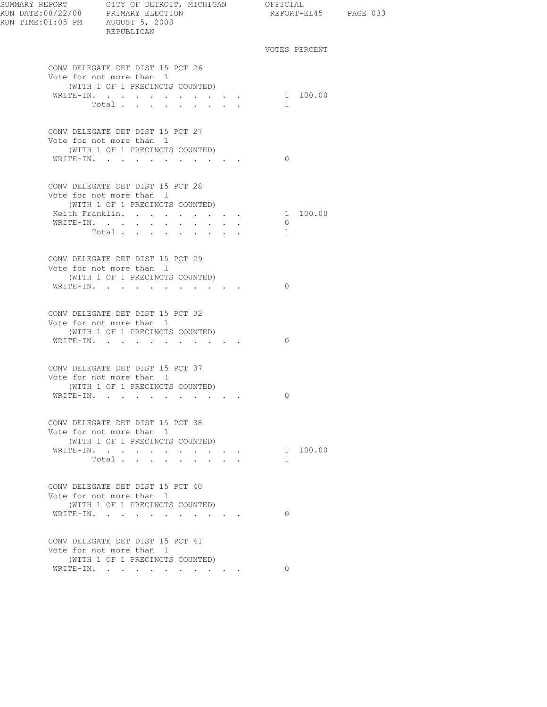| SUMMARY REPORT<br>RUN DATE:08/22/08 PRIMARY ELECTION<br>RUN TIME:01:05 PM AUGUST 5, 2008 | CITY OF DETROIT, MICHIGAN OFFICIAL<br>REPUBLICAN                                                                                         |                                                                               | REPORT-EL45 PAGE 033     |  |
|------------------------------------------------------------------------------------------|------------------------------------------------------------------------------------------------------------------------------------------|-------------------------------------------------------------------------------|--------------------------|--|
|                                                                                          |                                                                                                                                          |                                                                               | VOTES PERCENT            |  |
|                                                                                          | CONV DELEGATE DET DIST 15 PCT 26<br>Vote for not more than 1<br>(WITH 1 OF 1 PRECINCTS COUNTED)                                          |                                                                               |                          |  |
|                                                                                          | WRITE-IN.<br>Total                                                                                                                       |                                                                               | 1 100.00<br>1            |  |
|                                                                                          | CONV DELEGATE DET DIST 15 PCT 27<br>Vote for not more than 1<br>(WITH 1 OF 1 PRECINCTS COUNTED)                                          |                                                                               |                          |  |
|                                                                                          | WRITE-IN.                                                                                                                                |                                                                               | $\Omega$                 |  |
|                                                                                          | CONV DELEGATE DET DIST 15 PCT 28<br>Vote for not more than 1<br>(WITH 1 OF 1 PRECINCTS COUNTED)<br>Keith Franklin.<br>WRITE-IN.<br>Total | $\mathbf{r} = \mathbf{r} + \mathbf{r} + \mathbf{r} + \mathbf{r} + \mathbf{r}$ | 1 100.00<br>$\circ$<br>1 |  |
| WRITE-IN.                                                                                | CONV DELEGATE DET DIST 15 PCT 29<br>Vote for not more than 1<br>(WITH 1 OF 1 PRECINCTS COUNTED)                                          | the company of the company of the company of                                  | $\Omega$                 |  |
|                                                                                          | CONV DELEGATE DET DIST 15 PCT 32<br>Vote for not more than 1<br>(WITH 1 OF 1 PRECINCTS COUNTED)<br>WRITE-IN.                             |                                                                               | $\Omega$                 |  |
|                                                                                          | CONV DELEGATE DET DIST 15 PCT 37<br>Vote for not more than 1<br>(WITH 1 OF 1 PRECINCTS COUNTED)<br>WRITE-IN.                             |                                                                               | 0                        |  |
|                                                                                          | CONV DELEGATE DET DIST 15 PCT 38<br>Vote for not more than 1<br>(WITH 1 OF 1 PRECINCTS COUNTED)<br>WRITE-IN.<br>Total                    |                                                                               | 1 100.00<br>$\mathbf{1}$ |  |
|                                                                                          | CONV DELEGATE DET DIST 15 PCT 40<br>Vote for not more than 1<br>(WITH 1 OF 1 PRECINCTS COUNTED)<br>WRITE-IN.                             |                                                                               | $\Omega$                 |  |
|                                                                                          | CONV DELEGATE DET DIST 15 PCT 41<br>Vote for not more than 1<br>(WITH 1 OF 1 PRECINCTS COUNTED)                                          |                                                                               |                          |  |
|                                                                                          | WRITE-IN.                                                                                                                                |                                                                               | $\Omega$                 |  |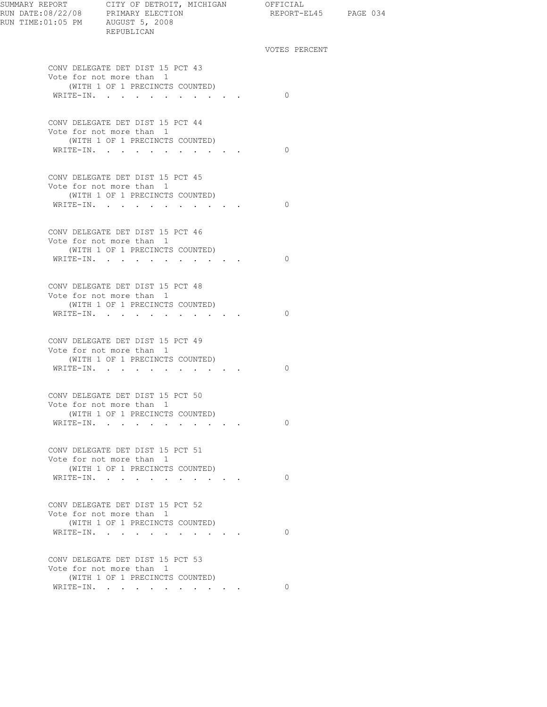| SUMMARY REPORT CITY OF DETROIT, MICHIGAN OFFICIAL<br>REPUBLICAN                                              | REPORT-EL45 PAGE 034 |  |
|--------------------------------------------------------------------------------------------------------------|----------------------|--|
|                                                                                                              | VOTES PERCENT        |  |
| CONV DELEGATE DET DIST 15 PCT 43<br>Vote for not more than 1                                                 |                      |  |
| (WITH 1 OF 1 PRECINCTS COUNTED)<br>WRITE-IN.                                                                 | $\bigcirc$           |  |
| CONV DELEGATE DET DIST 15 PCT 44<br>Vote for not more than 1<br>(WITH 1 OF 1 PRECINCTS COUNTED)<br>WRITE-IN. | $\bigcirc$           |  |
|                                                                                                              |                      |  |
| CONV DELEGATE DET DIST 15 PCT 45<br>Vote for not more than 1<br>(WITH 1 OF 1 PRECINCTS COUNTED)              |                      |  |
| WRITE-IN.                                                                                                    | $\bigcirc$           |  |
| CONV DELEGATE DET DIST 15 PCT 46<br>Vote for not more than 1<br>(WITH 1 OF 1 PRECINCTS COUNTED)<br>WRITE-IN. | $\bigcirc$           |  |
|                                                                                                              |                      |  |
| CONV DELEGATE DET DIST 15 PCT 48<br>Vote for not more than 1<br>(WITH 1 OF 1 PRECINCTS COUNTED)<br>WRITE-IN. | $\Omega$             |  |
| CONV DELEGATE DET DIST 15 PCT 49<br>Vote for not more than 1                                                 |                      |  |
| (WITH 1 OF 1 PRECINCTS COUNTED)<br>WRITE-IN.                                                                 | $\bigcirc$           |  |
| CONV DELEGATE DET DIST 15 PCT 50<br>Vote for not more than 1<br>(WITH 1 OF 1 PRECINCTS COUNTED)              |                      |  |
| WRITE-IN.                                                                                                    | $\Omega$             |  |
| CONV DELEGATE DET DIST 15 PCT 51<br>Vote for not more than 1<br>(WITH 1 OF 1 PRECINCTS COUNTED)              |                      |  |
| WRITE-IN.                                                                                                    | $\Omega$             |  |
| CONV DELEGATE DET DIST 15 PCT 52<br>Vote for not more than 1<br>(WITH 1 OF 1 PRECINCTS COUNTED)              |                      |  |
| WRITE-IN.                                                                                                    | $\Omega$             |  |
| CONV DELEGATE DET DIST 15 PCT 53<br>Vote for not more than 1<br>(WITH 1 OF 1 PRECINCTS COUNTED)              |                      |  |
| WRITE-IN.                                                                                                    | $\circ$              |  |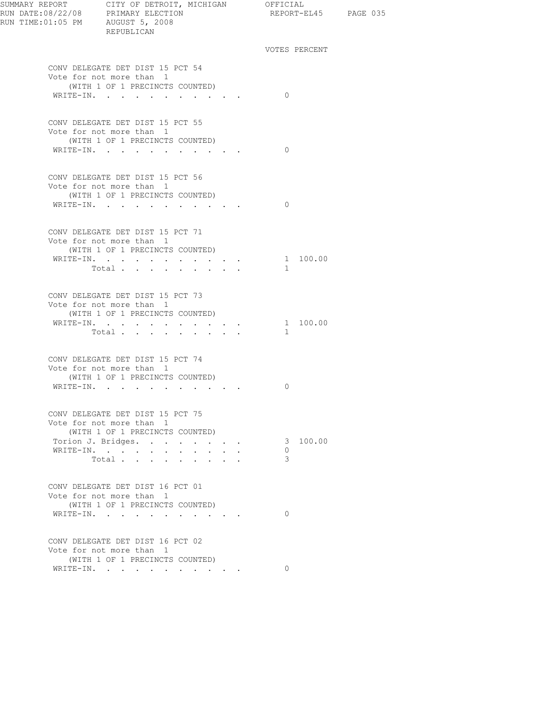| SUMMARY REPORT CITY OF DETROIT, MICHIGAN OFFICIAL<br>RUN DATE:08/22/08 PRIMARY ELECTION REPORT-E<br>RUN TIME:01:05 PM AUGUST 5, 2008 | REPUBLICAN                                                                                      |          |               | REPORT-EL45 PAGE 035 |  |
|--------------------------------------------------------------------------------------------------------------------------------------|-------------------------------------------------------------------------------------------------|----------|---------------|----------------------|--|
|                                                                                                                                      |                                                                                                 |          | VOTES PERCENT |                      |  |
|                                                                                                                                      | CONV DELEGATE DET DIST 15 PCT 54<br>Vote for not more than 1<br>(WITH 1 OF 1 PRECINCTS COUNTED) |          |               |                      |  |
|                                                                                                                                      | WRITE-IN.                                                                                       |          | $\bigcirc$    |                      |  |
|                                                                                                                                      | CONV DELEGATE DET DIST 15 PCT 55<br>Vote for not more than 1<br>(WITH 1 OF 1 PRECINCTS COUNTED) |          |               |                      |  |
|                                                                                                                                      | WRITE-IN.                                                                                       |          | $\Omega$      |                      |  |
|                                                                                                                                      | CONV DELEGATE DET DIST 15 PCT 56<br>Vote for not more than 1<br>(WITH 1 OF 1 PRECINCTS COUNTED) |          |               |                      |  |
|                                                                                                                                      | WRITE-IN.                                                                                       |          | $\bigcirc$    |                      |  |
|                                                                                                                                      | CONV DELEGATE DET DIST 15 PCT 71<br>Vote for not more than 1<br>(WITH 1 OF 1 PRECINCTS COUNTED) |          |               |                      |  |
|                                                                                                                                      | WRITE-IN.<br>Total                                                                              |          | $\mathbf{1}$  | 1 100.00             |  |
|                                                                                                                                      | CONV DELEGATE DET DIST 15 PCT 73<br>Vote for not more than 1<br>(WITH 1 OF 1 PRECINCTS COUNTED) |          |               |                      |  |
|                                                                                                                                      | WRITE-IN.<br>Total                                                                              |          | $\mathbf{1}$  | 1 100.00             |  |
|                                                                                                                                      | CONV DELEGATE DET DIST 15 PCT 74<br>Vote for not more than 1<br>(WITH 1 OF 1 PRECINCTS COUNTED) |          |               |                      |  |
|                                                                                                                                      | WRITE-IN.                                                                                       |          | $\Omega$      |                      |  |
|                                                                                                                                      | CONV DELEGATE DET DIST 15 PCT 75<br>Vote for not more than 1<br>(WITH 1 OF 1 PRECINCTS COUNTED) |          |               |                      |  |
|                                                                                                                                      | Torion J. Bridges.                                                                              |          |               | 3 100.00             |  |
|                                                                                                                                      | WRITE-IN.                                                                                       | $\cdots$ | $\Omega$      |                      |  |
|                                                                                                                                      | Total                                                                                           |          | 3             |                      |  |
|                                                                                                                                      | CONV DELEGATE DET DIST 16 PCT 01<br>Vote for not more than 1<br>(WITH 1 OF 1 PRECINCTS COUNTED) |          |               |                      |  |
|                                                                                                                                      | WRITE-IN.                                                                                       |          | $\Omega$      |                      |  |
|                                                                                                                                      | CONV DELEGATE DET DIST 16 PCT 02<br>Vote for not more than 1<br>(WITH 1 OF 1 PRECINCTS COUNTED) |          |               |                      |  |
|                                                                                                                                      | WRITE-IN.                                                                                       |          | $\Omega$      |                      |  |
|                                                                                                                                      |                                                                                                 |          |               |                      |  |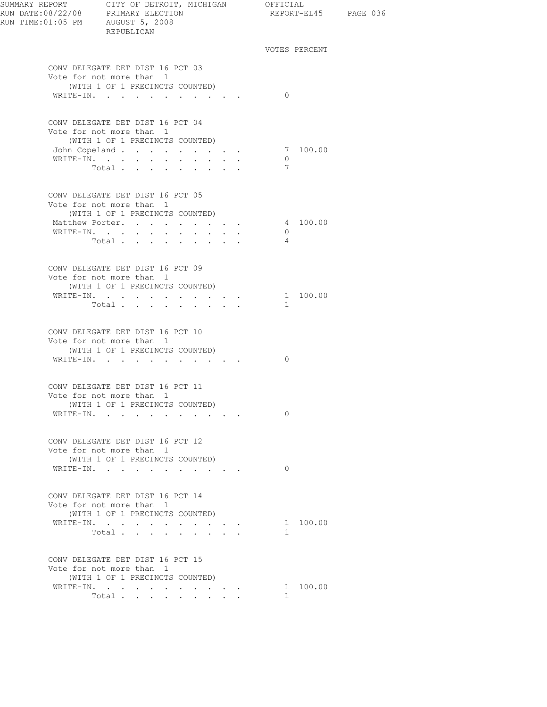| RUN TIME:01:05 PM AUGUST 5, 2008 | REPUBLICAN                                                                                                                                                                                                                                                                |                                                                  | REPORT-EL45 PAGE 036             |               |  |
|----------------------------------|---------------------------------------------------------------------------------------------------------------------------------------------------------------------------------------------------------------------------------------------------------------------------|------------------------------------------------------------------|----------------------------------|---------------|--|
|                                  |                                                                                                                                                                                                                                                                           |                                                                  |                                  | VOTES PERCENT |  |
|                                  | CONV DELEGATE DET DIST 16 PCT 03<br>Vote for not more than 1<br>(WITH 1 OF 1 PRECINCTS COUNTED)<br>WRITE-IN.                                                                                                                                                              |                                                                  | $\Omega$                         |               |  |
|                                  | CONV DELEGATE DET DIST 16 PCT 04<br>Vote for not more than 1<br>(WITH 1 OF 1 PRECINCTS COUNTED)<br>John Copeland<br>WRITE-IN.<br>Total                                                                                                                                    |                                                                  | $\overline{0}$<br>7              | 7 100.00      |  |
|                                  | CONV DELEGATE DET DIST 16 PCT 05<br>Vote for not more than 1<br>(WITH 1 OF 1 PRECINCTS COUNTED)<br>Matthew Porter.<br>$\mathtt{WRTTE}\text{-}\mathtt{IN.}\quad.\quad.\quad.\quad.\quad.\quad.\quad.\quad.\quad.\quad.\quad.\quad.\quad.\quad.\quad.\quad.\quad.$<br>Total | $\mathbf{r} = \mathbf{r} + \mathbf{r} + \mathbf{r} + \mathbf{r}$ | $\overline{0}$<br>$\overline{4}$ | 4 100.00      |  |
|                                  | CONV DELEGATE DET DIST 16 PCT 09<br>Vote for not more than 1<br>(WITH 1 OF 1 PRECINCTS COUNTED)<br>WRITE-IN.<br>Total                                                                                                                                                     |                                                                  | $\mathbf{1}$                     | 1 100.00      |  |
|                                  | CONV DELEGATE DET DIST 16 PCT 10<br>Vote for not more than 1<br>(WITH 1 OF 1 PRECINCTS COUNTED)<br>WRITE-IN.                                                                                                                                                              |                                                                  | $\Omega$                         |               |  |
|                                  | CONV DELEGATE DET DIST 16 PCT 11<br>Vote for not more than 1<br>(WITH 1 OF 1 PRECINCTS COUNTED)<br>WRITE-IN.                                                                                                                                                              |                                                                  | $\Omega$                         |               |  |
|                                  | CONV DELEGATE DET DIST 16 PCT 12<br>Vote for not more than 1<br>(WITH 1 OF 1 PRECINCTS COUNTED)<br>WRITE-IN.                                                                                                                                                              |                                                                  | $\Omega$                         |               |  |
|                                  | CONV DELEGATE DET DIST 16 PCT 14<br>Vote for not more than 1<br>(WITH 1 OF 1 PRECINCTS COUNTED)<br>WRITE-IN.<br>Total $\cdots$                                                                                                                                            |                                                                  | $\mathbf{1}$                     | 1 100.00      |  |
|                                  | CONV DELEGATE DET DIST 16 PCT 15<br>Vote for not more than 1<br>(WITH 1 OF 1 PRECINCTS COUNTED)<br>WRITE-IN.<br>Total                                                                                                                                                     |                                                                  | $\mathbf{1}$                     | 1 100.00      |  |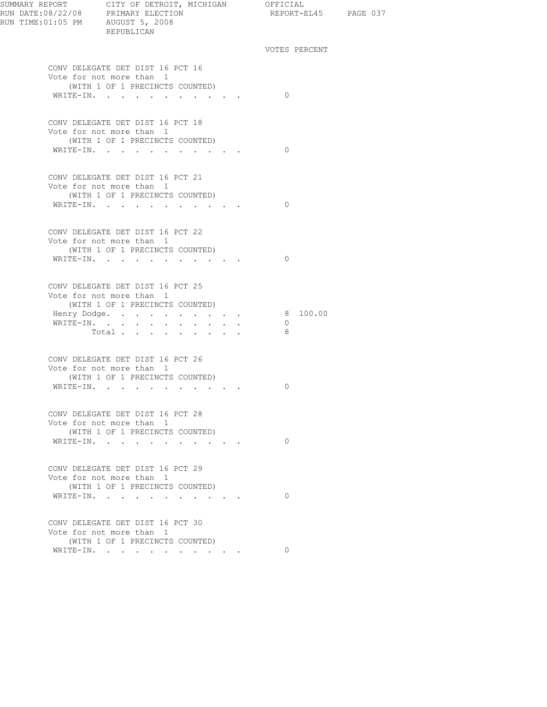| RUN DATE:08/22/08 PRIMARY ELECTION<br>RUN TIME:01:05 PM AUGUST 5, 2008 | SUMMARY REPORT CITY OF DETROIT, MICHIGAN OFFICIAL<br>REPUBLICAN                                 |              | REPORT-EL45 PAGE 037             |  |
|------------------------------------------------------------------------|-------------------------------------------------------------------------------------------------|--------------|----------------------------------|--|
|                                                                        |                                                                                                 |              | VOTES PERCENT                    |  |
|                                                                        | CONV DELEGATE DET DIST 16 PCT 16<br>Vote for not more than 1                                    |              |                                  |  |
|                                                                        | (WITH 1 OF 1 PRECINCTS COUNTED)<br>WRITE-IN.                                                    |              | $\bigcirc$                       |  |
|                                                                        | CONV DELEGATE DET DIST 16 PCT 18<br>Vote for not more than 1                                    |              |                                  |  |
|                                                                        | (WITH 1 OF 1 PRECINCTS COUNTED)<br>WRITE-IN.                                                    |              | $\bigcirc$                       |  |
|                                                                        | CONV DELEGATE DET DIST 16 PCT 21<br>Vote for not more than 1                                    |              |                                  |  |
|                                                                        | (WITH 1 OF 1 PRECINCTS COUNTED)<br>WRITE-IN.                                                    |              | $\bigcirc$                       |  |
|                                                                        | CONV DELEGATE DET DIST 16 PCT 22<br>Vote for not more than 1                                    |              |                                  |  |
|                                                                        | (WITH 1 OF 1 PRECINCTS COUNTED)<br>WRITE-IN.                                                    |              | $\bigcirc$                       |  |
|                                                                        | CONV DELEGATE DET DIST 16 PCT 25<br>Vote for not more than 1<br>(WITH 1 OF 1 PRECINCTS COUNTED) |              |                                  |  |
|                                                                        | Henry Dodge.<br>WRITE-IN.<br>Total $\cdots$                                                     | $\mathbf{L}$ | 8 100.00<br>$\overline{0}$<br>-8 |  |
|                                                                        | CONV DELEGATE DET DIST 16 PCT 26<br>Vote for not more than 1                                    |              |                                  |  |
|                                                                        | (WITH 1 OF 1 PRECINCTS COUNTED)<br>WRITE-IN.                                                    |              | 0                                |  |
|                                                                        | CONV DELEGATE DET DIST 16 PCT 28<br>Vote for not more than 1                                    |              |                                  |  |
|                                                                        | (WITH 1 OF 1 PRECINCTS COUNTED)<br>WRITE-IN.                                                    |              | $\Omega$                         |  |
|                                                                        | CONV DELEGATE DET DIST 16 PCT 29<br>Vote for not more than 1                                    |              |                                  |  |
|                                                                        | (WITH 1 OF 1 PRECINCTS COUNTED)<br>WRITE-IN.                                                    |              | $\Omega$                         |  |
|                                                                        | CONV DELEGATE DET DIST 16 PCT 30<br>Vote for not more than 1                                    |              |                                  |  |
|                                                                        | (WITH 1 OF 1 PRECINCTS COUNTED)<br>WRITE-IN.                                                    |              | $\Omega$                         |  |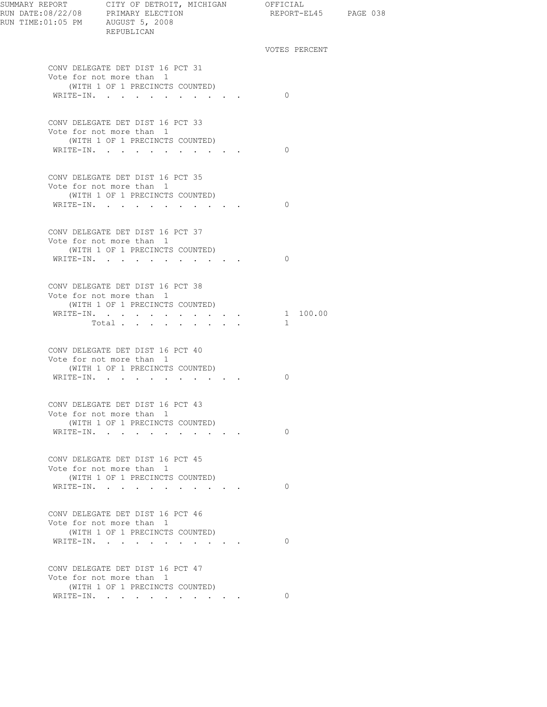| RUN TIME:01:05 PM AUGUST 5, 2008 | SUMMARY REPORT CITY OF DETROIT, MICHIGAN OFFICIAL<br>RUN DATE:08/22/08 PRIMARY ELECTION REPORT-EL<br>REPUBLICAN | REPORT-EL45 PAGE 038     |  |
|----------------------------------|-----------------------------------------------------------------------------------------------------------------|--------------------------|--|
|                                  |                                                                                                                 | VOTES PERCENT            |  |
|                                  | CONV DELEGATE DET DIST 16 PCT 31<br>Vote for not more than 1<br>(WITH 1 OF 1 PRECINCTS COUNTED)<br>WRITE-IN.    | $\Omega$                 |  |
|                                  |                                                                                                                 |                          |  |
|                                  | CONV DELEGATE DET DIST 16 PCT 33<br>Vote for not more than 1<br>(WITH 1 OF 1 PRECINCTS COUNTED)<br>WRITE-IN.    | $\Omega$                 |  |
|                                  |                                                                                                                 |                          |  |
|                                  | CONV DELEGATE DET DIST 16 PCT 35<br>Vote for not more than 1<br>(WITH 1 OF 1 PRECINCTS COUNTED)                 |                          |  |
|                                  | WRITE-IN.                                                                                                       | $\bigcirc$               |  |
|                                  | CONV DELEGATE DET DIST 16 PCT 37<br>Vote for not more than 1<br>(WITH 1 OF 1 PRECINCTS COUNTED)                 |                          |  |
|                                  | WRITE-IN.                                                                                                       | $\bigcirc$               |  |
|                                  | CONV DELEGATE DET DIST 16 PCT 38<br>Vote for not more than 1<br>(WITH 1 OF 1 PRECINCTS COUNTED)                 |                          |  |
|                                  | WRITE-IN.<br>Total $\cdots$                                                                                     | 1 100.00<br>$\mathbf{1}$ |  |
|                                  | CONV DELEGATE DET DIST 16 PCT 40<br>Vote for not more than 1<br>(WITH 1 OF 1 PRECINCTS COUNTED)<br>WRITE-IN.    | 0                        |  |
|                                  |                                                                                                                 |                          |  |
|                                  | CONV DELEGATE DET DIST 16 PCT 43<br>Vote for not more than 1<br>(WITH 1 OF 1 PRECINCTS COUNTED)                 |                          |  |
|                                  | WRITE-IN.                                                                                                       | $\circ$                  |  |
|                                  | CONV DELEGATE DET DIST 16 PCT 45<br>Vote for not more than 1<br>(WITH 1 OF 1 PRECINCTS COUNTED)                 |                          |  |
|                                  | WRITE-IN.                                                                                                       | $\Omega$                 |  |
|                                  | CONV DELEGATE DET DIST 16 PCT 46<br>Vote for not more than 1                                                    |                          |  |
|                                  | (WITH 1 OF 1 PRECINCTS COUNTED)<br>WRITE-IN.                                                                    | $\Omega$                 |  |
|                                  | CONV DELEGATE DET DIST 16 PCT 47<br>Vote for not more than 1<br>(WITH 1 OF 1 PRECINCTS COUNTED)                 |                          |  |
|                                  | WRITE-IN.                                                                                                       | $\Omega$                 |  |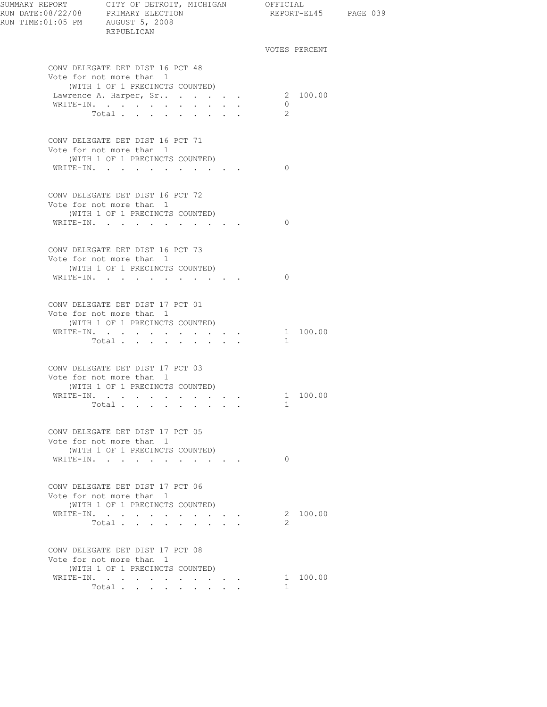| SUMMARY REPORT CITY OF DETROIT, MICHIGAN<br>RUN DATE:08/22/08 PRIMARY ELECTION<br>RUN TIME:01:05 PM AUGUST 5, 2008<br>REPUBLICAN                                                                                   |                                                                                                                           | OFFICIAL<br>REPORT-EL45 PAGE 039 |  |
|--------------------------------------------------------------------------------------------------------------------------------------------------------------------------------------------------------------------|---------------------------------------------------------------------------------------------------------------------------|----------------------------------|--|
|                                                                                                                                                                                                                    |                                                                                                                           | VOTES PERCENT                    |  |
| CONV DELEGATE DET DIST 16 PCT 48<br>Vote for not more than 1<br>(WITH 1 OF 1 PRECINCTS COUNTED)                                                                                                                    |                                                                                                                           |                                  |  |
| Lawrence A. Harper, Sr<br>WRITE-IN.<br>Total<br>$\mathbf{r}$ , $\mathbf{r}$ , $\mathbf{r}$ , $\mathbf{r}$ , $\mathbf{r}$ , $\mathbf{r}$                                                                            |                                                                                                                           | 2 100.00<br>$\circ$<br>2         |  |
| CONV DELEGATE DET DIST 16 PCT 71<br>Vote for not more than 1<br>(WITH 1 OF 1 PRECINCTS COUNTED)<br>WRITE-IN.                                                                                                       | $\mathbf{r}$ , $\mathbf{r}$ , $\mathbf{r}$ , $\mathbf{r}$                                                                 | $\Omega$                         |  |
| CONV DELEGATE DET DIST 16 PCT 72<br>Vote for not more than 1<br>(WITH 1 OF 1 PRECINCTS COUNTED)                                                                                                                    |                                                                                                                           |                                  |  |
| WRITE-IN.                                                                                                                                                                                                          |                                                                                                                           | $\Omega$                         |  |
| CONV DELEGATE DET DIST 16 PCT 73<br>Vote for not more than 1<br>(WITH 1 OF 1 PRECINCTS COUNTED)<br>WRITE-IN.                                                                                                       |                                                                                                                           | $\Omega$                         |  |
| CONV DELEGATE DET DIST 17 PCT 01<br>Vote for not more than 1<br>(WITH 1 OF 1 PRECINCTS COUNTED)                                                                                                                    |                                                                                                                           |                                  |  |
| $\mathtt{WRTTE}\text{-}\mathtt{IN},\quad\texttt{.}\quad\texttt{.}\quad\texttt{.}\quad\texttt{.}\quad\texttt{.}\quad\texttt{.}\quad\texttt{.}\quad\texttt{.}\quad\texttt{.}\quad\texttt{.}\quad\texttt{.}$<br>Total | $\mathbf{r} = \mathbf{r} + \mathbf{r} + \mathbf{r}$                                                                       | 1 100.00<br>$\mathbf{1}$         |  |
| CONV DELEGATE DET DIST 17 PCT 03<br>Vote for not more than 1<br>(WITH 1 OF 1 PRECINCTS COUNTED)                                                                                                                    |                                                                                                                           |                                  |  |
| WRITE-IN.<br>Total                                                                                                                                                                                                 |                                                                                                                           | 1 100.00<br>1                    |  |
| CONV DELEGATE DET DIST 17 PCT 05<br>Vote for not more than 1<br>(WITH 1 OF 1 PRECINCTS COUNTED)                                                                                                                    |                                                                                                                           |                                  |  |
| WRITE-IN.                                                                                                                                                                                                          |                                                                                                                           | $\Omega$                         |  |
| CONV DELEGATE DET DIST 17 PCT 06<br>Vote for not more than 1<br>(WITH 1 OF 1 PRECINCTS COUNTED)                                                                                                                    |                                                                                                                           |                                  |  |
| WRITE-IN.<br>Total                                                                                                                                                                                                 | $\begin{array}{cccccccccccccc} \bullet & \bullet & \bullet & \bullet & \bullet & \bullet & \bullet & \bullet \end{array}$ | 2 100.00<br>2                    |  |
| CONV DELEGATE DET DIST 17 PCT 08<br>Vote for not more than 1<br>(WITH 1 OF 1 PRECINCTS COUNTED)                                                                                                                    |                                                                                                                           |                                  |  |
| WRITE-IN.                                                                                                                                                                                                          |                                                                                                                           | 1 100.00                         |  |
| Total $\cdots$ $\cdots$                                                                                                                                                                                            | $\mathbf{r} = \mathbf{r} + \mathbf{r}$ , where $\mathbf{r} = \mathbf{r}$                                                  | $\mathbf{1}$                     |  |
|                                                                                                                                                                                                                    |                                                                                                                           |                                  |  |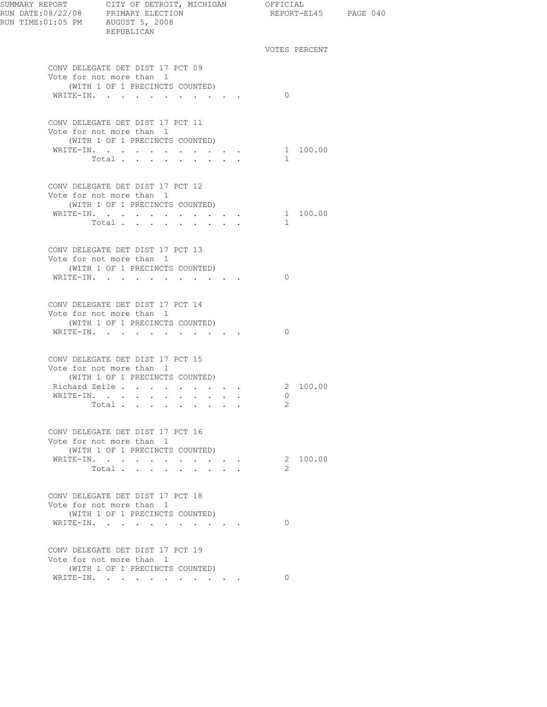| SUMMARY REPORT CITY OF DETROIT, MICHIGAN OFFICIAL<br>RUN DATE:08/22/08 PRIMARY ELECTION<br>RUN TIME:01:05 PM AUGUST 5, 2008 | REPUBLICAN                                                  |                                 |               |          | REPORT-EL45 PAGE 040 |  |
|-----------------------------------------------------------------------------------------------------------------------------|-------------------------------------------------------------|---------------------------------|---------------|----------|----------------------|--|
|                                                                                                                             |                                                             |                                 | VOTES PERCENT |          |                      |  |
|                                                                                                                             | CONV DELEGATE DET DIST 17 PCT 09                            |                                 |               |          |                      |  |
|                                                                                                                             | Vote for not more than 1<br>(WITH 1 OF 1 PRECINCTS COUNTED) |                                 |               |          |                      |  |
|                                                                                                                             | WRITE-IN.                                                   |                                 | $\Omega$      |          |                      |  |
|                                                                                                                             | CONV DELEGATE DET DIST 17 PCT 11                            |                                 |               |          |                      |  |
|                                                                                                                             | Vote for not more than 1<br>(WITH 1 OF 1 PRECINCTS COUNTED) |                                 |               |          |                      |  |
|                                                                                                                             | WRITE-IN.                                                   |                                 |               | 1 100.00 |                      |  |
|                                                                                                                             | Total                                                       |                                 | $\mathbf{1}$  |          |                      |  |
|                                                                                                                             | CONV DELEGATE DET DIST 17 PCT 12                            |                                 |               |          |                      |  |
|                                                                                                                             | Vote for not more than 1                                    |                                 |               |          |                      |  |
|                                                                                                                             | (WITH 1 OF 1 PRECINCTS COUNTED)<br>WRITE-IN.                |                                 |               | 1 100.00 |                      |  |
|                                                                                                                             | Total                                                       |                                 | $\mathbf{1}$  |          |                      |  |
|                                                                                                                             |                                                             |                                 |               |          |                      |  |
|                                                                                                                             | CONV DELEGATE DET DIST 17 PCT 13                            |                                 |               |          |                      |  |
|                                                                                                                             | Vote for not more than 1<br>(WITH 1 OF 1 PRECINCTS COUNTED) |                                 |               |          |                      |  |
|                                                                                                                             | WRITE-IN.                                                   |                                 | $\Omega$      |          |                      |  |
|                                                                                                                             |                                                             |                                 |               |          |                      |  |
|                                                                                                                             | CONV DELEGATE DET DIST 17 PCT 14                            |                                 |               |          |                      |  |
|                                                                                                                             | Vote for not more than 1                                    |                                 |               |          |                      |  |
|                                                                                                                             | (WITH 1 OF 1 PRECINCTS COUNTED)<br>WRITE-IN.                |                                 | $\Omega$      |          |                      |  |
|                                                                                                                             |                                                             |                                 |               |          |                      |  |
|                                                                                                                             | CONV DELEGATE DET DIST 17 PCT 15                            |                                 |               |          |                      |  |
|                                                                                                                             | Vote for not more than 1                                    |                                 |               |          |                      |  |
|                                                                                                                             | (WITH 1 OF 1 PRECINCTS COUNTED)<br>Richard Zeile            |                                 |               | 2 100.00 |                      |  |
|                                                                                                                             | WRITE-IN.                                                   |                                 | $\Omega$      |          |                      |  |
|                                                                                                                             | Total                                                       |                                 | 2.            |          |                      |  |
|                                                                                                                             |                                                             |                                 |               |          |                      |  |
|                                                                                                                             | CONV DELEGATE DET DIST 17 PCT 16                            |                                 |               |          |                      |  |
|                                                                                                                             | Vote for not more than 1<br>(WITH 1 OF 1 PRECINCTS COUNTED) |                                 |               |          |                      |  |
|                                                                                                                             | WRITE-IN.                                                   |                                 |               | 2 100.00 |                      |  |
|                                                                                                                             | Total<br>$\sim$                                             | $\cdot$ $\cdot$ $\cdot$ $\cdot$ | 2             |          |                      |  |
|                                                                                                                             | CONV DELEGATE DET DIST 17 PCT 18                            |                                 |               |          |                      |  |
|                                                                                                                             | Vote for not more than 1                                    |                                 |               |          |                      |  |
|                                                                                                                             | (WITH 1 OF 1 PRECINCTS COUNTED)                             |                                 |               |          |                      |  |
|                                                                                                                             | WRITE-IN.                                                   |                                 | $\Omega$      |          |                      |  |
|                                                                                                                             | CONV DELEGATE DET DIST 17 PCT 19                            |                                 |               |          |                      |  |
|                                                                                                                             | Vote for not more than 1                                    |                                 |               |          |                      |  |
|                                                                                                                             | (WITH 1 OF 1 PRECINCTS COUNTED)                             |                                 |               |          |                      |  |
|                                                                                                                             | WRITE-IN.                                                   |                                 | $\Omega$      |          |                      |  |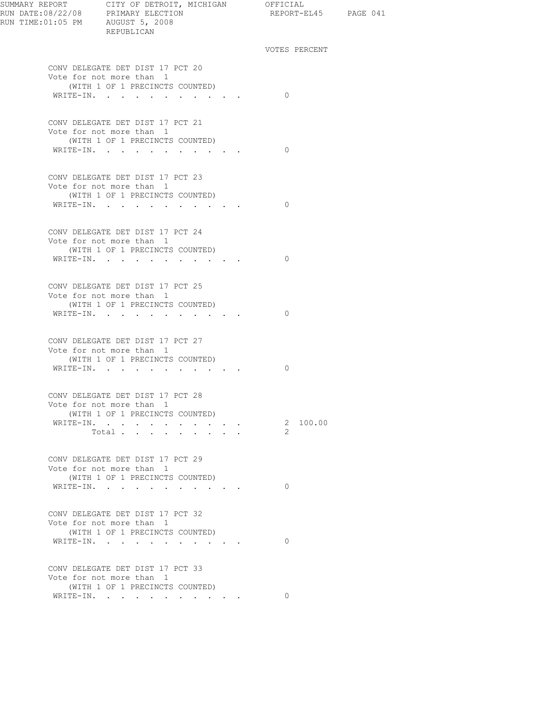| SUMMARY REPORT CITY OF DETROIT, MICHIGAN OFFICIAL<br>REPUBLICAN                                                                                                                                                                                                                                                                                                                                                                                                                                                                                                                                                                |                                                                                  | REPORT-EL45 PAGE 041 |  |
|--------------------------------------------------------------------------------------------------------------------------------------------------------------------------------------------------------------------------------------------------------------------------------------------------------------------------------------------------------------------------------------------------------------------------------------------------------------------------------------------------------------------------------------------------------------------------------------------------------------------------------|----------------------------------------------------------------------------------|----------------------|--|
|                                                                                                                                                                                                                                                                                                                                                                                                                                                                                                                                                                                                                                |                                                                                  | VOTES PERCENT        |  |
| CONV DELEGATE DET DIST 17 PCT 20<br>Vote for not more than 1<br>(WITH 1 OF 1 PRECINCTS COUNTED)<br>WRITE-IN.                                                                                                                                                                                                                                                                                                                                                                                                                                                                                                                   |                                                                                  | $\bigcirc$           |  |
| CONV DELEGATE DET DIST 17 PCT 21<br>Vote for not more than 1                                                                                                                                                                                                                                                                                                                                                                                                                                                                                                                                                                   |                                                                                  |                      |  |
| (WITH 1 OF 1 PRECINCTS COUNTED)<br>WRITE-IN.                                                                                                                                                                                                                                                                                                                                                                                                                                                                                                                                                                                   |                                                                                  | $\bigcirc$           |  |
| CONV DELEGATE DET DIST 17 PCT 23<br>Vote for not more than 1<br>(WITH 1 OF 1 PRECINCTS COUNTED)<br>WRITE-IN.                                                                                                                                                                                                                                                                                                                                                                                                                                                                                                                   |                                                                                  | $\bigcirc$           |  |
| CONV DELEGATE DET DIST 17 PCT 24<br>Vote for not more than 1<br>(WITH 1 OF 1 PRECINCTS COUNTED)                                                                                                                                                                                                                                                                                                                                                                                                                                                                                                                                |                                                                                  |                      |  |
| WRITE-IN.                                                                                                                                                                                                                                                                                                                                                                                                                                                                                                                                                                                                                      |                                                                                  | $\Omega$             |  |
| CONV DELEGATE DET DIST 17 PCT 25<br>Vote for not more than 1<br>(WITH 1 OF 1 PRECINCTS COUNTED)                                                                                                                                                                                                                                                                                                                                                                                                                                                                                                                                |                                                                                  |                      |  |
| WRITE-IN.<br>CONV DELEGATE DET DIST 17 PCT 27                                                                                                                                                                                                                                                                                                                                                                                                                                                                                                                                                                                  |                                                                                  | $\Omega$             |  |
| Vote for not more than 1<br>(WITH 1 OF 1 PRECINCTS COUNTED)<br>WRITE-IN.                                                                                                                                                                                                                                                                                                                                                                                                                                                                                                                                                       |                                                                                  | $\Omega$             |  |
| CONV DELEGATE DET DIST 17 PCT 28<br>Vote for not more than 1<br>(WITH 1 OF 1 PRECINCTS COUNTED)                                                                                                                                                                                                                                                                                                                                                                                                                                                                                                                                |                                                                                  |                      |  |
| WRITE-IN.<br>Total $\cdots$                                                                                                                                                                                                                                                                                                                                                                                                                                                                                                                                                                                                    | <b>Professional Contract Contract</b><br>$\cdot$ $\cdot$ $\cdot$ $\cdot$ $\cdot$ | 2 100.00<br>-2       |  |
| CONV DELEGATE DET DIST 17 PCT 29<br>Vote for not more than 1<br>(WITH 1 OF 1 PRECINCTS COUNTED)                                                                                                                                                                                                                                                                                                                                                                                                                                                                                                                                |                                                                                  |                      |  |
| WRITE-IN.                                                                                                                                                                                                                                                                                                                                                                                                                                                                                                                                                                                                                      |                                                                                  | $\Omega$             |  |
| CONV DELEGATE DET DIST 17 PCT 32<br>Vote for not more than 1<br>(WITH 1 OF 1 PRECINCTS COUNTED)                                                                                                                                                                                                                                                                                                                                                                                                                                                                                                                                |                                                                                  |                      |  |
| WRITE-IN.                                                                                                                                                                                                                                                                                                                                                                                                                                                                                                                                                                                                                      |                                                                                  | $\circ$              |  |
| CONV DELEGATE DET DIST 17 PCT 33<br>Vote for not more than 1<br>(WITH 1 OF 1 PRECINCTS COUNTED)<br>$\mathtt{WRTTE-IN.} \qquad \qquad \ldots \qquad \qquad \ldots \qquad \qquad \ldots \qquad \qquad \ldots \qquad \qquad \ldots \qquad \qquad \ldots \qquad \qquad \ldots \qquad \qquad \ldots \qquad \qquad \ldots \qquad \qquad \ldots \qquad \ldots \qquad \ldots \qquad \ldots \qquad \ldots \qquad \ldots \qquad \ldots \qquad \ldots \qquad \ldots \qquad \ldots \qquad \ldots \qquad \ldots \qquad \ldots \qquad \ldots \qquad \ldots \qquad \ldots \qquad \ldots \qquad \ldots \qquad \ldots \qquad \ldots \qquad \ld$ |                                                                                  |                      |  |
|                                                                                                                                                                                                                                                                                                                                                                                                                                                                                                                                                                                                                                |                                                                                  |                      |  |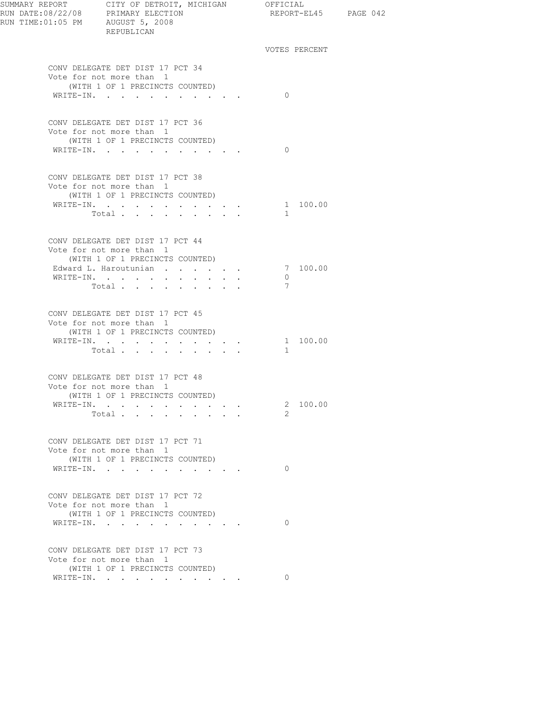| RUN TIME: 01:05 PM AUGUST 5, 2008 | REPUBLICAN                                                   |                                                                      |  |               | REPORT-EL45 PAGE 042 |  |
|-----------------------------------|--------------------------------------------------------------|----------------------------------------------------------------------|--|---------------|----------------------|--|
|                                   |                                                              |                                                                      |  | VOTES PERCENT |                      |  |
|                                   | CONV DELEGATE DET DIST 17 PCT 34                             |                                                                      |  |               |                      |  |
|                                   | Vote for not more than 1                                     |                                                                      |  |               |                      |  |
|                                   | (WITH 1 OF 1 PRECINCTS COUNTED)<br>WRITE-IN.                 |                                                                      |  | $\Omega$      |                      |  |
|                                   |                                                              |                                                                      |  |               |                      |  |
|                                   | CONV DELEGATE DET DIST 17 PCT 36                             |                                                                      |  |               |                      |  |
|                                   | Vote for not more than 1<br>(WITH 1 OF 1 PRECINCTS COUNTED)  |                                                                      |  |               |                      |  |
|                                   | WRITE-IN.                                                    |                                                                      |  | $\Omega$      |                      |  |
|                                   |                                                              |                                                                      |  |               |                      |  |
|                                   | CONV DELEGATE DET DIST 17 PCT 38                             |                                                                      |  |               |                      |  |
|                                   | Vote for not more than 1                                     |                                                                      |  |               |                      |  |
|                                   | (WITH 1 OF 1 PRECINCTS COUNTED)<br>WRITE-IN.                 |                                                                      |  |               | 1 100.00             |  |
|                                   | Total $\cdots$                                               |                                                                      |  | $\mathbf{1}$  |                      |  |
|                                   |                                                              |                                                                      |  |               |                      |  |
|                                   | CONV DELEGATE DET DIST 17 PCT 44                             |                                                                      |  |               |                      |  |
|                                   | Vote for not more than 1                                     |                                                                      |  |               |                      |  |
|                                   | (WITH 1 OF 1 PRECINCTS COUNTED)                              |                                                                      |  |               |                      |  |
|                                   | Edward L. Haroutunian<br>WRITE-IN.                           |                                                                      |  | $\circ$       | 7 100.00             |  |
|                                   | Total                                                        | $\bullet$                                                            |  | 7             |                      |  |
|                                   |                                                              |                                                                      |  |               |                      |  |
|                                   | CONV DELEGATE DET DIST 17 PCT 45<br>Vote for not more than 1 |                                                                      |  |               |                      |  |
|                                   | (WITH 1 OF 1 PRECINCTS COUNTED)                              |                                                                      |  |               |                      |  |
|                                   | WRITE-IN.                                                    |                                                                      |  |               | 1 100.00             |  |
|                                   | Total                                                        | $\mathbf{r} = \mathbf{r}$ , and the set of $\mathbf{r} = \mathbf{r}$ |  | $\mathbf{1}$  |                      |  |
|                                   |                                                              |                                                                      |  |               |                      |  |
|                                   | CONV DELEGATE DET DIST 17 PCT 48                             |                                                                      |  |               |                      |  |
|                                   | Vote for not more than 1<br>(WITH 1 OF 1 PRECINCTS COUNTED)  |                                                                      |  |               |                      |  |
|                                   | WRITE-IN.                                                    |                                                                      |  |               | 2 100.00             |  |
|                                   | Total                                                        |                                                                      |  | $\mathcal{P}$ |                      |  |
|                                   |                                                              |                                                                      |  |               |                      |  |
|                                   | CONV DELEGATE DET DIST 17 PCT 71                             |                                                                      |  |               |                      |  |
|                                   | Vote for not more than 1                                     |                                                                      |  |               |                      |  |
|                                   | (WITH 1 OF 1 PRECINCTS COUNTED)<br>WRITE-IN.                 |                                                                      |  | $\circ$       |                      |  |
|                                   |                                                              |                                                                      |  |               |                      |  |
|                                   | CONV DELEGATE DET DIST 17 PCT 72                             |                                                                      |  |               |                      |  |
|                                   | Vote for not more than 1                                     |                                                                      |  |               |                      |  |
|                                   | (WITH 1 OF 1 PRECINCTS COUNTED)                              |                                                                      |  |               |                      |  |
|                                   | WRITE-IN.                                                    |                                                                      |  | $\Omega$      |                      |  |
|                                   | CONV DELEGATE DET DIST 17 PCT 73                             |                                                                      |  |               |                      |  |
|                                   | Vote for not more than 1                                     |                                                                      |  |               |                      |  |
|                                   | (WITH 1 OF 1 PRECINCTS COUNTED)                              |                                                                      |  |               |                      |  |
|                                   | WRITE-IN.                                                    |                                                                      |  | $\Omega$      |                      |  |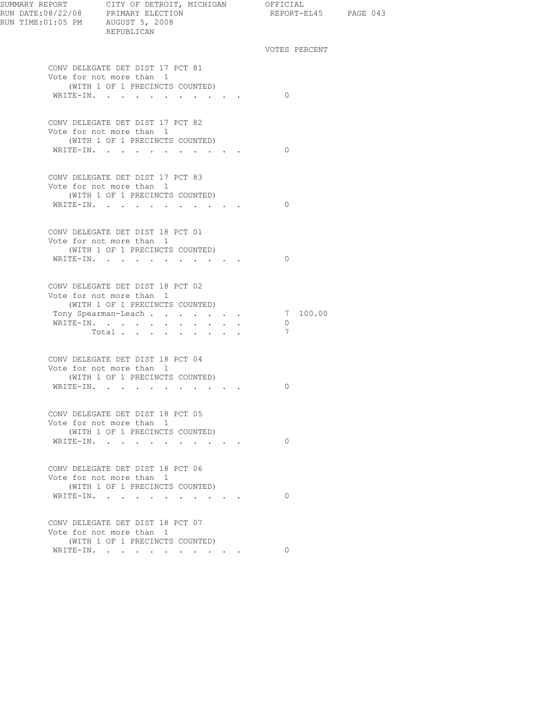| RUN DATE:08/22/08 PRIMARY ELECTION<br>RUN TIME:01:05 PM AUGUST 5, 2008 | SUMMARY REPORT CITY OF DETROIT, MICHIGAN OFFICIAL<br>REPUBLICAN                                 |                                         | REPORT-EL45 PAGE 043            |  |
|------------------------------------------------------------------------|-------------------------------------------------------------------------------------------------|-----------------------------------------|---------------------------------|--|
|                                                                        |                                                                                                 |                                         | VOTES PERCENT                   |  |
|                                                                        | CONV DELEGATE DET DIST 17 PCT 81<br>Vote for not more than 1<br>(WITH 1 OF 1 PRECINCTS COUNTED) |                                         |                                 |  |
|                                                                        | WRITE-IN.                                                                                       |                                         | $\bigcirc$                      |  |
|                                                                        | CONV DELEGATE DET DIST 17 PCT 82<br>Vote for not more than 1<br>(WITH 1 OF 1 PRECINCTS COUNTED) |                                         |                                 |  |
|                                                                        | WRITE-IN.                                                                                       |                                         | $\bigcirc$                      |  |
|                                                                        | CONV DELEGATE DET DIST 17 PCT 83<br>Vote for not more than 1                                    |                                         |                                 |  |
|                                                                        | (WITH 1 OF 1 PRECINCTS COUNTED)<br>WRITE-IN.                                                    |                                         | $\bigcirc$                      |  |
|                                                                        | CONV DELEGATE DET DIST 18 PCT 01<br>Vote for not more than 1<br>(WITH 1 OF 1 PRECINCTS COUNTED) |                                         |                                 |  |
|                                                                        | WRITE-IN.                                                                                       |                                         | $\bigcirc$                      |  |
|                                                                        | CONV DELEGATE DET DIST 18 PCT 02<br>Vote for not more than 1<br>(WITH 1 OF 1 PRECINCTS COUNTED) |                                         |                                 |  |
|                                                                        | Tony Spearman-Leach<br>WRITE-IN.<br>Total                                                       |                                         | 7 100.00<br>$\overline{0}$<br>7 |  |
|                                                                        | CONV DELEGATE DET DIST 18 PCT 04                                                                |                                         |                                 |  |
|                                                                        | Vote for not more than 1<br>(WITH 1 OF 1 PRECINCTS COUNTED)<br>WRITE-IN.                        |                                         | 0                               |  |
|                                                                        | CONV DELEGATE DET DIST 18 PCT 05                                                                |                                         |                                 |  |
|                                                                        | Vote for not more than 1<br>(WITH 1 OF 1 PRECINCTS COUNTED)                                     |                                         |                                 |  |
|                                                                        | WRITE-IN.                                                                                       | $\cdot$ $\cdot$ $\cdot$ $\cdot$ $\cdot$ | $\Omega$                        |  |
|                                                                        | CONV DELEGATE DET DIST 18 PCT 06<br>Vote for not more than 1<br>(WITH 1 OF 1 PRECINCTS COUNTED) |                                         |                                 |  |
|                                                                        | WRITE-IN.                                                                                       |                                         | $\Omega$                        |  |
|                                                                        | CONV DELEGATE DET DIST 18 PCT 07<br>Vote for not more than 1<br>(WITH 1 OF 1 PRECINCTS COUNTED) |                                         |                                 |  |
|                                                                        | WRITE-IN.                                                                                       |                                         | $\Omega$                        |  |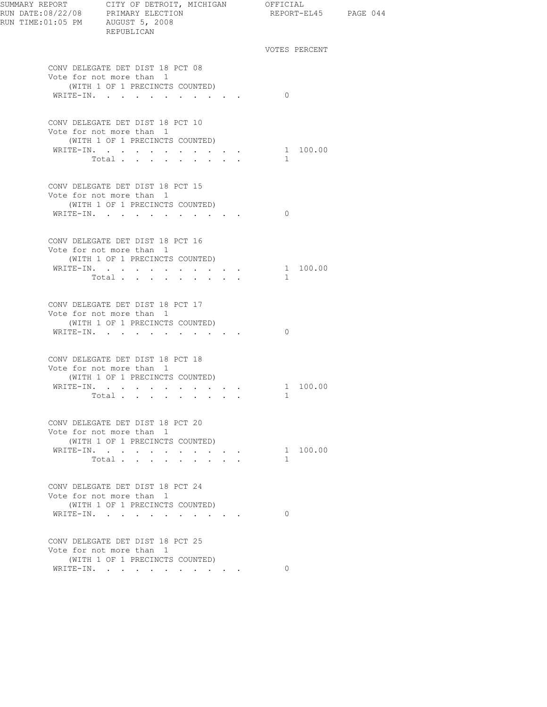| RUN DATE:08/22/08 PRIMARY ELECTION<br>RUN TIME:01:05 PM AUGUST 5, 2008 | SUMMARY REPORT CITY OF DETROIT, MICHIGAN OFFICIAL<br>REPUBLICAN | REPORT-EL45 PAGE 044 |  |
|------------------------------------------------------------------------|-----------------------------------------------------------------|----------------------|--|
|                                                                        |                                                                 | VOTES PERCENT        |  |
|                                                                        | CONV DELEGATE DET DIST 18 PCT 08<br>Vote for not more than 1    |                      |  |
|                                                                        | (WITH 1 OF 1 PRECINCTS COUNTED)<br>WRITE-IN.                    | $\Omega$             |  |
|                                                                        | CONV DELEGATE DET DIST 18 PCT 10                                |                      |  |
|                                                                        | Vote for not more than 1<br>(WITH 1 OF 1 PRECINCTS COUNTED)     |                      |  |
|                                                                        | WRITE-IN.                                                       | 1 100.00             |  |
|                                                                        | Total                                                           | $\mathbf{1}$         |  |
|                                                                        | CONV DELEGATE DET DIST 18 PCT 15                                |                      |  |
|                                                                        | Vote for not more than 1<br>(WITH 1 OF 1 PRECINCTS COUNTED)     |                      |  |
|                                                                        | WRITE-IN.                                                       | $\Omega$             |  |
|                                                                        |                                                                 |                      |  |
|                                                                        | CONV DELEGATE DET DIST 18 PCT 16                                |                      |  |
|                                                                        | Vote for not more than 1<br>(WITH 1 OF 1 PRECINCTS COUNTED)     |                      |  |
|                                                                        | WRITE-IN.                                                       | 1 100.00             |  |
|                                                                        | Total $\cdots$                                                  | $\mathbf{1}$         |  |
|                                                                        | CONV DELEGATE DET DIST 18 PCT 17                                |                      |  |
|                                                                        | Vote for not more than 1<br>(WITH 1 OF 1 PRECINCTS COUNTED)     |                      |  |
|                                                                        | WRITE-IN.                                                       | $\Omega$             |  |
|                                                                        |                                                                 |                      |  |
|                                                                        | CONV DELEGATE DET DIST 18 PCT 18<br>Vote for not more than 1    |                      |  |
|                                                                        | (WITH 1 OF 1 PRECINCTS COUNTED)                                 |                      |  |
|                                                                        | WRITE-IN.                                                       | 1 100.00             |  |
|                                                                        | Total $\cdots$                                                  | 1                    |  |
|                                                                        | CONV DELEGATE DET DIST 18 PCT 20<br>Vote for not more than 1    |                      |  |
|                                                                        | (WITH 1 OF 1 PRECINCTS COUNTED)                                 |                      |  |
|                                                                        | WRITE-IN.                                                       | 1 100.00             |  |
|                                                                        | Total                                                           | $\mathbb{1}$         |  |
|                                                                        | CONV DELEGATE DET DIST 18 PCT 24                                |                      |  |
|                                                                        | Vote for not more than 1<br>(WITH 1 OF 1 PRECINCTS COUNTED)     |                      |  |
|                                                                        | WRITE-IN.                                                       | $\Omega$             |  |
|                                                                        | CONV DELEGATE DET DIST 18 PCT 25                                |                      |  |
|                                                                        | Vote for not more than 1                                        |                      |  |
|                                                                        | (WITH 1 OF 1 PRECINCTS COUNTED)<br>WRITE-IN.                    | $\Omega$             |  |
|                                                                        |                                                                 |                      |  |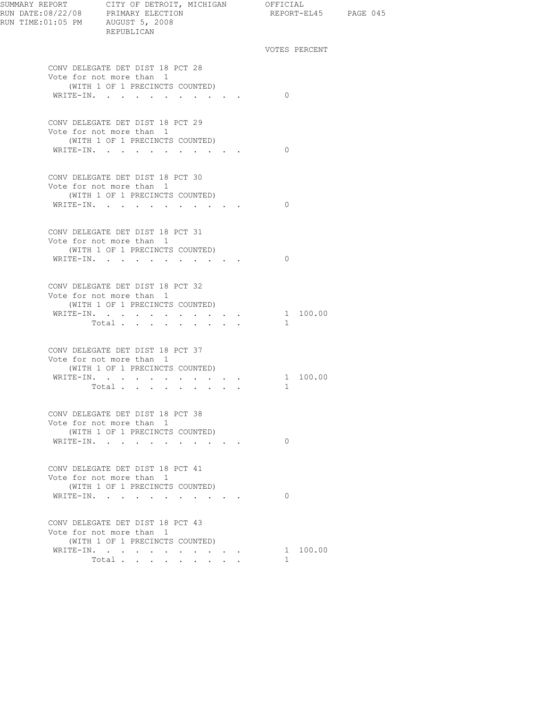| RUN TIME: 01:05 PM AUGUST 5, 2008 | REPUBLICAN                                                                                                   |                                                                                                                           | REPORT-EL45 PAGE 045     |  |
|-----------------------------------|--------------------------------------------------------------------------------------------------------------|---------------------------------------------------------------------------------------------------------------------------|--------------------------|--|
|                                   |                                                                                                              |                                                                                                                           | VOTES PERCENT            |  |
|                                   | CONV DELEGATE DET DIST 18 PCT 28<br>Vote for not more than 1<br>(WITH 1 OF 1 PRECINCTS COUNTED)<br>WRITE-IN. |                                                                                                                           | $\Omega$                 |  |
|                                   |                                                                                                              |                                                                                                                           |                          |  |
|                                   | CONV DELEGATE DET DIST 18 PCT 29<br>Vote for not more than 1<br>(WITH 1 OF 1 PRECINCTS COUNTED)<br>WRITE-IN. |                                                                                                                           | $\Omega$                 |  |
|                                   | CONV DELEGATE DET DIST 18 PCT 30<br>Vote for not more than 1<br>(WITH 1 OF 1 PRECINCTS COUNTED)<br>WRITE-IN. |                                                                                                                           | $\bigcirc$               |  |
|                                   | CONV DELEGATE DET DIST 18 PCT 31<br>Vote for not more than 1<br>(WITH 1 OF 1 PRECINCTS COUNTED)              |                                                                                                                           |                          |  |
|                                   | WRITE-IN.                                                                                                    |                                                                                                                           | $\bigcirc$               |  |
|                                   | CONV DELEGATE DET DIST 18 PCT 32<br>Vote for not more than 1<br>(WITH 1 OF 1 PRECINCTS COUNTED)              |                                                                                                                           |                          |  |
|                                   | WRITE-IN.<br>Total                                                                                           |                                                                                                                           | 1 100.00<br>$\mathbf{1}$ |  |
|                                   | CONV DELEGATE DET DIST 18 PCT 37<br>Vote for not more than 1<br>(WITH 1 OF 1 PRECINCTS COUNTED)              |                                                                                                                           |                          |  |
|                                   | WRITE-IN.<br>Total                                                                                           |                                                                                                                           | 1 100.00<br>$\mathbf{1}$ |  |
|                                   | CONV DELEGATE DET DIST 18 PCT 38<br>Vote for not more than 1<br>(WITH 1 OF 1 PRECINCTS COUNTED)              |                                                                                                                           |                          |  |
|                                   | WRITE-IN.                                                                                                    | $\begin{array}{cccccccccccccc} \bullet & \bullet & \bullet & \bullet & \bullet & \bullet & \bullet & \bullet \end{array}$ | $\Omega$                 |  |
|                                   | CONV DELEGATE DET DIST 18 PCT 41<br>Vote for not more than 1<br>(WITH 1 OF 1 PRECINCTS COUNTED)              |                                                                                                                           |                          |  |
|                                   | WRITE-IN.                                                                                                    | the contract of the contract of                                                                                           | $\Omega$                 |  |
|                                   | CONV DELEGATE DET DIST 18 PCT 43<br>Vote for not more than 1<br>(WITH 1 OF 1 PRECINCTS COUNTED)              |                                                                                                                           |                          |  |
|                                   | WRITE-IN.<br>Total<br>$\sim$                                                                                 | $\mathbf{L}$ and $\mathbf{L}$                                                                                             | 1 100.00<br>$\mathbf{1}$ |  |
|                                   |                                                                                                              |                                                                                                                           |                          |  |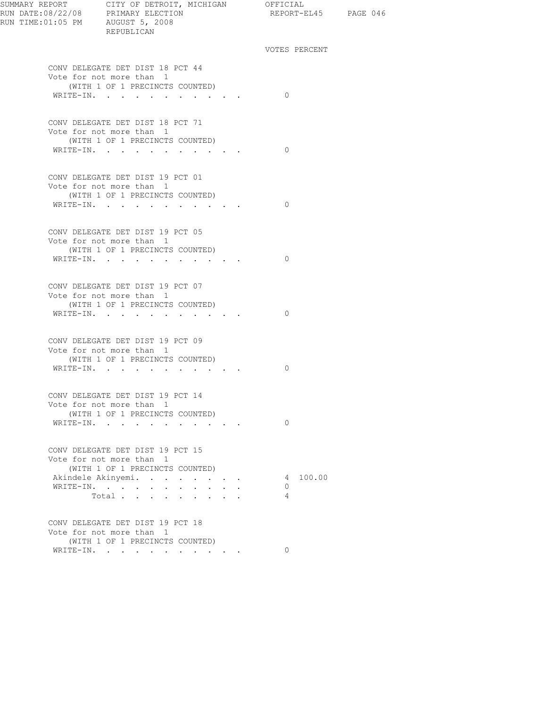| SUMMARY REPORT CITY OF DETROIT, MICHIGAN OFFICIAL<br>RUN DATE:08/22/08 PRIMARY ELECTION<br>RUN TIME:01:05 PM AUGUST 5, 2008<br>REPUBLICAN |                                                                                                              | REPORT-EL45 PAGE 046 |               |  |
|-------------------------------------------------------------------------------------------------------------------------------------------|--------------------------------------------------------------------------------------------------------------|----------------------|---------------|--|
|                                                                                                                                           |                                                                                                              |                      | VOTES PERCENT |  |
|                                                                                                                                           | CONV DELEGATE DET DIST 18 PCT 44<br>Vote for not more than 1<br>(WITH 1 OF 1 PRECINCTS COUNTED)              |                      |               |  |
|                                                                                                                                           | WRITE-IN.                                                                                                    | $\Omega$             |               |  |
|                                                                                                                                           | CONV DELEGATE DET DIST 18 PCT 71<br>Vote for not more than 1<br>(WITH 1 OF 1 PRECINCTS COUNTED)              |                      |               |  |
|                                                                                                                                           | WRITE-IN.                                                                                                    | $\Omega$             |               |  |
|                                                                                                                                           | CONV DELEGATE DET DIST 19 PCT 01<br>Vote for not more than 1<br>(WITH 1 OF 1 PRECINCTS COUNTED)              |                      |               |  |
|                                                                                                                                           | WRITE-IN.                                                                                                    | $\Omega$             |               |  |
|                                                                                                                                           | CONV DELEGATE DET DIST 19 PCT 05<br>Vote for not more than 1<br>(WITH 1 OF 1 PRECINCTS COUNTED)<br>WRITE-IN. | $\Omega$             |               |  |
|                                                                                                                                           | CONV DELEGATE DET DIST 19 PCT 07<br>Vote for not more than 1<br>(WITH 1 OF 1 PRECINCTS COUNTED)<br>WRITE-IN. | $\Omega$             |               |  |
|                                                                                                                                           | CONV DELEGATE DET DIST 19 PCT 09<br>Vote for not more than 1                                                 |                      |               |  |
|                                                                                                                                           | (WITH 1 OF 1 PRECINCTS COUNTED)<br>WRITE-IN.                                                                 | $\Omega$             |               |  |
|                                                                                                                                           | CONV DELEGATE DET DIST 19 PCT 14<br>Vote for not more than 1<br>(WITH 1 OF 1 PRECINCTS COUNTED)<br>WRITE-IN. | $\Omega$             |               |  |
|                                                                                                                                           |                                                                                                              |                      |               |  |
|                                                                                                                                           | CONV DELEGATE DET DIST 19 PCT 15<br>Vote for not more than 1<br>(WITH 1 OF 1 PRECINCTS COUNTED)              |                      |               |  |
|                                                                                                                                           | Akindele Akinyemi.<br>WRITE-IN.<br>Total                                                                     | 0<br>$\overline{4}$  | 4 100.00      |  |
|                                                                                                                                           | CONV DELEGATE DET DIST 19 PCT 18<br>Vote for not more than 1<br>(WITH 1 OF 1 PRECINCTS COUNTED)              |                      |               |  |
|                                                                                                                                           | WRITE-IN.                                                                                                    | $\Omega$             |               |  |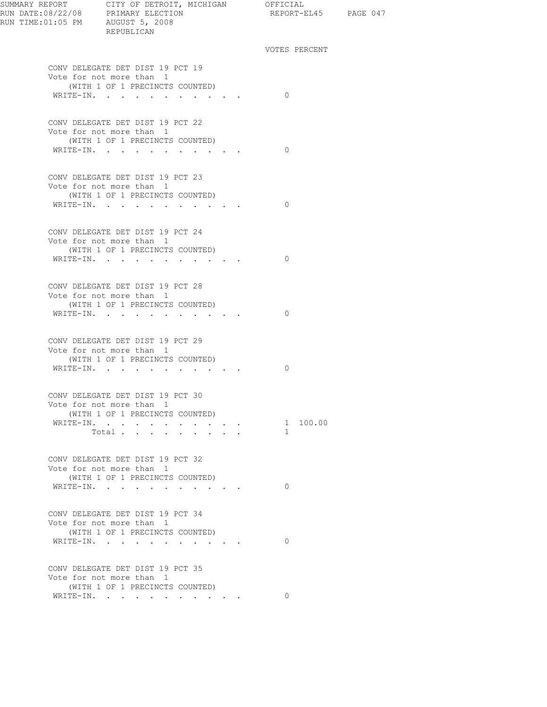| SUMMARY REPORT CITY OF DETROIT, MICHIGAN OFFICIAL<br>RUN DATE:08/22/08 PRIMARY ELECTION REPORT-E<br>RUN TIME:01:05 PM AUGUST 5, 2008<br>REPUBLICAN |                                         | REPORT-EL45 PAGE 047                                                                           |  |
|----------------------------------------------------------------------------------------------------------------------------------------------------|-----------------------------------------|------------------------------------------------------------------------------------------------|--|
|                                                                                                                                                    |                                         | VOTES PERCENT                                                                                  |  |
| CONV DELEGATE DET DIST 19 PCT 19<br>Vote for not more than 1<br>(WITH 1 OF 1 PRECINCTS COUNTED)<br>WRITE-IN.                                       |                                         | $\bigcirc$                                                                                     |  |
| CONV DELEGATE DET DIST 19 PCT 22<br>Vote for not more than 1<br>(WITH 1 OF 1 PRECINCTS COUNTED)<br>WRITE-IN.                                       |                                         | $\Omega$                                                                                       |  |
| CONV DELEGATE DET DIST 19 PCT 23<br>Vote for not more than 1<br>(WITH 1 OF 1 PRECINCTS COUNTED)<br>WRITE-IN.                                       |                                         | $\bigcirc$                                                                                     |  |
| CONV DELEGATE DET DIST 19 PCT 24<br>Vote for not more than 1<br>(WITH 1 OF 1 PRECINCTS COUNTED)<br>WRITE-IN.                                       |                                         | $\bigcirc$                                                                                     |  |
| CONV DELEGATE DET DIST 19 PCT 28<br>Vote for not more than 1<br>(WITH 1 OF 1 PRECINCTS COUNTED)<br>WRITE-IN.                                       |                                         | $\bigcirc$                                                                                     |  |
| CONV DELEGATE DET DIST 19 PCT 29<br>Vote for not more than 1<br>(WITH 1 OF 1 PRECINCTS COUNTED)<br>WRITE-IN.                                       |                                         | $\Omega$                                                                                       |  |
| CONV DELEGATE DET DIST 19 PCT 30<br>Vote for not more than 1<br>(WITH 1 OF 1 PRECINCTS COUNTED)<br>WRITE-IN.<br>Total                              | $\cdot$ $\cdot$ $\cdot$ $\cdot$ $\cdot$ | $\begin{array}{cccccccccccccc} . & . & . & . & . & . & 1 & 100.00 \end{array}$<br>$\mathbf{1}$ |  |
| CONV DELEGATE DET DIST 19 PCT 32<br>Vote for not more than 1<br>(WITH 1 OF 1 PRECINCTS COUNTED)<br>WRITE-IN.                                       |                                         | $\Omega$                                                                                       |  |
| CONV DELEGATE DET DIST 19 PCT 34<br>Vote for not more than 1<br>(WITH 1 OF 1 PRECINCTS COUNTED)<br>WRITE-IN.                                       |                                         | $\Omega$                                                                                       |  |
| CONV DELEGATE DET DIST 19 PCT 35<br>Vote for not more than 1<br>(WITH 1 OF 1 PRECINCTS COUNTED)                                                    |                                         | $\Omega$                                                                                       |  |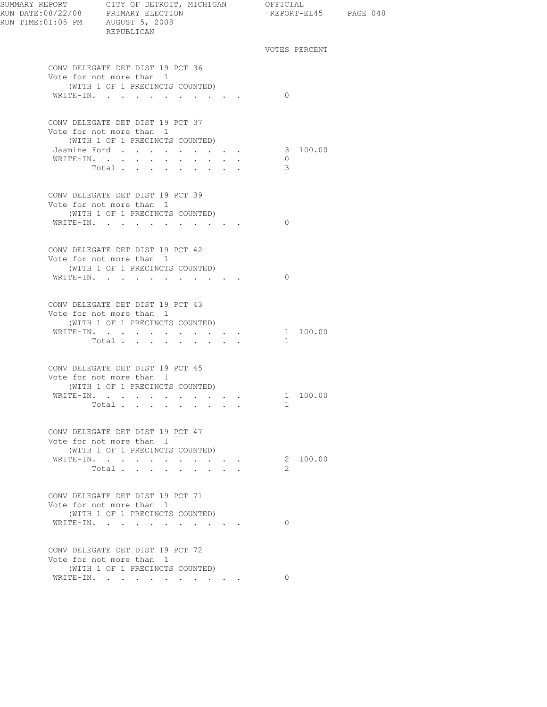| RUN TIME:01:05 PM AUGUST 5, 2008 | REPUBLICAN                                                   |                                                                                                                                                                                                                                                                                                                                                                                                                                                            |               |          | REPORT-EL45 PAGE 048 |
|----------------------------------|--------------------------------------------------------------|------------------------------------------------------------------------------------------------------------------------------------------------------------------------------------------------------------------------------------------------------------------------------------------------------------------------------------------------------------------------------------------------------------------------------------------------------------|---------------|----------|----------------------|
|                                  |                                                              |                                                                                                                                                                                                                                                                                                                                                                                                                                                            | VOTES PERCENT |          |                      |
|                                  | CONV DELEGATE DET DIST 19 PCT 36                             |                                                                                                                                                                                                                                                                                                                                                                                                                                                            |               |          |                      |
|                                  | Vote for not more than 1                                     |                                                                                                                                                                                                                                                                                                                                                                                                                                                            |               |          |                      |
|                                  | (WITH 1 OF 1 PRECINCTS COUNTED)                              |                                                                                                                                                                                                                                                                                                                                                                                                                                                            |               |          |                      |
|                                  | WRITE-IN.                                                    |                                                                                                                                                                                                                                                                                                                                                                                                                                                            | $\Omega$      |          |                      |
|                                  | CONV DELEGATE DET DIST 19 PCT 37                             |                                                                                                                                                                                                                                                                                                                                                                                                                                                            |               |          |                      |
|                                  | Vote for not more than 1                                     |                                                                                                                                                                                                                                                                                                                                                                                                                                                            |               |          |                      |
|                                  | (WITH 1 OF 1 PRECINCTS COUNTED)                              |                                                                                                                                                                                                                                                                                                                                                                                                                                                            |               |          |                      |
|                                  | Jasmine Ford                                                 |                                                                                                                                                                                                                                                                                                                                                                                                                                                            |               | 3 100.00 |                      |
|                                  |                                                              | $\bullet$ .<br><br><br><br><br><br><br><br><br><br><br><br>                                                                                                                                                                                                                                                                                                                                                                                                | 0             |          |                      |
|                                  | Total                                                        |                                                                                                                                                                                                                                                                                                                                                                                                                                                            | 3             |          |                      |
|                                  | CONV DELEGATE DET DIST 19 PCT 39                             |                                                                                                                                                                                                                                                                                                                                                                                                                                                            |               |          |                      |
|                                  | Vote for not more than 1                                     |                                                                                                                                                                                                                                                                                                                                                                                                                                                            |               |          |                      |
|                                  | (WITH 1 OF 1 PRECINCTS COUNTED)                              |                                                                                                                                                                                                                                                                                                                                                                                                                                                            |               |          |                      |
|                                  | WRITE-IN.                                                    |                                                                                                                                                                                                                                                                                                                                                                                                                                                            | $\Omega$      |          |                      |
|                                  |                                                              |                                                                                                                                                                                                                                                                                                                                                                                                                                                            |               |          |                      |
|                                  | CONV DELEGATE DET DIST 19 PCT 42                             |                                                                                                                                                                                                                                                                                                                                                                                                                                                            |               |          |                      |
|                                  | Vote for not more than 1                                     |                                                                                                                                                                                                                                                                                                                                                                                                                                                            |               |          |                      |
|                                  | (WITH 1 OF 1 PRECINCTS COUNTED)                              |                                                                                                                                                                                                                                                                                                                                                                                                                                                            |               |          |                      |
|                                  | WRITE-IN.                                                    |                                                                                                                                                                                                                                                                                                                                                                                                                                                            | $\Omega$      |          |                      |
|                                  |                                                              |                                                                                                                                                                                                                                                                                                                                                                                                                                                            |               |          |                      |
|                                  |                                                              |                                                                                                                                                                                                                                                                                                                                                                                                                                                            |               |          |                      |
|                                  | CONV DELEGATE DET DIST 19 PCT 43                             |                                                                                                                                                                                                                                                                                                                                                                                                                                                            |               |          |                      |
|                                  | Vote for not more than 1<br>(WITH 1 OF 1 PRECINCTS COUNTED)  |                                                                                                                                                                                                                                                                                                                                                                                                                                                            |               |          |                      |
|                                  | WRITE-IN.                                                    |                                                                                                                                                                                                                                                                                                                                                                                                                                                            |               | 1 100.00 |                      |
|                                  | Total<br><b>Contract Contract</b>                            |                                                                                                                                                                                                                                                                                                                                                                                                                                                            | $\mathbf{1}$  |          |                      |
|                                  |                                                              |                                                                                                                                                                                                                                                                                                                                                                                                                                                            |               |          |                      |
|                                  |                                                              |                                                                                                                                                                                                                                                                                                                                                                                                                                                            |               |          |                      |
|                                  | CONV DELEGATE DET DIST 19 PCT 45<br>Vote for not more than 1 |                                                                                                                                                                                                                                                                                                                                                                                                                                                            |               |          |                      |
|                                  | (WITH 1 OF 1 PRECINCTS COUNTED)                              |                                                                                                                                                                                                                                                                                                                                                                                                                                                            |               |          |                      |
|                                  | WRITE-IN.                                                    |                                                                                                                                                                                                                                                                                                                                                                                                                                                            |               | 1 100.00 |                      |
|                                  | Total                                                        |                                                                                                                                                                                                                                                                                                                                                                                                                                                            | 1             |          |                      |
|                                  |                                                              |                                                                                                                                                                                                                                                                                                                                                                                                                                                            |               |          |                      |
|                                  | CONV DELEGATE DET DIST 19 PCT 47                             |                                                                                                                                                                                                                                                                                                                                                                                                                                                            |               |          |                      |
|                                  | Vote for not more than 1                                     |                                                                                                                                                                                                                                                                                                                                                                                                                                                            |               |          |                      |
|                                  | (WITH 1 OF 1 PRECINCTS COUNTED)                              |                                                                                                                                                                                                                                                                                                                                                                                                                                                            |               |          |                      |
|                                  | WRITE-IN.                                                    |                                                                                                                                                                                                                                                                                                                                                                                                                                                            |               | 2 100.00 |                      |
|                                  | Total<br>$\mathbf{L}$<br>$\ddot{\phantom{a}}$                | $\mathbf{L}^{\text{max}}(\mathbf{L}^{\text{max}}(\mathbf{L}^{\text{max}}(\mathbf{L}^{\text{max}}(\mathbf{L}^{\text{max}}(\mathbf{L}^{\text{max}}(\mathbf{L}^{\text{max}}(\mathbf{L}^{\text{max}}(\mathbf{L}^{\text{max}}(\mathbf{L}^{\text{max}}(\mathbf{L}^{\text{max}}(\mathbf{L}^{\text{max}}(\mathbf{L}^{\text{max}}(\mathbf{L}^{\text{max}}(\mathbf{L}^{\text{max}}(\mathbf{L}^{\text{max}}(\mathbf{L}^{\text{max}}(\mathbf{L}^{\text{max}}(\mathbf{$ | 2             |          |                      |
|                                  |                                                              |                                                                                                                                                                                                                                                                                                                                                                                                                                                            |               |          |                      |
|                                  | CONV DELEGATE DET DIST 19 PCT 71                             |                                                                                                                                                                                                                                                                                                                                                                                                                                                            |               |          |                      |
|                                  | Vote for not more than 1                                     |                                                                                                                                                                                                                                                                                                                                                                                                                                                            |               |          |                      |
|                                  | (WITH 1 OF 1 PRECINCTS COUNTED)                              |                                                                                                                                                                                                                                                                                                                                                                                                                                                            |               |          |                      |
|                                  | WRITE-IN.                                                    |                                                                                                                                                                                                                                                                                                                                                                                                                                                            | $\Omega$      |          |                      |
|                                  |                                                              |                                                                                                                                                                                                                                                                                                                                                                                                                                                            |               |          |                      |
|                                  | CONV DELEGATE DET DIST 19 PCT 72                             |                                                                                                                                                                                                                                                                                                                                                                                                                                                            |               |          |                      |
|                                  | Vote for not more than 1                                     |                                                                                                                                                                                                                                                                                                                                                                                                                                                            |               |          |                      |
|                                  | (WITH 1 OF 1 PRECINCTS COUNTED)                              |                                                                                                                                                                                                                                                                                                                                                                                                                                                            |               |          |                      |
|                                  | WRITE-IN.                                                    |                                                                                                                                                                                                                                                                                                                                                                                                                                                            | $\Omega$      |          |                      |
|                                  |                                                              |                                                                                                                                                                                                                                                                                                                                                                                                                                                            |               |          |                      |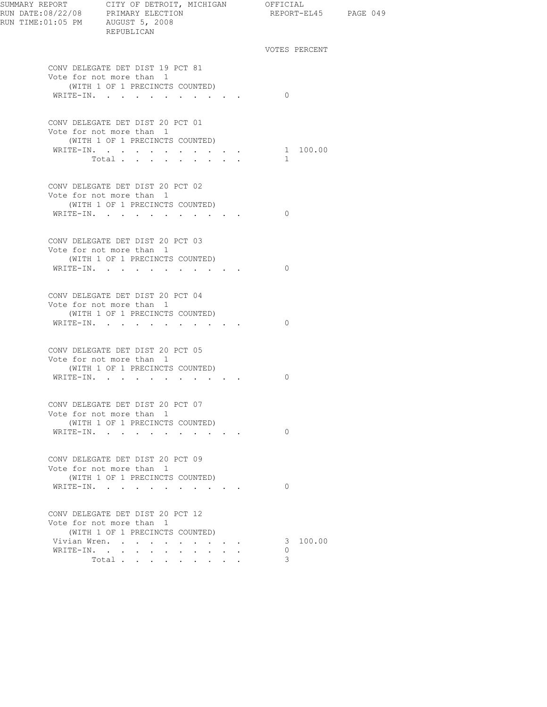| SUMMARY REPORT CITY OF DETROIT, MICHIGAN OFFICIAL | REPUBLICAN                                                                                                            |                                         |          | REPORT-EL45 PAGE 049 |  |
|---------------------------------------------------|-----------------------------------------------------------------------------------------------------------------------|-----------------------------------------|----------|----------------------|--|
|                                                   |                                                                                                                       |                                         |          | VOTES PERCENT        |  |
|                                                   | CONV DELEGATE DET DIST 19 PCT 81<br>Vote for not more than 1<br>(WITH 1 OF 1 PRECINCTS COUNTED)                       |                                         | $\Omega$ |                      |  |
|                                                   | WRITE-IN.                                                                                                             |                                         |          |                      |  |
|                                                   | CONV DELEGATE DET DIST 20 PCT 01<br>Vote for not more than 1<br>(WITH 1 OF 1 PRECINCTS COUNTED)<br>WRITE-IN. 1 100.00 |                                         |          |                      |  |
|                                                   | Total                                                                                                                 |                                         | $\sim$   |                      |  |
|                                                   | CONV DELEGATE DET DIST 20 PCT 02<br>Vote for not more than 1<br>(WITH 1 OF 1 PRECINCTS COUNTED)                       |                                         |          |                      |  |
|                                                   | WRITE-IN.                                                                                                             |                                         | $\Omega$ |                      |  |
|                                                   | CONV DELEGATE DET DIST 20 PCT 03<br>Vote for not more than 1<br>(WITH 1 OF 1 PRECINCTS COUNTED)<br>WRITE-IN.          |                                         | $\Omega$ |                      |  |
|                                                   | CONV DELEGATE DET DIST 20 PCT 04<br>Vote for not more than 1<br>(WITH 1 OF 1 PRECINCTS COUNTED)<br>WRITE-IN.          |                                         | $\Omega$ |                      |  |
|                                                   | CONV DELEGATE DET DIST 20 PCT 05<br>Vote for not more than 1<br>(WITH 1 OF 1 PRECINCTS COUNTED)<br>WRITE-IN.          |                                         | 0        |                      |  |
|                                                   | CONV DELEGATE DET DIST 20 PCT 07<br>Vote for not more than 1                                                          |                                         |          |                      |  |
|                                                   | (WITH 1 OF 1 PRECINCTS COUNTED)<br>WRITE-IN.                                                                          |                                         | $\Omega$ |                      |  |
|                                                   | CONV DELEGATE DET DIST 20 PCT 09<br>Vote for not more than 1<br>(WITH 1 OF 1 PRECINCTS COUNTED)                       |                                         |          |                      |  |
|                                                   | WRITE-IN.                                                                                                             |                                         | $\Omega$ |                      |  |
|                                                   | CONV DELEGATE DET DIST 20 PCT 12<br>Vote for not more than 1<br>(WITH 1 OF 1 PRECINCTS COUNTED)                       |                                         |          |                      |  |
|                                                   | Vivian Wren.                                                                                                          |                                         |          | 3 100.00             |  |
|                                                   | WRITE-IN.<br>$\bullet$ .<br><br><br><br><br><br><br>$\sim 10^{-11}$                                                   | $\cdot$ $\cdot$ $\cdot$ $\cdot$ $\cdot$ | $\circ$  |                      |  |
|                                                   | Total                                                                                                                 |                                         | 3        |                      |  |
|                                                   |                                                                                                                       |                                         |          |                      |  |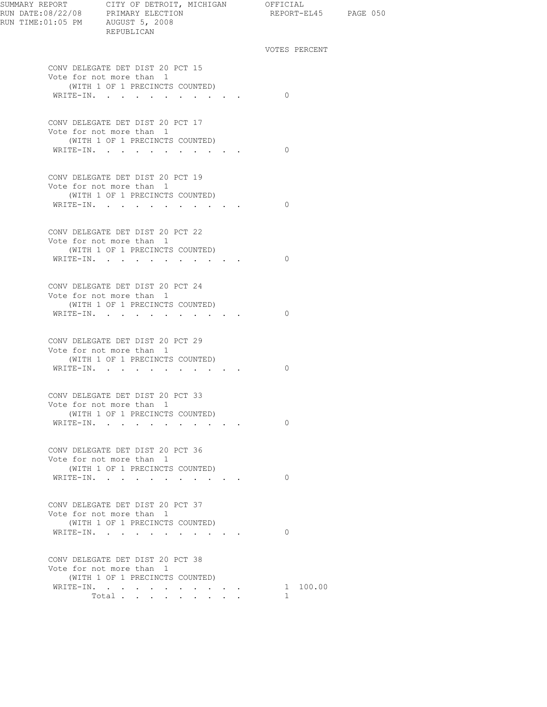| SUMMARY REPORT CITY OF DETROIT, MICHIGAN OFFICIAL<br>REPUBLICAN                                              | REPORT-EL45 PAGE 050     |  |
|--------------------------------------------------------------------------------------------------------------|--------------------------|--|
|                                                                                                              | VOTES PERCENT            |  |
| CONV DELEGATE DET DIST 20 PCT 15<br>Vote for not more than 1                                                 |                          |  |
| (WITH 1 OF 1 PRECINCTS COUNTED)<br>WRITE-IN.                                                                 | $\bigcirc$               |  |
| CONV DELEGATE DET DIST 20 PCT 17<br>Vote for not more than 1<br>(WITH 1 OF 1 PRECINCTS COUNTED)              |                          |  |
| WRITE-IN.                                                                                                    | $\bigcirc$               |  |
| CONV DELEGATE DET DIST 20 PCT 19<br>Vote for not more than 1<br>(WITH 1 OF 1 PRECINCTS COUNTED)              |                          |  |
| WRITE-IN.                                                                                                    | $\circ$ 0                |  |
| CONV DELEGATE DET DIST 20 PCT 22<br>Vote for not more than 1<br>(WITH 1 OF 1 PRECINCTS COUNTED)<br>WRITE-IN. | $\bigcirc$               |  |
| CONV DELEGATE DET DIST 20 PCT 24                                                                             |                          |  |
| Vote for not more than 1<br>(WITH 1 OF 1 PRECINCTS COUNTED)<br>WRITE-IN.                                     | $\Omega$                 |  |
| CONV DELEGATE DET DIST 20 PCT 29<br>Vote for not more than 1                                                 |                          |  |
| (WITH 1 OF 1 PRECINCTS COUNTED)<br>WRITE-IN.                                                                 | $\Omega$                 |  |
| CONV DELEGATE DET DIST 20 PCT 33<br>Vote for not more than 1                                                 |                          |  |
| (WITH 1 OF 1 PRECINCTS COUNTED)<br>WRITE-IN.                                                                 | $\Omega$                 |  |
| CONV DELEGATE DET DIST 20 PCT 36<br>Vote for not more than 1<br>(WITH 1 OF 1 PRECINCTS COUNTED)              |                          |  |
| WRITE-IN.                                                                                                    | $\Omega$                 |  |
| CONV DELEGATE DET DIST 20 PCT 37<br>Vote for not more than 1<br>(WITH 1 OF 1 PRECINCTS COUNTED)              |                          |  |
| WRITE-IN.                                                                                                    | $\Omega$                 |  |
| CONV DELEGATE DET DIST 20 PCT 38<br>Vote for not more than 1<br>(WITH 1 OF 1 PRECINCTS COUNTED)              |                          |  |
| WRITE-IN.<br>Total                                                                                           | 1 100.00<br>$\mathbf{1}$ |  |
|                                                                                                              |                          |  |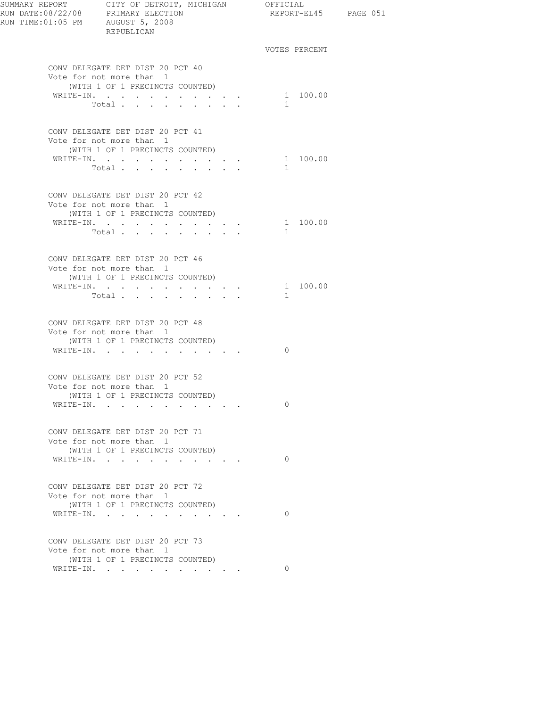| RUN TIME:01:05 PM AUGUST 5, 2008 | REPUBLICAN                                                                                                   |                                                                  | REPORT-EL45 PAGE 051     |  |
|----------------------------------|--------------------------------------------------------------------------------------------------------------|------------------------------------------------------------------|--------------------------|--|
|                                  |                                                                                                              |                                                                  | VOTES PERCENT            |  |
|                                  | CONV DELEGATE DET DIST 20 PCT 40<br>Vote for not more than 1<br>(WITH 1 OF 1 PRECINCTS COUNTED)              |                                                                  |                          |  |
|                                  | WRITE-IN.<br>Total                                                                                           | $\mathbf{r} = \mathbf{r} + \mathbf{r} + \mathbf{r} + \mathbf{r}$ | 1 100.00<br>1            |  |
|                                  | CONV DELEGATE DET DIST 20 PCT 41<br>Vote for not more than 1<br>(WITH 1 OF 1 PRECINCTS COUNTED)              |                                                                  |                          |  |
|                                  | WRITE-IN.<br>Total $\cdots$                                                                                  |                                                                  | 1 100.00<br>$\mathbf{1}$ |  |
|                                  | CONV DELEGATE DET DIST 20 PCT 42<br>Vote for not more than 1<br>(WITH 1 OF 1 PRECINCTS COUNTED)              |                                                                  |                          |  |
|                                  | WRITE-IN.<br>Total                                                                                           |                                                                  | 1 100.00<br>$\mathbf{1}$ |  |
|                                  | CONV DELEGATE DET DIST 20 PCT 46<br>Vote for not more than 1<br>(WITH 1 OF 1 PRECINCTS COUNTED)              |                                                                  |                          |  |
|                                  | WRITE-IN.<br>Total                                                                                           | $\mathbf{r} = \mathbf{r} + \mathbf{r} + \mathbf{r} + \mathbf{r}$ | 1 100.00<br>1            |  |
|                                  | CONV DELEGATE DET DIST 20 PCT 48<br>Vote for not more than 1<br>(WITH 1 OF 1 PRECINCTS COUNTED)<br>WRITE-IN. |                                                                  | $\Omega$                 |  |
|                                  | CONV DELEGATE DET DIST 20 PCT 52<br>Vote for not more than 1<br>(WITH 1 OF 1 PRECINCTS COUNTED)              |                                                                  |                          |  |
|                                  | WRITE-IN.                                                                                                    |                                                                  | 0                        |  |
|                                  | CONV DELEGATE DET DIST 20 PCT 71<br>Vote for not more than 1<br>(WITH 1 OF 1 PRECINCTS COUNTED)<br>WRITE-IN. |                                                                  | $\Omega$                 |  |
|                                  | CONV DELEGATE DET DIST 20 PCT 72<br>Vote for not more than 1<br>(WITH 1 OF 1 PRECINCTS COUNTED)<br>WRITE-IN. |                                                                  | $\Omega$                 |  |
|                                  | CONV DELEGATE DET DIST 20 PCT 73<br>Vote for not more than 1                                                 |                                                                  |                          |  |
|                                  | (WITH 1 OF 1 PRECINCTS COUNTED)<br>WRITE-IN.                                                                 |                                                                  | $\Omega$                 |  |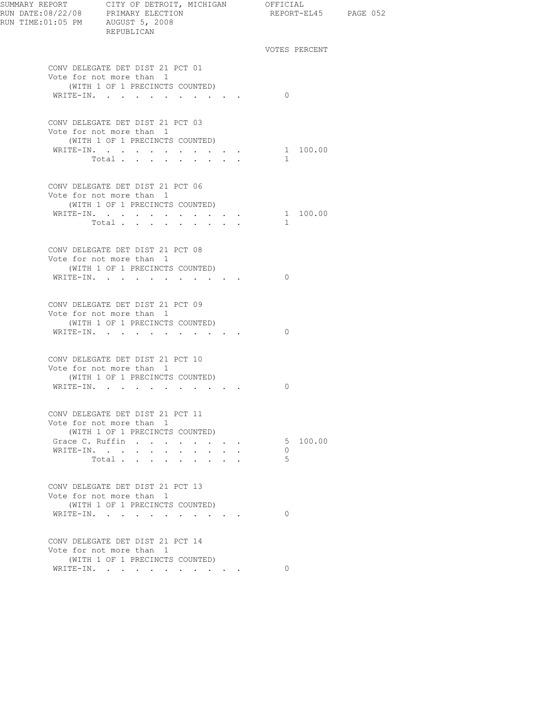| RUN DATE:08/22/08 PRIMARY ELECTION<br>RUN TIME:01:05 PM AUGUST 5, 2008<br>REPURLICAN | SUMMARY REPORT CITY OF DETROIT, MICHIGAN OFFICIAL<br>REPUBLICAN                                 |                                         | REPORT-EL45 PAGE 052 |  |
|--------------------------------------------------------------------------------------|-------------------------------------------------------------------------------------------------|-----------------------------------------|----------------------|--|
|                                                                                      |                                                                                                 |                                         | VOTES PERCENT        |  |
|                                                                                      | CONV DELEGATE DET DIST 21 PCT 01<br>Vote for not more than 1<br>(WITH 1 OF 1 PRECINCTS COUNTED) |                                         |                      |  |
|                                                                                      | WRITE-IN.                                                                                       |                                         | $\bigcirc$           |  |
|                                                                                      | CONV DELEGATE DET DIST 21 PCT 03<br>Vote for not more than 1<br>(WITH 1 OF 1 PRECINCTS COUNTED) |                                         |                      |  |
|                                                                                      | WRITE-IN.                                                                                       |                                         | 1 100.00             |  |
|                                                                                      | Total $\cdots$                                                                                  |                                         | 1                    |  |
|                                                                                      |                                                                                                 |                                         |                      |  |
|                                                                                      | CONV DELEGATE DET DIST 21 PCT 06<br>Vote for not more than 1                                    |                                         |                      |  |
|                                                                                      | (WITH 1 OF 1 PRECINCTS COUNTED)<br>WRITE-IN. 1 100.00                                           |                                         |                      |  |
|                                                                                      | Total                                                                                           |                                         | $\sim$               |  |
|                                                                                      |                                                                                                 |                                         |                      |  |
|                                                                                      | CONV DELEGATE DET DIST 21 PCT 08                                                                |                                         |                      |  |
|                                                                                      | Vote for not more than 1                                                                        |                                         |                      |  |
|                                                                                      | (WITH 1 OF 1 PRECINCTS COUNTED)                                                                 |                                         |                      |  |
|                                                                                      | WRITE-IN.                                                                                       |                                         | $\bigcirc$           |  |
|                                                                                      | CONV DELEGATE DET DIST 21 PCT 09                                                                |                                         |                      |  |
|                                                                                      | Vote for not more than 1<br>(WITH 1 OF 1 PRECINCTS COUNTED)                                     |                                         |                      |  |
|                                                                                      | WRITE-IN.                                                                                       |                                         | $\Omega$             |  |
|                                                                                      |                                                                                                 |                                         |                      |  |
|                                                                                      | CONV DELEGATE DET DIST 21 PCT 10                                                                |                                         |                      |  |
|                                                                                      | Vote for not more than 1                                                                        |                                         |                      |  |
|                                                                                      | (WITH 1 OF 1 PRECINCTS COUNTED)                                                                 |                                         |                      |  |
|                                                                                      | WRITE-IN.                                                                                       |                                         | $\Omega$             |  |
|                                                                                      | CONV DELEGATE DET DIST 21 PCT 11<br>Vote for not more than 1                                    |                                         |                      |  |
|                                                                                      | (WITH 1 OF 1 PRECINCTS COUNTED)                                                                 |                                         |                      |  |
|                                                                                      | Grace C. Ruffin                                                                                 | $\cdot$ $\cdot$ $\cdot$ $\cdot$ $\cdot$ | 5 100.00             |  |
|                                                                                      | WRITE-IN.<br>$\sim$                                                                             | $\mathbf{r} = \mathbf{r}$               | $\Omega$             |  |
|                                                                                      | Total                                                                                           |                                         | 5                    |  |
|                                                                                      |                                                                                                 |                                         |                      |  |
|                                                                                      | CONV DELEGATE DET DIST 21 PCT 13                                                                |                                         |                      |  |
|                                                                                      | Vote for not more than 1                                                                        |                                         |                      |  |
|                                                                                      | (WITH 1 OF 1 PRECINCTS COUNTED)<br>WRITE-IN.                                                    |                                         | $\Omega$             |  |
|                                                                                      |                                                                                                 |                                         |                      |  |
|                                                                                      | CONV DELEGATE DET DIST 21 PCT 14<br>Vote for not more than 1                                    |                                         |                      |  |
|                                                                                      | (WITH 1 OF 1 PRECINCTS COUNTED)                                                                 |                                         |                      |  |
|                                                                                      | WRITE-IN.                                                                                       |                                         | $\Omega$             |  |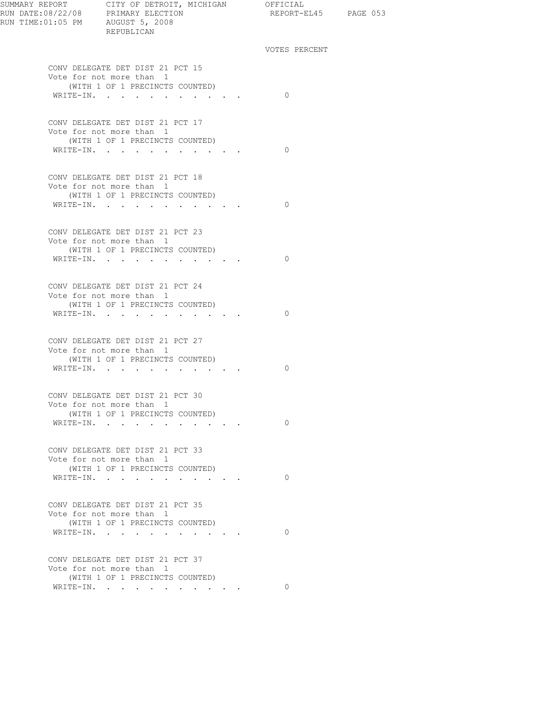| SUMMARY REPORT CITY OF DETROIT, MICHIGAN OFFICIAL<br>REPUBLICAN | REPORT-EL45 PAGE 053 |  |
|-----------------------------------------------------------------|----------------------|--|
|                                                                 | VOTES PERCENT        |  |
| CONV DELEGATE DET DIST 21 PCT 15<br>Vote for not more than 1    |                      |  |
| (WITH 1 OF 1 PRECINCTS COUNTED)                                 |                      |  |
| WRITE-IN.                                                       | $\bigcirc$           |  |
| CONV DELEGATE DET DIST 21 PCT 17                                |                      |  |
| Vote for not more than 1                                        |                      |  |
| (WITH 1 OF 1 PRECINCTS COUNTED)<br>WRITE-IN.                    | $\bigcirc$           |  |
|                                                                 |                      |  |
| CONV DELEGATE DET DIST 21 PCT 18                                |                      |  |
| Vote for not more than 1                                        |                      |  |
| (WITH 1 OF 1 PRECINCTS COUNTED)<br>WRITE-IN.                    | $\circ$ 0            |  |
|                                                                 |                      |  |
| CONV DELEGATE DET DIST 21 PCT 23                                |                      |  |
| Vote for not more than 1                                        |                      |  |
| (WITH 1 OF 1 PRECINCTS COUNTED)<br>WRITE-IN.                    | $\bigcirc$           |  |
|                                                                 |                      |  |
| CONV DELEGATE DET DIST 21 PCT 24                                |                      |  |
| Vote for not more than 1<br>(WITH 1 OF 1 PRECINCTS COUNTED)     |                      |  |
| WRITE-IN.                                                       | $\Omega$             |  |
|                                                                 |                      |  |
| CONV DELEGATE DET DIST 21 PCT 27                                |                      |  |
| Vote for not more than 1<br>(WITH 1 OF 1 PRECINCTS COUNTED)     |                      |  |
| WRITE-IN.                                                       | $\Omega$             |  |
|                                                                 |                      |  |
| CONV DELEGATE DET DIST 21 PCT 30                                |                      |  |
| Vote for not more than 1                                        |                      |  |
| (WITH 1 OF 1 PRECINCTS COUNTED)<br>WRITE-IN.                    | $\Omega$             |  |
|                                                                 |                      |  |
| CONV DELEGATE DET DIST 21 PCT 33                                |                      |  |
| Vote for not more than 1                                        |                      |  |
| (WITH 1 OF 1 PRECINCTS COUNTED)<br>WRITE-IN.                    | $\Omega$             |  |
|                                                                 |                      |  |
| CONV DELEGATE DET DIST 21 PCT 35                                |                      |  |
| Vote for not more than 1                                        |                      |  |
| (WITH 1 OF 1 PRECINCTS COUNTED)<br>WRITE-IN.                    | $\Omega$             |  |
|                                                                 |                      |  |
| CONV DELEGATE DET DIST 21 PCT 37                                |                      |  |
| Vote for not more than 1<br>(WITH 1 OF 1 PRECINCTS COUNTED)     |                      |  |
| WRITE-IN. 0                                                     |                      |  |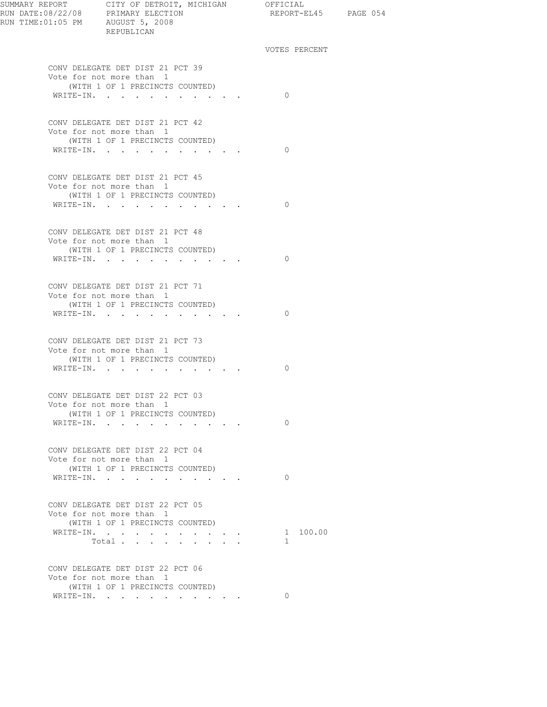| SUMMARY REPORT CITY OF DETROIT, MICHIGAN OFFICIAL | REPUBLICAN                                                                                                                                 |  | REPORT-EL45 PAGE 054 |  |
|---------------------------------------------------|--------------------------------------------------------------------------------------------------------------------------------------------|--|----------------------|--|
|                                                   |                                                                                                                                            |  | VOTES PERCENT        |  |
|                                                   | CONV DELEGATE DET DIST 21 PCT 39<br>Vote for not more than 1                                                                               |  |                      |  |
|                                                   | (WITH 1 OF 1 PRECINCTS COUNTED)<br>WRITE-IN.                                                                                               |  | $\bigcirc$           |  |
|                                                   | CONV DELEGATE DET DIST 21 PCT 42                                                                                                           |  |                      |  |
|                                                   | Vote for not more than 1<br>(WITH 1 OF 1 PRECINCTS COUNTED)                                                                                |  |                      |  |
|                                                   | WRITE-IN.                                                                                                                                  |  | $\overline{0}$       |  |
|                                                   | CONV DELEGATE DET DIST 21 PCT 45                                                                                                           |  |                      |  |
|                                                   | Vote for not more than 1<br>(WITH 1 OF 1 PRECINCTS COUNTED)                                                                                |  |                      |  |
|                                                   | WRITE-IN.                                                                                                                                  |  | $\bigcirc$           |  |
|                                                   | CONV DELEGATE DET DIST 21 PCT 48<br>Vote for not more than 1                                                                               |  |                      |  |
|                                                   | (WITH 1 OF 1 PRECINCTS COUNTED)                                                                                                            |  |                      |  |
|                                                   | WRITE-IN.                                                                                                                                  |  | $\Omega$             |  |
|                                                   | CONV DELEGATE DET DIST 21 PCT 71                                                                                                           |  |                      |  |
|                                                   | Vote for not more than 1                                                                                                                   |  |                      |  |
|                                                   | (WITH 1 OF 1 PRECINCTS COUNTED)                                                                                                            |  |                      |  |
|                                                   | $\mathtt{WRTTE-IN.} \qquad \qquad \ldots \qquad \qquad \ldots \qquad \qquad \ldots \qquad \qquad \ldots \qquad \ldots$                     |  | $\Omega$             |  |
|                                                   | CONV DELEGATE DET DIST 21 PCT 73                                                                                                           |  |                      |  |
|                                                   | Vote for not more than 1<br>(WITH 1 OF 1 PRECINCTS COUNTED)                                                                                |  |                      |  |
|                                                   | $\mathtt{WRTTE}\text{-}\mathtt{IN.}\quad.\quad.\quad.\quad.\quad.\quad.\quad.\quad.\quad.\quad.\quad.\quad.\quad.\quad.\quad.\quad.\quad.$ |  | 0                    |  |
|                                                   |                                                                                                                                            |  |                      |  |
|                                                   | CONV DELEGATE DET DIST 22 PCT 03<br>Vote for not more than 1                                                                               |  |                      |  |
|                                                   | (WITH 1 OF 1 PRECINCTS COUNTED)                                                                                                            |  |                      |  |
|                                                   | WRITE-IN.                                                                                                                                  |  | $\Omega$             |  |
|                                                   |                                                                                                                                            |  |                      |  |
|                                                   | CONV DELEGATE DET DIST 22 PCT 04                                                                                                           |  |                      |  |
|                                                   | Vote for not more than 1<br>(WITH 1 OF 1 PRECINCTS COUNTED)                                                                                |  |                      |  |
|                                                   | WRITE-IN.                                                                                                                                  |  | $\Omega$             |  |
|                                                   |                                                                                                                                            |  |                      |  |
|                                                   | CONV DELEGATE DET DIST 22 PCT 05                                                                                                           |  |                      |  |
|                                                   | Vote for not more than 1<br>(WITH 1 OF 1 PRECINCTS COUNTED)                                                                                |  |                      |  |
|                                                   | WRITE-IN.                                                                                                                                  |  | 1 100.00             |  |
|                                                   | Total                                                                                                                                      |  | 1                    |  |
|                                                   | CONV DELEGATE DET DIST 22 PCT 06                                                                                                           |  |                      |  |
|                                                   | Vote for not more than 1<br>(WITH 1 OF 1 PRECINCTS COUNTED)                                                                                |  |                      |  |
|                                                   | WRITE-IN.                                                                                                                                  |  | $\Omega$             |  |
|                                                   |                                                                                                                                            |  |                      |  |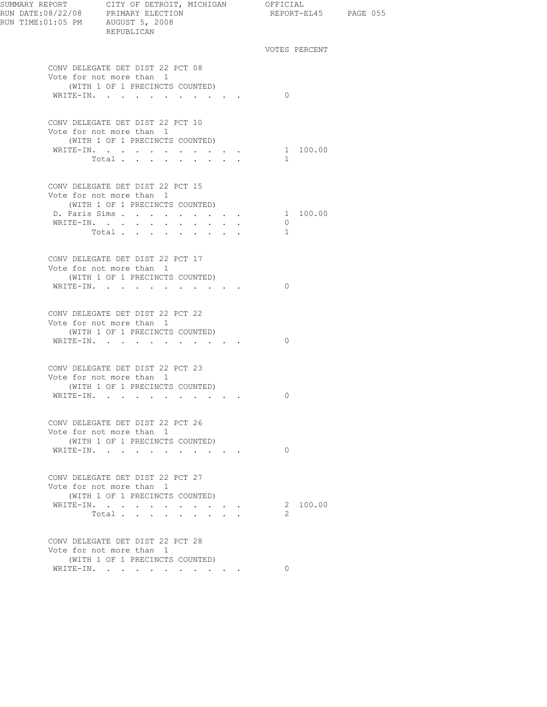| RUN DATE:08/22/08 PRIMARY ELECTION<br>RUN TIME:01:05 PM AUGUST 5, 2008 | SUMMARY REPORT CITY OF DETROIT, MICHIGAN OFFICIAL<br>REPUBLICAN                                                       | REPORT-EL45 PAGE 055                |  |
|------------------------------------------------------------------------|-----------------------------------------------------------------------------------------------------------------------|-------------------------------------|--|
|                                                                        |                                                                                                                       | VOTES PERCENT                       |  |
|                                                                        | CONV DELEGATE DET DIST 22 PCT 08<br>Vote for not more than 1<br>(WITH 1 OF 1 PRECINCTS COUNTED)                       |                                     |  |
|                                                                        | WRITE-IN.                                                                                                             | $\Omega$                            |  |
|                                                                        | CONV DELEGATE DET DIST 22 PCT 10<br>Vote for not more than 1<br>(WITH 1 OF 1 PRECINCTS COUNTED)<br>WRITE-IN.<br>Total | 1 100.00<br>$\sim$                  |  |
|                                                                        | CONV DELEGATE DET DIST 22 PCT 15<br>Vote for not more than 1<br>(WITH 1 OF 1 PRECINCTS COUNTED)                       |                                     |  |
|                                                                        | D. Paris Sims<br>WRITE-IN.<br>Total<br><b>Contract Contract</b>                                                       | 1 100.00<br>$\circ$<br>$\mathbf{1}$ |  |
|                                                                        | CONV DELEGATE DET DIST 22 PCT 17<br>Vote for not more than 1<br>(WITH 1 OF 1 PRECINCTS COUNTED)<br>WRITE-IN.          | $\Omega$                            |  |
|                                                                        | CONV DELEGATE DET DIST 22 PCT 22<br>Vote for not more than 1<br>(WITH 1 OF 1 PRECINCTS COUNTED)<br>WRITE-IN.          | $\Omega$                            |  |
|                                                                        | CONV DELEGATE DET DIST 22 PCT 23<br>Vote for not more than 1<br>(WITH 1 OF 1 PRECINCTS COUNTED)<br>WRITE-IN.          | $\overline{0}$                      |  |
|                                                                        | CONV DELEGATE DET DIST 22 PCT 26<br>Vote for not more than 1<br>(WITH 1 OF 1 PRECINCTS COUNTED)<br>WRITE-IN.          | $\Omega$                            |  |
|                                                                        | CONV DELEGATE DET DIST 22 PCT 27<br>Vote for not more than 1<br>(WITH 1 OF 1 PRECINCTS COUNTED)                       |                                     |  |
|                                                                        | WRITE-IN.<br>the contract of the contract of the<br>Total.                                                            | 2 100.00<br>2                       |  |
|                                                                        | CONV DELEGATE DET DIST 22 PCT 28<br>Vote for not more than 1<br>(WITH 1 OF 1 PRECINCTS COUNTED)                       |                                     |  |
|                                                                        | WRITE-IN.<br>$\sim$ $\sim$                                                                                            | $\Omega$                            |  |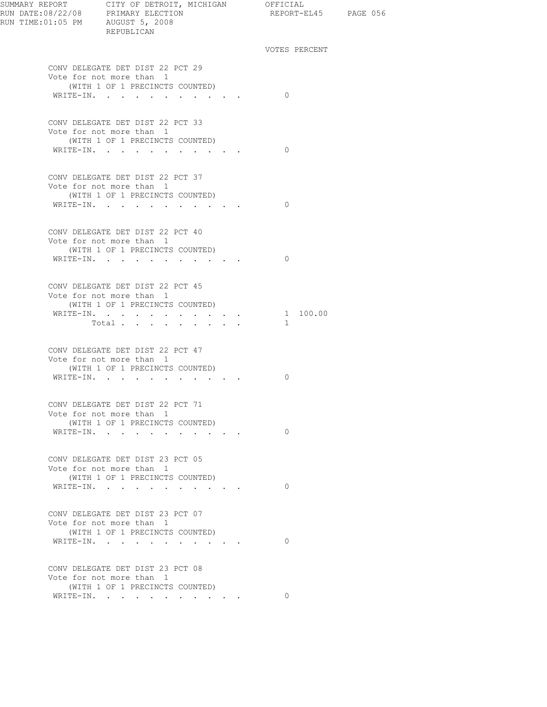| RUN TIME: 01:05 PM AUGUST 5, 2008 | REPUBLICAN                                                                                                   | REPORT-EL45 PAGE 056     |  |
|-----------------------------------|--------------------------------------------------------------------------------------------------------------|--------------------------|--|
|                                   |                                                                                                              | VOTES PERCENT            |  |
|                                   | CONV DELEGATE DET DIST 22 PCT 29<br>Vote for not more than 1<br>(WITH 1 OF 1 PRECINCTS COUNTED)              | $\Omega$                 |  |
|                                   | WRITE-IN.                                                                                                    |                          |  |
|                                   | CONV DELEGATE DET DIST 22 PCT 33<br>Vote for not more than 1<br>(WITH 1 OF 1 PRECINCTS COUNTED)              | $\Omega$                 |  |
|                                   | WRITE-IN.                                                                                                    |                          |  |
|                                   | CONV DELEGATE DET DIST 22 PCT 37<br>Vote for not more than 1<br>(WITH 1 OF 1 PRECINCTS COUNTED)              |                          |  |
|                                   | WRITE-IN.                                                                                                    | $\bigcirc$               |  |
|                                   | CONV DELEGATE DET DIST 22 PCT 40<br>Vote for not more than 1<br>(WITH 1 OF 1 PRECINCTS COUNTED)              |                          |  |
|                                   | WRITE-IN.                                                                                                    | $\bigcirc$               |  |
|                                   | CONV DELEGATE DET DIST 22 PCT 45<br>Vote for not more than 1<br>(WITH 1 OF 1 PRECINCTS COUNTED)              |                          |  |
|                                   | WRITE-IN.<br>Total $\cdots$                                                                                  | 1 100.00<br>$\mathbf{1}$ |  |
|                                   | CONV DELEGATE DET DIST 22 PCT 47<br>Vote for not more than 1<br>(WITH 1 OF 1 PRECINCTS COUNTED)<br>WRITE-IN. | 0                        |  |
|                                   |                                                                                                              |                          |  |
|                                   | CONV DELEGATE DET DIST 22 PCT 71<br>Vote for not more than 1<br>(WITH 1 OF 1 PRECINCTS COUNTED)              |                          |  |
|                                   | WRITE-IN.                                                                                                    | $\Omega$                 |  |
|                                   | CONV DELEGATE DET DIST 23 PCT 05<br>Vote for not more than 1<br>(WITH 1 OF 1 PRECINCTS COUNTED)              |                          |  |
|                                   | WRITE-IN.                                                                                                    | $\Omega$                 |  |
|                                   | CONV DELEGATE DET DIST 23 PCT 07<br>Vote for not more than 1<br>(WITH 1 OF 1 PRECINCTS COUNTED)              |                          |  |
|                                   | WRITE-IN.                                                                                                    | $\Omega$                 |  |
|                                   | CONV DELEGATE DET DIST 23 PCT 08<br>Vote for not more than 1<br>(WITH 1 OF 1 PRECINCTS COUNTED)              |                          |  |
|                                   | WRITE-IN.                                                                                                    | $\Omega$                 |  |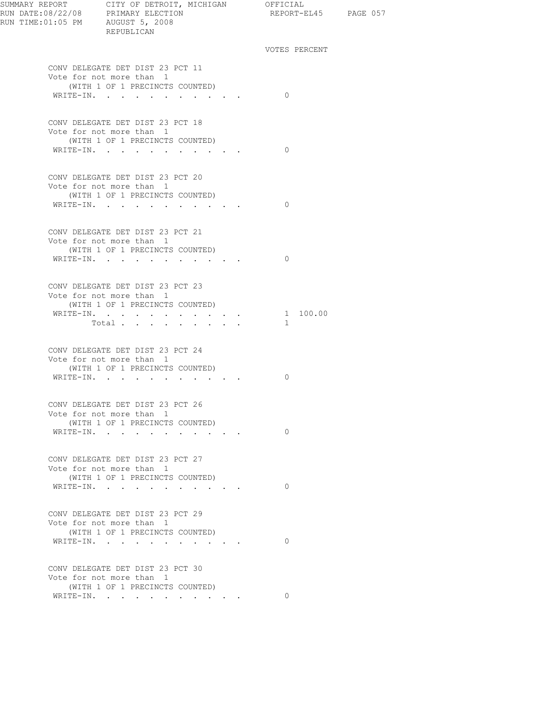| RUN TIME: 01:05 PM AUGUST 5, 2008 | REPUBLICAN                                                                                                                                                                                                                                          | REPORT-EL45 PAGE 057     |  |
|-----------------------------------|-----------------------------------------------------------------------------------------------------------------------------------------------------------------------------------------------------------------------------------------------------|--------------------------|--|
|                                   |                                                                                                                                                                                                                                                     | VOTES PERCENT            |  |
|                                   | CONV DELEGATE DET DIST 23 PCT 11<br>Vote for not more than 1<br>(WITH 1 OF 1 PRECINCTS COUNTED)<br>WRITE-IN.                                                                                                                                        | $\Omega$                 |  |
|                                   | CONV DELEGATE DET DIST 23 PCT 18<br>Vote for not more than 1<br>(WITH 1 OF 1 PRECINCTS COUNTED)<br>WRITE-IN.                                                                                                                                        | $\Omega$                 |  |
|                                   | CONV DELEGATE DET DIST 23 PCT 20<br>Vote for not more than 1<br>(WITH 1 OF 1 PRECINCTS COUNTED)<br>WRITE-IN.                                                                                                                                        | $\Omega$                 |  |
|                                   | CONV DELEGATE DET DIST 23 PCT 21<br>Vote for not more than 1<br>(WITH 1 OF 1 PRECINCTS COUNTED)<br>WRITE-IN.                                                                                                                                        | $\Omega$                 |  |
|                                   | CONV DELEGATE DET DIST 23 PCT 23<br>Vote for not more than 1<br>(WITH 1 OF 1 PRECINCTS COUNTED)<br>WRITE-IN.<br>Total $\cdots$                                                                                                                      | 1 100.00<br>$\mathbf{1}$ |  |
|                                   | CONV DELEGATE DET DIST 23 PCT 24<br>Vote for not more than 1<br>(WITH 1 OF 1 PRECINCTS COUNTED)<br>$\mathtt{WRTTE}\textnormal{-}\mathtt{IN.}\quad.\quad.\quad.\quad.\quad.\quad.\quad.\quad.\quad.\quad.\quad.\quad.\quad.\quad.\quad.\quad.\quad.$ | 0                        |  |
|                                   | CONV DELEGATE DET DIST 23 PCT 26<br>Vote for not more than 1<br>(WITH 1 OF 1 PRECINCTS COUNTED)<br>WRITE-IN.                                                                                                                                        | $\circ$                  |  |
|                                   | CONV DELEGATE DET DIST 23 PCT 27<br>Vote for not more than 1<br>(WITH 1 OF 1 PRECINCTS COUNTED)<br>WRITE-IN.                                                                                                                                        | $\Omega$                 |  |
|                                   | CONV DELEGATE DET DIST 23 PCT 29<br>Vote for not more than 1<br>(WITH 1 OF 1 PRECINCTS COUNTED)<br>WRITE-IN.                                                                                                                                        | $\Omega$                 |  |
|                                   | CONV DELEGATE DET DIST 23 PCT 30<br>Vote for not more than 1<br>(WITH 1 OF 1 PRECINCTS COUNTED)<br>WRITE-IN.                                                                                                                                        | $\Omega$                 |  |
|                                   |                                                                                                                                                                                                                                                     |                          |  |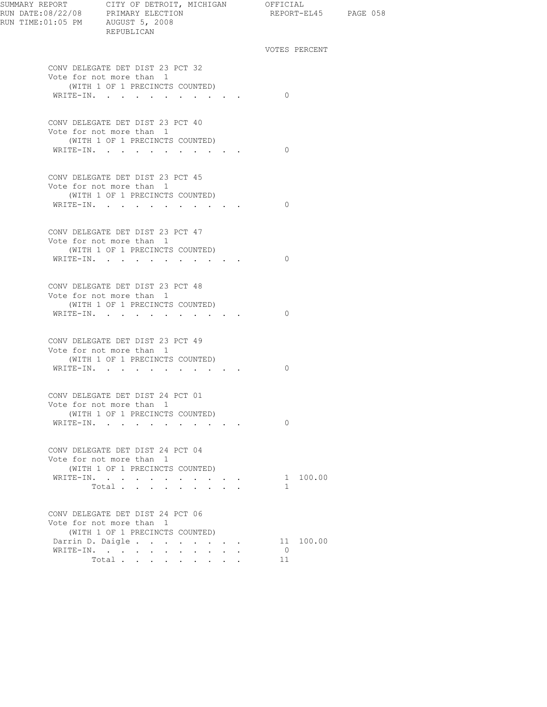| SUMMARY REPORT CITY OF DETROIT, MICHIGAN OFFICIAL | REPUBLICAN                                                                                      | REPORT-EL45 PAGE 058        |  |
|---------------------------------------------------|-------------------------------------------------------------------------------------------------|-----------------------------|--|
|                                                   |                                                                                                 | VOTES PERCENT               |  |
|                                                   | CONV DELEGATE DET DIST 23 PCT 32<br>Vote for not more than 1<br>(WITH 1 OF 1 PRECINCTS COUNTED) |                             |  |
|                                                   | WRITE-IN.                                                                                       | $\bigcirc$                  |  |
|                                                   | CONV DELEGATE DET DIST 23 PCT 40<br>Vote for not more than 1<br>(WITH 1 OF 1 PRECINCTS COUNTED) |                             |  |
|                                                   | WRITE-IN.                                                                                       | $\bigcirc$                  |  |
|                                                   | CONV DELEGATE DET DIST 23 PCT 45<br>Vote for not more than 1                                    |                             |  |
|                                                   | (WITH 1 OF 1 PRECINCTS COUNTED)<br>WRITE-IN.                                                    | $\circ$ 0                   |  |
|                                                   | CONV DELEGATE DET DIST 23 PCT 47<br>Vote for not more than 1                                    |                             |  |
|                                                   | (WITH 1 OF 1 PRECINCTS COUNTED)<br>WRITE-IN.                                                    | $\bigcirc$                  |  |
|                                                   | CONV DELEGATE DET DIST 23 PCT 48<br>Vote for not more than 1                                    |                             |  |
|                                                   | (WITH 1 OF 1 PRECINCTS COUNTED)<br>WRITE-IN.                                                    | $\Omega$                    |  |
|                                                   | CONV DELEGATE DET DIST 23 PCT 49<br>Vote for not more than 1<br>(WITH 1 OF 1 PRECINCTS COUNTED) |                             |  |
|                                                   | WRITE-IN.                                                                                       | $\Omega$                    |  |
|                                                   | CONV DELEGATE DET DIST 24 PCT 01<br>Vote for not more than 1<br>(WITH 1 OF 1 PRECINCTS COUNTED) |                             |  |
|                                                   | WRITE-IN.                                                                                       | $\Omega$                    |  |
|                                                   | CONV DELEGATE DET DIST 24 PCT 04<br>Vote for not more than 1<br>(WITH 1 OF 1 PRECINCTS COUNTED) |                             |  |
|                                                   | WRITE-IN.<br>Total                                                                              | 1 100.00<br>$\mathbf{1}$    |  |
|                                                   | CONV DELEGATE DET DIST 24 PCT 06<br>Vote for not more than 1                                    |                             |  |
|                                                   | (WITH 1 OF 1 PRECINCTS COUNTED)                                                                 |                             |  |
|                                                   | Darrin D. Daigle.                                                                               | 11 100.00<br>$\overline{0}$ |  |
|                                                   | WRITE-IN.<br>Total                                                                              | 11                          |  |
|                                                   |                                                                                                 |                             |  |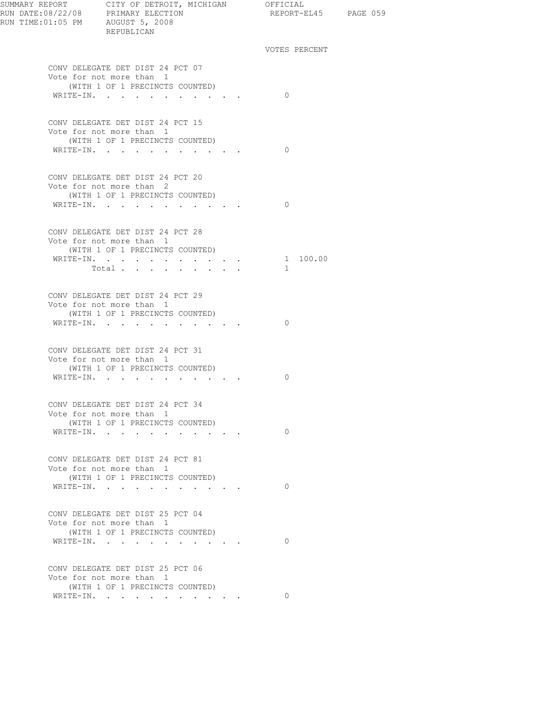| SUMMARY REPORT CITY OF DETROIT, MICHIGAN OFFICIAL<br>RUN DATE:08/22/08 PRIMARY ELECTION<br>RUN TIME: 01:05 PM AUGUST 5, 2008 | REPUBLICAN                                                                                                                       |                                     | REPORT-EL45 PAGE 059 |  |
|------------------------------------------------------------------------------------------------------------------------------|----------------------------------------------------------------------------------------------------------------------------------|-------------------------------------|----------------------|--|
|                                                                                                                              |                                                                                                                                  |                                     | VOTES PERCENT        |  |
|                                                                                                                              | CONV DELEGATE DET DIST 24 PCT 07<br>Vote for not more than 1<br>(WITH 1 OF 1 PRECINCTS COUNTED)<br>WRITE-IN.                     |                                     | $\Omega$             |  |
|                                                                                                                              | CONV DELEGATE DET DIST 24 PCT 15<br>Vote for not more than 1<br>(WITH 1 OF 1 PRECINCTS COUNTED)<br>WRITE-IN.                     |                                     | $\Omega$             |  |
|                                                                                                                              | CONV DELEGATE DET DIST 24 PCT 20<br>Vote for not more than 2<br>(WITH 1 OF 1 PRECINCTS COUNTED)<br>WRITE-IN.                     |                                     | $\Omega$             |  |
|                                                                                                                              | CONV DELEGATE DET DIST 24 PCT 28<br>Vote for not more than 1<br>(WITH 1 OF 1 PRECINCTS COUNTED)<br>WRITE-IN.<br>Total            |                                     | 1 100.00<br>$\sim$   |  |
|                                                                                                                              | CONV DELEGATE DET DIST 24 PCT 29<br>Vote for not more than 1<br>(WITH 1 OF 1 PRECINCTS COUNTED)<br>WRITE-IN.                     |                                     | $\Omega$             |  |
|                                                                                                                              | CONV DELEGATE DET DIST 24 PCT 31<br>Vote for not more than 1<br>(WITH 1 OF 1 PRECINCTS COUNTED)<br>WRITE-IN.                     |                                     | $\Omega$             |  |
|                                                                                                                              | CONV DELEGATE DET DIST 24 PCT 34<br>Vote for not more than 1<br>(WITH 1 OF 1 PRECINCTS COUNTED)<br>WRITE-IN.<br>$\sim$<br>$\sim$ | $\cdot$ $\cdot$ $\cdot$ $\cdot$     | $\circ$              |  |
|                                                                                                                              | CONV DELEGATE DET DIST 24 PCT 81<br>Vote for not more than 1<br>(WITH 1 OF 1 PRECINCTS COUNTED)<br>WRITE-IN.                     | the contract of the contract of the | $\Omega$             |  |
|                                                                                                                              | CONV DELEGATE DET DIST 25 PCT 04<br>Vote for not more than 1<br>(WITH 1 OF 1 PRECINCTS COUNTED)<br>WRITE-IN.                     |                                     | $\Omega$             |  |
|                                                                                                                              | CONV DELEGATE DET DIST 25 PCT 06<br>Vote for not more than 1<br>(WITH 1 OF 1 PRECINCTS COUNTED)<br>WRITE-IN.                     |                                     | 0                    |  |
|                                                                                                                              |                                                                                                                                  |                                     |                      |  |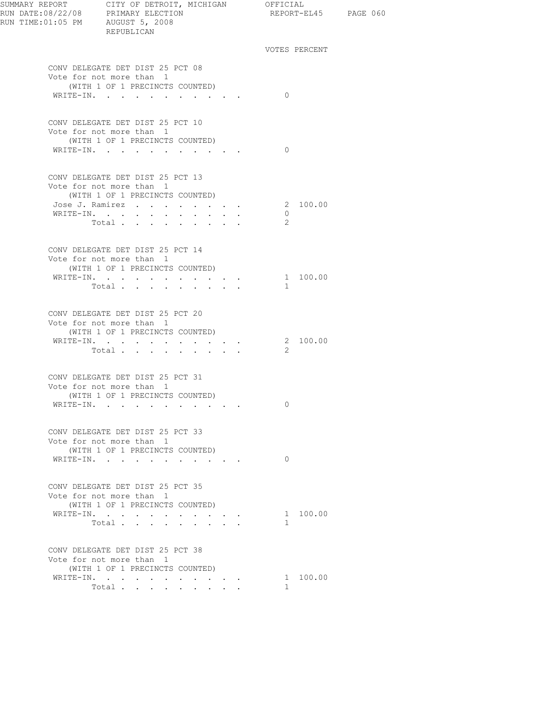| SUMMARY REPORT CITY OF DETROIT, MICHIGAN OFFICIAL<br>RUN DATE:08/22/08 PRIMARY ELECTION REPORT-EL<br>RUN TIME: 01:05 PM AUGUST 5, 2008 | REPUBLICAN                                                                                      |                                                                                             |  |              | REPORT-EL45 PAGE 060 |  |
|----------------------------------------------------------------------------------------------------------------------------------------|-------------------------------------------------------------------------------------------------|---------------------------------------------------------------------------------------------|--|--------------|----------------------|--|
|                                                                                                                                        |                                                                                                 |                                                                                             |  |              | VOTES PERCENT        |  |
|                                                                                                                                        | CONV DELEGATE DET DIST 25 PCT 08<br>Vote for not more than 1                                    |                                                                                             |  |              |                      |  |
|                                                                                                                                        | (WITH 1 OF 1 PRECINCTS COUNTED)<br>WRITE-IN.                                                    |                                                                                             |  | $\Omega$     |                      |  |
|                                                                                                                                        | CONV DELEGATE DET DIST 25 PCT 10<br>Vote for not more than 1<br>(WITH 1 OF 1 PRECINCTS COUNTED) |                                                                                             |  |              |                      |  |
|                                                                                                                                        | WRITE-IN.                                                                                       |                                                                                             |  | $\Omega$     |                      |  |
|                                                                                                                                        | CONV DELEGATE DET DIST 25 PCT 13<br>Vote for not more than 1<br>(WITH 1 OF 1 PRECINCTS COUNTED) |                                                                                             |  |              |                      |  |
|                                                                                                                                        | Jose J. Ramirez 2 100.00<br>WRITE-IN.                                                           |                                                                                             |  | $\circ$      |                      |  |
|                                                                                                                                        | Total                                                                                           |                                                                                             |  | 2            |                      |  |
|                                                                                                                                        | CONV DELEGATE DET DIST 25 PCT 14<br>Vote for not more than 1<br>(WITH 1 OF 1 PRECINCTS COUNTED) |                                                                                             |  |              |                      |  |
|                                                                                                                                        | WRITE-IN.<br>Total                                                                              | $\mathbf{r}$ and $\mathbf{r}$ and $\mathbf{r}$                                              |  | 1            | 1 100.00             |  |
|                                                                                                                                        | CONV DELEGATE DET DIST 25 PCT 20<br>Vote for not more than 1                                    |                                                                                             |  |              |                      |  |
|                                                                                                                                        | (WITH 1 OF 1 PRECINCTS COUNTED)<br>WRITE-IN.                                                    |                                                                                             |  |              | 2 100.00             |  |
|                                                                                                                                        | Total.                                                                                          | $\mathbf{u} = \mathbf{u} \cdot \mathbf{u}$ , and $\mathbf{u} = \mathbf{u} \cdot \mathbf{u}$ |  | 2            |                      |  |
|                                                                                                                                        | CONV DELEGATE DET DIST 25 PCT 31<br>Vote for not more than 1                                    |                                                                                             |  |              |                      |  |
|                                                                                                                                        | (WITH 1 OF 1 PRECINCTS COUNTED)<br>WRITE-IN.                                                    |                                                                                             |  | 0            |                      |  |
|                                                                                                                                        | CONV DELEGATE DET DIST 25 PCT 33<br>Vote for not more than 1                                    |                                                                                             |  |              |                      |  |
|                                                                                                                                        | (WITH 1 OF 1 PRECINCTS COUNTED)<br>WRITE-IN.                                                    |                                                                                             |  | $\Omega$     |                      |  |
|                                                                                                                                        | CONV DELEGATE DET DIST 25 PCT 35<br>Vote for not more than 1                                    |                                                                                             |  |              |                      |  |
|                                                                                                                                        | (WITH 1 OF 1 PRECINCTS COUNTED)                                                                 |                                                                                             |  |              |                      |  |
|                                                                                                                                        | WRITE-IN.<br>Total<br>$\sim 100$                                                                | $\mathbf{L} = \mathbf{L} \mathbf{L} + \mathbf{L} \mathbf{L} + \mathbf{L} \mathbf{L}$        |  | $\mathbf{1}$ | 1 100.00             |  |
|                                                                                                                                        | CONV DELEGATE DET DIST 25 PCT 38<br>Vote for not more than 1                                    |                                                                                             |  |              |                      |  |
|                                                                                                                                        | (WITH 1 OF 1 PRECINCTS COUNTED)                                                                 |                                                                                             |  |              |                      |  |
|                                                                                                                                        | WRITE-IN.<br>Total                                                                              | <b>Service</b>                                                                              |  | $\mathbf{1}$ | 1 100.00             |  |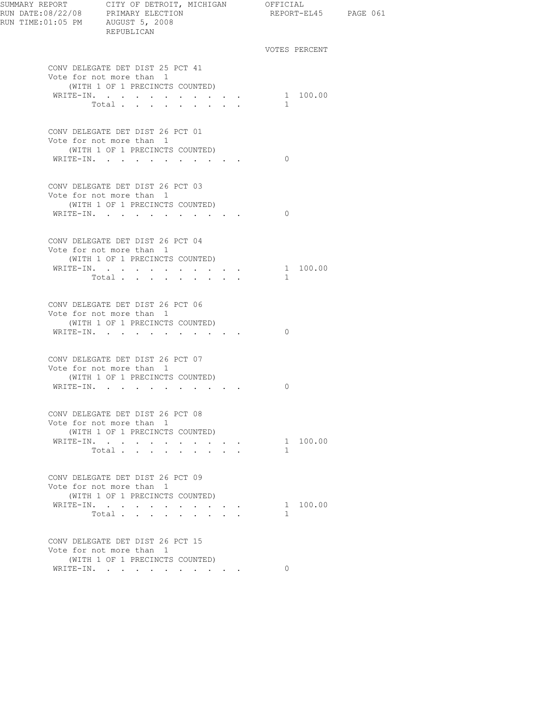| RUN DATE:08/22/08 PRIMARY ELECTION<br>RUN TIME:01:05 PM AUGUST 5, 2008 | SUMMARY REPORT CITY OF DETROIT, MICHIGAN OFFICIAL<br>REPUBLICAN                                                                                                                                      |               |          | REPORT-EL45 PAGE 061 |
|------------------------------------------------------------------------|------------------------------------------------------------------------------------------------------------------------------------------------------------------------------------------------------|---------------|----------|----------------------|
|                                                                        |                                                                                                                                                                                                      | VOTES PERCENT |          |                      |
|                                                                        | CONV DELEGATE DET DIST 25 PCT 41<br>Vote for not more than 1<br>(WITH 1 OF 1 PRECINCTS COUNTED)                                                                                                      |               |          |                      |
|                                                                        | WRITE-IN. 1 100.00<br>Total                                                                                                                                                                          | $\mathbf{1}$  |          |                      |
|                                                                        |                                                                                                                                                                                                      |               |          |                      |
|                                                                        | CONV DELEGATE DET DIST 26 PCT 01<br>Vote for not more than 1<br>(WITH 1 OF 1 PRECINCTS COUNTED)                                                                                                      |               |          |                      |
|                                                                        | WRITE-IN.                                                                                                                                                                                            | $\Omega$      |          |                      |
|                                                                        | CONV DELEGATE DET DIST 26 PCT 03                                                                                                                                                                     |               |          |                      |
|                                                                        | Vote for not more than 1<br>(WITH 1 OF 1 PRECINCTS COUNTED)<br>WRITE-IN.                                                                                                                             | $\bigcirc$    |          |                      |
|                                                                        |                                                                                                                                                                                                      |               |          |                      |
|                                                                        | CONV DELEGATE DET DIST 26 PCT 04<br>Vote for not more than 1<br>(WITH 1 OF 1 PRECINCTS COUNTED)                                                                                                      |               |          |                      |
|                                                                        | WRITE-IN.<br>Total $\cdots$                                                                                                                                                                          | $\mathbf{1}$  | 1 100.00 |                      |
|                                                                        | CONV DELEGATE DET DIST 26 PCT 06<br>Vote for not more than 1                                                                                                                                         |               |          |                      |
|                                                                        | (WITH 1 OF 1 PRECINCTS COUNTED)<br>WRITE-IN.                                                                                                                                                         | $\Omega$      |          |                      |
|                                                                        | CONV DELEGATE DET DIST 26 PCT 07<br>Vote for not more than 1                                                                                                                                         |               |          |                      |
|                                                                        | (WITH 1 OF 1 PRECINCTS COUNTED)<br>WRITE-IN.                                                                                                                                                         | 0             |          |                      |
|                                                                        | CONV DELEGATE DET DIST 26 PCT 08<br>Vote for not more than 1                                                                                                                                         |               |          |                      |
|                                                                        | (WITH 1 OF 1 PRECINCTS COUNTED)<br>WRITE-IN.<br>$\mathbf{r} = \mathbf{r} \cdot \mathbf{r}$ , where $\mathbf{r} = \mathbf{r} \cdot \mathbf{r}$<br>Total<br>$\mathbf{r}$ , $\mathbf{r}$ , $\mathbf{r}$ | $\mathbf{1}$  | 1 100.00 |                      |
|                                                                        | CONV DELEGATE DET DIST 26 PCT 09<br>Vote for not more than 1                                                                                                                                         |               |          |                      |
|                                                                        | (WITH 1 OF 1 PRECINCTS COUNTED)<br>WRITE-IN.<br>$\cdot$ $\cdot$ $\cdot$ $\cdot$ $\cdot$ $\cdot$                                                                                                      |               | 1 100.00 |                      |
|                                                                        | Total                                                                                                                                                                                                | $\mathbf{1}$  |          |                      |
|                                                                        | CONV DELEGATE DET DIST 26 PCT 15<br>Vote for not more than 1                                                                                                                                         |               |          |                      |
|                                                                        | (WITH 1 OF 1 PRECINCTS COUNTED)<br>WRITE-IN.                                                                                                                                                         | $\Omega$      |          |                      |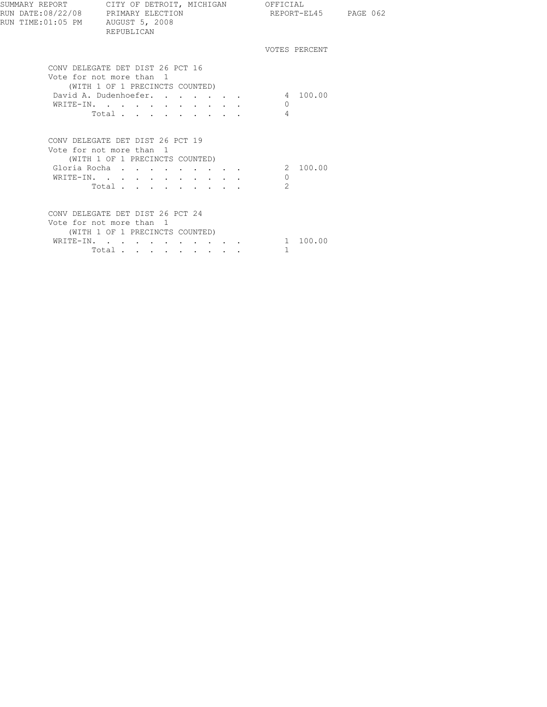| SUMMARY REPORT CITY OF DETROIT, MICHIGAN OFFICIAL<br>RUN DATE:08/22/08 PRIMARY ELECTION<br>RUN TIME: 01:05 PM AUGUST 5, 2008 | REPUBLICAN                                                                                                                                              |  | REPORT-EL45 PAGE 062                  |  |  |
|------------------------------------------------------------------------------------------------------------------------------|---------------------------------------------------------------------------------------------------------------------------------------------------------|--|---------------------------------------|--|--|
|                                                                                                                              |                                                                                                                                                         |  | VOTES PERCENT                         |  |  |
|                                                                                                                              | CONV DELEGATE DET DIST 26 PCT 16<br>Vote for not more than 1<br>(WITH 1 OF 1 PRECINCTS COUNTED)<br>David A. Dudenhoefer. 4 100.00<br>WRITE-IN.<br>Total |  | $\cap$<br>$\overline{4}$              |  |  |
|                                                                                                                              | CONV DELEGATE DET DIST 26 PCT 19<br>Vote for not more than 1<br>(WITH 1 OF 1 PRECINCTS COUNTED)<br>Gloria Rocha<br>WRITE-IN.<br>Total.                  |  | 2 100.00<br>$\Omega$<br>$\mathcal{L}$ |  |  |
|                                                                                                                              | CONV DELEGATE DET DIST 26 PCT 24<br>Vote for not more than 1<br>(WITH 1 OF 1 PRECINCTS COUNTED)<br>WRITE-IN.<br>Total                                   |  | 1 100.00<br>1.                        |  |  |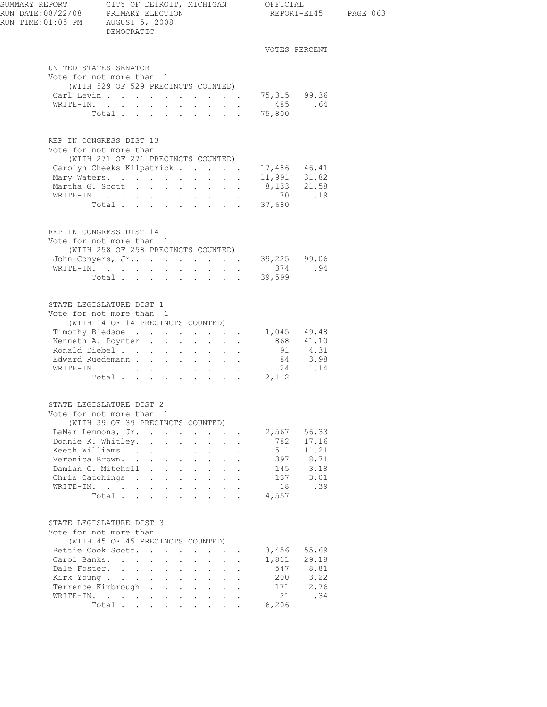| SUMMARY REPORT<br>RUN DATE:08/22/08 PRIMARY ELECTION |                                                   |                                                             |                                                           |                                      |                  |                                                                                            |                           | CITY OF DETROIT, MICHIGAN OFFICIAL | REPORT-EL45 PAGE 063       |  |
|------------------------------------------------------|---------------------------------------------------|-------------------------------------------------------------|-----------------------------------------------------------|--------------------------------------|------------------|--------------------------------------------------------------------------------------------|---------------------------|------------------------------------|----------------------------|--|
| RUN TIME: 01:05 PM AUGUST 5, 2008                    | DEMOCRATIC                                        |                                                             |                                                           |                                      |                  |                                                                                            |                           |                                    |                            |  |
|                                                      |                                                   |                                                             |                                                           |                                      |                  |                                                                                            |                           |                                    | VOTES PERCENT              |  |
| UNITED STATES SENATOR                                |                                                   |                                                             |                                                           |                                      |                  |                                                                                            |                           |                                    |                            |  |
| Vote for not more than 1                             |                                                   |                                                             |                                                           |                                      |                  |                                                                                            |                           |                                    |                            |  |
|                                                      | (WITH 529 OF 529 PRECINCTS COUNTED)<br>Carl Levin |                                                             |                                                           |                                      |                  |                                                                                            |                           | 75,315 99.36                       |                            |  |
|                                                      | WRITE-IN.                                         |                                                             |                                                           |                                      |                  |                                                                                            |                           | 485 .64                            |                            |  |
|                                                      | Total 75,800                                      |                                                             |                                                           |                                      |                  |                                                                                            |                           |                                    |                            |  |
|                                                      |                                                   |                                                             |                                                           |                                      |                  |                                                                                            |                           |                                    |                            |  |
| REP IN CONGRESS DIST 13                              |                                                   |                                                             |                                                           |                                      |                  |                                                                                            |                           |                                    |                            |  |
| Vote for not more than 1                             |                                                   |                                                             |                                                           |                                      |                  |                                                                                            |                           |                                    |                            |  |
|                                                      | (WITH 271 OF 271 PRECINCTS COUNTED)               |                                                             |                                                           |                                      |                  |                                                                                            |                           |                                    |                            |  |
|                                                      | Carolyn Cheeks Kilpatrick                         |                                                             |                                                           |                                      |                  |                                                                                            |                           | 17,486 46.41                       |                            |  |
|                                                      | Mary Waters.                                      |                                                             |                                                           |                                      |                  |                                                                                            |                           | 11,991 31.82<br>8,133 21.58        |                            |  |
|                                                      | Martha G. Scott                                   |                                                             |                                                           |                                      |                  |                                                                                            |                           | 70.19                              |                            |  |
|                                                      | WRITE-IN.<br>Total $\cdots$                       |                                                             |                                                           |                                      |                  |                                                                                            |                           | 37,680                             |                            |  |
|                                                      |                                                   |                                                             |                                                           |                                      |                  |                                                                                            |                           |                                    |                            |  |
| REP IN CONGRESS DIST 14                              |                                                   |                                                             |                                                           |                                      |                  |                                                                                            |                           |                                    |                            |  |
| Vote for not more than 1                             |                                                   |                                                             |                                                           |                                      |                  |                                                                                            |                           |                                    |                            |  |
|                                                      | (WITH 258 OF 258 PRECINCTS COUNTED)               |                                                             |                                                           |                                      |                  |                                                                                            |                           |                                    |                            |  |
|                                                      |                                                   |                                                             |                                                           |                                      |                  |                                                                                            |                           | John Conyers, Jr 39,225 99.06      |                            |  |
|                                                      | WRITE-IN.                                         |                                                             |                                                           |                                      |                  |                                                                                            |                           | 374                                | .94                        |  |
|                                                      | Total                                             |                                                             |                                                           |                                      |                  |                                                                                            |                           | 39,599                             |                            |  |
|                                                      |                                                   |                                                             |                                                           |                                      |                  |                                                                                            |                           |                                    |                            |  |
| STATE LEGISLATURE DIST 1                             |                                                   |                                                             |                                                           |                                      |                  |                                                                                            |                           |                                    |                            |  |
| Vote for not more than 1                             | (WITH 14 OF 14 PRECINCTS COUNTED)                 |                                                             |                                                           |                                      |                  |                                                                                            |                           |                                    |                            |  |
|                                                      | Timothy Bledsoe                                   |                                                             |                                                           |                                      |                  |                                                                                            |                           | 1,045 49.48                        |                            |  |
|                                                      | Kenneth A. Poynter                                |                                                             |                                                           |                                      |                  |                                                                                            |                           | 868 41.10                          |                            |  |
|                                                      | Ronald Diebel                                     |                                                             |                                                           |                                      |                  |                                                                                            |                           |                                    | 91 4.31                    |  |
|                                                      | Edward Ruedemann                                  |                                                             |                                                           |                                      |                  |                                                                                            |                           |                                    |                            |  |
|                                                      | WRITE-IN.                                         |                                                             |                                                           |                                      |                  |                                                                                            |                           |                                    | $84$ $3.98$<br>$24$ $1.14$ |  |
|                                                      |                                                   |                                                             |                                                           |                                      |                  |                                                                                            |                           | Total 2,112                        |                            |  |
|                                                      |                                                   |                                                             |                                                           |                                      |                  |                                                                                            |                           |                                    |                            |  |
| STATE LEGISLATURE DIST 2<br>Vote for not more than 1 |                                                   |                                                             |                                                           |                                      |                  |                                                                                            |                           |                                    |                            |  |
|                                                      | (WITH 39 OF 39 PRECINCTS COUNTED)                 |                                                             |                                                           |                                      |                  |                                                                                            |                           |                                    |                            |  |
|                                                      | LaMar Lemmons, Jr.                                |                                                             |                                                           |                                      |                  | $\mathbf{L} = \mathbf{L}$                                                                  |                           | 2,567                              | 56.33                      |  |
| Donnie K. Whitley.                                   |                                                   | $\ddot{\phantom{0}}$                                        | $\mathbf{L}^{\text{max}}$ , and $\mathbf{L}^{\text{max}}$ | $\ddot{\phantom{0}}$                 | $\sim 10^{-11}$  | $\ddot{\phantom{0}}$                                                                       | $\ddot{\phantom{a}}$      | 782                                | 17.16                      |  |
|                                                      | Keeth Williams. .                                 | $\ddot{\phantom{a}}$                                        | $\cdot$ $\cdot$                                           | $\sim$ 100 $\pm$                     | $\sim$ 100 $\pm$ | $\ddot{\phantom{0}}$                                                                       |                           | 511                                | 11.21                      |  |
|                                                      | Veronica Brown                                    | $\sim$                                                      | $\mathbf{r}$                                              | $\mathcal{L}^{\text{max}}$<br>$\sim$ | $\sim$           | $\mathbf{L}$                                                                               | $\mathbf{r}$              | 397                                | 8.71                       |  |
| Damian C. Mitchell                                   |                                                   | $\mathbf{L}$                                                | $\mathbf{L} = \mathbf{L}$                                 | $\sim$ $-$                           | $\sim$ 100 $\pm$ | $\sim$                                                                                     | $\ddot{\phantom{a}}$      | 145                                | 3.18                       |  |
|                                                      | Chris Catchings .                                 | $\bullet$ .<br><br><br><br><br><br><br><br><br><br><br><br> | $\mathbf{r}$ , $\mathbf{r}$ , $\mathbf{r}$ , $\mathbf{r}$ |                                      |                  | $\bullet$ .<br><br><br><br><br><br><br><br><br><br><br><br>                                |                           | 137                                | 3.01                       |  |
| WRITE-IN.                                            |                                                   | $\mathbf{L}$                                                | $\mathbf{L}^{\text{max}}$ , and $\mathbf{L}^{\text{max}}$ | $\sim$                               | $\sim$           | $\ddot{\phantom{0}}$                                                                       |                           | 18                                 | .39                        |  |
|                                                      | Total $\cdots$                                    |                                                             |                                                           |                                      |                  |                                                                                            |                           | 4,557                              |                            |  |
| STATE LEGISLATURE DIST 3                             |                                                   |                                                             |                                                           |                                      |                  |                                                                                            |                           |                                    |                            |  |
| Vote for not more than 1                             |                                                   |                                                             |                                                           |                                      |                  |                                                                                            |                           |                                    |                            |  |
|                                                      | (WITH 45 OF 45 PRECINCTS COUNTED)                 |                                                             |                                                           |                                      |                  |                                                                                            |                           |                                    |                            |  |
|                                                      | Bettie Cook Scott.                                |                                                             |                                                           | $\ddot{\phantom{a}}$                 |                  | $\cdot$ $\cdot$ $\cdot$                                                                    |                           | 3,456                              | 55.69                      |  |
|                                                      | Carol Banks.                                      |                                                             | $\mathcal{L}^{\text{max}}$                                | $\bullet$                            |                  | $\cdot$ $\cdot$                                                                            | $\ddot{\phantom{a}}$      | 1,811                              | 29.18                      |  |
|                                                      | Dale Foster.                                      |                                                             |                                                           |                                      |                  | $\mathbf{L}^{\text{max}}$                                                                  |                           | 547                                | 8.81                       |  |
|                                                      | Kirk Young                                        | $\sim$                                                      | $\ddot{\phantom{0}}$<br>$\mathbf{r}$                      | $\sim$                               | $\mathbf{L}$     | $\mathbf{L}$                                                                               |                           | 200                                | 3.22                       |  |
| Terrence Kimbrough                                   |                                                   | $\sim$ $\sim$                                               | $\mathbf{L}$ and $\mathbf{L}$                             |                                      |                  | $\mathbf{1}$ $\mathbf{1}$ $\mathbf{1}$ $\mathbf{1}$ $\mathbf{1}$ $\mathbf{1}$ $\mathbf{1}$ | $\ddot{\phantom{a}}$      | 171                                | 2.76                       |  |
|                                                      | WRITE-IN.                                         |                                                             |                                                           |                                      |                  |                                                                                            |                           | 21                                 | .34                        |  |
|                                                      | Total                                             |                                                             |                                                           |                                      |                  |                                                                                            | $\mathbf{L} = \mathbf{L}$ | 6,206                              |                            |  |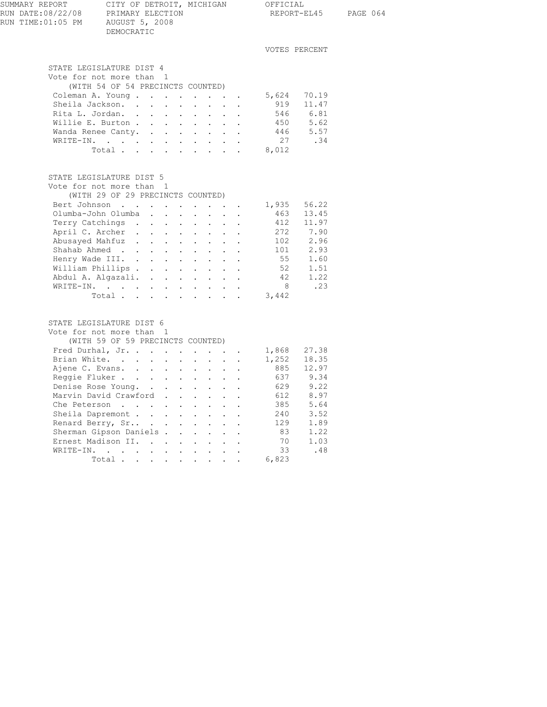| SUMMARY REPORT                         |                                                                                            |                      |                                              | CITY OF DETROIT, MICHIGAN OFFICIAL                  |                       |                 |                                                                  |                               |                       |  |  |
|----------------------------------------|--------------------------------------------------------------------------------------------|----------------------|----------------------------------------------|-----------------------------------------------------|-----------------------|-----------------|------------------------------------------------------------------|-------------------------------|-----------------------|--|--|
| RUN DATE:08/22/08<br>RUN TIME:01:05 PM | PRIMARY ELECTION<br>AUGUST 5, 2008                                                         |                      |                                              |                                                     |                       |                 |                                                                  |                               | REPORT-EL45 PAGE 064  |  |  |
|                                        | DEMOCRATIC                                                                                 |                      |                                              |                                                     |                       |                 |                                                                  |                               |                       |  |  |
|                                        |                                                                                            |                      |                                              |                                                     |                       |                 |                                                                  |                               | VOTES PERCENT         |  |  |
|                                        |                                                                                            |                      |                                              |                                                     |                       |                 |                                                                  |                               |                       |  |  |
|                                        | STATE LEGISLATURE DIST 4                                                                   |                      |                                              |                                                     |                       |                 |                                                                  |                               |                       |  |  |
|                                        | Vote for not more than 1                                                                   |                      |                                              |                                                     |                       |                 |                                                                  |                               |                       |  |  |
|                                        | (WITH 54 OF 54 PRECINCTS COUNTED)                                                          |                      |                                              |                                                     |                       |                 |                                                                  |                               |                       |  |  |
|                                        | Coleman A. Young                                                                           |                      |                                              |                                                     |                       |                 |                                                                  | 5,624 70.19                   |                       |  |  |
|                                        | Sheila Jackson. .                                                                          |                      |                                              | $\mathbf{r} = \mathbf{r} + \mathbf{r} + \mathbf{r}$ |                       |                 | $\mathbf{1}$ $\mathbf{1}$ $\mathbf{1}$ $\mathbf{1}$ $\mathbf{1}$ |                               | 919 11.47             |  |  |
|                                        | Rita L. Jordan.                                                                            |                      |                                              |                                                     |                       |                 |                                                                  |                               | 546 6.81              |  |  |
|                                        | Willie E. Burton                                                                           |                      |                                              |                                                     |                       |                 |                                                                  | 450 5.62                      |                       |  |  |
|                                        | Wanda Renee Canty.                                                                         |                      |                                              |                                                     |                       |                 |                                                                  |                               | $446$ 5.57<br>27 .34  |  |  |
|                                        | WRITE-IN.                                                                                  |                      |                                              |                                                     |                       |                 |                                                                  |                               |                       |  |  |
|                                        | Total 8,012                                                                                |                      |                                              |                                                     |                       |                 |                                                                  |                               |                       |  |  |
|                                        |                                                                                            |                      |                                              |                                                     |                       |                 |                                                                  |                               |                       |  |  |
|                                        | STATE LEGISLATURE DIST 5                                                                   |                      |                                              |                                                     |                       |                 |                                                                  |                               |                       |  |  |
|                                        | Vote for not more than 1                                                                   |                      |                                              |                                                     |                       |                 |                                                                  |                               |                       |  |  |
|                                        | (WITH 29 OF 29 PRECINCTS COUNTED)                                                          |                      |                                              |                                                     |                       |                 |                                                                  |                               |                       |  |  |
|                                        | Bert Johnson                                                                               |                      |                                              |                                                     |                       |                 |                                                                  | $\cdot$ , $\cdot$ 1,935 56.22 |                       |  |  |
|                                        | Olumba-John Olumba                                                                         |                      |                                              |                                                     |                       |                 |                                                                  |                               | 463 13.45             |  |  |
|                                        | Terry Catchings                                                                            |                      |                                              |                                                     |                       |                 |                                                                  |                               | 412 11.97             |  |  |
|                                        | April C. Archer                                                                            |                      |                                              |                                                     |                       |                 |                                                                  |                               | 272 7.90              |  |  |
|                                        | Abusayed Mahfuz 102 2.96                                                                   |                      |                                              |                                                     |                       |                 |                                                                  |                               |                       |  |  |
|                                        | Shahab Ahmed                                                                               |                      |                                              |                                                     |                       |                 |                                                                  |                               | 101 2.93<br>55 1.60   |  |  |
|                                        | Henry Wade III.                                                                            |                      |                                              |                                                     |                       |                 |                                                                  |                               |                       |  |  |
|                                        | William Phillips                                                                           |                      |                                              |                                                     |                       |                 |                                                                  |                               | 52 1.51               |  |  |
|                                        | Abdul A. Algazali.                                                                         |                      |                                              |                                                     |                       |                 |                                                                  |                               | 42 1.22               |  |  |
|                                        | WRITE-IN.                                                                                  |                      |                                              |                                                     |                       |                 |                                                                  | 8 <sup>1</sup>                | $\ldots$ 23           |  |  |
|                                        | Total 3,442                                                                                |                      |                                              |                                                     |                       |                 |                                                                  |                               |                       |  |  |
|                                        |                                                                                            |                      |                                              |                                                     |                       |                 |                                                                  |                               |                       |  |  |
|                                        | STATE LEGISLATURE DIST 6<br>Vote for not more than 1                                       |                      |                                              |                                                     |                       |                 |                                                                  |                               |                       |  |  |
|                                        |                                                                                            |                      |                                              |                                                     |                       |                 |                                                                  |                               |                       |  |  |
|                                        | (WITH 59 OF 59 PRECINCTS COUNTED)<br>Fred Durhal, Jr. 1,868 27.38                          |                      |                                              |                                                     |                       |                 |                                                                  |                               |                       |  |  |
|                                        | Brian White.                                                                               |                      |                                              |                                                     |                       |                 |                                                                  |                               | 1,252 18.35           |  |  |
|                                        |                                                                                            |                      |                                              |                                                     |                       |                 |                                                                  |                               |                       |  |  |
|                                        | Ajene C. Evans.<br>Reggie Fluker.                                                          |                      |                                              |                                                     |                       |                 |                                                                  |                               | 885 12.97<br>637 9.34 |  |  |
|                                        | Denise Rose Young.                                                                         |                      |                                              |                                                     |                       |                 |                                                                  | 629 9.22                      |                       |  |  |
|                                        |                                                                                            |                      |                                              |                                                     |                       |                 |                                                                  |                               |                       |  |  |
|                                        | Marvin David Crawford .                                                                    |                      |                                              |                                                     |                       |                 |                                                                  | 612<br>385                    | 8.97<br>5.64          |  |  |
|                                        | Che Peterson<br>Sheila Dapremont                                                           | $\ddot{\phantom{0}}$ |                                              |                                                     |                       |                 |                                                                  | 240                           | 3.52                  |  |  |
|                                        | Renard Berry, Sr                                                                           |                      | $\mathcal{L}$                                |                                                     |                       |                 |                                                                  | 129                           | 1.89                  |  |  |
|                                        | Sherman Gipson Daniels.                                                                    |                      | $\ddot{\phantom{0}}$<br>$\ddot{\phantom{a}}$ | $\ddot{\phantom{0}}$                                | $\ddot{\phantom{0}}$  | $\bullet$       |                                                                  | 83                            | 1.22                  |  |  |
| Ernest Madison II.                     | $\mathbf{r}$ , $\mathbf{r}$ , $\mathbf{r}$                                                 |                      | $\mathbf{r}$                                 | ÷.                                                  |                       |                 |                                                                  | 70                            | 1.03                  |  |  |
| WRITE-IN.                              |                                                                                            |                      |                                              |                                                     |                       |                 |                                                                  | 33                            | .48                   |  |  |
|                                        | $\mathbf{r} = \mathbf{r} + \mathbf{r} + \mathbf{r} + \mathbf{r} + \mathbf{r} + \mathbf{r}$ |                      |                                              | $\mathbf{L}^{\text{max}}$                           | $\ddot{\phantom{0}}$  | $\sim 10^{-10}$ |                                                                  |                               |                       |  |  |
|                                        | Total                                                                                      |                      |                                              |                                                     | and a strategic state |                 |                                                                  | 6,823                         |                       |  |  |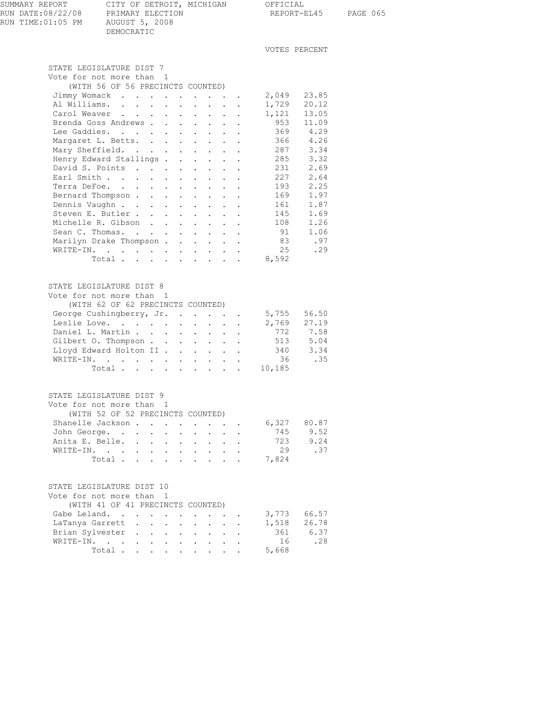| SUMMARY REPORT                         | CITY OF DETROIT, MICHIGAN                        | OFFICIAL      |          |
|----------------------------------------|--------------------------------------------------|---------------|----------|
| RUN DATE:08/22/08<br>RUN TIME:01:05 PM | PRIMARY ELECTION<br>AUGUST 5, 2008<br>DEMOCRATIC | REPORT-EL45   | PAGE 065 |
|                                        |                                                  | VOTES PERCENT |          |
|                                        | STATE LEGISLATURE DIST 7                         |               |          |

| Vote for not more than 1                                                                      |                                          |                                                       |                                                                      |                                              |                |                            |
|-----------------------------------------------------------------------------------------------|------------------------------------------|-------------------------------------------------------|----------------------------------------------------------------------|----------------------------------------------|----------------|----------------------------|
| (WITH 56 OF 56 PRECINCTS COUNTED)                                                             |                                          |                                                       |                                                                      |                                              |                |                            |
| Jimmy Womack                                                                                  |                                          |                                                       | $\mathbf{r} = \mathbf{r} \mathbf{r} + \mathbf{r} \mathbf{r}$ , where |                                              | 2,049          | 23.85                      |
| Al Williams.<br>$\ddot{\phantom{0}}$                                                          | $\sim$                                   | $\ddot{\phantom{a}}$                                  | $\mathbf{L}^{\text{max}}$                                            | $\mathbf{u} = \mathbf{u} \cdot \mathbf{u}$ . | 1,729          | 20.12                      |
| Carol Weaver<br>$\ddot{\phantom{a}}$<br>$\mathcal{L}^{\mathcal{A}}$<br>$\mathbf{L}$           | $\cdot$ $\cdot$                          | $\ddot{\phantom{a}}$                                  | $\sim$ $\sim$<br>$\sim$ 100 $\pm$                                    | $\mathbf{r}$                                 | 1,121          | 13.05                      |
| Brenda Goss Andrews .<br>$\ddot{\phantom{0}}$                                                 | $\sim$ $-$                               | $\mathbb{Z}^{(n)}$                                    | $\mathcal{L}_{\mathrm{max}}$<br>$\mathcal{L}^{\text{max}}$           | $\sim$ $-$                                   | 953            | 11.09                      |
| Lee Gaddies.                                                                                  | $\cdot$ $\cdot$                          | $\ddot{\phantom{a}}$                                  | $\mathbf{L}$                                                         |                                              | 369            | 4.29                       |
| Margaret L. Betts. .                                                                          |                                          | $\sim 100$ km s $^{-1}$                               |                                                                      |                                              | 366            | 4.26                       |
| $\ddot{\phantom{0}}$                                                                          | $\sim$ $-$                               | $\mathcal{L}^{\text{max}}$                            | $\mathcal{L}^{\text{max}}$<br>$\ddot{\phantom{0}}$                   | $\bullet$                                    |                |                            |
| Mary Sheffield.<br>$\ddot{\phantom{a}}$                                                       | $\mathbf{L}$                             | $\mathbf{L} = \mathbf{L}$                             | $\ddot{\phantom{0}}$                                                 |                                              | 287            | 3.34                       |
| Henry Edward Stallings.                                                                       | $\mathcal{L}^{\text{max}}$               | $\mathcal{L}^{(1)}$ .                                 | $\mathcal{L}^{\text{max}}$<br>$\ddot{\phantom{0}}$                   | $\ddot{\phantom{0}}$                         | 285            | 3.32                       |
| David S. Points                                                                               | $\sim$                                   | $\mathbf{L} = \mathbf{L} \mathbf{L}$                  | $\sim$ 100 $\pm$                                                     |                                              | 231            | 2.69                       |
| Earl Smith<br>$\mathcal{L}^{\text{max}}$                                                      | $\sim$                                   | $\mathcal{L}^{\text{max}}$                            | $\mathbf{L}^{\text{max}}$<br>$\mathbf{L}^{\text{max}}$               | $\ddot{\phantom{a}}$                         | 227            | 2.64                       |
| Terra DeFoe.<br>$\sim$<br>$\mathbf{L}$<br>$\sim$                                              | $\mathbf{L}$ and $\mathbf{L}$            | $\mathbf{r}$                                          | $\mathbf{L}$<br>$\mathbf{L}$                                         | $\ddot{\phantom{a}}$                         | 193            | 2.25                       |
| Bernard Thompson.<br>$\mathbf{L}^{(1)}$<br>$\mathcal{L}^{\mathcal{L}}$                        | $\Delta \sim 1$                          | $\mathbb{Z}^{\mathbb{Z}^2}$                           | $\mathcal{L}^{\text{max}}$<br>$\mathcal{L}^{\text{max}}$             | $\ddot{\phantom{0}}$                         | 169            | 1.97                       |
| Dennis Vaughn<br>$\mathbf{r}$                                                                 | $\mathbf{L} = \mathbf{L}$                | $\mathbf{L}$                                          | $\mathbf{L}$<br>$\mathbf{L}$                                         | $\ddot{\phantom{a}}$                         | 161            | 1.87                       |
| Steven E. Butler.<br>$\mathbf{L}$<br>$\ddot{\phantom{0}}$                                     | $\mathcal{L}^{\text{max}}$               | $\ddot{\phantom{a}}$                                  | $\sim$ $-$<br>$\mathbf{L}$                                           | $\ddot{\phantom{a}}$                         | 145            | 1.69                       |
| Michelle R. Gibson.<br>$\mathbf{L}$                                                           | $\sim$                                   | $\mathbf{L}$                                          | $\mathbf{L}$<br>$\mathbf{L}$                                         | $\ddot{\phantom{a}}$                         | 108            | 1.26                       |
| Sean C. Thomas.<br>$\mathcal{L}^{\text{max}}$                                                 | $\sim$ $-$                               | $\mathbf{L} = \mathbf{L}$                             | $\mathbf{L}^{\text{max}}$                                            | $\ddot{\phantom{a}}$                         | 91             | 1.06                       |
| Marilyn Drake Thompson                                                                        |                                          | $\mathbf{L}^{\text{max}}$                             | $\mathbf{L}^{\text{max}}$<br>$\mathcal{L}^{\text{max}}$              | $\ddot{\phantom{a}}$                         | 83             | .97                        |
| WRITE-IN.                                                                                     |                                          |                                                       |                                                                      |                                              | 25             | .29                        |
| $\mathcal{A}$ and $\mathcal{A}$ are all $\mathcal{A}$ and $\mathcal{A}$ are all $\mathcal{A}$ |                                          | $\mathbf{L}^{\text{max}}$ , $\mathbf{L}^{\text{max}}$ |                                                                      | $\mathcal{L}^{\text{max}}$                   |                |                            |
| Total                                                                                         |                                          | $\mathbf{L}^{\text{max}}$ , $\mathbf{L}^{\text{max}}$ |                                                                      | $\mathbf{L} = \mathbf{L}$                    | 8,592          |                            |
|                                                                                               |                                          |                                                       |                                                                      |                                              |                |                            |
|                                                                                               |                                          |                                                       |                                                                      |                                              |                |                            |
| STATE LEGISLATURE DIST 8                                                                      |                                          |                                                       |                                                                      |                                              |                |                            |
| Vote for not more than 1                                                                      |                                          |                                                       |                                                                      |                                              |                |                            |
| (WITH 62 OF 62 PRECINCTS COUNTED)                                                             |                                          |                                                       |                                                                      |                                              |                |                            |
| George Cushingberry, Jr.                                                                      |                                          |                                                       |                                                                      |                                              | 5,755<br>2,769 | 56.50                      |
| Leslie Love.                                                                                  |                                          |                                                       |                                                                      |                                              |                | 27.19                      |
| Daniel L. Martin                                                                              | $\sim$ $-$                               | <b>All Street</b>                                     |                                                                      | $\mathbf{L}^{\text{max}}$                    | 772            | 7.58                       |
| Gilbert O. Thompson                                                                           |                                          | $\ddot{\phantom{a}}$                                  | $\sim$ 100 $\sim$<br>$\sim$ 100 $\pm$                                |                                              | 513            | 5.04                       |
| Lloyd Edward Holton II                                                                        |                                          | <b>All Cards</b>                                      |                                                                      | $\mathbf{z} = \mathbf{z} + \mathbf{z}$       | 340            | 3.34                       |
| WRITE-IN.                                                                                     |                                          |                                                       | $\mathbf{r} = \mathbf{r} \cdot \mathbf{r}$                           |                                              | 36             | .35                        |
| Total 10,185                                                                                  |                                          |                                                       |                                                                      |                                              |                |                            |
|                                                                                               |                                          |                                                       |                                                                      |                                              |                |                            |
|                                                                                               |                                          |                                                       |                                                                      |                                              |                |                            |
| STATE LEGISLATURE DIST 9                                                                      |                                          |                                                       |                                                                      |                                              |                |                            |
|                                                                                               |                                          |                                                       |                                                                      |                                              |                |                            |
| Vote for not more than 1                                                                      |                                          |                                                       |                                                                      |                                              |                |                            |
| (WITH 52 OF 52 PRECINCTS COUNTED)                                                             |                                          |                                                       |                                                                      |                                              |                |                            |
| Shanelle Jackson                                                                              |                                          |                                                       |                                                                      |                                              | $6,327$ 80.87  |                            |
| John George.<br>$\sim 10^{-11}$                                                               | $\mathbf{L}$ and $\mathbf{L}$            | $\mathbf{L}$ and $\mathbf{L}$                         | $\mathcal{L}^{\text{max}}$                                           | $\ddot{\phantom{0}}$                         | 745            | 9.52                       |
| Anita E. Belle.                                                                               | $\mathbf{z} = \mathbf{z} + \mathbf{z}$ . | $\mathbf{z} = \mathbf{z} + \mathbf{z}$ .              |                                                                      | $\mathbf{L}^{\text{max}}$                    | 723            | 9.24                       |
| WRITE-IN.<br>$\mathbf{L}$ and $\mathbf{L}$                                                    | $\mathbf{L}$ $\mathbf{L}$                | $\mathbf{L}$ and $\mathbf{L}$                         | $\mathbf{L}^{\text{max}}$                                            | $\ddot{\phantom{0}}$                         | 29             | .37                        |
| Total                                                                                         |                                          |                                                       |                                                                      |                                              | 7,824          |                            |
|                                                                                               |                                          |                                                       |                                                                      |                                              |                |                            |
|                                                                                               |                                          |                                                       |                                                                      |                                              |                |                            |
| STATE LEGISLATURE DIST 10                                                                     |                                          |                                                       |                                                                      |                                              |                |                            |
| Vote for not more than 1                                                                      |                                          |                                                       |                                                                      |                                              |                |                            |
| (WITH 41 OF 41 PRECINCTS COUNTED)                                                             |                                          |                                                       |                                                                      |                                              |                |                            |
| Gabe Leland.                                                                                  |                                          |                                                       |                                                                      |                                              |                | 3,773 66.57                |
| TAMANIA CAMAALL                                                                               |                                          |                                                       |                                                                      |                                              | 1.510          | $\Omega$ $\Gamma$ $\Gamma$ |

| LaTanya Garrett 1,518 26.78<br>Brian Sylvester<br>361 |      |
|-------------------------------------------------------|------|
|                                                       |      |
|                                                       | 6.37 |
| 16<br>WRITE-IN.                                       | .28  |
| Total5,668                                            |      |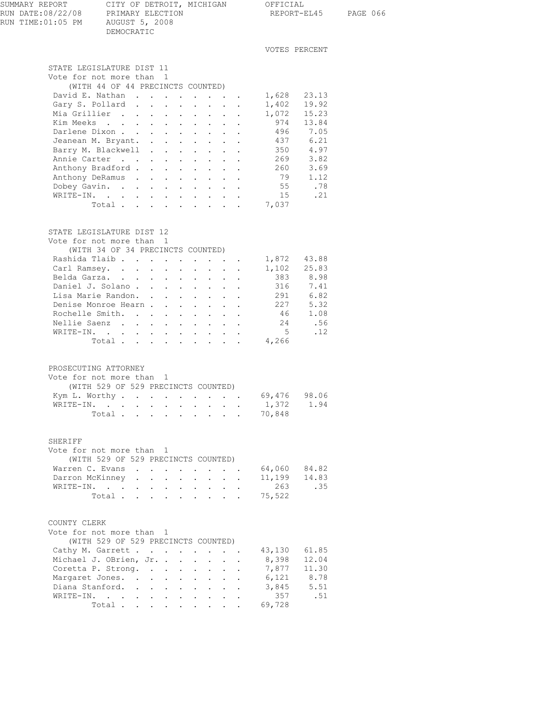| SUMMARY REPORT<br>RUN DATE:08/22/08<br>RUN TIME:01:05 PM | PRIMARY ELECTION<br>AUGUST 5, 2008<br>DEMOCRATIC |                                                                                                                           |        |                      |                        |                                                                    | CITY OF DETROIT, MICHIGAN OFFICIAL |                | REPORT-EL45 PAGE 066 |
|----------------------------------------------------------|--------------------------------------------------|---------------------------------------------------------------------------------------------------------------------------|--------|----------------------|------------------------|--------------------------------------------------------------------|------------------------------------|----------------|----------------------|
|                                                          |                                                  |                                                                                                                           |        |                      |                        |                                                                    | VOTES PERCENT                      |                |                      |
| STATE LEGISLATURE DIST 11                                |                                                  |                                                                                                                           |        |                      |                        |                                                                    |                                    |                |                      |
| Vote for not more than 1                                 |                                                  |                                                                                                                           |        |                      |                        |                                                                    |                                    |                |                      |
|                                                          | (WITH 44 OF 44 PRECINCTS COUNTED)                |                                                                                                                           |        |                      |                        |                                                                    |                                    |                |                      |
| David E. Nathan 1,628 23.13                              |                                                  |                                                                                                                           |        |                      |                        |                                                                    |                                    |                |                      |
| Gary S. Pollard 1,402 19.92                              |                                                  |                                                                                                                           |        |                      |                        |                                                                    | 1,072                              | 15.23          |                      |
| Mia Grillier<br>Kim Meeks                                |                                                  |                                                                                                                           |        |                      |                        |                                                                    | 974 13.84                          |                |                      |
| Darlene Dixon                                            |                                                  |                                                                                                                           |        |                      |                        |                                                                    | 496 7.05                           |                |                      |
| Jeanean M. Bryant.                                       |                                                  |                                                                                                                           |        |                      |                        |                                                                    |                                    | 6.21           |                      |
| Barry M. Blackwell                                       |                                                  |                                                                                                                           |        |                      |                        |                                                                    | 437 6.21<br>350 4.97               |                |                      |
| Annie Carter 269 3.82                                    |                                                  |                                                                                                                           |        |                      |                        |                                                                    |                                    |                |                      |
| Anthony Bradford                                         |                                                  |                                                                                                                           |        |                      |                        |                                                                    | 260 3.69<br>79 1.12                |                |                      |
| Anthony DeRamus                                          |                                                  |                                                                                                                           |        |                      |                        |                                                                    |                                    |                |                      |
| Dobey Gavin.                                             |                                                  |                                                                                                                           |        |                      |                        |                                                                    |                                    | 55 .78         |                      |
| WRITE-IN.                                                |                                                  |                                                                                                                           |        |                      |                        |                                                                    |                                    | 15 .21         |                      |
|                                                          | Total $\ldots$                                   |                                                                                                                           |        |                      |                        |                                                                    | 7,037                              |                |                      |
| STATE LEGISLATURE DIST 12<br>Vote for not more than 1    |                                                  |                                                                                                                           |        |                      |                        |                                                                    |                                    |                |                      |
|                                                          | (WITH 34 OF 34 PRECINCTS COUNTED)                |                                                                                                                           |        |                      |                        |                                                                    |                                    |                |                      |
| Rashida Tlaib. 1,872 43.88<br>Carl Ramsey.               |                                                  |                                                                                                                           |        |                      |                        |                                                                    | 1,102 25.83                        |                |                      |
| Belda Garza.                                             |                                                  |                                                                                                                           |        |                      |                        | $\mathbf{r} = \mathbf{r} + \mathbf{r} + \mathbf{r} + \mathbf{r}$ . | 383 8.98                           |                |                      |
| Daniel J. Solano                                         |                                                  |                                                                                                                           |        |                      |                        |                                                                    |                                    |                |                      |
| Lisa Marie Randon.                                       |                                                  |                                                                                                                           |        |                      |                        |                                                                    | 316 7.41<br>291 6.82               |                |                      |
| Denise Monroe Hearn                                      |                                                  |                                                                                                                           |        |                      |                        |                                                                    | $227$ 5.32                         |                |                      |
| Rochelle Smith.                                          |                                                  |                                                                                                                           |        |                      |                        |                                                                    |                                    | 46 1.08        |                      |
| Nellie Saenz                                             |                                                  |                                                                                                                           |        |                      |                        |                                                                    | 24                                 | .56            |                      |
| WRITE-IN.                                                |                                                  |                                                                                                                           |        |                      |                        |                                                                    | $5^{\circ}$                        | .12            |                      |
|                                                          | Total 4,266                                      |                                                                                                                           |        |                      |                        |                                                                    |                                    |                |                      |
| PROSECUTING ATTORNEY<br>Vote for not more than 1         | (WITH 529 OF 529 PRECINCTS COUNTED)              |                                                                                                                           |        |                      |                        |                                                                    | 69,476 98.06                       |                |                      |
| Kym L. Worthy<br>WRITE-IN.                               |                                                  |                                                                                                                           |        |                      |                        |                                                                    | 1,372                              | 1.94           |                      |
|                                                          | Total                                            |                                                                                                                           |        |                      |                        |                                                                    | 70,848                             |                |                      |
|                                                          |                                                  |                                                                                                                           |        |                      |                        |                                                                    |                                    |                |                      |
| SHERIFF<br>Vote for not more than 1<br>Warren C. Evans   | (WITH 529 OF 529 PRECINCTS COUNTED)              |                                                                                                                           |        |                      |                        |                                                                    | 64,060                             | 84.82          |                      |
| Darron McKinney                                          | $\ddot{\phantom{0}}$                             | $\sim$<br>$\bullet$                                                                                                       | $\sim$ | $\ddot{\phantom{0}}$ | $\Delta \sim 10^{-11}$ | $\ddot{\phantom{a}}$                                               | 11,199                             | 14.83          |                      |
| WRITE-IN.                                                |                                                  |                                                                                                                           |        |                      |                        |                                                                    | 263                                | .35            |                      |
|                                                          | Total                                            |                                                                                                                           |        |                      |                        |                                                                    | 75,522                             |                |                      |
| COUNTY CLERK<br>Vote for not more than 1                 | (WITH 529 OF 529 PRECINCTS COUNTED)              |                                                                                                                           |        |                      |                        |                                                                    |                                    |                |                      |
| Cathy M. Garrett                                         |                                                  |                                                                                                                           |        |                      |                        |                                                                    | 43,130                             | 61.85<br>12.04 |                      |
| Michael J. OBrien, Jr.<br>Coretta P. Strong.             |                                                  |                                                                                                                           |        |                      |                        |                                                                    | 8,398<br>7,877                     | 11.30          |                      |
| Margaret Jones.                                          |                                                  |                                                                                                                           |        | $\ddot{\phantom{0}}$ | $\sim$<br>$\mathbf{L}$ | $\ddot{\phantom{a}}$                                               | 6,121                              | 8.78           |                      |
| Diana Stanford.                                          |                                                  |                                                                                                                           |        | $\sim$ 100 $\pm$     | $\sim 10^{-10}$        |                                                                    | 3,845                              | 5.51           |                      |
| WRITE-IN.                                                |                                                  | $\begin{array}{cccccccccccccc} \bullet & \bullet & \bullet & \bullet & \bullet & \bullet & \bullet & \bullet \end{array}$ |        |                      |                        |                                                                    | 357                                | .51            |                      |
|                                                          | Total .<br>$\mathbf{L}$                          | $\mathbf{r} = \mathbf{r} + \mathbf{r} + \mathbf{r}$                                                                       |        | $\mathbf{L}$         | $\mathbf{r}$           |                                                                    | 69,728                             |                |                      |
|                                                          |                                                  |                                                                                                                           |        |                      |                        |                                                                    |                                    |                |                      |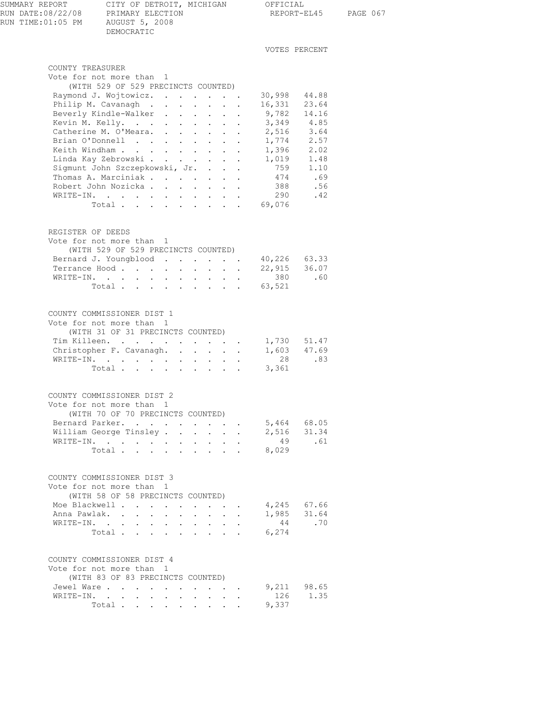| SUMMARY REPORT<br>RUN DATE:08/22/08<br>RUN TIME:01:05 PM | CITY OF DETROIT, MICHIGAN OFFICIAL<br>PRIMARY ELECTION<br>AUGUST 5, 2008<br>DEMOCRATIC                                                                                    |                                                    |                      |                                   |                      | REPORT-EL45 PAGE 067 |
|----------------------------------------------------------|---------------------------------------------------------------------------------------------------------------------------------------------------------------------------|----------------------------------------------------|----------------------|-----------------------------------|----------------------|----------------------|
|                                                          |                                                                                                                                                                           |                                                    |                      |                                   | VOTES PERCENT        |                      |
| COUNTY TREASURER                                         |                                                                                                                                                                           |                                                    |                      |                                   |                      |                      |
|                                                          | Vote for not more than 1                                                                                                                                                  |                                                    |                      |                                   |                      |                      |
|                                                          | (WITH 529 OF 529 PRECINCTS COUNTED)                                                                                                                                       |                                                    |                      |                                   |                      |                      |
|                                                          | Raymond J. Wojtowicz.                                                                                                                                                     |                                                    |                      | 30,998                            | 44.88                |                      |
|                                                          | Philip M. Cavanagh                                                                                                                                                        |                                                    |                      | 16,331 23.64                      |                      |                      |
|                                                          | Beverly Kindle-Walker                                                                                                                                                     |                                                    |                      | 9,782                             | 14.16                |                      |
|                                                          | Kevin M. Kelly.                                                                                                                                                           |                                                    |                      | 3,349 4.85<br>2,516 3.64<br>3,349 |                      |                      |
|                                                          | Catherine M. O'Meara.<br>Brian O'Donnell                                                                                                                                  |                                                    |                      | 1,774 2.57                        |                      |                      |
|                                                          | Keith Windham                                                                                                                                                             |                                                    | $\ddot{\phantom{0}}$ |                                   |                      |                      |
|                                                          | Linda Kay Zebrowski                                                                                                                                                       |                                                    |                      | 1,396 2.02<br>1,019 1.48<br>1,019 |                      |                      |
|                                                          | Sigmunt John Szczepkowski, Jr.                                                                                                                                            |                                                    |                      | 759 1.10                          |                      |                      |
|                                                          | Thomas A. Marciniak                                                                                                                                                       |                                                    |                      |                                   | 474 .69              |                      |
|                                                          | Robert John Nozicka                                                                                                                                                       |                                                    |                      | 388                               | .56                  |                      |
|                                                          | WRITE-IN.                                                                                                                                                                 |                                                    |                      | 290                               | .42                  |                      |
|                                                          | Total 69,076                                                                                                                                                              |                                                    |                      |                                   |                      |                      |
| REGISTER OF DEEDS                                        | Vote for not more than 1<br>(WITH 529 OF 529 PRECINCTS COUNTED)                                                                                                           |                                                    |                      |                                   |                      |                      |
|                                                          | Bernard J. Youngblood                                                                                                                                                     |                                                    |                      | 40,226 63.33                      |                      |                      |
|                                                          | Terrance Hood                                                                                                                                                             |                                                    |                      | 22,915 36.07                      |                      |                      |
|                                                          | WRITE-IN.                                                                                                                                                                 |                                                    |                      | 380                               | .60                  |                      |
|                                                          | Total 63,521                                                                                                                                                              |                                                    |                      |                                   |                      |                      |
|                                                          | COUNTY COMMISSIONER DIST 1<br>Vote for not more than 1<br>(WITH 31 OF 31 PRECINCTS COUNTED)<br>Tim Killeen.<br>Christopher F. Cavanagh. 1,603 47.69<br>WRITE-IN.<br>Total |                                                    |                      | 1,730 51.47<br>3,361              | 28 .83               |                      |
|                                                          | COUNTY COMMISSIONER DIST 2                                                                                                                                                |                                                    |                      |                                   |                      |                      |
|                                                          | Vote for not more than 1                                                                                                                                                  |                                                    |                      |                                   |                      |                      |
|                                                          | (WITH 70 OF 70 PRECINCTS COUNTED)                                                                                                                                         |                                                    |                      |                                   |                      |                      |
|                                                          | Bernard Parker.<br>William George Tinsley                                                                                                                                 | $\mathbf{L}$<br>$\sim$                             | $\sim$               | 5,464                             | 68.05<br>2,516 31.34 |                      |
|                                                          | WRITE-IN.                                                                                                                                                                 |                                                    |                      | 49                                | .61                  |                      |
|                                                          | Total $\cdots$                                                                                                                                                            |                                                    |                      | 8,029                             |                      |                      |
|                                                          | COUNTY COMMISSIONER DIST 3<br>Vote for not more than 1<br>(WITH 58 OF 58 PRECINCTS COUNTED)                                                                               |                                                    |                      |                                   |                      |                      |
|                                                          | Moe Blackwell                                                                                                                                                             |                                                    |                      | 4,245 67.66                       |                      |                      |
|                                                          | Anna Pawlak.                                                                                                                                                              |                                                    |                      | 1,985 31.64                       |                      |                      |
|                                                          | WRITE-IN.                                                                                                                                                                 |                                                    |                      | 44                                | .70                  |                      |
|                                                          | Total                                                                                                                                                                     |                                                    |                      | 6,274                             |                      |                      |
|                                                          | COUNTY COMMISSIONER DIST 4<br>Vote for not more than 1<br>(WITH 83 OF 83 PRECINCTS COUNTED)                                                                               |                                                    |                      |                                   |                      |                      |
|                                                          | Jewel Ware                                                                                                                                                                | $\cdot$ $\cdot$ $\cdot$                            |                      |                                   | 9,211 98.65          |                      |
|                                                          | WRITE-IN.                                                                                                                                                                 | <b>All All Andrew</b><br>$\mathbf{z} = \mathbf{z}$ |                      | 126                               | 1.35                 |                      |
|                                                          | Total                                                                                                                                                                     |                                                    |                      | 9,337                             |                      |                      |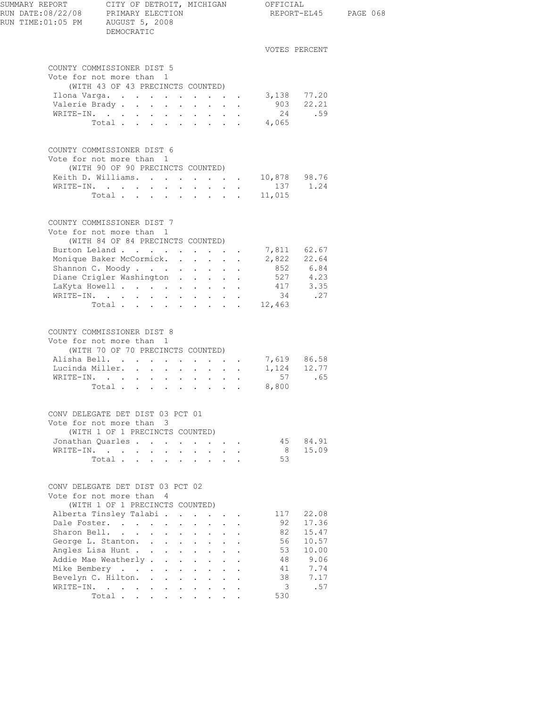| SUMMARY REPORT CITY OF DETROIT, MICHIGAN OFFICIAL<br>RUN DATE:08/22/08 PRIMARY ELECTION<br>RUN TIME: 01:05 PM AUGUST 5, 2008 | DEMOCRATIC                                                                                                              |                                                                       |        |                |               | REPORT-EL45 PAGE 068 |
|------------------------------------------------------------------------------------------------------------------------------|-------------------------------------------------------------------------------------------------------------------------|-----------------------------------------------------------------------|--------|----------------|---------------|----------------------|
|                                                                                                                              |                                                                                                                         |                                                                       |        |                | VOTES PERCENT |                      |
|                                                                                                                              | COUNTY COMMISSIONER DIST 5<br>Vote for not more than 1                                                                  |                                                                       |        |                |               |                      |
|                                                                                                                              | (WITH 43 OF 43 PRECINCTS COUNTED)                                                                                       |                                                                       |        |                |               |                      |
|                                                                                                                              | Ilona Varga.                                                                                                            |                                                                       |        | $3,138$ 77.20  |               |                      |
|                                                                                                                              | Valerie Brady                                                                                                           |                                                                       |        |                | 903 22.21     |                      |
|                                                                                                                              | WRITE-IN.<br>Total                                                                                                      |                                                                       |        | 4,065          | 24 .59        |                      |
|                                                                                                                              |                                                                                                                         |                                                                       |        |                |               |                      |
|                                                                                                                              | COUNTY COMMISSIONER DIST 6<br>Vote for not more than 1<br>(WITH 90 OF 90 PRECINCTS COUNTED)                             |                                                                       |        |                |               |                      |
|                                                                                                                              | Keith D. Williams. 10,878 98.76                                                                                         |                                                                       |        |                |               |                      |
|                                                                                                                              | WRITE-IN.                                                                                                               |                                                                       |        |                | 137 1.24      |                      |
|                                                                                                                              | Total 11,015                                                                                                            |                                                                       |        |                |               |                      |
|                                                                                                                              | COUNTY COMMISSIONER DIST 7<br>Vote for not more than 1<br>(WITH 84 OF 84 PRECINCTS COUNTED)                             |                                                                       |        |                |               |                      |
|                                                                                                                              | Burton Leland 7,811 62.67                                                                                               |                                                                       |        |                |               |                      |
|                                                                                                                              | Monique Baker McCormick. 2,822 22.64                                                                                    |                                                                       |        |                |               |                      |
|                                                                                                                              | Shannon C. Moody.                                                                                                       |                                                                       |        | 852 6.84       |               |                      |
|                                                                                                                              | Diane Crigler Washington                                                                                                |                                                                       |        | 527            | 4.23          |                      |
|                                                                                                                              | LaKyta Howell                                                                                                           |                                                                       |        |                | 417 3.35      |                      |
|                                                                                                                              | WRITE-IN.<br>Total 12,463                                                                                               |                                                                       |        |                | 34 .27        |                      |
|                                                                                                                              |                                                                                                                         |                                                                       |        |                |               |                      |
|                                                                                                                              | COUNTY COMMISSIONER DIST 8<br>Vote for not more than 1<br>(WITH 70 OF 70 PRECINCTS COUNTED)<br>Alisha Bell. 7,619 86.58 |                                                                       |        |                |               |                      |
|                                                                                                                              | Lucinda Miller.                                                                                                         |                                                                       |        |                | 1,124 12.77   |                      |
|                                                                                                                              | WRITE-IN.                                                                                                               |                                                                       |        |                | 57 .65        |                      |
|                                                                                                                              | Total 8,800                                                                                                             |                                                                       |        |                |               |                      |
|                                                                                                                              | CONV DELEGATE DET DIST 03 PCT 01                                                                                        |                                                                       |        |                |               |                      |
|                                                                                                                              | Vote for not more than 3<br>(WITH 1 OF 1 PRECINCTS COUNTED)                                                             |                                                                       |        |                |               |                      |
|                                                                                                                              | Jonathan Quarles                                                                                                        |                                                                       |        |                | 45 84.91      |                      |
|                                                                                                                              | WRITE-IN.                                                                                                               |                                                                       |        | 8 <sup>1</sup> | 15.09         |                      |
|                                                                                                                              | Total                                                                                                                   |                                                                       |        | 53             |               |                      |
|                                                                                                                              | CONV DELEGATE DET DIST 03 PCT 02<br>Vote for not more than 4<br>(WITH 1 OF 1 PRECINCTS COUNTED)                         |                                                                       |        |                |               |                      |
|                                                                                                                              | Alberta Tinsley Talabi.                                                                                                 |                                                                       |        | 117            | 22.08         |                      |
|                                                                                                                              | Dale Foster.                                                                                                            | $\cdot$ $\cdot$<br>$\sim$<br>$\mathbf{L}$                             |        | 92             | 17.36         |                      |
|                                                                                                                              | Sharon Bell.                                                                                                            | $\mathbf{L}$<br>$\mathcal{L}^{\text{max}}$<br>$\cdot$ $\cdot$ $\cdot$ |        | 82             | 15.47         |                      |
|                                                                                                                              | George L. Stanton.                                                                                                      |                                                                       |        | 56             | 10.57         |                      |
|                                                                                                                              | Angles Lisa Hunt<br>Addie Mae Weatherly                                                                                 |                                                                       |        | 53<br>48       | 10.00<br>9.06 |                      |
|                                                                                                                              | Mike Bembery                                                                                                            | $\mathbf{L}$                                                          | $\sim$ | 41             | 7.74          |                      |
|                                                                                                                              | Bevelyn C. Hilton.                                                                                                      |                                                                       |        | 38             | 7.17          |                      |
|                                                                                                                              | WRITE-IN.                                                                                                               |                                                                       |        | 3              | .57           |                      |
|                                                                                                                              | Total                                                                                                                   |                                                                       |        | 530            |               |                      |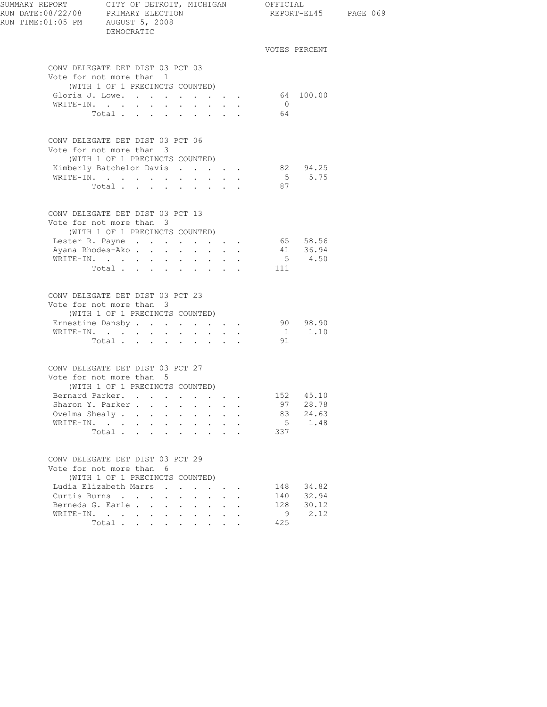| RUN TIME: 01:05 PM AUGUST 5, 2008 | DEMOCRATIC                                                                                                                                                                             |                                                                                                                                                    |                                                           |                                  |                                 |                                     | REPORT-EL45 PAGE 069 |
|-----------------------------------|----------------------------------------------------------------------------------------------------------------------------------------------------------------------------------------|----------------------------------------------------------------------------------------------------------------------------------------------------|-----------------------------------------------------------|----------------------------------|---------------------------------|-------------------------------------|----------------------|
|                                   |                                                                                                                                                                                        |                                                                                                                                                    |                                                           |                                  |                                 | VOTES PERCENT                       |                      |
|                                   | CONV DELEGATE DET DIST 03 PCT 03<br>Vote for not more than 1<br>(WITH 1 OF 1 PRECINCTS COUNTED)<br>Gloria J. Lowe.                                                                     |                                                                                                                                                    |                                                           |                                  |                                 | 64 100.00                           |                      |
| WRITE-IN.                         | Total                                                                                                                                                                                  | $\sim$                                                                                                                                             |                                                           | and a state of the               | $\overline{0}$<br>64            |                                     |                      |
|                                   | CONV DELEGATE DET DIST 03 PCT 06<br>Vote for not more than 3<br>(WITH 1 OF 1 PRECINCTS COUNTED)                                                                                        |                                                                                                                                                    |                                                           |                                  |                                 |                                     |                      |
|                                   | Kimberly Batchelor Davis<br>WRITE-IN.<br>Total                                                                                                                                         |                                                                                                                                                    |                                                           |                                  | 87                              | 82 94.25<br>5 5.75                  |                      |
|                                   | CONV DELEGATE DET DIST 03 PCT 13<br>Vote for not more than 3<br>(WITH 1 OF 1 PRECINCTS COUNTED)<br>Lester R. Payne 65 58.56<br>Ayana Rhodes-Ako.<br>WRITE-IN.<br>Total                 |                                                                                                                                                    | $\mathbf{L} = \mathbf{L}$                                 |                                  | 111                             | $41$ $36.94$<br>5 $4.50$            |                      |
|                                   | CONV DELEGATE DET DIST 03 PCT 23<br>Vote for not more than 3<br>(WITH 1 OF 1 PRECINCTS COUNTED)<br>Ernestine Dansby<br>WRITE-IN.<br>Total                                              |                                                                                                                                                    |                                                           |                                  | 91                              | 90 98.90<br>$1 \quad 1.10$          |                      |
|                                   | CONV DELEGATE DET DIST 03 PCT 27<br>Vote for not more than 5<br>(WITH 1 OF 1 PRECINCTS COUNTED)<br>Bernard Parker.<br>Sharon Y. Parker<br>Ovelma Shealy<br>WRITE-IN.<br>Total $\cdots$ | $\sim$                                                                                                                                             | $\ddot{\phantom{0}}$<br>$\mathbf{L}$                      | $\sim$<br>$\ddot{\phantom{a}}$   | 97<br>83<br>5<br>337            | 152 45.10<br>28.78<br>24.63<br>1.48 |                      |
|                                   | CONV DELEGATE DET DIST 03 PCT 29<br>Vote for not more than 6<br>(WITH 1 OF 1 PRECINCTS COUNTED)<br>Ludia Elizabeth Marrs<br>Curtis Burns<br>Berneda G. Earle<br>WRITE-IN.<br>Total     | $\ddot{\phantom{a}}$<br>$\ddot{\phantom{0}}$<br>$\ddot{\phantom{a}}$<br>$\bullet$ .<br><br><br><br><br><br><br><br><br><br><br><br><br>$\bullet$ . | $\mathbf{L}$<br>$\mathbf{L}$<br>$\mathbf{L}^{\text{max}}$ | $\mathbf{r}$<br>$\sim$ 100 $\pm$ | 148<br>140<br>128<br>- 9<br>425 | 34.82<br>32.94<br>30.12<br>2.12     |                      |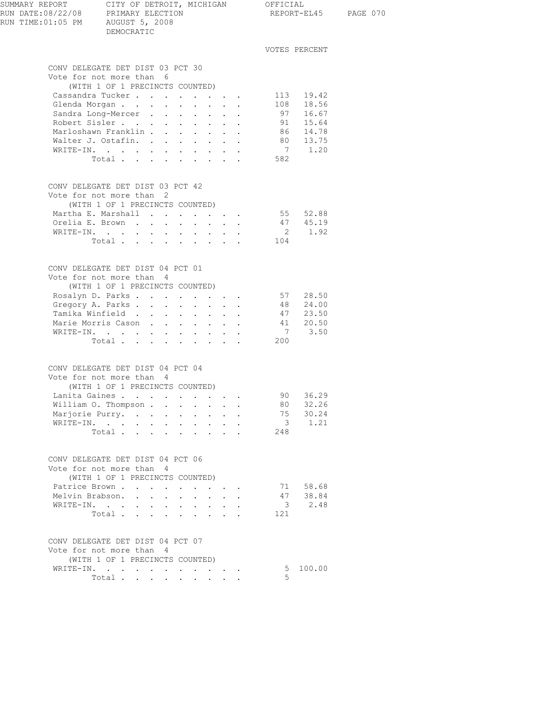| SUMMARY REPORT<br>RUN DATE:08/22/08 PRIMARY ELECTION<br>RUN TIME:01:05 PM AUGUST 5, 2008 | CITY OF DETROIT, MICHIGAN OFFICIAL<br>DEMOCRATIC                                           |                      | REPORT-EL45 PAGE 070    |                         |  |
|------------------------------------------------------------------------------------------|--------------------------------------------------------------------------------------------|----------------------|-------------------------|-------------------------|--|
|                                                                                          |                                                                                            |                      |                         | VOTES PERCENT           |  |
|                                                                                          | CONV DELEGATE DET DIST 03 PCT 30<br>Vote for not more than 6                               |                      |                         |                         |  |
|                                                                                          | (WITH 1 OF 1 PRECINCTS COUNTED)                                                            |                      |                         |                         |  |
|                                                                                          | Cassandra Tucker 113 19.42                                                                 |                      |                         |                         |  |
|                                                                                          | Glenda Morgan 108 18.56                                                                    |                      |                         |                         |  |
|                                                                                          | Sandra Long-Mercer<br>Robert Sisler                                                        |                      |                         | 97 16.67<br>91 15.64    |  |
|                                                                                          | Marloshawn Franklin 86 14.78                                                               |                      |                         |                         |  |
|                                                                                          |                                                                                            |                      |                         |                         |  |
|                                                                                          | Walter J. Ostafin. 80 13.75<br>WRITE-IN. 7 1.20<br>WRITE-IN.                               |                      |                         |                         |  |
|                                                                                          | $\begin{tabular}{ccccccccccc} Total & . & . & . & . & . & . & . & . & . & . \end{tabular}$ |                      | 582                     |                         |  |
|                                                                                          | CONV DELEGATE DET DIST 03 PCT 42                                                           |                      |                         |                         |  |
|                                                                                          | Vote for not more than 2                                                                   |                      |                         |                         |  |
|                                                                                          | (WITH 1 OF 1 PRECINCTS COUNTED)                                                            |                      |                         |                         |  |
|                                                                                          | Martha E. Marshall 55 52.88<br>Orelia E. Brown                                             |                      |                         | 47 45.19                |  |
|                                                                                          | WRITE-IN.                                                                                  |                      |                         | 2 1.92                  |  |
|                                                                                          | Total                                                                                      |                      | 104                     |                         |  |
|                                                                                          |                                                                                            |                      |                         |                         |  |
|                                                                                          | CONV DELEGATE DET DIST 04 PCT 01                                                           |                      |                         |                         |  |
|                                                                                          | Vote for not more than 4                                                                   |                      |                         |                         |  |
|                                                                                          | (WITH 1 OF 1 PRECINCTS COUNTED)                                                            |                      |                         |                         |  |
|                                                                                          | Rosalyn D. Parks<br>Gregory A. Parks                                                       |                      |                         | 57 28.50<br>48 24.00    |  |
|                                                                                          | Tamika Winfield                                                                            |                      |                         | 47 23.50                |  |
|                                                                                          | Marie Morris Cason 41 20.50                                                                |                      |                         |                         |  |
|                                                                                          | WRITE-IN.                                                                                  |                      |                         | 7 3.50                  |  |
|                                                                                          | Total $\cdots$                                                                             |                      | 200                     |                         |  |
|                                                                                          |                                                                                            |                      |                         |                         |  |
|                                                                                          | CONV DELEGATE DET DIST 04 PCT 04<br>Vote for not more than 4                               |                      |                         |                         |  |
|                                                                                          | (WITH 1 OF 1 PRECINCTS COUNTED)                                                            |                      |                         |                         |  |
|                                                                                          | Lanita Gaines                                                                              |                      |                         | 90 36.29                |  |
|                                                                                          | William O. Thompson                                                                        |                      | 80 -                    | 32.26                   |  |
|                                                                                          | Marjorie Purry.                                                                            |                      |                         | 75 30.24                |  |
|                                                                                          |                                                                                            |                      | $\overline{\mathbf{3}}$ | 1.21                    |  |
|                                                                                          | Total                                                                                      |                      | 248                     |                         |  |
|                                                                                          | CONV DELEGATE DET DIST 04 PCT 06                                                           |                      |                         |                         |  |
|                                                                                          | Vote for not more than 4                                                                   |                      |                         |                         |  |
|                                                                                          | (WITH 1 OF 1 PRECINCTS COUNTED)                                                            |                      |                         |                         |  |
|                                                                                          | Patrice Brown                                                                              |                      |                         | 71 58.68                |  |
|                                                                                          | Melvin Brabson.<br>WRITE-IN.                                                               | $\ddot{\phantom{a}}$ |                         | 47 38.84<br>$3 \t 2.48$ |  |
|                                                                                          | Total                                                                                      |                      | 121                     |                         |  |
|                                                                                          |                                                                                            |                      |                         |                         |  |
|                                                                                          | CONV DELEGATE DET DIST 04 PCT 07                                                           |                      |                         |                         |  |
|                                                                                          | Vote for not more than 4                                                                   |                      |                         |                         |  |
|                                                                                          | (WITH 1 OF 1 PRECINCTS COUNTED)                                                            |                      |                         |                         |  |
|                                                                                          | WRITE-IN.                                                                                  |                      |                         | 5 100.00                |  |
|                                                                                          | Total                                                                                      |                      | 5                       |                         |  |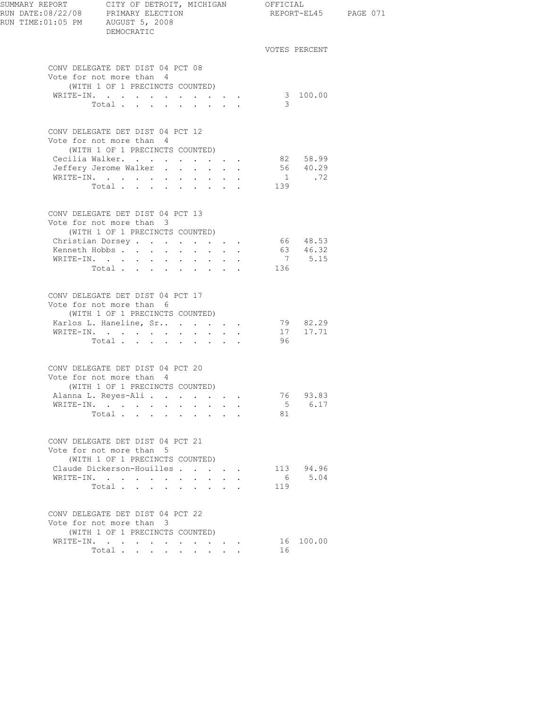| SUMMARY REPORT<br>SUMMARY REPORT        CITY OF DETROIT,<br>RUN DATE:08/22/08      PRIMARY ELECTION<br>RUN TIME:01:05 PM     AUGUST 5, 2008 | CITY OF DETROIT, MICHIGAN OFFICIAL<br>DEMOCRATIC                                                                          |            |                           |  |                      |                | REPORT-EL45 PAGE 071  |  |
|---------------------------------------------------------------------------------------------------------------------------------------------|---------------------------------------------------------------------------------------------------------------------------|------------|---------------------------|--|----------------------|----------------|-----------------------|--|
|                                                                                                                                             |                                                                                                                           |            |                           |  |                      |                | VOTES PERCENT         |  |
|                                                                                                                                             | CONV DELEGATE DET DIST 04 PCT 08<br>Vote for not more than 4<br>(WITH 1 OF 1 PRECINCTS COUNTED)                           |            |                           |  |                      |                |                       |  |
|                                                                                                                                             | WRITE-IN.<br>Total                                                                                                        |            |                           |  |                      | 3              | 3 100.00              |  |
|                                                                                                                                             | CONV DELEGATE DET DIST 04 PCT 12<br>Vote for not more than 4<br>(WITH 1 OF 1 PRECINCTS COUNTED)                           |            |                           |  |                      |                |                       |  |
|                                                                                                                                             | Cecilia Walker.                                                                                                           |            |                           |  |                      |                |                       |  |
|                                                                                                                                             | Jeffery Jerome Walker                                                                                                     |            | $\mathbf{r} = \mathbf{r}$ |  |                      |                | 82 58.99<br>56 40.29  |  |
|                                                                                                                                             | WRITE-IN.                                                                                                                 |            | <b>Allen Artists</b>      |  |                      |                | $1 \qquad \qquad .72$ |  |
|                                                                                                                                             | Total                                                                                                                     |            |                           |  |                      | 139            |                       |  |
|                                                                                                                                             | CONV DELEGATE DET DIST 04 PCT 13<br>Vote for not more than 3<br>(WITH 1 OF 1 PRECINCTS COUNTED)                           |            |                           |  |                      |                |                       |  |
|                                                                                                                                             | Christian Dorsey 66 48.53                                                                                                 |            |                           |  |                      |                |                       |  |
|                                                                                                                                             | Kenneth Hobbs                                                                                                             |            |                           |  |                      |                |                       |  |
| WRITE-IN.                                                                                                                                   | $\mathbf{r} = \mathbf{r} + \mathbf{r} + \mathbf{r} + \mathbf{r}$ .                                                        | $\sim 100$ | $\ddot{\phantom{0}}$      |  |                      |                | 63 46.32<br>7 5.15    |  |
|                                                                                                                                             | Total                                                                                                                     |            |                           |  |                      | 136            |                       |  |
|                                                                                                                                             | CONV DELEGATE DET DIST 04 PCT 17<br>Vote for not more than 6<br>(WITH 1 OF 1 PRECINCTS COUNTED)<br>Karlos L. Haneline, Sr |            |                           |  | $\ddot{\phantom{0}}$ |                | 79 82.29              |  |
|                                                                                                                                             | WRITE-IN.                                                                                                                 |            |                           |  |                      |                | 17 17.71              |  |
|                                                                                                                                             | Total                                                                                                                     |            |                           |  | $\ddot{\phantom{a}}$ | 96             |                       |  |
|                                                                                                                                             | CONV DELEGATE DET DIST 04 PCT 20<br>Vote for not more than 4<br>(WITH 1 OF 1 PRECINCTS COUNTED)                           |            |                           |  |                      |                |                       |  |
|                                                                                                                                             | Alanna L. Reyes-Ali.                                                                                                      |            |                           |  |                      |                | 76 93.83              |  |
|                                                                                                                                             | WRITE-IN.                                                                                                                 |            |                           |  |                      | 5 <sub>1</sub> | 6.17                  |  |
|                                                                                                                                             | Total<br>$\sim$                                                                                                           |            |                           |  |                      | 81             |                       |  |
|                                                                                                                                             | CONV DELEGATE DET DIST 04 PCT 21<br>Vote for not more than 5<br>(WITH 1 OF 1 PRECINCTS COUNTED)                           |            |                           |  |                      |                |                       |  |
|                                                                                                                                             | Claude Dickerson-Houilles                                                                                                 |            |                           |  |                      |                | 113 94.96             |  |
|                                                                                                                                             | WRITE-IN.                                                                                                                 |            |                           |  |                      | 6              | 5.04                  |  |
|                                                                                                                                             | Total                                                                                                                     |            |                           |  |                      | 119            |                       |  |
|                                                                                                                                             | CONV DELEGATE DET DIST 04 PCT 22<br>Vote for not more than 3<br>(WITH 1 OF 1 PRECINCTS COUNTED)                           |            |                           |  |                      |                |                       |  |
|                                                                                                                                             | WRITE-IN.                                                                                                                 |            |                           |  |                      |                | 16 100.00             |  |
|                                                                                                                                             | Total $\cdots$                                                                                                            |            |                           |  |                      | 16             |                       |  |
|                                                                                                                                             |                                                                                                                           |            |                           |  |                      |                |                       |  |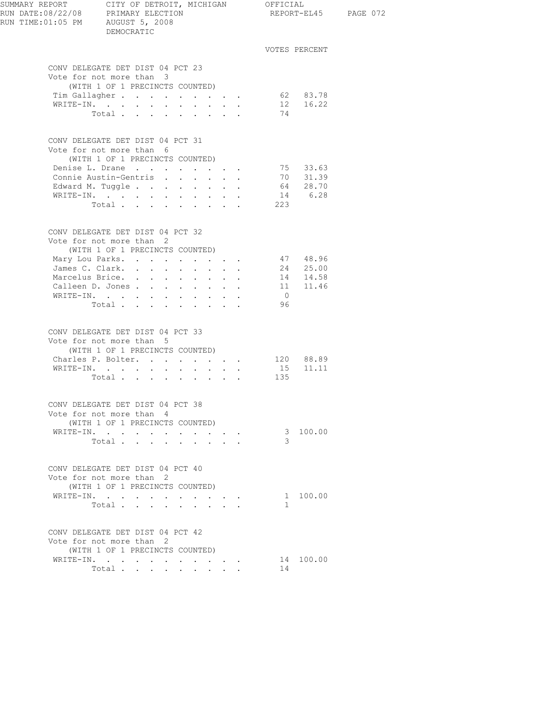| SUMMARY REPORT CITY OF DETROIT, I<br>RUN DATE:08/22/08 PRIMARY ELECTION<br>RUN TIME:01:05 PM AUGUST 5, 2008 | CITY OF DETROIT, MICHIGAN OFFICIAL<br>DEMOCRATIC                                                                                                                                                   |                                                                 |                                                                  | REPORT-EL45 PAGE 072            |                                              |  |
|-------------------------------------------------------------------------------------------------------------|----------------------------------------------------------------------------------------------------------------------------------------------------------------------------------------------------|-----------------------------------------------------------------|------------------------------------------------------------------|---------------------------------|----------------------------------------------|--|
|                                                                                                             |                                                                                                                                                                                                    |                                                                 |                                                                  |                                 | VOTES PERCENT                                |  |
|                                                                                                             | CONV DELEGATE DET DIST 04 PCT 23<br>Vote for not more than 3<br>(WITH 1 OF 1 PRECINCTS COUNTED)<br>Tim Gallagher 62 83.78<br>WRITE-IN.                                                             |                                                                 |                                                                  |                                 | 12 16.22                                     |  |
|                                                                                                             | Total                                                                                                                                                                                              |                                                                 |                                                                  | 74                              |                                              |  |
|                                                                                                             | CONV DELEGATE DET DIST 04 PCT 31<br>Vote for not more than 6<br>(WITH 1 OF 1 PRECINCTS COUNTED)<br>Denise L. Drane                                                                                 |                                                                 |                                                                  |                                 | 75 33.63                                     |  |
|                                                                                                             |                                                                                                                                                                                                    | Connie Austin-Gentris<br>Edward M. Tuggle<br>WRITE-IN.<br>Total | 223                                                              | 70 31.39<br>64 28.70<br>14 6.28 |                                              |  |
|                                                                                                             | CONV DELEGATE DET DIST 04 PCT 32<br>Vote for not more than 2<br>(WITH 1 OF 1 PRECINCTS COUNTED)<br>Mary Lou Parks.<br>James C. Clark.<br>Marcelus Brice.<br>Calleen D. Jones<br>WRITE-IN.<br>Total |                                                                 |                                                                  | $\overline{0}$<br>96            | 47 48.96<br>24 25.00<br>14 14.58<br>11 11.46 |  |
|                                                                                                             | CONV DELEGATE DET DIST 04 PCT 33<br>Vote for not more than 5<br>(WITH 1 OF 1 PRECINCTS COUNTED)<br>Charles P. Bolter. 120 88.89<br>WRITE-IN.<br>Total $\cdots$                                     |                                                                 |                                                                  | 135                             | 15 11.11                                     |  |
|                                                                                                             | CONV DELEGATE DET DIST 04 PCT 38<br>Vote for not more than 4<br>(WITH 1 OF 1 PRECINCTS COUNTED)<br>WRITE-IN.<br>Total                                                                              |                                                                 |                                                                  | 3                               | 3 100.00                                     |  |
|                                                                                                             | CONV DELEGATE DET DIST 04 PCT 40<br>Vote for not more than 2<br>(WITH 1 OF 1 PRECINCTS COUNTED)<br>WRITE-IN.<br>Total                                                                              |                                                                 | $\cdot$ $\cdot$ $\cdot$ $\cdot$ $\cdot$                          | $\mathbf{1}$                    | 1 100.00                                     |  |
|                                                                                                             | CONV DELEGATE DET DIST 04 PCT 42<br>Vote for not more than 2<br>(WITH 1 OF 1 PRECINCTS COUNTED)<br>WRITE-IN.<br>Total                                                                              |                                                                 | $\mathbf{r} = \mathbf{r} + \mathbf{r} + \mathbf{r} + \mathbf{r}$ | 14                              | 14 100.00                                    |  |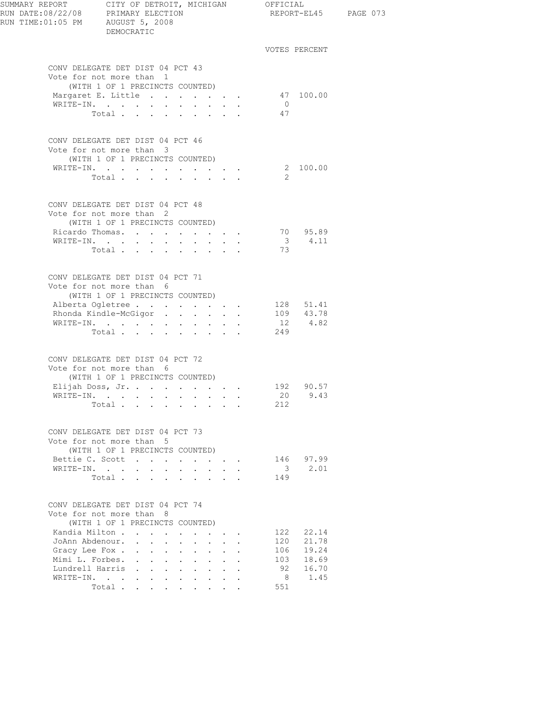|                 | SUMMARY REPORT CITY OF DETROIT, MICHIGAN OFFICIAL<br>RUN DATE:08/22/08 PRIMARY ELECTION<br>REPORT-EL45 PAGE 073<br>RUN TIME: 01:05 PM AUGUST 5, 2008<br>DEMOCRATIC<br>VOTES PERCENT<br>CONV DELEGATE DET DIST 04 PCT 43<br>Vote for not more than 1<br>(WITH 1 OF 1 PRECINCTS COUNTED)<br>Margaret E. Little<br>47 100.00<br>$\cdot$ $\cdot$ $\cdot$ $\cdot$ $\cdot$ $\cdot$<br>$\overline{0}$<br>Total<br>47<br>CONV DELEGATE DET DIST 04 PCT 46<br>Vote for not more than 3<br>(WITH 1 OF 1 PRECINCTS COUNTED)<br>2 100.00<br>WRITE-IN.<br>2<br>Total<br>CONV DELEGATE DET DIST 04 PCT 48<br>Vote for not more than 2<br>(WITH 1 OF 1 PRECINCTS COUNTED)<br>70 95.89<br>Ricardo Thomas.<br>$\mathbf{r} = \mathbf{r} + \mathbf{r}$<br>3 4.11<br>WRITE-IN.<br>$\sim$ 100 $\pm$<br>$\bullet$ .<br><br><br><br><br><br><br><br><br><br><br><br><br>73<br>Total<br>CONV DELEGATE DET DIST 04 PCT 71<br>Vote for not more than 6<br>(WITH 1 OF 1 PRECINCTS COUNTED)<br>128 51.41<br>109 43.78<br>Alberta Ogletree<br>Rhonda Kindle-McGigor<br>12 4.82<br>WRITE-IN.<br>249<br>Total<br>the contract of the contract of the<br>CONV DELEGATE DET DIST 04 PCT 72<br>Vote for not more than 6<br>(WITH 1 OF 1 PRECINCTS COUNTED)<br>Elijah Doss, Jr. 192 90.57<br>20<br>9.43<br>WRITE-IN.<br>Total<br>212<br>CONV DELEGATE DET DIST 04 PCT 73<br>Vote for not more than 5<br>(WITH 1 OF 1 PRECINCTS COUNTED)<br>Bettie C. Scott<br>146 97.99<br>$\overline{\mathbf{3}}$<br>2.01<br>WRITE-IN.<br>$\mathbf{r} = \mathbf{r} \cdot \mathbf{r}$<br>Total<br>149<br>CONV DELEGATE DET DIST 04 PCT 74<br>Vote for not more than 8<br>(WITH 1 OF 1 PRECINCTS COUNTED) |                                                                 |                           |                               |                                                    |                |           |  |
|-----------------|-------------------------------------------------------------------------------------------------------------------------------------------------------------------------------------------------------------------------------------------------------------------------------------------------------------------------------------------------------------------------------------------------------------------------------------------------------------------------------------------------------------------------------------------------------------------------------------------------------------------------------------------------------------------------------------------------------------------------------------------------------------------------------------------------------------------------------------------------------------------------------------------------------------------------------------------------------------------------------------------------------------------------------------------------------------------------------------------------------------------------------------------------------------------------------------------------------------------------------------------------------------------------------------------------------------------------------------------------------------------------------------------------------------------------------------------------------------------------------------------------------------------------------------------------------------------------------------------------------------------------------------------------------|-----------------------------------------------------------------|---------------------------|-------------------------------|----------------------------------------------------|----------------|-----------|--|
|                 |                                                                                                                                                                                                                                                                                                                                                                                                                                                                                                                                                                                                                                                                                                                                                                                                                                                                                                                                                                                                                                                                                                                                                                                                                                                                                                                                                                                                                                                                                                                                                                                                                                                       |                                                                 |                           |                               |                                                    |                |           |  |
|                 |                                                                                                                                                                                                                                                                                                                                                                                                                                                                                                                                                                                                                                                                                                                                                                                                                                                                                                                                                                                                                                                                                                                                                                                                                                                                                                                                                                                                                                                                                                                                                                                                                                                       |                                                                 |                           |                               |                                                    |                |           |  |
|                 |                                                                                                                                                                                                                                                                                                                                                                                                                                                                                                                                                                                                                                                                                                                                                                                                                                                                                                                                                                                                                                                                                                                                                                                                                                                                                                                                                                                                                                                                                                                                                                                                                                                       |                                                                 |                           |                               |                                                    |                |           |  |
|                 |                                                                                                                                                                                                                                                                                                                                                                                                                                                                                                                                                                                                                                                                                                                                                                                                                                                                                                                                                                                                                                                                                                                                                                                                                                                                                                                                                                                                                                                                                                                                                                                                                                                       |                                                                 |                           |                               |                                                    |                |           |  |
|                 |                                                                                                                                                                                                                                                                                                                                                                                                                                                                                                                                                                                                                                                                                                                                                                                                                                                                                                                                                                                                                                                                                                                                                                                                                                                                                                                                                                                                                                                                                                                                                                                                                                                       |                                                                 |                           |                               |                                                    |                |           |  |
|                 |                                                                                                                                                                                                                                                                                                                                                                                                                                                                                                                                                                                                                                                                                                                                                                                                                                                                                                                                                                                                                                                                                                                                                                                                                                                                                                                                                                                                                                                                                                                                                                                                                                                       |                                                                 |                           |                               |                                                    |                |           |  |
|                 |                                                                                                                                                                                                                                                                                                                                                                                                                                                                                                                                                                                                                                                                                                                                                                                                                                                                                                                                                                                                                                                                                                                                                                                                                                                                                                                                                                                                                                                                                                                                                                                                                                                       |                                                                 |                           |                               |                                                    |                |           |  |
|                 |                                                                                                                                                                                                                                                                                                                                                                                                                                                                                                                                                                                                                                                                                                                                                                                                                                                                                                                                                                                                                                                                                                                                                                                                                                                                                                                                                                                                                                                                                                                                                                                                                                                       |                                                                 |                           |                               |                                                    |                |           |  |
|                 |                                                                                                                                                                                                                                                                                                                                                                                                                                                                                                                                                                                                                                                                                                                                                                                                                                                                                                                                                                                                                                                                                                                                                                                                                                                                                                                                                                                                                                                                                                                                                                                                                                                       |                                                                 |                           |                               |                                                    |                |           |  |
|                 |                                                                                                                                                                                                                                                                                                                                                                                                                                                                                                                                                                                                                                                                                                                                                                                                                                                                                                                                                                                                                                                                                                                                                                                                                                                                                                                                                                                                                                                                                                                                                                                                                                                       |                                                                 |                           |                               |                                                    |                |           |  |
|                 |                                                                                                                                                                                                                                                                                                                                                                                                                                                                                                                                                                                                                                                                                                                                                                                                                                                                                                                                                                                                                                                                                                                                                                                                                                                                                                                                                                                                                                                                                                                                                                                                                                                       |                                                                 |                           |                               |                                                    |                |           |  |
|                 |                                                                                                                                                                                                                                                                                                                                                                                                                                                                                                                                                                                                                                                                                                                                                                                                                                                                                                                                                                                                                                                                                                                                                                                                                                                                                                                                                                                                                                                                                                                                                                                                                                                       |                                                                 |                           |                               |                                                    |                |           |  |
|                 |                                                                                                                                                                                                                                                                                                                                                                                                                                                                                                                                                                                                                                                                                                                                                                                                                                                                                                                                                                                                                                                                                                                                                                                                                                                                                                                                                                                                                                                                                                                                                                                                                                                       |                                                                 |                           |                               |                                                    |                |           |  |
|                 |                                                                                                                                                                                                                                                                                                                                                                                                                                                                                                                                                                                                                                                                                                                                                                                                                                                                                                                                                                                                                                                                                                                                                                                                                                                                                                                                                                                                                                                                                                                                                                                                                                                       |                                                                 |                           |                               |                                                    |                |           |  |
|                 |                                                                                                                                                                                                                                                                                                                                                                                                                                                                                                                                                                                                                                                                                                                                                                                                                                                                                                                                                                                                                                                                                                                                                                                                                                                                                                                                                                                                                                                                                                                                                                                                                                                       |                                                                 |                           |                               |                                                    |                |           |  |
|                 |                                                                                                                                                                                                                                                                                                                                                                                                                                                                                                                                                                                                                                                                                                                                                                                                                                                                                                                                                                                                                                                                                                                                                                                                                                                                                                                                                                                                                                                                                                                                                                                                                                                       |                                                                 |                           |                               |                                                    |                |           |  |
|                 |                                                                                                                                                                                                                                                                                                                                                                                                                                                                                                                                                                                                                                                                                                                                                                                                                                                                                                                                                                                                                                                                                                                                                                                                                                                                                                                                                                                                                                                                                                                                                                                                                                                       |                                                                 |                           |                               |                                                    |                |           |  |
|                 |                                                                                                                                                                                                                                                                                                                                                                                                                                                                                                                                                                                                                                                                                                                                                                                                                                                                                                                                                                                                                                                                                                                                                                                                                                                                                                                                                                                                                                                                                                                                                                                                                                                       |                                                                 |                           |                               |                                                    |                |           |  |
|                 |                                                                                                                                                                                                                                                                                                                                                                                                                                                                                                                                                                                                                                                                                                                                                                                                                                                                                                                                                                                                                                                                                                                                                                                                                                                                                                                                                                                                                                                                                                                                                                                                                                                       |                                                                 |                           |                               |                                                    |                |           |  |
|                 |                                                                                                                                                                                                                                                                                                                                                                                                                                                                                                                                                                                                                                                                                                                                                                                                                                                                                                                                                                                                                                                                                                                                                                                                                                                                                                                                                                                                                                                                                                                                                                                                                                                       |                                                                 |                           |                               |                                                    |                |           |  |
|                 |                                                                                                                                                                                                                                                                                                                                                                                                                                                                                                                                                                                                                                                                                                                                                                                                                                                                                                                                                                                                                                                                                                                                                                                                                                                                                                                                                                                                                                                                                                                                                                                                                                                       |                                                                 |                           |                               |                                                    |                |           |  |
|                 |                                                                                                                                                                                                                                                                                                                                                                                                                                                                                                                                                                                                                                                                                                                                                                                                                                                                                                                                                                                                                                                                                                                                                                                                                                                                                                                                                                                                                                                                                                                                                                                                                                                       |                                                                 |                           |                               |                                                    |                |           |  |
|                 |                                                                                                                                                                                                                                                                                                                                                                                                                                                                                                                                                                                                                                                                                                                                                                                                                                                                                                                                                                                                                                                                                                                                                                                                                                                                                                                                                                                                                                                                                                                                                                                                                                                       |                                                                 |                           |                               |                                                    |                |           |  |
|                 |                                                                                                                                                                                                                                                                                                                                                                                                                                                                                                                                                                                                                                                                                                                                                                                                                                                                                                                                                                                                                                                                                                                                                                                                                                                                                                                                                                                                                                                                                                                                                                                                                                                       |                                                                 |                           |                               |                                                    |                |           |  |
|                 |                                                                                                                                                                                                                                                                                                                                                                                                                                                                                                                                                                                                                                                                                                                                                                                                                                                                                                                                                                                                                                                                                                                                                                                                                                                                                                                                                                                                                                                                                                                                                                                                                                                       |                                                                 |                           |                               |                                                    |                |           |  |
|                 |                                                                                                                                                                                                                                                                                                                                                                                                                                                                                                                                                                                                                                                                                                                                                                                                                                                                                                                                                                                                                                                                                                                                                                                                                                                                                                                                                                                                                                                                                                                                                                                                                                                       |                                                                 |                           |                               |                                                    |                |           |  |
|                 |                                                                                                                                                                                                                                                                                                                                                                                                                                                                                                                                                                                                                                                                                                                                                                                                                                                                                                                                                                                                                                                                                                                                                                                                                                                                                                                                                                                                                                                                                                                                                                                                                                                       |                                                                 |                           |                               |                                                    |                |           |  |
|                 |                                                                                                                                                                                                                                                                                                                                                                                                                                                                                                                                                                                                                                                                                                                                                                                                                                                                                                                                                                                                                                                                                                                                                                                                                                                                                                                                                                                                                                                                                                                                                                                                                                                       |                                                                 |                           |                               |                                                    |                |           |  |
|                 |                                                                                                                                                                                                                                                                                                                                                                                                                                                                                                                                                                                                                                                                                                                                                                                                                                                                                                                                                                                                                                                                                                                                                                                                                                                                                                                                                                                                                                                                                                                                                                                                                                                       |                                                                 |                           |                               |                                                    |                |           |  |
|                 |                                                                                                                                                                                                                                                                                                                                                                                                                                                                                                                                                                                                                                                                                                                                                                                                                                                                                                                                                                                                                                                                                                                                                                                                                                                                                                                                                                                                                                                                                                                                                                                                                                                       |                                                                 |                           |                               |                                                    |                |           |  |
|                 |                                                                                                                                                                                                                                                                                                                                                                                                                                                                                                                                                                                                                                                                                                                                                                                                                                                                                                                                                                                                                                                                                                                                                                                                                                                                                                                                                                                                                                                                                                                                                                                                                                                       |                                                                 |                           |                               |                                                    |                |           |  |
|                 |                                                                                                                                                                                                                                                                                                                                                                                                                                                                                                                                                                                                                                                                                                                                                                                                                                                                                                                                                                                                                                                                                                                                                                                                                                                                                                                                                                                                                                                                                                                                                                                                                                                       |                                                                 |                           |                               |                                                    |                |           |  |
|                 |                                                                                                                                                                                                                                                                                                                                                                                                                                                                                                                                                                                                                                                                                                                                                                                                                                                                                                                                                                                                                                                                                                                                                                                                                                                                                                                                                                                                                                                                                                                                                                                                                                                       |                                                                 |                           |                               |                                                    |                |           |  |
|                 | Kandia Milton                                                                                                                                                                                                                                                                                                                                                                                                                                                                                                                                                                                                                                                                                                                                                                                                                                                                                                                                                                                                                                                                                                                                                                                                                                                                                                                                                                                                                                                                                                                                                                                                                                         |                                                                 |                           |                               | $\mathbf{r}$ , and $\mathbf{r}$ , and $\mathbf{r}$ |                | 122 22.14 |  |
| JoAnn Abdenour. | $\mathbf{r} = \mathbf{r} + \mathbf{r} + \mathbf{r} + \mathbf{r} + \mathbf{r} + \mathbf{r} + \mathbf{r}$                                                                                                                                                                                                                                                                                                                                                                                                                                                                                                                                                                                                                                                                                                                                                                                                                                                                                                                                                                                                                                                                                                                                                                                                                                                                                                                                                                                                                                                                                                                                               |                                                                 |                           |                               |                                                    | 120            | 21.78     |  |
| Gracy Lee Fox . | $\sim$                                                                                                                                                                                                                                                                                                                                                                                                                                                                                                                                                                                                                                                                                                                                                                                                                                                                                                                                                                                                                                                                                                                                                                                                                                                                                                                                                                                                                                                                                                                                                                                                                                                | and a strategic<br>$\sim$ 100 $\pm$                             | $\mathbf{L}^{\text{max}}$ |                               |                                                    | 106            | 19.24     |  |
| Mimi L. Forbes. | $\mathbf{L}^{\text{max}}$                                                                                                                                                                                                                                                                                                                                                                                                                                                                                                                                                                                                                                                                                                                                                                                                                                                                                                                                                                                                                                                                                                                                                                                                                                                                                                                                                                                                                                                                                                                                                                                                                             | $\mathbf{r}$ and $\mathbf{r}$ and $\mathbf{r}$ and $\mathbf{r}$ |                           | $\mathbf{r}$ and $\mathbf{r}$ |                                                    | 103            | 18.69     |  |
|                 | Lundrell Harris                                                                                                                                                                                                                                                                                                                                                                                                                                                                                                                                                                                                                                                                                                                                                                                                                                                                                                                                                                                                                                                                                                                                                                                                                                                                                                                                                                                                                                                                                                                                                                                                                                       |                                                                 |                           |                               |                                                    | 92             | 16.70     |  |
| WRITE-IN.       |                                                                                                                                                                                                                                                                                                                                                                                                                                                                                                                                                                                                                                                                                                                                                                                                                                                                                                                                                                                                                                                                                                                                                                                                                                                                                                                                                                                                                                                                                                                                                                                                                                                       | $\cdots$                                                        |                           |                               |                                                    | 8 <sup>8</sup> | 1.45      |  |
|                 | Total                                                                                                                                                                                                                                                                                                                                                                                                                                                                                                                                                                                                                                                                                                                                                                                                                                                                                                                                                                                                                                                                                                                                                                                                                                                                                                                                                                                                                                                                                                                                                                                                                                                 |                                                                 |                           |                               |                                                    | 551            |           |  |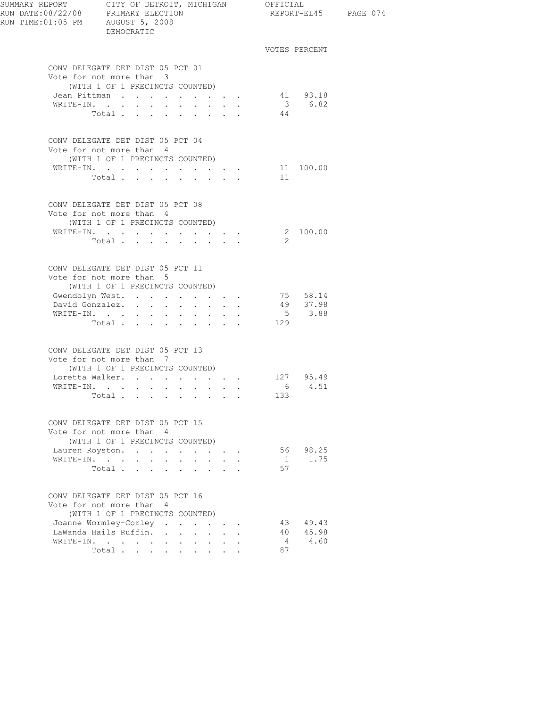| RUN TIME:01:05 PM AUGUST 5, 2008 | DEMOCRATIC                                                                                                                                                                  |                                                                                            |                                         |               | REPORT-EL45 PAGE 074                                   |  |
|----------------------------------|-----------------------------------------------------------------------------------------------------------------------------------------------------------------------------|--------------------------------------------------------------------------------------------|-----------------------------------------|---------------|--------------------------------------------------------|--|
|                                  |                                                                                                                                                                             |                                                                                            |                                         |               | VOTES PERCENT                                          |  |
|                                  | CONV DELEGATE DET DIST 05 PCT 01<br>Vote for not more than 3<br>(WITH 1 OF 1 PRECINCTS COUNTED)<br>Jean Pittman<br>WRITE-IN.<br>Total                                       |                                                                                            |                                         | 44            | $\begin{array}{cc} 41 & 93.18 \\ 3 & 6.82 \end{array}$ |  |
|                                  | CONV DELEGATE DET DIST 05 PCT 04<br>Vote for not more than 4<br>(WITH 1 OF 1 PRECINCTS COUNTED)<br>WRITE-IN.<br>Total                                                       |                                                                                            |                                         | 11            | 11 100.00                                              |  |
|                                  | CONV DELEGATE DET DIST 05 PCT 08<br>Vote for not more than 4<br>(WITH 1 OF 1 PRECINCTS COUNTED)<br>WRITE-IN.<br>Total                                                       |                                                                                            |                                         | $\mathcal{L}$ | 2 100.00                                               |  |
| WRITE-IN.                        | CONV DELEGATE DET DIST 05 PCT 11<br>Vote for not more than 5<br>(WITH 1 OF 1 PRECINCTS COUNTED)<br>Gwendolyn West. 75 58.14<br>David Gonzalez.<br>Total                     | $\mathbf{r} = \mathbf{r} + \mathbf{r} + \mathbf{r} + \mathbf{r} + \mathbf{r} + \mathbf{r}$ |                                         | 129           | 49 37.98<br>5 3.88                                     |  |
|                                  | CONV DELEGATE DET DIST 05 PCT 13<br>Vote for not more than 7<br>(WITH 1 OF 1 PRECINCTS COUNTED)<br>Loretta Walker. 127 95.49<br>WRITE-IN.<br>Total                          |                                                                                            |                                         | 133           | 6 4.51                                                 |  |
|                                  | CONV DELEGATE DET DIST 05 PCT 15<br>Vote for not more than 4<br>(WITH 1 OF 1 PRECINCTS COUNTED)<br>Lauren Royston.<br>WRITE-IN.<br>Total .<br>$\mathbf{L}$ and $\mathbf{L}$ | <b>Contract Contract</b><br>$\ddot{\phantom{a}}$                                           | $\cdot$ $\cdot$ $\cdot$ $\cdot$ $\cdot$ | 1<br>57       | 56 98.25<br>1.75                                       |  |
|                                  | CONV DELEGATE DET DIST 05 PCT 16<br>Vote for not more than 4<br>(WITH 1 OF 1 PRECINCTS COUNTED)<br>Joanne Wormley-Corley<br>LaWanda Hails Ruffin.<br>WRITE-IN.<br>Total     | $\mathbf{r} = \mathbf{r} \cdot \mathbf{r} = \mathbf{r} \cdot \mathbf{r}$                   |                                         | 4<br>87       | 43 49.43<br>40 45.98<br>4.60                           |  |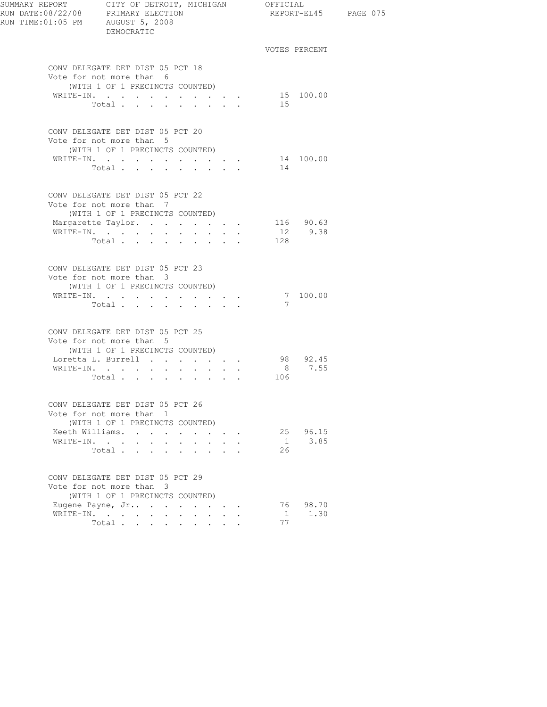| SUMMARY REPORT<br>SUMMARY REPORT        CITY OF DETROIT, N<br>RUN DATE:08/22/08      PRIMARY ELECTION<br>RUN TIME:01:05 PM     AUGUST 5, 2008 | CITY OF DETROIT, MICHIGAN<br>DEMOCRATIC                                                                                                                                                           |                                                                      |                                                                                                                                                                                                                                                                                                                                                                                                                        | OFFICIAL |                      | REPORT-EL45 PAGE 075 |
|-----------------------------------------------------------------------------------------------------------------------------------------------|---------------------------------------------------------------------------------------------------------------------------------------------------------------------------------------------------|----------------------------------------------------------------------|------------------------------------------------------------------------------------------------------------------------------------------------------------------------------------------------------------------------------------------------------------------------------------------------------------------------------------------------------------------------------------------------------------------------|----------|----------------------|----------------------|
|                                                                                                                                               |                                                                                                                                                                                                   |                                                                      |                                                                                                                                                                                                                                                                                                                                                                                                                        |          | VOTES PERCENT        |                      |
|                                                                                                                                               | CONV DELEGATE DET DIST 05 PCT 18<br>Vote for not more than 6<br>(WITH 1 OF 1 PRECINCTS COUNTED)<br>WRITE-IN.<br>Total                                                                             |                                                                      |                                                                                                                                                                                                                                                                                                                                                                                                                        | 15       | 15 100.00            |                      |
|                                                                                                                                               | CONV DELEGATE DET DIST 05 PCT 20<br>Vote for not more than 5<br>(WITH 1 OF 1 PRECINCTS COUNTED)<br>WRITE-IN.<br>Total                                                                             |                                                                      |                                                                                                                                                                                                                                                                                                                                                                                                                        | 14       | 14 100.00            |                      |
|                                                                                                                                               | CONV DELEGATE DET DIST 05 PCT 22<br>Vote for not more than 7<br>(WITH 1 OF 1 PRECINCTS COUNTED)<br>Margarette Taylor.<br>WRITE-IN.<br>Total                                                       |                                                                      | $\mathbf{1}=\mathbf{1}=\mathbf{1}=\mathbf{1}=\mathbf{1}=\mathbf{1}=\mathbf{1}=\mathbf{1}=\mathbf{1}=\mathbf{1}=\mathbf{1}=\mathbf{1}=\mathbf{1}=\mathbf{1}=\mathbf{1}=\mathbf{1}=\mathbf{1}=\mathbf{1}=\mathbf{1}=\mathbf{1}=\mathbf{1}=\mathbf{1}=\mathbf{1}=\mathbf{1}=\mathbf{1}=\mathbf{1}=\mathbf{1}=\mathbf{1}=\mathbf{1}=\mathbf{1}=\mathbf{1}=\mathbf{1}=\mathbf{1}=\mathbf{1}=\mathbf{1}=\mathbf{1}=\mathbf{$ | 128      | 116 90.63<br>12 9.38 |                      |
|                                                                                                                                               | CONV DELEGATE DET DIST 05 PCT 23<br>Vote for not more than 3<br>(WITH 1 OF 1 PRECINCTS COUNTED)<br>WRITE-IN.<br>Total                                                                             |                                                                      |                                                                                                                                                                                                                                                                                                                                                                                                                        | 7        | 7 100.00             |                      |
|                                                                                                                                               | CONV DELEGATE DET DIST 05 PCT 25<br>Vote for not more than 5<br>(WITH 1 OF 1 PRECINCTS COUNTED)<br>Loretta L. Burrell 98 92.45<br>WRITE-IN.<br>Total                                              |                                                                      |                                                                                                                                                                                                                                                                                                                                                                                                                        | 106      | 8 7.55               |                      |
| WRITE-IN.                                                                                                                                     | CONV DELEGATE DET DIST 05 PCT 26<br>Vote for not more than 1<br>(WITH 1 OF 1 PRECINCTS COUNTED)<br>Keeth Williams.<br>$\mathbf{r} = \mathbf{r} + \mathbf{r} + \mathbf{r} + \mathbf{r}$ .<br>Total | $\cdot$ $\cdot$ $\cdot$ $\cdot$                                      | $\mathbf{r}$ , $\mathbf{r}$ , $\mathbf{r}$ , $\mathbf{r}$ , $\mathbf{r}$                                                                                                                                                                                                                                                                                                                                               | 1<br>26  | 25 96.15<br>3.85     |                      |
|                                                                                                                                               | CONV DELEGATE DET DIST 05 PCT 29<br>Vote for not more than 3<br>(WITH 1 OF 1 PRECINCTS COUNTED)<br>Eugene Payne, Jr<br>WRITE-IN.<br>Total                                                         | $\mathbf{r} = \mathbf{r}$ , and the set of $\mathbf{r} = \mathbf{r}$ |                                                                                                                                                                                                                                                                                                                                                                                                                        | 1<br>77  | 76 98.70<br>1.30     |                      |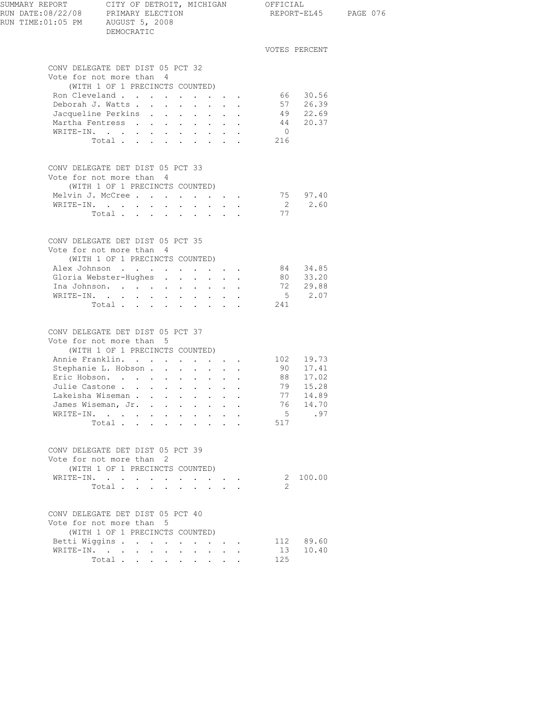| SUMMARY REPORT CITY OF DETROIT, MICHIGAN OFFICIAL<br>RUN DATE:08/22/08 PRIMARY ELECTION REPORT-E<br>RUN TIME:01:05 PM AUGUST 5, 2008 | DEMOCRATIC                                                                     |        |                                 |        |                                                                                               |                                     |                                  | REPORT-EL45 PAGE 076 |
|--------------------------------------------------------------------------------------------------------------------------------------|--------------------------------------------------------------------------------|--------|---------------------------------|--------|-----------------------------------------------------------------------------------------------|-------------------------------------|----------------------------------|----------------------|
|                                                                                                                                      |                                                                                |        |                                 |        |                                                                                               |                                     | VOTES PERCENT                    |                      |
|                                                                                                                                      | CONV DELEGATE DET DIST 05 PCT 32                                               |        |                                 |        |                                                                                               |                                     |                                  |                      |
|                                                                                                                                      | Vote for not more than 4                                                       |        |                                 |        |                                                                                               |                                     |                                  |                      |
|                                                                                                                                      | (WITH 1 OF 1 PRECINCTS COUNTED)                                                |        |                                 |        |                                                                                               |                                     |                                  |                      |
|                                                                                                                                      | Ron Cleveland                                                                  |        |                                 |        |                                                                                               |                                     | 66 30.56<br>57 26.39<br>49 22.69 |                      |
|                                                                                                                                      | Deborah J. Watts Jacqueline Perkins                                            |        |                                 |        |                                                                                               |                                     |                                  |                      |
|                                                                                                                                      |                                                                                |        |                                 |        |                                                                                               |                                     |                                  |                      |
|                                                                                                                                      | Martha Fentress 44 20.37                                                       |        |                                 |        |                                                                                               |                                     |                                  |                      |
|                                                                                                                                      | WRITE-IN.                                                                      |        |                                 |        |                                                                                               | $\begin{array}{c}0\\216\end{array}$ |                                  |                      |
|                                                                                                                                      | Total                                                                          |        |                                 |        |                                                                                               |                                     |                                  |                      |
|                                                                                                                                      | CONV DELEGATE DET DIST 05 PCT 33                                               |        |                                 |        |                                                                                               |                                     |                                  |                      |
|                                                                                                                                      | Vote for not more than 4                                                       |        |                                 |        |                                                                                               |                                     |                                  |                      |
|                                                                                                                                      | (WITH 1 OF 1 PRECINCTS COUNTED)                                                |        |                                 |        |                                                                                               |                                     |                                  |                      |
|                                                                                                                                      | Melvin J. McCree                                                               |        |                                 |        |                                                                                               |                                     | 75 97.40                         |                      |
|                                                                                                                                      | WRITE-IN.                                                                      |        |                                 |        |                                                                                               |                                     | $2 \t 2.60$                      |                      |
|                                                                                                                                      | Total                                                                          |        |                                 |        |                                                                                               | 77                                  |                                  |                      |
|                                                                                                                                      |                                                                                |        |                                 |        |                                                                                               |                                     |                                  |                      |
|                                                                                                                                      | CONV DELEGATE DET DIST 05 PCT 35                                               |        |                                 |        |                                                                                               |                                     |                                  |                      |
|                                                                                                                                      | Vote for not more than 4                                                       |        |                                 |        |                                                                                               |                                     |                                  |                      |
|                                                                                                                                      | (WITH 1 OF 1 PRECINCTS COUNTED)                                                |        |                                 |        |                                                                                               |                                     |                                  |                      |
|                                                                                                                                      | Alex Johnson 84 34.85                                                          |        |                                 |        |                                                                                               |                                     |                                  |                      |
|                                                                                                                                      | Gloria Webster-Hughes 80 33.20<br>Ina Johnson. 72 29.88                        |        |                                 |        |                                                                                               |                                     |                                  |                      |
|                                                                                                                                      | Ina Johnson.<br>WRITE-IN.                                                      |        |                                 |        |                                                                                               |                                     | $\frac{1}{5}$ 2.07               |                      |
|                                                                                                                                      | Total 241                                                                      |        |                                 |        |                                                                                               |                                     |                                  |                      |
|                                                                                                                                      |                                                                                |        |                                 |        |                                                                                               |                                     |                                  |                      |
|                                                                                                                                      | CONV DELEGATE DET DIST 05 PCT 37                                               |        |                                 |        |                                                                                               |                                     |                                  |                      |
|                                                                                                                                      | Vote for not more than 5                                                       |        |                                 |        |                                                                                               |                                     |                                  |                      |
|                                                                                                                                      | (WITH 1 OF 1 PRECINCTS COUNTED)                                                |        |                                 |        |                                                                                               |                                     |                                  |                      |
|                                                                                                                                      | Annie Franklin. 102 19.73                                                      |        |                                 |        |                                                                                               |                                     |                                  |                      |
|                                                                                                                                      | Stephanie L. Hobson 90 17.41<br>Eric Hobson 88 17.02<br>Julie Castone 79 15.28 |        |                                 |        |                                                                                               |                                     |                                  |                      |
|                                                                                                                                      | Eric Hobson.<br>Julie Castone                                                  |        |                                 |        |                                                                                               |                                     |                                  |                      |
|                                                                                                                                      | Lakeisha Wiseman                                                               |        |                                 |        |                                                                                               | 77                                  | 14.89                            |                      |
|                                                                                                                                      | James Wiseman, Jr.                                                             |        |                                 |        |                                                                                               | 76                                  | 14.70                            |                      |
|                                                                                                                                      | WRITE-IN.                                                                      | $\sim$ | $\sim$                          | $\sim$ |                                                                                               | 5                                   | .97                              |                      |
|                                                                                                                                      | Total                                                                          |        |                                 |        |                                                                                               | 517                                 |                                  |                      |
|                                                                                                                                      |                                                                                |        |                                 |        |                                                                                               |                                     |                                  |                      |
|                                                                                                                                      | CONV DELEGATE DET DIST 05 PCT 39                                               |        |                                 |        |                                                                                               |                                     |                                  |                      |
|                                                                                                                                      | Vote for not more than 2                                                       |        |                                 |        |                                                                                               |                                     |                                  |                      |
|                                                                                                                                      | (WITH 1 OF 1 PRECINCTS COUNTED)                                                |        |                                 |        |                                                                                               |                                     |                                  |                      |
|                                                                                                                                      | WRITE-IN.                                                                      |        |                                 |        | $\mathbf{r} = \mathbf{r} \cdot \mathbf{r}$ , where $\mathbf{r} = \mathbf{r} \cdot \mathbf{r}$ |                                     | 2 100.00                         |                      |
|                                                                                                                                      | Total                                                                          |        |                                 |        |                                                                                               | 2                                   |                                  |                      |
|                                                                                                                                      | CONV DELEGATE DET DIST 05 PCT 40                                               |        |                                 |        |                                                                                               |                                     |                                  |                      |
|                                                                                                                                      | Vote for not more than 5                                                       |        |                                 |        |                                                                                               |                                     |                                  |                      |
|                                                                                                                                      | (WITH 1 OF 1 PRECINCTS COUNTED)                                                |        |                                 |        |                                                                                               |                                     |                                  |                      |
|                                                                                                                                      | Betti Wiggins                                                                  |        | $\cdot$ $\cdot$ $\cdot$ $\cdot$ |        |                                                                                               |                                     | 112 89.60                        |                      |
|                                                                                                                                      | WRITE-IN.                                                                      |        |                                 |        |                                                                                               | 13                                  | 10.40                            |                      |
|                                                                                                                                      | Total $\cdots$                                                                 |        |                                 |        |                                                                                               | 125                                 |                                  |                      |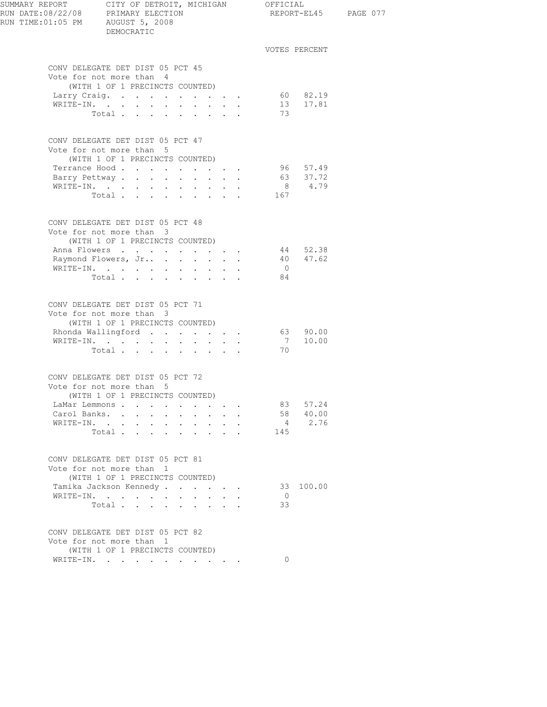| SUMMARY REPORT<br>RUN DATE:08/22/08 PRIMARY ELECTION<br>RUN TIME:01:05 PM AUGUST 5, 2008 | CITY OF DETROIT, MICHIGAN OFFICIAL<br>DEMOCRATIC             |                      |                                            |        |                               |                |                      | REPORT-EL45 PAGE 077 |
|------------------------------------------------------------------------------------------|--------------------------------------------------------------|----------------------|--------------------------------------------|--------|-------------------------------|----------------|----------------------|----------------------|
|                                                                                          |                                                              |                      |                                            |        |                               |                | VOTES PERCENT        |                      |
|                                                                                          | CONV DELEGATE DET DIST 05 PCT 45                             |                      |                                            |        |                               |                |                      |                      |
|                                                                                          | Vote for not more than 4                                     |                      |                                            |        |                               |                |                      |                      |
|                                                                                          | (WITH 1 OF 1 PRECINCTS COUNTED)                              |                      |                                            |        |                               |                |                      |                      |
|                                                                                          | Larry Craig.                                                 |                      |                                            |        |                               |                | 60 82.19             |                      |
|                                                                                          | WRITE-IN.                                                    |                      |                                            |        |                               |                | 13 17.81             |                      |
|                                                                                          | Total                                                        |                      |                                            |        |                               | 73             |                      |                      |
|                                                                                          | CONV DELEGATE DET DIST 05 PCT 47<br>Vote for not more than 5 |                      |                                            |        |                               |                |                      |                      |
|                                                                                          | (WITH 1 OF 1 PRECINCTS COUNTED)                              |                      |                                            |        |                               |                | 96 57.49             |                      |
|                                                                                          | Terrance Hood<br>Barry Pettway                               |                      |                                            |        |                               |                | 63 37.72             |                      |
|                                                                                          | WRITE-IN.                                                    |                      |                                            |        |                               |                | 8 4.79               |                      |
|                                                                                          | Total $\cdots$                                               |                      |                                            |        |                               | 167            |                      |                      |
|                                                                                          |                                                              |                      |                                            |        |                               |                |                      |                      |
|                                                                                          | CONV DELEGATE DET DIST 05 PCT 48                             |                      |                                            |        |                               |                |                      |                      |
|                                                                                          | Vote for not more than 3                                     |                      |                                            |        |                               |                |                      |                      |
|                                                                                          | (WITH 1 OF 1 PRECINCTS COUNTED)                              |                      |                                            |        |                               |                |                      |                      |
|                                                                                          | Anna Flowers<br>Raymond Flowers, Jr                          |                      | $\mathbf{L} = \mathbf{L}$                  |        | $\mathbf{r}$ and $\mathbf{r}$ |                | 44 52.38<br>40 47.62 |                      |
|                                                                                          | WRITE-IN.                                                    |                      |                                            |        |                               | $\overline{0}$ |                      |                      |
|                                                                                          | Total                                                        |                      |                                            |        |                               | 84             |                      |                      |
|                                                                                          |                                                              |                      |                                            |        |                               |                |                      |                      |
|                                                                                          | CONV DELEGATE DET DIST 05 PCT 71                             |                      |                                            |        |                               |                |                      |                      |
|                                                                                          | Vote for not more than 3                                     |                      |                                            |        |                               |                |                      |                      |
|                                                                                          | (WITH 1 OF 1 PRECINCTS COUNTED)                              |                      |                                            |        |                               |                |                      |                      |
|                                                                                          | Rhonda Wallingford 63 90.00                                  |                      |                                            |        |                               |                |                      |                      |
|                                                                                          | WRITE-IN.<br>Total $\cdots$                                  |                      |                                            |        |                               | 70             | 710.00               |                      |
|                                                                                          |                                                              |                      |                                            |        |                               |                |                      |                      |
|                                                                                          | CONV DELEGATE DET DIST 05 PCT 72                             |                      |                                            |        |                               |                |                      |                      |
|                                                                                          | Vote for not more than 5                                     |                      |                                            |        |                               |                |                      |                      |
|                                                                                          | (WITH 1 OF 1 PRECINCTS COUNTED)                              |                      |                                            |        |                               |                |                      |                      |
|                                                                                          | LaMar Lemmons                                                |                      |                                            |        |                               | 83             | 57.24                |                      |
| Carol Banks. .                                                                           | $\mathbf{L}$<br>$\mathbf{L}$                                 | $\sim$               |                                            |        |                               |                | 58 40.00<br>4 2.76   |                      |
|                                                                                          | WRITE-IN.                                                    |                      | $\sim$                                     | $\sim$ |                               | 145            |                      |                      |
|                                                                                          | Total                                                        |                      |                                            |        |                               |                |                      |                      |
|                                                                                          | CONV DELEGATE DET DIST 05 PCT 81<br>Vote for not more than 1 |                      |                                            |        |                               |                |                      |                      |
|                                                                                          | (WITH 1 OF 1 PRECINCTS COUNTED)                              |                      |                                            |        |                               |                |                      |                      |
|                                                                                          | Tamika Jackson Kennedy                                       |                      |                                            |        |                               |                | 33 100.00            |                      |
|                                                                                          | WRITE-IN.                                                    |                      |                                            |        |                               | $\circ$        |                      |                      |
|                                                                                          | Total                                                        | $\ddot{\phantom{0}}$ | $\mathbf{r} = \mathbf{r} \cdot \mathbf{r}$ |        |                               | 33             |                      |                      |
|                                                                                          |                                                              |                      |                                            |        |                               |                |                      |                      |
|                                                                                          | CONV DELEGATE DET DIST 05 PCT 82<br>Vote for not more than 1 |                      |                                            |        |                               |                |                      |                      |
|                                                                                          | (WITH 1 OF 1 PRECINCTS COUNTED)                              |                      |                                            |        |                               |                |                      |                      |
|                                                                                          | WRITE-IN.                                                    |                      |                                            |        |                               | $\circ$        |                      |                      |
|                                                                                          |                                                              |                      |                                            |        |                               |                |                      |                      |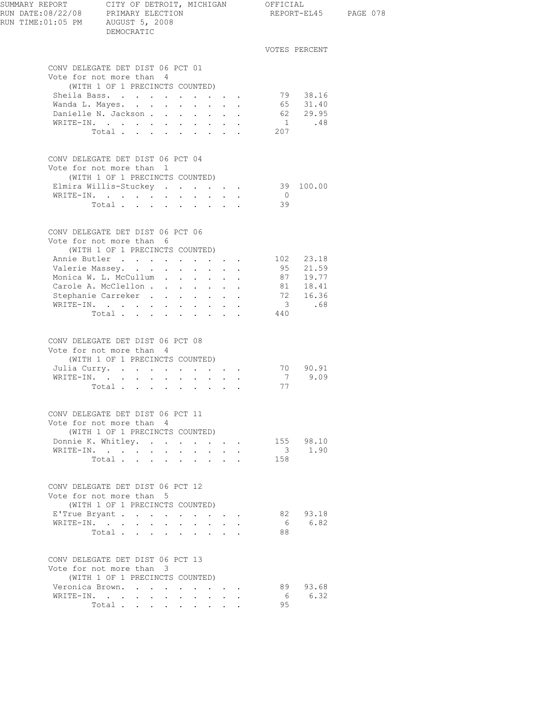| SUMMARY REPORT CITY OF DETROIT, MICHIGAN OFFICIAL<br>RUN DATE:08/22/08 PRIMARY ELECTION REPORT-EL45<br>RUN TIME:01:05 PM AUGUST 5, 2008 | DEMOCRATIC                                                                                      |                                                                                      |                                     |                                      |                |                       | REPORT-EL45 PAGE 078 |
|-----------------------------------------------------------------------------------------------------------------------------------------|-------------------------------------------------------------------------------------------------|--------------------------------------------------------------------------------------|-------------------------------------|--------------------------------------|----------------|-----------------------|----------------------|
|                                                                                                                                         |                                                                                                 |                                                                                      |                                     |                                      |                | VOTES PERCENT         |                      |
|                                                                                                                                         | CONV DELEGATE DET DIST 06 PCT 01<br>Vote for not more than 4                                    |                                                                                      |                                     |                                      |                |                       |                      |
|                                                                                                                                         | (WITH 1 OF 1 PRECINCTS COUNTED)                                                                 |                                                                                      |                                     |                                      |                |                       |                      |
|                                                                                                                                         | Sheila Bass.<br>Wanda L. Mayes.                                                                 |                                                                                      |                                     |                                      |                | 79 38.16<br>65 31.40  |                      |
|                                                                                                                                         | Danielle N. Jackson 62 29.95                                                                    |                                                                                      |                                     |                                      |                |                       |                      |
|                                                                                                                                         | WRITE-IN.                                                                                       |                                                                                      |                                     |                                      |                | $1 \qquad \qquad .48$ |                      |
|                                                                                                                                         | Total $\cdots$                                                                                  |                                                                                      |                                     |                                      | 207            |                       |                      |
|                                                                                                                                         | CONV DELEGATE DET DIST 06 PCT 04<br>Vote for not more than 1                                    |                                                                                      |                                     |                                      |                |                       |                      |
|                                                                                                                                         | (WITH 1 OF 1 PRECINCTS COUNTED)<br>Elmira Willis-Stuckey                                        |                                                                                      |                                     |                                      |                | 39 100.00             |                      |
|                                                                                                                                         | WRITE-IN.                                                                                       |                                                                                      |                                     |                                      | $\overline{0}$ |                       |                      |
|                                                                                                                                         | Total                                                                                           |                                                                                      |                                     |                                      | 39             |                       |                      |
|                                                                                                                                         | CONV DELEGATE DET DIST 06 PCT 06<br>Vote for not more than 6<br>(WITH 1 OF 1 PRECINCTS COUNTED) |                                                                                      |                                     |                                      |                |                       |                      |
|                                                                                                                                         | Annie Butler 102 23.18                                                                          |                                                                                      |                                     |                                      |                |                       |                      |
|                                                                                                                                         | Valerie Massey.                                                                                 |                                                                                      |                                     |                                      |                | 95 21.59              |                      |
|                                                                                                                                         | Monica W. L. McCullum<br>Carole A. McClellon                                                    |                                                                                      |                                     |                                      |                | 87 19.77<br>81 18.41  |                      |
|                                                                                                                                         |                                                                                                 |                                                                                      |                                     |                                      |                |                       |                      |
|                                                                                                                                         | Stephanie Carreker 72 16.36<br>WRITE-IN.                                                        |                                                                                      |                                     |                                      |                | 3 .68                 |                      |
|                                                                                                                                         | Total                                                                                           |                                                                                      |                                     |                                      | 440            |                       |                      |
|                                                                                                                                         | CONV DELEGATE DET DIST 06 PCT 08<br>Vote for not more than 4<br>(WITH 1 OF 1 PRECINCTS COUNTED) |                                                                                      |                                     |                                      |                |                       |                      |
|                                                                                                                                         | Julia Curry.<br>WRITE-IN.                                                                       |                                                                                      |                                     |                                      |                | 70 90.91<br>7 9.09    |                      |
|                                                                                                                                         | Total $\cdot$                                                                                   |                                                                                      |                                     |                                      | 77             |                       |                      |
|                                                                                                                                         | CONV DELEGATE DET DIST 06 PCT 11<br>Vote for not more than 4                                    |                                                                                      |                                     |                                      |                |                       |                      |
|                                                                                                                                         | (WITH 1 OF 1 PRECINCTS COUNTED)                                                                 |                                                                                      |                                     |                                      |                |                       |                      |
|                                                                                                                                         | Donnie K. Whitley.                                                                              |                                                                                      |                                     |                                      |                | 155 98.10             |                      |
|                                                                                                                                         | WRITE-IN.<br>Total $\cdots$                                                                     |                                                                                      | $\mathbf{L} = \mathbf{L}$           | $\sim$                               | 158            | 3 1.90                |                      |
|                                                                                                                                         | CONV DELEGATE DET DIST 06 PCT 12<br>Vote for not more than 5                                    |                                                                                      |                                     |                                      |                |                       |                      |
|                                                                                                                                         | (WITH 1 OF 1 PRECINCTS COUNTED)                                                                 |                                                                                      |                                     |                                      |                |                       |                      |
|                                                                                                                                         | E'True Bryant                                                                                   |                                                                                      |                                     |                                      |                | 82 93.18              |                      |
| WRITE-IN.                                                                                                                               | $\sim$ $-$<br>$\bullet$<br>Total.                                                               | $\ddot{\phantom{0}}$<br>$\mathbf{r}$<br>$\ddot{\phantom{a}}$<br>$\ddot{\phantom{a}}$ | $\sim$                              | $\mathbf{L} = \mathbf{L} \mathbf{L}$ | 88             | 6 6.82                |                      |
|                                                                                                                                         | CONV DELEGATE DET DIST 06 PCT 13<br>Vote for not more than 3                                    |                                                                                      |                                     |                                      |                |                       |                      |
|                                                                                                                                         | (WITH 1 OF 1 PRECINCTS COUNTED)                                                                 |                                                                                      |                                     |                                      |                |                       |                      |
|                                                                                                                                         | Veronica Brown.                                                                                 |                                                                                      |                                     |                                      |                | 89 93.68              |                      |
|                                                                                                                                         | WRITE-IN.<br>Total                                                                              | $\ddot{\phantom{0}}$                                                                 | $\mathbf{L}^{\text{max}}$<br>$\sim$ |                                      | 95             | 6 6.32                |                      |
|                                                                                                                                         |                                                                                                 |                                                                                      |                                     |                                      |                |                       |                      |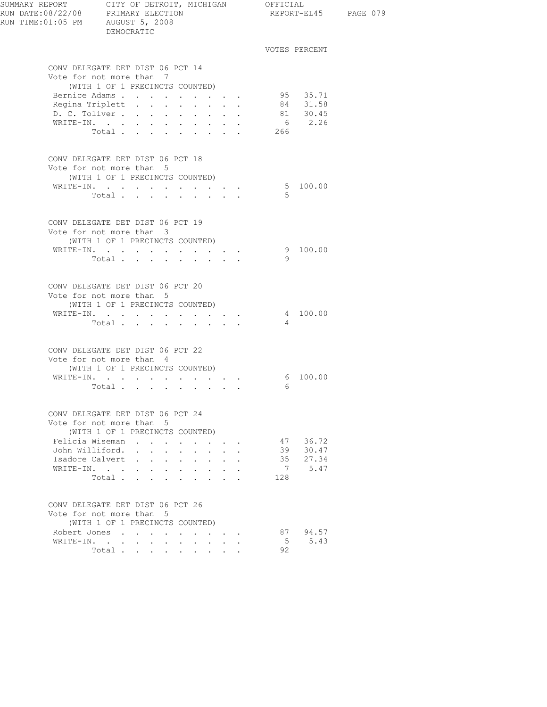| SUMMARY REPORT CITY OF DETROIT, MICHIGAN OFFICIAL<br>RUN DATE:08/22/08 PRIMARY ELECTION REPORT-E<br>RUN TIME:01:05 PM AUGUST 5, 2008<br>DEMOCRATIC |                                                              |                                                                               | REPORT-EL45 PAGE 079                                         |                |                      |  |
|----------------------------------------------------------------------------------------------------------------------------------------------------|--------------------------------------------------------------|-------------------------------------------------------------------------------|--------------------------------------------------------------|----------------|----------------------|--|
|                                                                                                                                                    |                                                              |                                                                               |                                                              |                | VOTES PERCENT        |  |
|                                                                                                                                                    | CONV DELEGATE DET DIST 06 PCT 14                             |                                                                               |                                                              |                |                      |  |
|                                                                                                                                                    | Vote for not more than 7                                     |                                                                               |                                                              |                |                      |  |
|                                                                                                                                                    | (WITH 1 OF 1 PRECINCTS COUNTED)                              |                                                                               |                                                              |                |                      |  |
|                                                                                                                                                    | Bernice Adams                                                |                                                                               |                                                              |                | 95 35.71<br>84 31.58 |  |
|                                                                                                                                                    | Regina Triplett<br>D. C. Toliver                             |                                                                               |                                                              |                | 81 30.45             |  |
|                                                                                                                                                    | WRITE-IN.                                                    |                                                                               |                                                              |                | 6 2.26               |  |
|                                                                                                                                                    | Total 266                                                    |                                                                               |                                                              |                |                      |  |
|                                                                                                                                                    |                                                              |                                                                               |                                                              |                |                      |  |
|                                                                                                                                                    | CONV DELEGATE DET DIST 06 PCT 18<br>Vote for not more than 5 |                                                                               |                                                              |                |                      |  |
|                                                                                                                                                    | (WITH 1 OF 1 PRECINCTS COUNTED)                              |                                                                               |                                                              |                |                      |  |
|                                                                                                                                                    | WRITE-IN.                                                    |                                                                               |                                                              |                | 5 100.00             |  |
|                                                                                                                                                    | Total                                                        |                                                                               |                                                              | $-5$           |                      |  |
|                                                                                                                                                    |                                                              |                                                                               |                                                              |                |                      |  |
|                                                                                                                                                    | CONV DELEGATE DET DIST 06 PCT 19                             |                                                                               |                                                              |                |                      |  |
|                                                                                                                                                    | Vote for not more than 3                                     |                                                                               |                                                              |                |                      |  |
|                                                                                                                                                    | (WITH 1 OF 1 PRECINCTS COUNTED)<br>WRITE-IN.                 |                                                                               |                                                              |                | 9 100.00             |  |
|                                                                                                                                                    | Total                                                        |                                                                               |                                                              | <sup>9</sup>   |                      |  |
|                                                                                                                                                    |                                                              |                                                                               |                                                              |                |                      |  |
|                                                                                                                                                    | CONV DELEGATE DET DIST 06 PCT 20                             |                                                                               |                                                              |                |                      |  |
|                                                                                                                                                    | Vote for not more than 5                                     |                                                                               |                                                              |                |                      |  |
|                                                                                                                                                    | (WITH 1 OF 1 PRECINCTS COUNTED)                              |                                                                               |                                                              |                |                      |  |
|                                                                                                                                                    | WRITE-IN.                                                    |                                                                               |                                                              |                | 4 100.00             |  |
|                                                                                                                                                    | Total                                                        |                                                                               |                                                              | $\overline{4}$ |                      |  |
|                                                                                                                                                    | CONV DELEGATE DET DIST 06 PCT 22                             |                                                                               |                                                              |                |                      |  |
|                                                                                                                                                    | Vote for not more than 4                                     |                                                                               |                                                              |                |                      |  |
|                                                                                                                                                    | (WITH 1 OF 1 PRECINCTS COUNTED)                              |                                                                               |                                                              |                |                      |  |
|                                                                                                                                                    | WRITE-IN.                                                    |                                                                               |                                                              |                | 6 100.00             |  |
|                                                                                                                                                    | Total.                                                       |                                                                               |                                                              | - 6            |                      |  |
|                                                                                                                                                    | CONV DELEGATE DET DIST 06 PCT 24                             |                                                                               |                                                              |                |                      |  |
|                                                                                                                                                    | Vote for not more than 5                                     |                                                                               |                                                              |                |                      |  |
|                                                                                                                                                    | (WITH 1 OF 1 PRECINCTS COUNTED)                              |                                                                               |                                                              |                | 47 36.72             |  |
|                                                                                                                                                    | Felicia Wiseman<br>John Williford.                           | $\sim$<br>$\sim$                                                              | $\mathbf{L}$                                                 |                | 39 30.47             |  |
|                                                                                                                                                    | Isadore Calvert                                              |                                                                               |                                                              |                | 35 27.34             |  |
| WRITE-IN.                                                                                                                                          | $\sim$                                                       | $\mathbf{r} = \mathbf{r} + \mathbf{r} + \mathbf{r} + \mathbf{r} + \mathbf{r}$ |                                                              |                | 7 5.47               |  |
|                                                                                                                                                    | Total                                                        |                                                                               | $\mathbf{r} = \mathbf{r} \cdot \mathbf{r}$                   | 128            |                      |  |
|                                                                                                                                                    | CONV DELEGATE DET DIST 06 PCT 26                             |                                                                               |                                                              |                |                      |  |
|                                                                                                                                                    | Vote for not more than 5                                     |                                                                               |                                                              |                |                      |  |
|                                                                                                                                                    | (WITH 1 OF 1 PRECINCTS COUNTED)                              |                                                                               |                                                              |                |                      |  |
|                                                                                                                                                    | Robert Jones                                                 |                                                                               |                                                              |                | 87 94.57             |  |
|                                                                                                                                                    | WRITE-IN.                                                    |                                                                               | $\mathbf{L} = \mathbf{L} \mathbf{L} = \mathbf{L} \mathbf{L}$ |                | 5 5.43               |  |
|                                                                                                                                                    | Total $\cdots$                                               |                                                                               |                                                              | 92             |                      |  |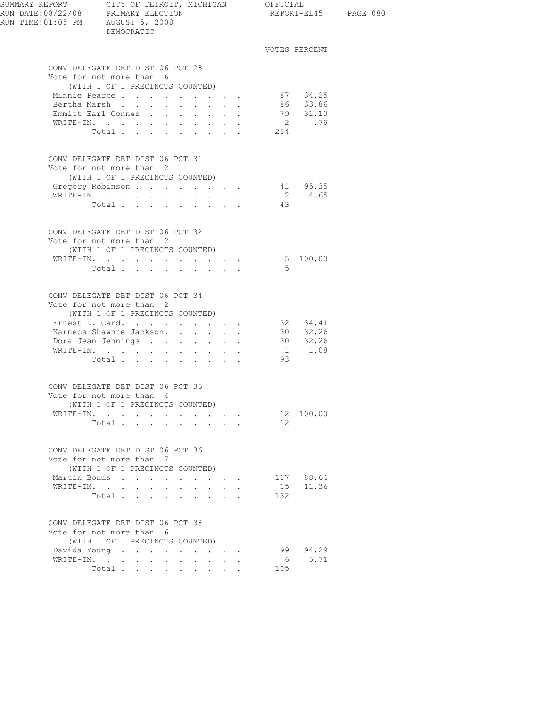| SUMMARY REPORT CITY OF DETROIT, MICHIGAN OFFICIAL<br>RUN DATE:08/22/08 PRIMARY ELECTION REPORT-EL<br>RUN TIME: 01:05 PM AUGUST 5, 2008 | DEMOCRATIC                                                                                                                                 |        |                           |                                    |      | REPORT-EL45 PAGE 080                                   |  |
|----------------------------------------------------------------------------------------------------------------------------------------|--------------------------------------------------------------------------------------------------------------------------------------------|--------|---------------------------|------------------------------------|------|--------------------------------------------------------|--|
|                                                                                                                                        |                                                                                                                                            |        |                           |                                    |      | VOTES PERCENT                                          |  |
|                                                                                                                                        | CONV DELEGATE DET DIST 06 PCT 28<br>Vote for not more than 6<br>(WITH 1 OF 1 PRECINCTS COUNTED)                                            |        |                           |                                    |      |                                                        |  |
|                                                                                                                                        | Minnie Pearce                                                                                                                              |        |                           |                                    |      |                                                        |  |
|                                                                                                                                        | Bertha Marsh                                                                                                                               |        |                           |                                    |      | 87 34.25<br>86 33.86                                   |  |
|                                                                                                                                        | Emmitt Earl Conner                                                                                                                         |        |                           |                                    |      | 79 31.10                                               |  |
|                                                                                                                                        | WRITE-IN.<br>Total                                                                                                                         |        |                           |                                    | 254  | 2 .79                                                  |  |
|                                                                                                                                        | CONV DELEGATE DET DIST 06 PCT 31<br>Vote for not more than 2                                                                               |        |                           |                                    |      |                                                        |  |
|                                                                                                                                        | (WITH 1 OF 1 PRECINCTS COUNTED)                                                                                                            |        |                           |                                    |      |                                                        |  |
| WRITE-IN.                                                                                                                              | Gregory Robinson                                                                                                                           |        |                           |                                    |      | $\begin{array}{cc} 41 & 95.35 \\ 2 & 4.65 \end{array}$ |  |
|                                                                                                                                        | Total                                                                                                                                      |        |                           |                                    | 43   |                                                        |  |
|                                                                                                                                        |                                                                                                                                            |        |                           |                                    |      |                                                        |  |
|                                                                                                                                        | CONV DELEGATE DET DIST 06 PCT 32<br>Vote for not more than 2                                                                               |        |                           |                                    |      |                                                        |  |
|                                                                                                                                        | (WITH 1 OF 1 PRECINCTS COUNTED)<br>WRITE-IN.                                                                                               |        |                           |                                    |      | 5 100.00                                               |  |
|                                                                                                                                        | Total                                                                                                                                      |        |                           |                                    | $-5$ |                                                        |  |
|                                                                                                                                        | CONV DELEGATE DET DIST 06 PCT 34<br>Vote for not more than 2<br>(WITH 1 OF 1 PRECINCTS COUNTED)                                            |        |                           |                                    |      |                                                        |  |
|                                                                                                                                        | Ernest D. Card. 32 34.41                                                                                                                   |        |                           |                                    |      |                                                        |  |
|                                                                                                                                        | Karneca Shawnte Jackson.<br>Dora Jean Jennings                                                                                             |        |                           |                                    |      | 30 32.26                                               |  |
|                                                                                                                                        | $\mathtt{WRTTE}\text{-}\mathtt{IN.}\quad.\quad.\quad.\quad.\quad.\quad.\quad.\quad.\quad.\quad.\quad.\quad.\quad.\quad.\quad.\quad.\quad.$ |        |                           |                                    |      | $30$ $32.26$<br>1 1.08                                 |  |
|                                                                                                                                        | Total                                                                                                                                      |        |                           |                                    | 93   |                                                        |  |
|                                                                                                                                        | CONV DELEGATE DET DIST 06 PCT 35<br>Vote for not more than 4                                                                               |        |                           |                                    |      |                                                        |  |
|                                                                                                                                        | (WITH 1 OF 1 PRECINCTS COUNTED)                                                                                                            |        |                           |                                    |      |                                                        |  |
|                                                                                                                                        | WRITE-IN.                                                                                                                                  |        |                           |                                    |      | 12 100.00                                              |  |
|                                                                                                                                        | Total                                                                                                                                      |        |                           |                                    | 12   |                                                        |  |
|                                                                                                                                        | CONV DELEGATE DET DIST 06 PCT 36<br>Vote for not more than 7                                                                               |        |                           |                                    |      |                                                        |  |
|                                                                                                                                        | (WITH 1 OF 1 PRECINCTS COUNTED)                                                                                                            |        |                           |                                    |      |                                                        |  |
|                                                                                                                                        | Martin Bonds<br>WRITE-IN.                                                                                                                  |        |                           | and a strong control of the strong |      | 117 88.64<br>15 11.36                                  |  |
|                                                                                                                                        | Total                                                                                                                                      | $\sim$ | $\cdot$ $\cdot$ $\cdot$   |                                    | 132  |                                                        |  |
|                                                                                                                                        | CONV DELEGATE DET DIST 06 PCT 38                                                                                                           |        |                           |                                    |      |                                                        |  |
|                                                                                                                                        | Vote for not more than 6<br>(WITH 1 OF 1 PRECINCTS COUNTED)                                                                                |        |                           |                                    |      |                                                        |  |
|                                                                                                                                        | Davida Young                                                                                                                               |        |                           |                                    | 99   | 94.29                                                  |  |
|                                                                                                                                        | WRITE-IN.                                                                                                                                  | $\sim$ | $\mathbf{r} = \mathbf{r}$ |                                    | 6    | 5.71                                                   |  |
|                                                                                                                                        | Total $\cdots$                                                                                                                             |        |                           |                                    | 105  |                                                        |  |
|                                                                                                                                        |                                                                                                                                            |        |                           |                                    |      |                                                        |  |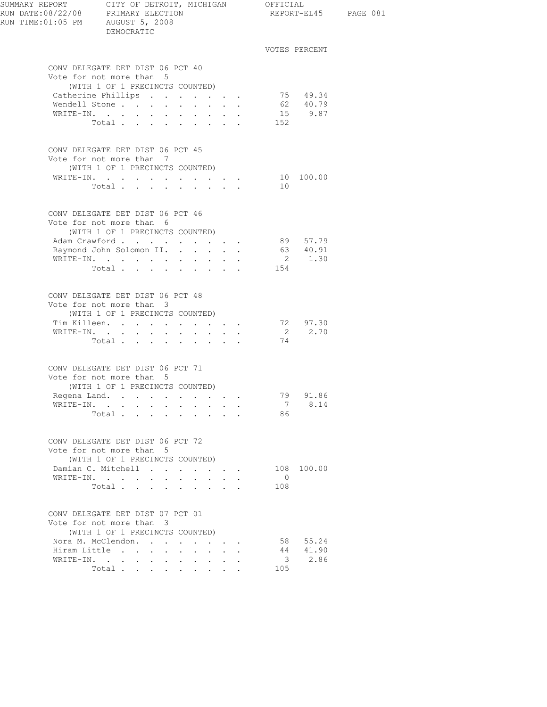| SUMMARY REPORT CITY OF DETROIT, MICHIGAN OFFICIAL<br>RUN DATE:08/22/08 PRIMARY ELECTION<br>RUN TIME: 01:05 PM AUGUST 5, 2008 | DEMOCRATIC                                                                                                                                                                                                  |                                                                                                                                          |                                                                                              |                       |                                 | REPORT-EL45 PAGE 081 |
|------------------------------------------------------------------------------------------------------------------------------|-------------------------------------------------------------------------------------------------------------------------------------------------------------------------------------------------------------|------------------------------------------------------------------------------------------------------------------------------------------|----------------------------------------------------------------------------------------------|-----------------------|---------------------------------|----------------------|
|                                                                                                                              |                                                                                                                                                                                                             |                                                                                                                                          |                                                                                              |                       | VOTES PERCENT                   |                      |
|                                                                                                                              | CONV DELEGATE DET DIST 06 PCT 40<br>Vote for not more than 5<br>(WITH 1 OF 1 PRECINCTS COUNTED)<br>Catherine Phillips<br>Wendell Stone<br>WRITE-IN.<br>Total                                                |                                                                                                                                          |                                                                                              | 152                   | 75 49.34<br>62 40.79<br>15 9.87 |                      |
|                                                                                                                              | CONV DELEGATE DET DIST 06 PCT 45<br>Vote for not more than 7<br>(WITH 1 OF 1 PRECINCTS COUNTED)<br>WRITE-IN.<br>Total                                                                                       | $\mathbf{r} = \mathbf{r} + \mathbf{r} + \mathbf{r} + \mathbf{r}$                                                                         |                                                                                              | 10                    | 10 100.00                       |                      |
|                                                                                                                              | CONV DELEGATE DET DIST 06 PCT 46<br>Vote for not more than 6<br>(WITH 1 OF 1 PRECINCTS COUNTED)<br>Adam Crawford<br>Raymond John Solomon II.<br>WRITE-IN.<br>Total 154                                      |                                                                                                                                          |                                                                                              |                       | 89 57.79<br>63 40.91<br>2 1.30  |                      |
|                                                                                                                              | CONV DELEGATE DET DIST 06 PCT 48<br>Vote for not more than 3<br>(WITH 1 OF 1 PRECINCTS COUNTED)<br>Tim Killeen. 72 97.30<br>WRITE-IN.<br>Total                                                              | $\bullet$ .<br><br><br><br><br><br><br><br><br><br><br><br>                                                                              |                                                                                              | 74                    | 2 2.70                          |                      |
|                                                                                                                              | CONV DELEGATE DET DIST 06 PCT 71<br>Vote for not more than 5<br>(WITH 1 OF 1 PRECINCTS COUNTED)<br>Regena Land. $\cdots$ $\cdots$ $\cdots$<br>WRITE-IN.<br>Total $\cdots$                                   |                                                                                                                                          |                                                                                              | 7<br>86               | 79 91.86<br>8.14                |                      |
|                                                                                                                              | CONV DELEGATE DET DIST 06 PCT 72<br>Vote for not more than 5<br>(WITH 1 OF 1 PRECINCTS COUNTED)<br>Damian C. Mitchell<br>WRITE-IN.<br>Total                                                                 | $\mathbf{r} = \mathbf{r} + \mathbf{r} = \mathbf{r} + \mathbf{r}$<br>$\mathbf{r} = \mathbf{r} + \mathbf{r}$<br>$\sim$                     | $\cdot$ $\cdot$                                                                              | $\overline{0}$<br>108 | 108 100.00                      |                      |
|                                                                                                                              | CONV DELEGATE DET DIST 07 PCT 01<br>Vote for not more than 3<br>(WITH 1 OF 1 PRECINCTS COUNTED)<br>Nora M. McClendon.<br>Hiram Little<br>$\ddot{\phantom{0}}$<br>$\ddot{\phantom{0}}$<br>WRITE-IN.<br>Total | $\ddot{\phantom{a}}$<br>$\ddot{\phantom{0}}$<br>$\ddot{\phantom{0}}$<br>$\ddot{\phantom{0}}$<br>$\bullet$ . In the case of the $\bullet$ | $\cdot$ $\cdot$ $\cdot$ $\cdot$<br>$\bullet$ , $\bullet$ , $\bullet$ , $\bullet$ , $\bullet$ | 44<br>3<br>105        | 58 55.24<br>41.90<br>2.86       |                      |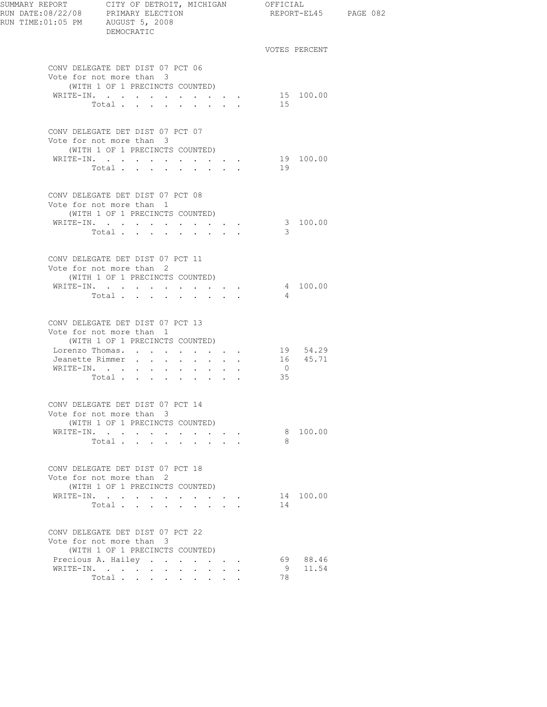| SUMMARY REPORT CITY OF DETROIT, MICHIGAN OFFICIAL<br>RUN DATE:08/22/08 PRIMARY ELECTION<br>RUN TIME: 01:05 PM AUGUST 5, 2008 | DEMOCRATIC                                                                                                     |                                                                                        |  |                |               | REPORT-EL45 PAGE 082 |
|------------------------------------------------------------------------------------------------------------------------------|----------------------------------------------------------------------------------------------------------------|----------------------------------------------------------------------------------------|--|----------------|---------------|----------------------|
|                                                                                                                              |                                                                                                                |                                                                                        |  |                | VOTES PERCENT |                      |
|                                                                                                                              | CONV DELEGATE DET DIST 07 PCT 06<br>Vote for not more than 3                                                   |                                                                                        |  |                |               |                      |
|                                                                                                                              | (WITH 1 OF 1 PRECINCTS COUNTED)                                                                                |                                                                                        |  |                |               |                      |
|                                                                                                                              | WRITE-IN.<br>Total.                                                                                            | $\cdot$ $\cdot$ $\cdot$ $\cdot$ $\cdot$ $\cdot$                                        |  | 15             | 15 100.00     |                      |
|                                                                                                                              |                                                                                                                |                                                                                        |  |                |               |                      |
|                                                                                                                              | CONV DELEGATE DET DIST 07 PCT 07<br>Vote for not more than 3<br>(WITH 1 OF 1 PRECINCTS COUNTED)                |                                                                                        |  |                |               |                      |
|                                                                                                                              |                                                                                                                |                                                                                        |  |                | 19 100.00     |                      |
|                                                                                                                              | WRITE-IN.<br>Total                                                                                             | $\mathbf{A}^{\text{in}}$ , and $\mathbf{A}^{\text{in}}$ , and $\mathbf{A}^{\text{in}}$ |  | 19             |               |                      |
|                                                                                                                              |                                                                                                                |                                                                                        |  |                |               |                      |
|                                                                                                                              | CONV DELEGATE DET DIST 07 PCT 08<br>Vote for not more than 1                                                   |                                                                                        |  |                |               |                      |
|                                                                                                                              | (WITH 1 OF 1 PRECINCTS COUNTED)                                                                                |                                                                                        |  |                |               |                      |
|                                                                                                                              | WRITE-IN.                                                                                                      |                                                                                        |  |                | 3 100.00      |                      |
|                                                                                                                              | Total                                                                                                          |                                                                                        |  | 3              |               |                      |
|                                                                                                                              | CONV DELEGATE DET DIST 07 PCT 11<br>Vote for not more than 2<br>(WITH 1 OF 1 PRECINCTS COUNTED)                |                                                                                        |  |                |               |                      |
|                                                                                                                              | WRITE-IN.                                                                                                      |                                                                                        |  |                | 4 100.00      |                      |
|                                                                                                                              | Total $\cdots$                                                                                                 |                                                                                        |  | 4              |               |                      |
|                                                                                                                              |                                                                                                                |                                                                                        |  |                |               |                      |
|                                                                                                                              | CONV DELEGATE DET DIST 07 PCT 13<br>Vote for not more than 1<br>(WITH 1 OF 1 PRECINCTS COUNTED)                |                                                                                        |  |                |               |                      |
|                                                                                                                              | Lorenzo Thomas. 19 54.29                                                                                       |                                                                                        |  |                |               |                      |
|                                                                                                                              | Jeanette Rimmer                                                                                                |                                                                                        |  |                | 16  45.71     |                      |
| WRITE-IN.                                                                                                                    | and a series of the series of the series of the series of the series of the series of the series of the series |                                                                                        |  | $\overline{0}$ |               |                      |
|                                                                                                                              | Total                                                                                                          |                                                                                        |  | 35             |               |                      |
|                                                                                                                              | CONV DELEGATE DET DIST 07 PCT 14                                                                               |                                                                                        |  |                |               |                      |
|                                                                                                                              | Vote for not more than 3                                                                                       |                                                                                        |  |                |               |                      |
|                                                                                                                              | (WITH 1 OF 1 PRECINCTS COUNTED)<br>WRITE-IN.                                                                   |                                                                                        |  |                | 8 100.00      |                      |
|                                                                                                                              | Total                                                                                                          | $\mathbf{r} = \mathbf{r} + \mathbf{r} + \mathbf{r} + \mathbf{r}$                       |  | 8              |               |                      |
|                                                                                                                              |                                                                                                                |                                                                                        |  |                |               |                      |
|                                                                                                                              | CONV DELEGATE DET DIST 07 PCT 18<br>Vote for not more than 2                                                   |                                                                                        |  |                |               |                      |
|                                                                                                                              | (WITH 1 OF 1 PRECINCTS COUNTED)                                                                                |                                                                                        |  |                |               |                      |
|                                                                                                                              | WRITE-IN.<br>Total                                                                                             |                                                                                        |  | 14             | 14 100.00     |                      |
|                                                                                                                              |                                                                                                                |                                                                                        |  |                |               |                      |
|                                                                                                                              | CONV DELEGATE DET DIST 07 PCT 22<br>Vote for not more than 3                                                   |                                                                                        |  |                |               |                      |
|                                                                                                                              | (WITH 1 OF 1 PRECINCTS COUNTED)                                                                                |                                                                                        |  |                |               |                      |
|                                                                                                                              | Precious A. Hailey                                                                                             |                                                                                        |  |                | 69 88.46      |                      |
|                                                                                                                              | WRITE-IN.                                                                                                      |                                                                                        |  | - 9            | 11.54         |                      |
|                                                                                                                              | Total $\cdots$                                                                                                 |                                                                                        |  | 78             |               |                      |
|                                                                                                                              |                                                                                                                |                                                                                        |  |                |               |                      |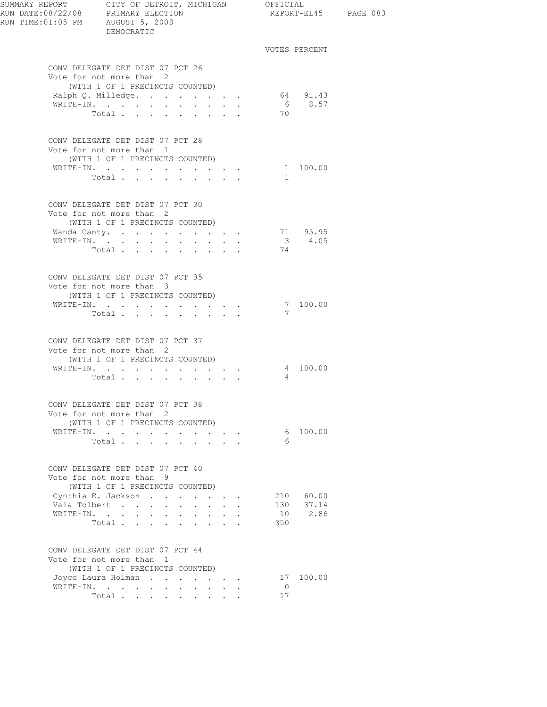| SUMMARY REPORT CITY OF DETROIT, MICHIGAN OFFICIAL<br>RUN DATE:08/22/08 PRIMARY ELECTION |                                  |                |  |  |                                                                                               |                | REPORT-EL45 PAGE 083 |  |
|-----------------------------------------------------------------------------------------|----------------------------------|----------------|--|--|-----------------------------------------------------------------------------------------------|----------------|----------------------|--|
| RUN TIME:01:05 PM AUGUST 5, 2008                                                        |                                  | DEMOCRATIC     |  |  |                                                                                               |                |                      |  |
|                                                                                         |                                  |                |  |  |                                                                                               |                | VOTES PERCENT        |  |
|                                                                                         | CONV DELEGATE DET DIST 07 PCT 26 |                |  |  |                                                                                               |                |                      |  |
|                                                                                         | Vote for not more than 2         |                |  |  |                                                                                               |                |                      |  |
|                                                                                         | (WITH 1 OF 1 PRECINCTS COUNTED)  |                |  |  |                                                                                               |                |                      |  |
|                                                                                         | Ralph Q. Milledge.<br>WRITE-IN.  |                |  |  | $\mathbf{r} = \mathbf{r} + \mathbf{r} + \mathbf{r} + \mathbf{r}$ .                            |                | 64 91.43<br>6 8.57   |  |
|                                                                                         |                                  | Total          |  |  |                                                                                               | 70             |                      |  |
|                                                                                         |                                  |                |  |  |                                                                                               |                |                      |  |
|                                                                                         | CONV DELEGATE DET DIST 07 PCT 28 |                |  |  |                                                                                               |                |                      |  |
|                                                                                         | Vote for not more than 1         |                |  |  |                                                                                               |                |                      |  |
|                                                                                         | (WITH 1 OF 1 PRECINCTS COUNTED)  |                |  |  |                                                                                               |                | 1 100.00             |  |
|                                                                                         | WRITE-IN.                        | Total $\cdots$ |  |  |                                                                                               | $\mathbf{1}$   |                      |  |
|                                                                                         |                                  |                |  |  |                                                                                               |                |                      |  |
|                                                                                         | CONV DELEGATE DET DIST 07 PCT 30 |                |  |  |                                                                                               |                |                      |  |
|                                                                                         | Vote for not more than 2         |                |  |  |                                                                                               |                |                      |  |
|                                                                                         | (WITH 1 OF 1 PRECINCTS COUNTED)  |                |  |  |                                                                                               |                |                      |  |
|                                                                                         | Wanda Canty.                     |                |  |  |                                                                                               |                | 71 95.95<br>3 4.05   |  |
|                                                                                         | WRITE-IN.                        | Total $\cdots$ |  |  |                                                                                               | 74             |                      |  |
|                                                                                         |                                  |                |  |  |                                                                                               |                |                      |  |
|                                                                                         | CONV DELEGATE DET DIST 07 PCT 35 |                |  |  |                                                                                               |                |                      |  |
|                                                                                         | Vote for not more than 3         |                |  |  |                                                                                               |                |                      |  |
|                                                                                         | (WITH 1 OF 1 PRECINCTS COUNTED)  |                |  |  |                                                                                               |                |                      |  |
|                                                                                         | WRITE-IN.                        |                |  |  |                                                                                               |                | 7 100.00             |  |
|                                                                                         |                                  | Total $\cdots$ |  |  |                                                                                               | 7              |                      |  |
|                                                                                         | CONV DELEGATE DET DIST 07 PCT 37 |                |  |  |                                                                                               |                |                      |  |
|                                                                                         | Vote for not more than 2         |                |  |  |                                                                                               |                |                      |  |
|                                                                                         | (WITH 1 OF 1 PRECINCTS COUNTED)  |                |  |  |                                                                                               |                |                      |  |
|                                                                                         | WRITE-IN.                        |                |  |  | $\mathbf{r} = \mathbf{r} \cdot \mathbf{r}$ , where $\mathbf{r} = \mathbf{r} \cdot \mathbf{r}$ |                | 4 100.00             |  |
|                                                                                         |                                  | Total          |  |  |                                                                                               | $\overline{4}$ |                      |  |
|                                                                                         | CONV DELEGATE DET DIST 07 PCT 38 |                |  |  |                                                                                               |                |                      |  |
|                                                                                         | Vote for not more than 2         |                |  |  |                                                                                               |                |                      |  |
|                                                                                         | (WITH 1 OF 1 PRECINCTS COUNTED)  |                |  |  |                                                                                               |                |                      |  |
|                                                                                         | WRITE-IN.                        |                |  |  |                                                                                               |                | 6 100.00             |  |
|                                                                                         |                                  | Total          |  |  |                                                                                               | -6             |                      |  |
|                                                                                         | CONV DELEGATE DET DIST 07 PCT 40 |                |  |  |                                                                                               |                |                      |  |
|                                                                                         | Vote for not more than 9         |                |  |  |                                                                                               |                |                      |  |
|                                                                                         | (WITH 1 OF 1 PRECINCTS COUNTED)  |                |  |  |                                                                                               |                |                      |  |
|                                                                                         | Cynthia E. Jackson               |                |  |  |                                                                                               |                | 210 60.00            |  |
|                                                                                         | Vala Tolbert                     |                |  |  |                                                                                               |                | 130 37.14            |  |
|                                                                                         | WRITE-IN.                        |                |  |  |                                                                                               |                | 10 2.86              |  |
|                                                                                         |                                  | Total          |  |  |                                                                                               | 350            |                      |  |
|                                                                                         | CONV DELEGATE DET DIST 07 PCT 44 |                |  |  |                                                                                               |                |                      |  |
|                                                                                         | Vote for not more than 1         |                |  |  |                                                                                               |                |                      |  |
|                                                                                         | (WITH 1 OF 1 PRECINCTS COUNTED)  |                |  |  |                                                                                               |                |                      |  |
|                                                                                         | Joyce Laura Holman               |                |  |  |                                                                                               |                | 17 100.00            |  |
|                                                                                         | WRITE-IN.                        |                |  |  |                                                                                               | $\overline{0}$ |                      |  |
|                                                                                         |                                  | Total          |  |  |                                                                                               | 17             |                      |  |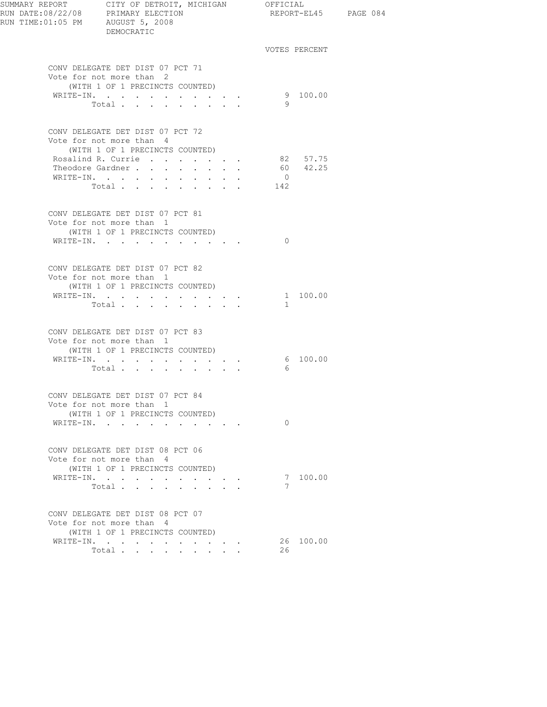| SUMMARY REPORT CITY OF DETROIT, MICHIGAN OFFICIAL<br>RUN DATE:08/22/08 PRIMARY ELECTION<br>RUN TIME:01:05 PM AUGUST 5, 2008 | DEMOCRATIC                                                                                      |                                                    |  |                | REPORT-EL45 PAGE 084 |  |
|-----------------------------------------------------------------------------------------------------------------------------|-------------------------------------------------------------------------------------------------|----------------------------------------------------|--|----------------|----------------------|--|
|                                                                                                                             |                                                                                                 |                                                    |  |                | VOTES PERCENT        |  |
|                                                                                                                             | CONV DELEGATE DET DIST 07 PCT 71<br>Vote for not more than 2                                    |                                                    |  |                |                      |  |
|                                                                                                                             | (WITH 1 OF 1 PRECINCTS COUNTED)<br>WRITE-IN.                                                    |                                                    |  |                | 9 100.00             |  |
|                                                                                                                             | Total                                                                                           |                                                    |  | - 9            |                      |  |
|                                                                                                                             | CONV DELEGATE DET DIST 07 PCT 72<br>Vote for not more than 4<br>(WITH 1 OF 1 PRECINCTS COUNTED) |                                                    |  |                |                      |  |
|                                                                                                                             | Rosalind R. Currie                                                                              |                                                    |  |                | 82 57.75             |  |
|                                                                                                                             | Theodore Gardner                                                                                | $\mathbf{r}$ , and $\mathbf{r}$ , and $\mathbf{r}$ |  |                | 60 42.25             |  |
|                                                                                                                             | WRITE-IN.                                                                                       |                                                    |  | $\overline{0}$ |                      |  |
|                                                                                                                             | Total                                                                                           |                                                    |  | 142            |                      |  |
|                                                                                                                             | CONV DELEGATE DET DIST 07 PCT 81<br>Vote for not more than 1                                    |                                                    |  |                |                      |  |
|                                                                                                                             | (WITH 1 OF 1 PRECINCTS COUNTED)<br>WRITE-IN.                                                    |                                                    |  | $\Omega$       |                      |  |
|                                                                                                                             |                                                                                                 |                                                    |  |                |                      |  |
|                                                                                                                             | CONV DELEGATE DET DIST 07 PCT 82<br>Vote for not more than 1                                    |                                                    |  |                |                      |  |
|                                                                                                                             | (WITH 1 OF 1 PRECINCTS COUNTED)                                                                 |                                                    |  |                |                      |  |
|                                                                                                                             | WRITE-IN.                                                                                       |                                                    |  |                | 1 100.00             |  |
|                                                                                                                             | Total                                                                                           |                                                    |  | $\mathbf{1}$   |                      |  |
|                                                                                                                             | CONV DELEGATE DET DIST 07 PCT 83<br>Vote for not more than 1                                    |                                                    |  |                |                      |  |
|                                                                                                                             | (WITH 1 OF 1 PRECINCTS COUNTED)                                                                 |                                                    |  |                |                      |  |
|                                                                                                                             | WRITE-IN.                                                                                       |                                                    |  | 6              | $6\quad 100.00$      |  |
|                                                                                                                             | Total $\cdot$                                                                                   |                                                    |  |                |                      |  |
|                                                                                                                             | CONV DELEGATE DET DIST 07 PCT 84<br>Vote for not more than 1                                    |                                                    |  |                |                      |  |
|                                                                                                                             | (WITH 1 OF 1 PRECINCTS COUNTED)                                                                 |                                                    |  |                |                      |  |
|                                                                                                                             | WRITE-IN.                                                                                       |                                                    |  | $\Omega$       |                      |  |
|                                                                                                                             | CONV DELEGATE DET DIST 08 PCT 06<br>Vote for not more than 4<br>(WITH 1 OF 1 PRECINCTS COUNTED) |                                                    |  |                |                      |  |
|                                                                                                                             | WRITE-IN.                                                                                       | $\mathbf{r}$ , and $\mathbf{r}$ , and $\mathbf{r}$ |  |                | 7 100.00             |  |
|                                                                                                                             | Total                                                                                           |                                                    |  | 7              |                      |  |
|                                                                                                                             | CONV DELEGATE DET DIST 08 PCT 07                                                                |                                                    |  |                |                      |  |
|                                                                                                                             | Vote for not more than 4<br>(WITH 1 OF 1 PRECINCTS COUNTED)                                     |                                                    |  |                |                      |  |
|                                                                                                                             | WRITE-IN.                                                                                       |                                                    |  |                | 26 100.00            |  |
|                                                                                                                             | Total                                                                                           |                                                    |  | 26             |                      |  |
|                                                                                                                             |                                                                                                 |                                                    |  |                |                      |  |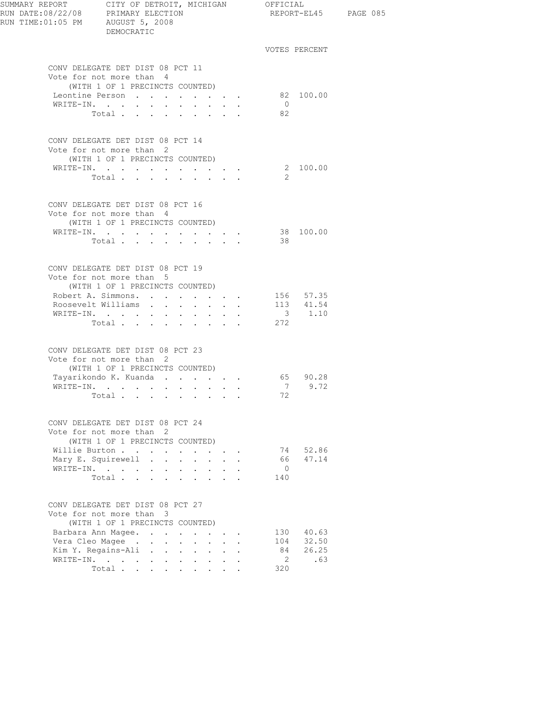| SUMMARY REPORT CITY OF DETROIT, MICHIGAN OFFICIAL<br>RUN DATE:08/22/08 PRIMARY ELECTION REPORT-EL<br>RUN TIME: 01:05 PM AUGUST 5, 2008 | DEMOCRATIC                                                                                      |                      |                                                           |                           |                | REPORT-EL45 PAGE 085                                    |  |
|----------------------------------------------------------------------------------------------------------------------------------------|-------------------------------------------------------------------------------------------------|----------------------|-----------------------------------------------------------|---------------------------|----------------|---------------------------------------------------------|--|
|                                                                                                                                        |                                                                                                 |                      |                                                           |                           |                | VOTES PERCENT                                           |  |
|                                                                                                                                        | CONV DELEGATE DET DIST 08 PCT 11<br>Vote for not more than 4                                    |                      |                                                           |                           |                |                                                         |  |
|                                                                                                                                        | (WITH 1 OF 1 PRECINCTS COUNTED)<br>Leontine Person                                              |                      |                                                           |                           |                | 82 100.00                                               |  |
|                                                                                                                                        | WRITE-IN.                                                                                       |                      |                                                           |                           | $\overline{0}$ |                                                         |  |
|                                                                                                                                        | Total                                                                                           |                      |                                                           |                           | 82             |                                                         |  |
|                                                                                                                                        | CONV DELEGATE DET DIST 08 PCT 14<br>Vote for not more than 2<br>(WITH 1 OF 1 PRECINCTS COUNTED) |                      |                                                           |                           |                |                                                         |  |
|                                                                                                                                        | WRITE-IN.                                                                                       |                      |                                                           |                           |                | 2 100.00                                                |  |
|                                                                                                                                        | Total                                                                                           |                      |                                                           |                           | -2             |                                                         |  |
|                                                                                                                                        | CONV DELEGATE DET DIST 08 PCT 16<br>Vote for not more than 4                                    |                      |                                                           |                           |                |                                                         |  |
|                                                                                                                                        | (WITH 1 OF 1 PRECINCTS COUNTED)                                                                 |                      |                                                           |                           |                |                                                         |  |
|                                                                                                                                        | WRITE-IN.                                                                                       |                      |                                                           |                           |                | 38 100.00                                               |  |
|                                                                                                                                        | Total $\cdots$                                                                                  |                      |                                                           |                           | 38             |                                                         |  |
|                                                                                                                                        | CONV DELEGATE DET DIST 08 PCT 19<br>Vote for not more than 5<br>(WITH 1 OF 1 PRECINCTS COUNTED) |                      |                                                           |                           |                |                                                         |  |
|                                                                                                                                        | Robert A. Simmons. 156 57.35                                                                    |                      |                                                           |                           |                |                                                         |  |
|                                                                                                                                        | Roosevelt Williams                                                                              |                      |                                                           |                           |                | $\begin{array}{cc} 113 & 41.54 \\ 3 & 1.10 \end{array}$ |  |
|                                                                                                                                        | WRITE-IN.<br>$\mathcal{L}^{\text{max}}$                                                         | <b>Service</b> State | $\sim 10^{-11}$<br>$\sim$                                 |                           |                |                                                         |  |
|                                                                                                                                        | Total                                                                                           |                      |                                                           |                           | 272            |                                                         |  |
|                                                                                                                                        | CONV DELEGATE DET DIST 08 PCT 23<br>Vote for not more than 2                                    |                      |                                                           |                           |                |                                                         |  |
|                                                                                                                                        | (WITH 1 OF 1 PRECINCTS COUNTED)<br>Tayarikondo K. Kuanda                                        |                      |                                                           |                           |                | 65 90.28                                                |  |
|                                                                                                                                        | WRITE-IN.                                                                                       |                      |                                                           |                           |                | 7 9.72                                                  |  |
|                                                                                                                                        | Total $\cdots$ $\cdots$ $\cdots$                                                                |                      |                                                           |                           | 72             |                                                         |  |
|                                                                                                                                        |                                                                                                 |                      |                                                           |                           |                |                                                         |  |
|                                                                                                                                        | CONV DELEGATE DET DIST 08 PCT 24<br>Vote for not more than 2                                    |                      |                                                           |                           |                |                                                         |  |
|                                                                                                                                        | (WITH 1 OF 1 PRECINCTS COUNTED)                                                                 |                      |                                                           |                           |                |                                                         |  |
|                                                                                                                                        | Willie Burton                                                                                   |                      |                                                           |                           |                | 74 52.86                                                |  |
|                                                                                                                                        | Mary E. Squirewell                                                                              | $\sim$ $\sim$        | $\mathbf{r}$ , $\mathbf{r}$ , $\mathbf{r}$ , $\mathbf{r}$ |                           |                | 66 47.14                                                |  |
|                                                                                                                                        | WRITE-IN.                                                                                       | $\mathbf{L}$         | $\mathbf{L}$                                              | $\mathbf{L} = \mathbf{L}$ | $\overline{0}$ |                                                         |  |
|                                                                                                                                        | Total                                                                                           |                      |                                                           |                           | 140            |                                                         |  |
|                                                                                                                                        | CONV DELEGATE DET DIST 08 PCT 27<br>Vote for not more than 3<br>(WITH 1 OF 1 PRECINCTS COUNTED) |                      |                                                           |                           |                |                                                         |  |
|                                                                                                                                        | Barbara Ann Magee                                                                               |                      |                                                           | $\cdot$ $\cdot$ $\cdot$   |                | 130 40.63                                               |  |
|                                                                                                                                        | Vera Cleo Magee                                                                                 |                      |                                                           |                           |                | 104 32.50                                               |  |
|                                                                                                                                        | Kim Y. Regains-Ali                                                                              |                      |                                                           |                           |                | 84 26.25                                                |  |
|                                                                                                                                        | WRITE-IN.                                                                                       |                      |                                                           |                           |                | 2 .63                                                   |  |
|                                                                                                                                        | Total                                                                                           |                      |                                                           |                           | 320            |                                                         |  |
|                                                                                                                                        |                                                                                                 |                      |                                                           |                           |                |                                                         |  |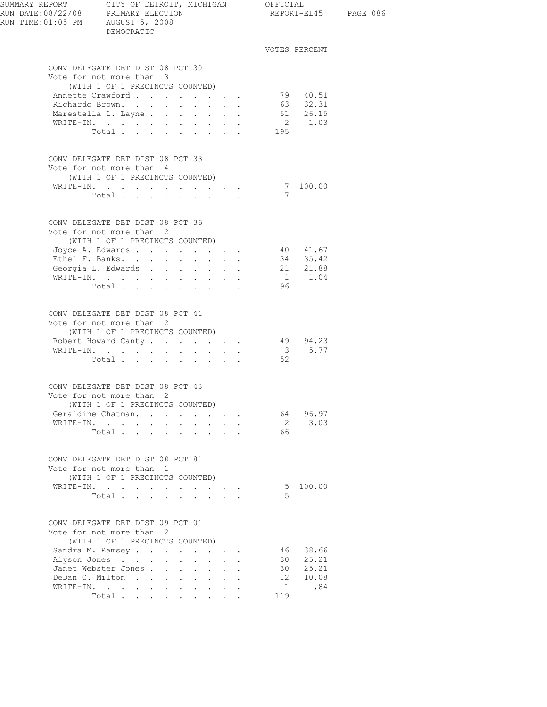| RUN TIME:01:05 PM AUGUST 5, 2008 | DEMOCRATIC                                                                                      |  |              |     |                      | REPORT-EL45 PAGE 086 |
|----------------------------------|-------------------------------------------------------------------------------------------------|--|--------------|-----|----------------------|----------------------|
|                                  |                                                                                                 |  |              |     | VOTES PERCENT        |                      |
|                                  | CONV DELEGATE DET DIST 08 PCT 30<br>Vote for not more than 3                                    |  |              |     |                      |                      |
|                                  | (WITH 1 OF 1 PRECINCTS COUNTED)                                                                 |  |              |     | 79 40.51             |                      |
|                                  | Annette Crawford<br>Richardo Brown.                                                             |  |              |     | 63 32.31             |                      |
|                                  | Marestella L. Layne                                                                             |  |              |     | 51 26.15             |                      |
|                                  | WRITE-IN.                                                                                       |  |              |     | 2 1.03               |                      |
|                                  | Total                                                                                           |  |              | 195 |                      |                      |
|                                  | CONV DELEGATE DET DIST 08 PCT 33<br>Vote for not more than 4<br>(WITH 1 OF 1 PRECINCTS COUNTED) |  |              |     |                      |                      |
|                                  | WRITE-IN.                                                                                       |  |              |     | $\frac{7}{7}$ 100.00 |                      |
|                                  | Total.                                                                                          |  |              |     |                      |                      |
|                                  | CONV DELEGATE DET DIST 08 PCT 36<br>Vote for not more than 2<br>(WITH 1 OF 1 PRECINCTS COUNTED) |  |              |     |                      |                      |
|                                  | Joyce A. Edwards                                                                                |  |              |     | 40 41.67             |                      |
|                                  | Ethel F. Banks.                                                                                 |  |              |     | 34 35.42             |                      |
|                                  | Georgia L. Edwards 21 21.88                                                                     |  |              |     |                      |                      |
|                                  | WRITE-IN.                                                                                       |  |              |     | $1 \t 1.04$          |                      |
|                                  | Total                                                                                           |  |              | 96  |                      |                      |
|                                  | CONV DELEGATE DET DIST 08 PCT 41<br>Vote for not more than 2<br>(WITH 1 OF 1 PRECINCTS COUNTED) |  |              |     |                      |                      |
|                                  | Robert Howard Canty                                                                             |  |              |     | 49 94.23             |                      |
|                                  | WRITE-IN.                                                                                       |  |              |     | 35.77                |                      |
|                                  | Total                                                                                           |  |              | 52  |                      |                      |
|                                  | CONV DELEGATE DET DIST 08 PCT 43<br>Vote for not more than 2<br>(WITH 1 OF 1 PRECINCTS COUNTED) |  |              |     |                      |                      |
|                                  | Geraldine Chatman.                                                                              |  |              |     | 64 96.97             |                      |
|                                  | WRITE-IN.                                                                                       |  |              | 66  | 2 3.03               |                      |
|                                  | Total                                                                                           |  |              |     |                      |                      |
|                                  | CONV DELEGATE DET DIST 08 PCT 81<br>Vote for not more than 1<br>(WITH 1 OF 1 PRECINCTS COUNTED) |  |              |     |                      |                      |
|                                  | WRITE-IN.                                                                                       |  |              |     | 5 100.00             |                      |
|                                  | Total                                                                                           |  |              | .5  |                      |                      |
|                                  | CONV DELEGATE DET DIST 09 PCT 01<br>Vote for not more than 2<br>(WITH 1 OF 1 PRECINCTS COUNTED) |  |              |     |                      |                      |
|                                  | Sandra M. Ramsey                                                                                |  |              |     | 46 38.66             |                      |
|                                  | Alyson Jones                                                                                    |  | $\mathbf{L}$ |     | 30 25.21             |                      |
|                                  | Janet Webster Jones                                                                             |  |              |     | 30 25.21             |                      |
|                                  | DeDan C. Milton                                                                                 |  |              |     | 12 10.08             |                      |
|                                  | WRITE-IN.                                                                                       |  |              | 119 | 1 .84                |                      |
|                                  | Total                                                                                           |  |              |     |                      |                      |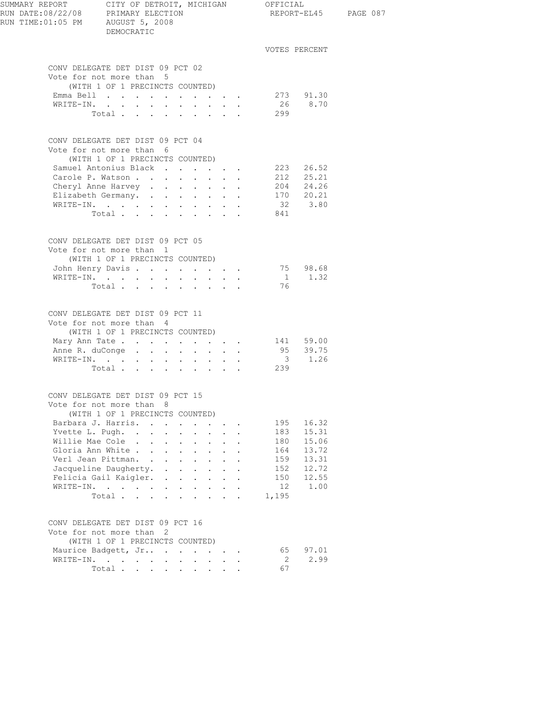| SUMMARY REPORT<br>RUN DATE:08/22/08 PRIMARY ELECTION<br>RUN TIME:01:05 PM AUGUST 5, 2008 | CITY OF DETROIT, MICHIGAN OFFICIAL<br>DEMOCRATIC                                                                                                                                 |                                               |                      |                                                                                   |                                                           |               |                      | REPORT-EL45 PAGE 087 |
|------------------------------------------------------------------------------------------|----------------------------------------------------------------------------------------------------------------------------------------------------------------------------------|-----------------------------------------------|----------------------|-----------------------------------------------------------------------------------|-----------------------------------------------------------|---------------|----------------------|----------------------|
|                                                                                          |                                                                                                                                                                                  |                                               |                      |                                                                                   |                                                           | VOTES PERCENT |                      |                      |
|                                                                                          | CONV DELEGATE DET DIST 09 PCT 02<br>Vote for not more than 5                                                                                                                     |                                               |                      |                                                                                   |                                                           |               |                      |                      |
|                                                                                          | (WITH 1 OF 1 PRECINCTS COUNTED)                                                                                                                                                  |                                               |                      |                                                                                   |                                                           |               |                      |                      |
|                                                                                          | Emma Bell 273 91.30                                                                                                                                                              |                                               |                      |                                                                                   |                                                           |               |                      |                      |
|                                                                                          | WRITE-IN.                                                                                                                                                                        |                                               |                      |                                                                                   |                                                           |               | 26 8.70              |                      |
|                                                                                          | Total $\cdots$                                                                                                                                                                   |                                               |                      |                                                                                   |                                                           | 299           |                      |                      |
|                                                                                          | CONV DELEGATE DET DIST 09 PCT 04<br>Vote for not more than 6<br>(WITH 1 OF 1 PRECINCTS COUNTED)                                                                                  |                                               |                      |                                                                                   |                                                           |               |                      |                      |
|                                                                                          | Samuel Antonius Black                                                                                                                                                            |                                               |                      |                                                                                   |                                                           |               | 223 26.52            |                      |
|                                                                                          | Carole P. Watson                                                                                                                                                                 |                                               |                      |                                                                                   |                                                           |               | 212 25.21            |                      |
|                                                                                          | Cheryl Anne Harvey                                                                                                                                                               |                                               |                      |                                                                                   |                                                           | 204 24.26     |                      |                      |
|                                                                                          | Elizabeth Germany.                                                                                                                                                               |                                               |                      |                                                                                   |                                                           |               | 170 20.21<br>32 3.80 |                      |
|                                                                                          | WRITE-IN.                                                                                                                                                                        |                                               |                      |                                                                                   |                                                           |               |                      |                      |
|                                                                                          | Total                                                                                                                                                                            |                                               |                      |                                                                                   |                                                           | 841           |                      |                      |
|                                                                                          | CONV DELEGATE DET DIST 09 PCT 05<br>Vote for not more than 1<br>(WITH 1 OF 1 PRECINCTS COUNTED)                                                                                  |                                               |                      |                                                                                   |                                                           |               |                      |                      |
|                                                                                          | John Henry Davis 75 98.68                                                                                                                                                        |                                               |                      |                                                                                   |                                                           |               |                      |                      |
|                                                                                          | WRITE-IN.                                                                                                                                                                        |                                               |                      |                                                                                   |                                                           |               | 1 1.32               |                      |
|                                                                                          | Total $\cdots$                                                                                                                                                                   |                                               |                      |                                                                                   |                                                           | 76            |                      |                      |
|                                                                                          | CONV DELEGATE DET DIST 09 PCT 11<br>Vote for not more than 4<br>(WITH 1 OF 1 PRECINCTS COUNTED)<br>Mary Ann Tate 141 59.00<br>Anne R. duConge 95 39.75<br>WRITE-IN.<br>Total 239 |                                               |                      |                                                                                   |                                                           |               | $3 \t 1.26$          |                      |
|                                                                                          | CONV DELEGATE DET DIST 09 PCT 15<br>Vote for not more than 8                                                                                                                     |                                               |                      |                                                                                   |                                                           |               |                      |                      |
|                                                                                          | (WITH 1 OF 1 PRECINCTS COUNTED)                                                                                                                                                  |                                               |                      |                                                                                   |                                                           |               |                      |                      |
|                                                                                          | Barbara J. Harris.                                                                                                                                                               |                                               |                      |                                                                                   | $\cdot$ $\cdot$ $\cdot$                                   | 195           | 16.32                |                      |
|                                                                                          | Yvette L. Pugh.                                                                                                                                                                  |                                               |                      |                                                                                   | $\mathbf{L}^{\text{max}}$ , and $\mathbf{L}^{\text{max}}$ | 183           | 15.31                |                      |
|                                                                                          | Willie Mae Cole                                                                                                                                                                  | $\sim$<br>$\sim$ $-$                          | $\mathbf{L}$         | $\mathbf{L}$                                                                      |                                                           | 180           | 15.06                |                      |
|                                                                                          | Gloria Ann White                                                                                                                                                                 | $\mathbf{L}$                                  | $\sim$ 100 $\pm$     | $\mathbf{L}$                                                                      | $\mathbf{L}$                                              | 164           | 13.72                |                      |
|                                                                                          | Verl Jean Pittman.                                                                                                                                                               | $\sim$                                        | $\sim$ $-$           | $\mathbf{L}$                                                                      | $\ddot{\phantom{0}}$                                      | 159           | 13.31                |                      |
|                                                                                          | Jacqueline Daugherty. .                                                                                                                                                          | $\sim 100$ km s $^{-1}$                       | $\ddot{\phantom{0}}$ | $\ddot{\phantom{0}}$                                                              |                                                           | 152           | 12.72                |                      |
|                                                                                          | Felicia Gail Kaigler.                                                                                                                                                            | $\ddot{\phantom{a}}$<br>$\sim$                | $\sim$ 100 $\pm$     | $\sim$                                                                            | $\sim$                                                    | 150           | 12.55                |                      |
|                                                                                          | WRITE-IN.<br>Total                                                                                                                                                               | $\mathbf{L}^{\text{max}}$<br>$\sim$ 100 $\pm$ |                      | $\mathbf{r} = \mathbf{r} + \mathbf{r}$<br>$\cdot$ $\cdot$ $\cdot$ $\cdot$ $\cdot$ |                                                           | 12<br>1,195   | 1.00                 |                      |
|                                                                                          |                                                                                                                                                                                  |                                               |                      |                                                                                   |                                                           |               |                      |                      |
|                                                                                          | CONV DELEGATE DET DIST 09 PCT 16<br>Vote for not more than 2                                                                                                                     |                                               |                      |                                                                                   |                                                           |               |                      |                      |
|                                                                                          | (WITH 1 OF 1 PRECINCTS COUNTED)                                                                                                                                                  |                                               |                      |                                                                                   |                                                           |               |                      |                      |
|                                                                                          | Maurice Badgett, Jr                                                                                                                                                              |                                               |                      |                                                                                   |                                                           | 65            | 97.01                |                      |
|                                                                                          | WRITE-IN.                                                                                                                                                                        |                                               | $\sim$               |                                                                                   | $\mathbf{r} = \mathbf{r}$                                 | 2             | 2.99                 |                      |
|                                                                                          | $\texttt{Total}$                                                                                                                                                                 |                                               |                      |                                                                                   |                                                           | 67            |                      |                      |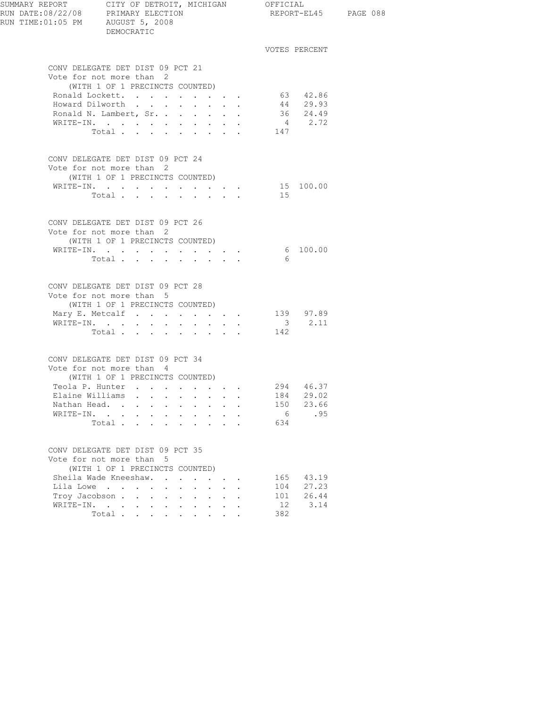| RUN TIME: 01:05 PM AUGUST 5, 2008 | DEMOCRATIC                                                                                                                                                                                                                       |                                                                                                              |                                                                                                                                                                                                            |                                |                                            | REPORT-EL45 PAGE 088 |
|-----------------------------------|----------------------------------------------------------------------------------------------------------------------------------------------------------------------------------------------------------------------------------|--------------------------------------------------------------------------------------------------------------|------------------------------------------------------------------------------------------------------------------------------------------------------------------------------------------------------------|--------------------------------|--------------------------------------------|----------------------|
|                                   |                                                                                                                                                                                                                                  |                                                                                                              |                                                                                                                                                                                                            |                                | VOTES PERCENT                              |                      |
|                                   | CONV DELEGATE DET DIST 09 PCT 21<br>Vote for not more than 2<br>(WITH 1 OF 1 PRECINCTS COUNTED)<br>Ronald Lockett.<br>Howard Dilworth<br>Ronald N. Lambert, Sr.<br>WRITE-IN.<br>Total $\cdots$                                   |                                                                                                              |                                                                                                                                                                                                            | 147                            | 63 42.86<br>44 29.93<br>36 24.49<br>4 2.72 |                      |
|                                   | CONV DELEGATE DET DIST 09 PCT 24<br>Vote for not more than 2<br>(WITH 1 OF 1 PRECINCTS COUNTED)<br>WRITE-IN. 15 100.00<br>Total                                                                                                  |                                                                                                              | $\mathbf{r} = \mathbf{r} + \mathbf{r} + \mathbf{r} + \mathbf{r}$                                                                                                                                           | 15                             |                                            |                      |
|                                   | CONV DELEGATE DET DIST 09 PCT 26<br>Vote for not more than 2<br>(WITH 1 OF 1 PRECINCTS COUNTED)<br>WRITE-IN.<br>Total                                                                                                            |                                                                                                              |                                                                                                                                                                                                            | - 6                            | 6 100.00                                   |                      |
|                                   | CONV DELEGATE DET DIST 09 PCT 28<br>Vote for not more than 5<br>(WITH 1 OF 1 PRECINCTS COUNTED)<br>Mary E. Metcalf<br>WRITE-IN.<br>Total                                                                                         |                                                                                                              |                                                                                                                                                                                                            | 142                            | 139 97.89<br>$3 \t 2.11$                   |                      |
|                                   | CONV DELEGATE DET DIST 09 PCT 34<br>Vote for not more than 4<br>(WITH 1 OF 1 PRECINCTS COUNTED)<br>Teola P. Hunter 294 46.37<br>Elaine Williams<br>Nathan Head.<br>WRITE-IN.<br>$\sim$<br>Total                                  | $\ddot{\phantom{a}}$                                                                                         |                                                                                                                                                                                                            | 150<br>6<br>634                | 184 29.02<br>23.66<br>.95                  |                      |
| WRITE-IN.                         | CONV DELEGATE DET DIST 09 PCT 35<br>Vote for not more than 5<br>(WITH 1 OF 1 PRECINCTS COUNTED)<br>Sheila Wade Kneeshaw.<br>Lila Lowe<br>Troy Jacobson<br>$\sim$ $-$<br>$\ddot{\phantom{a}}$<br>$\cdot$ $\cdot$ $\cdot$<br>Total | $\mathbf{L}$<br>$\ddot{\phantom{0}}$<br>$\ddot{\phantom{0}}$<br>$\ddot{\phantom{0}}$<br>$\ddot{\phantom{0}}$ | $\cdot$ $\cdot$ $\cdot$<br>$\mathbf{L}$<br>$\ddot{\phantom{a}}$<br>$\bullet$ .<br>$\mathbf{L}$<br>$\mathbf{r}$<br>$\mathbf{L}^{\text{max}}$<br>$\bullet$ .<br><br><br><br><br><br><br><br><br><br><br><br> | 165<br>104<br>101<br>12<br>382 | 43.19<br>27.23<br>26.44<br>3.14            |                      |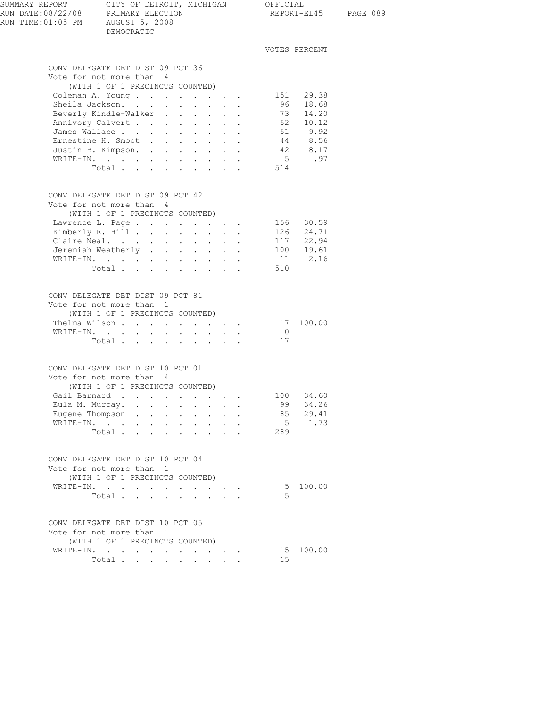| SUMMARY REPORT<br>RUN DATE:08/22/08 PRIMARY ELECTION<br>RUN TIME: 01:05 PM AUGUST 5, 2008 | CITY OF DETROIT, MICHIGAN OFFICIAL<br>DEMOCRATIC                                                                                                 |                                                                    |                |                              | REPORT-EL45 PAGE 089 |
|-------------------------------------------------------------------------------------------|--------------------------------------------------------------------------------------------------------------------------------------------------|--------------------------------------------------------------------|----------------|------------------------------|----------------------|
|                                                                                           |                                                                                                                                                  |                                                                    |                | VOTES PERCENT                |                      |
|                                                                                           | CONV DELEGATE DET DIST 09 PCT 36                                                                                                                 |                                                                    |                |                              |                      |
|                                                                                           | Vote for not more than 4<br>(WITH 1 OF 1 PRECINCTS COUNTED)                                                                                      |                                                                    |                |                              |                      |
|                                                                                           | Coleman A. Young                                                                                                                                 |                                                                    |                | 151 29.38<br>96 18.68        |                      |
|                                                                                           | Sheila Jackson.<br>$\mathbf{r}$ and $\mathbf{r}$ and $\mathbf{r}$                                                                                |                                                                    |                |                              |                      |
|                                                                                           | Beverly Kindle-Walker                                                                                                                            |                                                                    |                | 73 14.20                     |                      |
|                                                                                           | Annivory Calvert 52 10.12<br>James Wallace 51 9.92<br>Ernestine H. Smoot 44 8.56                                                                 |                                                                    |                |                              |                      |
|                                                                                           |                                                                                                                                                  |                                                                    |                |                              |                      |
|                                                                                           | Ernestine H. Smoot                                                                                                                               |                                                                    |                |                              |                      |
|                                                                                           | Justin B. Kimpson. 42 8.17                                                                                                                       |                                                                    |                |                              |                      |
|                                                                                           | $\mathtt{WRTTE}\text{-}\mathtt{IN.}\quad.\quad.\quad.\quad.\quad.\quad.\quad.\quad.\quad.\quad.\quad.\quad.\quad.\quad.\quad.\quad.\quad.\quad.$ |                                                                    |                | 5 .97                        |                      |
|                                                                                           | Total                                                                                                                                            |                                                                    | 514            |                              |                      |
|                                                                                           | CONV DELEGATE DET DIST 09 PCT 42<br>Vote for not more than 4                                                                                     |                                                                    |                |                              |                      |
|                                                                                           | (WITH 1 OF 1 PRECINCTS COUNTED)                                                                                                                  |                                                                    |                |                              |                      |
|                                                                                           | Lawrence L. Page                                                                                                                                 |                                                                    |                |                              |                      |
|                                                                                           | Kimberly R. Hill                                                                                                                                 |                                                                    |                | 156 30.59<br>126 24.71       |                      |
|                                                                                           |                                                                                                                                                  |                                                                    |                |                              |                      |
|                                                                                           | Claire Neal. 117 22.94<br>Jeremiah Weatherly                                                                                                     |                                                                    |                |                              |                      |
|                                                                                           | WRITE-IN.                                                                                                                                        |                                                                    |                | $100$ $19.61$<br>$11$ $2.16$ |                      |
|                                                                                           | Total                                                                                                                                            |                                                                    | 510            |                              |                      |
|                                                                                           |                                                                                                                                                  |                                                                    |                |                              |                      |
|                                                                                           | CONV DELEGATE DET DIST 09 PCT 81                                                                                                                 |                                                                    |                |                              |                      |
|                                                                                           | Vote for not more than 1                                                                                                                         |                                                                    |                |                              |                      |
|                                                                                           | (WITH 1 OF 1 PRECINCTS COUNTED)                                                                                                                  |                                                                    |                |                              |                      |
|                                                                                           | Thelma Wilson                                                                                                                                    |                                                                    |                | 17 100.00                    |                      |
|                                                                                           | WRITE-IN.                                                                                                                                        |                                                                    | $\overline{0}$ |                              |                      |
|                                                                                           | Total                                                                                                                                            |                                                                    | 17             |                              |                      |
|                                                                                           |                                                                                                                                                  |                                                                    |                |                              |                      |
|                                                                                           | CONV DELEGATE DET DIST 10 PCT 01                                                                                                                 |                                                                    |                |                              |                      |
|                                                                                           | Vote for not more than 4                                                                                                                         |                                                                    |                |                              |                      |
|                                                                                           | (WITH 1 OF 1 PRECINCTS COUNTED)                                                                                                                  |                                                                    |                |                              |                      |
|                                                                                           | Gail Barnard<br>$\Delta \sim 10^4$                                                                                                               |                                                                    |                | 100 34.60                    |                      |
|                                                                                           | Eula M. Murray.<br>$\sim$                                                                                                                        |                                                                    | 99             | 34.26                        |                      |
|                                                                                           | Eugene Thompson.<br>$\mathbf{r}$ , and $\mathbf{r}$ , and $\mathbf{r}$ , and $\mathbf{r}$                                                        |                                                                    | 85             | 29.41                        |                      |
|                                                                                           | WRITE-IN.                                                                                                                                        |                                                                    |                | 5 1.73                       |                      |
|                                                                                           | Total                                                                                                                                            |                                                                    | 289            |                              |                      |
|                                                                                           | CONV DELEGATE DET DIST 10 PCT 04                                                                                                                 |                                                                    |                |                              |                      |
|                                                                                           | Vote for not more than 1                                                                                                                         |                                                                    |                |                              |                      |
|                                                                                           | (WITH 1 OF 1 PRECINCTS COUNTED)                                                                                                                  |                                                                    |                |                              |                      |
|                                                                                           | WRITE-IN.                                                                                                                                        |                                                                    |                | 5 100.00                     |                      |
|                                                                                           | Total<br>$\ddot{\phantom{a}}$                                                                                                                    | $\mathbf{r} = \mathbf{r} + \mathbf{r} + \mathbf{r}$                | .5             |                              |                      |
|                                                                                           |                                                                                                                                                  |                                                                    |                |                              |                      |
|                                                                                           | CONV DELEGATE DET DIST 10 PCT 05                                                                                                                 |                                                                    |                |                              |                      |
|                                                                                           | Vote for not more than 1                                                                                                                         |                                                                    |                |                              |                      |
|                                                                                           | (WITH 1 OF 1 PRECINCTS COUNTED)                                                                                                                  |                                                                    |                |                              |                      |
|                                                                                           | WRITE-IN.                                                                                                                                        |                                                                    |                | 15 100.00                    |                      |
|                                                                                           | Total                                                                                                                                            | $\mathbf{z} = \mathbf{z} + \mathbf{z} + \mathbf{z} + \mathbf{z}$ . | 15             |                              |                      |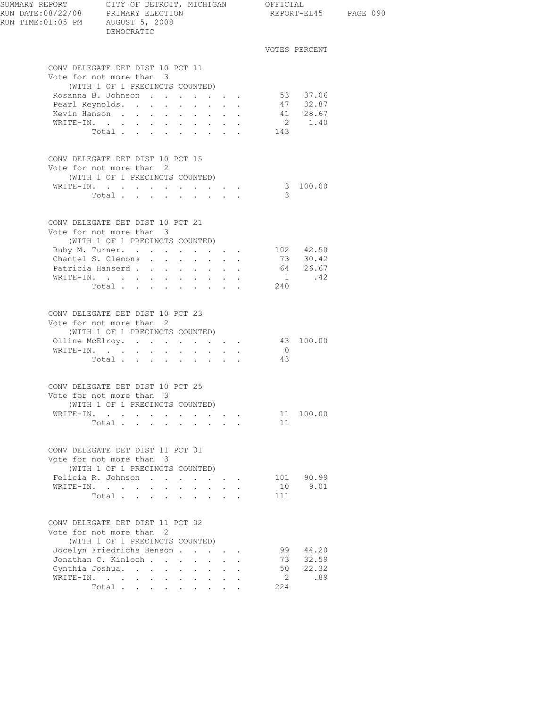| SUMMARY REPORT CITY OF DETROIT, MICHIGAN OFFICIAL<br>RUN DATE:08/22/08 PRIMARY ELECTION REPORT-EL4<br>RUN TIME:01:05 PM AUGUST 5, 2008 | DEMOCRATIC                                                                                      |                                                              |  |                | REPORT-EL45 PAGE 090                                |  |
|----------------------------------------------------------------------------------------------------------------------------------------|-------------------------------------------------------------------------------------------------|--------------------------------------------------------------|--|----------------|-----------------------------------------------------|--|
|                                                                                                                                        |                                                                                                 |                                                              |  |                | VOTES PERCENT                                       |  |
|                                                                                                                                        | CONV DELEGATE DET DIST 10 PCT 11                                                                |                                                              |  |                |                                                     |  |
|                                                                                                                                        | Vote for not more than 3                                                                        |                                                              |  |                |                                                     |  |
|                                                                                                                                        | (WITH 1 OF 1 PRECINCTS COUNTED)<br>Rosanna B. Johnson                                           |                                                              |  |                | 53 37.06                                            |  |
|                                                                                                                                        | Pearl Reynolds.                                                                                 |                                                              |  |                | 47 32.87                                            |  |
|                                                                                                                                        | Kevin Hanson                                                                                    | $\mathbf{r} = \mathbf{r} + \mathbf{r} + \mathbf{r}$          |  |                | 41 28.67                                            |  |
|                                                                                                                                        | WRITE-IN.                                                                                       |                                                              |  |                | 2 1.40                                              |  |
|                                                                                                                                        | Total $\cdots$                                                                                  |                                                              |  | 143            |                                                     |  |
|                                                                                                                                        | CONV DELEGATE DET DIST 10 PCT 15<br>Vote for not more than 2<br>(WITH 1 OF 1 PRECINCTS COUNTED) |                                                              |  |                |                                                     |  |
|                                                                                                                                        | WRITE-IN.                                                                                       |                                                              |  |                | 3 100.00                                            |  |
|                                                                                                                                        | Total                                                                                           |                                                              |  | - 3            |                                                     |  |
|                                                                                                                                        | CONV DELEGATE DET DIST 10 PCT 21<br>Vote for not more than 3<br>(WITH 1 OF 1 PRECINCTS COUNTED) |                                                              |  |                |                                                     |  |
|                                                                                                                                        | Ruby M. Turner.                                                                                 |                                                              |  |                | 102 42.50                                           |  |
|                                                                                                                                        | Chantel S. Clemons                                                                              |                                                              |  |                | 73 30.42                                            |  |
|                                                                                                                                        | Patricia Hanserd 64 26.67                                                                       |                                                              |  |                |                                                     |  |
|                                                                                                                                        | WRITE-IN.                                                                                       |                                                              |  |                | $\begin{array}{ccc} 1 & .42 \\ 240 & & \end{array}$ |  |
|                                                                                                                                        | Total                                                                                           |                                                              |  |                |                                                     |  |
|                                                                                                                                        | CONV DELEGATE DET DIST 10 PCT 23<br>Vote for not more than 2<br>(WITH 1 OF 1 PRECINCTS COUNTED) |                                                              |  |                |                                                     |  |
|                                                                                                                                        | Olline McElroy.                                                                                 |                                                              |  |                | 43 100.00                                           |  |
|                                                                                                                                        | WRITE-IN.                                                                                       |                                                              |  | $\overline{0}$ |                                                     |  |
|                                                                                                                                        | Total                                                                                           |                                                              |  | 43             |                                                     |  |
|                                                                                                                                        | CONV DELEGATE DET DIST 10 PCT 25                                                                |                                                              |  |                |                                                     |  |
|                                                                                                                                        | Vote for not more than 3                                                                        |                                                              |  |                |                                                     |  |
|                                                                                                                                        | (WITH 1 OF 1 PRECINCTS COUNTED)                                                                 |                                                              |  |                |                                                     |  |
|                                                                                                                                        | WRITE-IN.                                                                                       |                                                              |  |                | 11 100.00                                           |  |
|                                                                                                                                        | Total                                                                                           |                                                              |  | 11             |                                                     |  |
|                                                                                                                                        | CONV DELEGATE DET DIST 11 PCT 01                                                                |                                                              |  |                |                                                     |  |
|                                                                                                                                        | Vote for not more than 3                                                                        |                                                              |  |                |                                                     |  |
|                                                                                                                                        | (WITH 1 OF 1 PRECINCTS COUNTED)<br>Felicia R. Johnson                                           |                                                              |  |                |                                                     |  |
|                                                                                                                                        | WRITE-IN.                                                                                       |                                                              |  | 10             | 101 90.99<br>9.01                                   |  |
|                                                                                                                                        | Total                                                                                           |                                                              |  | 111            |                                                     |  |
|                                                                                                                                        | CONV DELEGATE DET DIST 11 PCT 02                                                                |                                                              |  |                |                                                     |  |
|                                                                                                                                        | Vote for not more than 2<br>(WITH 1 OF 1 PRECINCTS COUNTED)                                     |                                                              |  |                |                                                     |  |
|                                                                                                                                        | Jocelyn Friedrichs Benson                                                                       |                                                              |  | 99             | 44.20                                               |  |
|                                                                                                                                        | Jonathan C. Kinloch                                                                             |                                                              |  |                | 73 32.59                                            |  |
|                                                                                                                                        | Cynthia Joshua.                                                                                 |                                                              |  | 50             | 22.32                                               |  |
|                                                                                                                                        | WRITE-IN.                                                                                       |                                                              |  | $\overline{2}$ | .89                                                 |  |
|                                                                                                                                        | Total                                                                                           | $\mathbf{L} = \mathbf{L} \mathbf{L} = \mathbf{L} \mathbf{L}$ |  | 224            |                                                     |  |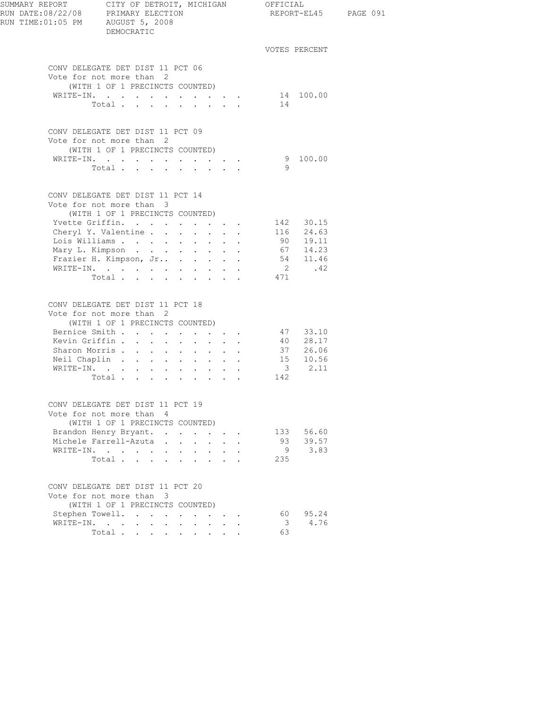| SUMMARY REPORT<br>RUN DATE:08/22/08 PRIMARY ELECTION<br>RUN TIME:01:05 PM AUGUST 5, 2008 | CITY OF DETROIT, MICHIGAN OFFICIAL<br>DEMOCRATIC                                                                                                                                                                                      |                           |                                                                                                                                                         |                |                                                                            | REPORT-EL45 PAGE 091 |
|------------------------------------------------------------------------------------------|---------------------------------------------------------------------------------------------------------------------------------------------------------------------------------------------------------------------------------------|---------------------------|---------------------------------------------------------------------------------------------------------------------------------------------------------|----------------|----------------------------------------------------------------------------|----------------------|
|                                                                                          |                                                                                                                                                                                                                                       |                           |                                                                                                                                                         |                | VOTES PERCENT                                                              |                      |
|                                                                                          | CONV DELEGATE DET DIST 11 PCT 06<br>Vote for not more than 2<br>(WITH 1 OF 1 PRECINCTS COUNTED)<br>WRITE-IN. 14 100.00<br>Total                                                                                                       |                           |                                                                                                                                                         | 14             |                                                                            |                      |
|                                                                                          | CONV DELEGATE DET DIST 11 PCT 09<br>Vote for not more than 2<br>(WITH 1 OF 1 PRECINCTS COUNTED)<br>WRITE-IN.<br>Total                                                                                                                 |                           |                                                                                                                                                         | - 9            | 9 100.00                                                                   |                      |
|                                                                                          | CONV DELEGATE DET DIST 11 PCT 14<br>Vote for not more than 3<br>(WITH 1 OF 1 PRECINCTS COUNTED)<br>Yvette Griffin.<br>Cheryl Y. Valentine<br>Lois Williams<br>Mary L. Kimpson<br>Frazier H. Kimpson, Jr<br>WRITE-IN.<br>Total $\cdot$ |                           |                                                                                                                                                         | 471            | 142 30.15<br>116 24.63<br>90 19.11<br>67 14.23<br>54 11.46<br>$2 \cdot 42$ |                      |
|                                                                                          | CONV DELEGATE DET DIST 11 PCT 18<br>Vote for not more than 2<br>(WITH 1 OF 1 PRECINCTS COUNTED)<br>Bernice Smith 47 33.10<br>Revin Griffin 40 28.17<br>Sharon Morris 37 26.06<br>Neil Chaplin<br>WRITE-IN.<br>Total $\cdots$          |                           |                                                                                                                                                         | 142            | 15 10.56<br>$3 \t 2.11$                                                    |                      |
|                                                                                          | CONV DELEGATE DET DIST 11 PCT 19<br>Vote for not more than 4<br>(WITH 1 OF 1 PRECINCTS COUNTED)<br>Brandon Henry Bryant.<br>Michele Farrell-Azuta<br>WRITE-IN.<br>Total                                                               | $\mathbf{L}^{\text{max}}$ | $\mathbf{L} = \mathbf{L} \mathbf{L}$                                                                                                                    | 93<br>9<br>235 | 133 56.60<br>39.57<br>3.83                                                 |                      |
|                                                                                          | CONV DELEGATE DET DIST 11 PCT 20<br>Vote for not more than 3<br>(WITH 1 OF 1 PRECINCTS COUNTED)<br>Stephen Towell.<br>WRITE-IN.<br>Total                                                                                              |                           | $\begin{array}{cccccccccccccc} \bullet & \bullet & \bullet & \bullet & \bullet & \bullet \end{array}$<br>$\mathbf{r}$ and $\mathbf{r}$ and $\mathbf{r}$ | 60<br>3<br>63  | 95.24<br>4.76                                                              |                      |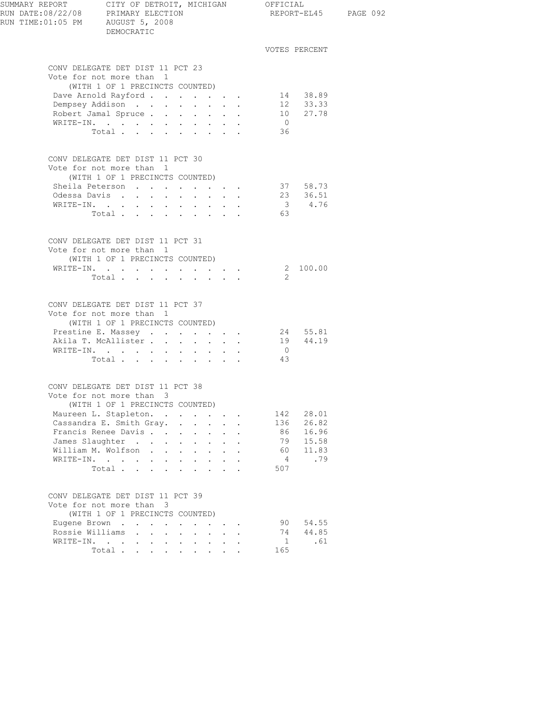| SUMMARY REPORT CITY OF DETROIT, MICHIGAN OFFICIAL<br>RUN DATE:08/22/08 PRIMARY ELECTION REPORT-EL<br>RUN TIME: 01:05 PM AUGUST 5, 2008 | DEMOCRATIC                                                                                      |                                                                                                                                                                                                                                                                                                                                                                                                                                                            |                                            |                                                           |                      |                      | REPORT-EL45 PAGE 092 |  |
|----------------------------------------------------------------------------------------------------------------------------------------|-------------------------------------------------------------------------------------------------|------------------------------------------------------------------------------------------------------------------------------------------------------------------------------------------------------------------------------------------------------------------------------------------------------------------------------------------------------------------------------------------------------------------------------------------------------------|--------------------------------------------|-----------------------------------------------------------|----------------------|----------------------|----------------------|--|
|                                                                                                                                        |                                                                                                 |                                                                                                                                                                                                                                                                                                                                                                                                                                                            |                                            |                                                           |                      |                      | VOTES PERCENT        |  |
|                                                                                                                                        | CONV DELEGATE DET DIST 11 PCT 23                                                                |                                                                                                                                                                                                                                                                                                                                                                                                                                                            |                                            |                                                           |                      |                      |                      |  |
|                                                                                                                                        | Vote for not more than 1                                                                        |                                                                                                                                                                                                                                                                                                                                                                                                                                                            |                                            |                                                           |                      |                      |                      |  |
|                                                                                                                                        | (WITH 1 OF 1 PRECINCTS COUNTED)                                                                 |                                                                                                                                                                                                                                                                                                                                                                                                                                                            |                                            |                                                           |                      |                      |                      |  |
|                                                                                                                                        | Dave Arnold Rayford<br>Dempsey Addison                                                          |                                                                                                                                                                                                                                                                                                                                                                                                                                                            |                                            |                                                           |                      |                      | 14 38.89<br>12 33.33 |  |
|                                                                                                                                        | Robert Jamal Spruce                                                                             |                                                                                                                                                                                                                                                                                                                                                                                                                                                            |                                            |                                                           |                      |                      | 10 27.78             |  |
|                                                                                                                                        | WRITE-IN.                                                                                       |                                                                                                                                                                                                                                                                                                                                                                                                                                                            |                                            |                                                           |                      | $\overline{0}$       |                      |  |
|                                                                                                                                        | Total                                                                                           |                                                                                                                                                                                                                                                                                                                                                                                                                                                            |                                            |                                                           |                      | 36                   |                      |  |
|                                                                                                                                        | CONV DELEGATE DET DIST 11 PCT 30                                                                |                                                                                                                                                                                                                                                                                                                                                                                                                                                            |                                            |                                                           |                      |                      |                      |  |
|                                                                                                                                        | Vote for not more than 1                                                                        |                                                                                                                                                                                                                                                                                                                                                                                                                                                            |                                            |                                                           |                      |                      |                      |  |
|                                                                                                                                        | (WITH 1 OF 1 PRECINCTS COUNTED)                                                                 |                                                                                                                                                                                                                                                                                                                                                                                                                                                            |                                            |                                                           |                      |                      |                      |  |
|                                                                                                                                        | Sheila Peterson<br>Odessa Davis                                                                 |                                                                                                                                                                                                                                                                                                                                                                                                                                                            | $\mathbf{r} = \mathbf{r} \cdot \mathbf{r}$ |                                                           |                      |                      | 37 58.73<br>23 36.51 |  |
|                                                                                                                                        | WRITE-IN.                                                                                       |                                                                                                                                                                                                                                                                                                                                                                                                                                                            |                                            |                                                           |                      |                      | 3 4.76               |  |
|                                                                                                                                        | Total $\cdots$                                                                                  |                                                                                                                                                                                                                                                                                                                                                                                                                                                            |                                            |                                                           |                      | 63                   |                      |  |
|                                                                                                                                        |                                                                                                 |                                                                                                                                                                                                                                                                                                                                                                                                                                                            |                                            |                                                           |                      |                      |                      |  |
|                                                                                                                                        | CONV DELEGATE DET DIST 11 PCT 31                                                                |                                                                                                                                                                                                                                                                                                                                                                                                                                                            |                                            |                                                           |                      |                      |                      |  |
|                                                                                                                                        | Vote for not more than 1<br>(WITH 1 OF 1 PRECINCTS COUNTED)                                     |                                                                                                                                                                                                                                                                                                                                                                                                                                                            |                                            |                                                           |                      |                      |                      |  |
|                                                                                                                                        | WRITE-IN. 2 100.00                                                                              |                                                                                                                                                                                                                                                                                                                                                                                                                                                            |                                            |                                                           |                      |                      |                      |  |
|                                                                                                                                        | Total $\cdots$                                                                                  |                                                                                                                                                                                                                                                                                                                                                                                                                                                            |                                            |                                                           |                      | - 2                  |                      |  |
|                                                                                                                                        | CONV DELEGATE DET DIST 11 PCT 37<br>Vote for not more than 1<br>(WITH 1 OF 1 PRECINCTS COUNTED) |                                                                                                                                                                                                                                                                                                                                                                                                                                                            |                                            |                                                           |                      |                      |                      |  |
|                                                                                                                                        | Prestine E. Massey 24 55.81                                                                     |                                                                                                                                                                                                                                                                                                                                                                                                                                                            |                                            |                                                           |                      |                      |                      |  |
|                                                                                                                                        | Akila T. McAllister                                                                             |                                                                                                                                                                                                                                                                                                                                                                                                                                                            |                                            |                                                           |                      |                      | 19  44.19            |  |
|                                                                                                                                        | WRITE-IN.                                                                                       |                                                                                                                                                                                                                                                                                                                                                                                                                                                            |                                            |                                                           |                      | $\overline{0}$<br>43 |                      |  |
|                                                                                                                                        | Total                                                                                           |                                                                                                                                                                                                                                                                                                                                                                                                                                                            |                                            |                                                           |                      |                      |                      |  |
|                                                                                                                                        | CONV DELEGATE DET DIST 11 PCT 38<br>Vote for not more than 3                                    |                                                                                                                                                                                                                                                                                                                                                                                                                                                            |                                            |                                                           |                      |                      |                      |  |
|                                                                                                                                        | (WITH 1 OF 1 PRECINCTS COUNTED)                                                                 |                                                                                                                                                                                                                                                                                                                                                                                                                                                            |                                            |                                                           |                      |                      |                      |  |
|                                                                                                                                        | Maureen L. Stapleton.                                                                           |                                                                                                                                                                                                                                                                                                                                                                                                                                                            |                                            |                                                           |                      | 142                  | 28.01                |  |
|                                                                                                                                        | Cassandra E. Smith Gray.                                                                        |                                                                                                                                                                                                                                                                                                                                                                                                                                                            |                                            |                                                           | $\ddot{\phantom{a}}$ | 136                  | 26.82                |  |
|                                                                                                                                        | Francis Renee Davis                                                                             |                                                                                                                                                                                                                                                                                                                                                                                                                                                            | $\sim$                                     |                                                           |                      | 86                   | 16.96                |  |
|                                                                                                                                        | James Slaughter                                                                                 |                                                                                                                                                                                                                                                                                                                                                                                                                                                            |                                            |                                                           |                      | 79                   | 15.58                |  |
|                                                                                                                                        | William M. Wolfson<br>WRITE-IN.                                                                 |                                                                                                                                                                                                                                                                                                                                                                                                                                                            |                                            | $\mathbf{L}^{\text{max}}$ , and $\mathbf{L}^{\text{max}}$ |                      | 60<br>$\overline{4}$ | 11.83<br>.79         |  |
|                                                                                                                                        | Total<br>$\ddot{\phantom{a}}$                                                                   | $\mathbf{L}$<br>$\mathbf{L}$                                                                                                                                                                                                                                                                                                                                                                                                                               |                                            |                                                           |                      | 507                  |                      |  |
|                                                                                                                                        |                                                                                                 |                                                                                                                                                                                                                                                                                                                                                                                                                                                            |                                            |                                                           |                      |                      |                      |  |
|                                                                                                                                        | CONV DELEGATE DET DIST 11 PCT 39<br>Vote for not more than 3                                    |                                                                                                                                                                                                                                                                                                                                                                                                                                                            |                                            |                                                           |                      |                      |                      |  |
|                                                                                                                                        | (WITH 1 OF 1 PRECINCTS COUNTED)                                                                 |                                                                                                                                                                                                                                                                                                                                                                                                                                                            |                                            |                                                           |                      |                      |                      |  |
|                                                                                                                                        | Eugene Brown<br>Rossie Williams                                                                 | $\mathbf{L}$                                                                                                                                                                                                                                                                                                                                                                                                                                               |                                            | $\mathbf{r} = \mathbf{r}$                                 |                      | 90<br>74             | 54.55<br>44.85       |  |
|                                                                                                                                        | WRITE-IN.                                                                                       |                                                                                                                                                                                                                                                                                                                                                                                                                                                            |                                            |                                                           |                      | 1                    | .61                  |  |
|                                                                                                                                        | Total                                                                                           | $\mathbf{1} \qquad \mathbf{1} \qquad \mathbf{1} \qquad \mathbf{1} \qquad \mathbf{1} \qquad \mathbf{1} \qquad \mathbf{1} \qquad \mathbf{1} \qquad \mathbf{1} \qquad \mathbf{1} \qquad \mathbf{1} \qquad \mathbf{1} \qquad \mathbf{1} \qquad \mathbf{1} \qquad \mathbf{1} \qquad \mathbf{1} \qquad \mathbf{1} \qquad \mathbf{1} \qquad \mathbf{1} \qquad \mathbf{1} \qquad \mathbf{1} \qquad \mathbf{1} \qquad \mathbf{1} \qquad \mathbf{1} \qquad \mathbf{$ |                                            |                                                           |                      | 165                  |                      |  |
|                                                                                                                                        |                                                                                                 |                                                                                                                                                                                                                                                                                                                                                                                                                                                            |                                            |                                                           |                      |                      |                      |  |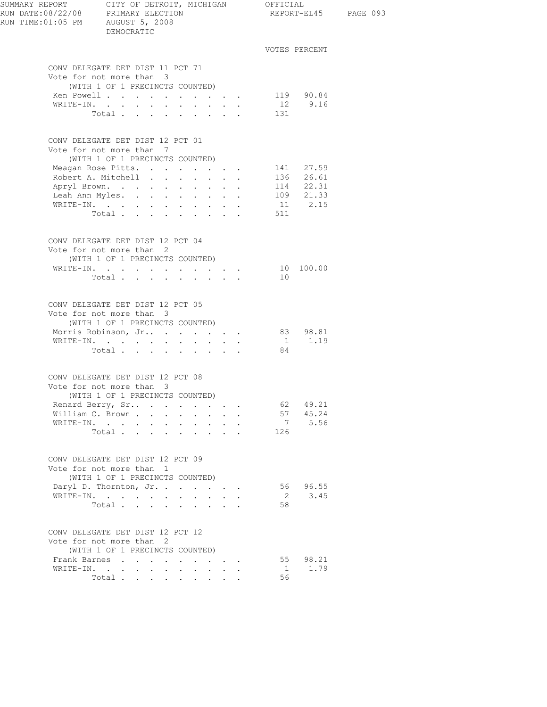| SUMMARY REPORT<br>RUN DATE:08/22/08 PRIMARY ELECTION<br>RUN TIME: 01:05 PM AUGUST 5, 2008 | CITY OF DETROIT, MICHIGAN OFFICIAL<br>DEMOCRATIC                                                                                                                                                                       |                                                                    |                                                                                                         |                              |                                     | REPORT-EL45 PAGE 093 |
|-------------------------------------------------------------------------------------------|------------------------------------------------------------------------------------------------------------------------------------------------------------------------------------------------------------------------|--------------------------------------------------------------------|---------------------------------------------------------------------------------------------------------|------------------------------|-------------------------------------|----------------------|
|                                                                                           |                                                                                                                                                                                                                        |                                                                    |                                                                                                         |                              | VOTES PERCENT                       |                      |
|                                                                                           | CONV DELEGATE DET DIST 11 PCT 71<br>Vote for not more than 3<br>(WITH 1 OF 1 PRECINCTS COUNTED)<br>Ken Powell<br>WRITE-IN.<br>$\sim$<br>Total $\cdots$                                                                 | $\mathbf{L}$<br>$\sim$                                             | $\cdot$ $\cdot$ $\cdot$                                                                                 | 131                          | 119 90.84<br>12 9.16                |                      |
|                                                                                           | CONV DELEGATE DET DIST 12 PCT 01                                                                                                                                                                                       |                                                                    |                                                                                                         |                              |                                     |                      |
|                                                                                           | Vote for not more than 7<br>(WITH 1 OF 1 PRECINCTS COUNTED)<br>Meagan Rose Pitts. 141 27.59<br>Robert A. Mitchell 136 26.61<br>Apryl Brown.<br>Leah Ann Myles.<br>$\sim$<br>WRITE-IN.<br>$\ddot{\phantom{0}}$<br>Total | $\mathbf{L}$<br>$\sim$<br>$\ddot{\phantom{0}}$<br>$\sim$<br>$\sim$ | $\mathbf{z} = \mathbf{z} + \mathbf{z}$ .<br>$\mathbf{L}^{\text{max}}$<br>$\ddot{\phantom{a}}$<br>$\sim$ | 511                          | 114  22.31<br>109  21.33<br>11 2.15 |                      |
|                                                                                           | CONV DELEGATE DET DIST 12 PCT 04<br>Vote for not more than 2<br>(WITH 1 OF 1 PRECINCTS COUNTED)<br>WRITE-IN.<br>Total $\cdots$                                                                                         |                                                                    |                                                                                                         | 10                           | 10 100.00                           |                      |
|                                                                                           | CONV DELEGATE DET DIST 12 PCT 05<br>Vote for not more than 3<br>(WITH 1 OF 1 PRECINCTS COUNTED)<br>Morris Robinson, Jr 83 98.81<br>WRITE-IN.<br>Total                                                                  |                                                                    |                                                                                                         | 84                           | 1 1.19                              |                      |
|                                                                                           | CONV DELEGATE DET DIST 12 PCT 08<br>Vote for not more than 3<br>(WITH 1 OF 1 PRECINCTS COUNTED)<br>Renard Berry, Sr<br>William C. Brown<br>WRITE-IN.<br>Total $\cdots$                                                 | $\sim$<br>$\sim$                                                   | $\ddot{\phantom{a}}$                                                                                    | 62<br>$7\overline{ }$<br>126 | 49.21<br>57 45.24<br>5.56           |                      |
|                                                                                           | CONV DELEGATE DET DIST 12 PCT 09<br>Vote for not more than 1<br>(WITH 1 OF 1 PRECINCTS COUNTED)<br>Daryl D. Thornton, Jr.<br>WRITE-IN.<br>Total                                                                        | $\sim$ 100 $\pm$                                                   | $\cdot$ $\cdot$ $\cdot$                                                                                 | 56<br>2<br>58                | 96.55<br>3.45                       |                      |
|                                                                                           | CONV DELEGATE DET DIST 12 PCT 12<br>Vote for not more than 2<br>(WITH 1 OF 1 PRECINCTS COUNTED)<br>Frank Barnes<br>$\sim$ $\sim$ $\sim$<br>WRITE-IN.<br>Total $\cdots$                                                 |                                                                    |                                                                                                         | 55<br>1<br>56                | 98.21<br>1.79                       |                      |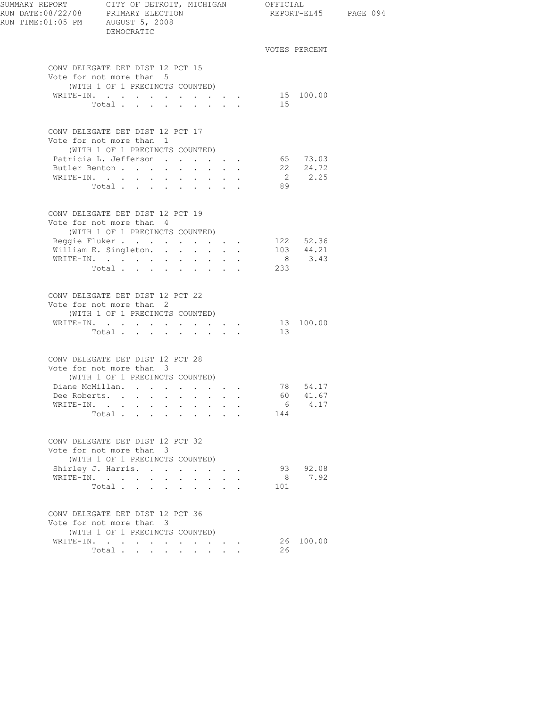| RUN TIME:01:05 PM AUGUST 5, 2008 | DEMOCRATIC                                                                                                                                                                |                                                                                             |                       |                                | REPORT-EL45 PAGE 094 |
|----------------------------------|---------------------------------------------------------------------------------------------------------------------------------------------------------------------------|---------------------------------------------------------------------------------------------|-----------------------|--------------------------------|----------------------|
|                                  |                                                                                                                                                                           |                                                                                             |                       | VOTES PERCENT                  |                      |
|                                  | CONV DELEGATE DET DIST 12 PCT 15<br>Vote for not more than 5<br>(WITH 1 OF 1 PRECINCTS COUNTED)<br>WRITE-IN.<br>Total                                                     |                                                                                             | 15                    | 15 100.00                      |                      |
|                                  | CONV DELEGATE DET DIST 12 PCT 17<br>Vote for not more than 1<br>(WITH 1 OF 1 PRECINCTS COUNTED)<br>Patricia L. Jefferson<br>Butler Benton<br>WRITE-IN.<br>Total           |                                                                                             | 89                    | 65 73.03<br>22 24.72<br>2 2.25 |                      |
|                                  | CONV DELEGATE DET DIST 12 PCT 19<br>Vote for not more than 4<br>(WITH 1 OF 1 PRECINCTS COUNTED)<br>Reggie Fluker 122 52.36<br>William E. Singleton.<br>WRITE-IN.<br>Total | $\mathbf{r} = \mathbf{r}$                                                                   | 233                   |                                |                      |
|                                  | CONV DELEGATE DET DIST 12 PCT 22<br>Vote for not more than 2<br>(WITH 1 OF 1 PRECINCTS COUNTED)<br>WRITE-IN.<br>Total $\cdots$                                            |                                                                                             | 13                    | 13 100.00                      |                      |
|                                  | CONV DELEGATE DET DIST 12 PCT 28<br>Vote for not more than 3<br>(WITH 1 OF 1 PRECINCTS COUNTED)<br>Diane McMillan.<br>Dee Roberts.<br>WRITE-IN.<br>$\bullet$<br>Total     |                                                                                             | 6<br>144              | 78 54.17<br>60 41.67<br>4.17   |                      |
|                                  | CONV DELEGATE DET DIST 12 PCT 32<br>Vote for not more than 3<br>(WITH 1 OF 1 PRECINCTS COUNTED)<br>Shirley J. Harris.<br>WRITE-IN.<br>Total                               | $\mathbf{r} = \mathbf{r} + \mathbf{r} + \mathbf{r} + \mathbf{r}$<br>$\cdot$ $\cdot$ $\cdot$ | 8 <sup>1</sup><br>101 | 93 92.08<br>7.92               |                      |
|                                  | CONV DELEGATE DET DIST 12 PCT 36<br>Vote for not more than 3<br>(WITH 1 OF 1 PRECINCTS COUNTED)<br>WRITE-IN.<br>Total $\cdots$                                            |                                                                                             | 26                    | 26 100.00                      |                      |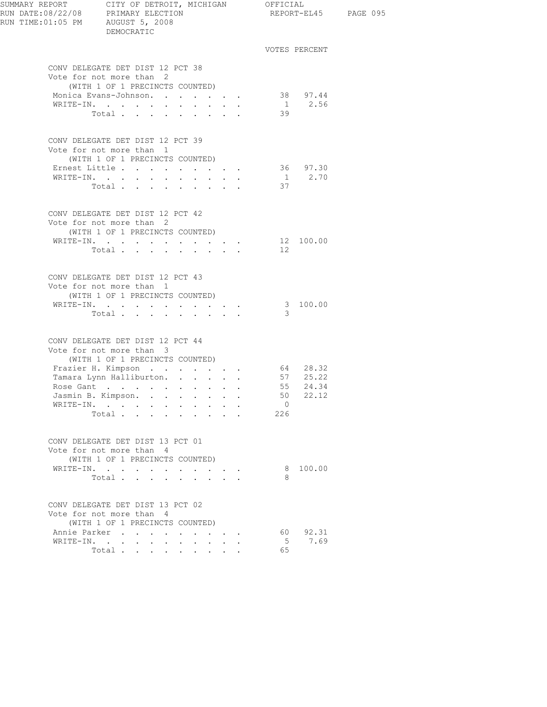| SUMMARY REPORT CITY OF DETROIT, MICHIGAN OFFICIAL<br>RUN DATE:08/22/08 PRIMARY ELECTION REPORT-E<br>RUN TIME:01:05 PM AUGUST 5, 2008 | DEMOCRATIC                                                   |                                 |                                 |                          |                      | REPORT-EL45 PAGE 095 |
|--------------------------------------------------------------------------------------------------------------------------------------|--------------------------------------------------------------|---------------------------------|---------------------------------|--------------------------|----------------------|----------------------|
|                                                                                                                                      |                                                              |                                 |                                 |                          | VOTES PERCENT        |                      |
|                                                                                                                                      | CONV DELEGATE DET DIST 12 PCT 38<br>Vote for not more than 2 |                                 |                                 |                          |                      |                      |
|                                                                                                                                      | (WITH 1 OF 1 PRECINCTS COUNTED)                              |                                 |                                 |                          |                      |                      |
|                                                                                                                                      | Monica Evans-Johnson.                                        |                                 |                                 |                          | 38 97.44             |                      |
|                                                                                                                                      | WRITE-IN.                                                    |                                 |                                 |                          | $1 \t 2.56$          |                      |
|                                                                                                                                      | Total                                                        |                                 |                                 | 39                       |                      |                      |
|                                                                                                                                      | CONV DELEGATE DET DIST 12 PCT 39<br>Vote for not more than 1 |                                 |                                 |                          |                      |                      |
|                                                                                                                                      | (WITH 1 OF 1 PRECINCTS COUNTED)<br>Ernest Little             |                                 |                                 |                          | 36 97.30             |                      |
|                                                                                                                                      | WRITE-IN.                                                    |                                 |                                 |                          | $1 \t 2.70$          |                      |
|                                                                                                                                      | Total                                                        |                                 |                                 | 37                       |                      |                      |
|                                                                                                                                      | CONV DELEGATE DET DIST 12 PCT 42                             |                                 |                                 |                          |                      |                      |
|                                                                                                                                      | Vote for not more than 2<br>(WITH 1 OF 1 PRECINCTS COUNTED)  |                                 |                                 |                          |                      |                      |
|                                                                                                                                      | WRITE-IN.                                                    |                                 |                                 | 12 100.00                |                      |                      |
|                                                                                                                                      | Total $\cdots$                                               |                                 |                                 | 12                       |                      |                      |
|                                                                                                                                      | CONV DELEGATE DET DIST 12 PCT 43                             |                                 |                                 |                          |                      |                      |
|                                                                                                                                      | Vote for not more than 1<br>(WITH 1 OF 1 PRECINCTS COUNTED)  |                                 |                                 |                          |                      |                      |
|                                                                                                                                      | WRITE-IN.                                                    |                                 |                                 |                          | 3 100.00             |                      |
|                                                                                                                                      | Total                                                        |                                 |                                 | 3                        |                      |                      |
|                                                                                                                                      | CONV DELEGATE DET DIST 12 PCT 44                             |                                 |                                 |                          |                      |                      |
|                                                                                                                                      | Vote for not more than 3                                     |                                 |                                 |                          |                      |                      |
|                                                                                                                                      | (WITH 1 OF 1 PRECINCTS COUNTED)<br>Frazier H. Kimpson        |                                 |                                 |                          |                      |                      |
|                                                                                                                                      | Tamara Lynn Halliburton.                                     |                                 |                                 |                          | 64 28.32<br>57 25.22 |                      |
|                                                                                                                                      | Rose Gant                                                    |                                 |                                 |                          | 55 24.34             |                      |
|                                                                                                                                      | Jasmin B. Kimpson.                                           |                                 |                                 |                          | 50 22.12             |                      |
|                                                                                                                                      | WRITE-IN.                                                    |                                 |                                 | $\overline{\phantom{0}}$ |                      |                      |
|                                                                                                                                      | Total                                                        |                                 | <b>Contract Contract</b>        | 226                      |                      |                      |
|                                                                                                                                      | CONV DELEGATE DET DIST 13 PCT 01                             |                                 |                                 |                          |                      |                      |
|                                                                                                                                      | Vote for not more than 4                                     |                                 |                                 |                          |                      |                      |
|                                                                                                                                      | (WITH 1 OF 1 PRECINCTS COUNTED)                              |                                 |                                 |                          |                      |                      |
|                                                                                                                                      | WRITE-IN.<br>Total                                           |                                 |                                 | 8                        | 8 100.00             |                      |
|                                                                                                                                      |                                                              |                                 |                                 |                          |                      |                      |
|                                                                                                                                      | CONV DELEGATE DET DIST 13 PCT 02<br>Vote for not more than 4 |                                 |                                 |                          |                      |                      |
|                                                                                                                                      | (WITH 1 OF 1 PRECINCTS COUNTED)                              |                                 |                                 |                          |                      |                      |
|                                                                                                                                      | Annie Parker                                                 |                                 | the contract of the contract of |                          | 60 92.31             |                      |
|                                                                                                                                      | WRITE-IN.                                                    | $\cdot$ $\cdot$ $\cdot$ $\cdot$ |                                 | 5                        | 7.69                 |                      |
|                                                                                                                                      | Total                                                        |                                 |                                 | 65                       |                      |                      |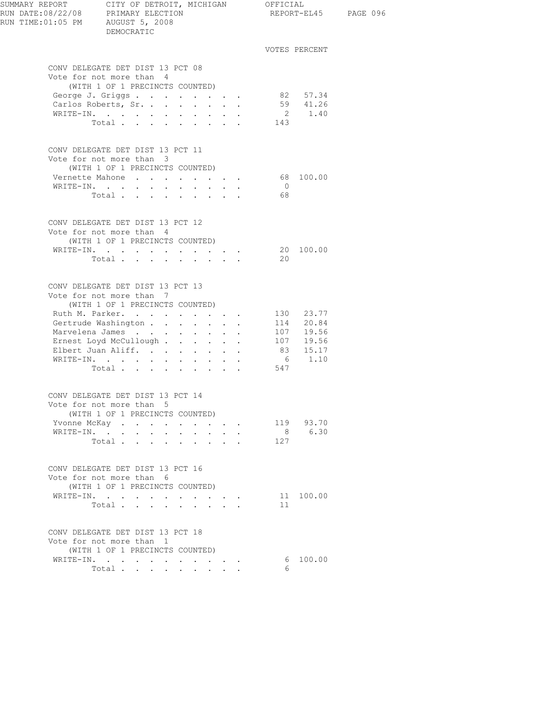| SUMMARY REPORT CITY OF DETROIT, MICHIGAN OFFICIAL<br>RUN DATE:08/22/08 PRIMARY ELECTION<br>RUN TIME: 01:05 PM AUGUST 5, 2008 | DEMOCRATIC                                                                                      |        |                                                                    |                | REPORT-EL45 PAGE 096   |  |
|------------------------------------------------------------------------------------------------------------------------------|-------------------------------------------------------------------------------------------------|--------|--------------------------------------------------------------------|----------------|------------------------|--|
|                                                                                                                              |                                                                                                 |        |                                                                    |                | VOTES PERCENT          |  |
|                                                                                                                              | CONV DELEGATE DET DIST 13 PCT 08<br>Vote for not more than 4<br>(WITH 1 OF 1 PRECINCTS COUNTED) |        |                                                                    |                |                        |  |
|                                                                                                                              | George J. Griggs<br>Carlos Roberts, Sr.                                                         |        |                                                                    |                | 82 57.34               |  |
|                                                                                                                              |                                                                                                 |        |                                                                    |                | $59 \t 41.26$          |  |
|                                                                                                                              | WRITE-IN.<br>Total                                                                              |        |                                                                    | 143            | 2 1.40                 |  |
|                                                                                                                              |                                                                                                 |        |                                                                    |                |                        |  |
|                                                                                                                              | CONV DELEGATE DET DIST 13 PCT 11<br>Vote for not more than 3<br>(WITH 1 OF 1 PRECINCTS COUNTED) |        |                                                                    |                |                        |  |
|                                                                                                                              | Vernette Mahone 68 100.00                                                                       |        |                                                                    |                |                        |  |
|                                                                                                                              | WRITE-IN.                                                                                       |        |                                                                    | $\overline{0}$ |                        |  |
|                                                                                                                              | Total                                                                                           |        |                                                                    | 68             |                        |  |
|                                                                                                                              | CONV DELEGATE DET DIST 13 PCT 12<br>Vote for not more than 4<br>(WITH 1 OF 1 PRECINCTS COUNTED) |        |                                                                    |                |                        |  |
|                                                                                                                              | WRITE-IN.                                                                                       |        |                                                                    |                | 20 100.00              |  |
|                                                                                                                              | Total.                                                                                          |        |                                                                    | 20             |                        |  |
|                                                                                                                              | CONV DELEGATE DET DIST 13 PCT 13                                                                |        |                                                                    |                |                        |  |
|                                                                                                                              | Vote for not more than 7<br>(WITH 1 OF 1 PRECINCTS COUNTED)                                     |        |                                                                    |                |                        |  |
|                                                                                                                              | Ruth M. Parker.                                                                                 |        |                                                                    |                | 130 23.77              |  |
|                                                                                                                              | Gertrude Washington                                                                             |        |                                                                    |                | 114 20.84              |  |
|                                                                                                                              | Marvelena James                                                                                 |        |                                                                    |                | 107 19.56<br>107 19.56 |  |
|                                                                                                                              | Ernest Loyd McCullough<br>Elbert Juan Aliff.                                                    |        |                                                                    |                | 83 15.17               |  |
|                                                                                                                              | WRITE-IN.                                                                                       |        |                                                                    |                | 6 1.10                 |  |
|                                                                                                                              | Total                                                                                           |        |                                                                    | 547            |                        |  |
|                                                                                                                              | CONV DELEGATE DET DIST 13 PCT 14<br>Vote for not more than 5                                    |        |                                                                    |                |                        |  |
|                                                                                                                              | (WITH 1 OF 1 PRECINCTS COUNTED)                                                                 |        |                                                                    |                |                        |  |
|                                                                                                                              | Yvonne McKay<br>WRITE-IN.                                                                       |        |                                                                    |                | 119 93.70<br>8 6.30    |  |
|                                                                                                                              | Total                                                                                           | $\sim$ | $\cdot$ $\cdot$ $\cdot$                                            | 127            |                        |  |
|                                                                                                                              |                                                                                                 |        |                                                                    |                |                        |  |
|                                                                                                                              | CONV DELEGATE DET DIST 13 PCT 16<br>Vote for not more than 6<br>(WITH 1 OF 1 PRECINCTS COUNTED) |        |                                                                    |                |                        |  |
|                                                                                                                              | WRITE-IN.                                                                                       |        | $\mathbf{r} = \mathbf{r} + \mathbf{r} + \mathbf{r} + \mathbf{r}$ . |                | 11 100.00              |  |
|                                                                                                                              | Total $\cdots$                                                                                  |        |                                                                    | 11             |                        |  |
|                                                                                                                              | CONV DELEGATE DET DIST 13 PCT 18<br>Vote for not more than 1<br>(WITH 1 OF 1 PRECINCTS COUNTED) |        |                                                                    |                |                        |  |
|                                                                                                                              | WRITE-IN.                                                                                       |        |                                                                    |                | 6 100.00               |  |
|                                                                                                                              | Total                                                                                           |        |                                                                    | 6              |                        |  |
|                                                                                                                              |                                                                                                 |        |                                                                    |                |                        |  |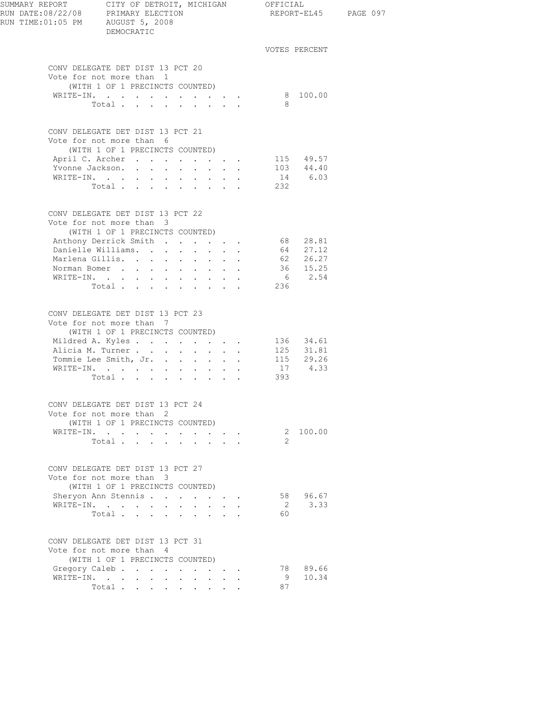| SUMMARY REPORT CITY OF DETROIT, MICHIGAN OFFICIAL<br>RUN DATE:08/22/08 PRIMARY ELECTION REPORT-EL<br>RUN TIME: 01:05 PM AUGUST 5, 2008 | DEMOCRATIC                                                                                      |        |                      |                                                       |                             |                                            |     |               | REPORT-EL45 PAGE 097 |
|----------------------------------------------------------------------------------------------------------------------------------------|-------------------------------------------------------------------------------------------------|--------|----------------------|-------------------------------------------------------|-----------------------------|--------------------------------------------|-----|---------------|----------------------|
|                                                                                                                                        |                                                                                                 |        |                      |                                                       |                             |                                            |     | VOTES PERCENT |                      |
|                                                                                                                                        | CONV DELEGATE DET DIST 13 PCT 20<br>Vote for not more than 1                                    |        |                      |                                                       |                             |                                            |     |               |                      |
|                                                                                                                                        | (WITH 1 OF 1 PRECINCTS COUNTED)                                                                 |        |                      |                                                       |                             |                                            |     | 8 100.00      |                      |
|                                                                                                                                        | WRITE-IN.<br>Total                                                                              |        |                      |                                                       |                             |                                            | - 8 |               |                      |
|                                                                                                                                        |                                                                                                 |        |                      |                                                       |                             |                                            |     |               |                      |
|                                                                                                                                        | CONV DELEGATE DET DIST 13 PCT 21<br>Vote for not more than 6<br>(WITH 1 OF 1 PRECINCTS COUNTED) |        |                      |                                                       |                             |                                            |     |               |                      |
|                                                                                                                                        |                                                                                                 |        |                      |                                                       |                             |                                            |     | 115 49.57     |                      |
|                                                                                                                                        |                                                                                                 |        |                      |                                                       |                             |                                            |     | $103$ $44.40$ |                      |
|                                                                                                                                        | WRITE-IN.                                                                                       |        |                      |                                                       |                             |                                            |     | 14 6.03       |                      |
|                                                                                                                                        | Total 232                                                                                       |        |                      |                                                       |                             |                                            |     |               |                      |
|                                                                                                                                        | CONV DELEGATE DET DIST 13 PCT 22                                                                |        |                      |                                                       |                             |                                            |     |               |                      |
|                                                                                                                                        | Vote for not more than 3                                                                        |        |                      |                                                       |                             |                                            |     |               |                      |
|                                                                                                                                        | (WITH 1 OF 1 PRECINCTS COUNTED)                                                                 |        |                      |                                                       |                             |                                            |     |               |                      |
|                                                                                                                                        | Anthony Derrick Smith 68 28.81<br>Danielle Williams.                                            |        |                      |                                                       |                             |                                            |     | 64 27.12      |                      |
|                                                                                                                                        | Marlena Gillis.                                                                                 |        |                      |                                                       |                             |                                            |     | $62 \t 26.27$ |                      |
|                                                                                                                                        | Norman Bomer 36 15.25                                                                           |        |                      |                                                       |                             |                                            |     |               |                      |
|                                                                                                                                        | WRITE-IN.                                                                                       |        |                      |                                                       |                             |                                            |     | 6 2.54        |                      |
|                                                                                                                                        | Total                                                                                           |        |                      |                                                       |                             |                                            | 236 |               |                      |
|                                                                                                                                        | CONV DELEGATE DET DIST 13 PCT 23<br>Vote for not more than 7<br>(WITH 1 OF 1 PRECINCTS COUNTED) |        |                      |                                                       |                             |                                            |     |               |                      |
|                                                                                                                                        | Mildred A. Kyles<br>Alicia M. Turner                                                            |        |                      |                                                       |                             |                                            |     | 136 34.61     |                      |
|                                                                                                                                        |                                                                                                 |        |                      |                                                       |                             |                                            |     | $125$ $31.81$ |                      |
|                                                                                                                                        | Tommie Lee Smith, Jr. 115 29.26                                                                 |        |                      |                                                       |                             |                                            |     |               |                      |
|                                                                                                                                        | WRITE-IN.                                                                                       |        |                      |                                                       |                             |                                            | 393 | 17 4.33       |                      |
|                                                                                                                                        | Total                                                                                           |        |                      |                                                       |                             |                                            |     |               |                      |
|                                                                                                                                        | CONV DELEGATE DET DIST 13 PCT 24<br>Vote for not more than 2                                    |        |                      |                                                       |                             |                                            |     |               |                      |
|                                                                                                                                        | (WITH 1 OF 1 PRECINCTS COUNTED)                                                                 |        |                      |                                                       |                             |                                            |     |               |                      |
|                                                                                                                                        | WRITE-IN.                                                                                       |        |                      |                                                       |                             | $\cdot$ $\cdot$ $\cdot$ $\cdot$ $\cdot$    |     | 2 100.00      |                      |
|                                                                                                                                        | Total                                                                                           |        |                      | $\mathbf{r} = \mathbf{r}$ , $\mathbf{r} = \mathbf{r}$ |                             |                                            | 2   |               |                      |
|                                                                                                                                        | CONV DELEGATE DET DIST 13 PCT 27                                                                |        |                      |                                                       |                             |                                            |     |               |                      |
|                                                                                                                                        | Vote for not more than 3<br>(WITH 1 OF 1 PRECINCTS COUNTED)                                     |        |                      |                                                       |                             |                                            |     |               |                      |
|                                                                                                                                        | Sheryon Ann Stennis                                                                             |        |                      |                                                       |                             | $\mathbf{r} = \mathbf{r} \cdot \mathbf{r}$ |     | 58 96.67      |                      |
|                                                                                                                                        | WRITE-IN.                                                                                       |        |                      |                                                       | $\mathbf{r}$ , $\mathbf{r}$ |                                            | 2   | 3.33          |                      |
|                                                                                                                                        | Total $\cdots$                                                                                  |        |                      |                                                       |                             |                                            | 60  |               |                      |
|                                                                                                                                        | CONV DELEGATE DET DIST 13 PCT 31                                                                |        |                      |                                                       |                             |                                            |     |               |                      |
|                                                                                                                                        | Vote for not more than 4                                                                        |        |                      |                                                       |                             |                                            |     |               |                      |
|                                                                                                                                        | (WITH 1 OF 1 PRECINCTS COUNTED)                                                                 |        |                      |                                                       |                             |                                            |     |               |                      |
|                                                                                                                                        | Gregory Caleb.                                                                                  |        |                      |                                                       |                             |                                            |     | 78 89.66      |                      |
|                                                                                                                                        | WRITE-IN.                                                                                       |        |                      |                                                       |                             |                                            | 9   | 10.34         |                      |
|                                                                                                                                        | Total                                                                                           | $\sim$ | $\ddot{\phantom{0}}$ | $\mathbf{L}^{\text{max}}$                             |                             |                                            | 87  |               |                      |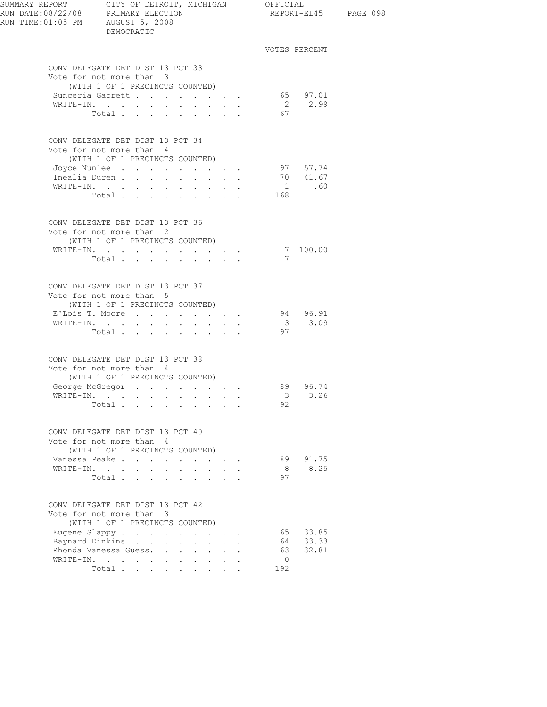| RUN TIME: 01:05 PM AUGUST 5, 2008 | DEMOCRATIC                                                                                      |                                                                                      |                                                                       |                      |                      |                               | REPORT-EL45 PAGE 098 |
|-----------------------------------|-------------------------------------------------------------------------------------------------|--------------------------------------------------------------------------------------|-----------------------------------------------------------------------|----------------------|----------------------|-------------------------------|----------------------|
|                                   |                                                                                                 |                                                                                      |                                                                       |                      |                      | VOTES PERCENT                 |                      |
|                                   | CONV DELEGATE DET DIST 13 PCT 33<br>Vote for not more than 3<br>(WITH 1 OF 1 PRECINCTS COUNTED) |                                                                                      |                                                                       |                      |                      |                               |                      |
|                                   | Sunceria Garrett<br>WRITE-IN.<br>Total                                                          |                                                                                      |                                                                       |                      | 67                   | 65 97.01<br>2 2.99            |                      |
|                                   | CONV DELEGATE DET DIST 13 PCT 34<br>Vote for not more than 4<br>(WITH 1 OF 1 PRECINCTS COUNTED) |                                                                                      |                                                                       |                      |                      |                               |                      |
|                                   | Joyce Nunlee 97 57.74<br>Inealia Duren 70 $41.67$<br>WRITE-IN.<br>Total                         |                                                                                      |                                                                       |                      | 168                  | 1 .60                         |                      |
|                                   | CONV DELEGATE DET DIST 13 PCT 36<br>Vote for not more than 2                                    |                                                                                      |                                                                       |                      |                      |                               |                      |
|                                   | (WITH 1 OF 1 PRECINCTS COUNTED)<br>WRITE-IN.<br>Total                                           |                                                                                      |                                                                       |                      |                      | $\frac{7}{7}$ 100.00          |                      |
|                                   | CONV DELEGATE DET DIST 13 PCT 37<br>Vote for not more than 5<br>(WITH 1 OF 1 PRECINCTS COUNTED) |                                                                                      |                                                                       |                      |                      |                               |                      |
|                                   | E'Lois T. Moore<br>WRITE-IN.<br>Total $\cdots$                                                  |                                                                                      |                                                                       |                      | 97                   | 94 96.91<br>3, 3, 09          |                      |
|                                   | CONV DELEGATE DET DIST 13 PCT 38<br>Vote for not more than 4<br>(WITH 1 OF 1 PRECINCTS COUNTED) |                                                                                      |                                                                       |                      |                      |                               |                      |
|                                   | George McGregor 89 96.74<br>WRITE-IN.<br>Total                                                  |                                                                                      |                                                                       |                      | $\mathcal{B}$<br>92  | 3.26                          |                      |
|                                   | CONV DELEGATE DET DIST 13 PCT 40<br>Vote for not more than 4<br>(WITH 1 OF 1 PRECINCTS COUNTED) |                                                                                      |                                                                       |                      |                      |                               |                      |
| WRITE-IN.                         | Vanessa Peake<br>$\mathbf{L}$<br>$\sim$<br>$\sim$<br>Total                                      | ÷.                                                                                   | $\cdot$ $\cdot$ $\cdot$ $\cdot$ $\cdot$ $\cdot$<br>$\mathbf{L}$       | $\ddot{\phantom{a}}$ | 89<br>8<br>97        | 91.75<br>8.25                 |                      |
|                                   | CONV DELEGATE DET DIST 13 PCT 42<br>Vote for not more than 3<br>(WITH 1 OF 1 PRECINCTS COUNTED) |                                                                                      |                                                                       |                      |                      |                               |                      |
|                                   | Eugene Slappy<br>Baynard Dinkins<br>Rhonda Vanessa Guess<br>WRITE-IN.<br>$\ddot{\phantom{0}}$   | $\ddot{\phantom{0}}$<br>$\ddot{\phantom{0}}$<br>$\sim$<br>$\sim$<br>$\sim$<br>$\sim$ | $\mathbf{L}$<br>$\mathbf{L}$                                          |                      | 63<br>$\overline{0}$ | 65 33.85<br>64 33.33<br>32.81 |                      |
|                                   | Total                                                                                           |                                                                                      | $\bullet$ .<br><br><br><br><br><br><br><br><br><br><br><br><br>$\sim$ |                      | 192                  |                               |                      |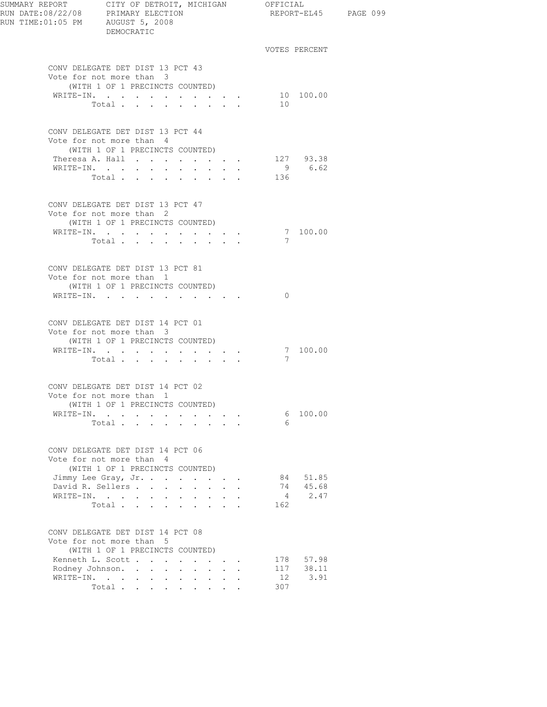| SUMMARY REPORT CITY OF DETROIT, MICHIGAN OFFICIAL<br>RUN DATE:08/22/08 PRIMARY ELECTION<br>RUN TIME:01:05 PM AUGUST 5, 2008 | DEMOCRATIC                                                                                      |                                                 |                                                    |                          | REPORT-EL45 PAGE 099 |  |
|-----------------------------------------------------------------------------------------------------------------------------|-------------------------------------------------------------------------------------------------|-------------------------------------------------|----------------------------------------------------|--------------------------|----------------------|--|
|                                                                                                                             |                                                                                                 |                                                 |                                                    |                          | VOTES PERCENT        |  |
|                                                                                                                             | CONV DELEGATE DET DIST 13 PCT 43<br>Vote for not more than 3<br>(WITH 1 OF 1 PRECINCTS COUNTED) |                                                 |                                                    |                          |                      |  |
|                                                                                                                             | WRITE-IN.<br>Total.                                                                             | $\cdot$ $\cdot$ $\cdot$ $\cdot$ $\cdot$ $\cdot$ |                                                    | 10                       | 10 100.00            |  |
|                                                                                                                             |                                                                                                 |                                                 |                                                    |                          |                      |  |
|                                                                                                                             | CONV DELEGATE DET DIST 13 PCT 44<br>Vote for not more than 4<br>(WITH 1 OF 1 PRECINCTS COUNTED) |                                                 |                                                    |                          |                      |  |
|                                                                                                                             | Theresa A. Hall                                                                                 |                                                 | $\mathbf{r}$ , and $\mathbf{r}$ , and $\mathbf{r}$ |                          | 127 93.38            |  |
|                                                                                                                             | WRITE-IN.<br>Total                                                                              |                                                 |                                                    | 136                      | 9 6.62               |  |
|                                                                                                                             |                                                                                                 |                                                 |                                                    |                          |                      |  |
|                                                                                                                             | CONV DELEGATE DET DIST 13 PCT 47<br>Vote for not more than 2                                    |                                                 |                                                    |                          |                      |  |
|                                                                                                                             | (WITH 1 OF 1 PRECINCTS COUNTED)                                                                 |                                                 |                                                    |                          |                      |  |
|                                                                                                                             | WRITE-IN.<br>Total                                                                              |                                                 |                                                    | 7                        | 7 100.00             |  |
|                                                                                                                             |                                                                                                 |                                                 |                                                    |                          |                      |  |
|                                                                                                                             | CONV DELEGATE DET DIST 13 PCT 81<br>Vote for not more than 1                                    |                                                 |                                                    |                          |                      |  |
|                                                                                                                             | (WITH 1 OF 1 PRECINCTS COUNTED)                                                                 |                                                 |                                                    |                          |                      |  |
|                                                                                                                             | WRITE-IN.                                                                                       |                                                 |                                                    | $\Omega$                 |                      |  |
|                                                                                                                             | CONV DELEGATE DET DIST 14 PCT 01<br>Vote for not more than 3<br>(WITH 1 OF 1 PRECINCTS COUNTED) |                                                 |                                                    |                          |                      |  |
|                                                                                                                             | WRITE-IN.                                                                                       |                                                 |                                                    |                          | 7 100.00             |  |
|                                                                                                                             | Total                                                                                           |                                                 |                                                    | 7                        |                      |  |
|                                                                                                                             | CONV DELEGATE DET DIST 14 PCT 02<br>Vote for not more than 1                                    |                                                 |                                                    |                          |                      |  |
|                                                                                                                             | (WITH 1 OF 1 PRECINCTS COUNTED)                                                                 |                                                 |                                                    |                          |                      |  |
|                                                                                                                             | WRITE-IN.<br>Total                                                                              |                                                 |                                                    | -6                       | 6 100.00             |  |
|                                                                                                                             |                                                                                                 |                                                 |                                                    |                          |                      |  |
|                                                                                                                             | CONV DELEGATE DET DIST 14 PCT 06<br>Vote for not more than 4<br>(WITH 1 OF 1 PRECINCTS COUNTED) |                                                 |                                                    |                          |                      |  |
|                                                                                                                             | Jimmy Lee Gray, Jr.                                                                             |                                                 |                                                    | 84                       | 51.85                |  |
|                                                                                                                             | David R. Sellers                                                                                | $\mathbf{r}$ , $\mathbf{r}$ , $\mathbf{r}$      |                                                    | 74                       | 45.68                |  |
|                                                                                                                             | WRITE-IN.                                                                                       |                                                 |                                                    | $4\phantom{0000}$<br>162 | 2.47                 |  |
|                                                                                                                             | Total                                                                                           |                                                 |                                                    |                          |                      |  |
|                                                                                                                             | CONV DELEGATE DET DIST 14 PCT 08<br>Vote for not more than 5<br>(WITH 1 OF 1 PRECINCTS COUNTED) |                                                 |                                                    |                          |                      |  |
|                                                                                                                             | Kenneth L. Scott                                                                                |                                                 |                                                    | 178                      | 57.98                |  |
|                                                                                                                             | Rodney Johnson.                                                                                 |                                                 |                                                    |                          | 117 38.11            |  |
|                                                                                                                             | WRITE-IN.<br>Total                                                                              |                                                 |                                                    | 12<br>307                | 3.91                 |  |
|                                                                                                                             |                                                                                                 |                                                 |                                                    |                          |                      |  |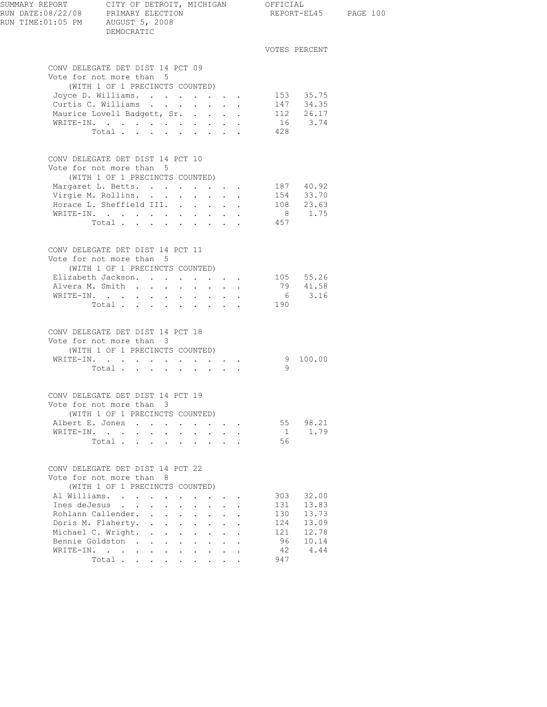| SUMMARY REPORT CITY OF DETROIT, N<br>RUN DATE:08/22/08 PRIMARY ELECTION<br>RUN TIME:01:05 PM AUGUST 5, 2008 | CITY OF DETROIT, MICHIGAN OFFICIAL<br>DEMOCRATIC                                                   |                                                                               |                |                | REPORT-EL45 PAGE 100 |
|-------------------------------------------------------------------------------------------------------------|----------------------------------------------------------------------------------------------------|-------------------------------------------------------------------------------|----------------|----------------|----------------------|
|                                                                                                             |                                                                                                    |                                                                               |                | VOTES PERCENT  |                      |
|                                                                                                             | CONV DELEGATE DET DIST 14 PCT 09                                                                   |                                                                               |                |                |                      |
|                                                                                                             | Vote for not more than 5                                                                           |                                                                               |                |                |                      |
|                                                                                                             | (WITH 1 OF 1 PRECINCTS COUNTED)                                                                    |                                                                               |                |                |                      |
|                                                                                                             | Joyce D. Williams 153 35.75<br>Curtis C. Williams 147 34.35                                        |                                                                               |                |                |                      |
|                                                                                                             |                                                                                                    |                                                                               |                |                |                      |
|                                                                                                             | Maurice Lovell Badgett, Sr.                                                                        |                                                                               |                | $112$ 26.17    |                      |
|                                                                                                             | WRITE-IN.                                                                                          |                                                                               |                | 16 3.74        |                      |
|                                                                                                             | Total                                                                                              |                                                                               | 428            |                |                      |
|                                                                                                             | CONV DELEGATE DET DIST 14 PCT 10                                                                   |                                                                               |                |                |                      |
|                                                                                                             | Vote for not more than 5                                                                           |                                                                               |                |                |                      |
|                                                                                                             | (WITH 1 OF 1 PRECINCTS COUNTED)                                                                    |                                                                               |                |                |                      |
|                                                                                                             | Margaret L. Betts. 187 40.92<br>Virgie M. Rollins. 154 33.70<br>Horace L. Sheffield III. 108 23.63 |                                                                               |                |                |                      |
|                                                                                                             |                                                                                                    |                                                                               |                |                |                      |
|                                                                                                             |                                                                                                    |                                                                               |                |                |                      |
|                                                                                                             | WRITE-IN.                                                                                          |                                                                               |                | 8 1.75         |                      |
|                                                                                                             | Total $\cdots$                                                                                     |                                                                               | 457            |                |                      |
|                                                                                                             | CONV DELEGATE DET DIST 14 PCT 11<br>Vote for not more than 5                                       |                                                                               |                |                |                      |
|                                                                                                             | (WITH 1 OF 1 PRECINCTS COUNTED)                                                                    |                                                                               |                |                |                      |
|                                                                                                             | Elizabeth Jackson. 105 $55.26$                                                                     |                                                                               |                |                |                      |
|                                                                                                             | Alvera M. Smith                                                                                    |                                                                               |                | 79 41.58       |                      |
|                                                                                                             | WRITE-IN.                                                                                          |                                                                               |                | $6\qquad 3.16$ |                      |
|                                                                                                             | Total 190                                                                                          |                                                                               |                |                |                      |
|                                                                                                             | CONV DELEGATE DET DIST 14 PCT 18                                                                   |                                                                               |                |                |                      |
|                                                                                                             | Vote for not more than 3                                                                           |                                                                               |                |                |                      |
|                                                                                                             | (WITH 1 OF 1 PRECINCTS COUNTED)                                                                    |                                                                               |                |                |                      |
|                                                                                                             | WRITE-IN.                                                                                          |                                                                               |                | 9 100.00       |                      |
|                                                                                                             | Total $\cdots$                                                                                     |                                                                               | $\overline{9}$ |                |                      |
|                                                                                                             | CONV DELEGATE DET DIST 14 PCT 19                                                                   |                                                                               |                |                |                      |
|                                                                                                             | Vote for not more than 3                                                                           |                                                                               |                |                |                      |
|                                                                                                             | (WITH 1 OF 1 PRECINCTS COUNTED)                                                                    |                                                                               |                |                |                      |
|                                                                                                             | Albert E. Jones                                                                                    | $\mathbf{r} = \mathbf{r} + \mathbf{r} + \mathbf{r} + \mathbf{r} + \mathbf{r}$ |                | 55 98.21       |                      |
|                                                                                                             | WRITE-IN.                                                                                          |                                                                               | 1              | 1.79           |                      |
|                                                                                                             | Total<br>$\sim$<br>$\mathcal{L}^{\text{max}}$<br>$\mathbf{L}$                                      | $\mathbf{r} = \mathbf{r}$                                                     | 56             |                |                      |
|                                                                                                             | CONV DELEGATE DET DIST 14 PCT 22                                                                   |                                                                               |                |                |                      |
|                                                                                                             | Vote for not more than 8                                                                           |                                                                               |                |                |                      |
|                                                                                                             | (WITH 1 OF 1 PRECINCTS COUNTED)                                                                    |                                                                               |                |                |                      |
|                                                                                                             | Al Williams.                                                                                       |                                                                               | 303            | 32.00          |                      |
|                                                                                                             | Ines deJesus<br>$\mathbf{A}$ and $\mathbf{A}$                                                      | $\mathbf{r} = \mathbf{r}$<br>$\mathbf{r}$                                     | 131            | 13.83          |                      |
|                                                                                                             | Rohlann Callender.<br>$\sim$ $-$                                                                   | $\mathcal{L}^{\text{max}}$<br>$\sim$<br>$\ddot{\phantom{a}}$                  | 130            | 13.73          |                      |
|                                                                                                             | Doris M. Flaherty.                                                                                 | $\cdot$ $\cdot$ $\cdot$                                                       | 124            | 13.09          |                      |
|                                                                                                             | Michael C. Wright.<br>$\mathbf{L}$<br>$\mathbf{L}$<br>$\sim$<br>$\sim$                             | $\mathbf{L}$                                                                  | 121            | 12.78          |                      |
|                                                                                                             | Bennie Goldston<br>$\sim$                                                                          | $\sim$<br>$\mathbf{L}$                                                        | 96             | 10.14          |                      |
|                                                                                                             | WRITE-IN.                                                                                          |                                                                               | 42             | 4.44           |                      |
|                                                                                                             | Total.                                                                                             |                                                                               | 947            |                |                      |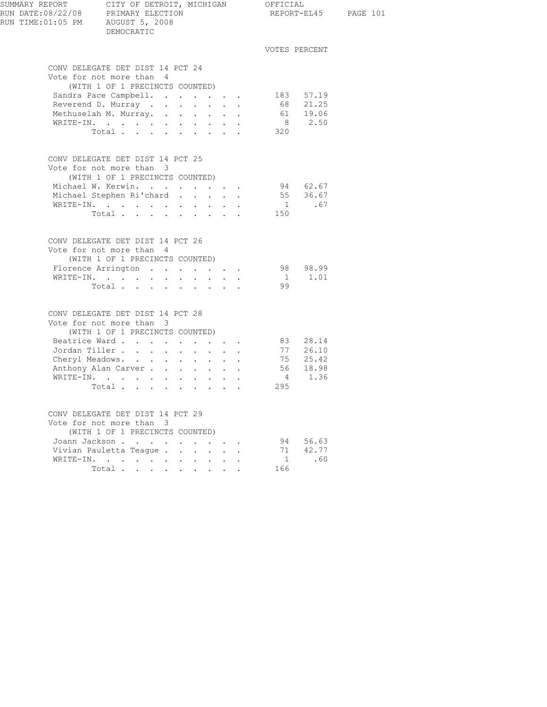| SUMMARY REPORT<br>RUN DATE:08/22/08 PRIMARY ELECTION<br>RUN TIME: 01:05 PM AUGUST 5, 2008 | CITY OF DETROIT, MICHIGAN OFFICIAL<br>DEMOCRATIC                                                                                                                                              |  |     |                                                               | REPORT-EL45 PAGE 101  |  |
|-------------------------------------------------------------------------------------------|-----------------------------------------------------------------------------------------------------------------------------------------------------------------------------------------------|--|-----|---------------------------------------------------------------|-----------------------|--|
|                                                                                           |                                                                                                                                                                                               |  |     | VOTES PERCENT                                                 |                       |  |
|                                                                                           | CONV DELEGATE DET DIST 14 PCT 24<br>Vote for not more than 4<br>(WITH 1 OF 1 PRECINCTS COUNTED)<br>Sandra Pace Campbell.<br>Reverend D. Murray<br>Methuselah M. Murray.<br>WRITE-IN.<br>Total |  |     | 183 57.19<br>68 21.25<br>61 19.06<br>8 2.50<br>320            |                       |  |
|                                                                                           | CONV DELEGATE DET DIST 14 PCT 25<br>Vote for not more than 3<br>(WITH 1 OF 1 PRECINCTS COUNTED)<br>Michael W. Kerwin.<br>Michael Stephen Ri'chard<br>WRITE-IN.<br>Total $\cdots$              |  | 150 | 94 62.67<br>55 36.67<br>1 .67                                 |                       |  |
|                                                                                           | CONV DELEGATE DET DIST 14 PCT 26<br>Vote for not more than 4<br>(WITH 1 OF 1 PRECINCTS COUNTED)<br>Florence Arrington 98 98.99<br>WRITE-IN.<br>Total                                          |  |     | $1 \qquad 1.01$<br>99                                         |                       |  |
|                                                                                           | CONV DELEGATE DET DIST 14 PCT 28<br>Vote for not more than 3<br>(WITH 1 OF 1 PRECINCTS COUNTED)<br>Jordan Tiller<br>Cheryl Meadows.<br>Anthony Alan Carver<br>WRITE-IN.<br>Total              |  |     | 83 28.14<br>77 26.10<br>75 25.42<br>56 18.98<br>4 1.36<br>295 |                       |  |
|                                                                                           | CONV DELEGATE DET DIST 14 PCT 29<br>Vote for not more than 3<br>(WITH 1 OF 1 PRECINCTS COUNTED)<br>Joann Jackson<br>Vivian Pauletta Teaque<br>WRITE-IN.<br>Total                              |  |     | 94<br>71<br>$\sqrt{1}$<br>166                                 | 56.63<br>42.77<br>.60 |  |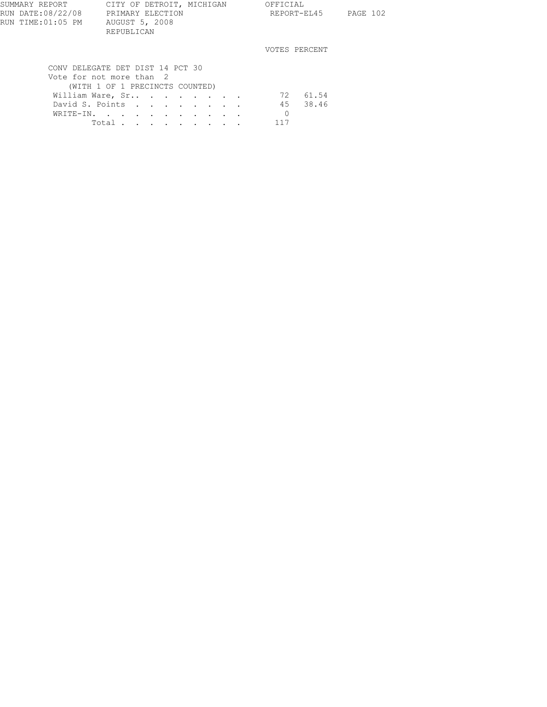| SUMMARY REPORT    | CITY OF DETROIT, MICHIGAN        |                                                    |  | OFFICIAL      |             |          |
|-------------------|----------------------------------|----------------------------------------------------|--|---------------|-------------|----------|
| RUN DATE:08/22/08 | PRIMARY ELECTION                 |                                                    |  |               | REPORT-EL45 | PAGE 102 |
| RUN TIME:01:05 PM | AUGUST 5, 2008                   |                                                    |  |               |             |          |
|                   | REPUBLICAN                       |                                                    |  |               |             |          |
|                   |                                  |                                                    |  | VOTES PERCENT |             |          |
|                   | CONV DELEGATE DET DIST 14 PCT 30 |                                                    |  |               |             |          |
|                   | Vote for not more than 2         |                                                    |  |               |             |          |
|                   |                                  |                                                    |  |               |             |          |
|                   | (WITH 1 OF 1 PRECINCTS COUNTED)  |                                                    |  |               |             |          |
|                   | William Ware, Sr                 |                                                    |  | 72            | 61.54       |          |
|                   | David S. Points                  |                                                    |  | 45            | 38.46       |          |
|                   | WRITE-IN.                        |                                                    |  |               |             |          |
|                   | Total .                          | $\mathbf{r}$ , and $\mathbf{r}$ , and $\mathbf{r}$ |  | 117           |             |          |
|                   |                                  |                                                    |  |               |             |          |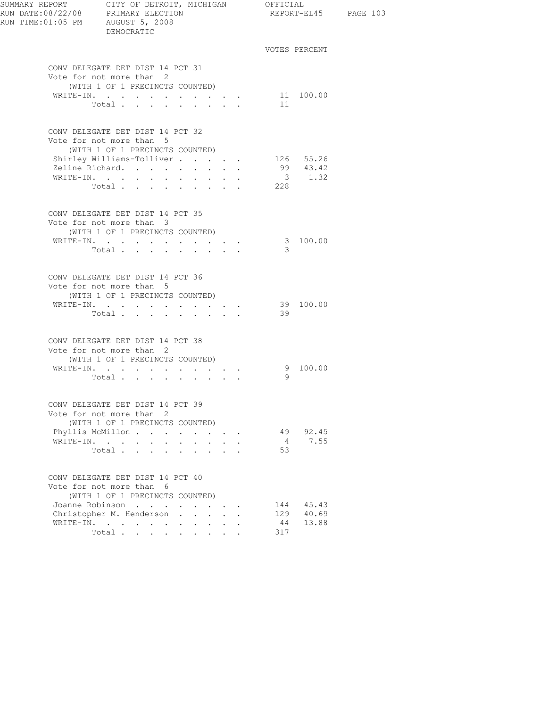| SUMMARY REPORT<br>RUN DATE:08/22/08 PRIMARY ELECTION<br>RUN TIME:01:05 PM AUGUST 5, 2008 | CITY OF DETROIT, MICHIGAN OFFICIAL<br>DEMOCRATIC                                                                                                            |        |                                                                  |                         |     | REPORT-EL45 PAGE 103  |  |
|------------------------------------------------------------------------------------------|-------------------------------------------------------------------------------------------------------------------------------------------------------------|--------|------------------------------------------------------------------|-------------------------|-----|-----------------------|--|
|                                                                                          |                                                                                                                                                             |        |                                                                  |                         |     | VOTES PERCENT         |  |
|                                                                                          | CONV DELEGATE DET DIST 14 PCT 31                                                                                                                            |        |                                                                  |                         |     |                       |  |
|                                                                                          | Vote for not more than 2<br>(WITH 1 OF 1 PRECINCTS COUNTED)                                                                                                 |        |                                                                  |                         |     |                       |  |
|                                                                                          | WRITE-IN. 11 100.00<br>Total $\cdots$                                                                                                                       |        |                                                                  |                         | 11  |                       |  |
|                                                                                          | CONV DELEGATE DET DIST 14 PCT 32                                                                                                                            |        |                                                                  |                         |     |                       |  |
|                                                                                          | Vote for not more than 5<br>(WITH 1 OF 1 PRECINCTS COUNTED)                                                                                                 |        |                                                                  |                         |     |                       |  |
|                                                                                          | Shirley Williams-Tolliver                                                                                                                                   |        |                                                                  |                         |     | 126 55.26<br>99 43.42 |  |
|                                                                                          | Zeline Richard.                                                                                                                                             |        | $\mathbf{r} = \mathbf{r} + \mathbf{r} + \mathbf{r}$              |                         |     |                       |  |
|                                                                                          | WRITE-IN.                                                                                                                                                   |        |                                                                  |                         | 228 | $3 \t 1.32$           |  |
|                                                                                          | Total                                                                                                                                                       |        |                                                                  |                         |     |                       |  |
|                                                                                          | CONV DELEGATE DET DIST 14 PCT 35                                                                                                                            |        |                                                                  |                         |     |                       |  |
|                                                                                          | Vote for not more than 3<br>(WITH 1 OF 1 PRECINCTS COUNTED)                                                                                                 |        |                                                                  |                         |     |                       |  |
|                                                                                          | WRITE-IN.                                                                                                                                                   |        |                                                                  |                         |     | 3 100.00              |  |
|                                                                                          | Total                                                                                                                                                       |        |                                                                  |                         | 3   |                       |  |
|                                                                                          |                                                                                                                                                             |        |                                                                  |                         |     |                       |  |
|                                                                                          | CONV DELEGATE DET DIST 14 PCT 36                                                                                                                            |        |                                                                  |                         |     |                       |  |
|                                                                                          | Vote for not more than 5                                                                                                                                    |        |                                                                  |                         |     |                       |  |
|                                                                                          | (WITH 1 OF 1 PRECINCTS COUNTED)                                                                                                                             |        |                                                                  |                         |     |                       |  |
|                                                                                          | WRITE-IN. 39 100.00                                                                                                                                         |        |                                                                  |                         |     |                       |  |
|                                                                                          | Total                                                                                                                                                       |        |                                                                  |                         | 39  |                       |  |
|                                                                                          | CONV DELEGATE DET DIST 14 PCT 38                                                                                                                            |        |                                                                  |                         |     |                       |  |
|                                                                                          | Vote for not more than 2                                                                                                                                    |        |                                                                  |                         |     |                       |  |
|                                                                                          | (WITH 1 OF 1 PRECINCTS COUNTED)                                                                                                                             |        |                                                                  |                         |     | 9 100.00              |  |
|                                                                                          | $\mathtt{WRTTE}\texttt{-IN.}\quad.\quad.\quad.\quad.\quad.\quad.\quad.\quad.\quad.\quad.\quad.\quad.\quad.\quad.\quad.\quad.\quad.\quad.$<br>Total $\cdots$ |        |                                                                  |                         | 9   |                       |  |
|                                                                                          |                                                                                                                                                             |        |                                                                  |                         |     |                       |  |
|                                                                                          | CONV DELEGATE DET DIST 14 PCT 39                                                                                                                            |        |                                                                  |                         |     |                       |  |
|                                                                                          | Vote for not more than 2<br>(WITH 1 OF 1 PRECINCTS COUNTED)                                                                                                 |        |                                                                  |                         |     |                       |  |
|                                                                                          | Phyllis McMillon                                                                                                                                            |        | <b>Contract Contract Service</b>                                 |                         | 49  | 92.45                 |  |
| WRITE-IN.                                                                                | $\sim$ $-$<br>$\sim$                                                                                                                                        | $\sim$ | $\mathbf{L}$                                                     |                         | 4   | 7.55                  |  |
|                                                                                          | Total                                                                                                                                                       |        |                                                                  |                         | 53  |                       |  |
|                                                                                          | CONV DELEGATE DET DIST 14 PCT 40                                                                                                                            |        |                                                                  |                         |     |                       |  |
|                                                                                          | Vote for not more than 6<br>(WITH 1 OF 1 PRECINCTS COUNTED)                                                                                                 |        |                                                                  |                         |     |                       |  |
|                                                                                          | Joanne Robinson                                                                                                                                             |        |                                                                  |                         |     | 144 45.43             |  |
|                                                                                          | Christopher M. Henderson.                                                                                                                                   | $\sim$ |                                                                  | $\cdot$ $\cdot$ $\cdot$ |     | 129 40.69             |  |
|                                                                                          | WRITE-IN.                                                                                                                                                   |        |                                                                  |                         | 44  | 13.88                 |  |
|                                                                                          | Total.                                                                                                                                                      |        | $\mathbf{1}$ $\mathbf{1}$ $\mathbf{1}$ $\mathbf{1}$ $\mathbf{1}$ |                         | 317 |                       |  |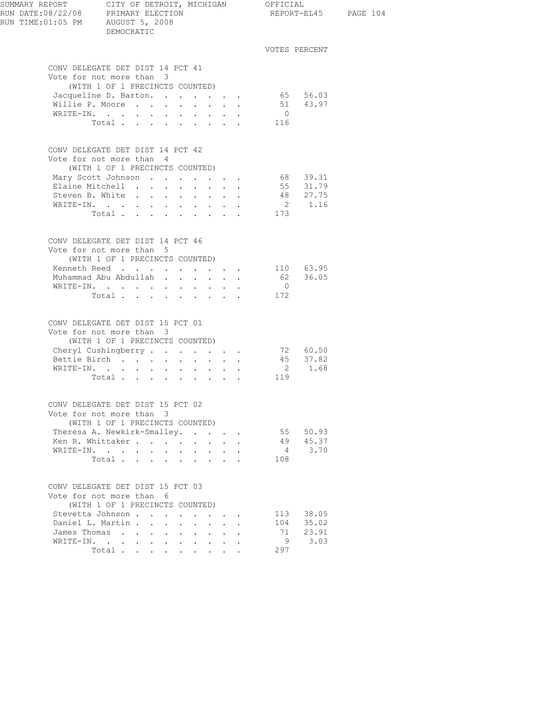| SUMMARY REPORT<br>RUN DATE:08/22/08 PRIMARY ELECTION<br>RUN TIME:01:05 PM AUGUST 5, 2008 | CITY OF DETROIT, MICHIGAN OFFICIAL<br>DEMOCRATIC                                                                                                                         |                                                           |                                               |                                      |                |                                                        | REPORT-EL45 PAGE 104 |
|------------------------------------------------------------------------------------------|--------------------------------------------------------------------------------------------------------------------------------------------------------------------------|-----------------------------------------------------------|-----------------------------------------------|--------------------------------------|----------------|--------------------------------------------------------|----------------------|
|                                                                                          |                                                                                                                                                                          |                                                           |                                               |                                      |                | VOTES PERCENT                                          |                      |
|                                                                                          | CONV DELEGATE DET DIST 14 PCT 41                                                                                                                                         |                                                           |                                               |                                      |                |                                                        |                      |
|                                                                                          | Vote for not more than 3                                                                                                                                                 |                                                           |                                               |                                      |                |                                                        |                      |
|                                                                                          | (WITH 1 OF 1 PRECINCTS COUNTED)                                                                                                                                          |                                                           |                                               |                                      |                |                                                        |                      |
|                                                                                          | Jacqueline D. Barton. 65 56.03<br>Willie P. Moore                                                                                                                        |                                                           |                                               |                                      |                |                                                        |                      |
|                                                                                          | WRITE-IN.                                                                                                                                                                |                                                           |                                               |                                      | $\overline{0}$ | 51 43.97                                               |                      |
|                                                                                          | Total 116                                                                                                                                                                |                                                           |                                               |                                      |                |                                                        |                      |
|                                                                                          | CONV DELEGATE DET DIST 14 PCT 42<br>Vote for not more than 4                                                                                                             |                                                           |                                               |                                      |                |                                                        |                      |
|                                                                                          | (WITH 1 OF 1 PRECINCTS COUNTED)<br>Mary Scott Johnson 68 39.31                                                                                                           |                                                           |                                               |                                      |                |                                                        |                      |
|                                                                                          | Elaine Mitchell                                                                                                                                                          |                                                           |                                               |                                      |                | 55 31.79                                               |                      |
|                                                                                          | Steven B. White                                                                                                                                                          |                                                           |                                               |                                      |                |                                                        |                      |
|                                                                                          | WRITE-IN.                                                                                                                                                                |                                                           |                                               |                                      |                | $\begin{array}{cc} 48 & 27.75 \\ 2 & 1.16 \end{array}$ |                      |
|                                                                                          | Total 173                                                                                                                                                                |                                                           |                                               |                                      |                |                                                        |                      |
|                                                                                          | CONV DELEGATE DET DIST 14 PCT 46<br>Vote for not more than 5<br>(WITH 1 OF 1 PRECINCTS COUNTED)<br>Kenneth Reed 110 63.95<br>Muhammad Abu Abdullah<br>WRITE-IN.          |                                                           |                                               |                                      | $\overline{0}$ | 62 36.05                                               |                      |
|                                                                                          | Total<br>CONV DELEGATE DET DIST 15 PCT 01                                                                                                                                |                                                           |                                               |                                      | 172            |                                                        |                      |
|                                                                                          | Vote for not more than 3                                                                                                                                                 |                                                           |                                               |                                      |                |                                                        |                      |
|                                                                                          | (WITH 1 OF 1 PRECINCTS COUNTED)<br>Cheryl Cushingberry                                                                                                                   |                                                           |                                               |                                      |                | 72 60.50                                               |                      |
|                                                                                          | Bettie Birch                                                                                                                                                             |                                                           |                                               |                                      |                | 45 37.82                                               |                      |
|                                                                                          | WRITE-IN.                                                                                                                                                                |                                                           |                                               |                                      |                | 2 1.68                                                 |                      |
|                                                                                          | Total                                                                                                                                                                    |                                                           |                                               |                                      | 119            |                                                        |                      |
|                                                                                          | CONV DELEGATE DET DIST 15 PCT 02<br>Vote for not more than 3<br>(WITH 1 OF 1 PRECINCTS COUNTED)<br>Theresa A. Newkirk-Smalley.<br>Ken R. Whittaker<br>WRITE-IN.<br>Total |                                                           | $\ddot{\phantom{0}}$<br>$\sim$                | $\cdot$ $\cdot$ $\cdot$              | 49<br>108      | 55 50.93<br>45.37<br>4 3.70                            |                      |
|                                                                                          | CONV DELEGATE DET DIST 15 PCT 03<br>Vote for not more than 6<br>(WITH 1 OF 1 PRECINCTS COUNTED)                                                                          |                                                           |                                               |                                      |                |                                                        |                      |
|                                                                                          | Stevetta Johnson                                                                                                                                                         |                                                           |                                               | $\mathbf{L} = \mathbf{L} \mathbf{L}$ |                | 113 38.05                                              |                      |
|                                                                                          | Daniel L. Martin                                                                                                                                                         |                                                           |                                               |                                      | 104            | 35.02                                                  |                      |
| James Thomas                                                                             | $\ddot{\phantom{0}}$                                                                                                                                                     | $\ddot{\phantom{0}}$<br>$\bullet$<br>$\ddot{\phantom{0}}$ | $\ddot{\phantom{0}}$                          |                                      | 71             | 23.91                                                  |                      |
|                                                                                          | WRITE-IN.<br>$\sim$                                                                                                                                                      | $\cdot$<br>$\ddot{\phantom{0}}$                           | $\mathbf{L} = \mathbf{L}$<br>$\sim$ 100 $\pm$ |                                      | - 9            | 3.03                                                   |                      |
|                                                                                          | Total                                                                                                                                                                    |                                                           | $\mathbf{L}^{\text{max}}$                     | $\mathbf{L}^{\text{max}}$            | 297            |                                                        |                      |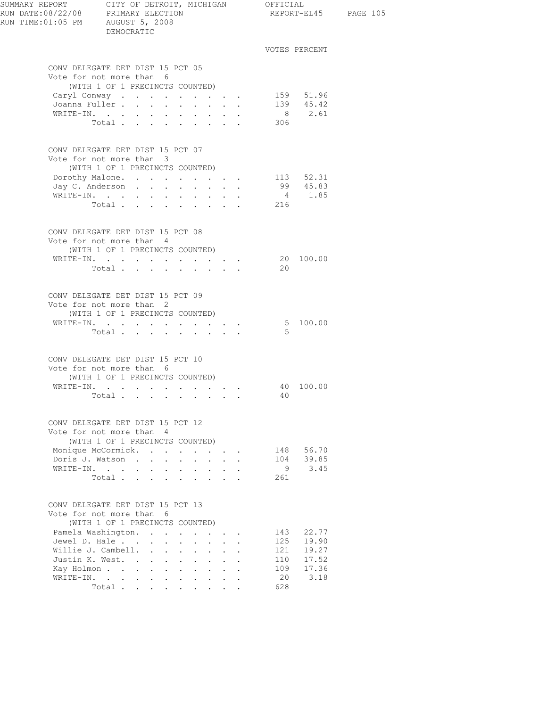| SUMMARY REPORT CITY OF DETROIT, MICHIGAN OFFICIAL<br>RUN DATE:08/22/08 PRIMARY ELECTION<br>RUN TIME: 01:05 PM AUGUST 5, 2008 | DEMOCRATIC                                                                                      |                                      |                      |                                                           |                                                           |                                                                    |            | REPORT-EL45 PAGE 105   |  |
|------------------------------------------------------------------------------------------------------------------------------|-------------------------------------------------------------------------------------------------|--------------------------------------|----------------------|-----------------------------------------------------------|-----------------------------------------------------------|--------------------------------------------------------------------|------------|------------------------|--|
|                                                                                                                              |                                                                                                 |                                      |                      |                                                           |                                                           |                                                                    |            | VOTES PERCENT          |  |
|                                                                                                                              | CONV DELEGATE DET DIST 15 PCT 05<br>Vote for not more than 6                                    |                                      |                      |                                                           |                                                           |                                                                    |            |                        |  |
|                                                                                                                              | (WITH 1 OF 1 PRECINCTS COUNTED)                                                                 |                                      |                      |                                                           |                                                           |                                                                    |            |                        |  |
|                                                                                                                              | Caryl Conway                                                                                    |                                      |                      |                                                           |                                                           |                                                                    |            | 159 51.96<br>139 45.42 |  |
|                                                                                                                              | Joanna Fuller<br>WRITE-IN.                                                                      |                                      |                      |                                                           |                                                           |                                                                    |            | 8 2.61                 |  |
|                                                                                                                              | Total $\cdots$                                                                                  |                                      |                      |                                                           |                                                           |                                                                    | 306        |                        |  |
|                                                                                                                              | CONV DELEGATE DET DIST 15 PCT 07<br>Vote for not more than 3<br>(WITH 1 OF 1 PRECINCTS COUNTED) |                                      |                      |                                                           |                                                           |                                                                    |            |                        |  |
|                                                                                                                              | Dorothy Malone. 113 52.31                                                                       |                                      |                      |                                                           |                                                           |                                                                    |            |                        |  |
|                                                                                                                              | Jay C. Anderson                                                                                 |                                      |                      |                                                           |                                                           | $\mathbf{r} = \mathbf{r} + \mathbf{r} + \mathbf{r} + \mathbf{r}$ . |            | 99 45.83               |  |
|                                                                                                                              | WRITE-IN.                                                                                       |                                      |                      |                                                           |                                                           |                                                                    |            | 4 1.85                 |  |
|                                                                                                                              | Total                                                                                           |                                      |                      |                                                           |                                                           |                                                                    | 216        |                        |  |
|                                                                                                                              | CONV DELEGATE DET DIST 15 PCT 08<br>Vote for not more than 4<br>(WITH 1 OF 1 PRECINCTS COUNTED) |                                      |                      |                                                           |                                                           |                                                                    |            |                        |  |
|                                                                                                                              | WRITE-IN. 20 100.00                                                                             |                                      |                      |                                                           |                                                           |                                                                    |            |                        |  |
|                                                                                                                              | Total $\cdots$                                                                                  |                                      |                      |                                                           |                                                           |                                                                    | 20         |                        |  |
|                                                                                                                              | CONV DELEGATE DET DIST 15 PCT 09<br>Vote for not more than 2                                    |                                      |                      |                                                           |                                                           |                                                                    |            |                        |  |
|                                                                                                                              | (WITH 1 OF 1 PRECINCTS COUNTED)<br>WRITE-IN. 5 100.00                                           |                                      |                      |                                                           |                                                           |                                                                    |            |                        |  |
|                                                                                                                              | Total $\cdots$                                                                                  |                                      |                      |                                                           |                                                           |                                                                    | - 5        |                        |  |
|                                                                                                                              |                                                                                                 |                                      |                      |                                                           |                                                           |                                                                    |            |                        |  |
|                                                                                                                              | CONV DELEGATE DET DIST 15 PCT 10<br>Vote for not more than 6<br>(WITH 1 OF 1 PRECINCTS COUNTED) |                                      |                      |                                                           |                                                           |                                                                    |            |                        |  |
|                                                                                                                              | WRITE-IN.                                                                                       |                                      |                      |                                                           |                                                           |                                                                    |            | 40 100.00              |  |
|                                                                                                                              | Total $\cdots$ $\cdots$ $\cdots$                                                                |                                      |                      |                                                           |                                                           |                                                                    | 40         |                        |  |
|                                                                                                                              | CONV DELEGATE DET DIST 15 PCT 12<br>Vote for not more than 4                                    |                                      |                      |                                                           |                                                           |                                                                    |            |                        |  |
|                                                                                                                              | (WITH 1 OF 1 PRECINCTS COUNTED)<br>Monique McCormick.                                           |                                      |                      |                                                           |                                                           |                                                                    |            | 148 56.70              |  |
|                                                                                                                              | Doris J. Watson.<br>$\Delta \sim 10^4$                                                          | $\sim$<br>$\sim$                     | $\ddot{\phantom{0}}$ | $\mathcal{L}^{\text{max}}$                                |                                                           |                                                                    | 104        | 39.85                  |  |
|                                                                                                                              | WRITE-IN.                                                                                       |                                      | $\sim$ 100 $\sim$    |                                                           | $\mathbf{r} = \mathbf{r}$                                 |                                                                    | 9          | 3.45                   |  |
|                                                                                                                              | Total                                                                                           |                                      |                      |                                                           |                                                           |                                                                    | 261        |                        |  |
|                                                                                                                              | CONV DELEGATE DET DIST 15 PCT 13<br>Vote for not more than 6<br>(WITH 1 OF 1 PRECINCTS COUNTED) |                                      |                      |                                                           |                                                           |                                                                    |            |                        |  |
|                                                                                                                              | Pamela Washington.                                                                              |                                      |                      |                                                           |                                                           | $\mathbf{r}$ , $\mathbf{r}$ , $\mathbf{r}$                         |            | 143 22.77<br>19.90     |  |
|                                                                                                                              | Jewel D. Hale<br>Willie J. Cambell.                                                             |                                      |                      | $\mathbf{L}^{\text{max}}$ , and $\mathbf{L}^{\text{max}}$ |                                                           |                                                                    | 125<br>121 | 19.27                  |  |
|                                                                                                                              | Justin K. West.                                                                                 |                                      |                      |                                                           | $\mathbf{r} = \mathbf{r}$                                 |                                                                    | 110        | 17.52                  |  |
|                                                                                                                              | Kay Holmon                                                                                      | <b>Allen Adams</b>                   |                      |                                                           | $\mathbf{L}^{\text{max}}$ , and $\mathbf{L}^{\text{max}}$ |                                                                    | 109        | 17.36                  |  |
|                                                                                                                              | WRITE-IN.                                                                                       |                                      |                      |                                                           |                                                           |                                                                    | 20         | 3.18                   |  |
|                                                                                                                              | Total                                                                                           | $\ddot{\phantom{0}}$<br>$\mathbf{L}$ | $\mathbf{L}$         |                                                           |                                                           |                                                                    | 628        |                        |  |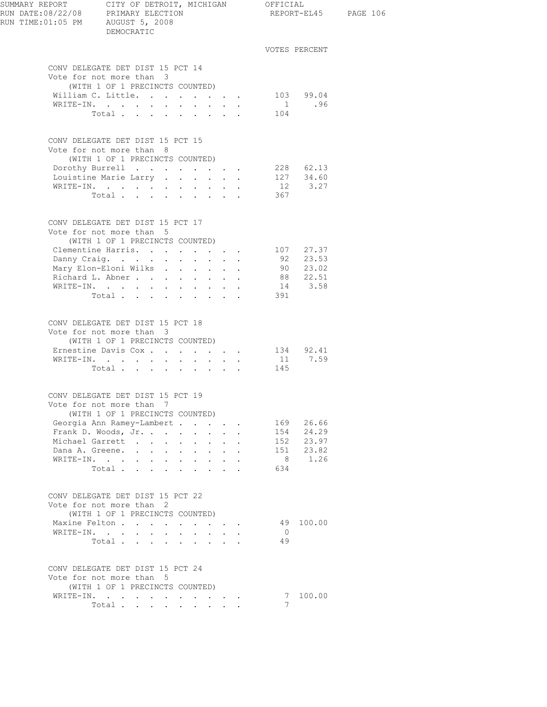| SUMMARY REPORT CITY OF DETROIT, MICHIGAN OFFICIAL<br>RUN DATE:08/22/08 PRIMARY ELECTION<br>RUN TIME: 01:05 PM AUGUST 5, 2008 | DEMOCRATIC                                                                                                                                             |                      |                                      |                      |                | REPORT-EL45 PAGE 106    |  |
|------------------------------------------------------------------------------------------------------------------------------|--------------------------------------------------------------------------------------------------------------------------------------------------------|----------------------|--------------------------------------|----------------------|----------------|-------------------------|--|
|                                                                                                                              |                                                                                                                                                        |                      |                                      |                      |                | VOTES PERCENT           |  |
|                                                                                                                              | CONV DELEGATE DET DIST 15 PCT 14<br>Vote for not more than 3<br>(WITH 1 OF 1 PRECINCTS COUNTED)                                                        |                      |                                      |                      |                |                         |  |
|                                                                                                                              | William C. Little.                                                                                                                                     |                      |                                      |                      |                | 103 99.04               |  |
|                                                                                                                              | WRITE-IN.                                                                                                                                              |                      |                                      |                      |                | $1$ .96                 |  |
|                                                                                                                              | Total 104                                                                                                                                              |                      |                                      |                      |                |                         |  |
|                                                                                                                              | CONV DELEGATE DET DIST 15 PCT 15<br>Vote for not more than 8                                                                                           |                      |                                      |                      |                |                         |  |
|                                                                                                                              | (WITH 1 OF 1 PRECINCTS COUNTED)                                                                                                                        |                      |                                      |                      |                |                         |  |
|                                                                                                                              | Dorothy Burrell 228 62.13                                                                                                                              |                      |                                      |                      |                |                         |  |
|                                                                                                                              | Louistine Marie Larry 127 $34.60$                                                                                                                      |                      |                                      |                      |                |                         |  |
|                                                                                                                              | WRITE-IN.                                                                                                                                              |                      |                                      |                      |                | 12 3.27                 |  |
|                                                                                                                              | Total.                                                                                                                                                 |                      |                                      |                      | 367            |                         |  |
|                                                                                                                              | CONV DELEGATE DET DIST 15 PCT 17<br>Vote for not more than 5                                                                                           |                      |                                      |                      |                |                         |  |
|                                                                                                                              | (WITH 1 OF 1 PRECINCTS COUNTED)                                                                                                                        |                      |                                      |                      |                |                         |  |
|                                                                                                                              | Clementine Harris. 107 27.37                                                                                                                           |                      |                                      |                      |                |                         |  |
|                                                                                                                              | Danny Craig.                                                                                                                                           |                      |                                      |                      |                | 92 23.53                |  |
|                                                                                                                              | Mary Elon-Eloni Wilks 90 23.02                                                                                                                         |                      |                                      |                      |                |                         |  |
|                                                                                                                              | Richard L. Abner                                                                                                                                       |                      |                                      |                      |                | 88 22.51<br>$14$ $3.58$ |  |
|                                                                                                                              | WRITE-IN.<br>Total                                                                                                                                     |                      |                                      |                      | 391            |                         |  |
|                                                                                                                              | CONV DELEGATE DET DIST 15 PCT 18<br>Vote for not more than 3<br>(WITH 1 OF 1 PRECINCTS COUNTED)<br>Ernestine Davis Cox 134 92.41<br>WRITE-IN.<br>Total |                      |                                      |                      | 145            | 11 7.59                 |  |
|                                                                                                                              | CONV DELEGATE DET DIST 15 PCT 19                                                                                                                       |                      |                                      |                      |                |                         |  |
|                                                                                                                              | Vote for not more than 7<br>(WITH 1 OF 1 PRECINCTS COUNTED)                                                                                            |                      |                                      |                      |                |                         |  |
|                                                                                                                              | Georgia Ann Ramey-Lambert                                                                                                                              |                      |                                      |                      |                | 169 26.66               |  |
|                                                                                                                              | Frank D. Woods, Jr.                                                                                                                                    | $\Delta \sim 10^4$   | $\mathbf{L}$                         |                      |                | 154 24.29               |  |
|                                                                                                                              | Michael Garrett                                                                                                                                        |                      | $\mathbf{L} = \mathbf{L} \mathbf{L}$ |                      |                | 152 23.97               |  |
|                                                                                                                              | Dana A. Greene.                                                                                                                                        |                      | $\mathbf{L}$ and $\mathbf{L}$        | $\ddot{\phantom{a}}$ |                | 151 23.82               |  |
|                                                                                                                              |                                                                                                                                                        |                      |                                      |                      |                | 8 1.26                  |  |
|                                                                                                                              | Total                                                                                                                                                  |                      |                                      |                      | 634            |                         |  |
|                                                                                                                              | CONV DELEGATE DET DIST 15 PCT 22<br>Vote for not more than 2<br>(WITH 1 OF 1 PRECINCTS COUNTED)                                                        |                      |                                      |                      |                |                         |  |
|                                                                                                                              | Maxine Felton                                                                                                                                          |                      |                                      |                      |                | 49 100.00               |  |
|                                                                                                                              | WRITE-IN.                                                                                                                                              | $\ddot{\phantom{0}}$ | $\mathbf{L} = \mathbf{L}$            |                      | $\overline{0}$ |                         |  |
|                                                                                                                              | Total $\cdots$                                                                                                                                         |                      |                                      |                      | 49             |                         |  |
|                                                                                                                              | CONV DELEGATE DET DIST 15 PCT 24<br>Vote for not more than 5<br>(WITH 1 OF 1 PRECINCTS COUNTED)<br>WRITE-IN.                                           |                      |                                      |                      |                | 7 100.00                |  |
|                                                                                                                              | Total                                                                                                                                                  |                      |                                      |                      | 7              |                         |  |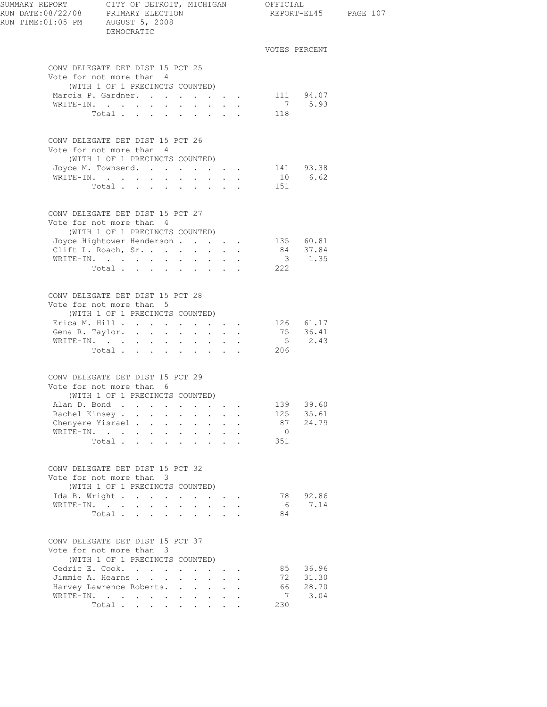| SUMMARY REPORT CITY OF DETROIT, MICHIGAN OFFICIAL<br>RUN DATE:08/22/08 PRIMARY ELECTION<br>RUN TIME:01:05 PM AUGUST 5, 2008 |                                                                                                                         | DEMOCRATIC                      |                                             |                      |                                                                          |              |                                 |                | REPORT-EL45 PAGE 107       |  |
|-----------------------------------------------------------------------------------------------------------------------------|-------------------------------------------------------------------------------------------------------------------------|---------------------------------|---------------------------------------------|----------------------|--------------------------------------------------------------------------|--------------|---------------------------------|----------------|----------------------------|--|
|                                                                                                                             |                                                                                                                         |                                 |                                             |                      |                                                                          |              |                                 |                | VOTES PERCENT              |  |
|                                                                                                                             | CONV DELEGATE DET DIST 15 PCT 25<br>Vote for not more than 4                                                            | (WITH 1 OF 1 PRECINCTS COUNTED) |                                             |                      |                                                                          |              |                                 |                |                            |  |
|                                                                                                                             | Marcia P. Gardner.                                                                                                      |                                 |                                             |                      |                                                                          |              |                                 |                | 111 94.07                  |  |
|                                                                                                                             | WRITE-IN.                                                                                                               |                                 |                                             |                      |                                                                          |              |                                 |                | 7 5.93                     |  |
|                                                                                                                             |                                                                                                                         | Total                           |                                             |                      |                                                                          |              |                                 | 118            |                            |  |
|                                                                                                                             | CONV DELEGATE DET DIST 15 PCT 26<br>Vote for not more than 4                                                            | (WITH 1 OF 1 PRECINCTS COUNTED) |                                             |                      |                                                                          |              |                                 |                |                            |  |
|                                                                                                                             | Joyce M. Townsend. 141 93.38                                                                                            |                                 |                                             |                      |                                                                          |              |                                 |                |                            |  |
|                                                                                                                             | WRITE-IN.                                                                                                               |                                 |                                             |                      |                                                                          |              |                                 |                | 10 6.62                    |  |
|                                                                                                                             |                                                                                                                         | Total                           |                                             |                      |                                                                          |              |                                 | 151            |                            |  |
|                                                                                                                             | CONV DELEGATE DET DIST 15 PCT 27<br>Vote for not more than 4                                                            | (WITH 1 OF 1 PRECINCTS COUNTED) |                                             |                      |                                                                          |              |                                 |                |                            |  |
|                                                                                                                             | Joyce Hightower Henderson                                                                                               |                                 |                                             |                      |                                                                          |              |                                 |                |                            |  |
|                                                                                                                             | Clift L. Roach, Sr.                                                                                                     |                                 |                                             | $\ddot{\phantom{0}}$ | $\sim$                                                                   | $\mathbf{L}$ |                                 |                | 135 60.81<br>84 37.84      |  |
|                                                                                                                             | WRITE-IN.                                                                                                               |                                 |                                             |                      |                                                                          |              |                                 |                | $3 \t 1.35$                |  |
|                                                                                                                             |                                                                                                                         | Total $\cdots$                  |                                             |                      |                                                                          |              |                                 | 222            |                            |  |
|                                                                                                                             | CONV DELEGATE DET DIST 15 PCT 28<br>Vote for not more than 5<br>Erica M. Hill 126 61.17<br>Gena R. Taylor.<br>WRITE-IN. | (WITH 1 OF 1 PRECINCTS COUNTED) | the contract of the contract of the         |                      |                                                                          |              |                                 |                | $75$ $36.41$<br>$5$ $2.43$ |  |
|                                                                                                                             | CONV DELEGATE DET DIST 15 PCT 29<br>Vote for not more than 6                                                            | Total                           |                                             |                      |                                                                          |              |                                 | 206            |                            |  |
|                                                                                                                             | Alan D. Bond                                                                                                            | (WITH 1 OF 1 PRECINCTS COUNTED) |                                             |                      |                                                                          |              |                                 | 139            | 39.60                      |  |
|                                                                                                                             | Rachel Kinsey                                                                                                           |                                 |                                             |                      | $\mathbf{z} = \mathbf{z} + \mathbf{z}$ , where $\mathbf{z} = \mathbf{z}$ |              | $\ddot{\phantom{a}}$            |                | 125 35.61                  |  |
|                                                                                                                             | Chenyere Yisrael                                                                                                        |                                 |                                             |                      |                                                                          |              | $\mathbf{L}^{\text{max}}$ , and |                | 87 24.79                   |  |
|                                                                                                                             | WRITE-IN.                                                                                                               |                                 | $\mathbf{L} = \mathbf{L} \times \mathbf{L}$ |                      | $\mathbf{L} = \mathbf{L} \mathbf{L} + \mathbf{L} \mathbf{L}$             |              |                                 | $\overline{0}$ |                            |  |
|                                                                                                                             |                                                                                                                         | Total $\cdots$                  |                                             |                      |                                                                          |              |                                 | 351            |                            |  |
|                                                                                                                             | CONV DELEGATE DET DIST 15 PCT 32<br>Vote for not more than 3<br>Ida B. Wright<br>WRITE-IN.                              | (WITH 1 OF 1 PRECINCTS COUNTED) |                                             |                      | $\mathbf{r}$ , $\mathbf{r}$ , $\mathbf{r}$                               |              |                                 | 78<br>6        | 92.86<br>7.14              |  |
|                                                                                                                             |                                                                                                                         |                                 |                                             |                      |                                                                          |              |                                 | 84             |                            |  |
|                                                                                                                             |                                                                                                                         | Total                           |                                             |                      |                                                                          |              |                                 |                |                            |  |
|                                                                                                                             | CONV DELEGATE DET DIST 15 PCT 37<br>Vote for not more than 3                                                            | (WITH 1 OF 1 PRECINCTS COUNTED) |                                             |                      |                                                                          |              |                                 |                |                            |  |
|                                                                                                                             | Cedric E. Cook.                                                                                                         |                                 |                                             |                      |                                                                          |              |                                 | 85             | 36.96                      |  |
|                                                                                                                             | Jimmie A. Hearns                                                                                                        |                                 |                                             | $\ddot{\phantom{0}}$ | $\mathbf{L} = \mathbf{L}$                                                |              |                                 | 72             | 31.30                      |  |
|                                                                                                                             | Harvey Lawrence Roberts.                                                                                                |                                 |                                             |                      |                                                                          |              |                                 | 66             | 28.70                      |  |
|                                                                                                                             | WRITE-IN.                                                                                                               |                                 |                                             |                      |                                                                          |              |                                 | $\overline{7}$ | 3.04                       |  |
|                                                                                                                             |                                                                                                                         | Total                           |                                             |                      |                                                                          |              |                                 | 230            |                            |  |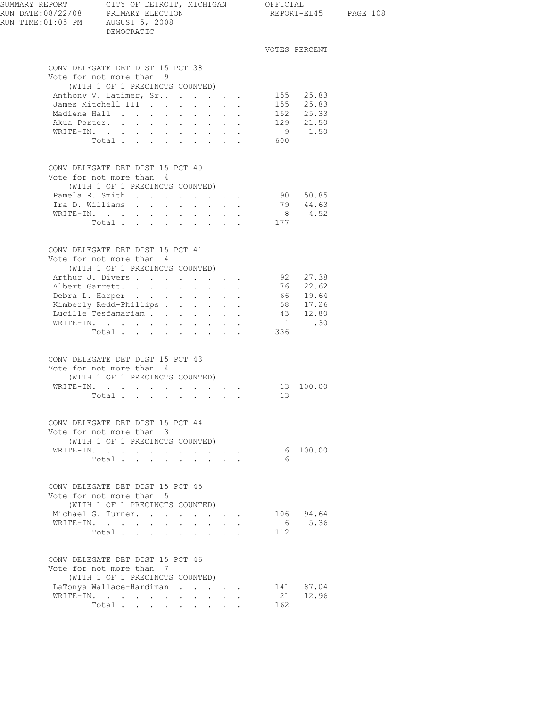| SUMMARY REPORT | RUN DATE:08/22/08 PRIMARY ELECTION<br>RUN TIME:01:05 PM AUGUST 5, 2008 | CITY OF DETROIT, MICHIGAN<br>DEMOCRATIC |                                          |                                      |                                                                                  |           |        |                           |                                                                | OFFICIAL | REPORT-EL45            |
|----------------|------------------------------------------------------------------------|-----------------------------------------|------------------------------------------|--------------------------------------|----------------------------------------------------------------------------------|-----------|--------|---------------------------|----------------------------------------------------------------|----------|------------------------|
|                |                                                                        |                                         |                                          |                                      |                                                                                  |           |        |                           |                                                                |          | VOTES PERCENT          |
|                | CONV DELEGATE DET DIST 15 PCT 38                                       |                                         |                                          |                                      |                                                                                  |           |        |                           |                                                                |          |                        |
|                | Vote for not more than 9                                               |                                         |                                          |                                      |                                                                                  |           |        |                           |                                                                |          |                        |
|                | Anthony V. Latimer, Sr                                                 | (WITH 1 OF 1 PRECINCTS COUNTED)         |                                          |                                      |                                                                                  |           |        |                           |                                                                |          |                        |
|                | James Mitchell III                                                     |                                         |                                          |                                      |                                                                                  |           |        |                           |                                                                |          | 155 25.83<br>155 25.83 |
|                | Madiene Hall                                                           |                                         |                                          |                                      |                                                                                  |           |        |                           |                                                                |          |                        |
|                | Akua Porter.                                                           |                                         |                                          | $\mathbf{L}$                         | $\mathbf{r}$ and $\mathbf{r}$ and $\mathbf{r}$ and $\mathbf{r}$ and $\mathbf{r}$ |           |        |                           |                                                                |          | 152 25.33<br>129 21.50 |
|                | WRITE-IN.                                                              |                                         |                                          |                                      |                                                                                  |           |        |                           |                                                                |          | 9 1.50                 |
|                |                                                                        | Total                                   |                                          |                                      |                                                                                  |           |        |                           |                                                                | 600      |                        |
|                | CONV DELEGATE DET DIST 15 PCT 40                                       |                                         |                                          |                                      |                                                                                  |           |        |                           |                                                                |          |                        |
|                | Vote for not more than 4                                               |                                         |                                          |                                      |                                                                                  |           |        |                           |                                                                |          |                        |
|                |                                                                        | (WITH 1 OF 1 PRECINCTS COUNTED)         |                                          |                                      |                                                                                  |           |        |                           |                                                                |          |                        |
|                | Pamela R. Smith                                                        |                                         |                                          |                                      |                                                                                  |           |        |                           |                                                                |          | 90 50.85               |
|                | Ira D. Williams<br>WRITE-IN.                                           |                                         |                                          |                                      |                                                                                  |           |        |                           |                                                                |          | 79 44.63<br>8 4.52     |
|                |                                                                        | Total                                   | $\mathbf{z} = \mathbf{z} + \mathbf{z}$ . |                                      | $\mathbf{r} = \mathbf{r} + \mathbf{r} + \mathbf{r} + \mathbf{r} + \mathbf{r}$    |           |        |                           |                                                                | 177      |                        |
|                |                                                                        |                                         |                                          |                                      |                                                                                  |           |        |                           |                                                                |          |                        |
|                | CONV DELEGATE DET DIST 15 PCT 41                                       |                                         |                                          |                                      |                                                                                  |           |        |                           |                                                                |          |                        |
|                | Vote for not more than 4                                               |                                         |                                          |                                      |                                                                                  |           |        |                           |                                                                |          |                        |
|                | Arthur J. Divers                                                       | (WITH 1 OF 1 PRECINCTS COUNTED)         |                                          |                                      |                                                                                  |           |        |                           |                                                                |          | 92 27.38               |
|                | Albert Garrett.                                                        |                                         |                                          |                                      |                                                                                  |           |        |                           |                                                                |          | 76 22.62               |
|                | Debra L. Harper                                                        |                                         |                                          |                                      |                                                                                  |           |        |                           |                                                                |          |                        |
|                | Kimberly Redd-Phillips                                                 |                                         |                                          |                                      |                                                                                  |           |        |                           | $\mathbf{u} = \mathbf{u} \mathbf{u} + \mathbf{u} \mathbf{u}$ . |          | 66 19.64<br>58 17.26   |
|                | Lucille Tesfamariam                                                    |                                         |                                          |                                      |                                                                                  |           |        |                           |                                                                |          | 43 12.80               |
|                | WRITE-IN.                                                              |                                         |                                          |                                      |                                                                                  |           |        |                           |                                                                |          | $1 \qquad .30$         |
|                |                                                                        | Total $\cdots$                          |                                          |                                      |                                                                                  |           |        |                           |                                                                | 336      |                        |
|                | CONV DELEGATE DET DIST 15 PCT 43                                       |                                         |                                          |                                      |                                                                                  |           |        |                           |                                                                |          |                        |
|                | Vote for not more than 4                                               |                                         |                                          |                                      |                                                                                  |           |        |                           |                                                                |          |                        |
|                |                                                                        | (WITH 1 OF 1 PRECINCTS COUNTED)         |                                          |                                      |                                                                                  |           |        |                           |                                                                | 13       | 100.00                 |
|                | WRITE-IN.                                                              | Total                                   |                                          | $\sim$                               | $\sim$ $-$                                                                       |           |        |                           |                                                                | 13       |                        |
|                |                                                                        |                                         |                                          |                                      |                                                                                  |           |        |                           |                                                                |          |                        |
|                | CONV DELEGATE DET DIST 15 PCT 44                                       |                                         |                                          |                                      |                                                                                  |           |        |                           |                                                                |          |                        |
|                | Vote for not more than 3                                               | (WITH 1 OF 1 PRECINCTS COUNTED)         |                                          |                                      |                                                                                  |           |        |                           |                                                                |          |                        |
|                | WRITE-IN.                                                              |                                         |                                          |                                      |                                                                                  |           |        |                           | <b>All Contracts</b>                                           |          | 6 100.00               |
|                |                                                                        | Total                                   |                                          |                                      | $\mathbf{r}$ , $\mathbf{r}$ , $\mathbf{r}$ , $\mathbf{r}$                        |           | $\sim$ |                           |                                                                | 6        |                        |
|                | CONV DELEGATE DET DIST 15 PCT 45                                       |                                         |                                          |                                      |                                                                                  |           |        |                           |                                                                |          |                        |
|                | Vote for not more than 5                                               |                                         |                                          |                                      |                                                                                  |           |        |                           |                                                                |          |                        |
|                | Michael G. Turner.                                                     | (WITH 1 OF 1 PRECINCTS COUNTED)         |                                          |                                      |                                                                                  |           |        |                           |                                                                |          | 106 94.64              |
|                | WRITE-IN.                                                              |                                         |                                          | $\mathbf{L}$<br>$\ddot{\phantom{0}}$ | $\ddot{\phantom{0}}$                                                             |           |        | $\mathbf{r} = \mathbf{r}$ | $\mathbf{r} = \mathbf{r} + \mathbf{r}$                         |          | 6 5.36                 |
|                |                                                                        | Total                                   |                                          |                                      |                                                                                  |           |        |                           |                                                                | 112      |                        |
|                | CONV DELEGATE DET DIST 15 PCT 46                                       |                                         |                                          |                                      |                                                                                  |           |        |                           |                                                                |          |                        |
|                | Vote for not more than 7                                               |                                         |                                          |                                      |                                                                                  |           |        |                           |                                                                |          |                        |
|                | LaTonya Wallace-Hardiman                                               | (WITH 1 OF 1 PRECINCTS COUNTED)         |                                          |                                      |                                                                                  |           |        |                           |                                                                |          | 141 87.04              |
|                | WRITE-IN.                                                              |                                         |                                          |                                      |                                                                                  | $\bullet$ |        |                           |                                                                |          | 21 12.96               |
|                |                                                                        | Total                                   |                                          | $\sim$ $\sim$                        |                                                                                  |           |        |                           |                                                                | 162      |                        |

PAGE 108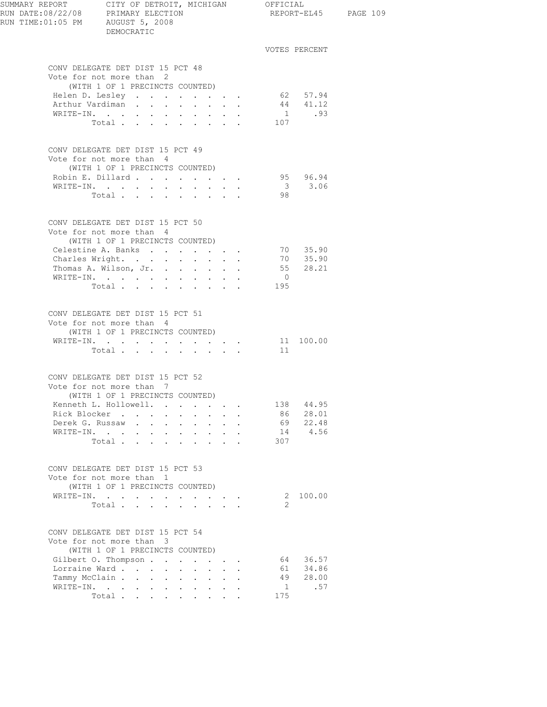| SUMMARY REPORT CITY OF DETROIT, MICHIGAN OFFICIAL<br>RUN DATE:08/22/08 PRIMARY ELECTION<br>RUN TIME: 01:05 PM AUGUST 5, 2008 | DEMOCRATIC                                                                                      |                                                                                                                                                                                                                                                                                                                                                                                                                                                                              |                                                                       |                                                                            |                |               | REPORT-EL45 PAGE 109 |
|------------------------------------------------------------------------------------------------------------------------------|-------------------------------------------------------------------------------------------------|------------------------------------------------------------------------------------------------------------------------------------------------------------------------------------------------------------------------------------------------------------------------------------------------------------------------------------------------------------------------------------------------------------------------------------------------------------------------------|-----------------------------------------------------------------------|----------------------------------------------------------------------------|----------------|---------------|----------------------|
|                                                                                                                              |                                                                                                 |                                                                                                                                                                                                                                                                                                                                                                                                                                                                              |                                                                       |                                                                            |                | VOTES PERCENT |                      |
|                                                                                                                              | CONV DELEGATE DET DIST 15 PCT 48<br>Vote for not more than 2                                    |                                                                                                                                                                                                                                                                                                                                                                                                                                                                              |                                                                       |                                                                            |                |               |                      |
|                                                                                                                              | (WITH 1 OF 1 PRECINCTS COUNTED)                                                                 |                                                                                                                                                                                                                                                                                                                                                                                                                                                                              |                                                                       |                                                                            |                |               |                      |
|                                                                                                                              | Helen D. Lesley                                                                                 |                                                                                                                                                                                                                                                                                                                                                                                                                                                                              |                                                                       | $\overline{L}$ and $\overline{L}$ and $\overline{L}$                       |                | 62 57.94      |                      |
|                                                                                                                              | Arthur Vardiman                                                                                 |                                                                                                                                                                                                                                                                                                                                                                                                                                                                              |                                                                       |                                                                            |                | $44$ $41.12$  |                      |
|                                                                                                                              | WRITE-IN.                                                                                       |                                                                                                                                                                                                                                                                                                                                                                                                                                                                              | $\mathbf{z}$ , and $\mathbf{z}$ , and $\mathbf{z}$ , and $\mathbf{z}$ |                                                                            |                | 1 .93         |                      |
|                                                                                                                              | Total                                                                                           |                                                                                                                                                                                                                                                                                                                                                                                                                                                                              |                                                                       |                                                                            | 107            |               |                      |
|                                                                                                                              | CONV DELEGATE DET DIST 15 PCT 49<br>Vote for not more than 4<br>(WITH 1 OF 1 PRECINCTS COUNTED) |                                                                                                                                                                                                                                                                                                                                                                                                                                                                              |                                                                       |                                                                            |                |               |                      |
|                                                                                                                              | Robin E. Dillard                                                                                |                                                                                                                                                                                                                                                                                                                                                                                                                                                                              |                                                                       |                                                                            |                | 95 96.94      |                      |
|                                                                                                                              | WRITE-IN.                                                                                       |                                                                                                                                                                                                                                                                                                                                                                                                                                                                              |                                                                       |                                                                            |                | 3 3.06        |                      |
|                                                                                                                              | Total $\cdots$                                                                                  |                                                                                                                                                                                                                                                                                                                                                                                                                                                                              |                                                                       |                                                                            | 98             |               |                      |
|                                                                                                                              | CONV DELEGATE DET DIST 15 PCT 50<br>Vote for not more than 4                                    |                                                                                                                                                                                                                                                                                                                                                                                                                                                                              |                                                                       |                                                                            |                |               |                      |
|                                                                                                                              | (WITH 1 OF 1 PRECINCTS COUNTED)                                                                 |                                                                                                                                                                                                                                                                                                                                                                                                                                                                              |                                                                       |                                                                            |                |               |                      |
|                                                                                                                              | Celestine A. Banks                                                                              |                                                                                                                                                                                                                                                                                                                                                                                                                                                                              |                                                                       |                                                                            |                | 70 35.90      |                      |
|                                                                                                                              | Charles Wright.                                                                                 |                                                                                                                                                                                                                                                                                                                                                                                                                                                                              |                                                                       |                                                                            |                | 70 35.90      |                      |
|                                                                                                                              | Thomas A. Wilson, Jr. 55 28.21                                                                  |                                                                                                                                                                                                                                                                                                                                                                                                                                                                              |                                                                       |                                                                            |                |               |                      |
|                                                                                                                              | WRITE-IN.                                                                                       |                                                                                                                                                                                                                                                                                                                                                                                                                                                                              |                                                                       |                                                                            | $\overline{0}$ |               |                      |
|                                                                                                                              | Total                                                                                           |                                                                                                                                                                                                                                                                                                                                                                                                                                                                              |                                                                       |                                                                            | 195            |               |                      |
|                                                                                                                              | CONV DELEGATE DET DIST 15 PCT 51<br>Vote for not more than 4<br>(WITH 1 OF 1 PRECINCTS COUNTED) |                                                                                                                                                                                                                                                                                                                                                                                                                                                                              |                                                                       |                                                                            |                |               |                      |
|                                                                                                                              | WRITE-IN.                                                                                       |                                                                                                                                                                                                                                                                                                                                                                                                                                                                              |                                                                       | $\mathbf{u} = \mathbf{u} \cdot \mathbf{u} = \mathbf{u} \cdot \mathbf{u}$ . |                | 11 100.00     |                      |
|                                                                                                                              | Total                                                                                           |                                                                                                                                                                                                                                                                                                                                                                                                                                                                              |                                                                       |                                                                            | 11             |               |                      |
|                                                                                                                              | CONV DELEGATE DET DIST 15 PCT 52<br>Vote for not more than 7                                    |                                                                                                                                                                                                                                                                                                                                                                                                                                                                              |                                                                       |                                                                            |                |               |                      |
|                                                                                                                              | (WITH 1 OF 1 PRECINCTS COUNTED)                                                                 |                                                                                                                                                                                                                                                                                                                                                                                                                                                                              |                                                                       |                                                                            |                |               |                      |
|                                                                                                                              | Kenneth L. Hollowell.                                                                           |                                                                                                                                                                                                                                                                                                                                                                                                                                                                              |                                                                       |                                                                            | 138            | 44.95         |                      |
|                                                                                                                              | Rick Blocker                                                                                    | $\mathbf{r}$ and $\mathbf{r}$ and $\mathbf{r}$ and $\mathbf{r}$                                                                                                                                                                                                                                                                                                                                                                                                              |                                                                       | $\ddot{\phantom{a}}$                                                       | 86             | 28.01         |                      |
|                                                                                                                              | Derek G. Russaw                                                                                 |                                                                                                                                                                                                                                                                                                                                                                                                                                                                              |                                                                       |                                                                            | 69             | 22.48         |                      |
| WRITE-IN.                                                                                                                    | $\sim 10^{-11}$                                                                                 | $\mathbf{1} \qquad \qquad \mathbf{1} \qquad \qquad \mathbf{1} \qquad \qquad \mathbf{1} \qquad \qquad \mathbf{1} \qquad \qquad \mathbf{1} \qquad \qquad \mathbf{1} \qquad \qquad \mathbf{1} \qquad \qquad \mathbf{1} \qquad \qquad \mathbf{1} \qquad \qquad \mathbf{1} \qquad \qquad \mathbf{1} \qquad \qquad \mathbf{1} \qquad \qquad \mathbf{1} \qquad \qquad \mathbf{1} \qquad \qquad \mathbf{1} \qquad \qquad \mathbf{1} \qquad \qquad \mathbf{1} \qquad \qquad \mathbf{$ |                                                                       |                                                                            | 14             | 4.56          |                      |
|                                                                                                                              | Total                                                                                           |                                                                                                                                                                                                                                                                                                                                                                                                                                                                              |                                                                       |                                                                            | 307            |               |                      |
|                                                                                                                              | CONV DELEGATE DET DIST 15 PCT 53<br>Vote for not more than 1                                    |                                                                                                                                                                                                                                                                                                                                                                                                                                                                              |                                                                       |                                                                            |                |               |                      |
|                                                                                                                              | (WITH 1 OF 1 PRECINCTS COUNTED)<br>WRITE-IN.                                                    |                                                                                                                                                                                                                                                                                                                                                                                                                                                                              |                                                                       |                                                                            | 2              | 100.00        |                      |
|                                                                                                                              | Total                                                                                           |                                                                                                                                                                                                                                                                                                                                                                                                                                                                              |                                                                       |                                                                            | 2              |               |                      |
|                                                                                                                              |                                                                                                 |                                                                                                                                                                                                                                                                                                                                                                                                                                                                              |                                                                       |                                                                            |                |               |                      |
|                                                                                                                              | CONV DELEGATE DET DIST 15 PCT 54<br>Vote for not more than 3<br>(WITH 1 OF 1 PRECINCTS COUNTED) |                                                                                                                                                                                                                                                                                                                                                                                                                                                                              |                                                                       |                                                                            |                |               |                      |
|                                                                                                                              | Gilbert O. Thompson                                                                             |                                                                                                                                                                                                                                                                                                                                                                                                                                                                              |                                                                       |                                                                            | 64             | 36.57         |                      |
|                                                                                                                              | Lorraine Ward                                                                                   |                                                                                                                                                                                                                                                                                                                                                                                                                                                                              |                                                                       |                                                                            | 61             | 34.86         |                      |
|                                                                                                                              | Tammy McClain                                                                                   |                                                                                                                                                                                                                                                                                                                                                                                                                                                                              |                                                                       |                                                                            | 49             | 28.00         |                      |
| WRITE-IN.                                                                                                                    |                                                                                                 |                                                                                                                                                                                                                                                                                                                                                                                                                                                                              |                                                                       |                                                                            | $\mathbf{1}$   | .57           |                      |
|                                                                                                                              | Total                                                                                           |                                                                                                                                                                                                                                                                                                                                                                                                                                                                              |                                                                       |                                                                            | 175            |               |                      |
|                                                                                                                              |                                                                                                 |                                                                                                                                                                                                                                                                                                                                                                                                                                                                              |                                                                       |                                                                            |                |               |                      |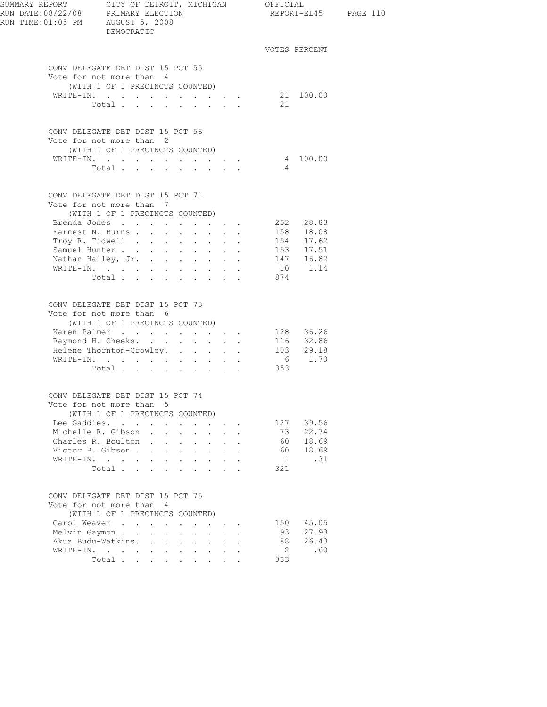| SUMMARY REPORT<br>RUN TIME:01:05 PM AUGUST 5, 2008 | CITY OF DETROIT, MICHIGAN OFFICIAL<br>DEMOCRATIC                                                                                                                                                               |                                                              |                                                                                                                                      |                                                                                |                                              |                                          |                                                                                | REPORT-EL45 PAGE 110 |
|----------------------------------------------------|----------------------------------------------------------------------------------------------------------------------------------------------------------------------------------------------------------------|--------------------------------------------------------------|--------------------------------------------------------------------------------------------------------------------------------------|--------------------------------------------------------------------------------|----------------------------------------------|------------------------------------------|--------------------------------------------------------------------------------|----------------------|
|                                                    |                                                                                                                                                                                                                |                                                              |                                                                                                                                      |                                                                                |                                              |                                          | VOTES PERCENT                                                                  |                      |
|                                                    | CONV DELEGATE DET DIST 15 PCT 55<br>Vote for not more than 4<br>(WITH 1 OF 1 PRECINCTS COUNTED)                                                                                                                |                                                              |                                                                                                                                      |                                                                                |                                              |                                          |                                                                                |                      |
|                                                    | WRITE-IN. 21 100.00<br>Total                                                                                                                                                                                   |                                                              |                                                                                                                                      |                                                                                |                                              | 21                                       |                                                                                |                      |
|                                                    | CONV DELEGATE DET DIST 15 PCT 56<br>Vote for not more than 2<br>(WITH 1 OF 1 PRECINCTS COUNTED)                                                                                                                |                                                              |                                                                                                                                      |                                                                                |                                              |                                          |                                                                                |                      |
|                                                    | WRITE-IN.<br>Total                                                                                                                                                                                             |                                                              |                                                                                                                                      |                                                                                |                                              | $\overline{4}$                           | 4 100.00                                                                       |                      |
|                                                    | CONV DELEGATE DET DIST 15 PCT 71<br>Vote for not more than 7                                                                                                                                                   |                                                              |                                                                                                                                      |                                                                                |                                              |                                          |                                                                                |                      |
|                                                    | (WITH 1 OF 1 PRECINCTS COUNTED)<br>Brenda Jones<br>Earnest N. Burns<br>Troy R. Tidwell<br>Samuel Hunter<br>Nathan Halley, Jr.<br>WRITE-IN.<br>Total $\cdots$                                                   |                                                              | $\sim$ $-$                                                                                                                           | $\cdot$ $\cdot$ $\cdot$                                                        | $\mathbf{L}$                                 | 874                                      | 252 28.83<br>158 18.08<br>154 17.62<br>153    17.51<br>147    16.82<br>10 1.14 |                      |
|                                                    | CONV DELEGATE DET DIST 15 PCT 73<br>Vote for not more than 6<br>(WITH 1 OF 1 PRECINCTS COUNTED)<br>Karen Palmer 128 36.26<br>Raymond H. Cheeks.<br>Helene Thornton-Crowley.<br>WRITE-IN.<br>Total 353          |                                                              |                                                                                                                                      |                                                                                |                                              |                                          | 116 32.86<br>103 29.18<br>6 1.70                                               |                      |
|                                                    | CONV DELEGATE DET DIST 15 PCT 74<br>Vote for not more than 5<br>(WITH 1 OF 1 PRECINCTS COUNTED)<br>Lee Gaddies.<br>Michelle R. Gibson<br>Charles R. Boulton .<br>Victor B. Gibson<br>WRITE-IN.<br>Total        | $\mathbf{L} = \mathbf{L} \mathbf{L}$<br>$\ddot{\phantom{a}}$ | $\mathbf{r}$ , $\mathbf{r}$ , $\mathbf{r}$ , $\mathbf{r}$<br>$\sim$ $-$<br>$\mathbf{L}$<br>$\mathbf{L}$<br>$\mathbf{L}^{\text{max}}$ | $\cdot$ $\cdot$ $\cdot$<br>$\Delta \sim 10^{-11}$<br>$\mathbf{r} = \mathbf{r}$ |                                              | 73<br>60<br>60<br>$\frac{1}{2}$<br>321   | 127 39.56<br>22.74<br>18.69<br>18.69<br>.31                                    |                      |
|                                                    | CONV DELEGATE DET DIST 15 PCT 75<br>Vote for not more than 4<br>(WITH 1 OF 1 PRECINCTS COUNTED)<br>Carol Weaver<br>Melvin Gaymon<br>$\sim$<br>Akua Budu-Watkins.<br>WRITE-IN.<br>Total<br>$\ddot{\phantom{a}}$ | $\mathbf{L}$<br>$\ddot{\phantom{0}}$<br>$\sim$               | $\mathbf{L}$<br>$\sim$ $-$<br>$\sim$                                                                                                 | $\cdot$ $\cdot$<br>$\mathbf{L}^{\text{max}}$ , and $\mathbf{L}^{\text{max}}$   | $\ddot{\phantom{a}}$<br>$\ddot{\phantom{a}}$ | 150<br>93<br>88<br>$\overline{2}$<br>333 | 45.05<br>27.93<br>26.43<br>.60                                                 |                      |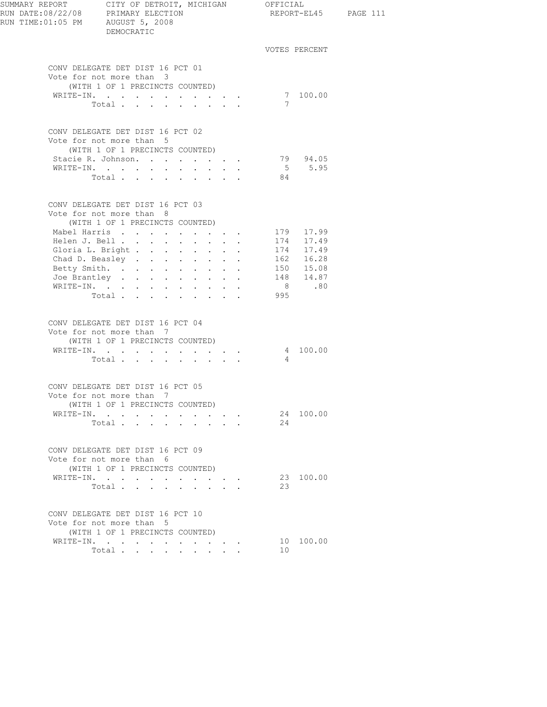| SUMMARY REPORT<br>RUN DATE:08/22/08 PRIMARY ELECTION<br>RUN TIME:01:05 PM AUGUST 5, 2008 | CITY OF DETROIT, MICHIGAN OFFICIAL<br>DEMOCRATIC                                                                               |                                                                                               |                                 |     |                        | REPORT-EL45 PAGE 111 |
|------------------------------------------------------------------------------------------|--------------------------------------------------------------------------------------------------------------------------------|-----------------------------------------------------------------------------------------------|---------------------------------|-----|------------------------|----------------------|
|                                                                                          |                                                                                                                                |                                                                                               |                                 |     | VOTES PERCENT          |                      |
|                                                                                          | CONV DELEGATE DET DIST 16 PCT 01<br>Vote for not more than 3<br>(WITH 1 OF 1 PRECINCTS COUNTED)<br>WRITE-IN.<br>Total $\cdots$ |                                                                                               |                                 | 7   | 7 100.00               |                      |
|                                                                                          | CONV DELEGATE DET DIST 16 PCT 02<br>Vote for not more than 5                                                                   |                                                                                               |                                 |     |                        |                      |
|                                                                                          | (WITH 1 OF 1 PRECINCTS COUNTED)<br>Stacie R. Johnson.<br>WRITE-IN.<br>Total                                                    | $\mathbf{r} = \mathbf{r} \cdot \mathbf{r}$ , where $\mathbf{r} = \mathbf{r} \cdot \mathbf{r}$ |                                 | 84  | 79 94.05<br>5 5.95     |                      |
|                                                                                          | CONV DELEGATE DET DIST 16 PCT 03<br>Vote for not more than 8<br>(WITH 1 OF 1 PRECINCTS COUNTED)                                |                                                                                               |                                 |     |                        |                      |
|                                                                                          | Mabel Harris<br>Helen J. Bell<br>Gloria L. Bright 174 17.49<br>Chad D. Beasley 162 16.28                                       |                                                                                               |                                 |     | 179 17.99<br>174 17.49 |                      |
|                                                                                          | Betty Smith.<br>Joe Brantley 148 14.87<br>WRITE-IN.<br>Total.                                                                  |                                                                                               |                                 | 995 | $150$ $15.08$<br>8.80  |                      |
|                                                                                          | CONV DELEGATE DET DIST 16 PCT 04<br>Vote for not more than 7                                                                   |                                                                                               |                                 |     |                        |                      |
|                                                                                          | (WITH 1 OF 1 PRECINCTS COUNTED)<br>WRITE-IN.<br>Total                                                                          |                                                                                               |                                 | 4   | 4 100.00               |                      |
|                                                                                          | CONV DELEGATE DET DIST 16 PCT 05<br>Vote for not more than 7<br>(WITH 1 OF 1 PRECINCTS COUNTED)                                |                                                                                               |                                 |     |                        |                      |
|                                                                                          | WRITE-IN.<br>Total                                                                                                             |                                                                                               | $\cdot$ $\cdot$ $\cdot$ $\cdot$ | 24  | 24 100.00              |                      |
|                                                                                          | CONV DELEGATE DET DIST 16 PCT 09<br>Vote for not more than 6<br>(WITH 1 OF 1 PRECINCTS COUNTED)                                |                                                                                               |                                 |     |                        |                      |
|                                                                                          | WRITE-IN.<br>Total $\ldots$                                                                                                    |                                                                                               |                                 | 23  | 23 100.00              |                      |
|                                                                                          | CONV DELEGATE DET DIST 16 PCT 10<br>Vote for not more than 5<br>(WITH 1 OF 1 PRECINCTS COUNTED)                                |                                                                                               |                                 |     |                        |                      |
|                                                                                          | WRITE-IN.<br>Total                                                                                                             |                                                                                               |                                 | 10  | 10 100.00              |                      |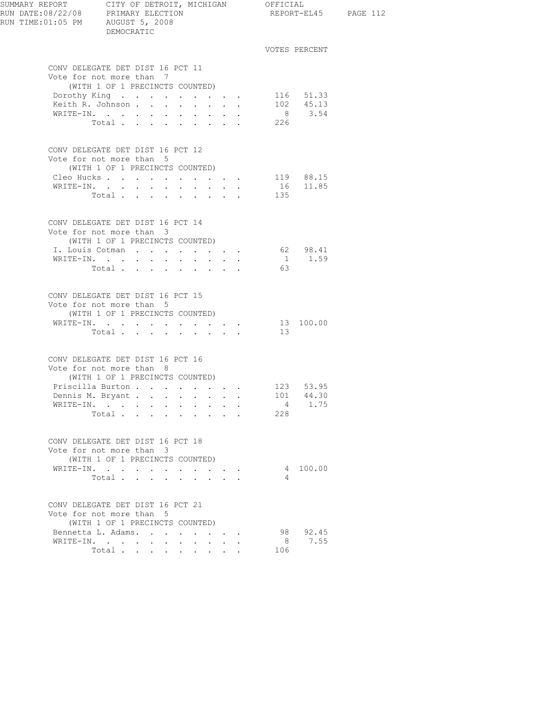| SUMMARY REPORT CITY OF DETROIT, MICHIGAN OFFICIAL<br>RUN DATE:08/22/08 PRIMARY ELECTION REPORT-EL<br>RUN TIME: 01:05 PM AUGUST 5, 2008 | DEMOCRATIC                                                                                      |                                                                                   |                         |                 |                        | REPORT-EL45 PAGE 112 |
|----------------------------------------------------------------------------------------------------------------------------------------|-------------------------------------------------------------------------------------------------|-----------------------------------------------------------------------------------|-------------------------|-----------------|------------------------|----------------------|
|                                                                                                                                        |                                                                                                 |                                                                                   |                         |                 | VOTES PERCENT          |                      |
|                                                                                                                                        | CONV DELEGATE DET DIST 16 PCT 11<br>Vote for not more than 7<br>(WITH 1 OF 1 PRECINCTS COUNTED) |                                                                                   |                         |                 |                        |                      |
|                                                                                                                                        | Dorothy King $\cdots$ $\cdots$ $\cdots$<br>Keith R. Johnson                                     |                                                                                   |                         |                 | 116 51.33<br>102 45.13 |                      |
|                                                                                                                                        | Total                                                                                           |                                                                                   |                         | 226             | 8 3.54                 |                      |
|                                                                                                                                        | CONV DELEGATE DET DIST 16 PCT 12<br>Vote for not more than 5<br>(WITH 1 OF 1 PRECINCTS COUNTED) |                                                                                   |                         |                 |                        |                      |
|                                                                                                                                        | Cleo Hucks 119 88.15                                                                            |                                                                                   |                         |                 |                        |                      |
|                                                                                                                                        | WRITE-IN.                                                                                       |                                                                                   |                         |                 | 16 11.85               |                      |
|                                                                                                                                        | Total                                                                                           |                                                                                   |                         | 135             |                        |                      |
|                                                                                                                                        | CONV DELEGATE DET DIST 16 PCT 14<br>Vote for not more than 3<br>(WITH 1 OF 1 PRECINCTS COUNTED) |                                                                                   |                         |                 |                        |                      |
|                                                                                                                                        | I. Louis Cotman                                                                                 |                                                                                   |                         |                 | 62 98.41               |                      |
|                                                                                                                                        | WRITE-IN.                                                                                       |                                                                                   |                         |                 | $1 \t 1.59$            |                      |
|                                                                                                                                        | Total                                                                                           |                                                                                   |                         | 63              |                        |                      |
|                                                                                                                                        | CONV DELEGATE DET DIST 16 PCT 15<br>Vote for not more than 5<br>(WITH 1 OF 1 PRECINCTS COUNTED) |                                                                                   |                         |                 |                        |                      |
|                                                                                                                                        | WRITE-IN.                                                                                       |                                                                                   |                         |                 | 13 100.00              |                      |
|                                                                                                                                        | Total $\cdots$                                                                                  |                                                                                   |                         | 13              |                        |                      |
|                                                                                                                                        | CONV DELEGATE DET DIST 16 PCT 16<br>Vote for not more than 8                                    |                                                                                   |                         |                 |                        |                      |
|                                                                                                                                        | (WITH 1 OF 1 PRECINCTS COUNTED)<br>Priscilla Burton 123 53.95                                   |                                                                                   |                         |                 |                        |                      |
|                                                                                                                                        | Dennis M. Bryant                                                                                |                                                                                   |                         |                 | 101 44.30              |                      |
|                                                                                                                                        | WRITE-IN.                                                                                       | $\sim$                                                                            | $\cdot$ $\cdot$ $\cdot$ | $4\overline{4}$ | 1.75                   |                      |
|                                                                                                                                        | Total<br>$\sim$                                                                                 |                                                                                   |                         | 228             |                        |                      |
|                                                                                                                                        | CONV DELEGATE DET DIST 16 PCT 18<br>Vote for not more than 3                                    |                                                                                   |                         |                 |                        |                      |
|                                                                                                                                        | (WITH 1 OF 1 PRECINCTS COUNTED)<br>WRITE-IN.                                                    |                                                                                   |                         |                 | 4 100.00               |                      |
|                                                                                                                                        | Total                                                                                           | the contract of the contract of<br>$\mathbf{r}$ and $\mathbf{r}$ and $\mathbf{r}$ |                         | 4               |                        |                      |
|                                                                                                                                        | CONV DELEGATE DET DIST 16 PCT 21<br>Vote for not more than 5                                    |                                                                                   |                         |                 |                        |                      |
|                                                                                                                                        | (WITH 1 OF 1 PRECINCTS COUNTED)                                                                 |                                                                                   |                         |                 |                        |                      |
|                                                                                                                                        | Bennetta L. Adams.                                                                              |                                                                                   |                         |                 | 98 92.45               |                      |
|                                                                                                                                        | WRITE-IN.                                                                                       | <b>All Contracts</b>                                                              |                         | 8               | 7.55                   |                      |
|                                                                                                                                        | Total                                                                                           |                                                                                   |                         | 106             |                        |                      |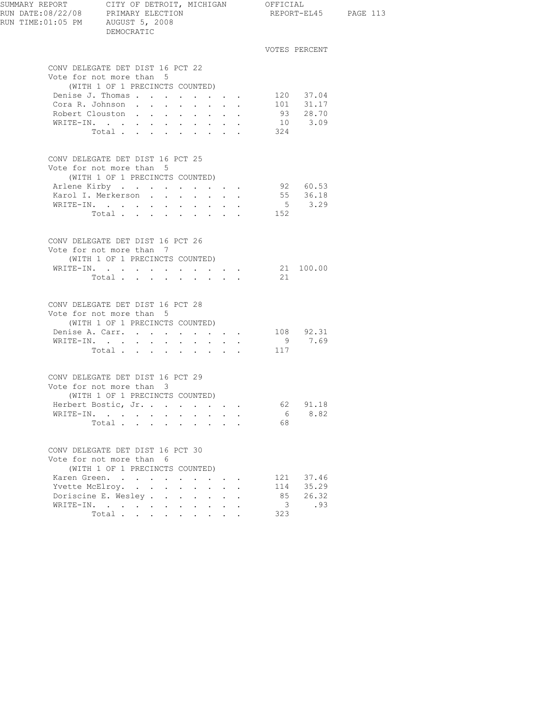| SUMMARY REPORT CITY OF DETROIT, MICHIGAN OFFICIAL<br>RUN DATE:08/22/08 PRIMARY ELECTION REPORT-E<br>RUN TIME:01:05 PM AUGUST 5, 2008 | DEMOCRATIC                                                                                                        |                                                                                |                                                                                                                                                                                |                      |                                             |                                               | REPORT-EL45 PAGE 113 |
|--------------------------------------------------------------------------------------------------------------------------------------|-------------------------------------------------------------------------------------------------------------------|--------------------------------------------------------------------------------|--------------------------------------------------------------------------------------------------------------------------------------------------------------------------------|----------------------|---------------------------------------------|-----------------------------------------------|----------------------|
|                                                                                                                                      |                                                                                                                   |                                                                                |                                                                                                                                                                                |                      |                                             | VOTES PERCENT                                 |                      |
|                                                                                                                                      | CONV DELEGATE DET DIST 16 PCT 22<br>Vote for not more than 5<br>(WITH 1 OF 1 PRECINCTS COUNTED)                   |                                                                                |                                                                                                                                                                                |                      |                                             |                                               |                      |
|                                                                                                                                      | Denise J. Thomas<br>Cora R. Johnson<br>Robert Clouston<br>WRITE-IN.<br>Total                                      | $\sim 10^{-11}$<br>$\bullet$ .<br><br><br><br><br><br><br><br><br><br><br><br> | $\mathbf{r} = \mathbf{r} + \mathbf{r} + \mathbf{r} + \mathbf{r}$ .<br>$\cdot$ $\cdot$ $\cdot$<br>$\mathbf{z} = \mathbf{z} + \mathbf{z}$ .                                      | $\ddot{\phantom{0}}$ | 324                                         | 120 37.04<br>101 31.17<br>93 28.70<br>10 3.09 |                      |
|                                                                                                                                      | CONV DELEGATE DET DIST 16 PCT 25<br>Vote for not more than 5<br>(WITH 1 OF 1 PRECINCTS COUNTED)                   |                                                                                |                                                                                                                                                                                |                      |                                             |                                               |                      |
|                                                                                                                                      | Arlene Kirby<br>Karol I. Merkerson<br>WRITE-IN.<br>Total                                                          |                                                                                | $\cdot$ $\cdot$ $\cdot$ $\cdot$ $\cdot$<br>$\mathbf{r}$ and $\mathbf{r}$                                                                                                       |                      | 152                                         | 92 60.53<br>55 36.18<br>$5 \t3.29$            |                      |
|                                                                                                                                      | CONV DELEGATE DET DIST 16 PCT 26<br>Vote for not more than 7<br>(WITH 1 OF 1 PRECINCTS COUNTED)<br>WRITE-IN.      |                                                                                |                                                                                                                                                                                |                      |                                             | 21 100.00                                     |                      |
|                                                                                                                                      | Total $\cdots$<br>CONV DELEGATE DET DIST 16 PCT 28<br>Vote for not more than 5<br>(WITH 1 OF 1 PRECINCTS COUNTED) |                                                                                |                                                                                                                                                                                |                      | 21                                          |                                               |                      |
|                                                                                                                                      | Denise A. Carr. 108 92.31<br>WRITE-IN.<br>Total                                                                   |                                                                                |                                                                                                                                                                                |                      | 117                                         | 9 7.69                                        |                      |
|                                                                                                                                      | CONV DELEGATE DET DIST 16 PCT 29<br>Vote for not more than 3<br>(WITH 1 OF 1 PRECINCTS COUNTED)                   |                                                                                |                                                                                                                                                                                |                      |                                             |                                               |                      |
|                                                                                                                                      | Herbert Bostic, Jr.<br>WRITE-IN.<br>Total                                                                         |                                                                                | $\mathbf{r} = \mathbf{r}$                                                                                                                                                      |                      | 62<br>6<br>68                               | 91.18<br>8.82                                 |                      |
|                                                                                                                                      | CONV DELEGATE DET DIST 16 PCT 30<br>Vote for not more than 6<br>(WITH 1 OF 1 PRECINCTS COUNTED)                   |                                                                                |                                                                                                                                                                                |                      |                                             |                                               |                      |
|                                                                                                                                      | Karen Green.<br>Yvette McElroy.<br>Doriscine E. Wesley<br>WRITE-IN.<br>Total                                      |                                                                                | $\cdot$ $\cdot$ $\cdot$<br>$\mathbf{L}^{\text{max}}$ , and $\mathbf{L}^{\text{max}}$<br>$\mathbf{L} = \mathbf{L}$<br>$\mathbf{L}$<br>$\mathbf{L}$<br>$\mathbf{L}^{\text{max}}$ |                      | 114<br>85<br>$\overline{\mathbf{3}}$<br>323 | 121 37.46<br>35.29<br>26.32<br>.93            |                      |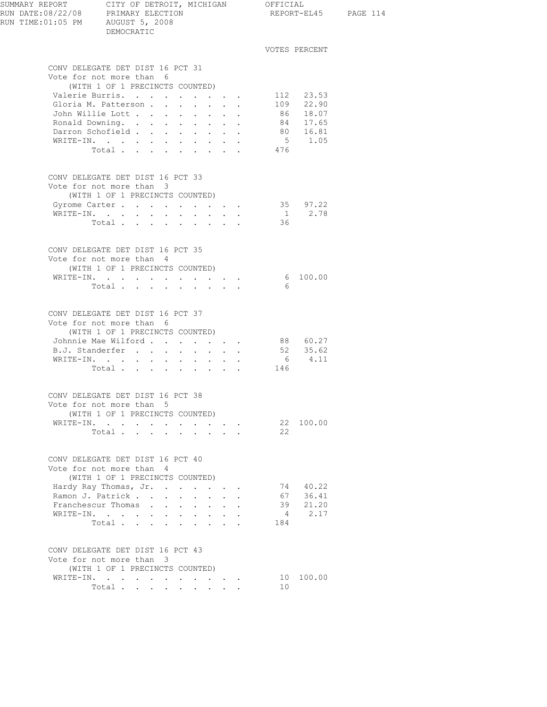| SUMMARY REPORT CITY OF DETROIT, MICHIGAN OFFICIAL<br>RUN DATE:08/22/08 PRIMARY ELECTION<br>RUN TIME:01:05 PM AUGUST 5, 2008                                                                               | DEMOCRATIC                      |        |                                          |                                             |                                                       |                                                        |                                                                            |                | REPORT-EL45            |
|-----------------------------------------------------------------------------------------------------------------------------------------------------------------------------------------------------------|---------------------------------|--------|------------------------------------------|---------------------------------------------|-------------------------------------------------------|--------------------------------------------------------|----------------------------------------------------------------------------|----------------|------------------------|
|                                                                                                                                                                                                           |                                 |        |                                          |                                             |                                                       |                                                        |                                                                            |                | VOTES PERCENT          |
| CONV DELEGATE DET DIST 16 PCT 31                                                                                                                                                                          |                                 |        |                                          |                                             |                                                       |                                                        |                                                                            |                |                        |
| Vote for not more than 6                                                                                                                                                                                  |                                 |        |                                          |                                             |                                                       |                                                        |                                                                            |                |                        |
|                                                                                                                                                                                                           | (WITH 1 OF 1 PRECINCTS COUNTED) |        |                                          |                                             |                                                       |                                                        |                                                                            |                |                        |
| Valerie Burris.                                                                                                                                                                                           |                                 |        |                                          | <b>Contract Contract</b>                    | $\mathbf{z} = \mathbf{z} + \mathbf{z} + \mathbf{z}$ . |                                                        |                                                                            |                | 112 23.53<br>109 22.90 |
| Gloria M. Patterson<br>John Willie Lott                                                                                                                                                                   |                                 |        |                                          |                                             |                                                       |                                                        |                                                                            |                |                        |
| Ronald Downing. .                                                                                                                                                                                         |                                 |        | and a strategic control of the strategic |                                             |                                                       | $\mathbf{z} = \mathbf{z} + \mathbf{z}$ .<br>$\sim$ $-$ |                                                                            |                | 86 18.07               |
| Darron Schofield                                                                                                                                                                                          |                                 |        |                                          |                                             | $\cdot$ $\cdot$ $\cdot$ $\cdot$                       |                                                        | $\mathbf{L}^{\text{max}}$ , and $\mathbf{L}^{\text{max}}$                  |                | 84 17.65<br>80 16.81   |
| WRITE-IN.                                                                                                                                                                                                 |                                 |        |                                          |                                             |                                                       |                                                        |                                                                            |                | 5 1.05                 |
|                                                                                                                                                                                                           | Total                           |        |                                          |                                             |                                                       |                                                        |                                                                            | 476            |                        |
| CONV DELEGATE DET DIST 16 PCT 33<br>Vote for not more than 3<br>Gyrome Carter                                                                                                                             | (WITH 1 OF 1 PRECINCTS COUNTED) |        |                                          |                                             |                                                       |                                                        |                                                                            |                | 35 97.22               |
| WRITE-IN.                                                                                                                                                                                                 |                                 |        | $\sim 10^{-1}$                           | <b>Service</b> State                        |                                                       |                                                        | $\mathbf{r} = \mathbf{r} \cdot \mathbf{r} = \mathbf{r} \cdot \mathbf{r}$ . |                | $\frac{1}{36}$<br>2.78 |
|                                                                                                                                                                                                           | Total                           |        |                                          |                                             |                                                       |                                                        |                                                                            | 36             |                        |
| CONV DELEGATE DET DIST 16 PCT 35<br>Vote for not more than 4                                                                                                                                              | (WITH 1 OF 1 PRECINCTS COUNTED) |        |                                          |                                             |                                                       |                                                        |                                                                            |                |                        |
| WRITE-IN.                                                                                                                                                                                                 |                                 | $\sim$ |                                          | $\mathbf{A}^{(1)}$ and $\mathbf{A}^{(2)}$ . | $\mathbf{z} = \mathbf{z} + \mathbf{z} + \mathbf{z}$ . |                                                        | $\sim$                                                                     | 6              | 100.00                 |
|                                                                                                                                                                                                           | Total                           |        |                                          |                                             |                                                       |                                                        |                                                                            | - 6            |                        |
| CONV DELEGATE DET DIST 16 PCT 37<br>Vote for not more than 6                                                                                                                                              | (WITH 1 OF 1 PRECINCTS COUNTED) |        |                                          |                                             |                                                       |                                                        |                                                                            |                |                        |
| Johnnie Mae Wilford                                                                                                                                                                                       |                                 |        |                                          |                                             |                                                       |                                                        |                                                                            |                | 88 60.27               |
| B.J. Standerfer                                                                                                                                                                                           |                                 |        |                                          |                                             |                                                       |                                                        |                                                                            |                | 52 35.62               |
| WRITE-IN.                                                                                                                                                                                                 | Total                           |        |                                          |                                             |                                                       |                                                        |                                                                            | 146            | 6 4.11                 |
|                                                                                                                                                                                                           |                                 |        |                                          |                                             |                                                       |                                                        |                                                                            |                |                        |
| CONV DELEGATE DET DIST 16 PCT 38<br>Vote for not more than 5                                                                                                                                              | (WITH 1 OF 1 PRECINCTS COUNTED) |        |                                          |                                             |                                                       |                                                        |                                                                            |                |                        |
| WRITE-IN.                                                                                                                                                                                                 |                                 |        |                                          |                                             |                                                       |                                                        | $\mathbf{r} = \left\{ \mathbf{r}_1, \ldots, \mathbf{r}_n \right\}$ .       |                | 22 100.00              |
|                                                                                                                                                                                                           | Total                           |        |                                          |                                             | $\sim$ $\sim$ $\sim$ $\sim$ $\sim$                    |                                                        |                                                                            | 22             |                        |
| CONV DELEGATE DET DIST 16 PCT 40<br>Vote for not more than 4                                                                                                                                              | (WITH 1 OF 1 PRECINCTS COUNTED) |        |                                          |                                             |                                                       |                                                        |                                                                            |                |                        |
| Hardy Ray Thomas, Jr.                                                                                                                                                                                     |                                 |        |                                          |                                             |                                                       |                                                        |                                                                            |                | 74 40.22               |
| Ramon J. Patrick                                                                                                                                                                                          |                                 |        |                                          |                                             |                                                       |                                                        |                                                                            |                | 67 36.41               |
| Franchescur Thomas                                                                                                                                                                                        |                                 |        |                                          |                                             |                                                       |                                                        |                                                                            |                | 39 21.20               |
| $\mathtt{WRTTE}\text{-}\mathtt{IN},\quad\texttt{.}\quad\texttt{.}\quad\texttt{.}\quad\texttt{.}\quad\texttt{.}\quad\texttt{.}\quad\texttt{.}\quad\texttt{.}\quad\texttt{.}\quad\texttt{.}\quad\texttt{.}$ |                                 |        |                                          |                                             |                                                       |                                                        |                                                                            | $4\phantom{0}$ | 2.17                   |
|                                                                                                                                                                                                           | Total                           |        |                                          |                                             |                                                       | $\mathbf{L} = \mathbf{L}$                              |                                                                            | 184            |                        |
| CONV DELEGATE DET DIST 16 PCT 43<br>Vote for not more than 3                                                                                                                                              |                                 |        |                                          |                                             |                                                       |                                                        |                                                                            |                |                        |
|                                                                                                                                                                                                           | (WITH 1 OF 1 PRECINCTS COUNTED) |        |                                          |                                             |                                                       |                                                        |                                                                            |                |                        |
| WRITE-IN.                                                                                                                                                                                                 | Total $\cdot$                   |        |                                          |                                             |                                                       |                                                        | $\bullet$ . In the case of the contract $\bullet$                          | 10<br>10       | 100.00                 |
|                                                                                                                                                                                                           |                                 |        |                                          |                                             |                                                       |                                                        |                                                                            |                |                        |

PAGE 114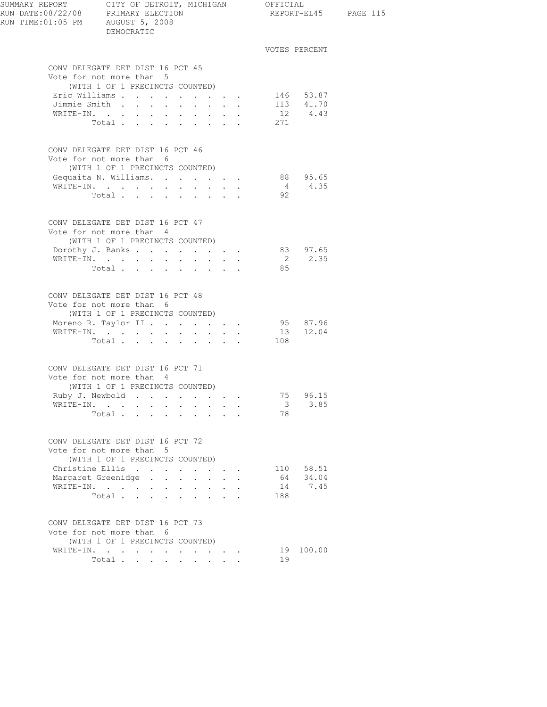| RUN TIME:01:05 PM AUGUST 5, 2008 | DEMOCRATIC                                                                                      |        |                  |                                                                  |                         |                        | REPORT-EL45 PAGE 115 |
|----------------------------------|-------------------------------------------------------------------------------------------------|--------|------------------|------------------------------------------------------------------|-------------------------|------------------------|----------------------|
|                                  |                                                                                                 |        |                  |                                                                  |                         | VOTES PERCENT          |                      |
|                                  | CONV DELEGATE DET DIST 16 PCT 45<br>Vote for not more than 5                                    |        |                  |                                                                  |                         |                        |                      |
|                                  | (WITH 1 OF 1 PRECINCTS COUNTED)                                                                 |        |                  |                                                                  |                         |                        |                      |
|                                  | Eric Williams<br>Jimmie Smith                                                                   |        | $\mathbf{L}$     | $\mathbf{r}$ , $\mathbf{r}$ , $\mathbf{r}$                       |                         | 146 53.87<br>113 41.70 |                      |
|                                  | WRITE-IN.                                                                                       |        |                  | $\mathbf{r} = \mathbf{r} + \mathbf{r} + \mathbf{r} + \mathbf{r}$ |                         | 12 4.43                |                      |
|                                  | Total                                                                                           |        |                  |                                                                  | 271                     |                        |                      |
|                                  | CONV DELEGATE DET DIST 16 PCT 46<br>Vote for not more than 6<br>(WITH 1 OF 1 PRECINCTS COUNTED) |        |                  |                                                                  |                         |                        |                      |
|                                  | Gequaita N. Williams. 88 95.65                                                                  |        |                  |                                                                  |                         |                        |                      |
|                                  | WRITE-IN.                                                                                       |        |                  |                                                                  |                         | 4 4.35                 |                      |
|                                  | Total $\cdots$ $\cdots$ $\cdots$                                                                |        |                  |                                                                  | 92                      |                        |                      |
|                                  | CONV DELEGATE DET DIST 16 PCT 47<br>Vote for not more than 4                                    |        |                  |                                                                  |                         |                        |                      |
|                                  | (WITH 1 OF 1 PRECINCTS COUNTED)<br>Dorothy J. Banks                                             |        |                  |                                                                  |                         | 83 97.65               |                      |
|                                  | WRITE-IN.                                                                                       |        |                  |                                                                  |                         | 2 2.35                 |                      |
|                                  | Total                                                                                           |        |                  |                                                                  | 85                      |                        |                      |
|                                  | CONV DELEGATE DET DIST 16 PCT 48<br>Vote for not more than 6<br>(WITH 1 OF 1 PRECINCTS COUNTED) |        |                  |                                                                  |                         |                        |                      |
|                                  | Moreno R. Taylor II                                                                             |        |                  |                                                                  |                         | 95 87.96               |                      |
|                                  | WRITE-IN.                                                                                       |        |                  |                                                                  |                         | 13 12.04               |                      |
|                                  | Total $\cdots$                                                                                  |        |                  |                                                                  | 108                     |                        |                      |
|                                  | CONV DELEGATE DET DIST 16 PCT 71                                                                |        |                  |                                                                  |                         |                        |                      |
|                                  | Vote for not more than 4                                                                        |        |                  |                                                                  |                         |                        |                      |
|                                  | (WITH 1 OF 1 PRECINCTS COUNTED)                                                                 |        |                  |                                                                  |                         |                        |                      |
|                                  | Ruby J. Newbold<br>WRITE-IN.                                                                    |        |                  |                                                                  | $\overline{\mathbf{3}}$ | 75 96.15<br>3.85       |                      |
|                                  | Total                                                                                           | $\sim$ | $\sim$ 100 $\mu$ | $\ddot{\phantom{0}}$                                             | 78                      |                        |                      |
|                                  | CONV DELEGATE DET DIST 16 PCT 72                                                                |        |                  |                                                                  |                         |                        |                      |
|                                  | Vote for not more than 5                                                                        |        |                  |                                                                  |                         |                        |                      |
|                                  | (WITH 1 OF 1 PRECINCTS COUNTED)                                                                 |        |                  |                                                                  |                         |                        |                      |
|                                  | Christine Ellis                                                                                 |        |                  | $\mathbf{L} = \mathbf{L} \mathbf{L}$                             |                         | 110 58.51<br>64 34.04  |                      |
|                                  | Margaret Greenidge<br>WRITE-IN.                                                                 |        | $\sim$           | $\cdot$ $\cdot$ $\cdot$                                          |                         | 14 7.45                |                      |
|                                  | Total                                                                                           |        |                  |                                                                  | 188                     |                        |                      |
|                                  | CONV DELEGATE DET DIST 16 PCT 73                                                                |        |                  |                                                                  |                         |                        |                      |
|                                  | Vote for not more than 6<br>(WITH 1 OF 1 PRECINCTS COUNTED)                                     |        |                  |                                                                  |                         |                        |                      |
|                                  | WRITE-IN.                                                                                       |        |                  |                                                                  |                         | 19 100.00              |                      |
|                                  | Total                                                                                           |        |                  |                                                                  | 19                      |                        |                      |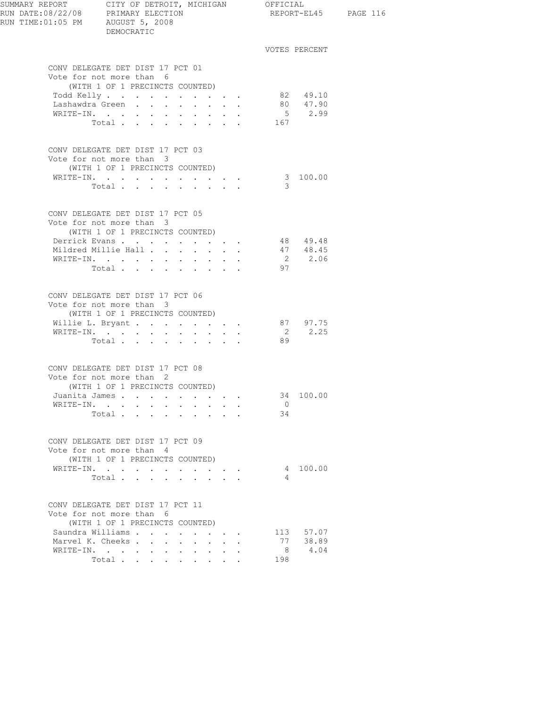| SUMMARY REPORT CITY OF DETROIT, MICHIGAN OFFICIAL<br>RUN DATE:08/22/08 PRIMARY ELECTION<br>RUN TIME:01:05 PM AUGUST 5, 2008 | DEMOCRATIC                                                                                      |                                                                          |              |                                                                          |               |                       | REPORT-EL45 PAGE 116 |
|-----------------------------------------------------------------------------------------------------------------------------|-------------------------------------------------------------------------------------------------|--------------------------------------------------------------------------|--------------|--------------------------------------------------------------------------|---------------|-----------------------|----------------------|
|                                                                                                                             |                                                                                                 |                                                                          |              |                                                                          |               | VOTES PERCENT         |                      |
|                                                                                                                             | CONV DELEGATE DET DIST 17 PCT 01<br>Vote for not more than 6                                    |                                                                          |              |                                                                          |               |                       |                      |
|                                                                                                                             | (WITH 1 OF 1 PRECINCTS COUNTED)                                                                 |                                                                          |              |                                                                          |               |                       |                      |
|                                                                                                                             | Todd Kelly.<br>Lashawdra Green                                                                  |                                                                          |              |                                                                          |               | 82 49.10<br>80 47.90  |                      |
|                                                                                                                             | WRITE-IN.                                                                                       | <b>Contract Contract Contract</b>                                        |              | $\mathbf{r} = \mathbf{r} + \mathbf{r} + \mathbf{r}$ , where $\mathbf{r}$ |               | 5 2.99                |                      |
|                                                                                                                             | Total                                                                                           |                                                                          |              |                                                                          | 167           |                       |                      |
|                                                                                                                             | CONV DELEGATE DET DIST 17 PCT 03<br>Vote for not more than 3<br>(WITH 1 OF 1 PRECINCTS COUNTED) |                                                                          |              |                                                                          |               |                       |                      |
|                                                                                                                             |                                                                                                 |                                                                          |              |                                                                          |               | 3 100.00              |                      |
|                                                                                                                             | Total                                                                                           | $\mathbf{r} = \mathbf{r} \cdot \mathbf{r}$ . The set of $\mathbf{r}$     |              |                                                                          | $\mathcal{B}$ |                       |                      |
|                                                                                                                             | CONV DELEGATE DET DIST 17 PCT 05<br>Vote for not more than 3<br>(WITH 1 OF 1 PRECINCTS COUNTED) |                                                                          |              |                                                                          |               |                       |                      |
|                                                                                                                             | Derrick Evans                                                                                   |                                                                          |              |                                                                          |               | 48 49.48              |                      |
|                                                                                                                             | Mildred Millie Hall                                                                             | $\mathbf{L}$<br>$\Delta \sim 10$                                         | $\mathbf{L}$ |                                                                          |               | 47 48.45              |                      |
|                                                                                                                             | WRITE-IN.                                                                                       | $\mathbf{z} = \mathbf{z} + \mathbf{z}$ , where $\mathbf{z} = \mathbf{z}$ |              |                                                                          |               | 2 2.06                |                      |
|                                                                                                                             | Total                                                                                           |                                                                          |              |                                                                          | 97            |                       |                      |
|                                                                                                                             | CONV DELEGATE DET DIST 17 PCT 06<br>Vote for not more than 3<br>(WITH 1 OF 1 PRECINCTS COUNTED) |                                                                          |              |                                                                          |               |                       |                      |
|                                                                                                                             | Willie L. Bryant 87 97.75                                                                       |                                                                          |              |                                                                          |               |                       |                      |
|                                                                                                                             | WRITE-IN.                                                                                       |                                                                          |              |                                                                          |               | 2 2.25                |                      |
|                                                                                                                             | Total.                                                                                          |                                                                          |              |                                                                          | 89            |                       |                      |
|                                                                                                                             | CONV DELEGATE DET DIST 17 PCT 08                                                                |                                                                          |              |                                                                          |               |                       |                      |
|                                                                                                                             | Vote for not more than 2                                                                        |                                                                          |              |                                                                          |               |                       |                      |
|                                                                                                                             | (WITH 1 OF 1 PRECINCTS COUNTED)                                                                 |                                                                          |              |                                                                          |               | 34 100.00             |                      |
|                                                                                                                             | Juanita James<br>WRITE-IN.                                                                      |                                                                          |              |                                                                          | $\cup$        |                       |                      |
|                                                                                                                             | Total                                                                                           |                                                                          |              |                                                                          | 34            |                       |                      |
|                                                                                                                             | CONV DELEGATE DET DIST 17 PCT 09                                                                |                                                                          |              |                                                                          |               |                       |                      |
|                                                                                                                             | Vote for not more than 4                                                                        |                                                                          |              |                                                                          |               |                       |                      |
|                                                                                                                             | (WITH 1 OF 1 PRECINCTS COUNTED)                                                                 |                                                                          |              |                                                                          |               |                       |                      |
|                                                                                                                             | WRITE-IN.                                                                                       |                                                                          |              |                                                                          |               | 4 100.00              |                      |
|                                                                                                                             | Total $\cdots$                                                                                  |                                                                          |              |                                                                          | 4             |                       |                      |
|                                                                                                                             | CONV DELEGATE DET DIST 17 PCT 11<br>Vote for not more than 6                                    |                                                                          |              |                                                                          |               |                       |                      |
|                                                                                                                             | (WITH 1 OF 1 PRECINCTS COUNTED)                                                                 |                                                                          |              |                                                                          |               |                       |                      |
|                                                                                                                             | Saundra Williams<br>Marvel K. Cheeks                                                            |                                                                          |              |                                                                          |               | 113 57.07<br>77 38.89 |                      |
|                                                                                                                             | WRITE-IN.                                                                                       |                                                                          |              |                                                                          | 8             | 4.04                  |                      |
|                                                                                                                             | Total                                                                                           | $\sim 10^{-11}$<br>$\ddot{\phantom{1}}$                                  | $\ddotsc$    |                                                                          | 198           |                       |                      |
|                                                                                                                             |                                                                                                 |                                                                          |              |                                                                          |               |                       |                      |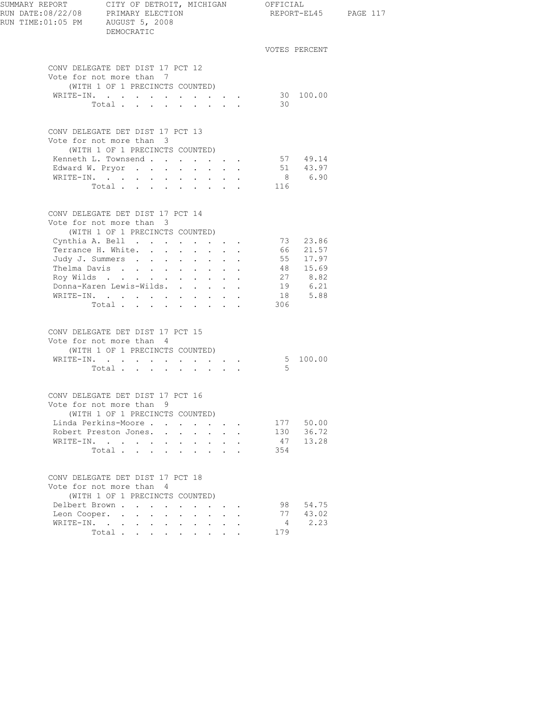| SUMMARY REPORT<br>RUN DATE:08/22/08 PRIMARY ELECTION<br>RUN TIME:01:05 PM AUGUST 5, 2008 | CITY OF DETROIT, MICHIGAN OFFICIAL<br>DEMOCRATIC            |                      |                        |                                                              |           |                      | REPORT-EL45 PAGE 117 |
|------------------------------------------------------------------------------------------|-------------------------------------------------------------|----------------------|------------------------|--------------------------------------------------------------|-----------|----------------------|----------------------|
|                                                                                          |                                                             |                      |                        |                                                              |           | VOTES PERCENT        |                      |
|                                                                                          | CONV DELEGATE DET DIST 17 PCT 12                            |                      |                        |                                                              |           |                      |                      |
|                                                                                          | Vote for not more than 7                                    |                      |                        |                                                              |           |                      |                      |
|                                                                                          | (WITH 1 OF 1 PRECINCTS COUNTED)                             |                      |                        |                                                              |           |                      |                      |
|                                                                                          | WRITE-IN.                                                   |                      |                        |                                                              |           | 30 100.00            |                      |
|                                                                                          | Total $\cdots$                                              |                      |                        |                                                              | 30        |                      |                      |
|                                                                                          | CONV DELEGATE DET DIST 17 PCT 13                            |                      |                        |                                                              |           |                      |                      |
|                                                                                          | Vote for not more than 3                                    |                      |                        |                                                              |           |                      |                      |
|                                                                                          | (WITH 1 OF 1 PRECINCTS COUNTED)                             |                      |                        |                                                              |           |                      |                      |
|                                                                                          | Kenneth L. Townsend                                         |                      |                        |                                                              |           | 57 49.14<br>51 43.97 |                      |
|                                                                                          | Edward W. Pryor                                             |                      |                        |                                                              |           |                      |                      |
|                                                                                          | WRITE-IN.                                                   |                      |                        |                                                              |           | 8 6.90               |                      |
|                                                                                          | Total $\ldots$ $\ldots$ $\ldots$ $\ldots$ 116               |                      |                        |                                                              |           |                      |                      |
|                                                                                          | CONV DELEGATE DET DIST 17 PCT 14                            |                      |                        |                                                              |           |                      |                      |
|                                                                                          | Vote for not more than 3                                    |                      |                        |                                                              |           |                      |                      |
|                                                                                          | (WITH 1 OF 1 PRECINCTS COUNTED)                             |                      |                        |                                                              |           |                      |                      |
|                                                                                          | Cynthia A. Bell 73 23.86                                    |                      |                        |                                                              |           |                      |                      |
|                                                                                          | Terrance H. White.                                          |                      |                        |                                                              |           | 66 21.57<br>55 17.97 |                      |
|                                                                                          | Judy J. Summers                                             |                      |                        |                                                              |           |                      |                      |
|                                                                                          | Thelma Davis                                                |                      |                        |                                                              |           | 48 15.69             |                      |
|                                                                                          | Roy Wilds<br>Donna-Karen Lewis-Wilds.                       |                      |                        |                                                              |           | 27 8.82<br>6.21      |                      |
|                                                                                          | WRITE-IN.                                                   |                      |                        |                                                              | 19        | $18$ $5.88$          |                      |
|                                                                                          | Total                                                       |                      |                        |                                                              | 306       |                      |                      |
|                                                                                          |                                                             |                      |                        |                                                              |           |                      |                      |
|                                                                                          | CONV DELEGATE DET DIST 17 PCT 15                            |                      |                        |                                                              |           |                      |                      |
|                                                                                          | Vote for not more than 4                                    |                      |                        |                                                              |           |                      |                      |
|                                                                                          | (WITH 1 OF 1 PRECINCTS COUNTED)                             |                      |                        |                                                              |           | 5 100.00             |                      |
|                                                                                          | WRITE-IN.                                                   |                      |                        |                                                              | -5        |                      |                      |
|                                                                                          | Total                                                       |                      |                        |                                                              |           |                      |                      |
|                                                                                          | CONV DELEGATE DET DIST 17 PCT 16                            |                      |                        |                                                              |           |                      |                      |
|                                                                                          | Vote for not more than 9                                    |                      |                        |                                                              |           |                      |                      |
|                                                                                          | (WITH 1 OF 1 PRECINCTS COUNTED)                             |                      |                        |                                                              |           |                      |                      |
|                                                                                          | Linda Perkins-Moore                                         | $\sim$               |                        | $\mathbf{L} = \mathbf{L} \mathbf{L} + \mathbf{L} \mathbf{L}$ |           | 177 50.00            |                      |
|                                                                                          | Robert Preston Jones.                                       |                      |                        |                                                              |           | 130 36.72            |                      |
|                                                                                          | WRITE-IN.<br>Total                                          | <b>All Cards</b>     | <b>Service Control</b> |                                                              | 47<br>354 | 13.28                |                      |
|                                                                                          |                                                             |                      |                        |                                                              |           |                      |                      |
|                                                                                          | CONV DELEGATE DET DIST 17 PCT 18                            |                      |                        |                                                              |           |                      |                      |
|                                                                                          | Vote for not more than 4<br>(WITH 1 OF 1 PRECINCTS COUNTED) |                      |                        |                                                              |           |                      |                      |
|                                                                                          | Delbert Brown<br>$\sim$                                     | $\sim$               |                        |                                                              |           | 98 54.75             |                      |
|                                                                                          | Leon Cooper.                                                |                      | $\sim$                 | $\mathbf{L} = \mathbf{L}$                                    |           | 77 43.02             |                      |
|                                                                                          | WRITE-IN.                                                   |                      |                        | $\bullet$ . In the set of $\bullet$                          |           | 2.23                 |                      |
|                                                                                          | Total<br>$\sim$                                             | $\ddot{\phantom{0}}$ |                        | $\cdot$ $\cdot$ $\cdot$                                      | 179       |                      |                      |
|                                                                                          |                                                             |                      |                        |                                                              |           |                      |                      |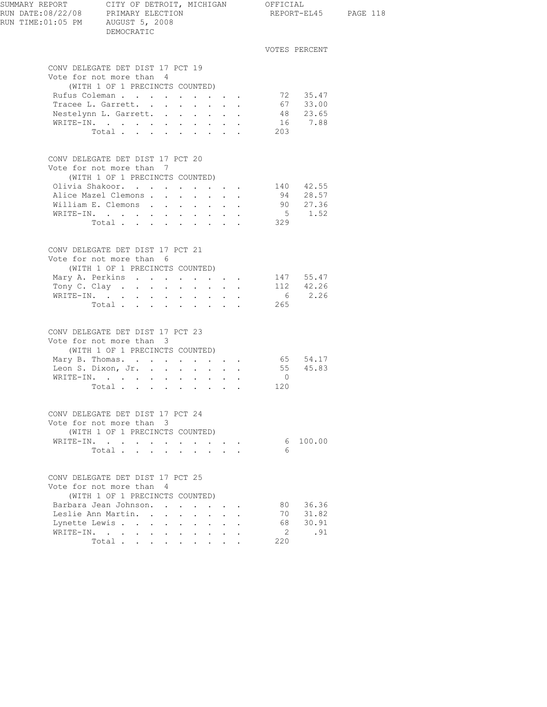| SUMMARY REPORT<br>RUN DATE:08/22/08 PRIMARY ELECTION<br>RUN TIME:01:05 PM AUGUST 5, 2008 | CITY OF DETROIT, MICHIGAN OFFICIAL<br>DEMOCRATIC                                            |                                  |                      |                           |                          |                |                      | REPORT-EL45 PAGE 118 |
|------------------------------------------------------------------------------------------|---------------------------------------------------------------------------------------------|----------------------------------|----------------------|---------------------------|--------------------------|----------------|----------------------|----------------------|
|                                                                                          |                                                                                             |                                  |                      |                           |                          |                | VOTES PERCENT        |                      |
|                                                                                          | CONV DELEGATE DET DIST 17 PCT 19                                                            |                                  |                      |                           |                          |                |                      |                      |
|                                                                                          | Vote for not more than 4                                                                    |                                  |                      |                           |                          |                |                      |                      |
|                                                                                          | (WITH 1 OF 1 PRECINCTS COUNTED)                                                             |                                  |                      |                           |                          |                |                      |                      |
|                                                                                          | Rufus Coleman<br>Tracee L. Garrett.                                                         |                                  |                      |                           |                          |                | 72 35.47             |                      |
|                                                                                          | Nestelynn L. Garrett.                                                                       |                                  |                      |                           |                          |                | 67 33.00<br>48 23.65 |                      |
|                                                                                          | WRITE-IN.                                                                                   |                                  |                      |                           |                          |                | 16 7.88              |                      |
|                                                                                          | Total 203                                                                                   |                                  |                      |                           |                          |                |                      |                      |
|                                                                                          | CONV DELEGATE DET DIST 17 PCT 20                                                            |                                  |                      |                           |                          |                |                      |                      |
|                                                                                          | Vote for not more than 7                                                                    |                                  |                      |                           |                          |                |                      |                      |
|                                                                                          | (WITH 1 OF 1 PRECINCTS COUNTED)                                                             |                                  |                      |                           |                          |                |                      |                      |
|                                                                                          | Olivia Shakoor. 140 42.55                                                                   |                                  |                      |                           |                          |                |                      |                      |
|                                                                                          | Alice Mazel Clemons<br>William E. Clemons                                                   |                                  |                      |                           |                          |                | 94 28.57<br>90 27.36 |                      |
|                                                                                          | WRITE-IN.                                                                                   |                                  |                      |                           |                          |                | $5 \t 1.52$          |                      |
|                                                                                          | Total                                                                                       |                                  |                      |                           |                          | 329            |                      |                      |
|                                                                                          | CONV DELEGATE DET DIST 17 PCT 21                                                            |                                  |                      |                           |                          |                |                      |                      |
|                                                                                          | Vote for not more than 6                                                                    |                                  |                      |                           |                          |                |                      |                      |
|                                                                                          | (WITH 1 OF 1 PRECINCTS COUNTED)                                                             |                                  |                      |                           |                          |                |                      |                      |
|                                                                                          | Mary A. Perkins 147 55.47<br>Tony C. Clay $\cdot \cdot \cdot \cdot \cdot \cdot \cdot \cdot$ |                                  |                      |                           |                          |                |                      |                      |
|                                                                                          | WRITE-IN.                                                                                   |                                  |                      |                           |                          |                | 112 42.26<br>6 2.26  |                      |
|                                                                                          | Total 265                                                                                   |                                  |                      |                           |                          |                |                      |                      |
|                                                                                          | CONV DELEGATE DET DIST 17 PCT 23                                                            |                                  |                      |                           |                          |                |                      |                      |
|                                                                                          | Vote for not more than 3                                                                    |                                  |                      |                           |                          |                |                      |                      |
|                                                                                          | (WITH 1 OF 1 PRECINCTS COUNTED)                                                             |                                  |                      |                           |                          |                |                      |                      |
|                                                                                          | Mary B. Thomas. 65 54.17                                                                    |                                  |                      |                           |                          |                |                      |                      |
|                                                                                          | Leon S. Dixon, Jr. 55 45.83<br>WRITE-IN.                                                    |                                  |                      |                           |                          | $\overline{0}$ |                      |                      |
|                                                                                          | Total                                                                                       |                                  |                      |                           |                          | 120            |                      |                      |
|                                                                                          |                                                                                             |                                  |                      |                           |                          |                |                      |                      |
|                                                                                          | CONV DELEGATE DET DIST 17 PCT 24<br>Vote for not more than 3                                |                                  |                      |                           |                          |                |                      |                      |
|                                                                                          | (WITH 1 OF 1 PRECINCTS COUNTED)                                                             |                                  |                      |                           |                          |                |                      |                      |
|                                                                                          | WRITE-IN.                                                                                   |                                  |                      |                           | and a strategic control. |                | 6 100.00             |                      |
|                                                                                          | Total                                                                                       |                                  |                      |                           |                          | 6              |                      |                      |
|                                                                                          | CONV DELEGATE DET DIST 17 PCT 25                                                            |                                  |                      |                           |                          |                |                      |                      |
|                                                                                          | Vote for not more than 4<br>(WITH 1 OF 1 PRECINCTS COUNTED)                                 |                                  |                      |                           |                          |                |                      |                      |
|                                                                                          | Barbara Jean Johnson.                                                                       |                                  |                      |                           |                          |                | 80 36.36             |                      |
|                                                                                          | Leslie Ann Martin.                                                                          |                                  |                      | $\mathbf{r} = \mathbf{r}$ |                          |                | 70 31.82             |                      |
| WRITE-IN.                                                                                | Lynette Lewis<br>$\sim$ $-$<br>$\sim$ 10 $\pm$                                              | <b>All States</b>                | <b>All All Angel</b> |                           |                          | 2              | 68 30.91<br>.91      |                      |
|                                                                                          | Total                                                                                       | $\mathbf{L}$<br>$\sim$<br>$\sim$ |                      | $\mathbf{r} = \mathbf{r}$ |                          | 220            |                      |                      |
|                                                                                          |                                                                                             |                                  |                      |                           |                          |                |                      |                      |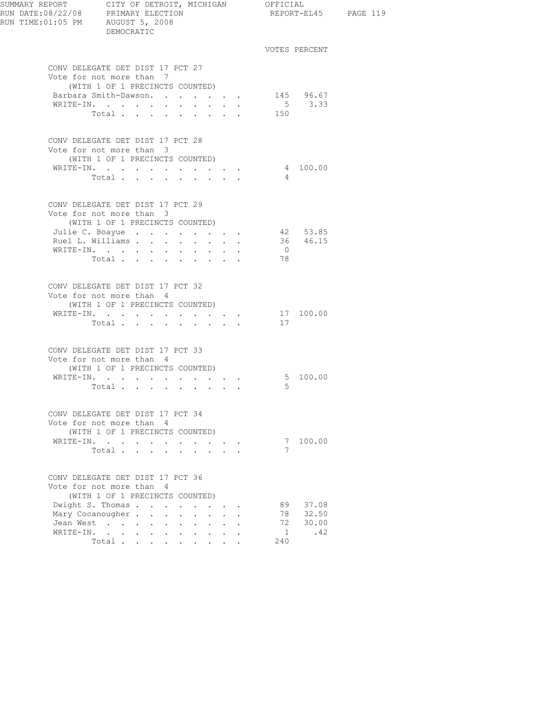| SUMMARY REPORT CITY OF DETROIT, MICHIGAN OFFICIAL<br>RUN DATE:08/22/08 PRIMARY ELECTION REPORT-EL<br>RUN TIME:01:05 PM AUGUST 5, 2008 | DEMOCRATIC                                                                                                                                   |                                                                                            |                                          |                      |                     | REPORT-EL45 PAGE 119 |
|---------------------------------------------------------------------------------------------------------------------------------------|----------------------------------------------------------------------------------------------------------------------------------------------|--------------------------------------------------------------------------------------------|------------------------------------------|----------------------|---------------------|----------------------|
|                                                                                                                                       |                                                                                                                                              |                                                                                            |                                          |                      | VOTES PERCENT       |                      |
|                                                                                                                                       | CONV DELEGATE DET DIST 17 PCT 27<br>Vote for not more than 7                                                                                 |                                                                                            |                                          |                      |                     |                      |
|                                                                                                                                       | (WITH 1 OF 1 PRECINCTS COUNTED)<br>Barbara Smith-Dawson.<br>WRITE-IN.                                                                        | $\mathbf{r} = \mathbf{r} + \mathbf{r} + \mathbf{r} + \mathbf{r} + \mathbf{r} + \mathbf{r}$ |                                          |                      | 145 96.67<br>5 3.33 |                      |
|                                                                                                                                       | Total                                                                                                                                        |                                                                                            |                                          | 150                  |                     |                      |
|                                                                                                                                       | CONV DELEGATE DET DIST 17 PCT 28<br>Vote for not more than 3<br>(WITH 1 OF 1 PRECINCTS COUNTED)                                              |                                                                                            |                                          |                      |                     |                      |
|                                                                                                                                       | WRITE-IN.<br>Total $\cdot$                                                                                                                   |                                                                                            |                                          | $\overline{4}$       | 4 100.00            |                      |
|                                                                                                                                       | CONV DELEGATE DET DIST 17 PCT 29<br>Vote for not more than 3<br>(WITH 1 OF 1 PRECINCTS COUNTED)                                              |                                                                                            |                                          |                      |                     |                      |
|                                                                                                                                       | Julie C. Boayue 42 53.85<br>Ruel L. Williams 36 46.15                                                                                        |                                                                                            |                                          |                      |                     |                      |
|                                                                                                                                       | $\mathtt{WRTTE}\texttt{-IN.}\quad.\quad.\quad.\quad.\quad.\quad.\quad.\quad.\quad.\quad.\quad.\quad.\quad.\quad.\quad.\quad.\quad.$<br>Total |                                                                                            |                                          | $\overline{0}$<br>78 |                     |                      |
|                                                                                                                                       | CONV DELEGATE DET DIST 17 PCT 32<br>Vote for not more than 4<br>(WITH 1 OF 1 PRECINCTS COUNTED)                                              |                                                                                            |                                          |                      |                     |                      |
|                                                                                                                                       | WRITE-IN.<br>Total                                                                                                                           |                                                                                            |                                          | 17                   | 17100.00            |                      |
|                                                                                                                                       | CONV DELEGATE DET DIST 17 PCT 33<br>Vote for not more than 4<br>(WITH 1 OF 1 PRECINCTS COUNTED)                                              |                                                                                            |                                          |                      |                     |                      |
|                                                                                                                                       | WRITE-IN.<br>Total                                                                                                                           |                                                                                            |                                          | - 5                  | 5 100.00            |                      |
|                                                                                                                                       | CONV DELEGATE DET DIST 17 PCT 34<br>Vote for not more than 4<br>(WITH 1 OF 1 PRECINCTS COUNTED)                                              |                                                                                            |                                          |                      |                     |                      |
|                                                                                                                                       | WRITE-IN.<br>Total                                                                                                                           |                                                                                            |                                          | 7                    | 7 100.00            |                      |
|                                                                                                                                       | CONV DELEGATE DET DIST 17 PCT 36<br>Vote for not more than 4<br>(WITH 1 OF 1 PRECINCTS COUNTED)                                              |                                                                                            |                                          |                      |                     |                      |
|                                                                                                                                       | Dwight S. Thomas<br>Mary Cocanougher                                                                                                         | $\sim$                                                                                     | $\mathbf{z} = \mathbf{z} + \mathbf{z}$ . | 89                   | 37.08<br>78 32.50   |                      |
| Jean West<br>WRITE-IN.                                                                                                                | $\cdot$ $\cdot$<br>$\sim$<br>$\mathbf{L}$<br>$\sim$                                                                                          | $\ddot{\phantom{0}}$<br>$\sim$                                                             | $\mathbf{L}$                             | 72<br>1              | 30.00<br>.42        |                      |
|                                                                                                                                       | Total                                                                                                                                        |                                                                                            | $\mathbf{z} = \mathbf{z} + \mathbf{z}$ . | 240                  |                     |                      |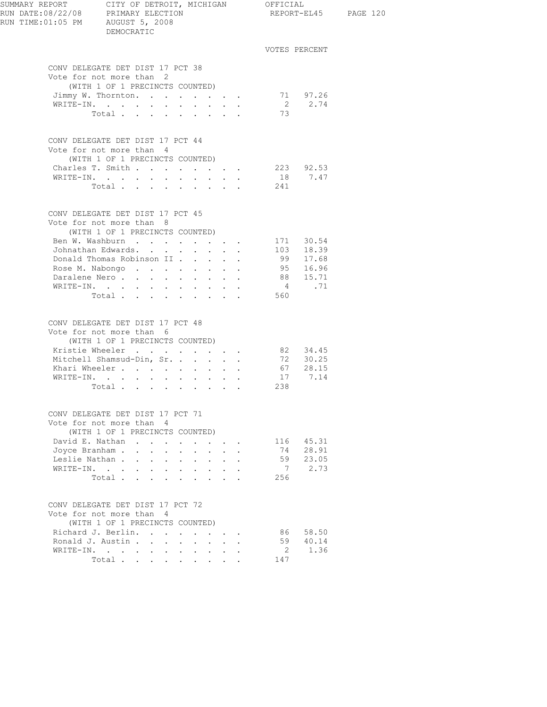| SUMMARY REPORT CITY OF DETROIT, MICHIGAN OFFICIAL<br>RUN DATE:08/22/08 PRIMARY ELECTION<br>RUN TIME: 01:05 PM AUGUST 5, 2008 | DEMOCRATIC                                                                                      |                      |        |                                                                  |                           |                      |               |                       | REPORT-EL45 PAGE 120 |  |
|------------------------------------------------------------------------------------------------------------------------------|-------------------------------------------------------------------------------------------------|----------------------|--------|------------------------------------------------------------------|---------------------------|----------------------|---------------|-----------------------|----------------------|--|
|                                                                                                                              |                                                                                                 |                      |        |                                                                  |                           |                      | VOTES PERCENT |                       |                      |  |
|                                                                                                                              | CONV DELEGATE DET DIST 17 PCT 38<br>Vote for not more than 2<br>(WITH 1 OF 1 PRECINCTS COUNTED) |                      |        |                                                                  |                           |                      |               |                       |                      |  |
|                                                                                                                              | Jimmy W. Thornton.                                                                              |                      |        |                                                                  |                           |                      |               | 71 97.26              |                      |  |
|                                                                                                                              | WRITE-IN.<br>Total                                                                              |                      |        |                                                                  |                           |                      | 73            | 2 2.74                |                      |  |
|                                                                                                                              | CONV DELEGATE DET DIST 17 PCT 44<br>Vote for not more than 4<br>(WITH 1 OF 1 PRECINCTS COUNTED) |                      |        |                                                                  |                           |                      |               |                       |                      |  |
|                                                                                                                              | Charles T. Smith 223 92.53                                                                      |                      |        |                                                                  |                           |                      |               |                       |                      |  |
|                                                                                                                              | WRITE-IN.                                                                                       |                      |        |                                                                  |                           |                      |               | 18 7.47               |                      |  |
|                                                                                                                              | Total 241                                                                                       |                      |        |                                                                  |                           |                      |               |                       |                      |  |
|                                                                                                                              | CONV DELEGATE DET DIST 17 PCT 45<br>Vote for not more than 8<br>(WITH 1 OF 1 PRECINCTS COUNTED) |                      |        |                                                                  |                           |                      |               |                       |                      |  |
|                                                                                                                              | Ben W. Washburn 171 30.54                                                                       |                      |        |                                                                  |                           |                      |               |                       |                      |  |
|                                                                                                                              | Johnathan Edwards.                                                                              |                      |        |                                                                  |                           |                      |               |                       |                      |  |
|                                                                                                                              | Donald Thomas Robinson II                                                                       |                      |        |                                                                  |                           |                      |               | 103 18.39<br>99 17.68 |                      |  |
|                                                                                                                              | Rose M. Nabongo                                                                                 |                      |        |                                                                  |                           |                      |               | 95 16.96              |                      |  |
|                                                                                                                              | Daralene Nero.                                                                                  |                      |        |                                                                  |                           |                      |               | 88 15.71              |                      |  |
|                                                                                                                              | WRITE-IN.                                                                                       |                      |        |                                                                  |                           |                      |               | 4.71                  |                      |  |
|                                                                                                                              | Total                                                                                           |                      |        |                                                                  |                           |                      | 560           |                       |                      |  |
|                                                                                                                              | CONV DELEGATE DET DIST 17 PCT 48<br>Vote for not more than 6<br>(WITH 1 OF 1 PRECINCTS COUNTED) |                      |        |                                                                  |                           |                      |               |                       |                      |  |
|                                                                                                                              | Kristie Wheeler                                                                                 |                      |        |                                                                  |                           |                      |               | 82 34.45              |                      |  |
|                                                                                                                              | Mitchell Shamsud-Din, Sr.                                                                       |                      |        |                                                                  |                           |                      |               | 72 30.25              |                      |  |
|                                                                                                                              | Khari Wheeler                                                                                   |                      |        |                                                                  |                           |                      |               | $67$ $28.15$          |                      |  |
|                                                                                                                              | WRITE-IN.                                                                                       |                      |        |                                                                  |                           |                      |               | 17 7.14               |                      |  |
|                                                                                                                              | Total                                                                                           |                      |        |                                                                  |                           |                      | 238           |                       |                      |  |
|                                                                                                                              | CONV DELEGATE DET DIST 17 PCT 71<br>Vote for not more than 4<br>(WITH 1 OF 1 PRECINCTS COUNTED) |                      |        |                                                                  |                           |                      |               |                       |                      |  |
|                                                                                                                              | David E. Nathan                                                                                 |                      | $\sim$ |                                                                  | $\mathbf{r} = \mathbf{r}$ |                      |               | 116 45.31             |                      |  |
|                                                                                                                              | Joyce Branham                                                                                   |                      |        |                                                                  |                           | $\ddot{\phantom{0}}$ |               | 74 28.91              |                      |  |
|                                                                                                                              | Leslie Nathan                                                                                   |                      |        |                                                                  |                           |                      |               | 59 23.05              |                      |  |
| WRITE-IN.                                                                                                                    | $\sim$<br>$\sim$ 10 $\pm$                                                                       | <b>Service</b> State |        | $\mathbf{r} = \mathbf{r} + \mathbf{r} + \mathbf{r} + \mathbf{r}$ |                           |                      |               | 7 2.73                |                      |  |
|                                                                                                                              | Total                                                                                           |                      |        |                                                                  |                           |                      | 256           |                       |                      |  |
|                                                                                                                              | CONV DELEGATE DET DIST 17 PCT 72<br>Vote for not more than 4<br>(WITH 1 OF 1 PRECINCTS COUNTED) |                      |        |                                                                  |                           |                      |               |                       |                      |  |
|                                                                                                                              | Richard J. Berlin.                                                                              |                      |        |                                                                  | $\mathbf{L} = \mathbf{L}$ |                      |               | 86 58.50              |                      |  |
|                                                                                                                              | Ronald J. Austin                                                                                |                      |        |                                                                  |                           |                      |               | 59 40.14              |                      |  |
|                                                                                                                              |                                                                                                 |                      |        |                                                                  |                           |                      |               | 2 1.36                |                      |  |
|                                                                                                                              | Total                                                                                           |                      |        |                                                                  |                           |                      | 147           |                       |                      |  |
|                                                                                                                              |                                                                                                 |                      |        |                                                                  |                           |                      |               |                       |                      |  |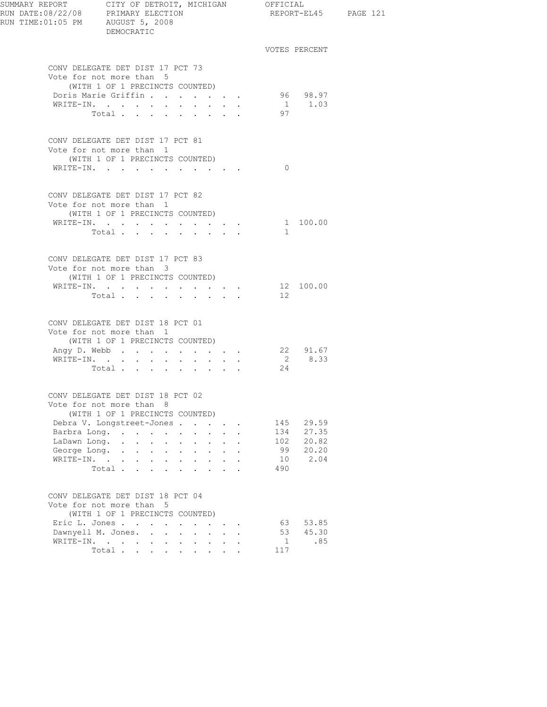| RUN TIME: 01:05 PM AUGUST 5, 2008 | DEMOCRATIC                                                                                                 |                                                                       |                                                                                             |                      |          |                    | REPORT-EL45 PAGE 121 |
|-----------------------------------|------------------------------------------------------------------------------------------------------------|-----------------------------------------------------------------------|---------------------------------------------------------------------------------------------|----------------------|----------|--------------------|----------------------|
|                                   |                                                                                                            |                                                                       |                                                                                             |                      |          | VOTES PERCENT      |                      |
|                                   | CONV DELEGATE DET DIST 17 PCT 73<br>Vote for not more than 5                                               |                                                                       |                                                                                             |                      |          |                    |                      |
|                                   | (WITH 1 OF 1 PRECINCTS COUNTED)<br>Doris Marie Griffin                                                     |                                                                       |                                                                                             |                      |          |                    |                      |
|                                   | $\mathtt{WRTTE-IN.} \qquad \qquad \centerdot \qquad \qquad \centerdot \qquad \centerdot \qquad \centerdot$ | $\mathbf{r} = \mathbf{r} \times \mathbf{r}$ . The set of $\mathbf{r}$ | $\cdot$ $\cdot$ $\cdot$                                                                     |                      |          | 96 98.97<br>1 1.03 |                      |
|                                   | Total                                                                                                      |                                                                       |                                                                                             |                      | 97       |                    |                      |
|                                   | CONV DELEGATE DET DIST 17 PCT 81<br>Vote for not more than 1<br>(WITH 1 OF 1 PRECINCTS COUNTED)            |                                                                       |                                                                                             |                      |          |                    |                      |
|                                   | WRITE-IN.                                                                                                  |                                                                       |                                                                                             |                      | $\Omega$ |                    |                      |
|                                   | CONV DELEGATE DET DIST 17 PCT 82<br>Vote for not more than 1                                               |                                                                       |                                                                                             |                      |          |                    |                      |
|                                   | (WITH 1 OF 1 PRECINCTS COUNTED)                                                                            |                                                                       |                                                                                             |                      |          |                    |                      |
|                                   | WRITE-IN.<br>Total                                                                                         |                                                                       | the contract of the contract of                                                             |                      | 1        | 1 100.00           |                      |
|                                   | CONV DELEGATE DET DIST 17 PCT 83                                                                           |                                                                       |                                                                                             |                      |          |                    |                      |
|                                   | Vote for not more than 3<br>(WITH 1 OF 1 PRECINCTS COUNTED)<br>WRITE-IN.                                   | $\mathbf{L} = \mathbf{L} \mathbf{L}$                                  | $\mathbf{a} = \mathbf{a} \cdot \mathbf{a}$ , and $\mathbf{a} = \mathbf{a} \cdot \mathbf{a}$ |                      |          | 12 100.00          |                      |
|                                   | Total                                                                                                      |                                                                       |                                                                                             |                      | 12       |                    |                      |
|                                   | CONV DELEGATE DET DIST 18 PCT 01<br>Vote for not more than 1<br>(WITH 1 OF 1 PRECINCTS COUNTED)            |                                                                       |                                                                                             |                      |          |                    |                      |
|                                   | Angy D. Webb                                                                                               |                                                                       |                                                                                             |                      |          | 22 91.67           |                      |
|                                   | WRITE-IN.                                                                                                  |                                                                       |                                                                                             | $\ddot{\phantom{0}}$ | 24       | 2 8.33             |                      |
|                                   | Total                                                                                                      |                                                                       |                                                                                             |                      |          |                    |                      |
|                                   | CONV DELEGATE DET DIST 18 PCT 02<br>Vote for not more than 8<br>(WITH 1 OF 1 PRECINCTS COUNTED)            |                                                                       |                                                                                             |                      |          |                    |                      |
|                                   | Debra V. Longstreet-Jones                                                                                  |                                                                       |                                                                                             |                      |          | 145 29.59          |                      |
|                                   | Barbra Long.                                                                                               |                                                                       |                                                                                             |                      | 134      | 27.35              |                      |
|                                   | LaDawn Long.                                                                                               |                                                                       |                                                                                             |                      | 102      | 20.82              |                      |
|                                   | George Long.                                                                                               |                                                                       |                                                                                             |                      | 99<br>10 | 20.20<br>2.04      |                      |
|                                   | Total<br>$\sim$<br>$\sim$                                                                                  | $\sim$ $\sim$<br>$\mathcal{L}^{\text{max}}$                           | $\mathbf{L}$                                                                                |                      | 490      |                    |                      |
|                                   | CONV DELEGATE DET DIST 18 PCT 04<br>Vote for not more than 5                                               |                                                                       |                                                                                             |                      |          |                    |                      |
|                                   | (WITH 1 OF 1 PRECINCTS COUNTED)                                                                            |                                                                       |                                                                                             |                      |          |                    |                      |
|                                   | Eric L. Jones<br>Dawnyell M. Jones.                                                                        |                                                                       | $\mathbf{r}$ , $\mathbf{r}$ , $\mathbf{r}$ , $\mathbf{r}$                                   |                      | 63<br>53 | 53.85<br>45.30     |                      |
|                                   | WRITE-IN.                                                                                                  |                                                                       |                                                                                             |                      | 1        | .85                |                      |
|                                   | Total                                                                                                      |                                                                       |                                                                                             |                      | 117      |                    |                      |
|                                   |                                                                                                            |                                                                       |                                                                                             |                      |          |                    |                      |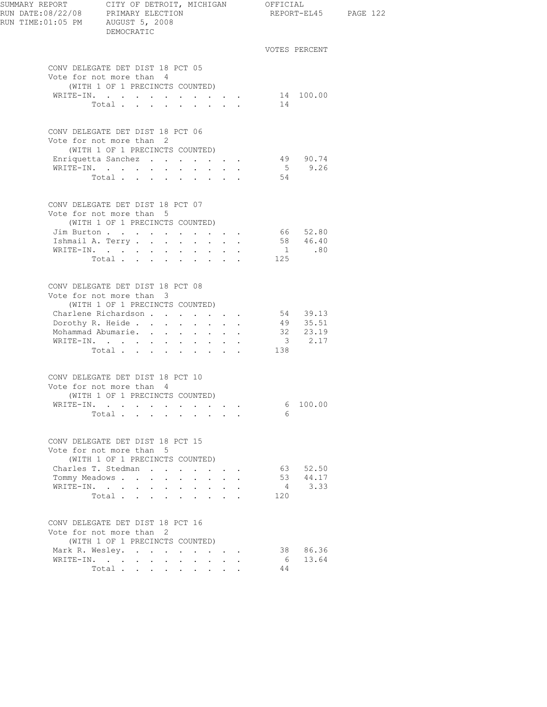| RUN TIME: 01:05 PM AUGUST 5, 2008 | DEMOCRATIC                                                                                      |                              |                                                                                                                           |                                                           |         | REPORT-EL45 PAGE 122                              |  |
|-----------------------------------|-------------------------------------------------------------------------------------------------|------------------------------|---------------------------------------------------------------------------------------------------------------------------|-----------------------------------------------------------|---------|---------------------------------------------------|--|
|                                   |                                                                                                 |                              |                                                                                                                           |                                                           |         | VOTES PERCENT                                     |  |
|                                   | CONV DELEGATE DET DIST 18 PCT 05<br>Vote for not more than 4<br>(WITH 1 OF 1 PRECINCTS COUNTED) |                              |                                                                                                                           |                                                           |         |                                                   |  |
|                                   | WRITE-IN. 14 100.00                                                                             |                              |                                                                                                                           |                                                           |         |                                                   |  |
|                                   | Total $\cdots$                                                                                  |                              |                                                                                                                           |                                                           | 14      |                                                   |  |
|                                   | CONV DELEGATE DET DIST 18 PCT 06<br>Vote for not more than 2                                    |                              |                                                                                                                           |                                                           |         |                                                   |  |
|                                   | (WITH 1 OF 1 PRECINCTS COUNTED)                                                                 |                              |                                                                                                                           |                                                           |         | 49 90.74                                          |  |
|                                   | Enriquetta Sanchez<br>WRITE-IN.                                                                 |                              |                                                                                                                           |                                                           |         | $5 \t 9.26$                                       |  |
|                                   | Total                                                                                           |                              |                                                                                                                           |                                                           | 54      |                                                   |  |
|                                   | CONV DELEGATE DET DIST 18 PCT 07<br>Vote for not more than 5                                    |                              |                                                                                                                           |                                                           |         |                                                   |  |
|                                   | (WITH 1 OF 1 PRECINCTS COUNTED)                                                                 |                              |                                                                                                                           |                                                           |         |                                                   |  |
|                                   | Jim Burton 66 52.80                                                                             |                              |                                                                                                                           |                                                           |         |                                                   |  |
|                                   | Ishmail A. Terry 58 46.40                                                                       |                              |                                                                                                                           |                                                           |         |                                                   |  |
|                                   | WRITE-IN.                                                                                       |                              |                                                                                                                           |                                                           |         | $1 \qquad .80$                                    |  |
|                                   | Total $\cdots$                                                                                  |                              |                                                                                                                           |                                                           | 125     |                                                   |  |
|                                   | CONV DELEGATE DET DIST 18 PCT 08<br>Vote for not more than 3<br>(WITH 1 OF 1 PRECINCTS COUNTED) |                              |                                                                                                                           |                                                           |         |                                                   |  |
|                                   | Charlene Richardson                                                                             |                              |                                                                                                                           |                                                           |         | 54 39.13                                          |  |
|                                   | Dorothy R. Heide                                                                                |                              |                                                                                                                           |                                                           |         | 49 35.51                                          |  |
|                                   | Mohammad Abumarie. 32 23.19                                                                     |                              |                                                                                                                           |                                                           |         |                                                   |  |
|                                   | WRITE-IN.                                                                                       |                              |                                                                                                                           |                                                           |         | $\begin{array}{cc} 3 & 2.17 \\ 138 & \end{array}$ |  |
|                                   | Total.                                                                                          |                              |                                                                                                                           |                                                           |         |                                                   |  |
|                                   | CONV DELEGATE DET DIST 18 PCT 10<br>Vote for not more than 4                                    |                              |                                                                                                                           |                                                           |         |                                                   |  |
|                                   | (WITH 1 OF 1 PRECINCTS COUNTED)                                                                 |                              |                                                                                                                           |                                                           |         |                                                   |  |
|                                   | WRITE-IN.<br>Total                                                                              |                              |                                                                                                                           |                                                           | 6<br>6  | 100.00                                            |  |
|                                   |                                                                                                 |                              |                                                                                                                           |                                                           |         |                                                   |  |
|                                   | CONV DELEGATE DET DIST 18 PCT 15<br>Vote for not more than 5<br>(WITH 1 OF 1 PRECINCTS COUNTED) |                              |                                                                                                                           |                                                           |         |                                                   |  |
|                                   | Charles T. Stedman                                                                              |                              |                                                                                                                           |                                                           |         | 63 52.50                                          |  |
|                                   | Tommy Meadows                                                                                   | $\mathbf{L}$<br>$\mathbf{L}$ |                                                                                                                           | $\mathbf{r} = \mathbf{r}$                                 |         | 53 44.17                                          |  |
|                                   | WRITE-IN.                                                                                       | $\sim 100$                   |                                                                                                                           | $\mathbf{L}^{\text{max}}$ , and $\mathbf{L}^{\text{max}}$ |         | 4 3.33                                            |  |
|                                   | Total<br>$\ddot{\phantom{a}}$                                                                   | $\sim 100$                   | $\begin{array}{cccccccccccccc} \bullet & \bullet & \bullet & \bullet & \bullet & \bullet & \bullet & \bullet \end{array}$ |                                                           | 120     |                                                   |  |
|                                   | CONV DELEGATE DET DIST 18 PCT 16<br>Vote for not more than 2                                    |                              |                                                                                                                           |                                                           |         |                                                   |  |
|                                   | (WITH 1 OF 1 PRECINCTS COUNTED)                                                                 |                              |                                                                                                                           |                                                           |         |                                                   |  |
|                                   | Mark R. Wesley.                                                                                 |                              |                                                                                                                           |                                                           |         | 38 86.36                                          |  |
| WRITE-IN.                         | $\mathbf{r} = \mathbf{r} + \mathbf{r} + \mathbf{r} + \mathbf{r}$<br>Total                       | $\sim$                       | $\ddot{\phantom{0}}$                                                                                                      |                                                           | 6<br>44 | 13.64                                             |  |
|                                   |                                                                                                 |                              |                                                                                                                           |                                                           |         |                                                   |  |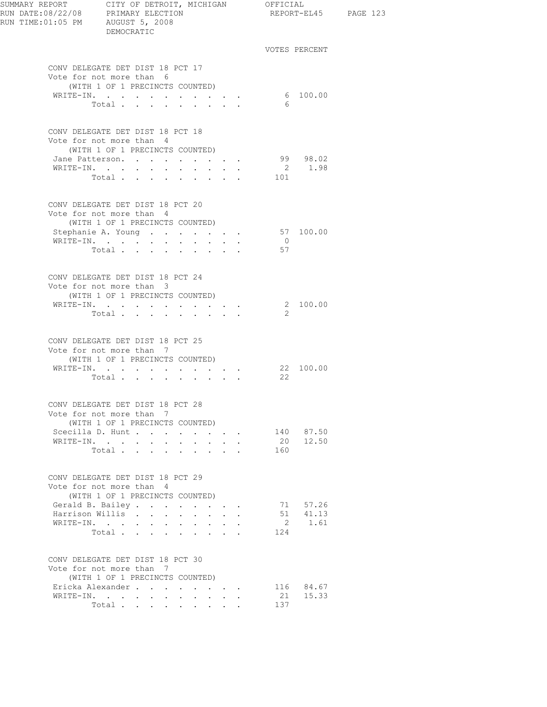| SUMMARY REPORT CITY OF DETROIT, MICHIGAN OFFICIAL<br>RUN DATE:08/22/08 PRIMARY ELECTION<br>RUN TIME: 01:05 PM AUGUST 5, 2008 | DEMOCRATIC                                                                                      |                                                               |             |             |                                                                                                                                |                | REPORT-EL45 PAGE 123 |  |
|------------------------------------------------------------------------------------------------------------------------------|-------------------------------------------------------------------------------------------------|---------------------------------------------------------------|-------------|-------------|--------------------------------------------------------------------------------------------------------------------------------|----------------|----------------------|--|
|                                                                                                                              |                                                                                                 |                                                               |             |             |                                                                                                                                |                | VOTES PERCENT        |  |
|                                                                                                                              | CONV DELEGATE DET DIST 18 PCT 17<br>Vote for not more than 6<br>(WITH 1 OF 1 PRECINCTS COUNTED) |                                                               |             |             |                                                                                                                                |                |                      |  |
|                                                                                                                              | WRITE-IN.                                                                                       |                                                               |             |             | $\mathcal{L}^{\mathcal{A}}(\mathcal{A})$ , $\mathcal{L}^{\mathcal{A}}(\mathcal{A})$ , $\mathcal{L}^{\mathcal{A}}(\mathcal{A})$ |                | 6 100.00             |  |
|                                                                                                                              | Total.                                                                                          |                                                               |             |             |                                                                                                                                | - 6            |                      |  |
|                                                                                                                              | CONV DELEGATE DET DIST 18 PCT 18<br>Vote for not more than 4<br>(WITH 1 OF 1 PRECINCTS COUNTED) |                                                               |             |             |                                                                                                                                |                |                      |  |
|                                                                                                                              | Jane Patterson.                                                                                 |                                                               |             |             | $\mathbf{r} = \mathbf{r} + \mathbf{r} + \mathbf{r} + \mathbf{r}$                                                               |                | 99 98.02             |  |
|                                                                                                                              | WRITE-IN.                                                                                       |                                                               |             |             |                                                                                                                                |                | 2 1.98               |  |
|                                                                                                                              | Total 101                                                                                       |                                                               |             |             |                                                                                                                                |                |                      |  |
|                                                                                                                              | CONV DELEGATE DET DIST 18 PCT 20<br>Vote for not more than 4                                    |                                                               |             |             |                                                                                                                                |                |                      |  |
|                                                                                                                              | (WITH 1 OF 1 PRECINCTS COUNTED)                                                                 |                                                               |             |             |                                                                                                                                |                |                      |  |
|                                                                                                                              | Stephanie A. Young<br>WRITE-IN.                                                                 |                                                               |             |             |                                                                                                                                | $\overline{0}$ | 57 100.00            |  |
|                                                                                                                              | Total                                                                                           |                                                               |             |             |                                                                                                                                | 57             |                      |  |
|                                                                                                                              |                                                                                                 |                                                               |             |             |                                                                                                                                |                |                      |  |
|                                                                                                                              | CONV DELEGATE DET DIST 18 PCT 24                                                                |                                                               |             |             |                                                                                                                                |                |                      |  |
|                                                                                                                              | Vote for not more than 3<br>(WITH 1 OF 1 PRECINCTS COUNTED)                                     |                                                               |             |             |                                                                                                                                |                |                      |  |
|                                                                                                                              | WRITE-IN.                                                                                       |                                                               |             |             |                                                                                                                                |                | 2 100.00             |  |
|                                                                                                                              | Total $\cdots$                                                                                  |                                                               |             |             |                                                                                                                                | 2              |                      |  |
|                                                                                                                              | CONV DELEGATE DET DIST 18 PCT 25<br>Vote for not more than 7<br>(WITH 1 OF 1 PRECINCTS COUNTED) |                                                               |             |             |                                                                                                                                |                |                      |  |
|                                                                                                                              | WRITE-IN.                                                                                       |                                                               |             |             | $\mathbf{r}$ , and $\mathbf{r}$ , and $\mathbf{r}$                                                                             |                | 22 100.00            |  |
|                                                                                                                              | Total                                                                                           |                                                               |             |             |                                                                                                                                | $22^{\circ}$   |                      |  |
|                                                                                                                              | CONV DELEGATE DET DIST 18 PCT 28<br>Vote for not more than 7<br>(WITH 1 OF 1 PRECINCTS COUNTED) |                                                               |             |             |                                                                                                                                |                |                      |  |
|                                                                                                                              | Scecilla D. Hunt                                                                                |                                                               | $\sim$      |             | and a strategic state                                                                                                          |                | 140 87.50            |  |
|                                                                                                                              | WRITE-IN.                                                                                       |                                                               |             |             |                                                                                                                                |                | 20 12.50             |  |
|                                                                                                                              | Total $\cdots$                                                                                  |                                                               |             |             |                                                                                                                                | 160            |                      |  |
|                                                                                                                              | CONV DELEGATE DET DIST 18 PCT 29<br>Vote for not more than 4<br>(WITH 1 OF 1 PRECINCTS COUNTED) |                                                               |             |             |                                                                                                                                |                |                      |  |
|                                                                                                                              | Gerald B. Bailey.                                                                               |                                                               |             |             |                                                                                                                                |                | 71 57.26             |  |
|                                                                                                                              | Harrison Willis                                                                                 |                                                               |             |             |                                                                                                                                |                | 51 41.13             |  |
| WRITE-IN.                                                                                                                    | $\sim$ $-$<br>$\sim$                                                                            | $\mathcal{L}^{\text{max}}$ , where $\mathcal{L}^{\text{max}}$ | $\bullet$ . | $\bullet$ . |                                                                                                                                | $\overline{2}$ | 1.61                 |  |
|                                                                                                                              | Total                                                                                           |                                                               |             |             |                                                                                                                                | 124            |                      |  |
|                                                                                                                              | CONV DELEGATE DET DIST 18 PCT 30<br>Vote for not more than 7<br>(WITH 1 OF 1 PRECINCTS COUNTED) |                                                               |             |             |                                                                                                                                |                |                      |  |
|                                                                                                                              | Ericka Alexander                                                                                |                                                               |             |             |                                                                                                                                |                | 116 84.67            |  |
|                                                                                                                              | WRITE-IN.                                                                                       |                                                               |             |             | $\ddot{\phantom{0}}$                                                                                                           | 21             | 15.33                |  |
|                                                                                                                              | Total                                                                                           |                                                               |             |             |                                                                                                                                | 137            |                      |  |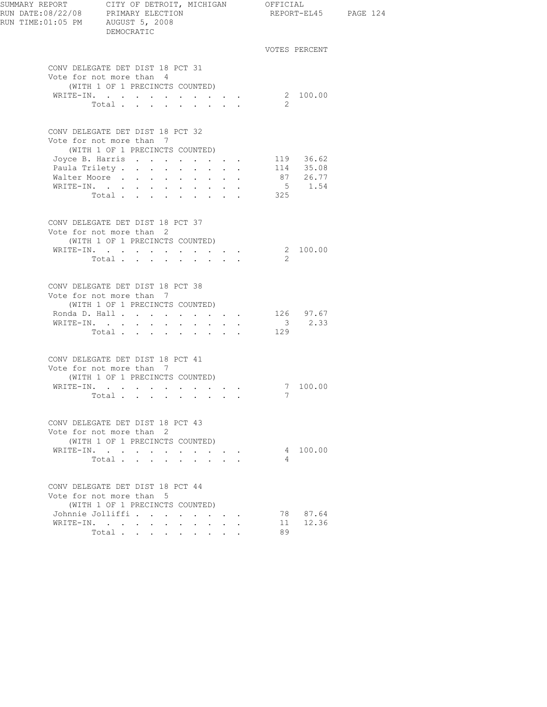| SUMMARY REPORT CITY OF DETROIT, MICHIGAN OFFICIAL | DEMOCRATIC                                                                                                                                                                                    |                                                                                                                                                    |                |                                      | REPORT-EL45 PAGE 124 |
|---------------------------------------------------|-----------------------------------------------------------------------------------------------------------------------------------------------------------------------------------------------|----------------------------------------------------------------------------------------------------------------------------------------------------|----------------|--------------------------------------|----------------------|
|                                                   |                                                                                                                                                                                               |                                                                                                                                                    |                | VOTES PERCENT                        |                      |
|                                                   | CONV DELEGATE DET DIST 18 PCT 31<br>Vote for not more than 4<br>(WITH 1 OF 1 PRECINCTS COUNTED)<br>WRITE-IN. 2 100.00<br>Total $\cdots$                                                       |                                                                                                                                                    | $\overline{2}$ |                                      |                      |
|                                                   | CONV DELEGATE DET DIST 18 PCT 32<br>Vote for not more than 7<br>(WITH 1 OF 1 PRECINCTS COUNTED)<br>Joyce B. Harris 119 36.62<br>Paula Trilety.<br>Walter Moore<br>WRITE-IN.<br>Total $\cdots$ |                                                                                                                                                    | 325            | 114 35.08<br>87 26.77<br>$5 \t 1.54$ |                      |
|                                                   | CONV DELEGATE DET DIST 18 PCT 37<br>Vote for not more than 2<br>(WITH 1 OF 1 PRECINCTS COUNTED)<br>WRITE-IN.<br>Total                                                                         |                                                                                                                                                    | 2              | 2 100.00                             |                      |
|                                                   | CONV DELEGATE DET DIST 18 PCT 38<br>Vote for not more than 7<br>(WITH 1 OF 1 PRECINCTS COUNTED)<br>Ronda D. Hall 126 97.67<br>WRITE-IN. 3 2.33<br>Total                                       |                                                                                                                                                    | 129            |                                      |                      |
|                                                   | CONV DELEGATE DET DIST 18 PCT 41<br>Vote for not more than 7<br>(WITH 1 OF 1 PRECINCTS COUNTED)<br>WRITE-IN. 7 100.00                                                                         |                                                                                                                                                    |                | 7                                    |                      |
|                                                   | CONV DELEGATE DET DIST 18 PCT 43<br>Vote for not more than 2<br>(WITH 1 OF 1 PRECINCTS COUNTED)<br>WRITE-IN.<br>Total                                                                         |                                                                                                                                                    | 4              | 4 100.00                             |                      |
|                                                   | CONV DELEGATE DET DIST 18 PCT 44<br>Vote for not more than 5<br>(WITH 1 OF 1 PRECINCTS COUNTED)<br>Johnnie Jolliffi<br>WRITE-IN.<br>Total $\cdots$ $\cdots$                                   | $\mathbf{r} = \mathbf{r} \cdot \mathbf{r}$<br><b>Contract Contract</b><br>$\mathbf{r} = \mathbf{r} + \mathbf{r}$ , where $\mathbf{r} = \mathbf{r}$ | 89             | 78 87.64<br>11 12.36                 |                      |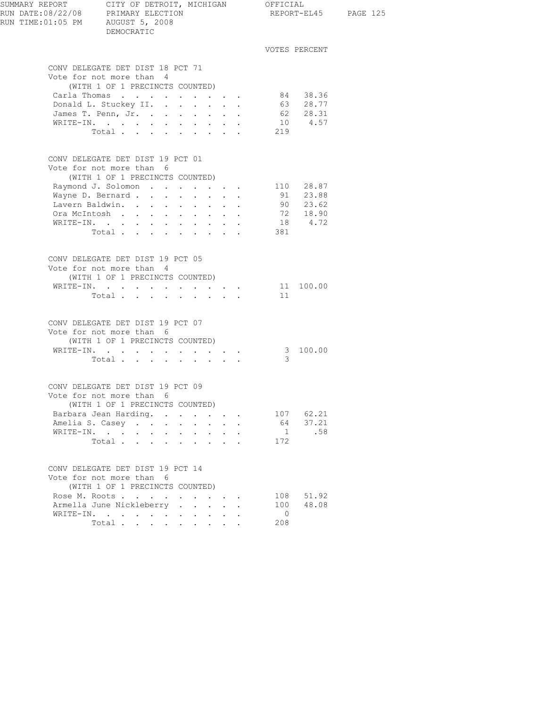| CONV DELEGATE DET DIST 18 PCT 71<br>Vote for not more than 4<br>(WITH 1 OF 1 PRECINCTS COUNTED)<br>Carla Thomas 84 38.36<br>Donald L. Stuckey II.<br>James T. Penn, Jr.<br>WRITE-IN.<br>Total 219<br>CONV DELEGATE DET DIST 19 PCT 01<br>Vote for not more than 6<br>(WITH 1 OF 1 PRECINCTS COUNTED)<br>Raymond J. Solomon 110 28.87<br>Wayne D. Bernard |                              | VOTES PERCENT<br>63 28.77<br>62 28.31<br>10 4.57 |  |
|----------------------------------------------------------------------------------------------------------------------------------------------------------------------------------------------------------------------------------------------------------------------------------------------------------------------------------------------------------|------------------------------|--------------------------------------------------|--|
|                                                                                                                                                                                                                                                                                                                                                          |                              |                                                  |  |
|                                                                                                                                                                                                                                                                                                                                                          |                              |                                                  |  |
|                                                                                                                                                                                                                                                                                                                                                          |                              |                                                  |  |
|                                                                                                                                                                                                                                                                                                                                                          |                              |                                                  |  |
| Lavern Baldwin.<br>Ora McIntosh<br>WRITE-IN.<br>Total                                                                                                                                                                                                                                                                                                    | 381                          | 91 23.88<br>90 23.62<br>72 18.90<br>18 4.72      |  |
| CONV DELEGATE DET DIST 19 PCT 05<br>Vote for not more than 4<br>(WITH 1 OF 1 PRECINCTS COUNTED)<br>WRITE-IN.                                                                                                                                                                                                                                             |                              | 11 100.00                                        |  |
| Total $\cdots$                                                                                                                                                                                                                                                                                                                                           | 11                           |                                                  |  |
| CONV DELEGATE DET DIST 19 PCT 07<br>Vote for not more than 6<br>(WITH 1 OF 1 PRECINCTS COUNTED)                                                                                                                                                                                                                                                          |                              |                                                  |  |
| WRITE-IN.<br>Total                                                                                                                                                                                                                                                                                                                                       | 3                            | 3 100.00                                         |  |
| CONV DELEGATE DET DIST 19 PCT 09<br>Vote for not more than 6<br>(WITH 1 OF 1 PRECINCTS COUNTED)                                                                                                                                                                                                                                                          |                              |                                                  |  |
| Barbara Jean Harding.<br>Amelia S. Casey<br>WRITE-IN.<br>Total                                                                                                                                                                                                                                                                                           | 64<br>1<br>172               | 107 62.21<br>37.21<br>.58                        |  |
| CONV DELEGATE DET DIST 19 PCT 14<br>Vote for not more than 6<br>(WITH 1 OF 1 PRECINCTS COUNTED)                                                                                                                                                                                                                                                          |                              |                                                  |  |
| Rose M. Roots<br>Armella June Nickleberry<br>WRITE-IN.<br>Total $\cdots$                                                                                                                                                                                                                                                                                 | 100<br>$\overline{0}$<br>208 | 108 51.92<br>48.08                               |  |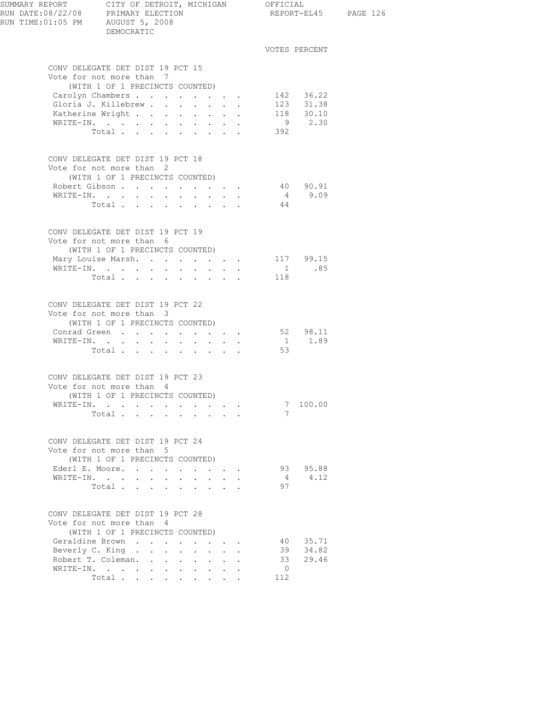| SUMMARY REPORT CITY OF DETROIT, MICHIGAN OFFICIAL<br>RUN DATE:08/22/08 PRIMARY ELECTION REPORT-EL<br>RUN TIME:01:05 PM AUGUST 5, 2008 | DEMOCRATIC                                                                                                               |                            |                                    |                           |                |                        | REPORT-EL45 PAGE 126 |
|---------------------------------------------------------------------------------------------------------------------------------------|--------------------------------------------------------------------------------------------------------------------------|----------------------------|------------------------------------|---------------------------|----------------|------------------------|----------------------|
|                                                                                                                                       |                                                                                                                          |                            |                                    |                           |                | VOTES PERCENT          |                      |
|                                                                                                                                       | CONV DELEGATE DET DIST 19 PCT 15<br>Vote for not more than 7                                                             |                            |                                    |                           |                |                        |                      |
|                                                                                                                                       | (WITH 1 OF 1 PRECINCTS COUNTED)                                                                                          |                            |                                    |                           |                |                        |                      |
|                                                                                                                                       | Carolyn Chambers                                                                                                         |                            |                                    |                           |                | 142 36.22<br>123 31.38 |                      |
|                                                                                                                                       | Gloria J. Killebrew<br>Katherine Wright 118 30.10                                                                        |                            |                                    |                           |                |                        |                      |
|                                                                                                                                       | WRITE-IN.                                                                                                                |                            |                                    |                           |                | 9 2.30                 |                      |
|                                                                                                                                       | Total                                                                                                                    |                            |                                    |                           | 392            |                        |                      |
|                                                                                                                                       | CONV DELEGATE DET DIST 19 PCT 18<br>Vote for not more than 2                                                             |                            |                                    |                           |                |                        |                      |
|                                                                                                                                       | (WITH 1 OF 1 PRECINCTS COUNTED)                                                                                          |                            |                                    |                           |                |                        |                      |
|                                                                                                                                       | Robert Gibson                                                                                                            |                            |                                    |                           |                | 40 90.91               |                      |
|                                                                                                                                       | WRITE-IN.                                                                                                                |                            |                                    |                           |                | 49.09                  |                      |
|                                                                                                                                       | Total                                                                                                                    |                            |                                    |                           | 44             |                        |                      |
|                                                                                                                                       | CONV DELEGATE DET DIST 19 PCT 19                                                                                         |                            |                                    |                           |                |                        |                      |
|                                                                                                                                       | Vote for not more than 6                                                                                                 |                            |                                    |                           |                |                        |                      |
|                                                                                                                                       | (WITH 1 OF 1 PRECINCTS COUNTED)<br>Mary Louise Marsh. 117 99.15                                                          |                            |                                    |                           |                |                        |                      |
|                                                                                                                                       | WRITE-IN.                                                                                                                |                            |                                    |                           |                | $1 \t 85$              |                      |
|                                                                                                                                       | Total                                                                                                                    |                            |                                    |                           | 118            |                        |                      |
|                                                                                                                                       | CONV DELEGATE DET DIST 19 PCT 22<br>Vote for not more than 3<br>(WITH 1 OF 1 PRECINCTS COUNTED)<br>Conrad Green 52 98.11 |                            |                                    |                           |                |                        |                      |
|                                                                                                                                       | WRITE-IN.                                                                                                                |                            |                                    |                           |                | 1 1.89                 |                      |
|                                                                                                                                       | Total                                                                                                                    |                            |                                    |                           | 53             |                        |                      |
|                                                                                                                                       | CONV DELEGATE DET DIST 19 PCT 23<br>Vote for not more than 4                                                             |                            |                                    |                           |                |                        |                      |
|                                                                                                                                       | (WITH 1 OF 1 PRECINCTS COUNTED)<br>WRITE-IN.                                                                             |                            |                                    |                           | 7              | 100.00                 |                      |
|                                                                                                                                       | Total                                                                                                                    |                            |                                    |                           | 7              |                        |                      |
|                                                                                                                                       |                                                                                                                          |                            |                                    |                           |                |                        |                      |
|                                                                                                                                       | CONV DELEGATE DET DIST 19 PCT 24<br>Vote for not more than 5<br>(WITH 1 OF 1 PRECINCTS COUNTED)                          |                            |                                    |                           |                |                        |                      |
|                                                                                                                                       | Ederl E. Moore.                                                                                                          |                            |                                    |                           |                | 93 95.88               |                      |
|                                                                                                                                       | WRITE-IN.                                                                                                                | $\mathcal{L}^{\text{max}}$ | $\mathbf{L}^{\text{max}}$          | $\mathbf{L} = \mathbf{L}$ | 4              | 4.12                   |                      |
|                                                                                                                                       | Total                                                                                                                    |                            |                                    |                           | 97             |                        |                      |
|                                                                                                                                       | CONV DELEGATE DET DIST 19 PCT 28<br>Vote for not more than 4<br>(WITH 1 OF 1 PRECINCTS COUNTED)                          |                            |                                    |                           |                |                        |                      |
|                                                                                                                                       | Geraldine Brown                                                                                                          |                            | and the contract of the con-       |                           |                | 40 35.71               |                      |
|                                                                                                                                       | Beverly C. King                                                                                                          |                            | $\mathbf{L}^{\text{max}}$          |                           |                | 39 34.82               |                      |
| Robert T. Coleman.                                                                                                                    | $\sim$ $\sim$ $\sim$ $\sim$ $\sim$                                                                                       |                            | $\mathbf{L}$<br>$\Delta \sim 10^4$ | $\mathbf{L}$              | 33             | 29.46                  |                      |
|                                                                                                                                       | WRITE-IN.                                                                                                                | $\sim 100$                 | $\cdot$ $\cdot$ $\cdot$ $\cdot$    |                           | $\overline{0}$ |                        |                      |
|                                                                                                                                       | Total                                                                                                                    |                            |                                    |                           | 112            |                        |                      |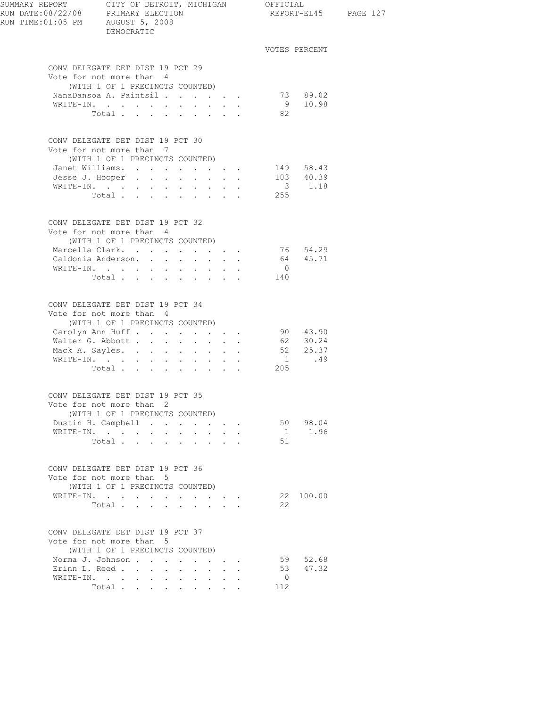| SUMMARY REPORT CITY OF DETROIT, MICHIGAN OFFICIAL<br>RUN DATE:08/22/08 PRIMARY ELECTION REPORT-EL4<br>RUN TIME: 01:05 PM AUGUST 5, 2008 | DEMOCRATIC                                                                                                                                                                           |                      |                                 |                      |                | REPORT-EL45 PAGE 127                                        |  |
|-----------------------------------------------------------------------------------------------------------------------------------------|--------------------------------------------------------------------------------------------------------------------------------------------------------------------------------------|----------------------|---------------------------------|----------------------|----------------|-------------------------------------------------------------|--|
|                                                                                                                                         |                                                                                                                                                                                      |                      |                                 |                      |                | VOTES PERCENT                                               |  |
|                                                                                                                                         | CONV DELEGATE DET DIST 19 PCT 29<br>Vote for not more than 4                                                                                                                         |                      |                                 |                      |                |                                                             |  |
|                                                                                                                                         | (WITH 1 OF 1 PRECINCTS COUNTED)                                                                                                                                                      |                      |                                 |                      |                |                                                             |  |
|                                                                                                                                         | NanaDansoa A. Paintsil<br>WRITE-IN.                                                                                                                                                  |                      |                                 |                      |                | 73 89.02<br>9 10.98                                         |  |
|                                                                                                                                         | Total                                                                                                                                                                                |                      |                                 |                      | 82             |                                                             |  |
|                                                                                                                                         |                                                                                                                                                                                      |                      |                                 |                      |                |                                                             |  |
|                                                                                                                                         | CONV DELEGATE DET DIST 19 PCT 30                                                                                                                                                     |                      |                                 |                      |                |                                                             |  |
|                                                                                                                                         | Vote for not more than 7                                                                                                                                                             |                      |                                 |                      |                |                                                             |  |
|                                                                                                                                         | (WITH 1 OF 1 PRECINCTS COUNTED)                                                                                                                                                      |                      |                                 |                      |                |                                                             |  |
|                                                                                                                                         | Janet Williams. 149 58.43                                                                                                                                                            |                      |                                 |                      |                |                                                             |  |
|                                                                                                                                         | Jesse J. Hooper 103 40.39                                                                                                                                                            |                      |                                 |                      |                |                                                             |  |
|                                                                                                                                         | WRITE-IN.                                                                                                                                                                            |                      |                                 |                      |                | $\begin{array}{cccc}\n & 3 & 1.18 \\ & & 255 & \end{array}$ |  |
|                                                                                                                                         | Total.                                                                                                                                                                               |                      |                                 |                      |                |                                                             |  |
|                                                                                                                                         | CONV DELEGATE DET DIST 19 PCT 32<br>Vote for not more than 4                                                                                                                         |                      |                                 |                      |                |                                                             |  |
|                                                                                                                                         | (WITH 1 OF 1 PRECINCTS COUNTED)                                                                                                                                                      |                      |                                 |                      |                |                                                             |  |
|                                                                                                                                         | Marcella Clark.                                                                                                                                                                      |                      |                                 |                      |                |                                                             |  |
|                                                                                                                                         | Caldonia Anderson.                                                                                                                                                                   |                      |                                 |                      |                | 76 54.29<br>64 45.71                                        |  |
|                                                                                                                                         | WRITE-IN.                                                                                                                                                                            |                      |                                 |                      | $\overline{0}$ |                                                             |  |
|                                                                                                                                         | Total                                                                                                                                                                                |                      |                                 |                      | 140            |                                                             |  |
|                                                                                                                                         | CONV DELEGATE DET DIST 19 PCT 34<br>Vote for not more than 4<br>(WITH 1 OF 1 PRECINCTS COUNTED)<br>Carolyn Ann Huff<br>Walter G. Abbott<br>Mack A. Sayles.<br>WRITE-IN.<br>Total 205 |                      |                                 |                      |                | 90 43.90<br>62 30.24<br>52 25.37<br>1 .49                   |  |
|                                                                                                                                         | CONV DELEGATE DET DIST 19 PCT 35<br>Vote for not more than 2<br>(WITH 1 OF 1 PRECINCTS COUNTED)                                                                                      |                      |                                 |                      |                |                                                             |  |
|                                                                                                                                         | Dustin H. Campbell                                                                                                                                                                   |                      |                                 |                      |                | 50 98.04                                                    |  |
|                                                                                                                                         | WRITE-IN.                                                                                                                                                                            |                      | <b>Service Control</b>          | $\ddot{\phantom{a}}$ |                | 1 1.96                                                      |  |
|                                                                                                                                         | Total.                                                                                                                                                                               |                      |                                 |                      | 51             |                                                             |  |
|                                                                                                                                         | CONV DELEGATE DET DIST 19 PCT 36<br>Vote for not more than 5<br>(WITH 1 OF 1 PRECINCTS COUNTED)                                                                                      |                      |                                 |                      |                |                                                             |  |
|                                                                                                                                         | WRITE-IN.                                                                                                                                                                            |                      | <b>All Contract Contracts</b>   |                      |                | 22 100.00                                                   |  |
|                                                                                                                                         | Total                                                                                                                                                                                |                      |                                 |                      | 22             |                                                             |  |
|                                                                                                                                         | CONV DELEGATE DET DIST 19 PCT 37<br>Vote for not more than 5<br>(WITH 1 OF 1 PRECINCTS COUNTED)                                                                                      |                      |                                 |                      |                |                                                             |  |
|                                                                                                                                         | Norma J. Johnson                                                                                                                                                                     |                      |                                 |                      |                | 59 52.68                                                    |  |
|                                                                                                                                         | Erinn L. Reed                                                                                                                                                                        |                      |                                 |                      | 53             | 47.32                                                       |  |
|                                                                                                                                         | WRITE-IN.                                                                                                                                                                            |                      |                                 |                      | $\overline{0}$ |                                                             |  |
|                                                                                                                                         | Total<br>$\sim$                                                                                                                                                                      | $\ddot{\phantom{0}}$ | $\cdot$ $\cdot$ $\cdot$ $\cdot$ |                      | 112            |                                                             |  |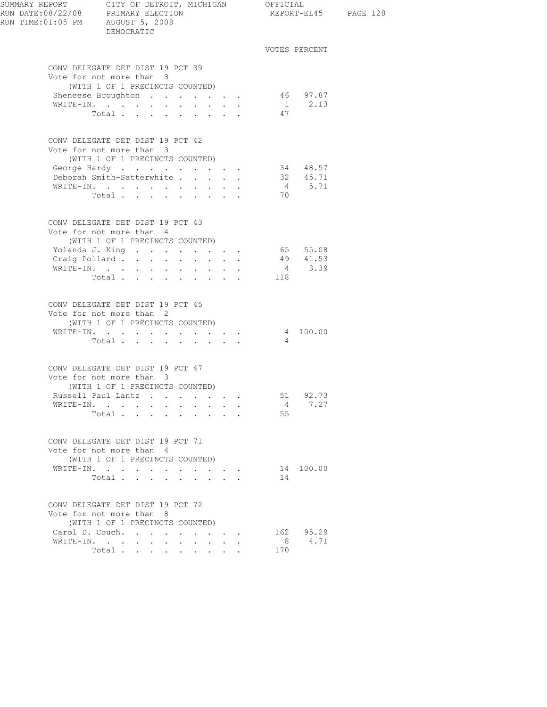| SUMMARY REPORT CITY OF DETROIT, MICHIGAN OFFICIAL<br>RUN DATE:08/22/08 PRIMARY ELECTION REPORT-EL4<br>RUN TIME:01:05 PM AUGUST 5, 2008 | DEMOCRATIC                                                                                                      |                                                                                   |                                          |                                 |                |                      | REPORT-EL45 PAGE 128 |
|----------------------------------------------------------------------------------------------------------------------------------------|-----------------------------------------------------------------------------------------------------------------|-----------------------------------------------------------------------------------|------------------------------------------|---------------------------------|----------------|----------------------|----------------------|
|                                                                                                                                        |                                                                                                                 |                                                                                   |                                          |                                 |                | VOTES PERCENT        |                      |
|                                                                                                                                        | CONV DELEGATE DET DIST 19 PCT 39<br>Vote for not more than 3                                                    |                                                                                   |                                          |                                 |                |                      |                      |
|                                                                                                                                        | (WITH 1 OF 1 PRECINCTS COUNTED)                                                                                 |                                                                                   |                                          |                                 |                |                      |                      |
|                                                                                                                                        | Sheneese Broughton                                                                                              |                                                                                   |                                          |                                 |                | 46 97.87<br>1 2.13   |                      |
|                                                                                                                                        | WRITE-IN.                                                                                                       | $\ddot{\phantom{0}}$<br>$\sim 100$                                                |                                          |                                 |                |                      |                      |
|                                                                                                                                        | Total                                                                                                           |                                                                                   |                                          |                                 | 47             |                      |                      |
|                                                                                                                                        | CONV DELEGATE DET DIST 19 PCT 42                                                                                |                                                                                   |                                          |                                 |                |                      |                      |
|                                                                                                                                        | Vote for not more than 3                                                                                        |                                                                                   |                                          |                                 |                |                      |                      |
|                                                                                                                                        | (WITH 1 OF 1 PRECINCTS COUNTED)<br>George Hardy                                                                 |                                                                                   |                                          |                                 |                | 34 48.57             |                      |
|                                                                                                                                        | Deborah Smith-Satterwhite                                                                                       |                                                                                   |                                          | $\ddot{\phantom{a}}$            |                | 32 45.71             |                      |
|                                                                                                                                        | $\mathtt{WRTTE-IN.} \qquad \qquad \ldots \qquad \qquad \ldots \qquad \qquad \ldots \qquad \ldots \qquad \ldots$ |                                                                                   |                                          |                                 |                | 4 5.71               |                      |
|                                                                                                                                        | Total $\cdots$ $\cdots$ $\cdots$                                                                                |                                                                                   |                                          |                                 | 70             |                      |                      |
|                                                                                                                                        |                                                                                                                 |                                                                                   |                                          |                                 |                |                      |                      |
|                                                                                                                                        | CONV DELEGATE DET DIST 19 PCT 43                                                                                |                                                                                   |                                          |                                 |                |                      |                      |
|                                                                                                                                        | Vote for not more than 4                                                                                        |                                                                                   |                                          |                                 |                |                      |                      |
|                                                                                                                                        | (WITH 1 OF 1 PRECINCTS COUNTED)                                                                                 |                                                                                   |                                          |                                 |                |                      |                      |
|                                                                                                                                        | Yolanda J. King<br>Craig Pollard                                                                                |                                                                                   |                                          |                                 |                | 65 55.08<br>49 41.53 |                      |
|                                                                                                                                        |                                                                                                                 | $\mathbf{r} = \mathbf{r}$ and $\mathbf{r} = \mathbf{r}$                           |                                          |                                 |                | $4 \t3.39$           |                      |
|                                                                                                                                        | WRITE-IN.<br>Total                                                                                              |                                                                                   |                                          |                                 | 118            |                      |                      |
|                                                                                                                                        |                                                                                                                 |                                                                                   |                                          |                                 |                |                      |                      |
|                                                                                                                                        | CONV DELEGATE DET DIST 19 PCT 45                                                                                |                                                                                   |                                          |                                 |                |                      |                      |
|                                                                                                                                        | Vote for not more than 2                                                                                        |                                                                                   |                                          |                                 |                |                      |                      |
|                                                                                                                                        | (WITH 1 OF 1 PRECINCTS COUNTED)                                                                                 |                                                                                   |                                          |                                 |                |                      |                      |
|                                                                                                                                        | WRITE-IN.                                                                                                       |                                                                                   |                                          |                                 |                | 4 100.00             |                      |
|                                                                                                                                        | Total                                                                                                           |                                                                                   |                                          |                                 | $\sim$ 4       |                      |                      |
|                                                                                                                                        | CONV DELEGATE DET DIST 19 PCT 47                                                                                |                                                                                   |                                          |                                 |                |                      |                      |
|                                                                                                                                        | Vote for not more than 3                                                                                        |                                                                                   |                                          |                                 |                |                      |                      |
|                                                                                                                                        | (WITH 1 OF 1 PRECINCTS COUNTED)                                                                                 |                                                                                   |                                          |                                 |                |                      |                      |
|                                                                                                                                        | Russell Paul Lantz                                                                                              |                                                                                   |                                          |                                 | 51             | 92.73                |                      |
|                                                                                                                                        | WRITE-IN.                                                                                                       |                                                                                   |                                          |                                 | 4              | 7.27                 |                      |
|                                                                                                                                        | Total                                                                                                           |                                                                                   |                                          |                                 | 55             |                      |                      |
|                                                                                                                                        | CONV DELEGATE DET DIST 19 PCT 71                                                                                |                                                                                   |                                          |                                 |                |                      |                      |
|                                                                                                                                        | Vote for not more than 4                                                                                        |                                                                                   |                                          |                                 |                |                      |                      |
|                                                                                                                                        | (WITH 1 OF 1 PRECINCTS COUNTED)                                                                                 |                                                                                   |                                          |                                 |                |                      |                      |
|                                                                                                                                        | WRITE-IN.                                                                                                       | the contract of the contract of                                                   |                                          |                                 |                | 14 100.00            |                      |
|                                                                                                                                        | Total                                                                                                           | $\mathbf{r} = \mathbf{r}$ , $\mathbf{r} = \mathbf{r}$ , $\mathbf{r} = \mathbf{r}$ |                                          |                                 | 14             |                      |                      |
|                                                                                                                                        | CONV DELEGATE DET DIST 19 PCT 72                                                                                |                                                                                   |                                          |                                 |                |                      |                      |
|                                                                                                                                        | Vote for not more than 8                                                                                        |                                                                                   |                                          |                                 |                |                      |                      |
|                                                                                                                                        | (WITH 1 OF 1 PRECINCTS COUNTED)                                                                                 |                                                                                   |                                          |                                 |                |                      |                      |
|                                                                                                                                        | Carol D. Couch.                                                                                                 |                                                                                   |                                          | $\cdot$ $\cdot$ $\cdot$ $\cdot$ |                | 162 95.29            |                      |
|                                                                                                                                        | WRITE-IN.<br>$\ddot{\phantom{0}}$                                                                               | $\bullet$                                                                         | $\mathbf{z} = \mathbf{z} + \mathbf{z}$ . |                                 | 8 <sup>1</sup> | 4.71                 |                      |
|                                                                                                                                        | Total                                                                                                           |                                                                                   |                                          |                                 | 170            |                      |                      |
|                                                                                                                                        |                                                                                                                 |                                                                                   |                                          |                                 |                |                      |                      |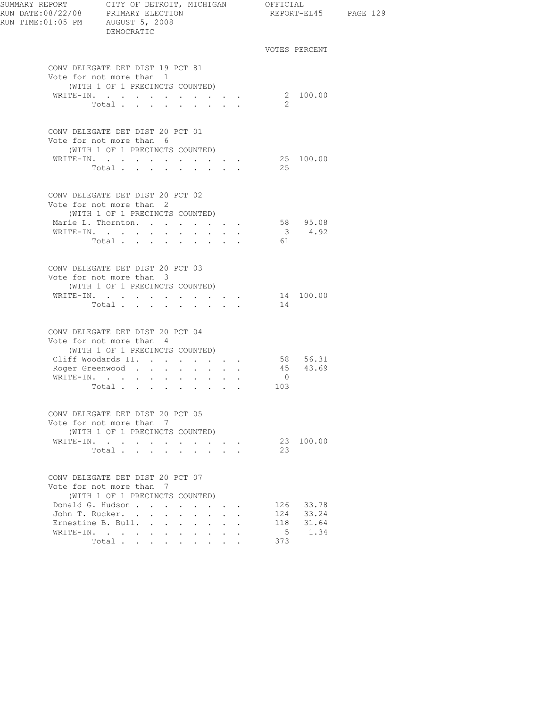| RUN TIME:01:05 PM AUGUST 5, 2008 | DEMOCRATIC                                                                                      |                                               |                             |                      |                |                    | REPORT-EL45 PAGE 129 |
|----------------------------------|-------------------------------------------------------------------------------------------------|-----------------------------------------------|-----------------------------|----------------------|----------------|--------------------|----------------------|
|                                  |                                                                                                 |                                               |                             |                      |                | VOTES PERCENT      |                      |
|                                  | CONV DELEGATE DET DIST 19 PCT 81<br>Vote for not more than 1                                    |                                               |                             |                      |                |                    |                      |
|                                  | (WITH 1 OF 1 PRECINCTS COUNTED)<br>WRITE-IN.<br>Total                                           |                                               |                             |                      | -2             | 2 100.00           |                      |
|                                  |                                                                                                 |                                               |                             |                      |                |                    |                      |
|                                  | CONV DELEGATE DET DIST 20 PCT 01<br>Vote for not more than 6<br>(WITH 1 OF 1 PRECINCTS COUNTED) |                                               |                             |                      |                |                    |                      |
|                                  | WRITE-IN.                                                                                       |                                               |                             |                      |                | 25 100.00          |                      |
|                                  | Total                                                                                           |                                               |                             |                      | 25             |                    |                      |
|                                  | CONV DELEGATE DET DIST 20 PCT 02<br>Vote for not more than 2                                    |                                               |                             |                      |                |                    |                      |
|                                  | (WITH 1 OF 1 PRECINCTS COUNTED)                                                                 |                                               |                             |                      |                |                    |                      |
|                                  | Marie L. Thornton.                                                                              |                                               |                             |                      |                | 58 95.08<br>3 4.92 |                      |
|                                  | WRITE-IN.                                                                                       |                                               |                             |                      |                |                    |                      |
|                                  | Total 61                                                                                        |                                               |                             |                      |                |                    |                      |
|                                  | CONV DELEGATE DET DIST 20 PCT 03<br>Vote for not more than 3                                    |                                               |                             |                      |                |                    |                      |
|                                  | (WITH 1 OF 1 PRECINCTS COUNTED)                                                                 |                                               |                             |                      |                |                    |                      |
|                                  | WRITE-IN. 14 100.00                                                                             |                                               |                             |                      |                |                    |                      |
|                                  |                                                                                                 |                                               |                             |                      | 14             |                    |                      |
|                                  | CONV DELEGATE DET DIST 20 PCT 04<br>Vote for not more than 4                                    |                                               |                             |                      |                |                    |                      |
|                                  | (WITH 1 OF 1 PRECINCTS COUNTED)                                                                 |                                               |                             |                      |                |                    |                      |
|                                  | Cliff Woodards II. 58 56.31                                                                     |                                               |                             |                      |                |                    |                      |
|                                  | Roger Greenwood                                                                                 |                                               |                             |                      |                | 45 43.69           |                      |
|                                  | WRITE-IN.                                                                                       |                                               |                             |                      | $\overline{0}$ |                    |                      |
|                                  | Total                                                                                           |                                               |                             |                      | 103            |                    |                      |
|                                  |                                                                                                 |                                               |                             |                      |                |                    |                      |
|                                  | CONV DELEGATE DET DIST 20 PCT 05<br>Vote for not more than 7                                    |                                               |                             |                      |                |                    |                      |
|                                  | (WITH 1 OF 1 PRECINCTS COUNTED)                                                                 |                                               |                             |                      |                |                    |                      |
|                                  | WRITE-IN.                                                                                       |                                               | $\sim$ $\sim$ $\sim$ $\sim$ |                      |                | 23 100.00          |                      |
|                                  | Total                                                                                           |                                               |                             |                      | 23             |                    |                      |
|                                  | CONV DELEGATE DET DIST 20 PCT 07<br>Vote for not more than 7<br>(WITH 1 OF 1 PRECINCTS COUNTED) |                                               |                             |                      |                |                    |                      |
|                                  | Donald G. Hudson                                                                                |                                               |                             |                      |                | 126 33.78          |                      |
|                                  | John T. Rucker.                                                                                 |                                               |                             | $\ddot{\phantom{a}}$ |                | 124 33.24          |                      |
|                                  | Ernestine B. Bull.                                                                              |                                               |                             |                      | 118            | 31.64              |                      |
|                                  | WRITE-IN.                                                                                       | $\mathbf{r} = \mathbf{r}$<br>$\sim$ 100 $\pm$ | $\sim$                      |                      | 5 <sup>5</sup> | 1.34               |                      |
|                                  | Total                                                                                           |                                               |                             |                      | 373            |                    |                      |
|                                  |                                                                                                 |                                               |                             |                      |                |                    |                      |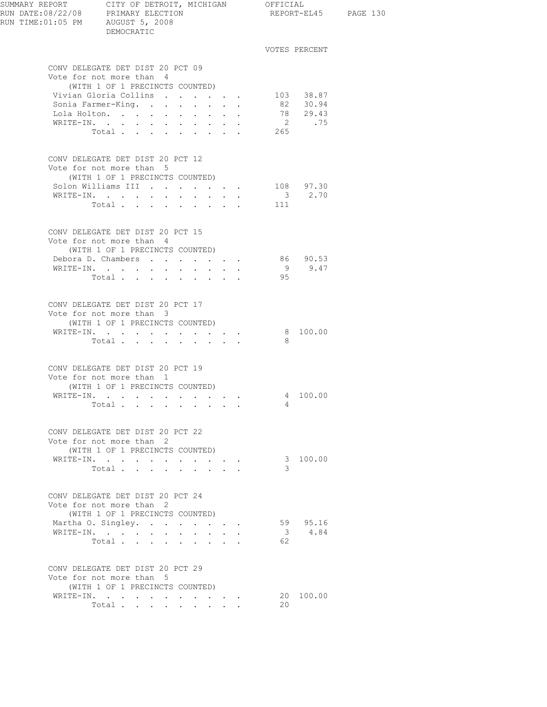| SUMMARY REPORT CITY OF DETROIT, MICHIGAN OFFICIAL                                               |                                                             |                                                             |                     |              |                          |  |
|-------------------------------------------------------------------------------------------------|-------------------------------------------------------------|-------------------------------------------------------------|---------------------|--------------|--------------------------|--|
| RUN DATE:08/22/08 PRIMARY ELECTION                                                              |                                                             |                                                             |                     |              | REPORT-EL45 PAGE 130     |  |
| RUN TIME: 01:05 PM AUGUST 5, 2008<br>DEMOCRATIC                                                 |                                                             |                                                             |                     |              |                          |  |
|                                                                                                 |                                                             |                                                             |                     |              | VOTES PERCENT            |  |
| CONV DELEGATE DET DIST 20 PCT 09                                                                |                                                             |                                                             |                     |              |                          |  |
| Vote for not more than 4                                                                        |                                                             |                                                             |                     |              |                          |  |
| (WITH 1 OF 1 PRECINCTS COUNTED)                                                                 |                                                             |                                                             |                     |              |                          |  |
| Vivian Gloria Collins<br>Sonia Farmer-King.                                                     |                                                             |                                                             |                     |              | 103 38.87<br>82 30.94    |  |
| Lola Holton.                                                                                    |                                                             | $\bullet$ . In the case of the $\bullet$                    | $\sim$<br>$\bullet$ |              | 78 29.43                 |  |
| WRITE-IN.<br>$\sim$ $-$<br>$\Box$<br>$\sim$ $-$                                                 | $\ddot{\phantom{0}}$                                        |                                                             |                     |              | 2 .75                    |  |
| Total                                                                                           |                                                             | $\cdots$ $\cdots$                                           |                     | 265          |                          |  |
| CONV DELEGATE DET DIST 20 PCT 12<br>Vote for not more than 5<br>(WITH 1 OF 1 PRECINCTS COUNTED) |                                                             |                                                             |                     |              |                          |  |
| Solon Williams III                                                                              |                                                             |                                                             |                     |              | 108 97.30<br>$3 \t 2.70$ |  |
| WRITE-IN.<br>Total                                                                              | $\sim$                                                      | $\sim$                                                      |                     | 111          |                          |  |
|                                                                                                 |                                                             |                                                             |                     |              |                          |  |
| CONV DELEGATE DET DIST 20 PCT 15<br>Vote for not more than 4                                    |                                                             |                                                             |                     |              |                          |  |
| (WITH 1 OF 1 PRECINCTS COUNTED)<br>Debora D. Chambers                                           |                                                             |                                                             |                     |              |                          |  |
| WRITE-IN.                                                                                       | $\bullet$ .<br><br><br><br><br><br><br><br><br><br><br><br> | $\bullet$ .<br><br><br><br><br><br><br><br><br><br><br><br> |                     |              | 86 90.53<br>9 9.47       |  |
| Total                                                                                           |                                                             |                                                             |                     | 95           |                          |  |
| CONV DELEGATE DET DIST 20 PCT 17                                                                |                                                             |                                                             |                     |              |                          |  |
| Vote for not more than 3                                                                        |                                                             |                                                             |                     |              |                          |  |
| (WITH 1 OF 1 PRECINCTS COUNTED)                                                                 |                                                             |                                                             |                     |              |                          |  |
| WRITE-IN.                                                                                       |                                                             |                                                             |                     |              | 8 100.00                 |  |
| Total                                                                                           | $\ddot{\phantom{a}}$                                        | $\sim$ $\sim$ $\sim$                                        |                     | - 8          |                          |  |
| CONV DELEGATE DET DIST 20 PCT 19                                                                |                                                             |                                                             |                     |              |                          |  |
| Vote for not more than 1<br>(WITH 1 OF 1 PRECINCTS COUNTED)                                     |                                                             |                                                             |                     |              |                          |  |
| WRITE-IN.                                                                                       |                                                             |                                                             |                     |              | 4 100.00                 |  |
| Total $\cdots$                                                                                  |                                                             |                                                             |                     | 4            |                          |  |
|                                                                                                 |                                                             |                                                             |                     |              |                          |  |
| CONV DELEGATE DET DIST 20 PCT 22<br>Vote for not more than 2                                    |                                                             |                                                             |                     |              |                          |  |
| (WITH 1 OF 1 PRECINCTS COUNTED)                                                                 |                                                             |                                                             |                     |              |                          |  |
| WRITE-IN.                                                                                       |                                                             |                                                             |                     |              | 3 100.00                 |  |
| Total                                                                                           |                                                             |                                                             |                     | 3            |                          |  |
| CONV DELEGATE DET DIST 20 PCT 24                                                                |                                                             |                                                             |                     |              |                          |  |
| Vote for not more than 2<br>(WITH 1 OF 1 PRECINCTS COUNTED)                                     |                                                             |                                                             |                     |              |                          |  |
| Martha O. Singley.                                                                              |                                                             |                                                             |                     |              | 59 95.16                 |  |
| WRITE-IN.                                                                                       |                                                             | and a state of the                                          |                     |              | 3 4.84                   |  |
| Total                                                                                           |                                                             |                                                             |                     | 62           |                          |  |
| CONV DELEGATE DET DIST 20 PCT 29                                                                |                                                             |                                                             |                     |              |                          |  |
| Vote for not more than 5<br>(WITH 1 OF 1 PRECINCTS COUNTED)                                     |                                                             |                                                             |                     |              |                          |  |
| WRITE-IN.                                                                                       |                                                             |                                                             |                     |              | 20 100.00                |  |
| Total                                                                                           |                                                             |                                                             |                     | $20^{\circ}$ |                          |  |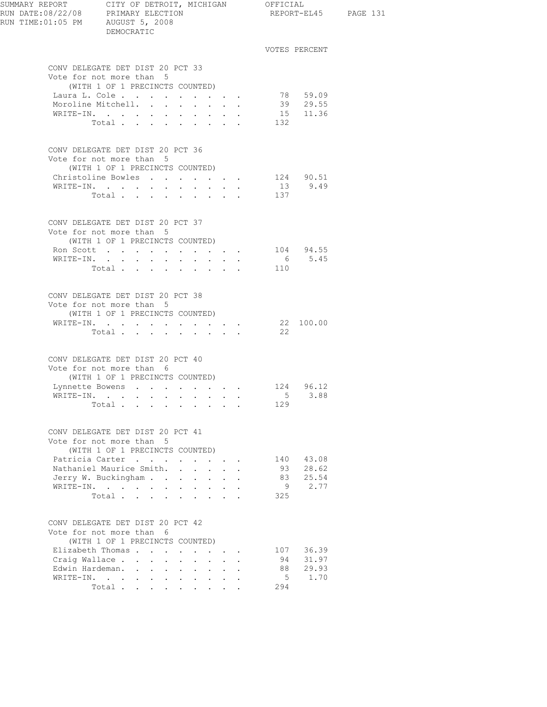| SUMMARY REPORT CITY OF DETROIT, MICHIGAN OFFICIAL<br>RUN DATE:08/22/08 PRIMARY ELECTION<br>RUN TIME: 01:05 PM AUGUST 5, 2008 | DEMOCRATIC                                                                                      |                            |                                                           |                           |             |                | REPORT-EL45 PAGE 131 |
|------------------------------------------------------------------------------------------------------------------------------|-------------------------------------------------------------------------------------------------|----------------------------|-----------------------------------------------------------|---------------------------|-------------|----------------|----------------------|
|                                                                                                                              |                                                                                                 |                            |                                                           |                           |             | VOTES PERCENT  |                      |
|                                                                                                                              | CONV DELEGATE DET DIST 20 PCT 33<br>Vote for not more than 5                                    |                            |                                                           |                           |             |                |                      |
|                                                                                                                              | (WITH 1 OF 1 PRECINCTS COUNTED)                                                                 |                            |                                                           |                           |             | 78 59.09       |                      |
|                                                                                                                              | Laura L. Cole<br>Moroline Mitchell.                                                             |                            |                                                           |                           |             | 39 29.55       |                      |
|                                                                                                                              | WRITE-IN.                                                                                       |                            |                                                           |                           |             | 15 11.36       |                      |
|                                                                                                                              | Total                                                                                           |                            |                                                           |                           | 132         |                |                      |
|                                                                                                                              | CONV DELEGATE DET DIST 20 PCT 36<br>Vote for not more than 5                                    |                            |                                                           |                           |             |                |                      |
|                                                                                                                              | (WITH 1 OF 1 PRECINCTS COUNTED)                                                                 |                            |                                                           |                           |             |                |                      |
|                                                                                                                              | Christoline Bowles 124 90.51                                                                    |                            |                                                           |                           |             |                |                      |
|                                                                                                                              | WRITE-IN.<br>$\sim$ 100 $\pm$                                                                   | $\bullet$                  | $\mathbf{L}^{\text{max}}$ , and $\mathbf{L}^{\text{max}}$ |                           |             | 13 9.49        |                      |
|                                                                                                                              | Total                                                                                           |                            | $\mathbf{r}$ , $\mathbf{r}$ , $\mathbf{r}$                |                           | 137         |                |                      |
|                                                                                                                              | CONV DELEGATE DET DIST 20 PCT 37<br>Vote for not more than 5                                    |                            |                                                           |                           |             |                |                      |
|                                                                                                                              | (WITH 1 OF 1 PRECINCTS COUNTED)                                                                 |                            |                                                           |                           |             |                |                      |
|                                                                                                                              | Ron Scott 104 94.55<br>WRITE-IN.                                                                |                            |                                                           |                           |             | 6 5.45         |                      |
|                                                                                                                              | Total $\cdots$                                                                                  |                            |                                                           |                           | 110         |                |                      |
|                                                                                                                              | CONV DELEGATE DET DIST 20 PCT 38                                                                |                            |                                                           |                           |             |                |                      |
|                                                                                                                              | Vote for not more than 5<br>(WITH 1 OF 1 PRECINCTS COUNTED)                                     |                            |                                                           |                           |             |                |                      |
|                                                                                                                              | WRITE-IN.<br>Total $\cdots$                                                                     |                            |                                                           |                           | 22          | 22 100.00      |                      |
|                                                                                                                              |                                                                                                 |                            |                                                           |                           |             |                |                      |
|                                                                                                                              | CONV DELEGATE DET DIST 20 PCT 40<br>Vote for not more than 6<br>(WITH 1 OF 1 PRECINCTS COUNTED) |                            |                                                           |                           |             |                |                      |
|                                                                                                                              | Lynnette Bowens 124 96.12                                                                       |                            |                                                           |                           |             |                |                      |
|                                                                                                                              | WRITE-IN.                                                                                       |                            |                                                           |                           |             | $5 \t3.88$     |                      |
|                                                                                                                              | Total                                                                                           |                            |                                                           |                           | 129         |                |                      |
|                                                                                                                              | CONV DELEGATE DET DIST 20 PCT 41<br>Vote for not more than 5                                    |                            |                                                           |                           |             |                |                      |
|                                                                                                                              | (WITH 1 OF 1 PRECINCTS COUNTED)                                                                 |                            |                                                           |                           |             |                |                      |
|                                                                                                                              | Patricia Carter<br>Nathaniel Maurice Smith.                                                     |                            |                                                           |                           | 140         | 43.08          |                      |
|                                                                                                                              | Jerry W. Buckingham                                                                             | $\mathcal{L}^{\text{max}}$ | $\sim$                                                    | $\mathbf{r} = \mathbf{r}$ | 93<br>83    | 28.62<br>25.54 |                      |
|                                                                                                                              | WRITE-IN.                                                                                       |                            |                                                           |                           | 9           | 2.77           |                      |
|                                                                                                                              | Total                                                                                           |                            |                                                           |                           | 325         |                |                      |
|                                                                                                                              | CONV DELEGATE DET DIST 20 PCT 42                                                                |                            |                                                           |                           |             |                |                      |
|                                                                                                                              | Vote for not more than 6                                                                        |                            |                                                           |                           |             |                |                      |
|                                                                                                                              | (WITH 1 OF 1 PRECINCTS COUNTED)<br>Elizabeth Thomas                                             |                            |                                                           |                           | 107         | 36.39          |                      |
|                                                                                                                              | Craig Wallace                                                                                   |                            | $\Delta \sim 10^{-11}$                                    | $\mathbf{r} = \mathbf{r}$ | 94          | 31.97          |                      |
|                                                                                                                              | Edwin Hardeman.                                                                                 |                            |                                                           |                           | 88          | 29.93          |                      |
| WRITE-IN.                                                                                                                    |                                                                                                 |                            |                                                           |                           | $5^{\circ}$ | 1.70           |                      |
|                                                                                                                              | Total                                                                                           |                            |                                                           | $\mathbf{r} = \mathbf{r}$ | 294         |                |                      |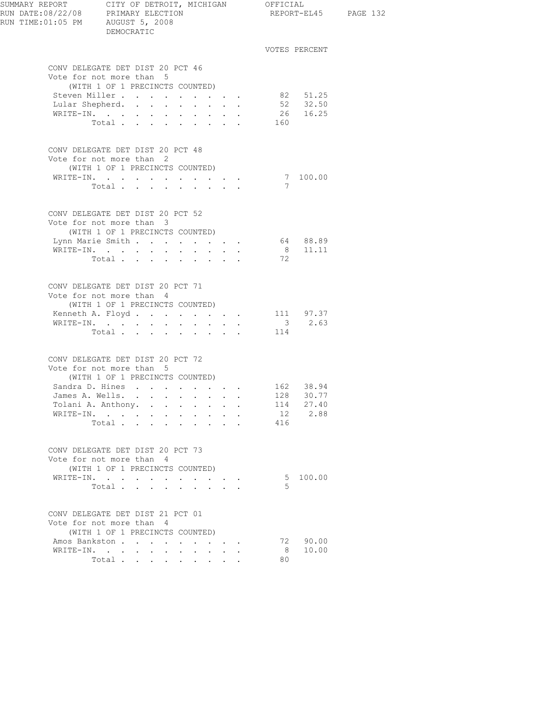| SUMMARY REPORT CITY OF DETROIT, MICHIGAN OFFICIAL<br>RUN DATE:08/22/08 PRIMARY ELECTION<br>RUN TIME:01:05 PM AUGUST 5, 2008 | DEMOCRATIC                                                                                      |                                                                               |                                                                                              |     |                             | REPORT-EL45 PAGE 132 |
|-----------------------------------------------------------------------------------------------------------------------------|-------------------------------------------------------------------------------------------------|-------------------------------------------------------------------------------|----------------------------------------------------------------------------------------------|-----|-----------------------------|----------------------|
|                                                                                                                             |                                                                                                 |                                                                               |                                                                                              |     | VOTES PERCENT               |                      |
|                                                                                                                             | CONV DELEGATE DET DIST 20 PCT 46<br>Vote for not more than 5<br>(WITH 1 OF 1 PRECINCTS COUNTED) |                                                                               |                                                                                              |     |                             |                      |
|                                                                                                                             | Steven Miller.<br>Lular Shepherd.                                                               |                                                                               |                                                                                              |     | 82 51.25<br>52 32.50        |                      |
|                                                                                                                             | WRITE-IN.<br>Total                                                                              |                                                                               |                                                                                              | 160 | 26 16.25                    |                      |
|                                                                                                                             | CONV DELEGATE DET DIST 20 PCT 48<br>Vote for not more than 2<br>(WITH 1 OF 1 PRECINCTS COUNTED) |                                                                               |                                                                                              |     |                             |                      |
|                                                                                                                             | WRITE-IN.<br>Total $\cdots$                                                                     |                                                                               |                                                                                              | 7   | 7 100.00                    |                      |
|                                                                                                                             |                                                                                                 |                                                                               |                                                                                              |     |                             |                      |
|                                                                                                                             | CONV DELEGATE DET DIST 20 PCT 52<br>Vote for not more than 3<br>(WITH 1 OF 1 PRECINCTS COUNTED) |                                                                               |                                                                                              |     |                             |                      |
|                                                                                                                             | Lynn Marie Smith<br>WRITE-IN.                                                                   | $\mathbf{r} = \mathbf{r} + \mathbf{r} + \mathbf{r} + \mathbf{r} + \mathbf{r}$ |                                                                                              |     | 64 88.89<br>$8 \quad 11.11$ |                      |
|                                                                                                                             | Total                                                                                           |                                                                               |                                                                                              | 72  |                             |                      |
|                                                                                                                             | CONV DELEGATE DET DIST 20 PCT 71<br>Vote for not more than 4<br>(WITH 1 OF 1 PRECINCTS COUNTED) |                                                                               |                                                                                              |     |                             |                      |
|                                                                                                                             | Kenneth A. Floyd. 111 97.37<br>WRITE-IN.                                                        |                                                                               |                                                                                              |     | $3 \t 2.63$                 |                      |
|                                                                                                                             | Total                                                                                           |                                                                               |                                                                                              | 114 |                             |                      |
|                                                                                                                             | CONV DELEGATE DET DIST 20 PCT 72<br>Vote for not more than 5<br>(WITH 1 OF 1 PRECINCTS COUNTED) |                                                                               |                                                                                              |     |                             |                      |
|                                                                                                                             | Sandra D. Hines 162 38.94                                                                       |                                                                               |                                                                                              |     |                             |                      |
|                                                                                                                             | James A. Wells.<br>Tolani A. Anthony.<br><b>Contract Contract Contract</b>                      | $\bullet$ .<br><br><br><br><br><br><br><br><br><br><br><br><br><br>$\sim$     |                                                                                              | 114 | 128 30.77<br>27.40          |                      |
|                                                                                                                             | WRITE-IN.                                                                                       |                                                                               | $\bullet$ .<br><br><br><br><br><br><br><br><br><br><br><br>                                  |     | 12 2.88                     |                      |
|                                                                                                                             | Total                                                                                           |                                                                               |                                                                                              | 416 |                             |                      |
|                                                                                                                             | CONV DELEGATE DET DIST 20 PCT 73<br>Vote for not more than 4                                    |                                                                               |                                                                                              |     |                             |                      |
|                                                                                                                             | (WITH 1 OF 1 PRECINCTS COUNTED)                                                                 |                                                                               |                                                                                              |     | 5 100.00                    |                      |
|                                                                                                                             | WRITE-IN.<br>Total                                                                              | $\ddot{\phantom{a}}$                                                          | $\mathcal{L}(\mathcal{A})$ , and $\mathcal{L}(\mathcal{A})$ , and<br>$\cdot$ $\cdot$ $\cdot$ | .5  |                             |                      |
|                                                                                                                             | CONV DELEGATE DET DIST 21 PCT 01<br>Vote for not more than 4                                    |                                                                               |                                                                                              |     |                             |                      |
|                                                                                                                             | (WITH 1 OF 1 PRECINCTS COUNTED)                                                                 |                                                                               |                                                                                              |     |                             |                      |
|                                                                                                                             | Amos Bankston<br>WRITE-IN.<br>$\mathbf{r}$ , $\mathbf{r}$ , $\mathbf{r}$ , $\mathbf{r}$         | $\sim$                                                                        | $\sim$                                                                                       | 8   | 72 90.00<br>10.00           |                      |
|                                                                                                                             | Total $\cdots$                                                                                  |                                                                               |                                                                                              | 80  |                             |                      |
|                                                                                                                             |                                                                                                 |                                                                               |                                                                                              |     |                             |                      |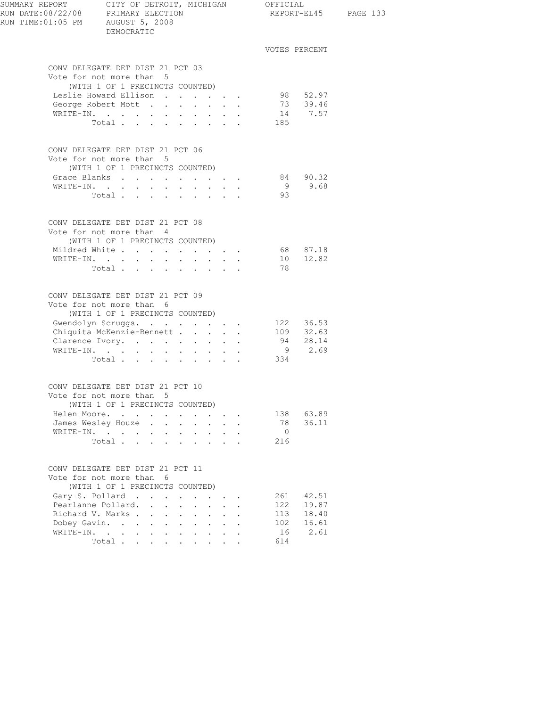| SUMMARY REPORT CITY OF DETROIT, MICHIGAN OFFICIAL |                                                                 |                                        |  |                |                      |  |
|---------------------------------------------------|-----------------------------------------------------------------|----------------------------------------|--|----------------|----------------------|--|
| RUN DATE:08/22/08 PRIMARY ELECTION                |                                                                 |                                        |  |                | REPORT-EL45 PAGE 133 |  |
| RUN TIME: 01:05 PM AUGUST 5, 2008                 |                                                                 |                                        |  |                |                      |  |
|                                                   | DEMOCRATIC                                                      |                                        |  |                |                      |  |
|                                                   |                                                                 |                                        |  |                |                      |  |
|                                                   |                                                                 |                                        |  | VOTES PERCENT  |                      |  |
|                                                   | CONV DELEGATE DET DIST 21 PCT 03                                |                                        |  |                |                      |  |
|                                                   | Vote for not more than 5                                        |                                        |  |                |                      |  |
|                                                   | (WITH 1 OF 1 PRECINCTS COUNTED)                                 |                                        |  |                |                      |  |
|                                                   | Leslie Howard Ellison                                           |                                        |  |                |                      |  |
|                                                   | George Robert Mott                                              |                                        |  |                | 98 52.97<br>73 39.46 |  |
|                                                   | WRITE-IN.                                                       |                                        |  |                | 14 7.57              |  |
|                                                   | Total                                                           |                                        |  | 185            |                      |  |
|                                                   |                                                                 |                                        |  |                |                      |  |
|                                                   |                                                                 |                                        |  |                |                      |  |
|                                                   | CONV DELEGATE DET DIST 21 PCT 06                                |                                        |  |                |                      |  |
|                                                   | Vote for not more than 5                                        |                                        |  |                |                      |  |
|                                                   | (WITH 1 OF 1 PRECINCTS COUNTED)                                 |                                        |  |                |                      |  |
|                                                   | Grace Blanks                                                    |                                        |  |                | 84 90.32             |  |
|                                                   | WRITE-IN.                                                       |                                        |  |                | 9 9.68               |  |
|                                                   | Total $\cdots$                                                  |                                        |  | 93             |                      |  |
|                                                   |                                                                 |                                        |  |                |                      |  |
|                                                   | CONV DELEGATE DET DIST 21 PCT 08                                |                                        |  |                |                      |  |
|                                                   | Vote for not more than 4                                        |                                        |  |                |                      |  |
|                                                   | (WITH 1 OF 1 PRECINCTS COUNTED)                                 |                                        |  |                |                      |  |
|                                                   | Mildred White                                                   |                                        |  |                | 68 87.18             |  |
|                                                   | WRITE-IN.                                                       |                                        |  |                | 10 12.82             |  |
|                                                   | Total                                                           |                                        |  | 78             |                      |  |
|                                                   |                                                                 |                                        |  |                |                      |  |
|                                                   |                                                                 |                                        |  |                |                      |  |
|                                                   | CONV DELEGATE DET DIST 21 PCT 09                                |                                        |  |                |                      |  |
|                                                   | Vote for not more than 6                                        |                                        |  |                |                      |  |
|                                                   | (WITH 1 OF 1 PRECINCTS COUNTED)                                 |                                        |  |                |                      |  |
|                                                   | Gwendolyn Scruggs. 122 36.53                                    |                                        |  |                |                      |  |
|                                                   | Chiquita McKenzie-Bennett 109 32.63<br>Clarence Ivory. 94 28.14 |                                        |  |                |                      |  |
|                                                   | Clarence Ivory.                                                 |                                        |  |                |                      |  |
|                                                   | WRITE-IN.                                                       |                                        |  |                | 9 2.69               |  |
|                                                   | Total                                                           |                                        |  | 334            |                      |  |
|                                                   |                                                                 |                                        |  |                |                      |  |
|                                                   | CONV DELEGATE DET DIST 21 PCT 10                                |                                        |  |                |                      |  |
|                                                   | Vote for not more than<br>5                                     |                                        |  |                |                      |  |
|                                                   | (WITH 1 OF 1 PRECINCTS COUNTED)                                 |                                        |  |                |                      |  |
|                                                   | Helen Moore.                                                    |                                        |  | 138            | 63.89                |  |
|                                                   | James Wesley Houze                                              |                                        |  | 78             | 36.11                |  |
|                                                   | WRITE-IN.                                                       |                                        |  | $\overline{0}$ |                      |  |
|                                                   | Total                                                           |                                        |  | 216            |                      |  |
|                                                   |                                                                 |                                        |  |                |                      |  |
|                                                   | CONV DELEGATE DET DIST 21 PCT 11                                |                                        |  |                |                      |  |
|                                                   | Vote for not more than 6                                        |                                        |  |                |                      |  |
|                                                   | (WITH 1 OF 1 PRECINCTS COUNTED)                                 |                                        |  |                |                      |  |
|                                                   | Gary S. Pollard                                                 |                                        |  | 261            | 42.51                |  |
|                                                   | Pearlanne Pollard.                                              |                                        |  | 122            | 19.87                |  |
|                                                   | Richard V. Marks                                                |                                        |  | 113            | 18.40                |  |
|                                                   | Dobey Gavin.                                                    |                                        |  | 102            | 16.61                |  |
|                                                   | WRITE-IN.                                                       |                                        |  | 16             | 2.61                 |  |
|                                                   |                                                                 | $\mathbf{r} = \mathbf{r} + \mathbf{r}$ |  | 614            |                      |  |
|                                                   | Total                                                           |                                        |  |                |                      |  |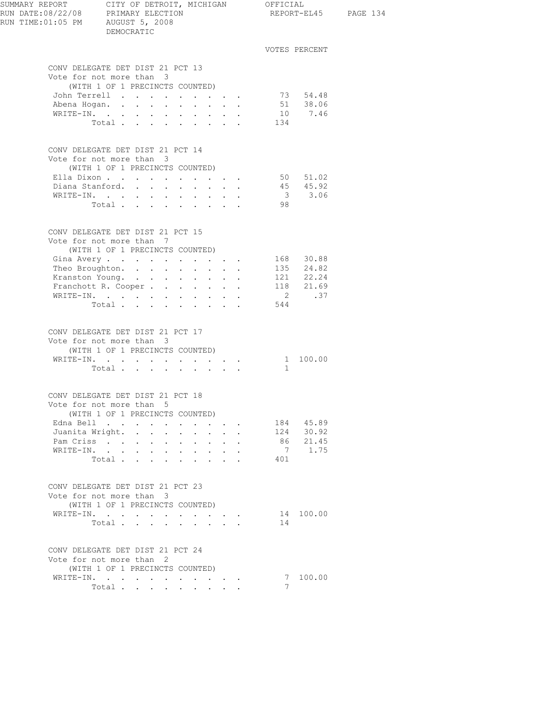| SUMMARY REPORT CITY OF DETROIT, MICHIGAN OFFICIAL<br>RUN DATE:08/22/08 PRIMARY ELECTION REPORT-EL<br>RUN TIME: 01:05 PM AUGUST 5, 2008 | DEMOCRATIC                                                                                      |                                                          |                                                                  |                                                                  |     |                        | REPORT-EL45 PAGE 134 |
|----------------------------------------------------------------------------------------------------------------------------------------|-------------------------------------------------------------------------------------------------|----------------------------------------------------------|------------------------------------------------------------------|------------------------------------------------------------------|-----|------------------------|----------------------|
|                                                                                                                                        |                                                                                                 |                                                          |                                                                  |                                                                  |     | VOTES PERCENT          |                      |
|                                                                                                                                        | CONV DELEGATE DET DIST 21 PCT 13<br>Vote for not more than 3                                    |                                                          |                                                                  |                                                                  |     |                        |                      |
|                                                                                                                                        | (WITH 1 OF 1 PRECINCTS COUNTED)                                                                 |                                                          |                                                                  |                                                                  |     |                        |                      |
|                                                                                                                                        | John Terrell                                                                                    |                                                          |                                                                  |                                                                  |     | 73 54.48<br>51 38.06   |                      |
|                                                                                                                                        | Abena Hogan.                                                                                    |                                                          |                                                                  |                                                                  |     | 10 7.46                |                      |
|                                                                                                                                        | WRITE-IN.<br>Total 134                                                                          |                                                          |                                                                  |                                                                  |     |                        |                      |
|                                                                                                                                        | CONV DELEGATE DET DIST 21 PCT 14<br>Vote for not more than 3<br>(WITH 1 OF 1 PRECINCTS COUNTED) |                                                          |                                                                  |                                                                  |     |                        |                      |
|                                                                                                                                        | Ella Dixon 50 51.02                                                                             |                                                          |                                                                  |                                                                  |     |                        |                      |
|                                                                                                                                        | Diana Stanford.                                                                                 |                                                          |                                                                  |                                                                  |     |                        |                      |
|                                                                                                                                        | WRITE-IN.                                                                                       |                                                          |                                                                  |                                                                  |     | $45$ $45.92$<br>3 3.06 |                      |
|                                                                                                                                        | Total                                                                                           |                                                          |                                                                  |                                                                  | 98  |                        |                      |
|                                                                                                                                        | CONV DELEGATE DET DIST 21 PCT 15<br>Vote for not more than 7<br>(WITH 1 OF 1 PRECINCTS COUNTED) |                                                          |                                                                  |                                                                  |     |                        |                      |
|                                                                                                                                        | Gina Avery 168 30.88                                                                            |                                                          |                                                                  |                                                                  |     |                        |                      |
|                                                                                                                                        | Theo Broughton. 135 24.82                                                                       |                                                          |                                                                  |                                                                  |     |                        |                      |
|                                                                                                                                        |                                                                                                 |                                                          |                                                                  |                                                                  |     |                        |                      |
|                                                                                                                                        | Kranston Young. 121 22.24<br>Franchott R. Cooper 118 21.69<br>Franchott R. Cooper               |                                                          |                                                                  |                                                                  |     |                        |                      |
|                                                                                                                                        | WRITE-IN.                                                                                       |                                                          |                                                                  |                                                                  |     | 2 .37                  |                      |
|                                                                                                                                        | Total                                                                                           |                                                          |                                                                  |                                                                  | 544 |                        |                      |
|                                                                                                                                        | CONV DELEGATE DET DIST 21 PCT 17<br>Vote for not more than 3<br>(WITH 1 OF 1 PRECINCTS COUNTED) |                                                          |                                                                  |                                                                  |     |                        |                      |
|                                                                                                                                        | WRITE-IN. 1 100.00                                                                              |                                                          |                                                                  |                                                                  |     |                        |                      |
|                                                                                                                                        | Total                                                                                           |                                                          |                                                                  |                                                                  | 1   |                        |                      |
|                                                                                                                                        | CONV DELEGATE DET DIST 21 PCT 18<br>Vote for not more than 5                                    |                                                          |                                                                  |                                                                  |     |                        |                      |
|                                                                                                                                        | (WITH 1 OF 1 PRECINCTS COUNTED)                                                                 |                                                          |                                                                  |                                                                  |     | 184 45.89              |                      |
|                                                                                                                                        | Edna Bell<br>Juanita Wright.                                                                    | $\ddot{\phantom{0}}$                                     | $\cdot$ $\cdot$ $\cdot$                                          |                                                                  | 124 | 30.92                  |                      |
| Pam Criss                                                                                                                              | $\sim$                                                                                          | $\mathbf{r}$ and $\mathbf{r}$ and $\mathbf{r}$<br>$\sim$ | $\cdot$ $\cdot$ $\cdot$                                          |                                                                  |     | 86 21.45               |                      |
|                                                                                                                                        | WRITE-IN.                                                                                       | $\sim 10^{-11}$                                          | $\cdot$ $\cdot$ $\cdot$                                          |                                                                  |     | 7 1.75                 |                      |
|                                                                                                                                        | Total                                                                                           |                                                          |                                                                  |                                                                  | 401 |                        |                      |
|                                                                                                                                        | CONV DELEGATE DET DIST 21 PCT 23<br>Vote for not more than 3                                    |                                                          |                                                                  |                                                                  |     |                        |                      |
|                                                                                                                                        | (WITH 1 OF 1 PRECINCTS COUNTED)                                                                 |                                                          |                                                                  |                                                                  |     |                        |                      |
|                                                                                                                                        | WRITE-IN.<br>Total                                                                              |                                                          |                                                                  | $\mathbf{r} = \mathbf{r} + \mathbf{r} + \mathbf{r} + \mathbf{r}$ | 14  | 14 100.00              |                      |
|                                                                                                                                        |                                                                                                 |                                                          |                                                                  |                                                                  |     |                        |                      |
|                                                                                                                                        | CONV DELEGATE DET DIST 21 PCT 24<br>Vote for not more than 2<br>(WITH 1 OF 1 PRECINCTS COUNTED) |                                                          |                                                                  |                                                                  |     |                        |                      |
|                                                                                                                                        | WRITE-IN.                                                                                       |                                                          |                                                                  |                                                                  |     | 7 100.00               |                      |
|                                                                                                                                        | Total                                                                                           |                                                          | $\mathbf{r} = \mathbf{r} + \mathbf{r} + \mathbf{r} + \mathbf{r}$ |                                                                  | 7   |                        |                      |
|                                                                                                                                        |                                                                                                 |                                                          |                                                                  |                                                                  |     |                        |                      |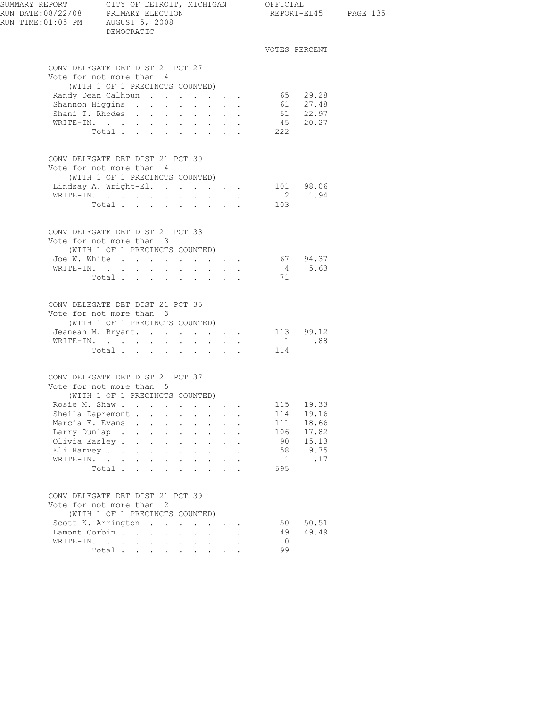| SUMMARY REPORT CITY OF DETROIT, MICHIGAN OFFICIAL<br>RUN DATE:08/22/08 PRIMARY ELECTION<br>RUN TIME: 01:05 PM AUGUST 5, 2008 | DEMOCRATIC                                                                                                                                                                                                                                                                                                                                                                                                                                                              |                                                           |                                                                                                                                |                            |                                                                                |                | REPORT-EL45 PAGE 135   |  |
|------------------------------------------------------------------------------------------------------------------------------|-------------------------------------------------------------------------------------------------------------------------------------------------------------------------------------------------------------------------------------------------------------------------------------------------------------------------------------------------------------------------------------------------------------------------------------------------------------------------|-----------------------------------------------------------|--------------------------------------------------------------------------------------------------------------------------------|----------------------------|--------------------------------------------------------------------------------|----------------|------------------------|--|
|                                                                                                                              |                                                                                                                                                                                                                                                                                                                                                                                                                                                                         |                                                           |                                                                                                                                |                            |                                                                                |                | VOTES PERCENT          |  |
|                                                                                                                              | CONV DELEGATE DET DIST 21 PCT 27<br>Vote for not more than 4                                                                                                                                                                                                                                                                                                                                                                                                            |                                                           |                                                                                                                                |                            |                                                                                |                |                        |  |
|                                                                                                                              | (WITH 1 OF 1 PRECINCTS COUNTED)                                                                                                                                                                                                                                                                                                                                                                                                                                         |                                                           |                                                                                                                                |                            |                                                                                |                |                        |  |
|                                                                                                                              | Randy Dean Calhoun                                                                                                                                                                                                                                                                                                                                                                                                                                                      |                                                           |                                                                                                                                |                            |                                                                                |                | 65 29.28               |  |
|                                                                                                                              | Shannon Higgins                                                                                                                                                                                                                                                                                                                                                                                                                                                         |                                                           |                                                                                                                                |                            |                                                                                |                | 61 27.48               |  |
|                                                                                                                              | Shani T. Rhodes                                                                                                                                                                                                                                                                                                                                                                                                                                                         |                                                           |                                                                                                                                | $\mathbf{L}^{\text{max}}$  |                                                                                |                | 51 22.97<br>45 20.27   |  |
|                                                                                                                              | WRITE-IN.<br>Total.                                                                                                                                                                                                                                                                                                                                                                                                                                                     |                                                           |                                                                                                                                |                            |                                                                                | 222            |                        |  |
|                                                                                                                              |                                                                                                                                                                                                                                                                                                                                                                                                                                                                         |                                                           |                                                                                                                                |                            |                                                                                |                |                        |  |
|                                                                                                                              | CONV DELEGATE DET DIST 21 PCT 30                                                                                                                                                                                                                                                                                                                                                                                                                                        |                                                           |                                                                                                                                |                            |                                                                                |                |                        |  |
|                                                                                                                              | Vote for not more than 4                                                                                                                                                                                                                                                                                                                                                                                                                                                |                                                           |                                                                                                                                |                            |                                                                                |                |                        |  |
|                                                                                                                              | (WITH 1 OF 1 PRECINCTS COUNTED)                                                                                                                                                                                                                                                                                                                                                                                                                                         |                                                           |                                                                                                                                |                            |                                                                                |                |                        |  |
|                                                                                                                              | Lindsay A. Wright-El.<br>WRITE-IN.                                                                                                                                                                                                                                                                                                                                                                                                                                      |                                                           |                                                                                                                                |                            |                                                                                |                | 101 98.06<br>2 1.94    |  |
|                                                                                                                              | Total $\cdots$                                                                                                                                                                                                                                                                                                                                                                                                                                                          |                                                           |                                                                                                                                |                            |                                                                                | 103            |                        |  |
|                                                                                                                              |                                                                                                                                                                                                                                                                                                                                                                                                                                                                         |                                                           |                                                                                                                                |                            |                                                                                |                |                        |  |
|                                                                                                                              | CONV DELEGATE DET DIST 21 PCT 33                                                                                                                                                                                                                                                                                                                                                                                                                                        |                                                           |                                                                                                                                |                            |                                                                                |                |                        |  |
|                                                                                                                              | Vote for not more than 3                                                                                                                                                                                                                                                                                                                                                                                                                                                |                                                           |                                                                                                                                |                            |                                                                                |                |                        |  |
|                                                                                                                              | (WITH 1 OF 1 PRECINCTS COUNTED)                                                                                                                                                                                                                                                                                                                                                                                                                                         |                                                           |                                                                                                                                |                            |                                                                                |                |                        |  |
|                                                                                                                              | Joe W. White                                                                                                                                                                                                                                                                                                                                                                                                                                                            |                                                           |                                                                                                                                |                            |                                                                                |                | 67 94.37               |  |
|                                                                                                                              | WRITE-IN.                                                                                                                                                                                                                                                                                                                                                                                                                                                               |                                                           |                                                                                                                                |                            |                                                                                |                | 4 5.63                 |  |
|                                                                                                                              | Total $\cdots$                                                                                                                                                                                                                                                                                                                                                                                                                                                          |                                                           |                                                                                                                                |                            | $\mathcal{L}^{\text{max}}(\mathcal{L}^{\text{max}}(\mathcal{L}^{\text{max}}))$ | 71             |                        |  |
|                                                                                                                              | CONV DELEGATE DET DIST 21 PCT 35                                                                                                                                                                                                                                                                                                                                                                                                                                        |                                                           |                                                                                                                                |                            |                                                                                |                |                        |  |
|                                                                                                                              | Vote for not more than 3                                                                                                                                                                                                                                                                                                                                                                                                                                                |                                                           |                                                                                                                                |                            |                                                                                |                |                        |  |
|                                                                                                                              | (WITH 1 OF 1 PRECINCTS COUNTED)                                                                                                                                                                                                                                                                                                                                                                                                                                         |                                                           |                                                                                                                                |                            |                                                                                |                |                        |  |
|                                                                                                                              | Jeanean M. Bryant.                                                                                                                                                                                                                                                                                                                                                                                                                                                      |                                                           |                                                                                                                                |                            |                                                                                |                | $113$ $99.12$<br>1 .88 |  |
|                                                                                                                              | WRITE-IN.<br>$\mathbf{1} \qquad \mathbf{1} \qquad \mathbf{1} \qquad \mathbf{1} \qquad \mathbf{1} \qquad \mathbf{1} \qquad \mathbf{1} \qquad \mathbf{1} \qquad \mathbf{1} \qquad \mathbf{1} \qquad \mathbf{1} \qquad \mathbf{1} \qquad \mathbf{1} \qquad \mathbf{1} \qquad \mathbf{1} \qquad \mathbf{1} \qquad \mathbf{1} \qquad \mathbf{1} \qquad \mathbf{1} \qquad \mathbf{1} \qquad \mathbf{1} \qquad \mathbf{1} \qquad \mathbf{1} \qquad \mathbf{1} \qquad \mathbf{$ |                                                           |                                                                                                                                |                            |                                                                                | 114            |                        |  |
|                                                                                                                              | Total                                                                                                                                                                                                                                                                                                                                                                                                                                                                   |                                                           |                                                                                                                                |                            |                                                                                |                |                        |  |
|                                                                                                                              | CONV DELEGATE DET DIST 21 PCT 37                                                                                                                                                                                                                                                                                                                                                                                                                                        |                                                           |                                                                                                                                |                            |                                                                                |                |                        |  |
|                                                                                                                              | Vote for not more than 5                                                                                                                                                                                                                                                                                                                                                                                                                                                |                                                           |                                                                                                                                |                            |                                                                                |                |                        |  |
|                                                                                                                              | (WITH 1 OF 1 PRECINCTS COUNTED)                                                                                                                                                                                                                                                                                                                                                                                                                                         |                                                           |                                                                                                                                |                            |                                                                                |                |                        |  |
|                                                                                                                              | Rosie M. Shaw                                                                                                                                                                                                                                                                                                                                                                                                                                                           |                                                           |                                                                                                                                |                            |                                                                                | 115            | 19.33                  |  |
|                                                                                                                              | Sheila Dapremont                                                                                                                                                                                                                                                                                                                                                                                                                                                        |                                                           | $\bullet$ .<br>$\bullet$ .<br><br><br><br><br><br><br><br><br><br><br><br>                                                     | $\sim$                     |                                                                                | 114            | 19.16                  |  |
|                                                                                                                              | Marcia E. Evans .<br>$\sim$                                                                                                                                                                                                                                                                                                                                                                                                                                             | $\mathbf{L}^{\text{max}}$ , and                           | $\ddot{\phantom{0}}$<br>$\mathbf{L}^{\text{max}}$                                                                              |                            |                                                                                | 111            | 18.66<br>17.82         |  |
|                                                                                                                              | Larry Dunlap<br>$\mathbf{L}$<br>$\sim$<br>Olivia Easley<br>$\sim$ $-$                                                                                                                                                                                                                                                                                                                                                                                                   | $\mathcal{L}^{\text{max}}$                                | $\mathbf{L}$<br>$\mathbf{L}$                                                                                                   | $\sim$                     |                                                                                | 106<br>90      | 15.13                  |  |
|                                                                                                                              | $\ddot{\phantom{0}}$<br>Eli Harvey<br>$\bullet$ .<br>$\sim$                                                                                                                                                                                                                                                                                                                                                                                                             | $\mathbf{L}^{\text{max}}$<br>$\ddot{\phantom{a}}$         | $\ddot{\phantom{0}}$<br>$\bullet$ .<br><br><br><br><br><br><br><br><br><br><br><br><br>$\ddot{\phantom{0}}$<br>$\sim 10^{-10}$ | $\mathbf{L}^{\text{max}}$  |                                                                                | 58             | 9.75                   |  |
|                                                                                                                              | WRITE-IN.<br>$\sim$                                                                                                                                                                                                                                                                                                                                                                                                                                                     | $\mathbf{L}^{\text{max}}$ , and $\mathbf{L}^{\text{max}}$ | $\sim$<br>$\mathbf{L}^{\text{max}}$                                                                                            | $\sim$                     |                                                                                | 1              | .17                    |  |
|                                                                                                                              | Total.                                                                                                                                                                                                                                                                                                                                                                                                                                                                  |                                                           | $\cdot$ $\cdot$ $\cdot$ $\cdot$                                                                                                |                            |                                                                                | 595            |                        |  |
|                                                                                                                              |                                                                                                                                                                                                                                                                                                                                                                                                                                                                         |                                                           |                                                                                                                                |                            |                                                                                |                |                        |  |
|                                                                                                                              | CONV DELEGATE DET DIST 21 PCT 39                                                                                                                                                                                                                                                                                                                                                                                                                                        |                                                           |                                                                                                                                |                            |                                                                                |                |                        |  |
|                                                                                                                              | Vote for not more than 2                                                                                                                                                                                                                                                                                                                                                                                                                                                |                                                           |                                                                                                                                |                            |                                                                                |                |                        |  |
|                                                                                                                              | (WITH 1 OF 1 PRECINCTS COUNTED)                                                                                                                                                                                                                                                                                                                                                                                                                                         |                                                           |                                                                                                                                |                            |                                                                                |                |                        |  |
|                                                                                                                              | Scott K. Arrington<br>Lamont Corbin                                                                                                                                                                                                                                                                                                                                                                                                                                     |                                                           |                                                                                                                                | $\mathcal{L}^{\text{max}}$ |                                                                                | 50<br>49       | 50.51<br>49.49         |  |
|                                                                                                                              | WRITE-IN.                                                                                                                                                                                                                                                                                                                                                                                                                                                               |                                                           | $\mathcal{L}^{\text{max}}$<br>$\mathbf{L}^{\text{max}}$                                                                        |                            |                                                                                | $\overline{0}$ |                        |  |
|                                                                                                                              | Total $\cdots$                                                                                                                                                                                                                                                                                                                                                                                                                                                          |                                                           | $\cdot$ $\cdot$ $\cdot$ $\cdot$ $\cdot$                                                                                        |                            |                                                                                | 99             |                        |  |
|                                                                                                                              |                                                                                                                                                                                                                                                                                                                                                                                                                                                                         |                                                           |                                                                                                                                |                            |                                                                                |                |                        |  |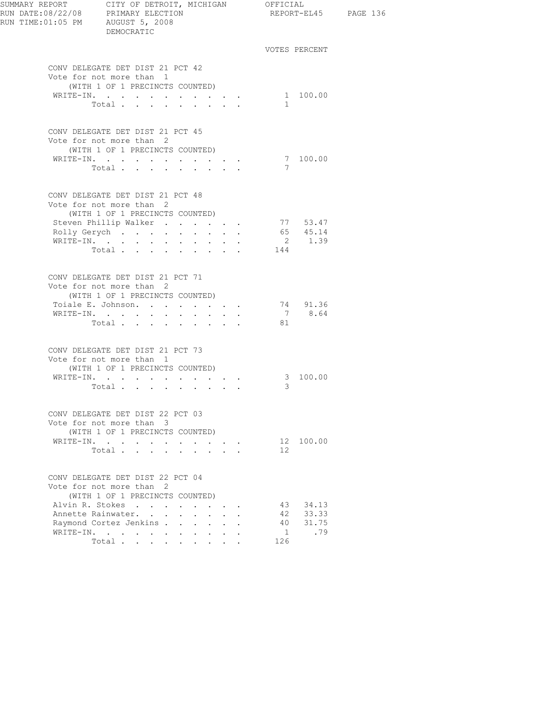| RUN TIME: 01:05 PM AUGUST 5, 2008 | DEMOCRATIC                                                   |                                                                    |                      |                 | REPORT-EL45 PAGE 136 |  |
|-----------------------------------|--------------------------------------------------------------|--------------------------------------------------------------------|----------------------|-----------------|----------------------|--|
|                                   |                                                              |                                                                    |                      |                 | VOTES PERCENT        |  |
|                                   | CONV DELEGATE DET DIST 21 PCT 42                             |                                                                    |                      |                 |                      |  |
|                                   | Vote for not more than 1                                     |                                                                    |                      |                 |                      |  |
|                                   | (WITH 1 OF 1 PRECINCTS COUNTED)                              |                                                                    |                      |                 | 1 100.00             |  |
|                                   | WRITE-IN.<br>Total                                           |                                                                    |                      | $\mathbf{1}$    |                      |  |
|                                   |                                                              |                                                                    |                      |                 |                      |  |
|                                   | CONV DELEGATE DET DIST 21 PCT 45                             |                                                                    |                      |                 |                      |  |
|                                   | Vote for not more than 2                                     |                                                                    |                      |                 |                      |  |
|                                   | (WITH 1 OF 1 PRECINCTS COUNTED)<br>WRITE-IN.                 |                                                                    |                      |                 | 7 100.00             |  |
|                                   | Total                                                        |                                                                    |                      | 7               |                      |  |
|                                   |                                                              |                                                                    |                      |                 |                      |  |
|                                   | CONV DELEGATE DET DIST 21 PCT 48                             |                                                                    |                      |                 |                      |  |
|                                   | Vote for not more than 2                                     |                                                                    |                      |                 |                      |  |
|                                   | (WITH 1 OF 1 PRECINCTS COUNTED)<br>Steven Phillip Walker     |                                                                    |                      |                 | 77 53.47             |  |
|                                   | Rolly Gerych                                                 |                                                                    |                      |                 | 65 45.14             |  |
|                                   | WRITE-IN.                                                    |                                                                    |                      |                 | 2 1.39               |  |
|                                   | Total                                                        |                                                                    |                      | 144             |                      |  |
|                                   | CONV DELEGATE DET DIST 21 PCT 71                             |                                                                    |                      |                 |                      |  |
|                                   | Vote for not more than 2                                     |                                                                    |                      |                 |                      |  |
|                                   | (WITH 1 OF 1 PRECINCTS COUNTED)                              |                                                                    |                      |                 |                      |  |
|                                   | Toiale E. Johnson.                                           |                                                                    |                      |                 | 74 91.36             |  |
|                                   | WRITE-IN.                                                    |                                                                    |                      |                 | 7 8.64               |  |
|                                   | Total                                                        |                                                                    |                      | 81              |                      |  |
|                                   | CONV DELEGATE DET DIST 21 PCT 73<br>Vote for not more than 1 |                                                                    |                      |                 |                      |  |
|                                   | (WITH 1 OF 1 PRECINCTS COUNTED)                              |                                                                    |                      |                 | 3 100.00             |  |
|                                   | WRITE-IN.<br>Total                                           | $\mathbf{r} = \mathbf{r} + \mathbf{r} + \mathbf{r} + \mathbf{r}$ . |                      | 3               |                      |  |
|                                   |                                                              |                                                                    |                      |                 |                      |  |
|                                   | CONV DELEGATE DET DIST 22 PCT 03                             |                                                                    |                      |                 |                      |  |
|                                   | Vote for not more than 3<br>(WITH 1 OF 1 PRECINCTS COUNTED)  |                                                                    |                      |                 |                      |  |
|                                   | WRITE-IN.                                                    |                                                                    |                      |                 | 12 100.00            |  |
|                                   | Total                                                        |                                                                    |                      | 12 <sup>1</sup> |                      |  |
|                                   |                                                              |                                                                    |                      |                 |                      |  |
|                                   | CONV DELEGATE DET DIST 22 PCT 04<br>Vote for not more than 2 |                                                                    |                      |                 |                      |  |
|                                   | (WITH 1 OF 1 PRECINCTS COUNTED)                              |                                                                    |                      |                 |                      |  |
|                                   | Alvin R. Stokes                                              |                                                                    |                      | 43              | 34.13                |  |
|                                   | Annette Rainwater.                                           |                                                                    | $\ddot{\phantom{a}}$ | 42              | 33.33                |  |
|                                   | Raymond Cortez Jenkins                                       |                                                                    |                      | 40              | 31.75                |  |
|                                   | WRITE-IN.                                                    |                                                                    |                      | 1               | .79                  |  |
|                                   | Total                                                        |                                                                    |                      | 126             |                      |  |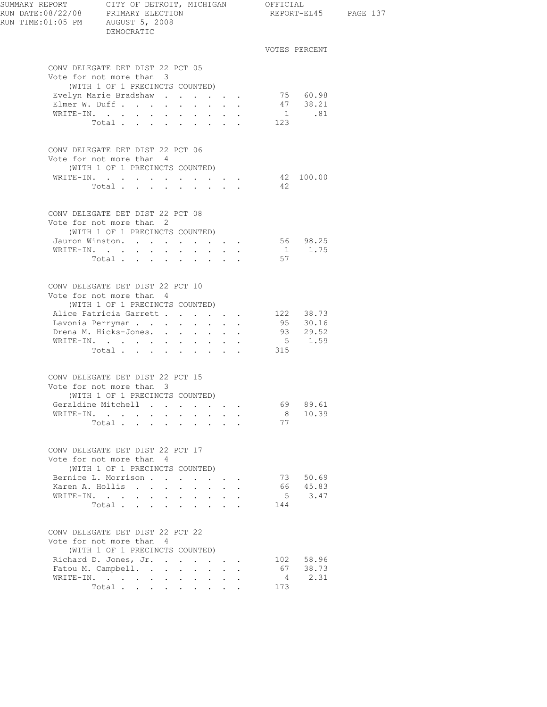| SUMMARY REPORT CITY OF DETROIT, MICHIGAN OFFICIAL<br>RUN DATE:08/22/08 PRIMARY ELECTION<br>RUN TIME: 01:05 PM AUGUST 5, 2008 | DEMOCRATIC                                                                                                                                 |                                                           |                                                                  |                 |                           |                                                                  |                       | REPORT-EL45 PAGE 137       |  |
|------------------------------------------------------------------------------------------------------------------------------|--------------------------------------------------------------------------------------------------------------------------------------------|-----------------------------------------------------------|------------------------------------------------------------------|-----------------|---------------------------|------------------------------------------------------------------|-----------------------|----------------------------|--|
|                                                                                                                              |                                                                                                                                            |                                                           |                                                                  |                 |                           |                                                                  |                       | VOTES PERCENT              |  |
|                                                                                                                              | CONV DELEGATE DET DIST 22 PCT 05<br>Vote for not more than 3<br>(WITH 1 OF 1 PRECINCTS COUNTED)                                            |                                                           |                                                                  |                 |                           |                                                                  |                       |                            |  |
|                                                                                                                              | Evelyn Marie Bradshaw                                                                                                                      |                                                           |                                                                  |                 |                           |                                                                  |                       | 75 60.98                   |  |
|                                                                                                                              | Elmer W. Duff                                                                                                                              |                                                           |                                                                  |                 |                           |                                                                  |                       | 47 38.21                   |  |
|                                                                                                                              | WRITE-IN.                                                                                                                                  |                                                           |                                                                  |                 |                           |                                                                  |                       | $1 \t .81$                 |  |
|                                                                                                                              | Total $\cdots$                                                                                                                             |                                                           |                                                                  |                 |                           |                                                                  | 123                   |                            |  |
|                                                                                                                              | CONV DELEGATE DET DIST 22 PCT 06<br>Vote for not more than 4<br>(WITH 1 OF 1 PRECINCTS COUNTED)                                            |                                                           |                                                                  |                 |                           |                                                                  |                       |                            |  |
|                                                                                                                              | WRITE-IN.                                                                                                                                  |                                                           |                                                                  |                 |                           |                                                                  |                       | 42 100.00                  |  |
|                                                                                                                              | Total                                                                                                                                      | $\sim$ $-$                                                |                                                                  |                 |                           | $\mathbf{r} = \mathbf{r} + \mathbf{r} + \mathbf{r} + \mathbf{r}$ | 42                    |                            |  |
|                                                                                                                              | CONV DELEGATE DET DIST 22 PCT 08<br>Vote for not more than 2                                                                               |                                                           |                                                                  |                 |                           |                                                                  |                       |                            |  |
|                                                                                                                              | (WITH 1 OF 1 PRECINCTS COUNTED)                                                                                                            |                                                           |                                                                  |                 |                           |                                                                  |                       |                            |  |
|                                                                                                                              | Jauron Winston.                                                                                                                            |                                                           |                                                                  |                 |                           |                                                                  |                       | 56 98.25<br>$1 \quad 1.75$ |  |
| WRITE-IN.                                                                                                                    | $\mathbf{r}$ , and $\mathbf{r}$ , and $\mathbf{r}$ , and $\mathbf{r}$ , and $\mathbf{r}$                                                   |                                                           |                                                                  |                 |                           |                                                                  | 57                    |                            |  |
|                                                                                                                              | Total $\cdots$                                                                                                                             |                                                           |                                                                  |                 |                           |                                                                  |                       |                            |  |
|                                                                                                                              | CONV DELEGATE DET DIST 22 PCT 10<br>Vote for not more than 4<br>(WITH 1 OF 1 PRECINCTS COUNTED)                                            |                                                           |                                                                  |                 |                           |                                                                  |                       |                            |  |
|                                                                                                                              | Alice Patricia Garrett 122 38.73                                                                                                           |                                                           |                                                                  |                 |                           |                                                                  |                       |                            |  |
|                                                                                                                              | Lavonia Perryman                                                                                                                           |                                                           |                                                                  |                 |                           |                                                                  |                       | 95 30.16                   |  |
|                                                                                                                              | Drena M. Hicks-Jones.                                                                                                                      |                                                           |                                                                  |                 |                           |                                                                  |                       | 93 29.52<br>5 1.59         |  |
|                                                                                                                              | WRITE-IN.                                                                                                                                  |                                                           |                                                                  |                 |                           |                                                                  |                       |                            |  |
|                                                                                                                              | Total                                                                                                                                      |                                                           |                                                                  |                 |                           |                                                                  | 315                   |                            |  |
|                                                                                                                              | CONV DELEGATE DET DIST 22 PCT 15<br>Vote for not more than 3<br>(WITH 1 OF 1 PRECINCTS COUNTED)                                            |                                                           |                                                                  |                 |                           |                                                                  |                       |                            |  |
|                                                                                                                              | Geraldine Mitchell                                                                                                                         |                                                           | $\mathbf{r} = \mathbf{r} + \mathbf{r} = \mathbf{r} + \mathbf{r}$ |                 |                           |                                                                  | 69.                   | 89.61                      |  |
|                                                                                                                              | WRITE-IN.                                                                                                                                  |                                                           |                                                                  |                 |                           |                                                                  | 8                     | 10.39                      |  |
|                                                                                                                              | Total                                                                                                                                      |                                                           |                                                                  |                 |                           |                                                                  | 77                    |                            |  |
|                                                                                                                              | CONV DELEGATE DET DIST 22 PCT 17<br>Vote for not more than 4                                                                               |                                                           |                                                                  |                 |                           |                                                                  |                       |                            |  |
|                                                                                                                              | (WITH 1 OF 1 PRECINCTS COUNTED)                                                                                                            |                                                           |                                                                  |                 |                           |                                                                  |                       |                            |  |
|                                                                                                                              | Bernice L. Morrison                                                                                                                        |                                                           |                                                                  |                 |                           |                                                                  | 73                    | 50.69                      |  |
|                                                                                                                              | Karen A. Hollis                                                                                                                            | $\mathbf{L}^{\text{max}}$ , and $\mathbf{L}^{\text{max}}$ | $\sim$                                                           | $\sim$          | $\Delta \sim 10^{-11}$    | $\ddot{\phantom{a}}$                                             | 66                    | 45.83                      |  |
|                                                                                                                              | $\mathtt{WRTTE}\text{-}\mathtt{IN.}\quad.\quad.\quad.\quad.\quad.\quad.\quad.\quad.\quad.\quad.\quad.\quad.\quad.\quad.\quad.\quad.\quad.$ |                                                           |                                                                  |                 |                           |                                                                  | 5                     | 3.47                       |  |
|                                                                                                                              | Total                                                                                                                                      |                                                           |                                                                  |                 |                           |                                                                  | 144                   |                            |  |
|                                                                                                                              | CONV DELEGATE DET DIST 22 PCT 22<br>Vote for not more than 4                                                                               |                                                           |                                                                  |                 |                           |                                                                  |                       |                            |  |
|                                                                                                                              | (WITH 1 OF 1 PRECINCTS COUNTED)                                                                                                            |                                                           |                                                                  |                 |                           |                                                                  |                       |                            |  |
|                                                                                                                              | Richard D. Jones, Jr.                                                                                                                      |                                                           |                                                                  |                 |                           |                                                                  |                       | 102 58.96                  |  |
|                                                                                                                              | Fatou M. Campbell.                                                                                                                         |                                                           |                                                                  |                 |                           | $\ddot{\phantom{a}}$                                             | 67                    | 38.73                      |  |
|                                                                                                                              | WRITE-IN.<br>Total                                                                                                                         | <b>Service</b> State                                      | $\sim 100$                                                       | $\sim 10^{-10}$ |                           |                                                                  | $\overline{4}$<br>173 | 2.31                       |  |
|                                                                                                                              |                                                                                                                                            |                                                           |                                                                  |                 | $\mathbf{r} = \mathbf{r}$ |                                                                  |                       |                            |  |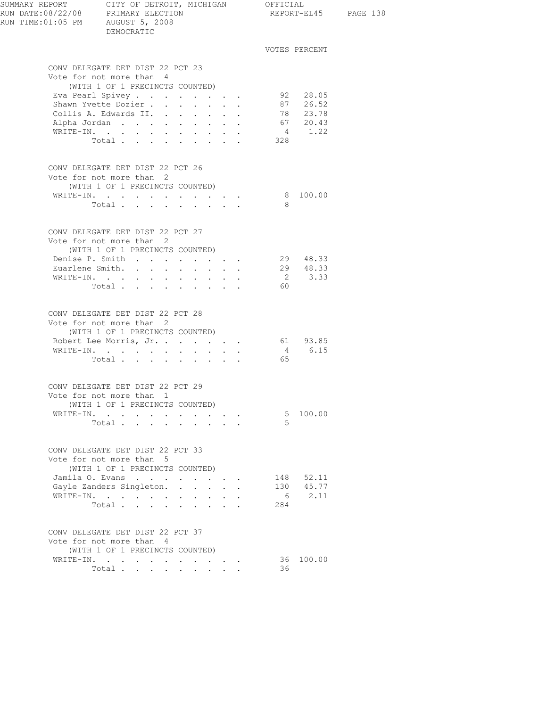| SUMMARY REPORT CITY OF DETROIT, MICHIGAN OFFICIAL<br>RUN DATE:08/22/08 PRIMARY ELECTION REPORT-E<br>RUN TIME:01:05 PM AUGUST 5, 2008 | DEMOCRATIC                                                                                                                                                                                                |                            |                 |                                            | REPORT-EL45 PAGE 138 |
|--------------------------------------------------------------------------------------------------------------------------------------|-----------------------------------------------------------------------------------------------------------------------------------------------------------------------------------------------------------|----------------------------|-----------------|--------------------------------------------|----------------------|
|                                                                                                                                      |                                                                                                                                                                                                           |                            |                 | VOTES PERCENT                              |                      |
|                                                                                                                                      | CONV DELEGATE DET DIST 22 PCT 23<br>Vote for not more than 4<br>(WITH 1 OF 1 PRECINCTS COUNTED)<br>Eva Pearl Spivey<br>Shawn Yvette Dozier<br>Collis A. Edwards II.<br>Alpha Jordan<br>WRITE-IN.<br>Total | $\ddot{\phantom{0}}$       | 67 20.43<br>328 | 92 28.05<br>87 26.52<br>78 23.78<br>4 1.22 |                      |
|                                                                                                                                      | CONV DELEGATE DET DIST 22 PCT 26<br>Vote for not more than 2<br>(WITH 1 OF 1 PRECINCTS COUNTED)<br>WRITE-IN.<br>Total                                                                                     |                            | - 8             | 8 100.00                                   |                      |
|                                                                                                                                      | CONV DELEGATE DET DIST 22 PCT 27<br>Vote for not more than 2<br>(WITH 1 OF 1 PRECINCTS COUNTED)<br>Denise P. Smith<br>Euarlene Smith.<br>WRITE-IN.<br>Total                                               |                            | - 60            | 29 48.33<br>29 48.33<br>$2 \t 3.33$        |                      |
|                                                                                                                                      | CONV DELEGATE DET DIST 22 PCT 28<br>Vote for not more than 2<br>(WITH 1 OF 1 PRECINCTS COUNTED)<br>Robert Lee Morris, Jr.<br>WRITE-IN.<br>Total.                                                          | $\mathcal{L}^{\text{max}}$ | 65              | $61$ 93.85<br>4 6.15                       |                      |
|                                                                                                                                      | CONV DELEGATE DET DIST 22 PCT 29<br>Vote for not more than 1<br>(WITH 1 OF 1 PRECINCTS COUNTED)<br>WRITE-IN.<br>Total                                                                                     |                            | - 5             | 5 100.00                                   |                      |
|                                                                                                                                      | CONV DELEGATE DET DIST 22 PCT 33<br>Vote for not more than 5<br>(WITH 1 OF 1 PRECINCTS COUNTED)<br>Jamila O. Evans<br>Gayle Zanders Singleton.<br>WRITE-IN.<br>Total                                      |                            | 284             | 148 52.11<br>130 45.77<br>6 2.11           |                      |
|                                                                                                                                      | CONV DELEGATE DET DIST 22 PCT 37<br>Vote for not more than 4<br>(WITH 1 OF 1 PRECINCTS COUNTED)<br>WRITE-IN.<br>Total                                                                                     |                            | 36              | 36 100.00                                  |                      |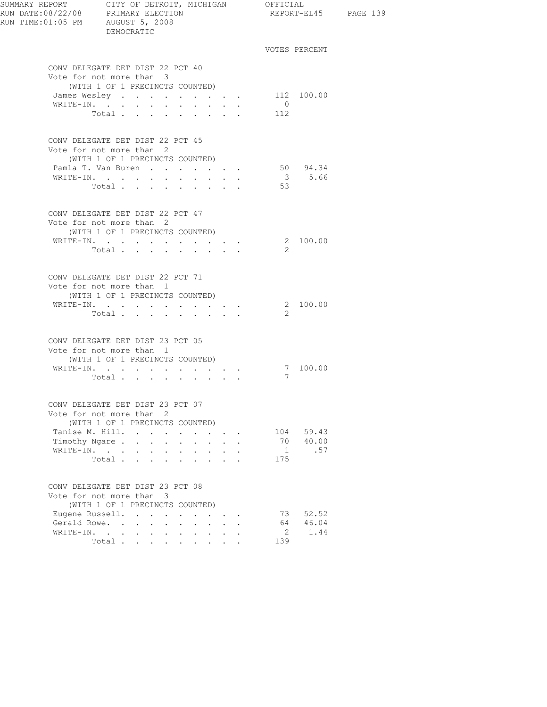| RUN TIME: 01:05 PM AUGUST 5, 2008 | DEMOCRATIC                                                  |                  |                                                     |                         |                 |                       | REPORT-EL45 PAGE 139 |
|-----------------------------------|-------------------------------------------------------------|------------------|-----------------------------------------------------|-------------------------|-----------------|-----------------------|----------------------|
|                                   |                                                             |                  |                                                     |                         |                 | VOTES PERCENT         |                      |
|                                   | CONV DELEGATE DET DIST 22 PCT 40                            |                  |                                                     |                         |                 |                       |                      |
|                                   | Vote for not more than 3                                    |                  |                                                     |                         |                 |                       |                      |
|                                   | (WITH 1 OF 1 PRECINCTS COUNTED)                             |                  |                                                     |                         |                 |                       |                      |
|                                   | James Wesley<br>WRITE-IN.                                   |                  |                                                     |                         | $\overline{0}$  | 112 100.00            |                      |
|                                   | Total                                                       |                  |                                                     |                         | 112             |                       |                      |
|                                   |                                                             |                  |                                                     |                         |                 |                       |                      |
|                                   | CONV DELEGATE DET DIST 22 PCT 45                            |                  |                                                     |                         |                 |                       |                      |
|                                   | Vote for not more than 2<br>(WITH 1 OF 1 PRECINCTS COUNTED) |                  |                                                     |                         |                 |                       |                      |
|                                   | Pamla T. Van Buren                                          |                  |                                                     |                         |                 | 50 94.34              |                      |
|                                   | WRITE-IN.                                                   |                  |                                                     |                         |                 | 3 5.66                |                      |
|                                   | Total                                                       |                  |                                                     |                         | 53              |                       |                      |
|                                   |                                                             |                  |                                                     |                         |                 |                       |                      |
|                                   | CONV DELEGATE DET DIST 22 PCT 47                            |                  |                                                     |                         |                 |                       |                      |
|                                   | Vote for not more than 2                                    |                  |                                                     |                         |                 |                       |                      |
|                                   | (WITH 1 OF 1 PRECINCTS COUNTED)                             |                  |                                                     |                         |                 | 2 100.00              |                      |
|                                   | WRITE-IN.<br>Total $\cdots$                                 |                  |                                                     |                         | 2               |                       |                      |
|                                   |                                                             |                  |                                                     |                         |                 |                       |                      |
|                                   | CONV DELEGATE DET DIST 22 PCT 71                            |                  |                                                     |                         |                 |                       |                      |
|                                   | Vote for not more than 1                                    |                  |                                                     |                         |                 |                       |                      |
|                                   | (WITH 1 OF 1 PRECINCTS COUNTED)                             |                  |                                                     |                         |                 |                       |                      |
|                                   | WRITE-IN.<br>Total                                          |                  |                                                     |                         | 2               | 2 100.00              |                      |
|                                   |                                                             |                  |                                                     |                         |                 |                       |                      |
|                                   | CONV DELEGATE DET DIST 23 PCT 05                            |                  |                                                     |                         |                 |                       |                      |
|                                   | Vote for not more than 1                                    |                  |                                                     |                         |                 |                       |                      |
|                                   | (WITH 1 OF 1 PRECINCTS COUNTED)                             |                  |                                                     |                         |                 |                       |                      |
|                                   | WRITE-IN.<br>Total                                          |                  |                                                     |                         | $7\overline{ }$ | 7 100.00              |                      |
|                                   |                                                             |                  |                                                     |                         |                 |                       |                      |
|                                   | CONV DELEGATE DET DIST 23 PCT 07                            |                  |                                                     |                         |                 |                       |                      |
|                                   | Vote for not more than 2                                    |                  |                                                     |                         |                 |                       |                      |
|                                   | (WITH 1 OF 1 PRECINCTS COUNTED)                             |                  |                                                     |                         |                 |                       |                      |
|                                   | Tanise M. Hill.<br>Timothy Ngare                            | $\sim$ 100 $\mu$ |                                                     | $\cdot$ $\cdot$ $\cdot$ |                 | 104 59.43<br>70 40.00 |                      |
|                                   | WRITE-IN.                                                   |                  |                                                     |                         |                 | 1 .57                 |                      |
|                                   | Total $\cdots$                                              |                  |                                                     |                         | 175             |                       |                      |
|                                   |                                                             |                  |                                                     |                         |                 |                       |                      |
|                                   | CONV DELEGATE DET DIST 23 PCT 08                            |                  |                                                     |                         |                 |                       |                      |
|                                   | Vote for not more than 3                                    |                  |                                                     |                         |                 |                       |                      |
|                                   | (WITH 1 OF 1 PRECINCTS COUNTED)<br>Eugene Russell.          |                  |                                                     |                         | 73              | 52.52                 |                      |
| Gerald Rowe.                      | $\mathbf{1}$ and $\mathbf{1}$ and $\mathbf{1}$              |                  | $\mathbf{r} = \mathbf{r} + \mathbf{r} + \mathbf{r}$ |                         | 64              | 46.04                 |                      |
|                                   | WRITE-IN.                                                   |                  |                                                     |                         | $\mathbf{2}$    | 1.44                  |                      |
|                                   | Total                                                       |                  |                                                     |                         | 139             |                       |                      |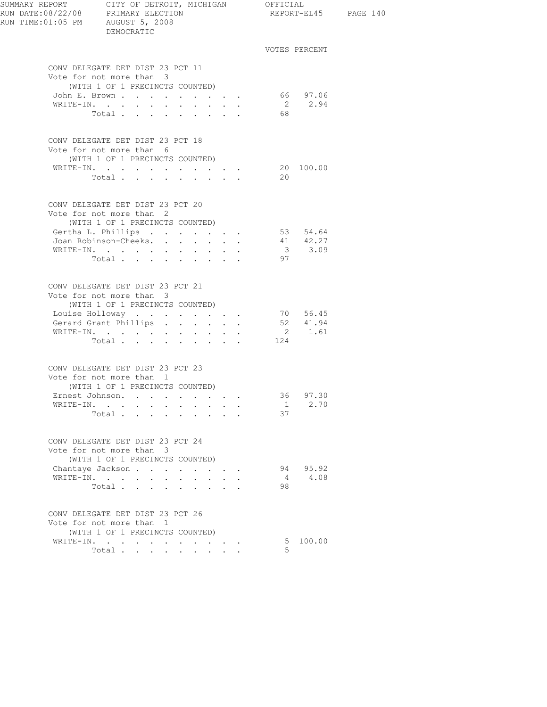| SUMMARY REPORT CITY OF DETROIT, MICHIGAN OFFICIAL<br>RUN DATE:08/22/08 PRIMARY ELECTION REPORT-EL<br>RUN TIME: 01:05 PM AUGUST 5, 2008 | DEMOCRATIC                                                                                                         |                                                              |                                                                |         |                                                                    | REPORT-EL45 PAGE 140 |
|----------------------------------------------------------------------------------------------------------------------------------------|--------------------------------------------------------------------------------------------------------------------|--------------------------------------------------------------|----------------------------------------------------------------|---------|--------------------------------------------------------------------|----------------------|
|                                                                                                                                        |                                                                                                                    |                                                              |                                                                |         | VOTES PERCENT                                                      |                      |
|                                                                                                                                        | CONV DELEGATE DET DIST 23 PCT 11<br>Vote for not more than 3<br>(WITH 1 OF 1 PRECINCTS COUNTED)<br>John E. Brown   |                                                              |                                                                |         |                                                                    |                      |
|                                                                                                                                        | WRITE-IN.<br>Total                                                                                                 | $\mathbf{L} = \mathbf{L} \mathbf{L} = \mathbf{L} \mathbf{L}$ | $\sim$                                                         | 68      | 66 97.06<br>2 2.94                                                 |                      |
|                                                                                                                                        | CONV DELEGATE DET DIST 23 PCT 18<br>Vote for not more than 6<br>(WITH 1 OF 1 PRECINCTS COUNTED)<br>WRITE-IN.       |                                                              |                                                                |         | 20 100.00                                                          |                      |
|                                                                                                                                        | Total $\cdot$                                                                                                      |                                                              |                                                                | 20      |                                                                    |                      |
|                                                                                                                                        | CONV DELEGATE DET DIST 23 PCT 20<br>Vote for not more than 2<br>(WITH 1 OF 1 PRECINCTS COUNTED)                    |                                                              |                                                                |         |                                                                    |                      |
|                                                                                                                                        | Gertha L. Phillips<br>Joan Robinson-Cheeks.<br>WRITE-IN.<br>Total $\cdots$                                         | $\bullet$ .                                                  | $\cdot$ $\cdot$ $\cdot$                                        | 97      | 53 54.64<br>$\begin{array}{cc} 41 & 42.27 \\ 3 & 3.09 \end{array}$ |                      |
|                                                                                                                                        | CONV DELEGATE DET DIST 23 PCT 21<br>Vote for not more than 3<br>(WITH 1 OF 1 PRECINCTS COUNTED)<br>Louise Holloway |                                                              |                                                                |         | 70 56.45                                                           |                      |
|                                                                                                                                        | Gerard Grant Phillips<br>WRITE-IN.<br>Total .<br>$\mathbf{r}$ . The set of $\mathbf{r}$                            | $\bullet$<br>and the state of the state of the               |                                                                | 124     | 52 41.94<br>2 1.61                                                 |                      |
|                                                                                                                                        | CONV DELEGATE DET DIST 23 PCT 23<br>Vote for not more than 1<br>(WITH 1 OF 1 PRECINCTS COUNTED)                    |                                                              |                                                                |         |                                                                    |                      |
|                                                                                                                                        | Ernest Johnson.<br>WRITE-IN.<br>Total                                                                              |                                                              |                                                                | 37      | 36 97.30<br>$1 \t 2.70$                                            |                      |
|                                                                                                                                        | CONV DELEGATE DET DIST 23 PCT 24<br>Vote for not more than 3<br>(WITH 1 OF 1 PRECINCTS COUNTED)                    |                                                              |                                                                |         |                                                                    |                      |
|                                                                                                                                        | Chantaye Jackson<br>WRITE-IN.<br>Total $\cdots$ $\cdots$ $\cdots$                                                  | $\ddot{\phantom{0}}$<br>$\ddot{\phantom{0}}$<br>$\sim$       | $\mathbf{L} = \mathbf{L} \mathbf{L}$                           | 4<br>98 | 94 95.92<br>4.08                                                   |                      |
|                                                                                                                                        | CONV DELEGATE DET DIST 23 PCT 26<br>Vote for not more than 1<br>(WITH 1 OF 1 PRECINCTS COUNTED)                    |                                                              |                                                                |         |                                                                    |                      |
|                                                                                                                                        | $\sim 10^{-10}$ km s $^{-1}$<br>Total                                                                              | $\mathbf{L} = \mathbf{L} \mathbf{L} + \mathbf{L} \mathbf{L}$ | $\mathcal{L}(\mathbf{A})$ and $\mathcal{L}(\mathbf{A})$ . Then | 5       | 5 100.00                                                           |                      |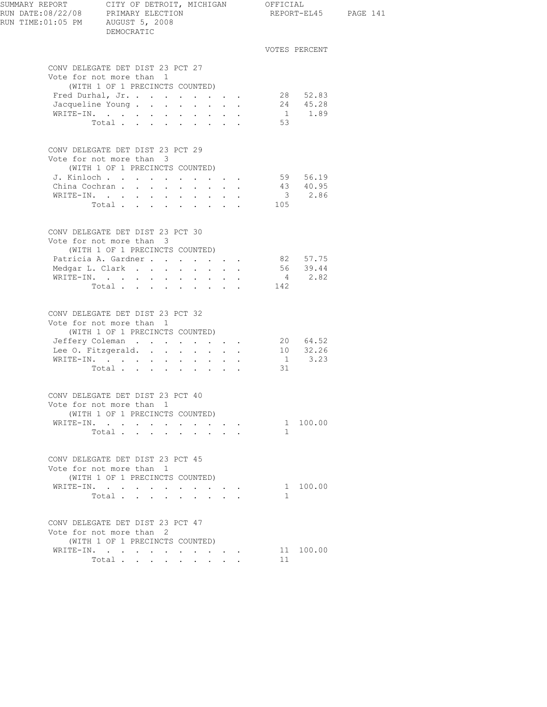| SUMMARY REPORT CITY OF DETROIT, MICHIGAN OFFICIAL<br>RUN DATE:08/22/08 PRIMARY ELECTION<br>RUN TIME: 01:05 PM AUGUST 5, 2008<br>DEMOCRATIC |                                                                                                 |  | REPORT-EL45 PAGE 141 |              |                                                                                                                                                                                                                                                                                                                                                                                                                |  |
|--------------------------------------------------------------------------------------------------------------------------------------------|-------------------------------------------------------------------------------------------------|--|----------------------|--------------|----------------------------------------------------------------------------------------------------------------------------------------------------------------------------------------------------------------------------------------------------------------------------------------------------------------------------------------------------------------------------------------------------------------|--|
|                                                                                                                                            |                                                                                                 |  |                      |              | VOTES PERCENT                                                                                                                                                                                                                                                                                                                                                                                                  |  |
|                                                                                                                                            | CONV DELEGATE DET DIST 23 PCT 27<br>Vote for not more than 1                                    |  |                      |              |                                                                                                                                                                                                                                                                                                                                                                                                                |  |
|                                                                                                                                            | (WITH 1 OF 1 PRECINCTS COUNTED)                                                                 |  |                      |              |                                                                                                                                                                                                                                                                                                                                                                                                                |  |
|                                                                                                                                            | Fred Durhal, Jr.                                                                                |  |                      |              | 28 52.83                                                                                                                                                                                                                                                                                                                                                                                                       |  |
|                                                                                                                                            | Jacqueline Young                                                                                |  |                      |              | $24$ $45.28$<br>1 $1.89$                                                                                                                                                                                                                                                                                                                                                                                       |  |
|                                                                                                                                            | WRITE-IN.                                                                                       |  |                      |              |                                                                                                                                                                                                                                                                                                                                                                                                                |  |
|                                                                                                                                            | Total                                                                                           |  |                      | 53           |                                                                                                                                                                                                                                                                                                                                                                                                                |  |
|                                                                                                                                            | CONV DELEGATE DET DIST 23 PCT 29<br>Vote for not more than 3<br>(WITH 1 OF 1 PRECINCTS COUNTED) |  |                      |              |                                                                                                                                                                                                                                                                                                                                                                                                                |  |
|                                                                                                                                            | J. Kinloch 59 56.19                                                                             |  |                      |              |                                                                                                                                                                                                                                                                                                                                                                                                                |  |
|                                                                                                                                            | China Cochran                                                                                   |  |                      |              |                                                                                                                                                                                                                                                                                                                                                                                                                |  |
|                                                                                                                                            | WRITE-IN.                                                                                       |  |                      |              | $\begin{array}{@{}c@{\hspace{1em}}c@{\hspace{1em}}c@{\hspace{1em}}c@{\hspace{1em}}c@{\hspace{1em}}c@{\hspace{1em}}c@{\hspace{1em}}c@{\hspace{1em}}c@{\hspace{1em}}c@{\hspace{1em}}c@{\hspace{1em}}c@{\hspace{1em}}c@{\hspace{1em}}c@{\hspace{1em}}c@{\hspace{1em}}c@{\hspace{1em}}c@{\hspace{1em}}c@{\hspace{1em}}c@{\hspace{1em}}c@{\hspace{1em}}c@{\hspace{1em}}c@{\hspace{1em}}c@{\hspace{1em}}c@{\hspace{$ |  |
|                                                                                                                                            | Total                                                                                           |  |                      | 105          |                                                                                                                                                                                                                                                                                                                                                                                                                |  |
|                                                                                                                                            | CONV DELEGATE DET DIST 23 PCT 30<br>Vote for not more than 3                                    |  |                      |              |                                                                                                                                                                                                                                                                                                                                                                                                                |  |
|                                                                                                                                            | (WITH 1 OF 1 PRECINCTS COUNTED)                                                                 |  |                      |              |                                                                                                                                                                                                                                                                                                                                                                                                                |  |
|                                                                                                                                            | Patricia A. Gardner 82 57.75                                                                    |  |                      |              |                                                                                                                                                                                                                                                                                                                                                                                                                |  |
|                                                                                                                                            | Medgar L. Clark                                                                                 |  |                      |              | 56 39.44                                                                                                                                                                                                                                                                                                                                                                                                       |  |
|                                                                                                                                            | WRITE-IN.                                                                                       |  |                      |              | 4 2.82                                                                                                                                                                                                                                                                                                                                                                                                         |  |
|                                                                                                                                            | Total                                                                                           |  |                      | 142          |                                                                                                                                                                                                                                                                                                                                                                                                                |  |
|                                                                                                                                            | CONV DELEGATE DET DIST 23 PCT 32<br>Vote for not more than 1<br>(WITH 1 OF 1 PRECINCTS COUNTED) |  |                      |              |                                                                                                                                                                                                                                                                                                                                                                                                                |  |
|                                                                                                                                            |                                                                                                 |  |                      |              |                                                                                                                                                                                                                                                                                                                                                                                                                |  |
|                                                                                                                                            | Jeffery Coleman<br>Lee 0. Fitzgerald.                                                           |  |                      |              | 20 64.52<br>10 32.26                                                                                                                                                                                                                                                                                                                                                                                           |  |
|                                                                                                                                            | WRITE-IN.                                                                                       |  |                      |              | $1 \t3.23$                                                                                                                                                                                                                                                                                                                                                                                                     |  |
|                                                                                                                                            | Total $\qquad$                                                                                  |  |                      | 31           |                                                                                                                                                                                                                                                                                                                                                                                                                |  |
|                                                                                                                                            | CONV DELEGATE DET DIST 23 PCT 40<br>Vote for not more than 1                                    |  |                      |              |                                                                                                                                                                                                                                                                                                                                                                                                                |  |
|                                                                                                                                            | (WITH 1 OF 1 PRECINCTS COUNTED)                                                                 |  |                      |              |                                                                                                                                                                                                                                                                                                                                                                                                                |  |
|                                                                                                                                            | WRITE-IN. 1 100.00                                                                              |  |                      |              |                                                                                                                                                                                                                                                                                                                                                                                                                |  |
|                                                                                                                                            | Total $\cdots$                                                                                  |  |                      | $\mathbf{1}$ |                                                                                                                                                                                                                                                                                                                                                                                                                |  |
|                                                                                                                                            | CONV DELEGATE DET DIST 23 PCT 45<br>Vote for not more than 1<br>(WITH 1 OF 1 PRECINCTS COUNTED) |  |                      |              |                                                                                                                                                                                                                                                                                                                                                                                                                |  |
|                                                                                                                                            | WRITE-IN.                                                                                       |  |                      |              | 1 100.00                                                                                                                                                                                                                                                                                                                                                                                                       |  |
|                                                                                                                                            | Total $\cdots$                                                                                  |  |                      | $\mathbf{1}$ |                                                                                                                                                                                                                                                                                                                                                                                                                |  |
|                                                                                                                                            | CONV DELEGATE DET DIST 23 PCT 47<br>Vote for not more than 2                                    |  |                      |              |                                                                                                                                                                                                                                                                                                                                                                                                                |  |
|                                                                                                                                            | (WITH 1 OF 1 PRECINCTS COUNTED)                                                                 |  |                      |              |                                                                                                                                                                                                                                                                                                                                                                                                                |  |
|                                                                                                                                            | WRITE-IN.                                                                                       |  |                      |              | 11 100.00                                                                                                                                                                                                                                                                                                                                                                                                      |  |
|                                                                                                                                            | Total                                                                                           |  |                      | 11           |                                                                                                                                                                                                                                                                                                                                                                                                                |  |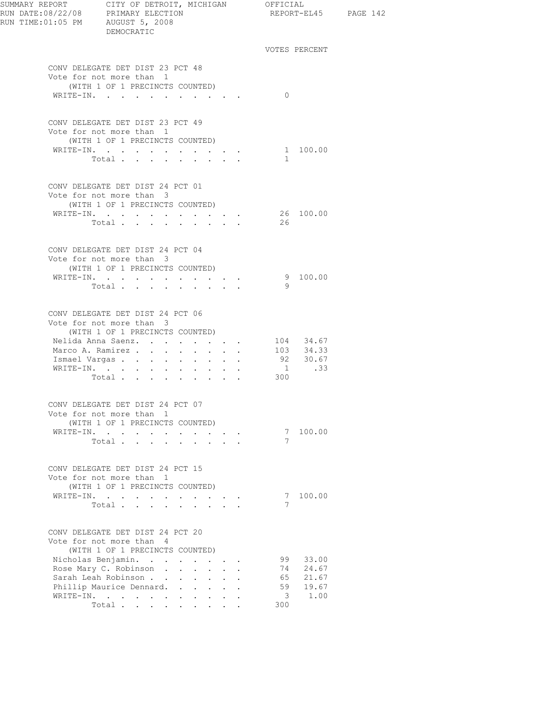| SUMMARY REPORT CITY OF DETROIT, MICHIGAN OFFICIAL                                    |                                                                  |                      |                         |                       |                      |  |
|--------------------------------------------------------------------------------------|------------------------------------------------------------------|----------------------|-------------------------|-----------------------|----------------------|--|
| RUN DATE:08/22/08 PRIMARY ELECTION<br>RUN TIME:01:05 PM AUGUST 5, 2008<br>DEMOCRATIC |                                                                  |                      |                         |                       | REPORT-EL45 PAGE 142 |  |
|                                                                                      |                                                                  |                      |                         | VOTES PERCENT         |                      |  |
| CONV DELEGATE DET DIST 23 PCT 48<br>Vote for not more than 1                         |                                                                  |                      |                         |                       |                      |  |
| (WITH 1 OF 1 PRECINCTS COUNTED)<br>WRITE-IN.                                         |                                                                  |                      | $\Omega$                |                       |                      |  |
| CONV DELEGATE DET DIST 23 PCT 49<br>Vote for not more than 1                         |                                                                  |                      |                         |                       |                      |  |
| (WITH 1 OF 1 PRECINCTS COUNTED)                                                      |                                                                  |                      |                         |                       |                      |  |
| WRITE-IN.<br>Total.                                                                  |                                                                  |                      | $\sim$                  | 1 100.00              |                      |  |
| CONV DELEGATE DET DIST 24 PCT 01<br>Vote for not more than 3                         |                                                                  |                      |                         |                       |                      |  |
| (WITH 1 OF 1 PRECINCTS COUNTED)                                                      |                                                                  |                      |                         |                       |                      |  |
| WRITE-IN.                                                                            | $\bullet$ . In the case of the contract $\bullet$                |                      |                         | 26 100.00             |                      |  |
| Total.                                                                               |                                                                  |                      | 26                      |                       |                      |  |
| CONV DELEGATE DET DIST 24 PCT 04<br>Vote for not more than 3                         |                                                                  |                      |                         |                       |                      |  |
| (WITH 1 OF 1 PRECINCTS COUNTED)                                                      |                                                                  |                      |                         |                       |                      |  |
| WRITE-IN.                                                                            | $\mathbf{r} = \mathbf{r} + \mathbf{r} + \mathbf{r} + \mathbf{r}$ |                      |                         | 9 100.00              |                      |  |
| Total.                                                                               |                                                                  |                      | - 9                     |                       |                      |  |
| CONV DELEGATE DET DIST 24 PCT 06                                                     |                                                                  |                      |                         |                       |                      |  |
| Vote for not more than 3<br>(WITH 1 OF 1 PRECINCTS COUNTED)                          |                                                                  |                      |                         |                       |                      |  |
| Nelida Anna Saenz.                                                                   |                                                                  |                      |                         | 104 34.67             |                      |  |
| Marco A. Ramirez                                                                     |                                                                  |                      |                         | 103 34.33             |                      |  |
| Ismael Vargas                                                                        |                                                                  |                      |                         | $92$ $30.67$<br>1 .33 |                      |  |
| Total $\cdots$                                                                       |                                                                  |                      | 300                     |                       |                      |  |
| CONV DELEGATE DET DIST 24 PCT 07                                                     |                                                                  |                      |                         |                       |                      |  |
| Vote for not more than 1<br>(WITH 1 OF 1 PRECINCTS COUNTED)                          |                                                                  |                      |                         |                       |                      |  |
| WRITE-IN.                                                                            |                                                                  |                      |                         | 7 100.00              |                      |  |
| Total                                                                                |                                                                  |                      | 7                       |                       |                      |  |
| CONV DELEGATE DET DIST 24 PCT 15<br>Vote for not more than 1                         |                                                                  |                      |                         |                       |                      |  |
| (WITH 1 OF 1 PRECINCTS COUNTED)                                                      |                                                                  |                      |                         |                       |                      |  |
| WRITE-IN.                                                                            |                                                                  |                      |                         | 7 100.00              |                      |  |
| Total                                                                                |                                                                  |                      | 7                       |                       |                      |  |
| CONV DELEGATE DET DIST 24 PCT 20<br>Vote for not more than 4                         |                                                                  |                      |                         |                       |                      |  |
| (WITH 1 OF 1 PRECINCTS COUNTED)                                                      |                                                                  |                      |                         |                       |                      |  |
| Nicholas Benjamin.                                                                   |                                                                  |                      | 99                      | 33.00                 |                      |  |
| Rose Mary C. Robinson<br>Sarah Leah Robinson                                         |                                                                  | $\ddot{\phantom{a}}$ | 74<br>65                | 24.67<br>21.67        |                      |  |
| Phillip Maurice Dennard.                                                             |                                                                  |                      | 59                      | 19.67                 |                      |  |
| WRITE-IN.                                                                            |                                                                  |                      | $\overline{\mathbf{3}}$ | 1.00                  |                      |  |
| Total $\cdots$                                                                       |                                                                  |                      | 300                     |                       |                      |  |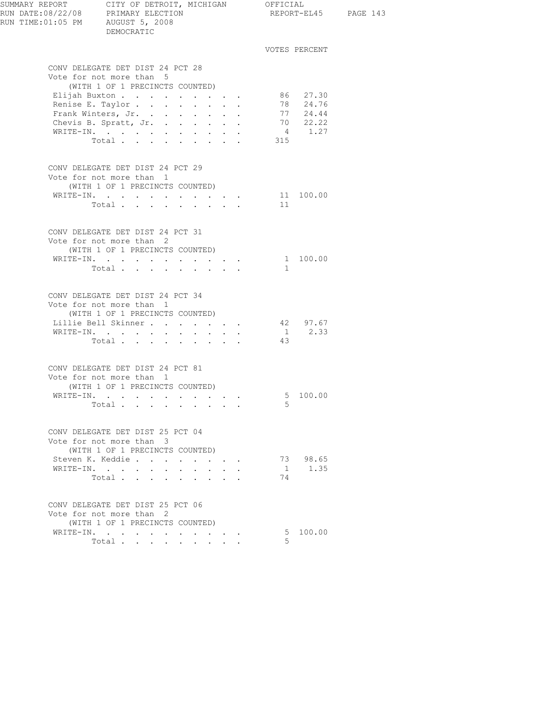| RUN TIME: 01:05 PM AUGUST 5, 2008 | DEMOCRATIC                                                                                                                                                        |                                                                                               |                                                                                                                                              |                      | REPORT-EL45                                                  |
|-----------------------------------|-------------------------------------------------------------------------------------------------------------------------------------------------------------------|-----------------------------------------------------------------------------------------------|----------------------------------------------------------------------------------------------------------------------------------------------|----------------------|--------------------------------------------------------------|
|                                   |                                                                                                                                                                   |                                                                                               |                                                                                                                                              |                      | VOTES PERCENT                                                |
|                                   | CONV DELEGATE DET DIST 24 PCT 28<br>Vote for not more than 5                                                                                                      |                                                                                               |                                                                                                                                              |                      |                                                              |
|                                   | (WITH 1 OF 1 PRECINCTS COUNTED)<br>Elijah Buxton<br>Renise E. Taylor<br>Frank Winters, Jr.<br>Chevis B. Spratt, Jr.<br>WRITE-IN.<br>Total                         | $\sim$<br>$\sim$<br>$\mathcal{L}^{\text{max}}$<br>$\sim$                                      | $\mathbf{L}^{\text{max}}$ , and $\mathbf{L}^{\text{max}}$<br>$\bullet$ . In the set of $\bullet$<br>$\mathbf{z} = \mathbf{z} + \mathbf{z}$ . | 315                  | 86 27.30<br>78 24.76<br>77 24.44<br>$70$ $22.22$<br>4 $1.27$ |
|                                   | CONV DELEGATE DET DIST 24 PCT 29<br>Vote for not more than 1<br>(WITH 1 OF 1 PRECINCTS COUNTED)<br>WRITE-IN.<br>Total                                             |                                                                                               |                                                                                                                                              | 11                   | 11 100.00                                                    |
|                                   | CONV DELEGATE DET DIST 24 PCT 31<br>Vote for not more than 2<br>(WITH 1 OF 1 PRECINCTS COUNTED)<br>WRITE-IN.<br>Total                                             |                                                                                               |                                                                                                                                              | 1                    | 1 100.00                                                     |
|                                   | CONV DELEGATE DET DIST 24 PCT 34<br>Vote for not more than 1<br>(WITH 1 OF 1 PRECINCTS COUNTED)<br>Lillie Bell Skinner<br>WRITE-IN.<br>Total                      |                                                                                               |                                                                                                                                              | 43                   | 42 97.67<br>$1 \t 2.33$                                      |
|                                   | CONV DELEGATE DET DIST 24 PCT 81<br>Vote for not more than 1<br>(WITH 1 OF 1 PRECINCTS COUNTED)<br>WRITE-IN.<br>Total $\cdots$                                    |                                                                                               |                                                                                                                                              | 5                    | 5 100.00                                                     |
|                                   | CONV DELEGATE DET DIST 25 PCT 04<br>Vote for not more than 3<br>(WITH 1 OF 1 PRECINCTS COUNTED)<br>Steven K. Keddie<br>WRITE-IN.<br>Total<br>$\ddot{\phantom{a}}$ | $\ddot{\phantom{a}}$                                                                          |                                                                                                                                              | $\overline{1}$<br>74 | 73 98.65<br>1.35                                             |
|                                   | CONV DELEGATE DET DIST 25 PCT 06<br>Vote for not more than 2<br>(WITH 1 OF 1 PRECINCTS COUNTED)<br>WRITE-IN.<br>Total<br>$\ddot{\phantom{0}}$                     | $\ddot{\phantom{0}}$<br>$\sim$<br>$\bullet$ .<br><br><br><br><br><br><br><br><br><br><br><br> |                                                                                                                                              | 5                    | 5 100.00                                                     |

PAGE 143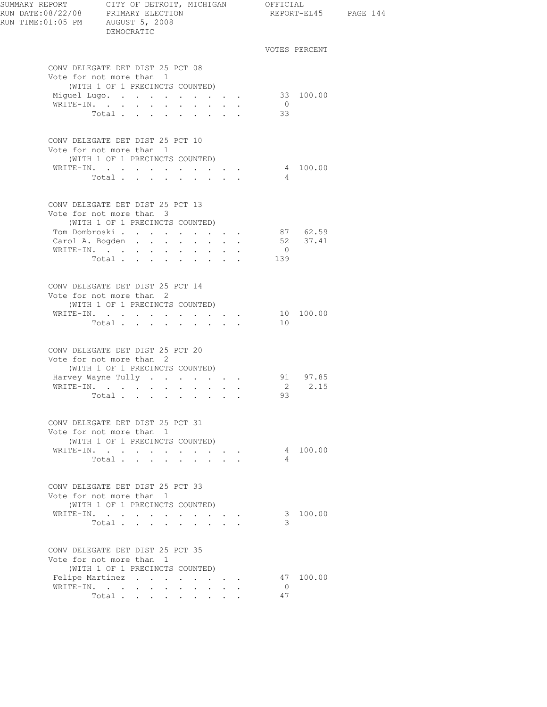| RUN DATE:08/22/08 PRIMARY ELECTION<br>RUN TIME: 01:05 PM AUGUST 5, 2008 | SUMMARY REPORT CITY OF DETROIT, MICHIGAN OFFICIAL<br>DEMOCRATIC                               |                      |                                                                 |  |                | REPORT-EL45 PAGE 144 |  |
|-------------------------------------------------------------------------|-----------------------------------------------------------------------------------------------|----------------------|-----------------------------------------------------------------|--|----------------|----------------------|--|
|                                                                         |                                                                                               |                      |                                                                 |  |                | VOTES PERCENT        |  |
|                                                                         | CONV DELEGATE DET DIST 25 PCT 08                                                              |                      |                                                                 |  |                |                      |  |
|                                                                         | Vote for not more than 1<br>(WITH 1 OF 1 PRECINCTS COUNTED)                                   |                      |                                                                 |  |                |                      |  |
|                                                                         | Miquel Lugo.                                                                                  |                      |                                                                 |  |                | 33 100.00            |  |
|                                                                         | WRITE-IN.                                                                                     |                      |                                                                 |  | $\overline{0}$ |                      |  |
|                                                                         | Total                                                                                         |                      |                                                                 |  | 33             |                      |  |
|                                                                         |                                                                                               |                      |                                                                 |  |                |                      |  |
|                                                                         | CONV DELEGATE DET DIST 25 PCT 10                                                              |                      |                                                                 |  |                |                      |  |
|                                                                         | Vote for not more than 1<br>(WITH 1 OF 1 PRECINCTS COUNTED)                                   |                      |                                                                 |  |                |                      |  |
|                                                                         | WRITE-IN.                                                                                     |                      |                                                                 |  |                | 4 100.00             |  |
|                                                                         | Total $\cdots$                                                                                |                      |                                                                 |  | $\overline{4}$ |                      |  |
|                                                                         |                                                                                               |                      |                                                                 |  |                |                      |  |
|                                                                         | CONV DELEGATE DET DIST 25 PCT 13                                                              |                      |                                                                 |  |                |                      |  |
|                                                                         | Vote for not more than 3                                                                      |                      |                                                                 |  |                |                      |  |
|                                                                         | (WITH 1 OF 1 PRECINCTS COUNTED)                                                               |                      |                                                                 |  |                |                      |  |
|                                                                         | Tom Dombroski 87 62.59<br>Carol A. Bogden                                                     |                      |                                                                 |  |                | 52 37.41             |  |
|                                                                         | WRITE-IN.                                                                                     |                      |                                                                 |  | $\overline{0}$ |                      |  |
|                                                                         | Total                                                                                         |                      |                                                                 |  | 139            |                      |  |
|                                                                         |                                                                                               |                      |                                                                 |  |                |                      |  |
|                                                                         | CONV DELEGATE DET DIST 25 PCT 14                                                              |                      |                                                                 |  |                |                      |  |
|                                                                         | Vote for not more than 2                                                                      |                      |                                                                 |  |                |                      |  |
|                                                                         | (WITH 1 OF 1 PRECINCTS COUNTED)                                                               |                      |                                                                 |  |                |                      |  |
|                                                                         | WRITE-IN.                                                                                     |                      |                                                                 |  |                | 10 100.00            |  |
|                                                                         | Total                                                                                         |                      |                                                                 |  | 10             |                      |  |
|                                                                         | CONV DELEGATE DET DIST 25 PCT 20                                                              |                      |                                                                 |  |                |                      |  |
|                                                                         | Vote for not more than 2                                                                      |                      |                                                                 |  |                |                      |  |
|                                                                         | (WITH 1 OF 1 PRECINCTS COUNTED)                                                               |                      |                                                                 |  |                |                      |  |
|                                                                         | Harvey Wayne Tully                                                                            |                      |                                                                 |  |                | 91 97.85             |  |
|                                                                         | WRITE-IN.                                                                                     |                      |                                                                 |  |                | 2 2.15               |  |
|                                                                         | Total<br>$\mathcal{O}(n^{2}+1)$ , where $\mathcal{O}(n^{2}+1)$ , where $\mathcal{O}(n^{2}+1)$ |                      |                                                                 |  | 93             |                      |  |
|                                                                         |                                                                                               |                      |                                                                 |  |                |                      |  |
|                                                                         | CONV DELEGATE DET DIST 25 PCT 31                                                              |                      |                                                                 |  |                |                      |  |
|                                                                         | Vote for not more than 1<br>(WITH 1 OF 1 PRECINCTS COUNTED)                                   |                      |                                                                 |  |                |                      |  |
|                                                                         | WRITE-IN.                                                                                     |                      |                                                                 |  |                | 4 100.00             |  |
|                                                                         | Total                                                                                         |                      |                                                                 |  | $\overline{4}$ |                      |  |
|                                                                         |                                                                                               |                      |                                                                 |  |                |                      |  |
|                                                                         | CONV DELEGATE DET DIST 25 PCT 33                                                              |                      |                                                                 |  |                |                      |  |
|                                                                         | Vote for not more than 1                                                                      |                      |                                                                 |  |                |                      |  |
|                                                                         | (WITH 1 OF 1 PRECINCTS COUNTED)                                                               |                      |                                                                 |  |                |                      |  |
|                                                                         | WRITE-IN.                                                                                     |                      |                                                                 |  |                | 3 100.00             |  |
|                                                                         | Total                                                                                         | $\sim$<br>$\sim$ $-$ | $\mathbf{r}$ and $\mathbf{r}$ and $\mathbf{r}$ and $\mathbf{r}$ |  | 3              |                      |  |
|                                                                         | CONV DELEGATE DET DIST 25 PCT 35                                                              |                      |                                                                 |  |                |                      |  |
|                                                                         | Vote for not more than 1                                                                      |                      |                                                                 |  |                |                      |  |
|                                                                         | (WITH 1 OF 1 PRECINCTS COUNTED)                                                               |                      |                                                                 |  |                |                      |  |
|                                                                         | Felipe Martinez                                                                               |                      |                                                                 |  |                | 47 100.00            |  |
|                                                                         | WRITE-IN.                                                                                     |                      |                                                                 |  | $\bigcirc$     |                      |  |
|                                                                         | Total                                                                                         |                      |                                                                 |  | 47             |                      |  |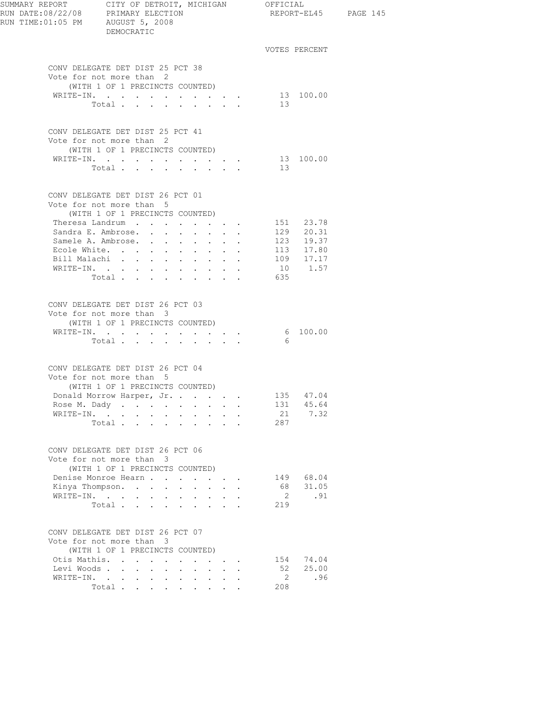| RUN TIME:01:05 PM AUGUST 5, 2008 | DEMOCRATIC                                                                                      |                                                                                             |                                                                                                    |                                                           |                                             |                |                        | REPORT-EL45 PAGE 145 |
|----------------------------------|-------------------------------------------------------------------------------------------------|---------------------------------------------------------------------------------------------|----------------------------------------------------------------------------------------------------|-----------------------------------------------------------|---------------------------------------------|----------------|------------------------|----------------------|
|                                  |                                                                                                 |                                                                                             |                                                                                                    |                                                           |                                             |                | VOTES PERCENT          |                      |
|                                  | CONV DELEGATE DET DIST 25 PCT 38<br>Vote for not more than 2<br>(WITH 1 OF 1 PRECINCTS COUNTED) |                                                                                             |                                                                                                    |                                                           |                                             |                |                        |                      |
|                                  | WRITE-IN.                                                                                       |                                                                                             |                                                                                                    |                                                           |                                             |                | 13 100.00              |                      |
|                                  | Total                                                                                           |                                                                                             | $\mathbf{r} = \mathbf{r} + \mathbf{r} + \mathbf{r} + \mathbf{r}$                                   |                                                           |                                             | 13             |                        |                      |
|                                  | CONV DELEGATE DET DIST 25 PCT 41<br>Vote for not more than 2<br>(WITH 1 OF 1 PRECINCTS COUNTED) |                                                                                             |                                                                                                    |                                                           |                                             |                |                        |                      |
|                                  | WRITE-IN.                                                                                       |                                                                                             |                                                                                                    |                                                           |                                             |                | 13 100.00              |                      |
|                                  | Total.                                                                                          |                                                                                             |                                                                                                    |                                                           |                                             | 13             |                        |                      |
|                                  | CONV DELEGATE DET DIST 26 PCT 01<br>Vote for not more than 5<br>(WITH 1 OF 1 PRECINCTS COUNTED) |                                                                                             |                                                                                                    |                                                           |                                             |                |                        |                      |
|                                  | Theresa Landrum                                                                                 |                                                                                             | $\mathbf{r}$ , and $\mathbf{r}$ , and $\mathbf{r}$                                                 |                                                           |                                             |                | 151 23.78              |                      |
|                                  | Sandra E. Ambrose.                                                                              |                                                                                             |                                                                                                    |                                                           |                                             |                | 129 20.31              |                      |
|                                  | Samele A. Ambrose.                                                                              |                                                                                             |                                                                                                    |                                                           | $\bullet$ .<br><br><br><br><br><br><br><br> |                | 123 19.37              |                      |
|                                  | Ecole White.                                                                                    |                                                                                             |                                                                                                    |                                                           |                                             |                | 113 17.80<br>109 17.17 |                      |
|                                  | Bill Malachi                                                                                    |                                                                                             | $\mathbf{L}$<br>$\sim$ 100 $\mu$                                                                   | $\mathbf{L}$                                              | $\ddot{\phantom{a}}$                        |                |                        |                      |
|                                  | WRITE-IN.                                                                                       |                                                                                             |                                                                                                    |                                                           |                                             | 635            | 10 1.57                |                      |
|                                  | Total                                                                                           |                                                                                             |                                                                                                    |                                                           |                                             |                |                        |                      |
|                                  | CONV DELEGATE DET DIST 26 PCT 03<br>Vote for not more than 3<br>(WITH 1 OF 1 PRECINCTS COUNTED) |                                                                                             |                                                                                                    |                                                           |                                             |                |                        |                      |
|                                  | WRITE-IN. 6 100.00                                                                              |                                                                                             |                                                                                                    |                                                           |                                             |                |                        |                      |
|                                  | Total                                                                                           |                                                                                             |                                                                                                    |                                                           |                                             | - 6            |                        |                      |
|                                  | CONV DELEGATE DET DIST 26 PCT 04<br>Vote for not more than 5<br>(WITH 1 OF 1 PRECINCTS COUNTED) |                                                                                             |                                                                                                    |                                                           |                                             |                |                        |                      |
|                                  | Donald Morrow Harper, Jr.                                                                       |                                                                                             |                                                                                                    |                                                           |                                             |                | 135 47.04              |                      |
|                                  | Rose M. Dady                                                                                    |                                                                                             | $\ddot{\phantom{0}}$<br>$\bullet$ .<br><br><br><br><br><br><br><br><br><br><br><br>                |                                                           |                                             | 131            | 45.64                  |                      |
|                                  | WRITE-IN.                                                                                       |                                                                                             | $\sim$<br>$\sim$                                                                                   | $\sim$                                                    |                                             | 21             | 7.32                   |                      |
|                                  | Total                                                                                           |                                                                                             |                                                                                                    |                                                           |                                             | 287            |                        |                      |
|                                  | CONV DELEGATE DET DIST 26 PCT 06<br>Vote for not more than 3                                    |                                                                                             |                                                                                                    |                                                           |                                             |                |                        |                      |
|                                  | (WITH 1 OF 1 PRECINCTS COUNTED)                                                                 |                                                                                             |                                                                                                    |                                                           |                                             |                |                        |                      |
|                                  | Denise Monroe Hearn<br>Kinya Thompson.                                                          |                                                                                             |                                                                                                    | $2.12 - 1.12$                                             |                                             | 68             | 149 68.04<br>31.05     |                      |
|                                  |                                                                                                 | $\bullet$                                                                                   | $\mathbf{L}^{\text{max}}$<br>$\sim$<br>$\bullet$ .<br><br><br><br><br><br><br><br><br><br><br><br> | $\mathbf{L}^{\text{max}}$ , and $\mathbf{L}^{\text{max}}$ | $\ddot{\phantom{a}}$                        | $\overline{2}$ | .91                    |                      |
|                                  | Total                                                                                           | $\mathbf{r} = \mathbf{r}$                                                                   | $\mathbf{L} = \mathbf{L}$                                                                          |                                                           |                                             | 219            |                        |                      |
|                                  | CONV DELEGATE DET DIST 26 PCT 07<br>Vote for not more than 3                                    |                                                                                             |                                                                                                    |                                                           |                                             |                |                        |                      |
|                                  | (WITH 1 OF 1 PRECINCTS COUNTED)                                                                 |                                                                                             |                                                                                                    |                                                           |                                             |                |                        |                      |
| Otis Mathis.                     | $\sim$                                                                                          | $\sim$<br>$\ddot{\phantom{a}}$                                                              | $\mathbf{z}$ .                                                                                     |                                                           |                                             | 154            | 74.04                  |                      |
|                                  | Levi Woods                                                                                      | $\sim$<br>$\ddot{\phantom{a}}$                                                              |                                                                                                    |                                                           |                                             | 52             | 25.00                  |                      |
|                                  | WRITE-IN.<br>Total                                                                              | $\sim 10^{-11}$<br>$\mathbf{L}^{\text{max}}$<br>$\bullet$<br>$\ddot{\phantom{0}}$<br>$\sim$ | $\mathbf{z} = \mathbf{z} + \mathbf{z}$ .                                                           | $\mathbf{z} = \mathbf{z} + \mathbf{z}$ .                  |                                             | 2<br>208       | .96                    |                      |
|                                  |                                                                                                 |                                                                                             |                                                                                                    |                                                           |                                             |                |                        |                      |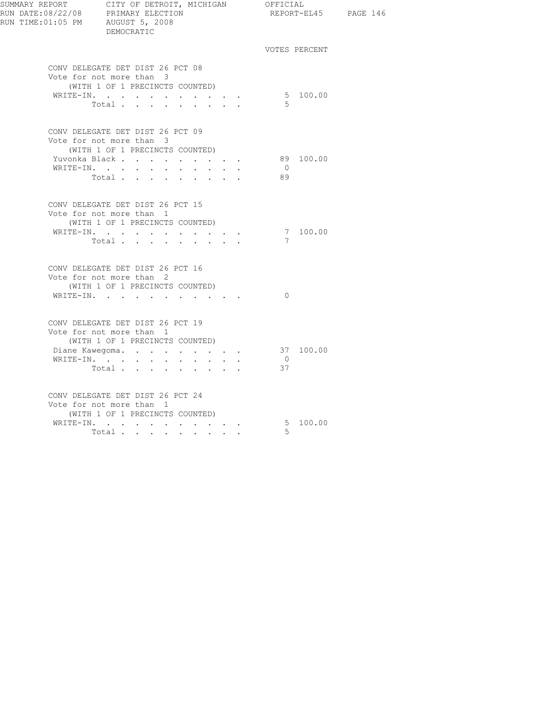| RUN TIME:01:05 PM AUGUST 5, 2008 | SUMMARY REPORT CITY OF DETROIT, MICHIGAN OFFICIAL<br>RUN DATE:08/22/08 PRIMARY ELECTION REPORT-EL4<br>DEMOCRATIC                                              |                                | REPORT-EL45 PAGE 146 |  |
|----------------------------------|---------------------------------------------------------------------------------------------------------------------------------------------------------------|--------------------------------|----------------------|--|
|                                  |                                                                                                                                                               |                                | VOTES PERCENT        |  |
|                                  | CONV DELEGATE DET DIST 26 PCT 08<br>Vote for not more than 3<br>(WITH 1 OF 1 PRECINCTS COUNTED)<br>WRITE-IN.<br>Total                                         | $5^{\circ}$                    | 5 100.00             |  |
|                                  | CONV DELEGATE DET DIST 26 PCT 09<br>Vote for not more than 3<br>(WITH 1 OF 1 PRECINCTS COUNTED)<br>Yuvonka Black<br>WRITE-IN.<br>Total                        | $\bigcirc$<br>89               | 89 100.00            |  |
|                                  | CONV DELEGATE DET DIST 26 PCT 15<br>Vote for not more than 1<br>(WITH 1 OF 1 PRECINCTS COUNTED)<br>WRITE-IN.<br>Total $\cdots$                                | $\overline{7}$                 | 7 100.00             |  |
|                                  | CONV DELEGATE DET DIST 26 PCT 16<br>Vote for not more than 2<br>(WITH 1 OF 1 PRECINCTS COUNTED)<br>WRITE-IN.                                                  | $\overline{0}$                 |                      |  |
|                                  | CONV DELEGATE DET DIST 26 PCT 19<br>Vote for not more than 1<br>(WITH 1 OF 1 PRECINCTS COUNTED)<br>Diane Kawegoma. 37 100.00<br>WRITE-IN.<br>$\texttt{Total}$ | $\overline{0}$<br>37           |                      |  |
|                                  | CONV DELEGATE DET DIST 26 PCT 24<br>Vote for not more than 1<br>(WITH 1 OF 1 PRECINCTS COUNTED)<br>WRITE-IN.<br>Total $\cdots$                                | $5\quad 100.00$<br>$5^{\circ}$ |                      |  |